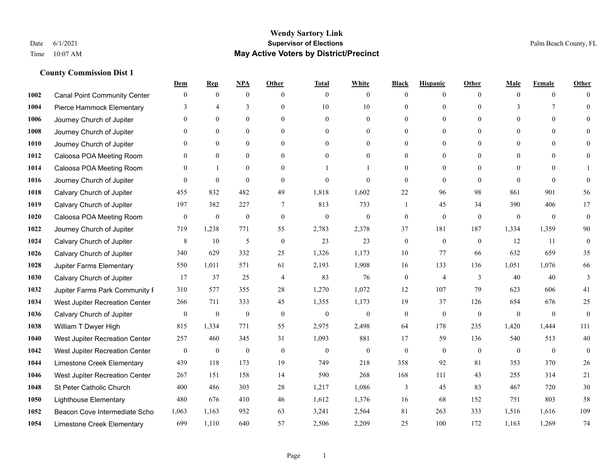|      |                                     | Dem              | <b>Rep</b>       | NPA              | <b>Other</b>   | <b>Total</b>     | <b>White</b>     | <b>Black</b>     | <b>Hispanic</b>  | <b>Other</b>   | <b>Male</b>  | <b>Female</b>   | <b>Other</b>     |
|------|-------------------------------------|------------------|------------------|------------------|----------------|------------------|------------------|------------------|------------------|----------------|--------------|-----------------|------------------|
| 1002 | <b>Canal Point Community Center</b> | $\mathbf{0}$     | $\mathbf{0}$     | $\boldsymbol{0}$ | $\theta$       | $\mathbf{0}$     | $\overline{0}$   | $\mathbf{0}$     | $\boldsymbol{0}$ | $\theta$       | $\theta$     | $\overline{0}$  | $\Omega$         |
| 1004 | Pierce Hammock Elementary           | 3                | $\overline{4}$   | 3                | $\theta$       | 10               | 10               | $\theta$         | $\mathbf{0}$     | $\Omega$       | 3            | $7\phantom{.0}$ | $\theta$         |
| 1006 | Journey Church of Jupiter           | $\theta$         | $\theta$         | $\theta$         | $\Omega$       | $\theta$         | $\overline{0}$   | $\Omega$         | $\theta$         | $\Omega$       | $\Omega$     | $\Omega$        | $\Omega$         |
| 1008 | Journey Church of Jupiter           | 0                | $\mathbf{0}$     | $\mathbf{0}$     | $\overline{0}$ | $\theta$         | $\overline{0}$   | $\overline{0}$   | $\mathbf{0}$     | $\theta$       | $\mathbf{0}$ | $\mathbf{0}$    |                  |
| 1010 | Journey Church of Jupiter           | 0                | $\mathbf{0}$     | $\mathbf{0}$     | $\theta$       | $\Omega$         | $\overline{0}$   | $\overline{0}$   | $\mathbf{0}$     | $\theta$       | $\theta$     | $\theta$        | $\Omega$         |
| 1012 | Caloosa POA Meeting Room            | $\theta$         | $\mathbf{0}$     | $\mathbf{0}$     | $\theta$       | $\Omega$         | $\mathbf{0}$     | $\overline{0}$   | $\mathbf{0}$     | $\Omega$       | $\theta$     | $\theta$        | $\Omega$         |
| 1014 | Caloosa POA Meeting Room            | $\theta$         |                  | $\mathbf{0}$     | $\overline{0}$ |                  | 1                | $\overline{0}$   | $\mathbf{0}$     | $\theta$       | $\mathbf{0}$ | $\theta$        |                  |
| 1016 | Journey Church of Jupiter           | 0                | $\mathbf{0}$     | $\mathbf{0}$     | $\theta$       | $\Omega$         | $\theta$         | $\mathbf{0}$     | $\mathbf{0}$     | $\theta$       | $\Omega$     | $\theta$        | $\theta$         |
| 1018 | Calvary Church of Jupiter           | 455              | 832              | 482              | 49             | 1,818            | 1,602            | 22               | 96               | 98             | 861          | 901             | 56               |
| 1019 | Calvary Church of Jupiter           | 197              | 382              | 227              | $\overline{7}$ | 813              | 733              | 1                | 45               | 34             | 390          | 406             | 17               |
| 1020 | Caloosa POA Meeting Room            | $\boldsymbol{0}$ | $\boldsymbol{0}$ | $\boldsymbol{0}$ | $\mathbf{0}$   | $\mathbf{0}$     | $\mathbf{0}$     | $\boldsymbol{0}$ | $\mathbf{0}$     | $\theta$       | $\mathbf{0}$ | $\mathbf{0}$    | $\mathbf{0}$     |
| 1022 | Journey Church of Jupiter           | 719              | 1,238            | 771              | 55             | 2,783            | 2,378            | 37               | 181              | 187            | 1,334        | 1,359           | 90               |
| 1024 | Calvary Church of Jupiter           | 8                | 10               | $\mathfrak{H}$   | $\theta$       | 23               | 23               | $\boldsymbol{0}$ | $\mathbf{0}$     | $\theta$       | 12           | 11              | $\mathbf{0}$     |
| 1026 | Calvary Church of Jupiter           | 340              | 629              | 332              | 25             | 1,326            | 1,173            | $10\,$           | 77               | 66             | 632          | 659             | 35               |
| 1028 | Jupiter Farms Elementary            | 550              | 1,011            | 571              | 61             | 2,193            | 1,908            | 16               | 133              | 136            | 1,051        | 1,076           | 66               |
| 1030 | Calvary Church of Jupiter           | 17               | 37               | 25               | $\overline{4}$ | 83               | 76               | $\boldsymbol{0}$ | $\overline{4}$   | 3              | 40           | 40              | 3                |
| 1032 | Jupiter Farms Park Community I      | 310              | 577              | 355              | 28             | 1,270            | 1,072            | 12               | 107              | 79             | 623          | 606             | 41               |
| 1034 | West Jupiter Recreation Center      | 266              | 711              | 333              | 45             | 1,355            | 1,173            | 19               | 37               | 126            | 654          | 676             | $25\,$           |
| 1036 | Calvary Church of Jupiter           | $\boldsymbol{0}$ | $\boldsymbol{0}$ | $\boldsymbol{0}$ | $\mathbf{0}$   | $\boldsymbol{0}$ | $\boldsymbol{0}$ | $\boldsymbol{0}$ | $\mathbf{0}$     | $\mathbf{0}$   | $\mathbf{0}$ | $\mathbf{0}$    | $\boldsymbol{0}$ |
| 1038 | William T Dwyer High                | 815              | 1,334            | 771              | 55             | 2,975            | 2,498            | 64               | 178              | 235            | 1,420        | 1,444           | 111              |
| 1040 | West Jupiter Recreation Center      | 257              | 460              | 345              | 31             | 1,093            | 881              | 17               | 59               | 136            | 540          | 513             | 40               |
| 1042 | West Jupiter Recreation Center      | $\boldsymbol{0}$ | $\boldsymbol{0}$ | $\boldsymbol{0}$ | $\mathbf{0}$   | $\boldsymbol{0}$ | $\mathbf{0}$     | $\boldsymbol{0}$ | $\boldsymbol{0}$ | $\overline{0}$ | $\mathbf{0}$ | $\mathbf{0}$    | $\mathbf{0}$     |
| 1044 | Limestone Creek Elementary          | 439              | 118              | 173              | 19             | 749              | 218              | 358              | 92               | 81             | 353          | 370             | 26               |
| 1046 | West Jupiter Recreation Center      | 267              | 151              | 158              | 14             | 590              | 268              | 168              | 111              | 43             | 255          | 314             | 21               |
| 1048 | St Peter Catholic Church            | 400              | 486              | 303              | $28\,$         | 1,217            | 1,086            | 3                | 45               | 83             | 467          | 720             | 30               |
| 1050 | <b>Lighthouse Elementary</b>        | 480              | 676              | 410              | 46             | 1,612            | 1,376            | 16               | 68               | 152            | 751          | 803             | 58               |
| 1052 | Beacon Cove Intermediate Scho       | 1,063            | 1,163            | 952              | 63             | 3,241            | 2,564            | 81               | 263              | 333            | 1,516        | 1,616           | 109              |
| 1054 | Limestone Creek Elementary          | 699              | 1,110            | 640              | 57             | 2,506            | 2,209            | 25               | 100              | 172            | 1,163        | 1,269           | 74               |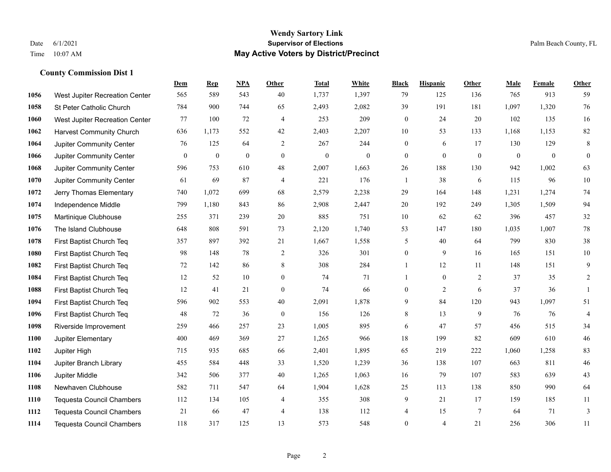#### **Wendy Sartory Link** Date 6/1/2021 **Supervisor of Elections** Palm Beach County, FL Time 10:07 AM **May Active Voters by District/Precinct**

# **Dem Rep NPA Other Total White Black Hispanic Other Male Female Other** West Jupiter Recreation Center 565 589 543 40 1,737 1,397 79 125 136 765 913 59 St Peter Catholic Church 784 900 744 65 2,493 2,082 39 191 181 1,097 1,320 76 West Jupiter Recreation Center 77 100 72 4 253 209 0 24 20 102 135 16 Harvest Community Church 636 1,173 552 42 2,403 2,207 10 53 133 1,168 1,153 82 Jupiter Community Center  $\begin{array}{cccc} 76 & 125 & 64 & 2 & 267 & 244 & 0 & 6 & 17 & 130 & 129 & 8 \end{array}$  Jupiter Community Center 0 0 0 0 0 0 0 0 0 0 0 0 Jupiter Community Center 596 753 610 48 2,007 1,663 26 188 130 942 1,002 63 Jupiter Community Center 61 69 87 4 221 176 1 38 6 115 96 10 Jerry Thomas Elementary 740 1,072 699 68 2,579 2,238 29 164 148 1,231 1,274 74 Independence Middle 799 1,180 843 86 2,908 2,447 20 192 249 1,305 1,509 94 Martinique Clubhouse 255 371 239 20 885 751 10 62 62 396 457 32 The Island Clubhouse 648 808 591 73 2,120 1,740 53 147 180 1,035 1,007 78 First Baptist Church Teq 357 897 392 21 1,667 1,558 5 40 64 799 830 38 First Baptist Church Teq 98 148 78 2 326 301 0 9 16 165 151 10 First Baptist Church Teq 72 142 86 8 308 284 1 12 11 148 151 9 First Baptist Church Teq **12** 52 10 0 74 71 1 0 2 37 35 2 First Baptist Church Teq 12 41 21 0 74 66 0 2 6 37 36 1 First Baptist Church Teq 596 902 553 40 2,091 1,878 9 84 120 943 1,097 51 First Baptist Church Teq 48 72 36 0 156 126 8 13 9 76 76 4 Riverside Improvement 259 466 257 23 1,005 895 6 47 57 456 515 34 Jupiter Elementary 400 469 369 27 1,265 966 18 199 82 609 610 46 Jupiter High 715 935 685 66 2,401 1,895 65 219 222 1,060 1,258 83 Jupiter Branch Library 455 584 448 33 1,520 1,239 36 138 107 663 811 46 Jupiter Middle 342 506 377 40 1,265 1,063 16 79 107 583 639 43 Newhaven Clubhouse 582 711 547 64 1,904 1,628 25 113 138 850 990 64 Tequesta Council Chambers 112 134 105 4 355 308 9 21 17 159 185 11 Tequesta Council Chambers 21 66 47 4 138 112 4 15 7 64 71 3 Tequesta Council Chambers 118 317 125 13 573 548 0 4 21 256 306 11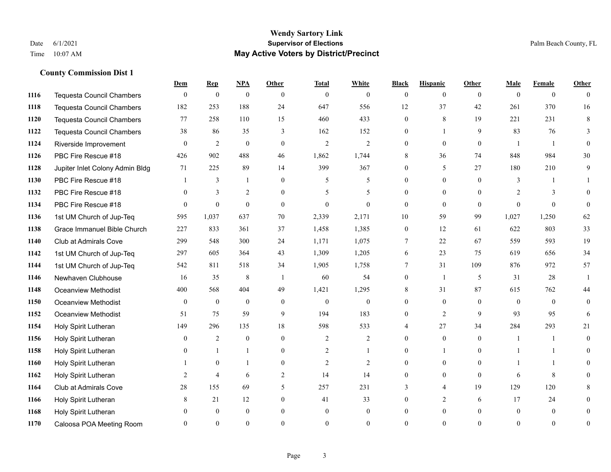#### **Wendy Sartory Link** Date 6/1/2021 **Supervisor of Elections** Palm Beach County, FL Time 10:07 AM **May Active Voters by District/Precinct**

# **Dem Rep NPA Other Total White Black Hispanic Other Male Female Other** Tequesta Council Chambers 0 0 0 0 0 0 0 0 0 0 0 0 Tequesta Council Chambers 182 253 188 24 647 556 12 37 42 261 370 16 Tequesta Council Chambers 77 258 110 15 460 433 0 8 19 221 231 8 Tequesta Council Chambers 38 86 35 3 162 152 0 1 9 83 76 3 Riverside Improvement 0 0 2 0 0 2 2 2 0 0 0 0 1 1 0 PBC Fire Rescue #18 **426** 902 488 46 1,862 1,744 8 36 74 848 984 30 Jupiter Inlet Colony Admin Bldg 71 225 89 14 399 367 0 5 27 180 210 9 PBC Fire Rescue #18 **1** 3 1 0 5 5 0 0 0 3 1 1 1132 PBC Fire Rescue #18 0 3 2 0 5 5 0 0 0 2 3 0 PBC Fire Rescue #18 0 0 0 0 0 0 0 0 0 0 0 0 1st UM Church of Jup-Teq 595 1,037 637 70 2,339 2,171 10 59 99 1,027 1,250 62 Grace Immanuel Bible Church 227 833 361 37 1,458 1,385 0 12 61 622 803 33 Club at Admirals Cove 299 548 300 24 1,171 1,075 7 22 67 559 593 19 1st UM Church of Jup-Teq 297 605 364 43 1,309 1,205 6 23 75 619 656 34 1st UM Church of Jup-Teq 542 811 518 34 1,905 1,758 7 31 109 876 972 57 Newhaven Clubhouse 16 35 8 1 60 54 0 1 5 31 28 1 Oceanview Methodist 400 568 404 49 1,421 1,295 8 31 87 615 762 44 Oceanview Methodist 0 0 0 0 0 0 0 0 0 0 0 0 Oceanview Methodist 51 75 59 9 194 183 0 2 9 93 95 6 Holy Spirit Lutheran 149 296 135 18 598 533 4 27 34 284 293 21 Holy Spirit Lutheran **0** 2 0 0 2 2 2 0 0 0 1 1 0 Holy Spirit Lutheran **0** 1 1 0 2 1 0 1 0 1 1 0 Holy Spirit Lutheran 1 0 1 0 2 2 0 0 0 1 1 0 Holy Spirit Lutheran 2 4 6 2 14 14 0 0 0 6 8 0 Club at Admirals Cove 28 155 69 5 257 231 3 4 19 129 120 8 Holy Spirit Lutheran **8** 21 12 0 41 33 0 2 6 17 24 0 Holy Spirit Lutheran 0 0 0 0 0 0 0 0 0 0 0 0 Caloosa POA Meeting Room 0 0 0 0 0 0 0 0 0 0 0 0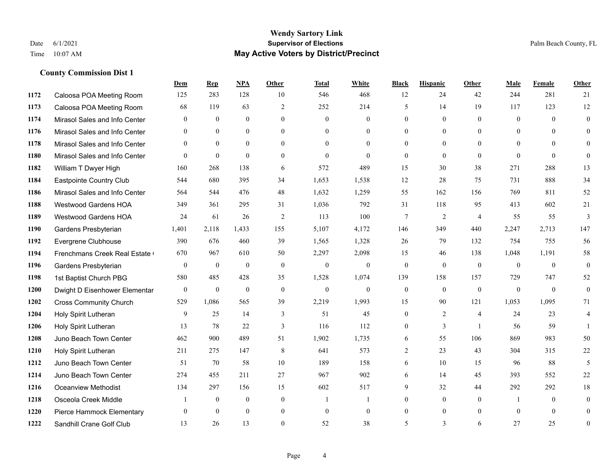#### **Wendy Sartory Link** Date 6/1/2021 **Supervisor of Elections** Palm Beach County, FL Time 10:07 AM **May Active Voters by District/Precinct**

# **Dem Rep NPA Other Total White Black Hispanic Other Male Female Other** Caloosa POA Meeting Room 125 283 128 10 546 468 12 24 42 244 281 21 Caloosa POA Meeting Room 68 119 63 2 252 214 5 14 19 117 123 12 Mirasol Sales and Info Center 0 0 0 0 0 0 0 0 0 0 0 0 Mirasol Sales and Info Center 0 0 0 0 0 0 0 0 0 0 0 0 Mirasol Sales and Info Center 0 0 0 0 0 0 0 0 0 0 0 0 Mirasol Sales and Info Center 0 0 0 0 0 0 0 0 0 0 0 0 William T Dwyer High 160 268 138 6 572 489 15 30 38 271 288 13 Eastpointe Country Club 544 680 395 34 1,653 1,538 12 28 75 731 888 34 Mirasol Sales and Info Center 564 544 476 48 1,632 1,259 55 162 156 769 811 52 Westwood Gardens HOA 349 361 295 31 1,036 792 31 118 95 413 602 21 Westwood Gardens HOA 24 61 26 2 113 100 7 2 4 55 55 3 Gardens Presbyterian 1,401 2,118 1,433 155 5,107 4,172 146 349 440 2,247 2,713 147 Evergrene Clubhouse 390 676 460 39 1,565 1,328 26 79 132 754 755 56 1194 Frenchmans Creek Real Estate 670 967 610 50 2,297 2,098 15 46 138 1,048 1,191 58 Gardens Presbyterian 0 0 0 0 0 0 0 0 0 0 0 0 1st Baptist Church PBG 580 485 428 35 1,528 1,074 139 158 157 729 747 52 Dwight D Eisenhower Elementary 0 0 0 0 0 0 0 0 0 0 0 0 Cross Community Church 529 1,086 565 39 2,219 1,993 15 90 121 1,053 1,095 71 Holy Spirit Lutheran 9 25 14 3 51 45 0 2 4 24 23 4 Holy Spirit Lutheran **13** 78 22 3 116 112 0 3 1 56 59 1 Juno Beach Town Center 462 900 489 51 1,902 1,735 6 55 106 869 983 50 Holy Spirit Lutheran 211 275 147 8 641 573 2 23 43 304 315 22 Juno Beach Town Center 51 70 58 10 189 158 6 10 15 96 88 5 Juno Beach Town Center 274 455 211 27 967 902 6 14 45 393 552 22 Oceanview Methodist 134 297 156 15 602 517 9 32 44 292 292 18 Osceola Creek Middle  $\begin{array}{cccccccc} 1 & 0 & 0 & 0 & 1 & 1 & 0 & 0 & 0 \end{array}$  Pierce Hammock Elementary 0 0 0 0 0 0 0 0 0 0 0 0 Sandhill Crane Golf Club 13 26 13 0 52 38 5 3 6 27 25 0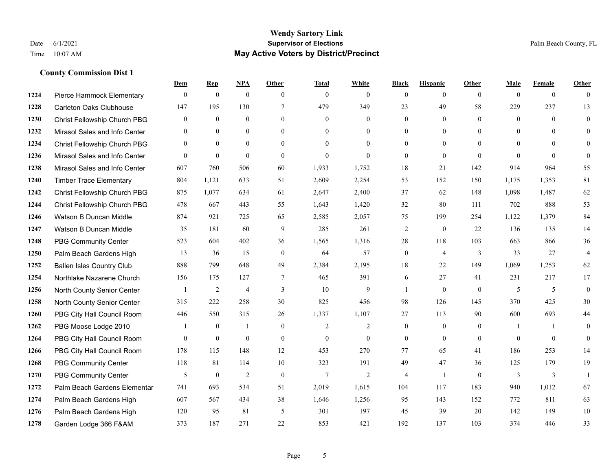#### **Wendy Sartory Link** Date 6/1/2021 **Supervisor of Elections** Palm Beach County, FL Time 10:07 AM **May Active Voters by District/Precinct**

# **Dem Rep NPA Other Total White Black Hispanic Other Male Female Other** Pierce Hammock Elementary 0 0 0 0 0 0 0 0 0 0 0 0 Carleton Oaks Clubhouse 147 195 130 7 479 349 23 49 58 229 237 13 Christ Fellowship Church PBG 0 0 0 0 0 0 0 0 0 0 0 0 Mirasol Sales and Info Center 0 0 0 0 0 0 0 0 0 0 0 0 Christ Fellowship Church PBG 0 0 0 0 0 0 0 0 0 0 0 0 Mirasol Sales and Info Center 0 0 0 0 0 0 0 0 0 0 0 0 Mirasol Sales and Info Center 607 760 506 60 1,933 1,752 18 21 142 914 964 55 Timber Trace Elementary 804 1,121 633 51 2,609 2,254 53 152 150 1,175 1,353 81 Christ Fellowship Church PBG 875 1,077 634 61 2,647 2,400 37 62 148 1,098 1,487 62 Christ Fellowship Church PBG 478 667 443 55 1,643 1,420 32 80 111 702 888 53 Watson B Duncan Middle 874 921 725 65 2,585 2,057 75 199 254 1,122 1,379 84 Watson B Duncan Middle 35 181 60 9 285 261 2 0 22 136 135 14 PBG Community Center 523 604 402 36 1,565 1,316 28 118 103 663 866 36 Palm Beach Gardens High 13 36 15 0 64 57 0 4 3 33 27 4 Ballen Isles Country Club 888 799 648 49 2,384 2,195 18 22 149 1,069 1,253 62 Northlake Nazarene Church 156 175 127 7 465 391 6 27 41 231 217 17 North County Senior Center 1 2 4 3 10 9 1 0 0 5 5 5 0 North County Senior Center 315 222 258 30 825 456 98 126 145 370 425 30 PBG City Hall Council Room 446 550 315 26 1,337 1,107 27 113 90 600 693 44 PBG Moose Lodge 2010 1 0 1 0 1 0 2 2 0 0 0 1 1 0 PBG City Hall Council Room 0 0 0 0 0 0 0 0 0 0 0 0 PBG City Hall Council Room 178 115 148 12 453 270 77 65 41 186 253 14 PBG Community Center 118 81 114 10 323 191 49 47 36 125 179 19 PBG Community Center 5 0 2 0 7 2 4 1 0 3 3 1 Palm Beach Gardens Elementary 741 693 534 51 2,019 1,615 104 117 183 940 1,012 67 Palm Beach Gardens High 607 567 434 38 1,646 1,256 95 143 152 772 811 63 Palm Beach Gardens High 120 95 81 5 301 197 45 39 20 142 149 10 Garden Lodge 366 F&AM 373 187 271 22 853 421 192 137 103 374 446 33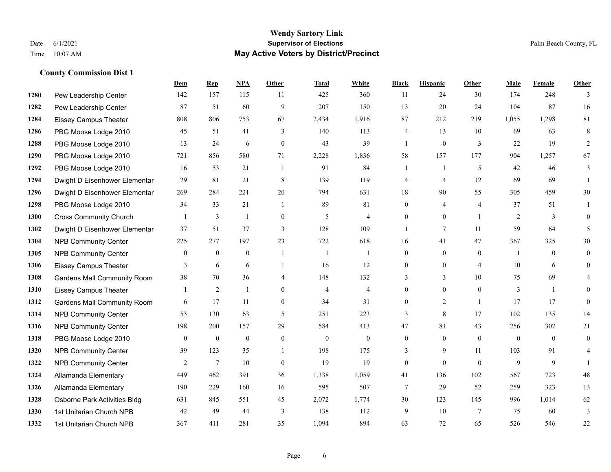#### **Wendy Sartory Link** Date 6/1/2021 **Supervisor of Elections** Palm Beach County, FL Time 10:07 AM **May Active Voters by District/Precinct**

# **Dem Rep NPA Other Total White Black Hispanic Other Male Female Other** Pew Leadership Center 142 157 115 11 425 360 11 24 30 174 248 3 Pew Leadership Center 87 51 60 9 207 150 13 20 24 104 87 16 Eissey Campus Theater 808 806 753 67 2,434 1,916 87 212 219 1,055 1,298 81 PBG Moose Lodge 2010 45 51 41 3 140 113 4 13 10 69 63 8 PBG Moose Lodge 2010 13 24 6 0 43 39 1 0 3 22 19 2 PBG Moose Lodge 2010 721 856 580 71 2,228 1,836 58 157 177 904 1,257 67 PBG Moose Lodge 2010 16 53 21 1 91 84 1 1 5 42 46 3 Dwight D Eisenhower Elementar 29 81 21 8 139 119 4 4 12 69 69 1 Dwight D Eisenhower Elementar 269 284 221 20 794 631 18 90 55 305 459 30 PBG Moose Lodge 2010 34 33 21 1 89 81 0 4 4 37 51 1 Cross Community Church 1 3 1 0 5 4 0 0 1 2 3 0 Dwight D Eisenhower Elementar 37 51 37 3 128 109 1 7 11 59 64 5 NPB Community Center 225 277 197 23 722 618 16 41 47 367 325 30 NPB Community Center 0 0 0 1 1 1 0 0 0 1 0 0 Eissey Campus Theater **3** 6 6 1 16 12 0 0 4 10 6 0 Gardens Mall Community Room 38 70 36 4 148 132 3 3 10 75 69 4 Eissey Campus Theater 1 2 1 0 4 4 0 0 0 3 1 0 **1312 Gardens Mall Community Room** 6 17 11 0 34 31 0 2 1 17 17 0 NPB Community Center 53 130 63 5 251 223 3 8 17 102 135 14 NPB Community Center 198 200 157 29 584 413 47 81 43 256 307 21 PBG Moose Lodge 2010 0 0 0 0 0 0 0 0 0 0 0 0 **1320 NPB Community Center** 39 123 35 1 198 175 3 9 11 103 91 4 **1322 NPB Community Center** 2 7 10 0 19 19 0 0 0 9 9 1 Allamanda Elementary 449 462 391 36 1,338 1,059 41 136 102 567 723 48 Allamanda Elementary 190 229 160 16 595 507 7 29 52 259 323 13 Osborne Park Activities Bldg 631 845 551 45 2,072 1,774 30 123 145 996 1,014 62 1st Unitarian Church NPB 42 49 44 3 138 112 9 10 7 75 60 3 1st Unitarian Church NPB 367 411 281 35 1,094 894 63 72 65 526 546 22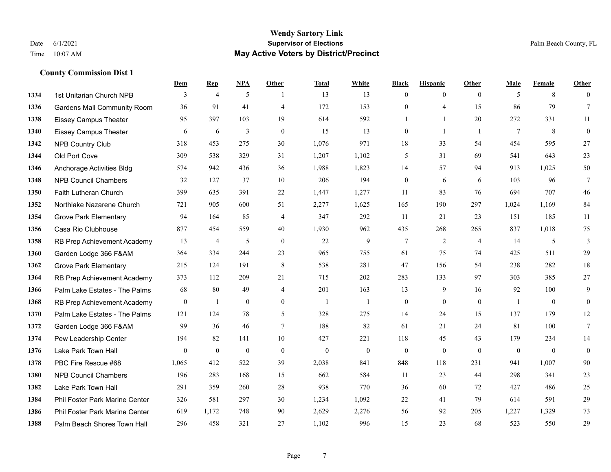#### **Wendy Sartory Link** Date 6/1/2021 **Supervisor of Elections** Palm Beach County, FL Time 10:07 AM **May Active Voters by District/Precinct**

# **Dem Rep NPA Other Total White Black Hispanic Other Male Female Other** 1334 1st Unitarian Church NPB 3 4 5 1 13 13 0 0 0 5 8 0 Gardens Mall Community Room 36 91 41 4 172 153 0 4 15 86 79 7 Eissey Campus Theater **95** 95 397 103 19 614 592 1 1 20 272 331 11 Eissey Campus Theater 6 6 6 3 0 15 13 0 1 1 7 8 0 NPB Country Club 318 453 275 30 1,076 971 18 33 54 454 595 27 Old Port Cove 309 538 329 31 1,207 1,102 5 31 69 541 643 23 Anchorage Activities Bldg 574 942 436 36 1,988 1,823 14 57 94 913 1,025 50 NPB Council Chambers 32 127 37 10 206 194 0 6 6 103 96 7 Faith Lutheran Church 399 635 391 22 1,447 1,277 11 83 76 694 707 46 Northlake Nazarene Church 721 905 600 51 2,277 1,625 165 190 297 1,024 1,169 84 Grove Park Elementary 94 164 85 4 347 292 11 21 23 151 185 11 Casa Rio Clubhouse 877 454 559 40 1,930 962 435 268 265 837 1,018 75 RB Prep Achievement Academy 13 4 5 0 22 9 7 2 4 14 5 3 Garden Lodge 366 F&AM 364 334 244 23 965 755 61 75 74 425 511 29 Grove Park Elementary 215 124 191 8 538 281 47 156 54 238 282 18 RB Prep Achievement Academy 373 112 209 21 715 202 283 133 97 303 385 27 Palm Lake Estates - The Palms 68 80 49 4 201 163 13 9 16 92 100 9 RB Prep Achievement Academy 0 1 0 0 1 1 1 0 0 0 0 0 1 0 0 Palm Lake Estates - The Palms 121 124 78 5 328 275 14 24 15 137 179 12 Garden Lodge 366 F&AM 99 36 46 7 188 82 61 21 24 81 100 7 Pew Leadership Center 194 82 141 10 427 221 118 45 43 179 234 14 Lake Park Town Hall 0 0 0 0 0 0 0 0 0 0 0 0 PBC Fire Rescue #68 1,065 412 522 39 2,038 841 848 118 231 941 1,007 90 NPB Council Chambers 196 283 168 15 662 584 11 23 44 298 341 23 Lake Park Town Hall 291 359 260 28 938 770 36 60 72 427 486 25 Phil Foster Park Marine Center 326 581 297 30 1,234 1,092 22 41 79 614 591 29 Phil Foster Park Marine Center 619 1,172 748 90 2,629 2,276 56 92 205 1,227 1,329 73 Palm Beach Shores Town Hall 296 458 321 27 1,102 996 15 23 68 523 550 29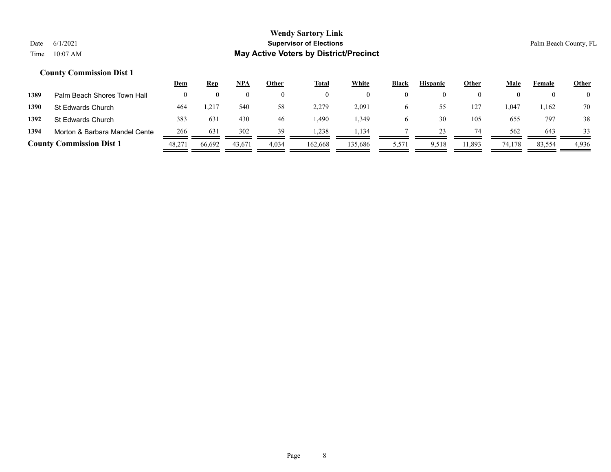|      |                                 | <u>Dem</u> | <u>Rep</u> | <u>NPA</u> | Other | <b>Total</b> | <b>White</b> | <b>Black</b> | <b>Hispanic</b> | Other    | <b>Male</b> | Female | <b>Other</b>   |
|------|---------------------------------|------------|------------|------------|-------|--------------|--------------|--------------|-----------------|----------|-------------|--------|----------------|
| 1389 | Palm Beach Shores Town Hall     |            |            |            |       |              | $\theta$     |              |                 | $\theta$ |             |        | $\overline{0}$ |
| 1390 | <b>St Edwards Church</b>        | 464        | ,217       | 540        | 58    | 2,279        | 2,091        |              |                 | 127      | .047        | 1,162  | 70             |
| 1392 | St Edwards Church               | 383        | 631        | 430        | 46    | .490         | ۔ 349، ،     |              | 30              | 105      | 655         | 797    | 38             |
| 1394 | Morton & Barbara Mandel Cente   | 266        | 631        | 302        | 39    | .238         | 1.134        |              |                 | 74       | 562         | 643    | 33             |
|      | <b>County Commission Dist 1</b> | 48,271     | 66,692     | 43,671     | 4,034 | 162,668      | 135,686      | 5,571        | 9,518           | 11,893   | 74,178      | 83,554 | 4,936          |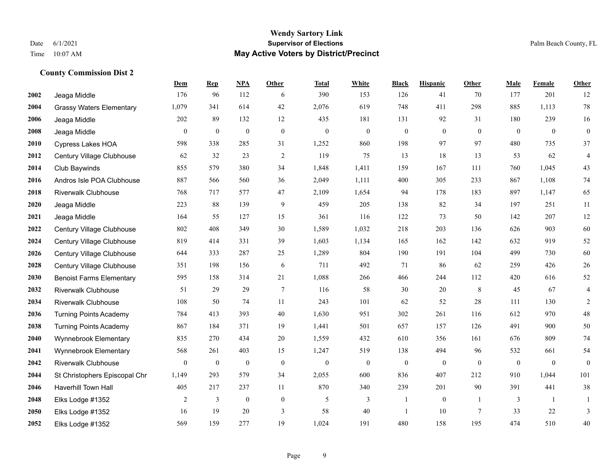#### **Wendy Sartory Link** Date 6/1/2021 **Supervisor of Elections** Palm Beach County, FL Time 10:07 AM **May Active Voters by District/Precinct**

# **Dem Rep NPA Other Total White Black Hispanic Other Male Female Other** Jeaga Middle 176 96 112 6 390 153 126 41 70 177 201 12 Grassy Waters Elementary 1,079 341 614 42 2,076 619 748 411 298 885 1,113 78 Jeaga Middle 202 89 132 12 435 181 131 92 31 180 239 16 Jeaga Middle 0 0 0 0 0 0 0 0 0 0 0 0 Cypress Lakes HOA 598 338 285 31 1,252 860 198 97 97 480 735 37 Century Village Clubhouse 62 32 23 2 119 75 13 18 13 53 62 4 Club Baywinds 855 579 380 34 1,848 1,411 159 167 111 760 1,045 43 Andros Isle POA Clubhouse 887 566 560 36 2,049 1,111 400 305 233 867 1,108 74 Riverwalk Clubhouse 768 717 577 47 2,109 1,654 94 178 183 897 1,147 65 Jeaga Middle 223 88 139 9 459 205 138 82 34 197 251 11 Jeaga Middle 164 55 127 15 361 116 122 73 50 142 207 12 Century Village Clubhouse 802 408 349 30 1,589 1,032 218 203 136 626 903 60 Century Village Clubhouse 819 414 331 39 1,603 1,134 165 162 142 632 919 52 Century Village Clubhouse 644 333 287 25 1,289 804 190 191 104 499 730 60 Century Village Clubhouse 351 198 156 6 711 492 71 86 62 259 426 26 Benoist Farms Elementary 595 158 314 21 1,088 266 466 244 112 420 616 52 Riverwalk Clubhouse 51 29 29 7 116 58 30 20 8 45 67 4 Riverwalk Clubhouse 108 50 74 11 243 101 62 52 28 111 130 2 Turning Points Academy 784 413 393 40 1,630 951 302 261 116 612 970 48 Turning Points Academy 867 184 371 19 1,441 501 657 157 126 491 900 50 Wynnebrook Elementary 835 270 434 20 1,559 432 610 356 161 676 809 74 Wynnebrook Elementary 568 261 403 15 1,247 519 138 494 96 532 661 54 Riverwalk Clubhouse 0 0 0 0 0 0 0 0 0 0 0 0 St Christophers Episcopal Chr 1,149 293 579 34 2,055 600 836 407 212 910 1,044 101 Haverhill Town Hall 405 217 237 11 870 340 239 201 90 391 441 38 Elks Lodge #1352 2 3 0 0 5 3 1 0 1 3 1 1 Elks Lodge #1352 16 19 20 3 58 40 1 10 7 33 22 3 Elks Lodge #1352 569 159 277 19 1,024 191 480 158 195 474 510 40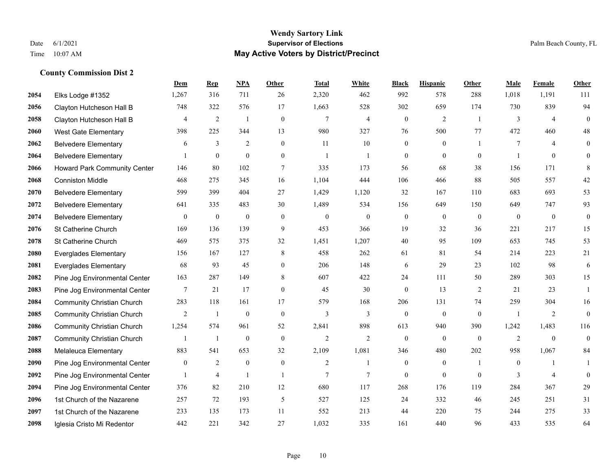|      |                                     | Dem            | <b>Rep</b>       | NPA              | <b>Other</b>   | <b>Total</b>   | <b>White</b>   | <b>Black</b>     | <b>Hispanic</b>  | Other          | <b>Male</b>    | Female         | <b>Other</b>     |
|------|-------------------------------------|----------------|------------------|------------------|----------------|----------------|----------------|------------------|------------------|----------------|----------------|----------------|------------------|
| 2054 | Elks Lodge #1352                    | 1,267          | 316              | 711              | 26             | 2,320          | 462            | 992              | 578              | 288            | 1,018          | 1,191          | 111              |
| 2056 | Clayton Hutcheson Hall B            | 748            | 322              | 576              | 17             | 1,663          | 528            | 302              | 659              | 174            | 730            | 839            | 94               |
| 2058 | Clayton Hutcheson Hall B            | 4              | $\overline{c}$   | 1                | $\mathbf{0}$   | $\overline{7}$ | 4              | $\boldsymbol{0}$ | 2                | -1             | 3              | $\overline{4}$ | $\mathbf{0}$     |
| 2060 | <b>West Gate Elementary</b>         | 398            | 225              | 344              | 13             | 980            | 327            | 76               | 500              | 77             | 472            | 460            | 48               |
| 2062 | <b>Belvedere Elementary</b>         | 6              | 3                | 2                | $\overline{0}$ | 11             | 10             | $\boldsymbol{0}$ | $\mathbf{0}$     | $\overline{1}$ | 7              | $\overline{4}$ | $\boldsymbol{0}$ |
| 2064 | <b>Belvedere Elementary</b>         |                | $\mathbf{0}$     | $\mathbf{0}$     | $\overline{0}$ | $\overline{1}$ | $\overline{1}$ | $\mathbf{0}$     | $\mathbf{0}$     | $\theta$       |                | $\overline{0}$ | $\theta$         |
| 2066 | <b>Howard Park Community Center</b> | 146            | 80               | 102              | $\overline{7}$ | 335            | 173            | 56               | 68               | 38             | 156            | 171            | 8                |
| 2068 | <b>Conniston Middle</b>             | 468            | 275              | 345              | 16             | 1,104          | 444            | 106              | 466              | 88             | 505            | 557            | $42\,$           |
| 2070 | <b>Belvedere Elementary</b>         | 599            | 399              | 404              | 27             | 1,429          | 1,120          | 32               | 167              | 110            | 683            | 693            | 53               |
| 2072 | <b>Belvedere Elementary</b>         | 641            | 335              | 483              | 30             | 1,489          | 534            | 156              | 649              | 150            | 649            | 747            | 93               |
| 2074 | <b>Belvedere Elementary</b>         | $\mathbf{0}$   | $\boldsymbol{0}$ | $\mathbf{0}$     | $\theta$       | $\mathbf{0}$   | $\overline{0}$ | $\boldsymbol{0}$ | $\mathbf{0}$     | $\theta$       | $\mathbf{0}$   | $\mathbf{0}$   | $\mathbf{0}$     |
| 2076 | St Catherine Church                 | 169            | 136              | 139              | 9              | 453            | 366            | 19               | 32               | 36             | 221            | 217            | 15               |
| 2078 | St Catherine Church                 | 469            | 575              | 375              | 32             | 1,451          | 1,207          | 40               | 95               | 109            | 653            | 745            | 53               |
| 2080 | <b>Everglades Elementary</b>        | 156            | 167              | 127              | $\,8\,$        | 458            | 262            | 61               | 81               | 54             | 214            | 223            | 21               |
| 2081 | <b>Everglades Elementary</b>        | 68             | 93               | 45               | $\overline{0}$ | 206            | 148            | 6                | 29               | 23             | 102            | 98             | 6                |
| 2082 | Pine Jog Environmental Center       | 163            | 287              | 149              | 8              | 607            | 422            | 24               | 111              | 50             | 289            | 303            | 15               |
| 2083 | Pine Jog Environmental Center       | $\tau$         | 21               | 17               | $\overline{0}$ | 45             | 30             | $\mathbf{0}$     | 13               | 2              | 21             | 23             | 1                |
| 2084 | <b>Community Christian Church</b>   | 283            | 118              | 161              | 17             | 579            | 168            | 206              | 131              | 74             | 259            | 304            | 16               |
| 2085 | <b>Community Christian Church</b>   | $\overline{c}$ | $\mathbf{1}$     | $\boldsymbol{0}$ | $\mathbf{0}$   | 3              | 3              | $\boldsymbol{0}$ | $\boldsymbol{0}$ | $\mathbf{0}$   | $\overline{1}$ | $\overline{2}$ | $\mathbf{0}$     |
| 2086 | <b>Community Christian Church</b>   | 1,254          | 574              | 961              | 52             | 2,841          | 898            | 613              | 940              | 390            | 1,242          | 1,483          | 116              |
| 2087 | <b>Community Christian Church</b>   |                | $\mathbf{1}$     | $\mathbf{0}$     | $\theta$       | $\overline{2}$ | $\overline{2}$ | $\theta$         | $\theta$         | $\theta$       | 2              | $\theta$       | $\mathbf{0}$     |
| 2088 | Melaleuca Elementary                | 883            | 541              | 653              | 32             | 2,109          | 1,081          | 346              | 480              | 202            | 958            | 1,067          | 84               |
| 2090 | Pine Jog Environmental Center       | $\mathbf{0}$   | 2                | $\mathbf{0}$     | $\overline{0}$ | $\overline{2}$ | $\mathbf{1}$   | $\mathbf{0}$     | $\mathbf{0}$     | $\overline{1}$ | $\theta$       |                | 1                |
| 2092 | Pine Jog Environmental Center       | 1              | $\overline{4}$   | -1               | -1             | 7              | 7              | $\mathbf{0}$     | $\mathbf{0}$     | $\mathbf{0}$   | 3              | $\overline{4}$ | $\mathbf{0}$     |
| 2094 | Pine Jog Environmental Center       | 376            | 82               | 210              | 12             | 680            | 117            | 268              | 176              | 119            | 284            | 367            | 29               |
| 2096 | 1st Church of the Nazarene          | 257            | 72               | 193              | 5              | 527            | 125            | 24               | 332              | 46             | 245            | 251            | 31               |
| 2097 | 1st Church of the Nazarene          | 233            | 135              | 173              | 11             | 552            | 213            | 44               | 220              | 75             | 244            | 275            | 33               |
| 2098 | Iglesia Cristo Mi Redentor          | 442            | 221              | 342              | 27             | 1,032          | 335            | 161              | 440              | 96             | 433            | 535            | 64               |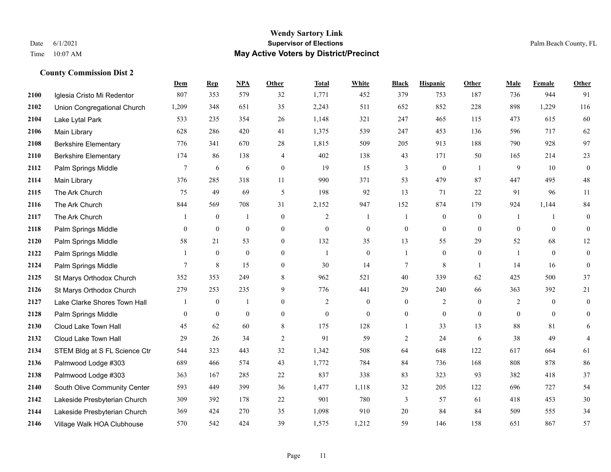|      |                               | <b>Dem</b>     | <b>Rep</b>       | NPA              | <b>Other</b>     | <b>Total</b>   | <b>White</b>     | <b>Black</b>     | <b>Hispanic</b>  | <b>Other</b>     | <b>Male</b>    | <b>Female</b>    | <b>Other</b>     |
|------|-------------------------------|----------------|------------------|------------------|------------------|----------------|------------------|------------------|------------------|------------------|----------------|------------------|------------------|
| 2100 | Iglesia Cristo Mi Redentor    | 807            | 353              | 579              | 32               | 1,771          | 452              | 379              | 753              | 187              | 736            | 944              | 91               |
| 2102 | Union Congregational Church   | 1,209          | 348              | 651              | 35               | 2,243          | 511              | 652              | 852              | 228              | 898            | 1,229            | 116              |
| 2104 | Lake Lytal Park               | 533            | 235              | 354              | 26               | 1,148          | 321              | 247              | 465              | 115              | 473            | 615              | 60               |
| 2106 | Main Library                  | 628            | 286              | 420              | 41               | 1,375          | 539              | 247              | 453              | 136              | 596            | 717              | 62               |
| 2108 | <b>Berkshire Elementary</b>   | 776            | 341              | 670              | 28               | 1,815          | 509              | 205              | 913              | 188              | 790            | 928              | 97               |
| 2110 | <b>Berkshire Elementary</b>   | 174            | 86               | 138              | 4                | 402            | 138              | 43               | 171              | 50               | 165            | 214              | 23               |
| 2112 | Palm Springs Middle           | $\tau$         | 6                | 6                | $\boldsymbol{0}$ | 19             | 15               | 3                | $\boldsymbol{0}$ | -1               | 9              | 10               | $\boldsymbol{0}$ |
| 2114 | Main Library                  | 376            | 285              | 318              | 11               | 990            | 371              | 53               | 479              | 87               | 447            | 495              | $48\,$           |
| 2115 | The Ark Church                | 75             | 49               | 69               | 5                | 198            | 92               | 13               | 71               | 22               | 91             | 96               | 11               |
| 2116 | The Ark Church                | 844            | 569              | 708              | 31               | 2,152          | 947              | 152              | 874              | 179              | 924            | 1,144            | 84               |
| 2117 | The Ark Church                | -1             | $\mathbf{0}$     | $\overline{1}$   | $\mathbf{0}$     | 2              | $\mathbf{1}$     | 1                | $\mathbf{0}$     | $\theta$         | -1             | -1               | $\mathbf{0}$     |
| 2118 | Palm Springs Middle           | $\overline{0}$ | $\boldsymbol{0}$ | $\boldsymbol{0}$ | $\overline{0}$   | $\theta$       | $\overline{0}$   | $\boldsymbol{0}$ | $\mathbf{0}$     | $\overline{0}$   | $\mathbf{0}$   | $\overline{0}$   | $\mathbf{0}$     |
| 2120 | Palm Springs Middle           | 58             | 21               | 53               | $\overline{0}$   | 132            | 35               | 13               | 55               | 29               | 52             | 68               | 12               |
| 2122 | Palm Springs Middle           | 1              | $\boldsymbol{0}$ | $\boldsymbol{0}$ | $\mathbf{0}$     | -1             | $\boldsymbol{0}$ | 1                | $\boldsymbol{0}$ | $\boldsymbol{0}$ |                | $\boldsymbol{0}$ | $\boldsymbol{0}$ |
| 2124 | Palm Springs Middle           | 7              | 8                | 15               | $\overline{0}$   | 30             | 14               | 7                | 8                | -1               | 14             | 16               | $\boldsymbol{0}$ |
| 2125 | St Marys Orthodox Church      | 352            | 353              | 249              | 8                | 962            | 521              | 40               | 339              | 62               | 425            | 500              | 37               |
| 2126 | St Marys Orthodox Church      | 279            | 253              | 235              | 9                | 776            | 441              | 29               | 240              | 66               | 363            | 392              | 21               |
| 2127 | Lake Clarke Shores Town Hall  |                | $\mathbf{0}$     | $\mathbf{1}$     | $\overline{0}$   | $\overline{2}$ | $\overline{0}$   | $\boldsymbol{0}$ | $\overline{2}$   | $\theta$         | $\overline{2}$ | $\theta$         | $\boldsymbol{0}$ |
| 2128 | Palm Springs Middle           | $\overline{0}$ | $\mathbf{0}$     | $\mathbf{0}$     | $\overline{0}$   | $\overline{0}$ | $\overline{0}$   | $\overline{0}$   | $\mathbf{0}$     | $\theta$         | $\mathbf{0}$   | $\mathbf{0}$     | $\mathbf{0}$     |
| 2130 | Cloud Lake Town Hall          | 45             | 62               | 60               | 8                | 175            | 128              | $\mathbf{1}$     | 33               | 13               | 88             | 81               | 6                |
| 2132 | Cloud Lake Town Hall          | 29             | 26               | 34               | $\overline{2}$   | 91             | 59               | $\overline{c}$   | 24               | 6                | 38             | 49               | $\overline{4}$   |
| 2134 | STEM Bldg at S FL Science Ctr | 544            | 323              | 443              | 32               | 1,342          | 508              | 64               | 648              | 122              | 617            | 664              | 61               |
| 2136 | Palmwood Lodge #303           | 689            | 466              | 574              | 43               | 1,772          | 784              | 84               | 736              | 168              | 808            | 878              | 86               |
| 2138 | Palmwood Lodge #303           | 363            | 167              | 285              | 22               | 837            | 338              | 83               | 323              | 93               | 382            | 418              | 37               |
| 2140 | South Olive Community Center  | 593            | 449              | 399              | 36               | 1,477          | 1,118            | 32               | 205              | 122              | 696            | 727              | 54               |
| 2142 | Lakeside Presbyterian Church  | 309            | 392              | 178              | 22               | 901            | 780              | 3                | 57               | 61               | 418            | 453              | $30\,$           |
| 2144 | Lakeside Presbyterian Church  | 369            | 424              | 270              | 35               | 1,098          | 910              | 20               | 84               | 84               | 509            | 555              | 34               |
| 2146 | Village Walk HOA Clubhouse    | 570            | 542              | 424              | 39               | 1,575          | 1,212            | 59               | 146              | 158              | 651            | 867              | 57               |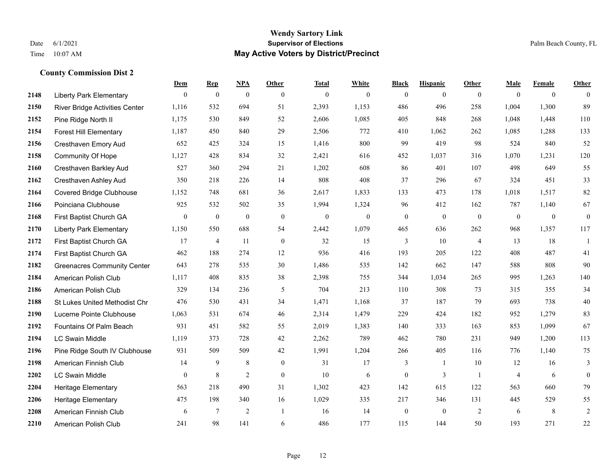#### **Wendy Sartory Link** Date 6/1/2021 **Supervisor of Elections** Palm Beach County, FL Time 10:07 AM **May Active Voters by District/Precinct**

# **Dem Rep NPA Other Total White Black Hispanic Other Male Female Other** Liberty Park Elementary 0 0 0 0 0 0 0 0 0 0 0 0 River Bridge Activities Center 1,116 532 694 51 2,393 1,153 486 496 258 1,004 1,300 89 Pine Ridge North II 1,175 530 849 52 2,606 1,085 405 848 268 1,048 1,448 110 Forest Hill Elementary 1,187 450 840 29 2,506 772 410 1,062 262 1,085 1,288 133 Cresthaven Emory Aud 652 425 324 15 1,416 800 99 419 98 524 840 52 Community Of Hope 1,127 428 834 32 2,421 616 452 1,037 316 1,070 1,231 120 Cresthaven Barkley Aud 527 360 294 21 1,202 608 86 401 107 498 649 55 Cresthaven Ashley Aud 350 218 226 14 808 408 37 296 67 324 451 33 Covered Bridge Clubhouse 1,152 748 681 36 2,617 1,833 133 473 178 1,018 1,517 82 Poinciana Clubhouse 925 532 502 35 1,994 1,324 96 412 162 787 1,140 67 First Baptist Church GA 0 0 0 0 0 0 0 0 0 0 0 0 Liberty Park Elementary 1,150 550 688 54 2,442 1,079 465 636 262 968 1,357 117 First Baptist Church GA 17 4 11 0 32 15 3 10 4 13 18 1 First Baptist Church GA 462 188 274 12 936 416 193 205 122 408 487 41 Greenacres Community Center 643 278 535 30 1,486 535 142 662 147 588 808 90 American Polish Club 1,117 408 835 38 2,398 755 344 1,034 265 995 1,263 140 American Polish Club 329 134 236 5 704 213 110 308 73 315 355 34 St Lukes United Methodist Chr 476 530 431 34 1,471 1,168 37 187 79 693 738 40 Lucerne Pointe Clubhouse 1,063 531 674 46 2,314 1,479 229 424 182 952 1,279 83 Fountains Of Palm Beach 931 451 582 55 2,019 1,383 140 333 163 853 1,099 67 LC Swain Middle 1,119 373 728 42 2,262 789 462 780 231 949 1,200 113 Pine Ridge South IV Clubhouse 931 509 509 42 1,991 1,204 266 405 116 776 1,140 75 American Finnish Club 14 9 8 0 31 17 3 1 10 12 16 3 LC Swain Middle 0 8 2 0 10 6 0 3 1 4 6 0 Heritage Elementary 563 218 490 31 1,302 423 142 615 122 563 660 79 Heritage Elementary 475 198 340 16 1,029 335 217 346 131 445 529 55 American Finnish Club 6 7 2 1 16 14 0 0 2 6 8 2 American Polish Club 241 98 141 6 486 177 115 144 50 193 271 22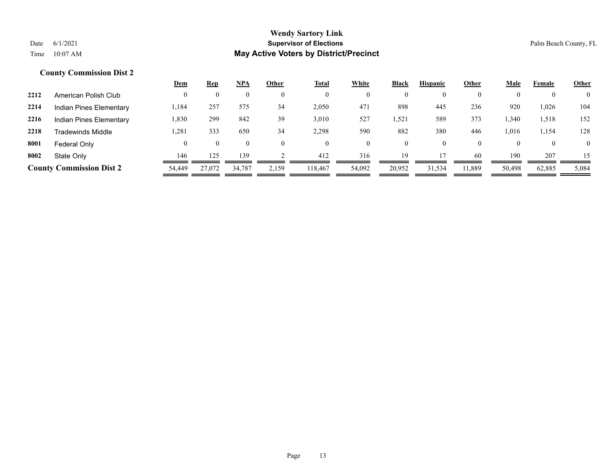|      |                                 | <u>Dem</u> | <b>Rep</b> | NPA      | Other | <b>Total</b> | White  | Black          | <b>Hispanic</b> | Other    | Male   | Female | <b>Other</b>   |
|------|---------------------------------|------------|------------|----------|-------|--------------|--------|----------------|-----------------|----------|--------|--------|----------------|
| 2212 | American Polish Club            |            |            | O        |       | $\mathbf{0}$ |        | $\mathbf{0}$   | $\mathbf{0}$    | $\Omega$ |        |        | $\overline{0}$ |
| 2214 | Indian Pines Elementary         | 1,184      | 257        | 575      | 34    | 2,050        | 471    | 898            | 445             | 236      | 920    | 1,026  | 104            |
| 2216 | Indian Pines Elementary         | 1,830      | 299        | 842      | 39    | 3,010        | 527    | 1,521          | 589             | 373      | 340    | 1,518  | 152            |
| 2218 | Tradewinds Middle               | 1,281      | 333        | 650      | 34    | 2,298        | 590    | 882            | 380             | 446      | 0.016  | 1,154  | 128            |
| 8001 | Federal Only                    |            | 0          | $\bf{0}$ |       | $\theta$     |        | $\overline{0}$ | $\theta$        | $\Omega$ |        |        | $\overline{0}$ |
| 8002 | State Only                      | 146        | 125        | 139      |       | 412          | 316    | 19             |                 | 60       | 190    | 207    | 15             |
|      | <b>County Commission Dist 2</b> | 54,449     | 27,072     | 34,787   | 2,159 | 118,467      | 54,092 | 20,952         | 31.534          | 1,889ء   | 50,498 | 62,885 | 5,084          |
|      |                                 |            |            |          |       |              |        |                |                 |          |        |        |                |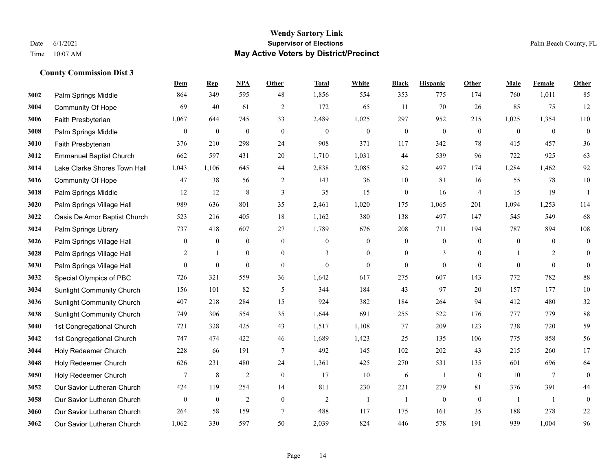## **Wendy Sartory Link** Date 6/1/2021 **Supervisor of Elections** Palm Beach County, FL Time 10:07 AM **May Active Voters by District/Precinct**

|      |                                  | Dem            | <b>Rep</b>       | NPA              | Other            | <b>Total</b>     | White            | <b>Black</b>     | <b>Hispanic</b>  | <b>Other</b>     | Male         | Female       | <b>Other</b>     |
|------|----------------------------------|----------------|------------------|------------------|------------------|------------------|------------------|------------------|------------------|------------------|--------------|--------------|------------------|
| 3002 | Palm Springs Middle              | 864            | 349              | 595              | 48               | 1,856            | 554              | 353              | 775              | 174              | 760          | 1,011        | 85               |
| 3004 | Community Of Hope                | 69             | 40               | 61               | $\overline{2}$   | 172              | 65               | 11               | 70               | 26               | 85           | 75           | $12\,$           |
| 3006 | Faith Presbyterian               | 1,067          | 644              | 745              | 33               | 2,489            | 1,025            | 297              | 952              | 215              | 1,025        | 1,354        | 110              |
| 3008 | Palm Springs Middle              | $\mathbf{0}$   | $\mathbf{0}$     | $\mathbf{0}$     | $\theta$         | $\mathbf{0}$     | $\boldsymbol{0}$ | $\boldsymbol{0}$ | $\mathbf{0}$     | $\theta$         | $\mathbf{0}$ | $\theta$     | $\boldsymbol{0}$ |
| 3010 | Faith Presbyterian               | 376            | 210              | 298              | 24               | 908              | 371              | 117              | 342              | $78\,$           | 415          | 457          | $36\,$           |
| 3012 | <b>Emmanuel Baptist Church</b>   | 662            | 597              | 431              | 20               | 1,710            | 1,031            | 44               | 539              | 96               | 722          | 925          | 63               |
| 3014 | Lake Clarke Shores Town Hall     | 1,043          | 1,106            | 645              | 44               | 2,838            | 2,085            | 82               | 497              | 174              | 1,284        | 1,462        | 92               |
| 3016 | Community Of Hope                | 47             | 38               | 56               | $\overline{2}$   | 143              | 36               | 10               | 81               | 16               | 55           | 78           | $10\,$           |
| 3018 | Palm Springs Middle              | 12             | 12               | $\,$ 8 $\,$      | 3                | 35               | 15               | $\boldsymbol{0}$ | 16               | $\overline{4}$   | 15           | 19           | $\mathbf{1}$     |
| 3020 | Palm Springs Village Hall        | 989            | 636              | 801              | 35               | 2,461            | 1,020            | 175              | 1,065            | 201              | 1,094        | 1,253        | 114              |
| 3022 | Oasis De Amor Baptist Church     | 523            | 216              | 405              | $18\,$           | 1,162            | 380              | 138              | 497              | 147              | 545          | 549          | 68               |
| 3024 | Palm Springs Library             | 737            | 418              | 607              | 27               | 1,789            | 676              | 208              | 711              | 194              | 787          | 894          | 108              |
| 3026 | Palm Springs Village Hall        | $\mathbf{0}$   | $\mathbf{0}$     | $\boldsymbol{0}$ | $\boldsymbol{0}$ | $\boldsymbol{0}$ | $\boldsymbol{0}$ | $\boldsymbol{0}$ | $\boldsymbol{0}$ | $\boldsymbol{0}$ | $\mathbf{0}$ | $\mathbf{0}$ | $\boldsymbol{0}$ |
| 3028 | Palm Springs Village Hall        | 2              | $\mathbf{1}$     | $\overline{0}$   | $\mathbf{0}$     | 3                | $\overline{0}$   | $\boldsymbol{0}$ | 3                | $\overline{0}$   | $\mathbf{1}$ | 2            | $\mathbf{0}$     |
| 3030 | Palm Springs Village Hall        | $\mathbf{0}$   | $\mathbf{0}$     | $\mathbf{0}$     | $\boldsymbol{0}$ | $\boldsymbol{0}$ | $\overline{0}$   | $\boldsymbol{0}$ | $\mathbf{0}$     | $\overline{0}$   | $\theta$     | $\mathbf{0}$ | $\theta$         |
| 3032 | Special Olympics of PBC          | 726            | 321              | 559              | 36               | 1,642            | 617              | 275              | 607              | 143              | 772          | 782          | 88               |
| 3034 | <b>Sunlight Community Church</b> | 156            | 101              | 82               | 5                | 344              | 184              | 43               | 97               | 20               | 157          | 177          | $10\,$           |
| 3036 | <b>Sunlight Community Church</b> | 407            | 218              | 284              | 15               | 924              | 382              | 184              | 264              | 94               | 412          | 480          | 32               |
| 3038 | <b>Sunlight Community Church</b> | 749            | 306              | 554              | 35               | 1,644            | 691              | 255              | 522              | 176              | 777          | 779          | 88               |
| 3040 | 1st Congregational Church        | 721            | 328              | 425              | 43               | 1,517            | 1,108            | 77               | 209              | 123              | 738          | 720          | 59               |
| 3042 | 1st Congregational Church        | 747            | 474              | 422              | 46               | 1,689            | 1,423            | 25               | 135              | 106              | 775          | 858          | 56               |
| 3044 | Holy Redeemer Church             | 228            | 66               | 191              | $\tau$           | 492              | 145              | 102              | 202              | 43               | 215          | 260          | 17               |
| 3048 | Holy Redeemer Church             | 626            | 231              | 480              | 24               | 1,361            | 425              | 270              | 531              | 135              | 601          | 696          | 64               |
| 3050 | Holy Redeemer Church             | 7              | 8                | $\overline{c}$   | $\mathbf{0}$     | 17               | 10               | 6                | -1               | $\mathbf{0}$     | 10           | 7            | $\mathbf{0}$     |
| 3052 | Our Savior Lutheran Church       | 424            | 119              | 254              | 14               | 811              | 230              | 221              | 279              | 81               | 376          | 391          | 44               |
| 3058 | Our Savior Lutheran Church       | $\overline{0}$ | $\boldsymbol{0}$ | $\overline{c}$   | $\mathbf{0}$     | $\overline{2}$   | -1               | $\overline{1}$   | $\theta$         | $\boldsymbol{0}$ | -1           | -1           | $\boldsymbol{0}$ |
| 3060 | Our Savior Lutheran Church       | 264            | 58               | 159              | $\tau$           | 488              | 117              | 175              | 161              | 35               | 188          | 278          | $22\,$           |
| 3062 | Our Savior Lutheran Church       | 1,062          | 330              | 597              | 50               | 2.039            | 824              | 446              | 578              | 191              | 939          | 1.004        | 96               |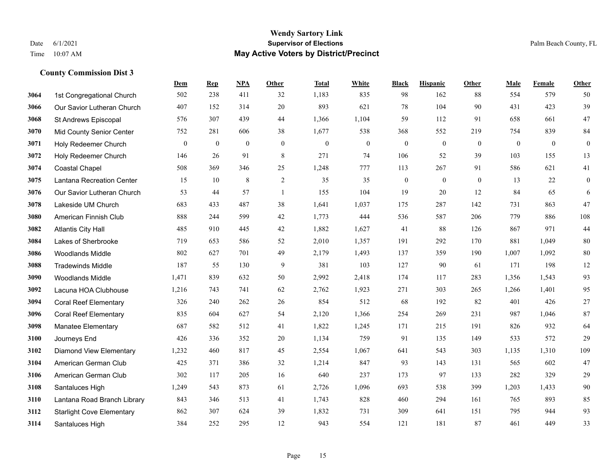|      |                                  | Dem          | <b>Rep</b>     | NPA          | <b>Other</b> | <b>Total</b> | <b>White</b>   | <b>Black</b>   | <b>Hispanic</b> | <b>Other</b> | <b>Male</b> | <b>Female</b>  | Other            |
|------|----------------------------------|--------------|----------------|--------------|--------------|--------------|----------------|----------------|-----------------|--------------|-------------|----------------|------------------|
| 3064 | 1st Congregational Church        | 502          | 238            | 411          | 32           | 1,183        | 835            | 98             | 162             | 88           | 554         | 579            | 50               |
| 3066 | Our Savior Lutheran Church       | 407          | 152            | 314          | 20           | 893          | 621            | 78             | 104             | 90           | 431         | 423            | 39               |
| 3068 | St Andrews Episcopal             | 576          | 307            | 439          | 44           | 1,366        | 1,104          | 59             | 112             | 91           | 658         | 661            | 47               |
| 3070 | <b>Mid County Senior Center</b>  | 752          | 281            | 606          | 38           | 1,677        | 538            | 368            | 552             | 219          | 754         | 839            | 84               |
| 3071 | Holy Redeemer Church             | $\mathbf{0}$ | $\overline{0}$ | $\mathbf{0}$ | $\theta$     | $\theta$     | $\overline{0}$ | $\mathbf{0}$   | $\mathbf{0}$    | $\theta$     | $\theta$    | $\overline{0}$ | $\boldsymbol{0}$ |
| 3072 | Holy Redeemer Church             | 146          | 26             | 91           | 8            | 271          | 74             | 106            | 52              | 39           | 103         | 155            | 13               |
| 3074 | <b>Coastal Chapel</b>            | 508          | 369            | 346          | 25           | 1,248        | 777            | 113            | 267             | 91           | 586         | 621            | 41               |
| 3075 | Lantana Recreation Center        | 15           | 10             | 8            | 2            | 35           | 35             | $\overline{0}$ | $\mathbf{0}$    | $\Omega$     | 13          | 22             | $\overline{0}$   |
| 3076 | Our Savior Lutheran Church       | 53           | 44             | 57           | -1           | 155          | 104            | 19             | 20              | 12           | 84          | 65             | 6                |
| 3078 | Lakeside UM Church               | 683          | 433            | 487          | 38           | 1,641        | 1,037          | 175            | 287             | 142          | 731         | 863            | 47               |
| 3080 | American Finnish Club            | 888          | 244            | 599          | 42           | 1,773        | 444            | 536            | 587             | 206          | 779         | 886            | 108              |
| 3082 | <b>Atlantis City Hall</b>        | 485          | 910            | 445          | 42           | 1,882        | 1,627          | 41             | 88              | 126          | 867         | 971            | 44               |
| 3084 | Lakes of Sherbrooke              | 719          | 653            | 586          | 52           | 2,010        | 1,357          | 191            | 292             | 170          | 881         | 1,049          | 80               |
| 3086 | Woodlands Middle                 | 802          | 627            | 701          | 49           | 2,179        | 1,493          | 137            | 359             | 190          | 1,007       | 1,092          | $80\,$           |
| 3088 | <b>Tradewinds Middle</b>         | 187          | 55             | 130          | 9            | 381          | 103            | 127            | 90              | 61           | 171         | 198            | 12               |
| 3090 | <b>Woodlands Middle</b>          | 1,471        | 839            | 632          | 50           | 2,992        | 2,418          | 174            | 117             | 283          | 1,356       | 1,543          | 93               |
| 3092 | Lacuna HOA Clubhouse             | 1,216        | 743            | 741          | 62           | 2,762        | 1,923          | 271            | 303             | 265          | 1,266       | 1,401          | 95               |
| 3094 | <b>Coral Reef Elementary</b>     | 326          | 240            | 262          | 26           | 854          | 512            | 68             | 192             | 82           | 401         | 426            | $27\,$           |
| 3096 | <b>Coral Reef Elementary</b>     | 835          | 604            | 627          | 54           | 2,120        | 1,366          | 254            | 269             | 231          | 987         | 1,046          | 87               |
| 3098 | <b>Manatee Elementary</b>        | 687          | 582            | 512          | 41           | 1,822        | 1,245          | 171            | 215             | 191          | 826         | 932            | 64               |
| 3100 | Journeys End                     | 426          | 336            | 352          | 20           | 1,134        | 759            | 91             | 135             | 149          | 533         | 572            | 29               |
| 3102 | <b>Diamond View Elementary</b>   | 1,232        | 460            | 817          | 45           | 2,554        | 1,067          | 641            | 543             | 303          | 1,135       | 1,310          | 109              |
| 3104 | American German Club             | 425          | 371            | 386          | 32           | 1,214        | 847            | 93             | 143             | 131          | 565         | 602            | $47\,$           |
| 3106 | American German Club             | 302          | 117            | 205          | 16           | 640          | 237            | 173            | 97              | 133          | 282         | 329            | 29               |
| 3108 | Santaluces High                  | 1,249        | 543            | 873          | 61           | 2,726        | 1,096          | 693            | 538             | 399          | 1,203       | 1.433          | 90               |
| 3110 | Lantana Road Branch Library      | 843          | 346            | 513          | 41           | 1,743        | 828            | 460            | 294             | 161          | 765         | 893            | 85               |
| 3112 | <b>Starlight Cove Elementary</b> | 862          | 307            | 624          | 39           | 1,832        | 731            | 309            | 641             | 151          | 795         | 944            | 93               |
| 3114 | Santaluces High                  | 384          | 252            | 295          | 12           | 943          | 554            | 121            | 181             | 87           | 461         | 449            | 33               |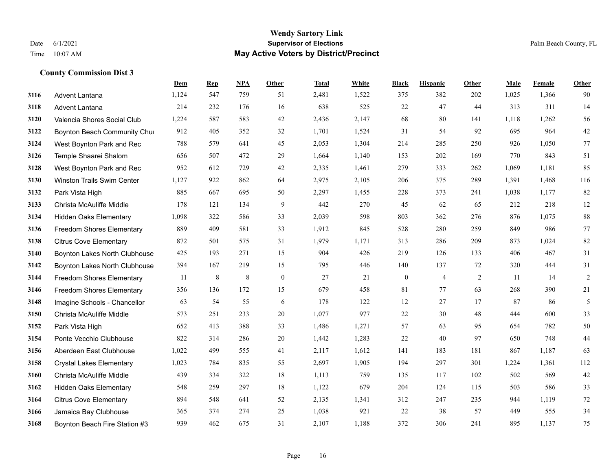#### **Wendy Sartory Link** Date 6/1/2021 **Supervisor of Elections** Palm Beach County, FL Time 10:07 AM **May Active Voters by District/Precinct**

# **Dem Rep NPA Other Total White Black Hispanic Other Male Female Other** Advent Lantana 1,124 547 759 51 2,481 1,522 375 382 202 1,025 1,366 90 Advent Lantana 214 232 176 16 638 525 22 47 44 313 311 14 Valencia Shores Social Club 1,224 587 583 42 2,436 2,147 68 80 141 1,118 1,262 56 **3122 Boynton Beach Community Chu**rch 912 405 352 32 1,701 1,524 31 54 92 695 964 42 West Boynton Park and Rec 788 579 641 45 2,053 1,304 214 285 250 926 1,050 77 Temple Shaarei Shalom 656 507 472 29 1,664 1,140 153 202 169 770 843 51 West Boynton Park and Rec 952 612 729 42 2,335 1,461 279 333 262 1,069 1,181 85 Winston Trails Swim Center 1,127 922 862 64 2,975 2,105 206 375 289 1,391 1,468 116 Park Vista High 885 667 695 50 2,297 1,455 228 373 241 1,038 1,177 82 Christa McAuliffe Middle 178 121 134 9 442 270 45 62 65 212 218 12 Hidden Oaks Elementary 1,098 322 586 33 2,039 598 803 362 276 876 1,075 88 Freedom Shores Elementary 889 409 581 33 1,912 845 528 280 259 849 986 77 Citrus Cove Elementary 872 501 575 31 1,979 1,171 313 286 209 873 1,024 82 Boynton Lakes North Clubhouse 425 193 271 15 904 426 219 126 133 406 467 31 Boynton Lakes North Clubhouse 394 167 219 15 795 446 140 137 72 320 444 31 Freedom Shores Elementary 11 8 8 0 27 21 0 4 2 11 14 2 Freedom Shores Elementary 356 136 172 15 679 458 81 77 63 268 390 21 Imagine Schools - Chancellor 63 54 55 6 178 122 12 27 17 87 86 5 Christa McAuliffe Middle 573 251 233 20 1,077 977 22 30 48 444 600 33 Park Vista High 652 413 388 33 1,486 1,271 57 63 95 654 782 50 Ponte Vecchio Clubhouse 822 314 286 20 1,442 1,283 22 40 97 650 748 44 Aberdeen East Clubhouse 1,022 499 555 41 2,117 1,612 141 183 181 867 1,187 63 Crystal Lakes Elementary 1,023 784 835 55 2,697 1,905 194 297 301 1,224 1,361 112 Christa McAuliffe Middle 439 334 322 18 1,113 759 135 117 102 502 569 42 Hidden Oaks Elementary 548 259 297 18 1,122 679 204 124 115 503 586 33 Citrus Cove Elementary 894 548 641 52 2,135 1,341 312 247 235 944 1,119 72 Jamaica Bay Clubhouse 365 374 274 25 1,038 921 22 38 57 449 555 34 Boynton Beach Fire Station #3 939 462 675 31 2,107 1,188 372 306 241 895 1,137 75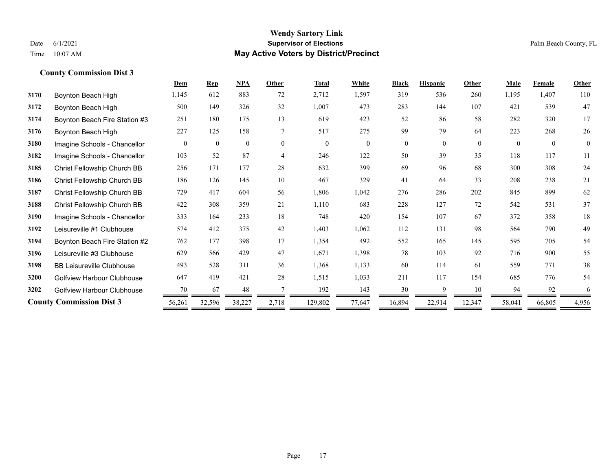|                                   | Dem      | <b>Rep</b>   | NPA          | Other          | <b>Total</b> | White          | <b>Black</b>   | <b>Hispanic</b> | Other    | <b>Male</b> | <b>Female</b> | <b>Other</b>   |
|-----------------------------------|----------|--------------|--------------|----------------|--------------|----------------|----------------|-----------------|----------|-------------|---------------|----------------|
| Boynton Beach High                | 1,145    | 612          | 883          | 72             | 2,712        | 1,597          | 319            | 536             | 260      | 1,195       | 1.407         | 110            |
| Boynton Beach High                | 500      | 149          | 326          | 32             | 1,007        | 473            | 283            | 144             | 107      | 421         | 539           | 47             |
| Boynton Beach Fire Station #3     | 251      | 180          | 175          | 13             | 619          | 423            | 52             | 86              | 58       | 282         | 320           | 17             |
| Boynton Beach High                | 227      | 125          | 158          | $\tau$         | 517          | 275            | 99             | 79              | 64       | 223         | 268           | 26             |
| Imagine Schools - Chancellor      | $\theta$ | $\mathbf{0}$ | $\mathbf{0}$ | $\theta$       | $\theta$     | $\overline{0}$ | $\overline{0}$ | $\overline{0}$  | $\theta$ | $\theta$    | $\theta$      | $\overline{0}$ |
| Imagine Schools - Chancellor      | 103      | 52           | 87           | $\overline{4}$ | 246          | 122            | 50             | 39              | 35       | 118         | 117           | 11             |
| Christ Fellowship Church BB       | 256      | 171          | 177          | 28             | 632          | 399            | 69             | 96              | 68       | 300         | 308           | 24             |
| Christ Fellowship Church BB       | 186      | 126          | 145          | 10             | 467          | 329            | 41             | 64              | 33       | 208         | 238           | 21             |
| Christ Fellowship Church BB       | 729      | 417          | 604          | 56             | 1,806        | 1,042          | 276            | 286             | 202      | 845         | 899           | 62             |
| Christ Fellowship Church BB       | 422      | 308          | 359          | 21             | 1,110        | 683            | 228            | 127             | 72       | 542         | 531           | 37             |
| Imagine Schools - Chancellor      | 333      | 164          | 233          | 18             | 748          | 420            | 154            | 107             | 67       | 372         | 358           | 18             |
| Leisureville #1 Clubhouse         | 574      | 412          | 375          | 42             | 1,403        | 1,062          | 112            | 131             | 98       | 564         | 790           | 49             |
| Boynton Beach Fire Station #2     | 762      | 177          | 398          | 17             | 1,354        | 492            | 552            | 165             | 145      | 595         | 705           | 54             |
| Leisureville #3 Clubhouse         | 629      | 566          | 429          | 47             | 1,671        | 1,398          | 78             | 103             | 92       | 716         | 900           | 55             |
| <b>BB Leisureville Clubhouse</b>  | 493      | 528          | 311          | 36             | 1,368        | 1,133          | 60             | 114             | 61       | 559         | 771           | 38             |
| Golfview Harbour Clubhouse        | 647      | 419          | 421          | 28             | 1,515        | 1,033          | 211            | 117             | 154      | 685         | 776           | 54             |
| <b>Golfview Harbour Clubhouse</b> | 70       | 67           | 48           |                | 192          | 143            | 30             | Q               | 10       | 94          | 92            | 6              |
| <b>County Commission Dist 3</b>   | 56,261   | 32,596       | 38,227       | 2,718          | 129,802      | 77,647         | 16,894         | 22,914          | 12,347   | 58,041      | 66,805        | 4,956          |
|                                   |          |              |              |                |              |                |                |                 |          |             |               |                |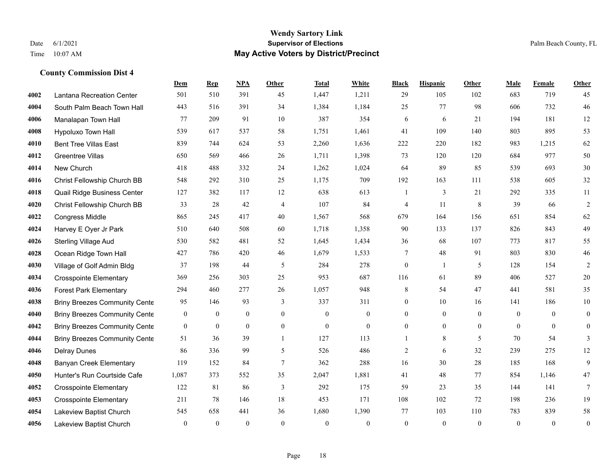## **Wendy Sartory Link** Date 6/1/2021 **Supervisor of Elections Supervisor of Elections** Palm Beach County, FL Time 10:07 AM **May Active Voters by District/Precinct**

|      |                                      | Dem            | <b>Rep</b>   | NPA          | Other           | <b>Total</b>     | White            | <b>Black</b>     | <b>Hispanic</b> | Other          | <b>Male</b>    | Female         | Other            |
|------|--------------------------------------|----------------|--------------|--------------|-----------------|------------------|------------------|------------------|-----------------|----------------|----------------|----------------|------------------|
| 4002 | Lantana Recreation Center            | 501            | 510          | 391          | 45              | 1,447            | 1,211            | 29               | 105             | 102            | 683            | 719            | 45               |
| 4004 | South Palm Beach Town Hall           | 443            | 516          | 391          | 34              | 1,384            | 1,184            | 25               | 77              | 98             | 606            | 732            | 46               |
| 4006 | Manalapan Town Hall                  | 77             | 209          | 91           | 10              | 387              | 354              | 6                | 6               | 21             | 194            | 181            | 12               |
| 4008 | Hypoluxo Town Hall                   | 539            | 617          | 537          | 58              | 1,751            | 1,461            | 41               | 109             | 140            | 803            | 895            | 53               |
| 4010 | <b>Bent Tree Villas East</b>         | 839            | 744          | 624          | 53              | 2,260            | 1,636            | 222              | 220             | 182            | 983            | 1,215          | 62               |
| 4012 | <b>Greentree Villas</b>              | 650            | 569          | 466          | 26              | 1,711            | 1,398            | 73               | 120             | 120            | 684            | 977            | 50               |
| 4014 | New Church                           | 418            | 488          | 332          | 24              | 1,262            | 1,024            | 64               | 89              | 85             | 539            | 693            | 30               |
| 4016 | Christ Fellowship Church BB          | 548            | 292          | 310          | 25              | 1,175            | 709              | 192              | 163             | 111            | 538            | 605            | 32               |
| 4018 | Quail Ridge Business Center          | 127            | 382          | 117          | 12              | 638              | 613              | 1                | 3               | 21             | 292            | 335            | 11               |
| 4020 | Christ Fellowship Church BB          | 33             | 28           | 42           | $\overline{4}$  | 107              | 84               | 4                | 11              | 8              | 39             | 66             | $\overline{2}$   |
| 4022 | Congress Middle                      | 865            | 245          | 417          | 40              | 1,567            | 568              | 679              | 164             | 156            | 651            | 854            | 62               |
| 4024 | Harvey E Oyer Jr Park                | 510            | 640          | 508          | 60              | 1,718            | 1,358            | 90               | 133             | 137            | 826            | 843            | 49               |
| 4026 | <b>Sterling Village Aud</b>          | 530            | 582          | 481          | 52              | 1,645            | 1,434            | 36               | 68              | 107            | 773            | 817            | 55               |
| 4028 | Ocean Ridge Town Hall                | 427            | 786          | 420          | 46              | 1,679            | 1,533            | 7                | $48\,$          | 91             | 803            | 830            | $46\,$           |
| 4030 | Village of Golf Admin Bldg           | 37             | 198          | 44           | 5               | 284              | 278              | $\boldsymbol{0}$ | -1              | 5              | 128            | 154            | $\overline{2}$   |
| 4034 | <b>Crosspointe Elementary</b>        | 369            | 256          | 303          | 25              | 953              | 687              | 116              | 61              | 89             | 406            | 527            | 20               |
| 4036 | <b>Forest Park Elementary</b>        | 294            | 460          | 277          | 26              | 1,057            | 948              | 8                | 54              | 47             | 441            | 581            | 35               |
| 4038 | <b>Briny Breezes Community Cente</b> | 95             | 146          | 93           | 3               | 337              | 311              | $\boldsymbol{0}$ | 10              | 16             | 141            | 186            | $10\,$           |
| 4040 | <b>Briny Breezes Community Cente</b> | $\overline{0}$ | 0            | 0            | $\overline{0}$  | $\mathbf{0}$     | $\boldsymbol{0}$ | $\overline{0}$   | $\mathbf{0}$    | $\overline{0}$ | $\mathbf{0}$   | $\overline{0}$ | $\boldsymbol{0}$ |
| 4042 | <b>Briny Breezes Community Cente</b> | $\mathbf{0}$   | 0            | $\mathbf{0}$ | $\mathbf{0}$    | $\boldsymbol{0}$ | $\overline{0}$   | $\overline{0}$   | $\mathbf{0}$    | $\overline{0}$ | $\overline{0}$ | $\overline{0}$ | $\mathbf{0}$     |
| 4044 | <b>Briny Breezes Community Cente</b> | 51             | 36           | 39           | $\overline{1}$  | 127              | 113              |                  | 8               | 5              | 70             | 54             | 3                |
| 4046 | <b>Delray Dunes</b>                  | 86             | 336          | 99           | 5               | 526              | 486              | $\overline{2}$   | 6               | 32             | 239            | 275            | 12               |
| 4048 | <b>Banyan Creek Elementary</b>       | 119            | 152          | 84           | $7\phantom{.0}$ | 362              | 288              | 16               | 30              | 28             | 185            | 168            | 9                |
| 4050 | Hunter's Run Courtside Cafe          | 1,087          | 373          | 552          | 35              | 2,047            | 1,881            | 41               | 48              | 77             | 854            | 1,146          | 47               |
| 4052 | <b>Crosspointe Elementary</b>        | 122            | 81           | 86           | 3               | 292              | 175              | 59               | 23              | 35             | 144            | 141            | 7                |
| 4053 | <b>Crosspointe Elementary</b>        | 211            | 78           | 146          | 18              | 453              | 171              | 108              | 102             | 72             | 198            | 236            | 19               |
| 4054 | Lakeview Baptist Church              | 545            | 658          | 441          | 36              | 1,680            | 1,390            | 77               | 103             | 110            | 783            | 839            | 58               |
| 4056 | Lakeview Baptist Church              | $\mathbf{0}$   | $\mathbf{0}$ | $\theta$     | $\theta$        | $\theta$         | $\theta$         | $\theta$         | $\theta$        | $\theta$       | $\theta$       | $\theta$       | $\boldsymbol{0}$ |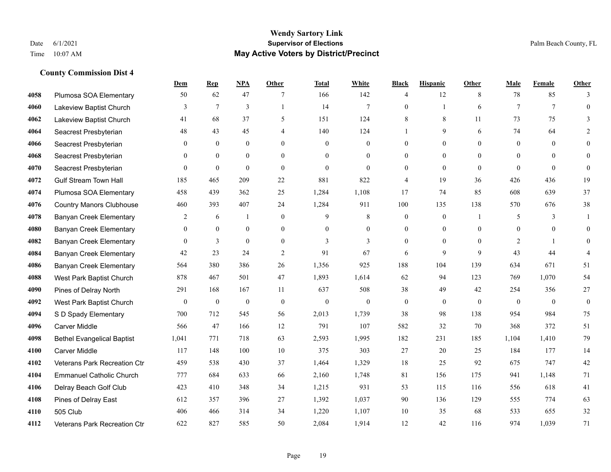|      |                                   | Dem            | <b>Rep</b>   | NPA              | <b>Other</b>   | <b>Total</b> | White          | <b>Black</b>     | <b>Hispanic</b> | <b>Other</b> | <b>Male</b>    | <b>Female</b> | <b>Other</b>             |
|------|-----------------------------------|----------------|--------------|------------------|----------------|--------------|----------------|------------------|-----------------|--------------|----------------|---------------|--------------------------|
| 4058 | Plumosa SOA Elementary            | 50             | 62           | 47               | 7              | 166          | 142            | $\overline{4}$   | 12              | 8            | 78             | 85            | 3                        |
| 4060 | Lakeview Baptist Church           | 3              | $\tau$       | 3                | $\mathbf{1}$   | 14           | $\overline{7}$ | $\mathbf{0}$     | $\mathbf{1}$    | 6            | $\tau$         | $\tau$        | $\theta$                 |
| 4062 | Lakeview Baptist Church           | 41             | 68           | 37               | 5              | 151          | 124            | 8                | 8               | 11           | 73             | 75            | 3                        |
| 4064 | Seacrest Presbyterian             | 48             | 43           | 45               | 4              | 140          | 124            |                  | 9               | 6            | 74             | 64            | $\mathfrak{D}$           |
| 4066 | Seacrest Presbyterian             | $\theta$       | $\theta$     | $\theta$         | $\theta$       | $\Omega$     | $\mathbf{0}$   | $\theta$         | $\theta$        | $\Omega$     | $\theta$       | $\Omega$      | $\theta$                 |
| 4068 | Seacrest Presbyterian             | $\overline{0}$ | $\mathbf{0}$ | $\mathbf{0}$     | $\overline{0}$ | $\theta$     | $\mathbf{0}$   | $\theta$         | $\mathbf{0}$    | $\theta$     | $\overline{0}$ | $\theta$      | $\mathbf{0}$             |
| 4070 | Seacrest Presbyterian             | $\mathbf{0}$   | $\mathbf{0}$ | $\mathbf{0}$     | $\overline{0}$ | $\mathbf{0}$ | $\mathbf{0}$   | $\mathbf{0}$     | $\theta$        | $\Omega$     | $\theta$       | $\theta$      | $\mathbf{0}$             |
| 4072 | <b>Gulf Stream Town Hall</b>      | 185            | 465          | 209              | 22             | 881          | 822            | $\overline{4}$   | 19              | 36           | 426            | 436           | 19                       |
| 4074 | Plumosa SOA Elementary            | 458            | 439          | 362              | 25             | 1,284        | 1,108          | 17               | 74              | 85           | 608            | 639           | 37                       |
| 4076 | <b>Country Manors Clubhouse</b>   | 460            | 393          | 407              | 24             | 1,284        | 911            | 100              | 135             | 138          | 570            | 676           | 38                       |
| 4078 | <b>Banyan Creek Elementary</b>    | 2              | 6            | $\mathbf{1}$     | $\Omega$       | 9            | $\,8\,$        | $\mathbf{0}$     | $\mathbf{0}$    | - 1          | 5              | 3             | -1                       |
| 4080 | <b>Banyan Creek Elementary</b>    | $\overline{0}$ | $\mathbf{0}$ | $\mathbf{0}$     | $\overline{0}$ | $\theta$     | $\mathbf{0}$   | $\mathbf{0}$     | $\mathbf{0}$    | $\theta$     | $\theta$       | $\theta$      | $\theta$                 |
| 4082 | <b>Banyan Creek Elementary</b>    | $\theta$       | 3            | $\overline{0}$   | $\theta$       | 3            | 3              | $\theta$         | $\theta$        | $\Omega$     | 2              | $\mathbf{1}$  | $\theta$                 |
| 4084 | <b>Banyan Creek Elementary</b>    | 42             | 23           | 24               | $\sqrt{2}$     | 91           | 67             | 6                | 9               | 9            | 43             | 44            | $\boldsymbol{\varDelta}$ |
| 4086 | <b>Banyan Creek Elementary</b>    | 564            | 380          | 386              | 26             | 1,356        | 925            | 188              | 104             | 139          | 634            | 671           | 51                       |
| 4088 | West Park Baptist Church          | 878            | 467          | 501              | 47             | 1,893        | 1,614          | 62               | 94              | 123          | 769            | 1.070         | 54                       |
| 4090 | Pines of Delray North             | 291            | 168          | 167              | 11             | 637          | 508            | 38               | 49              | 42           | 254            | 356           | 27                       |
| 4092 | West Park Baptist Church          | $\overline{0}$ | $\bf{0}$     | $\boldsymbol{0}$ | $\theta$       | $\theta$     | $\mathbf{0}$   | $\boldsymbol{0}$ | $\mathbf{0}$    | $\theta$     | $\mathbf{0}$   | $\theta$      | $\boldsymbol{0}$         |
| 4094 | S D Spady Elementary              | 700            | 712          | 545              | 56             | 2,013        | 1,739          | 38               | 98              | 138          | 954            | 984           | 75                       |
| 4096 | <b>Carver Middle</b>              | 566            | 47           | 166              | 12             | 791          | 107            | 582              | 32              | 70           | 368            | 372           | 51                       |
| 4098 | <b>Bethel Evangelical Baptist</b> | 1,041          | 771          | 718              | 63             | 2,593        | 1,995          | 182              | 231             | 185          | 1,104          | 1,410         | 79                       |
| 4100 | <b>Carver Middle</b>              | 117            | 148          | 100              | 10             | 375          | 303            | 27               | 20              | 25           | 184            | 177           | 14                       |
| 4102 | Veterans Park Recreation Ctr      | 459            | 538          | 430              | 37             | 1,464        | 1,329          | 18               | 25              | 92           | 675            | 747           | 42                       |
| 4104 | <b>Emmanuel Catholic Church</b>   | 777            | 684          | 633              | 66             | 2,160        | 1,748          | 81               | 156             | 175          | 941            | 1,148         | 71                       |
| 4106 | Delray Beach Golf Club            | 423            | 410          | 348              | 34             | 1,215        | 931            | 53               | 115             | 116          | 556            | 618           | 41                       |
| 4108 | Pines of Delray East              | 612            | 357          | 396              | 27             | 1,392        | 1,037          | 90               | 136             | 129          | 555            | 774           | 63                       |
| 4110 | 505 Club                          | 406            | 466          | 314              | 34             | 1,220        | 1,107          | 10               | 35              | 68           | 533            | 655           | 32                       |
| 4112 | Veterans Park Recreation Ctr      | 622            | 827          | 585              | 50             | 2,084        | 1,914          | 12               | 42              | 116          | 974            | 1,039         | 71                       |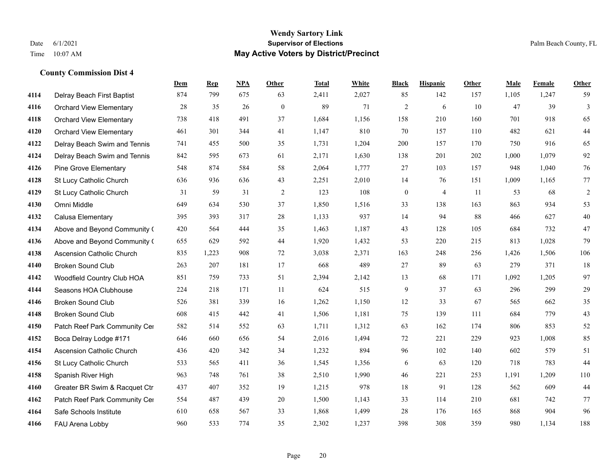## **Wendy Sartory Link** Date 6/1/2021 **Supervisor of Elections** Palm Beach County, FL Time 10:07 AM **May Active Voters by District/Precinct**

|      |                                  | Dem    | <b>Rep</b> | NPA    | Other            | <b>Total</b> | White | <b>Black</b>     | <b>Hispanic</b> | Other | Male  | Female | Other      |
|------|----------------------------------|--------|------------|--------|------------------|--------------|-------|------------------|-----------------|-------|-------|--------|------------|
| 4114 | Delray Beach First Baptist       | 874    | 799        | 675    | 63               | 2,411        | 2,027 | 85               | 142             | 157   | 1,105 | 1,247  | 59         |
| 4116 | <b>Orchard View Elementary</b>   | $28\,$ | 35         | $26\,$ | $\boldsymbol{0}$ | 89           | 71    | $\overline{c}$   | 6               | 10    | 47    | 39     | 3          |
| 4118 | <b>Orchard View Elementary</b>   | 738    | 418        | 491    | 37               | 1,684        | 1,156 | 158              | 210             | 160   | 701   | 918    | 65         |
| 4120 | <b>Orchard View Elementary</b>   | 461    | 301        | 344    | 41               | 1,147        | 810   | 70               | 157             | 110   | 482   | 621    | 44         |
| 4122 | Delray Beach Swim and Tennis     | 741    | 455        | 500    | 35               | 1,731        | 1,204 | 200              | 157             | 170   | 750   | 916    | 65         |
| 4124 | Delray Beach Swim and Tennis     | 842    | 595        | 673    | 61               | 2,171        | 1,630 | 138              | 201             | 202   | 1,000 | 1,079  | 92         |
| 4126 | <b>Pine Grove Elementary</b>     | 548    | 874        | 584    | 58               | 2,064        | 1,777 | 27               | 103             | 157   | 948   | 1,040  | 76         |
| 4128 | St Lucy Catholic Church          | 636    | 936        | 636    | 43               | 2,251        | 2,010 | 14               | 76              | 151   | 1,009 | 1,165  | $77$       |
| 4129 | St Lucy Catholic Church          | 31     | 59         | 31     | $\overline{2}$   | 123          | 108   | $\boldsymbol{0}$ | $\overline{4}$  | 11    | 53    | 68     | $\sqrt{2}$ |
| 4130 | Omni Middle                      | 649    | 634        | 530    | 37               | 1,850        | 1,516 | 33               | 138             | 163   | 863   | 934    | 53         |
| 4132 | Calusa Elementary                | 395    | 393        | 317    | 28               | 1,133        | 937   | 14               | 94              | 88    | 466   | 627    | 40         |
| 4134 | Above and Beyond Community (     | 420    | 564        | 444    | 35               | 1,463        | 1,187 | 43               | 128             | 105   | 684   | 732    | 47         |
| 4136 | Above and Beyond Community (     | 655    | 629        | 592    | 44               | 1,920        | 1,432 | 53               | 220             | 215   | 813   | 1,028  | 79         |
| 4138 | <b>Ascension Catholic Church</b> | 835    | 1,223      | 908    | 72               | 3,038        | 2,371 | 163              | 248             | 256   | 1,426 | 1,506  | 106        |
| 4140 | <b>Broken Sound Club</b>         | 263    | 207        | 181    | 17               | 668          | 489   | 27               | 89              | 63    | 279   | 371    | 18         |
| 4142 | Woodfield Country Club HOA       | 851    | 759        | 733    | 51               | 2,394        | 2,142 | 13               | 68              | 171   | 1,092 | 1,205  | 97         |
| 4144 | Seasons HOA Clubhouse            | 224    | 218        | 171    | 11               | 624          | 515   | 9                | 37              | 63    | 296   | 299    | 29         |
| 4146 | <b>Broken Sound Club</b>         | 526    | 381        | 339    | 16               | 1,262        | 1,150 | 12               | 33              | 67    | 565   | 662    | 35         |
| 4148 | <b>Broken Sound Club</b>         | 608    | 415        | 442    | 41               | 1,506        | 1,181 | 75               | 139             | 111   | 684   | 779    | 43         |
| 4150 | Patch Reef Park Community Cer    | 582    | 514        | 552    | 63               | 1,711        | 1,312 | 63               | 162             | 174   | 806   | 853    | 52         |
| 4152 | Boca Delray Lodge #171           | 646    | 660        | 656    | 54               | 2,016        | 1,494 | $72\,$           | 221             | 229   | 923   | 1,008  | 85         |
| 4154 | <b>Ascension Catholic Church</b> | 436    | 420        | 342    | 34               | 1,232        | 894   | 96               | 102             | 140   | 602   | 579    | 51         |
| 4156 | St Lucy Catholic Church          | 533    | 565        | 411    | 36               | 1,545        | 1,356 | 6                | 63              | 120   | 718   | 783    | 44         |
| 4158 | Spanish River High               | 963    | 748        | 761    | 38               | 2,510        | 1,990 | 46               | 221             | 253   | 1,191 | 1,209  | 110        |
| 4160 | Greater BR Swim & Racquet Ctr    | 437    | 407        | 352    | 19               | 1,215        | 978   | 18               | 91              | 128   | 562   | 609    | 44         |
| 4162 | Patch Reef Park Community Cer    | 554    | 487        | 439    | 20               | 1,500        | 1,143 | 33               | 114             | 210   | 681   | 742    | 77         |
| 4164 | Safe Schools Institute           | 610    | 658        | 567    | 33               | 1,868        | 1,499 | 28               | 176             | 165   | 868   | 904    | 96         |
| 4166 | FAU Arena Lobby                  | 960    | 533        | 774    | 35               | 2.302        | 1.237 | 398              | 308             | 359   | 980   | 1.134  | 188        |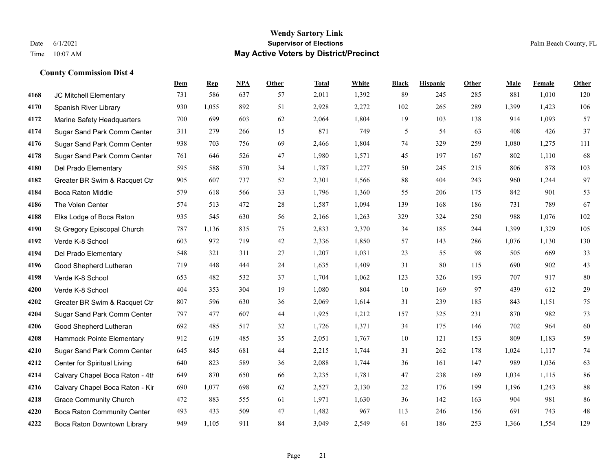## **Wendy Sartory Link** Date 6/1/2021 **Supervisor of Elections** Palm Beach County, FL Time 10:07 AM **May Active Voters by District/Precinct**

|      |                                    | Dem | <b>Rep</b> | NPA | Other | <b>Total</b> | White | <b>Black</b> | <b>Hispanic</b> | Other | Male  | Female | Other  |
|------|------------------------------------|-----|------------|-----|-------|--------------|-------|--------------|-----------------|-------|-------|--------|--------|
| 4168 | JC Mitchell Elementary             | 731 | 586        | 637 | 57    | 2,011        | 1,392 | 89           | 245             | 285   | 881   | 1,010  | 120    |
| 4170 | Spanish River Library              | 930 | 1,055      | 892 | 51    | 2,928        | 2,272 | 102          | 265             | 289   | 1,399 | 1,423  | 106    |
| 4172 | Marine Safety Headquarters         | 700 | 699        | 603 | 62    | 2,064        | 1,804 | 19           | 103             | 138   | 914   | 1,093  | 57     |
| 4174 | Sugar Sand Park Comm Center        | 311 | 279        | 266 | 15    | 871          | 749   | 5            | 54              | 63    | 408   | 426    | 37     |
| 4176 | Sugar Sand Park Comm Center        | 938 | 703        | 756 | 69    | 2,466        | 1,804 | 74           | 329             | 259   | 1,080 | 1,275  | 111    |
| 4178 | Sugar Sand Park Comm Center        | 761 | 646        | 526 | 47    | 1,980        | 1,571 | 45           | 197             | 167   | 802   | 1,110  | 68     |
| 4180 | Del Prado Elementary               | 595 | 588        | 570 | 34    | 1,787        | 1,277 | 50           | 245             | 215   | 806   | 878    | 103    |
| 4182 | Greater BR Swim & Racquet Ctr      | 905 | 607        | 737 | 52    | 2,301        | 1,566 | 88           | 404             | 243   | 960   | 1,244  | 97     |
| 4184 | Boca Raton Middle                  | 579 | 618        | 566 | 33    | 1,796        | 1,360 | 55           | 206             | 175   | 842   | 901    | 53     |
| 4186 | The Volen Center                   | 574 | 513        | 472 | 28    | 1,587        | 1,094 | 139          | 168             | 186   | 731   | 789    | 67     |
| 4188 | Elks Lodge of Boca Raton           | 935 | 545        | 630 | 56    | 2,166        | 1,263 | 329          | 324             | 250   | 988   | 1,076  | 102    |
| 4190 | St Gregory Episcopal Church        | 787 | 1,136      | 835 | 75    | 2,833        | 2,370 | 34           | 185             | 244   | 1,399 | 1,329  | 105    |
| 4192 | Verde K-8 School                   | 603 | 972        | 719 | 42    | 2,336        | 1,850 | 57           | 143             | 286   | 1,076 | 1,130  | 130    |
| 4194 | Del Prado Elementary               | 548 | 321        | 311 | 27    | 1,207        | 1,031 | 23           | 55              | 98    | 505   | 669    | 33     |
| 4196 | Good Shepherd Lutheran             | 719 | 448        | 444 | 24    | 1,635        | 1,409 | 31           | 80              | 115   | 690   | 902    | 43     |
| 4198 | Verde K-8 School                   | 653 | 482        | 532 | 37    | 1,704        | 1,062 | 123          | 326             | 193   | 707   | 917    | 80     |
| 4200 | Verde K-8 School                   | 404 | 353        | 304 | 19    | 1,080        | 804   | 10           | 169             | 97    | 439   | 612    | 29     |
| 4202 | Greater BR Swim & Racquet Ctr      | 807 | 596        | 630 | 36    | 2,069        | 1,614 | 31           | 239             | 185   | 843   | 1,151  | 75     |
| 4204 | Sugar Sand Park Comm Center        | 797 | 477        | 607 | 44    | 1,925        | 1,212 | 157          | 325             | 231   | 870   | 982    | 73     |
| 4206 | Good Shepherd Lutheran             | 692 | 485        | 517 | 32    | 1,726        | 1,371 | 34           | 175             | 146   | 702   | 964    | $60\,$ |
| 4208 | Hammock Pointe Elementary          | 912 | 619        | 485 | 35    | 2,051        | 1,767 | 10           | 121             | 153   | 809   | 1,183  | 59     |
| 4210 | Sugar Sand Park Comm Center        | 645 | 845        | 681 | 44    | 2,215        | 1,744 | 31           | 262             | 178   | 1,024 | 1,117  | 74     |
| 4212 | Center for Spiritual Living        | 640 | 823        | 589 | 36    | 2,088        | 1,744 | 36           | 161             | 147   | 989   | 1,036  | 63     |
| 4214 | Calvary Chapel Boca Raton - 4th    | 649 | 870        | 650 | 66    | 2,235        | 1,781 | $47\,$       | 238             | 169   | 1,034 | 1,115  | 86     |
| 4216 | Calvary Chapel Boca Raton - Kir    | 690 | 1,077      | 698 | 62    | 2,527        | 2,130 | $22\,$       | 176             | 199   | 1,196 | 1,243  | 88     |
| 4218 | <b>Grace Community Church</b>      | 472 | 883        | 555 | 61    | 1,971        | 1,630 | 36           | 142             | 163   | 904   | 981    | 86     |
| 4220 | <b>Boca Raton Community Center</b> | 493 | 433        | 509 | 47    | 1,482        | 967   | 113          | 246             | 156   | 691   | 743    | 48     |
| 4222 | Boca Raton Downtown Library        | 949 | 1.105      | 911 | 84    | 3.049        | 2,549 | 61           | 186             | 253   | 1,366 | 1.554  | 129    |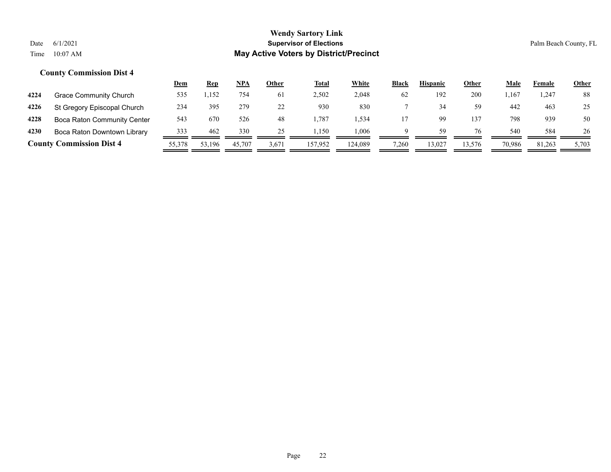|      |                                    | <u>Dem</u> | <u>Rep</u> | NPA    | Other | <b>Total</b> | <u>White</u> | <b>Black</b> | <b>Hispanic</b> | Other  | Male   | Female | <b>Other</b> |
|------|------------------------------------|------------|------------|--------|-------|--------------|--------------|--------------|-----------------|--------|--------|--------|--------------|
| 4224 | Grace Community Church             | 535        | 1,152      | 754    | 61    | 2,502        | 2,048        | 62           | 192             | 200    | . 167  | 1,247  | 88           |
| 4226 | St Gregory Episcopal Church        | 234        | 395        | 279    |       | 930          | 830          |              |                 | 59     | 442    | 463    | 25           |
| 4228 | <b>Boca Raton Community Center</b> | 543        | 670        | 526    | 48    | .787         | .534         |              |                 | 137    | 798    | 939    | 50           |
| 4230 | Boca Raton Downtown Library        | 333        | 462        | 330    | 25    | .150         | 0.006        | a            | 59              | 76     | 540    | 584    | 26           |
|      | <b>County Commission Dist 4</b>    | 55,378     | 53,196     | 45,707 | 3,671 | 157.952      | 124.089      | 7,260        | 13,027          | 13.576 | 70.986 | 81,263 | 5,703        |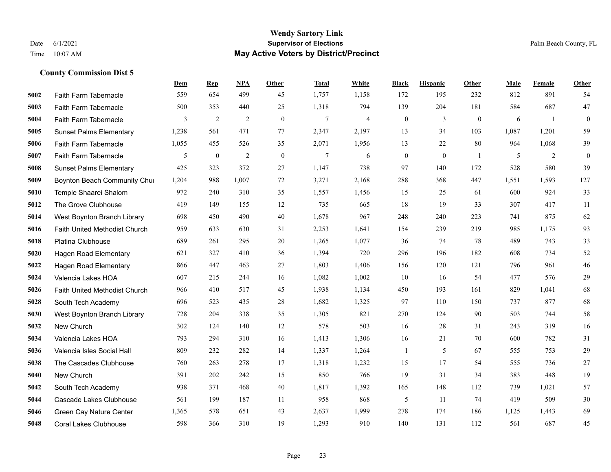#### **Wendy Sartory Link** Date 6/1/2021 **Supervisor of Elections** Palm Beach County, FL Time 10:07 AM **May Active Voters by District/Precinct**

Faith Farm Tabernacle 559 654 499 45 1,757 1,158 172 195 232 812 891 54

**Dem Rep NPA Other Total White Black Hispanic Other Male Female Other**

# Faith Farm Tabernacle 500 353 440 25 1,318 794 139 204 181 584 687 47 Faith Farm Tabernacle 3 2 2 0 7 4 0 3 0 6 1 0 Sunset Palms Elementary 1,238 561 471 77 2,347 2,197 13 34 103 1,087 1,201 59 Faith Farm Tabernacle 1,055 455 526 35 2,071 1,956 13 22 80 964 1,068 39 Faith Farm Tabernacle 5 0 2 0 7 6 0 0 1 5 2 0 Sunset Palms Elementary 425 323 372 27 1,147 738 97 140 172 528 580 39 Boynton Beach Community Church 1,204 988 1,007 72 3,271 2,168 288 368 447 1,551 1,593 127 Temple Shaarei Shalom 972 240 310 35 1,557 1,456 15 25 61 600 924 33 The Grove Clubhouse 419 149 155 12 735 665 18 19 33 307 417 11 West Boynton Branch Library 698 450 490 40 1,678 967 248 240 223 741 875 62 Faith United Methodist Church 959 633 630 31 2,253 1,641 154 239 219 985 1,175 93 Platina Clubhouse 689 261 295 20 1,265 1,077 36 74 78 489 743 33 Hagen Road Elementary 621 327 410 36 1,394 720 296 196 182 608 734 52 Hagen Road Elementary 866 447 463 27 1,803 1,406 156 120 121 796 961 46 Valencia Lakes HOA 607 215 244 16 1,082 1,002 10 16 54 477 576 29 Faith United Methodist Church 966 410 517 45 1,938 1,134 450 193 161 829 1,041 68 South Tech Academy 696 523 435 28 1,682 1,325 97 110 150 737 877 68 West Boynton Branch Library 728 204 338 35 1,305 821 270 124 90 503 744 58 New Church 302 124 140 12 578 503 16 28 31 243 319 16 Valencia Lakes HOA 793 294 310 16 1,413 1,306 16 21 70 600 782 31 Valencia Isles Social Hall 809 232 282 14 1,337 1,264 1 5 67 555 753 29 The Cascades Clubhouse 760 263 278 17 1,318 1,232 15 17 54 555 736 27 New Church 391 202 242 15 850 766 19 31 34 383 448 19

 South Tech Academy 938 371 468 40 1,817 1,392 165 148 112 739 1,021 57 Cascade Lakes Clubhouse 561 199 187 11 958 868 5 11 74 419 509 30 Green Cay Nature Center 1,365 578 651 43 2,637 1,999 278 174 186 1,125 1,443 69 Coral Lakes Clubhouse 598 366 310 19 1,293 910 140 131 112 561 687 45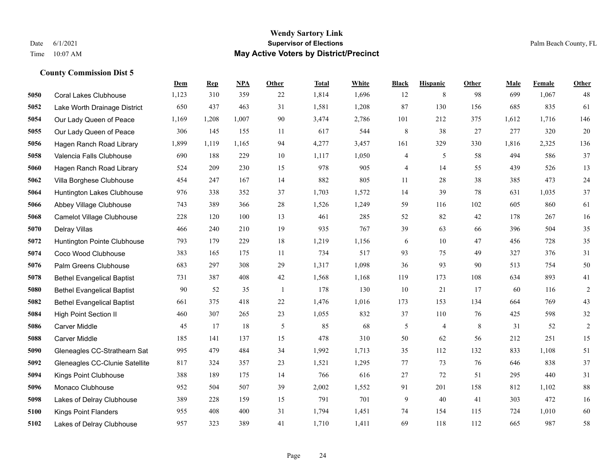#### **Wendy Sartory Link** Date 6/1/2021 **Supervisor of Elections** Palm Beach County, FL Time 10:07 AM **May Active Voters by District/Precinct**

# **Dem Rep NPA Other Total White Black Hispanic Other Male Female Other** Coral Lakes Clubhouse 1,123 310 359 22 1,814 1,696 12 8 98 699 1,067 48 Lake Worth Drainage District 650 437 463 31 1,581 1,208 87 130 156 685 835 61 Our Lady Queen of Peace 1,169 1,208 1,007 90 3,474 2,786 101 212 375 1,612 1,716 146 Our Lady Queen of Peace 306 145 155 11 617 544 8 38 27 277 320 20 Hagen Ranch Road Library 1,899 1,119 1,165 94 4,277 3,457 161 329 330 1,816 2,325 136 Valencia Falls Clubhouse 690 188 229 10 1,117 1,050 4 5 58 494 586 37 Hagen Ranch Road Library 524 209 230 15 978 905 4 14 55 439 526 13 Villa Borghese Clubhouse 454 247 167 14 882 805 11 28 38 385 473 24 Huntington Lakes Clubhouse 976 338 352 37 1,703 1,572 14 39 78 631 1,035 37 Abbey Village Clubhouse 743 389 366 28 1,526 1,249 59 116 102 605 860 61 Camelot Village Clubhouse 228 120 100 13 461 285 52 82 42 178 267 16 Delray Villas 466 240 210 19 935 767 39 63 66 396 504 35 Huntington Pointe Clubhouse 793 179 229 18 1,219 1,156 6 10 47 456 728 35 Coco Wood Clubhouse 383 165 175 11 734 517 93 75 49 327 376 31 Palm Greens Clubhouse 683 297 308 29 1,317 1,098 36 93 90 513 754 50 Bethel Evangelical Baptist 731 387 408 42 1,568 1,168 119 173 108 634 893 41 Bethel Evangelical Baptist 90 52 35 1 178 130 10 21 17 60 116 2 Bethel Evangelical Baptist 661 375 418 22 1,476 1,016 173 153 134 664 769 43 High Point Section II 460 307 265 23 1,055 832 37 110 76 425 598 32 Carver Middle 45 17 18 5 85 68 5 4 8 31 52 2 Carver Middle 185 141 137 15 478 310 50 62 56 212 251 15 Gleneagles CC-Strathearn Sat 995 479 484 34 1,992 1,713 35 112 132 833 1,108 51 Gleneagles CC-Clunie Satellite 817 324 357 23 1,521 1,295 77 73 76 646 838 37 Kings Point Clubhouse 388 189 175 14 766 616 27 72 51 295 440 31 Monaco Clubhouse 952 504 507 39 2,002 1,552 91 201 158 812 1,102 88 Lakes of Delray Clubhouse 389 228 159 15 791 701 9 40 41 303 472 16 Kings Point Flanders 955 408 400 31 1,794 1,451 74 154 115 724 1,010 60 Lakes of Delray Clubhouse 957 323 389 41 1,710 1,411 69 118 112 665 987 58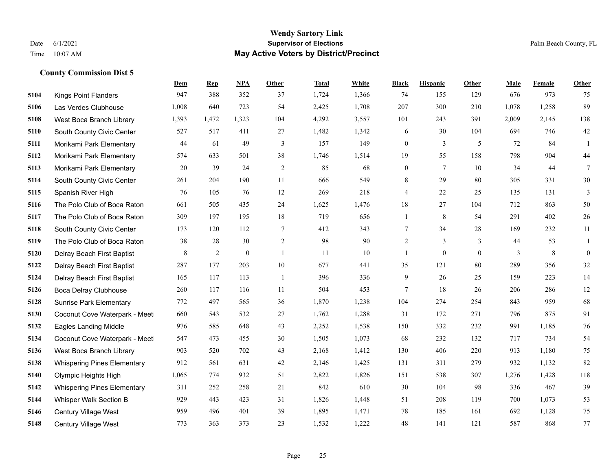#### **Wendy Sartory Link** Date 6/1/2021 **Supervisor of Elections** Palm Beach County, FL Time 10:07 AM **May Active Voters by District/Precinct**

# **Dem Rep NPA Other Total White Black Hispanic Other Male Female Other** Kings Point Flanders 947 388 352 37 1,724 1,366 74 155 129 676 973 75 Las Verdes Clubhouse 1,008 640 723 54 2,425 1,708 207 300 210 1,078 1,258 89 West Boca Branch Library 1,393 1,472 1,323 104 4,292 3,557 101 243 391 2,009 2,145 138 South County Civic Center 527 517 411 27 1,482 1,342 6 30 104 694 746 42 Morikami Park Elementary 44 61 49 3 157 149 0 3 5 72 84 1 Morikami Park Elementary 574 633 501 38 1,746 1,514 19 55 158 798 904 44 Morikami Park Elementary 20 39 24 2 85 68 0 7 10 34 44 7 South County Civic Center 261 204 190 11 666 549 8 29 80 305 331 30 Spanish River High 76 105 76 12 269 218 4 22 25 135 131 3 The Polo Club of Boca Raton 661 505 435 24 1,625 1,476 18 27 104 712 863 50 The Polo Club of Boca Raton 309 197 195 18 719 656 1 8 54 291 402 26 South County Civic Center 173 120 112 7 412 343 7 34 28 169 232 11 The Polo Club of Boca Raton 38 28 30 2 98 90 2 3 3 44 53 1 Delray Beach First Baptist  $\begin{array}{ccccccccccccc}\n & 8 & 2 & 0 & 1 & 11 & 10 & 1 & 0 & 0 & 3 & 8 & 0\n\end{array}$  Delray Beach First Baptist 287 177 203 10 677 441 35 121 80 289 356 32 Delray Beach First Baptist 165 117 113 1 396 336 9 26 25 159 223 14 Boca Delray Clubhouse 260 117 116 11 504 453 7 18 26 206 286 12 Sunrise Park Elementary 772 497 565 36 1,870 1,238 104 274 254 843 959 68 Coconut Cove Waterpark - Meet 660 543 532 27 1,762 1,288 31 172 271 796 875 91 Eagles Landing Middle 976 585 648 43 2,252 1,538 150 332 232 991 1,185 76 Coconut Cove Waterpark - Meet 547 473 455 30 1,505 1,073 68 232 132 717 734 54 West Boca Branch Library 903 520 702 43 2,168 1,412 130 406 220 913 1,180 75 Whispering Pines Elementary 912 561 631 42 2,146 1,425 131 311 279 932 1,132 82 Olympic Heights High 1,065 774 932 51 2,822 1,826 151 538 307 1,276 1,428 118 Whispering Pines Elementary 311 252 258 21 842 610 30 104 98 336 467 39 Whisper Walk Section B 929 443 423 31 1,826 1,448 51 208 119 700 1,073 53 Century Village West 959 496 401 39 1,895 1,471 78 185 161 692 1,128 75 Century Village West 773 363 373 23 1,532 1,222 48 141 121 587 868 77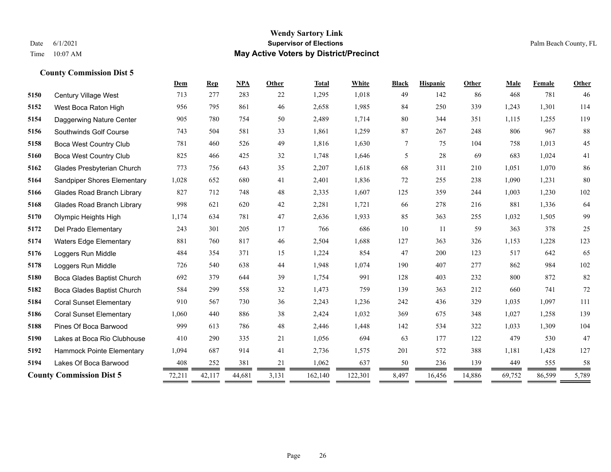#### **Wendy Sartory Link** Date 6/1/2021 **Supervisor of Elections** Palm Beach County, FL Time 10:07 AM **May Active Voters by District/Precinct**

**Dem Rep NPA Other Total White Black Hispanic Other Male Female Other**

# Century Village West 713 277 283 22 1,295 1,018 49 142 86 468 781 46 West Boca Raton High 956 795 861 46 2,658 1,985 84 250 339 1,243 1,301 114 Daggerwing Nature Center 905 780 754 50 2,489 1,714 80 344 351 1,115 1,255 119 Southwinds Golf Course 743 504 581 33 1,861 1,259 87 267 248 806 967 88 Boca West Country Club 781 460 526 49 1,816 1,630 7 75 104 758 1,013 45 Boca West Country Club 825 466 425 32 1,748 1,646 5 28 69 683 1,024 41 Glades Presbyterian Church 773 756 643 35 2,207 1,618 68 311 210 1,051 1,070 86 Sandpiper Shores Elementary 1,028 652 680 41 2,401 1,836 72 255 238 1,090 1,231 80 Glades Road Branch Library 827 712 748 48 2,335 1,607 125 359 244 1,003 1,230 102 Glades Road Branch Library 998 621 620 42 2,281 1,721 66 278 216 881 1,336 64 Olympic Heights High 1,174 634 781 47 2,636 1,933 85 363 255 1,032 1,505 99 Del Prado Elementary 243 301 205 17 766 686 10 11 59 363 378 25 Waters Edge Elementary 881 760 817 46 2,504 1,688 127 363 326 1,153 1,228 123 Loggers Run Middle **484** 484 354 371 15 1,224 854 47 200 123 517 642 65 Loggers Run Middle 726 540 638 44 1,948 1,074 190 407 277 862 984 102 Boca Glades Baptist Church 692 379 644 39 1,754 991 128 403 232 800 872 82 Boca Glades Baptist Church 584 299 558 32 1,473 759 139 363 212 660 741 72 Coral Sunset Elementary 910 567 730 36 2,243 1,236 242 436 329 1,035 1,097 111 Coral Sunset Elementary 1,060 440 886 38 2,424 1,032 369 675 348 1,027 1,258 139 Pines Of Boca Barwood 999 613 786 48 2,446 1,448 142 534 322 1,033 1,309 104 Lakes at Boca Rio Clubhouse 410 290 335 21 1,056 694 63 177 122 479 530 47 Hammock Pointe Elementary 1,094 687 914 41 2,736 1,575 201 572 388 1,181 1,428 127

Lakes Of Boca Barwood 408 252 381 21 1,062 637 50 236 139 449 555 58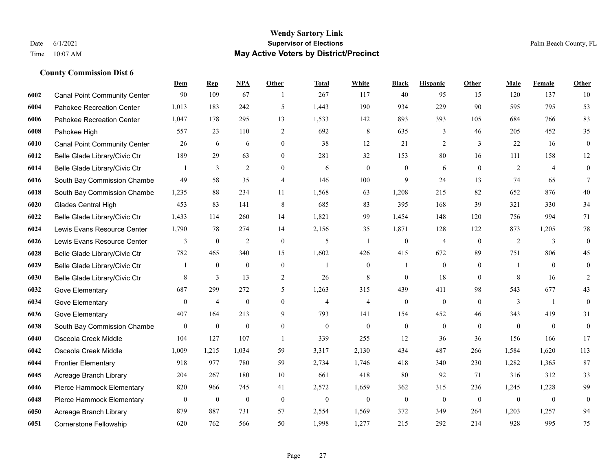#### **Wendy Sartory Link** Date 6/1/2021 **Supervisor of Elections** Palm Beach County, FL Time 10:07 AM **May Active Voters by District/Precinct**

# **Dem Rep NPA Other Total White Black Hispanic Other Male Female Other** Canal Point Community Center 90 109 67 1 267 117 40 95 15 120 137 10 Pahokee Recreation Center 1,013 183 242 5 1,443 190 934 229 90 595 795 53 Pahokee Recreation Center 1,047 178 295 13 1,533 142 893 393 105 684 766 83 Pahokee High 557 23 110 2 692 8 635 3 46 205 452 35 Canal Point Community Center 26 6 6 0 38 12 21 2 3 22 16 0 Belle Glade Library/Civic Ctr 189 29 63 0 281 32 153 80 16 111 158 12 Belle Glade Library/Civic Ctr 1 3 2 0 6 0 0 6 0 2 4 0 South Bay Commission Chambe 49 58 35 4 146 100 9 24 13 74 65 7 South Bay Commission Chambe 1,235 88 234 11 1,568 63 1,208 215 82 652 876 40 Glades Central High 453 83 141 8 685 83 395 168 39 321 330 34 Belle Glade Library/Civic Ctr 1,433 114 260 14 1,821 99 1,454 148 120 756 994 71 Lewis Evans Resource Center 1,790 78 274 14 2,156 35 1,871 128 122 873 1,205 78 Lewis Evans Resource Center  $\begin{array}{ccccccccccccc}\n & & & 3 & & 0 & & 2 & & 0 & & 5 & & 1 & & 0 & & 4 & & 0 & & 2 & & 3 & & 0\n\end{array}$  Belle Glade Library/Civic Ctr 782 465 340 15 1,602 426 415 672 89 751 806 45 Belle Glade Library/Civic Ctr 1 0 0 0 1 0 1 0 0 1 0 0 Belle Glade Library/Civic Ctr 8 3 13 2 26 8 0 18 0 8 16 2 Gove Elementary 687 299 272 5 1,263 315 439 411 98 543 677 43 Gove Elementary 0 4 0 4 4 0 0 0 3 1 0 Gove Elementary 407 164 213 9 793 141 154 452 46 343 419 31 South Bay Commission Chambers 0 0 0 0 0 0 0 0 0 0 0 0 Osceola Creek Middle 104 127 107 1 339 255 12 36 36 156 166 17 Osceola Creek Middle 1,009 1,215 1,034 59 3,317 2,130 434 487 266 1,584 1,620 113 Frontier Elementary 918 977 780 59 2,734 1,746 418 340 230 1,282 1,365 87 Acreage Branch Library 204 267 180 10 661 418 80 92 71 316 312 33 Pierce Hammock Elementary 820 966 745 41 2,572 1,659 362 315 236 1,245 1,228 99 Pierce Hammock Elementary 0 0 0 0 0 0 0 0 0 0 0 0 Acreage Branch Library 879 887 731 57 2,554 1,569 372 349 264 1,203 1,257 94 Cornerstone Fellowship 620 762 566 50 1,998 1,277 215 292 214 928 995 75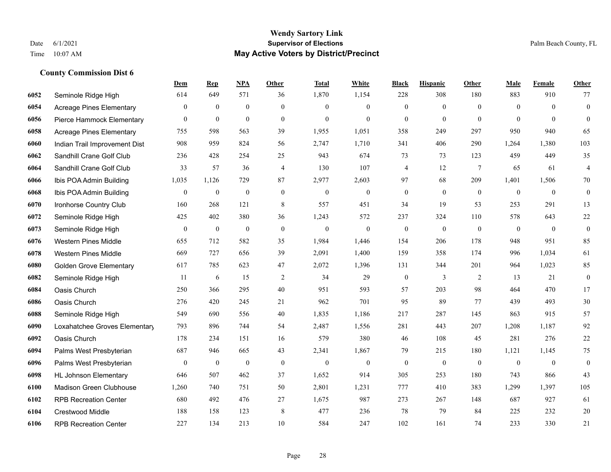#### **Wendy Sartory Link** Date 6/1/2021 **Supervisor of Elections** Palm Beach County, FL Time 10:07 AM **May Active Voters by District/Precinct**

# **Dem Rep NPA Other Total White Black Hispanic Other Male Female Other** Seminole Ridge High 614 649 571 36 1,870 1,154 228 308 180 883 910 77 Acreage Pines Elementary 0 0 0 0 0 0 0 0 0 0 0 0 Pierce Hammock Elementary 0 0 0 0 0 0 0 0 0 0 0 0 Acreage Pines Elementary 755 598 563 39 1,955 1,051 358 249 297 950 940 65 Indian Trail Improvement Dist 908 959 824 56 2,747 1,710 341 406 290 1,264 1,380 103 Sandhill Crane Golf Club 236 428 254 25 943 674 73 73 123 459 449 35 Sandhill Crane Golf Club 33 57 36 4 130 107 4 12 7 65 61 4 Ibis POA Admin Building 1,035 1,126 729 87 2,977 2,603 97 68 209 1,401 1,506 70 Ibis POA Admin Building 0 0 0 0 0 0 0 0 0 0 0 0 Ironhorse Country Club 160 268 121 8 557 451 34 19 53 253 291 13 Seminole Ridge High 425 402 380 36 1,243 572 237 324 110 578 643 22 Seminole Ridge High 0 0 0 0 0 0 0 0 0 0 0 0 Western Pines Middle 655 712 582 35 1,984 1,446 154 206 178 948 951 85 Western Pines Middle 669 727 656 39 2,091 1,400 159 358 174 996 1,034 61 Golden Grove Elementary 617 785 623 47 2,072 1,396 131 344 201 964 1,023 85 Seminole Ridge High 11 6 15 2 34 29 0 3 2 13 21 0 Oasis Church 250 366 295 40 951 593 57 203 98 464 470 17 Oasis Church 276 420 245 21 962 701 95 89 77 439 493 30 Seminole Ridge High 549 690 556 40 1,835 1,186 217 287 145 863 915 57 Loxahatchee Groves Elementary 793 896 744 54 2,487 1,556 281 443 207 1,208 1,187 92 Oasis Church 178 234 151 16 579 380 46 108 45 281 276 22 Palms West Presbyterian 687 946 665 43 2,341 1,867 79 215 180 1,121 1,145 75 Palms West Presbyterian 0 0 0 0 0 0 0 0 0 0 0 0 HL Johnson Elementary 646 507 462 37 1,652 914 305 253 180 743 866 43 Madison Green Clubhouse 1,260 740 751 50 2,801 1,231 777 410 383 1,299 1,397 105 RPB Recreation Center 680 492 476 27 1,675 987 273 267 148 687 927 61 Crestwood Middle 188 158 123 8 477 236 78 79 84 225 232 20 RPB Recreation Center 227 134 213 10 584 247 102 161 74 233 330 21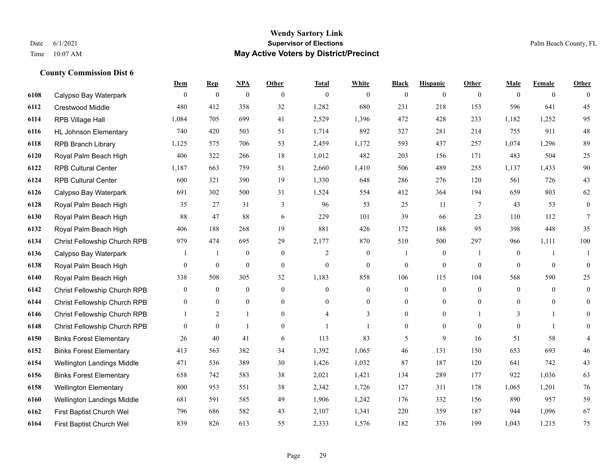|      |                                | Dem              | <b>Rep</b>       | NPA              | <b>Other</b>   | <b>Total</b>   | <b>White</b>     | <b>Black</b>     | <b>Hispanic</b>  | <b>Other</b>   | <b>Male</b>      | <b>Female</b>  | <b>Other</b>     |
|------|--------------------------------|------------------|------------------|------------------|----------------|----------------|------------------|------------------|------------------|----------------|------------------|----------------|------------------|
| 6108 | Calypso Bay Waterpark          | $\mathbf{0}$     | $\boldsymbol{0}$ | $\boldsymbol{0}$ | $\theta$       | $\mathbf{0}$   | $\overline{0}$   | $\overline{0}$   | $\overline{0}$   | $\theta$       | $\theta$         | $\overline{0}$ | $\Omega$         |
| 6112 | <b>Crestwood Middle</b>        | 480              | 412              | 358              | 32             | 1,282          | 680              | 231              | 218              | 153            | 596              | 641            | 45               |
| 6114 | RPB Village Hall               | 1,084            | 705              | 699              | 41             | 2,529          | 1,396            | 472              | 428              | 233            | 1,182            | 1,252          | 95               |
| 6116 | <b>HL Johnson Elementary</b>   | 740              | 420              | 503              | 51             | 1,714          | 892              | 327              | 281              | 214            | 755              | 911            | 48               |
| 6118 | <b>RPB Branch Library</b>      | 1,125            | 575              | 706              | 53             | 2,459          | 1,172            | 593              | 437              | 257            | 1,074            | 1,296          | 89               |
| 6120 | Royal Palm Beach High          | 406              | 322              | 266              | 18             | 1,012          | 482              | 203              | 156              | 171            | 483              | 504            | $25\,$           |
| 6122 | <b>RPB Cultural Center</b>     | 1,187            | 663              | 759              | 51             | 2,660          | 1,410            | 506              | 489              | 255            | 1,137            | 1,433          | 90               |
| 6124 | <b>RPB Cultural Center</b>     | 600              | 321              | 390              | 19             | 1,330          | 648              | 286              | 276              | 120            | 561              | 726            | 43               |
| 6126 | Calypso Bay Waterpark          | 691              | 302              | 500              | 31             | 1,524          | 554              | 412              | 364              | 194            | 659              | 803            | 62               |
| 6128 | Royal Palm Beach High          | 35               | 27               | 31               | 3              | 96             | 53               | 25               | 11               | 7              | 43               | 53             | $\boldsymbol{0}$ |
| 6130 | Royal Palm Beach High          | 88               | 47               | 88               | 6              | 229            | 101              | 39               | 66               | 23             | 110              | 112            | $\tau$           |
| 6132 | Royal Palm Beach High          | 406              | 188              | 268              | 19             | 881            | 426              | 172              | 188              | 95             | 398              | 448            | 35               |
| 6134 | Christ Fellowship Church RPB   | 979              | 474              | 695              | 29             | 2,177          | 870              | 510              | 500              | 297            | 966              | 1,111          | 100              |
| 6136 | Calypso Bay Waterpark          |                  | -1               | $\boldsymbol{0}$ | $\mathbf{0}$   | 2              | $\boldsymbol{0}$ |                  | $\boldsymbol{0}$ | $\overline{1}$ | $\boldsymbol{0}$ | $\mathbf{1}$   | -1               |
| 6138 | Royal Palm Beach High          | $\overline{0}$   | $\mathbf{0}$     | $\mathbf{0}$     | $\mathbf{0}$   | $\mathbf{0}$   | $\overline{0}$   | $\overline{0}$   | $\overline{0}$   | $\mathbf{0}$   | $\theta$         | $\theta$       | $\mathbf{0}$     |
| 6140 | Royal Palm Beach High          | 338              | 508              | 305              | 32             | 1,183          | 858              | 106              | 115              | 104            | 568              | 590            | 25               |
| 6142 | Christ Fellowship Church RPB   | $\boldsymbol{0}$ | $\boldsymbol{0}$ | $\mathbf{0}$     | $\mathbf{0}$   | $\mathbf{0}$   | $\boldsymbol{0}$ | $\boldsymbol{0}$ | $\boldsymbol{0}$ | $\mathbf{0}$   | $\overline{0}$   | $\overline{0}$ | $\overline{0}$   |
| 6144 | Christ Fellowship Church RPB   | $\theta$         | $\mathbf{0}$     | $\mathbf{0}$     | $\theta$       | $\Omega$       | $\overline{0}$   | $\overline{0}$   | $\overline{0}$   | $\theta$       | $\theta$         | $\theta$       | $\overline{0}$   |
| 6146 | Christ Fellowship Church RPB   |                  | $\mathfrak{2}$   |                  | $\overline{0}$ | $\overline{4}$ | 3                | $\boldsymbol{0}$ | $\boldsymbol{0}$ |                | 3                |                | $\overline{0}$   |
| 6148 | Christ Fellowship Church RPB   | $\overline{0}$   | $\mathbf{0}$     | $\overline{1}$   | $\overline{0}$ | $\mathbf{1}$   | $\mathbf{1}$     | $\overline{0}$   | $\overline{0}$   | $\theta$       | $\theta$         | $\overline{1}$ | $\overline{0}$   |
| 6150 | <b>Binks Forest Elementary</b> | 26               | 40               | 41               | 6              | 113            | 83               | 5                | 9                | 16             | 51               | 58             | $\overline{4}$   |
| 6152 | <b>Binks Forest Elementary</b> | 413              | 563              | 382              | 34             | 1,392          | 1,065            | 46               | 131              | 150            | 653              | 693            | 46               |
| 6154 | Wellington Landings Middle     | 471              | 536              | 389              | 30             | 1,426          | 1,032            | 87               | 187              | 120            | 641              | 742            | 43               |
| 6156 | <b>Binks Forest Elementary</b> | 658              | 742              | 583              | 38             | 2,021          | 1,421            | 134              | 289              | 177            | 922              | 1,036          | 63               |
| 6158 | <b>Wellington Elementary</b>   | 800              | 953              | 551              | 38             | 2,342          | 1,726            | 127              | 311              | 178            | 1,065            | 1,201          | 76               |
| 6160 | Wellington Landings Middle     | 681              | 591              | 585              | 49             | 1,906          | 1,242            | 176              | 332              | 156            | 890              | 957            | 59               |
| 6162 | First Baptist Church Wel       | 796              | 686              | 582              | 43             | 2,107          | 1,341            | 220              | 359              | 187            | 944              | 1,096          | 67               |
| 6164 | First Baptist Church Wel       | 839              | 826              | 613              | 55             | 2,333          | 1,576            | 182              | 376              | 199            | 1,043            | 1,215          | 75               |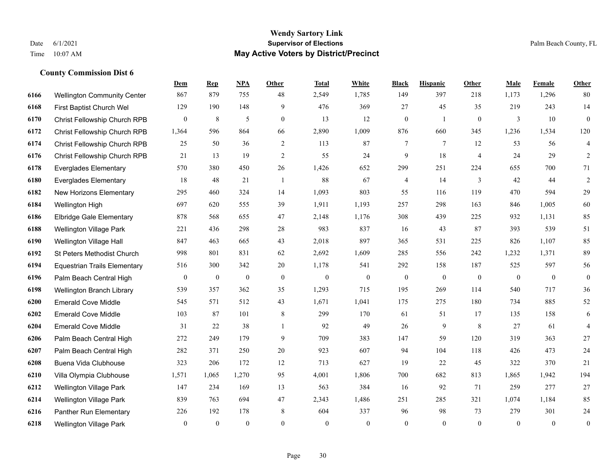#### **Wendy Sartory Link** Date 6/1/2021 **Supervisor of Elections** Palm Beach County, FL Time 10:07 AM **May Active Voters by District/Precinct**

# **Dem Rep NPA Other Total White Black Hispanic Other Male Female Other** Wellington Community Center 867 879 755 48 2,549 1,785 149 397 218 1,173 1,296 80 First Baptist Church Wel 129 190 148 9 476 369 27 45 35 219 243 14 Christ Fellowship Church RPB 0 8 5 0 13 12 0 1 0 3 10 0 Christ Fellowship Church RPB 1,364 596 864 66 2,890 1,009 876 660 345 1,236 1,534 120 Christ Fellowship Church RPB 25 50 36 2 113 87 7 7 12 53 56 4 Christ Fellowship Church RPB 21 13 19 2 55 24 9 18 4 24 29 2 Everglades Elementary 570 380 450 26 1,426 652 299 251 224 655 700 71 Everglades Elementary 18 48 21 1 88 67 4 14 3 42 44 2 New Horizons Elementary 295 460 324 14 1,093 803 55 116 119 470 594 29 Wellington High 697 620 555 39 1,911 1,193 257 298 163 846 1,005 60 Elbridge Gale Elementary 878 568 655 47 2,148 1,176 308 439 225 932 1,131 85 Wellington Village Park 221 436 298 28 983 837 16 43 87 393 539 51 Wellington Village Hall 847 463 665 43 2,018 897 365 531 225 826 1,107 85 St Peters Methodist Church 998 801 831 62 2,692 1,609 285 556 242 1,232 1,371 89 Equestrian Trails Elementary 516 300 342 20 1,178 541 292 158 187 525 597 56 Palm Beach Central High 0 0 0 0 0 0 0 0 0 0 0 0 Wellington Branch Library 539 357 362 35 1,293 715 195 269 114 540 717 36 Emerald Cove Middle 545 571 512 43 1,671 1,041 175 275 180 734 885 52 Emerald Cove Middle 103 87 101 8 299 170 61 51 17 135 158 6 Emerald Cove Middle 31 22 38 1 92 49 26 9 8 27 61 4 Palm Beach Central High 272 249 179 9 709 383 147 59 120 319 363 27 Palm Beach Central High 282 371 250 20 923 607 94 104 118 426 473 24 Buena Vida Clubhouse 323 206 172 12 713 627 19 22 45 322 370 21 Villa Olympia Clubhouse 1,571 1,065 1,270 95 4,001 1,806 700 682 813 1,865 1,942 194 Wellington Village Park 147 234 169 13 563 384 16 92 71 259 277 27 Wellington Village Park 839 763 694 47 2,343 1,486 251 285 321 1,074 1,184 85 Panther Run Elementary 226 192 178 8 604 337 96 98 73 279 301 24 Wellington Village Park 0 0 0 0 0 0 0 0 0 0 0 0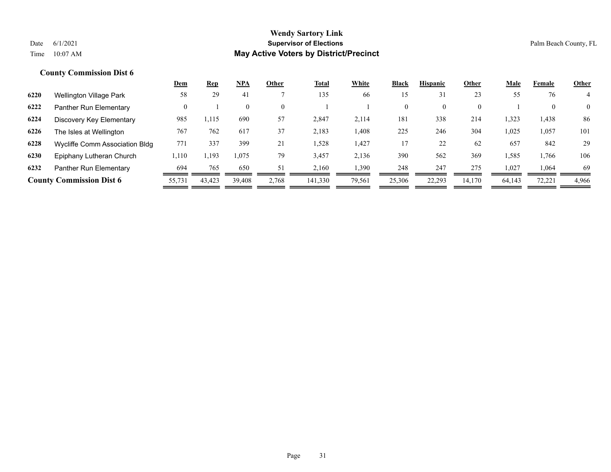|      |                                 | <u>Dem</u> | <u>Rep</u> | NPA      | Other    | <b>Total</b> | White  | <b>Black</b>   | <b>Hispanic</b> | Other    | <b>Male</b> | Female | <b>Other</b>   |
|------|---------------------------------|------------|------------|----------|----------|--------------|--------|----------------|-----------------|----------|-------------|--------|----------------|
| 6220 | Wellington Village Park         | 58         | 29         | -41      |          | 135          | 66     | 15             | 31              | 23       | 55          | 76     |                |
| 6222 | Panther Run Elementary          | 0          |            | $\theta$ | $\theta$ |              |        | $\overline{0}$ | $\theta$        | $\theta$ |             |        | $\overline{0}$ |
| 6224 | Discovery Key Elementary        | 985        | 1,115      | 690      | 57       | 2,847        | 2,114  | 181            | 338             | 214      | 1,323       | 1,438  | 86             |
| 6226 | The Isles at Wellington         | 767        | 762        | 617      | 37       | 2,183        | 1,408  | 225            | 246             | 304      | 1,025       | 1,057  | 101            |
| 6228 | Wycliffe Comm Association Bldg  | 771        | 337        | 399      | 21       | 1,528        | 1,427  | 17             | 22              | 62       | 657         | 842    | 29             |
| 6230 | Epiphany Lutheran Church        | 1,110      | 1,193      | 1,075    | 79       | 3,457        | 2,136  | 390            | 562             | 369      | 1,585       | 1,766  | 106            |
| 6232 | Panther Run Elementary          | 694        | 765        | 650      | 51       | 2,160        | 1,390  | 248            | 247             | 275      | 1,027       | 1,064  | 69             |
|      | <b>County Commission Dist 6</b> | 55,731     | 43,423     | 39.408   | 2,768    | 141,330      | 79,561 | 25,306         | 22,293          | 14.170   | 64,143      | 72,221 | 4,966          |
|      |                                 |            |            |          |          |              |        |                |                 |          |             |        |                |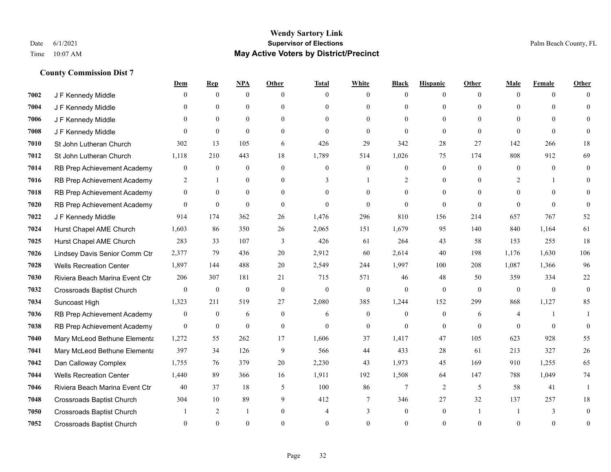|      |                                  | Dem              | <b>Rep</b>       | NPA              | <b>Other</b>     | <b>Total</b>     | <b>White</b>     | <b>Black</b>     | <b>Hispanic</b> | <b>Other</b> | <b>Male</b>    | <b>Female</b> | <b>Other</b>   |
|------|----------------------------------|------------------|------------------|------------------|------------------|------------------|------------------|------------------|-----------------|--------------|----------------|---------------|----------------|
| 7002 | J F Kennedy Middle               | $\mathbf{0}$     | $\mathbf{0}$     | $\mathbf{0}$     | $\theta$         | $\theta$         | $\overline{0}$   | $\Omega$         | $\overline{0}$  | $\theta$     | $\theta$       | $\theta$      | $\Omega$       |
| 7004 | J F Kennedy Middle               | $\Omega$         | $\theta$         | $\theta$         | $\Omega$         | $\Omega$         | $\overline{0}$   | $\theta$         | $\theta$        | $\Omega$     | $\Omega$       | $\Omega$      | $\Omega$       |
| 7006 | J F Kennedy Middle               | $\theta$         | $\mathbf{0}$     | $\overline{0}$   | $\theta$         | $\Omega$         | $\theta$         | $\Omega$         | $\Omega$        | $\Omega$     | $\theta$       | $\Omega$      |                |
| 7008 | J F Kennedy Middle               | $\Omega$         | $\mathbf{0}$     | $\mathbf{0}$     | $\overline{0}$   | $\theta$         | $\overline{0}$   | $\mathbf{0}$     | $\mathbf{0}$    | $\theta$     | $\theta$       | $\theta$      |                |
| 7010 | St John Lutheran Church          | 302              | 13               | 105              | 6                | 426              | 29               | 342              | 28              | 27           | 142            | 266           | 18             |
| 7012 | St John Lutheran Church          | 1,118            | 210              | 443              | 18               | 1,789            | 514              | 1,026            | 75              | 174          | 808            | 912           | 69             |
| 7014 | RB Prep Achievement Academy      | $\boldsymbol{0}$ | $\mathbf{0}$     | $\mathbf{0}$     | $\overline{0}$   | $\mathbf{0}$     | $\overline{0}$   | $\mathbf{0}$     | $\mathbf{0}$    | $\theta$     | $\mathbf{0}$   | $\theta$      | $\mathbf{0}$   |
| 7016 | RB Prep Achievement Academy      | 2                | $\mathbf{1}$     | $\theta$         | $\Omega$         | 3                | $\mathbf{1}$     | 2                | $\theta$        | $\theta$     | 2              |               | $\Omega$       |
| 7018 | RB Prep Achievement Academy      | $\overline{0}$   | $\mathbf{0}$     | $\boldsymbol{0}$ | $\overline{0}$   |                  | $\overline{0}$   | $\mathbf{0}$     | $\mathbf{0}$    | $\Omega$     | $\mathbf{0}$   | $\theta$      |                |
| 7020 | RB Prep Achievement Academy      | $\overline{0}$   | $\mathbf{0}$     | $\mathbf{0}$     | $\theta$         | $\Omega$         | $\Omega$         | $\Omega$         | $\theta$        | $\theta$     | $\Omega$       | $\theta$      | $\theta$       |
| 7022 | J F Kennedy Middle               | 914              | 174              | 362              | 26               | 1,476            | 296              | 810              | 156             | 214          | 657            | 767           | $52\,$         |
| 7024 | Hurst Chapel AME Church          | 1,603            | 86               | 350              | 26               | 2,065            | 151              | 1,679            | 95              | 140          | 840            | 1,164         | 61             |
| 7025 | Hurst Chapel AME Church          | 283              | 33               | 107              | 3                | 426              | 61               | 264              | 43              | 58           | 153            | 255           | 18             |
| 7026 | Lindsey Davis Senior Comm Ctr    | 2,377            | 79               | 436              | 20               | 2,912            | 60               | 2,614            | 40              | 198          | 1,176          | 1,630         | 106            |
| 7028 | <b>Wells Recreation Center</b>   | 1,897            | 144              | 488              | 20               | 2,549            | 244              | 1,997            | 100             | 208          | 1,087          | 1,366         | 96             |
| 7030 | Riviera Beach Marina Event Ctr   | 206              | 307              | 181              | 21               | 715              | 571              | 46               | 48              | 50           | 359            | 334           | $22\,$         |
| 7032 | <b>Crossroads Baptist Church</b> | $\boldsymbol{0}$ | $\boldsymbol{0}$ | $\boldsymbol{0}$ | $\boldsymbol{0}$ | $\boldsymbol{0}$ | $\boldsymbol{0}$ | $\mathbf{0}$     | $\mathbf{0}$    | $\mathbf{0}$ | $\mathbf{0}$   | $\mathbf{0}$  | $\mathbf{0}$   |
| 7034 | Suncoast High                    | 1,323            | 211              | 519              | 27               | 2,080            | 385              | 1,244            | 152             | 299          | 868            | 1,127         | 85             |
| 7036 | RB Prep Achievement Academy      | $\overline{0}$   | $\boldsymbol{0}$ | 6                | $\Omega$         | 6                | $\overline{0}$   | $\mathbf{0}$     | $\mathbf{0}$    | 6            | $\overline{4}$ |               |                |
| 7038 | RB Prep Achievement Academy      | $\overline{0}$   | $\boldsymbol{0}$ | $\mathbf{0}$     | $\overline{0}$   | $\theta$         | $\boldsymbol{0}$ | $\mathbf{0}$     | $\mathbf{0}$    | $\theta$     | $\Omega$       | $\mathbf{0}$  | $\mathbf{0}$   |
| 7040 | Mary McLeod Bethune Elementa     | 1,272            | 55               | 262              | 17               | 1,606            | 37               | 1,417            | 47              | 105          | 623            | 928           | 55             |
| 7041 | Mary McLeod Bethune Elementa     | 397              | 34               | 126              | 9                | 566              | 44               | 433              | 28              | 61           | 213            | 327           | $26\,$         |
| 7042 | Dan Calloway Complex             | 1,755            | 76               | 379              | 20               | 2,230            | 43               | 1,973            | 45              | 169          | 910            | 1,255         | 65             |
| 7044 | <b>Wells Recreation Center</b>   | 1,440            | 89               | 366              | 16               | 1,911            | 192              | 1,508            | 64              | 147          | 788            | 1,049         | 74             |
| 7046 | Riviera Beach Marina Event Ctr   | 40               | 37               | 18               | 5                | 100              | 86               | $\overline{7}$   | 2               | 5            | 58             | 41            | 1              |
| 7048 | Crossroads Baptist Church        | 304              | 10               | 89               | 9                | 412              | 7                | 346              | 27              | 32           | 137            | 257           | 18             |
| 7050 | <b>Crossroads Baptist Church</b> |                  | 2                | -1               | $\overline{0}$   | $\overline{4}$   | 3                | $\boldsymbol{0}$ | $\mathbf{0}$    |              |                | 3             | $\Omega$       |
| 7052 | <b>Crossroads Baptist Church</b> | 0                | $\Omega$         | $\theta$         | 0                | $\Omega$         | $\theta$         | $\Omega$         | $\Omega$        | $\Omega$     | $\Omega$       | $\theta$      | $\overline{0}$ |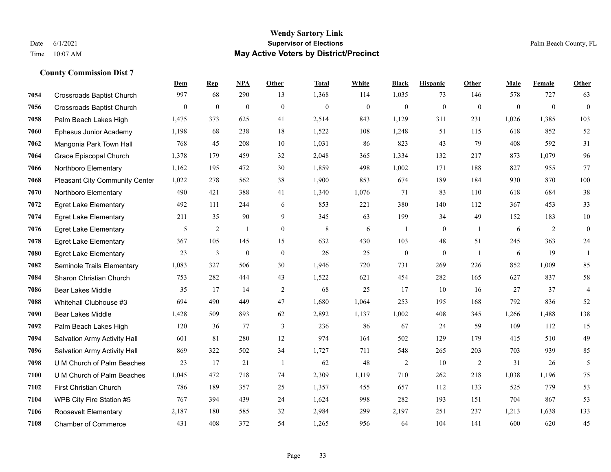#### **Wendy Sartory Link** Date 6/1/2021 **Supervisor of Elections** Palm Beach County, FL Time 10:07 AM **May Active Voters by District/Precinct**

**Dem Rep NPA Other Total White Black Hispanic Other Male Female Other**

# Crossroads Baptist Church 997 68 290 13 1,368 114 1,035 73 146 578 727 63 Crossroads Baptist Church 0 0 0 0 0 0 0 0 0 0 0 0 Palm Beach Lakes High 1,475 373 625 41 2,514 843 1,129 311 231 1,026 1,385 103 Ephesus Junior Academy 1,198 68 238 18 1,522 108 1,248 51 115 618 852 52 Mangonia Park Town Hall 768 45 208 10 1,031 86 823 43 79 408 592 31 Grace Episcopal Church 1,378 179 459 32 2,048 365 1,334 132 217 873 1,079 96 Northboro Elementary 1,162 195 472 30 1,859 498 1,002 171 188 827 955 77 Pleasant City Community Center 1,022 278 562 38 1,900 853 674 189 184 930 870 100 Northboro Elementary 490 421 388 41 1,340 1,076 71 83 110 618 684 38 Egret Lake Elementary 492 111 244 6 853 221 380 140 112 367 453 33 Egret Lake Elementary 211 35 90 9 345 63 199 34 49 152 183 10 Egret Lake Elementary **5** 2 1 0 8 6 1 0 1 6 2 0 Egret Lake Elementary 367 105 145 15 632 430 103 48 51 245 363 24 Egret Lake Elementary 23 3 0 0 26 25 0 0 1 6 19 1 Seminole Trails Elementary 1,083 327 506 30 1,946 720 731 269 226 852 1,009 85 Sharon Christian Church 753 282 444 43 1,522 621 454 282 165 627 837 58 Bear Lakes Middle 35 17 14 2 68 25 17 10 16 27 37 4 Whitehall Clubhouse #3 694 490 449 47 1,680 1,064 253 195 168 792 836 52 Bear Lakes Middle 1,428 509 893 62 2,892 1,137 1,002 408 345 1,266 1,488 138 Palm Beach Lakes High 120 36 77 3 236 86 67 24 59 109 112 15 Salvation Army Activity Hall 601 81 280 12 974 164 502 129 179 415 510 49 Salvation Army Activity Hall 869 322 502 34 1,727 711 548 265 203 703 939 85 U M Church of Palm Beaches 23 17 21 1 62 48 2 10 2 31 26 5 U M Church of Palm Beaches 1,045 472 718 74 2,309 1,119 710 262 218 1,038 1,196 75 First Christian Church 786 189 357 25 1,357 455 657 112 133 525 779 53 WPB City Fire Station #5 767 394 439 24 1,624 998 282 193 151 704 867 53

 Roosevelt Elementary 2,187 180 585 32 2,984 299 2,197 251 237 1,213 1,638 133 Chamber of Commerce 431 408 372 54 1,265 956 64 104 141 600 620 45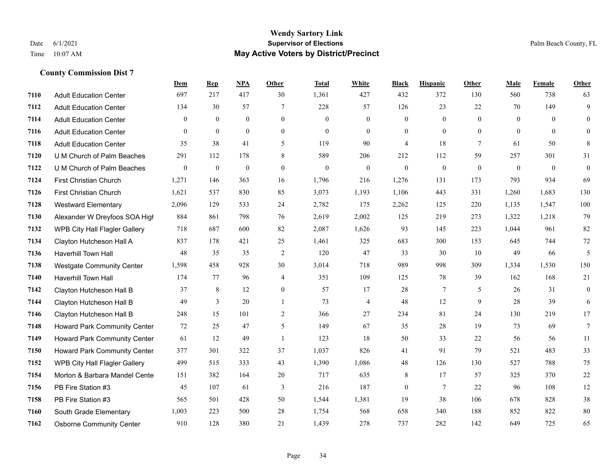## **Wendy Sartory Link** Date 6/1/2021 **Supervisor of Elections Supervisor of Elections** Palm Beach County, FL Time 10:07 AM **May Active Voters by District/Precinct**

|      |                                      | Dem              | <b>Rep</b>       | NPA              | Other        | <b>Total</b>   | White          | <b>Black</b>   | <b>Hispanic</b> | Other          | Male         | Female         | Other        |
|------|--------------------------------------|------------------|------------------|------------------|--------------|----------------|----------------|----------------|-----------------|----------------|--------------|----------------|--------------|
| 7110 | <b>Adult Education Center</b>        | 697              | 217              | 417              | 30           | 1,361          | 427            | 432            | 372             | 130            | 560          | 738            | 63           |
| 7112 | <b>Adult Education Center</b>        | 134              | 30               | 57               | 7            | 228            | 57             | 126            | 23              | 22             | 70           | 149            | 9            |
| 7114 | <b>Adult Education Center</b>        | $\boldsymbol{0}$ | $\boldsymbol{0}$ | $\mathbf{0}$     | $\mathbf{0}$ | $\overline{0}$ | $\mathbf{0}$   | 0              | $\mathbf{0}$    | $\overline{0}$ | $\mathbf{0}$ | $\overline{0}$ | $\mathbf{0}$ |
| 7116 | <b>Adult Education Center</b>        | $\theta$         | $\theta$         | $\theta$         | $\mathbf{0}$ | $\overline{0}$ | $\theta$       | $\overline{0}$ | $\theta$        | $\theta$       | $\theta$     | $\theta$       | $\Omega$     |
| 7118 | <b>Adult Education Center</b>        | 35               | 38               | 41               | 5            | 119            | 90             | 4              | 18              | 7              | 61           | 50             | 8            |
| 7120 | U M Church of Palm Beaches           | 291              | 112              | 178              | 8            | 589            | 206            | 212            | 112             | 59             | 257          | 301            | 31           |
| 7122 | U M Church of Palm Beaches           | $\boldsymbol{0}$ | $\boldsymbol{0}$ | $\boldsymbol{0}$ | $\mathbf{0}$ | $\mathbf{0}$   | $\mathbf{0}$   | $\mathbf{0}$   | $\mathbf{0}$    | $\mathbf{0}$   | $\mathbf{0}$ | $\overline{0}$ | $\mathbf{0}$ |
| 7124 | First Christian Church               | 1,271            | 146              | 363              | 16           | 1,796          | 216            | 1,276          | 131             | 173            | 793          | 934            | 69           |
| 7126 | First Christian Church               | 1,621            | 537              | 830              | 85           | 3,073          | 1,193          | 1,106          | 443             | 331            | 1,260        | 1,683          | 130          |
| 7128 | <b>Westward Elementary</b>           | 2,096            | 129              | 533              | 24           | 2,782          | 175            | 2,262          | 125             | 220            | 1,135        | 1,547          | 100          |
| 7130 | Alexander W Dreyfoos SOA High        | 884              | 861              | 798              | 76           | 2,619          | 2,002          | 125            | 219             | 273            | 1,322        | 1,218          | 79           |
| 7132 | WPB City Hall Flagler Gallery        | 718              | 687              | 600              | 82           | 2,087          | 1,626          | 93             | 145             | 223            | 1,044        | 961            | 82           |
| 7134 | Clayton Hutcheson Hall A             | 837              | 178              | 421              | 25           | 1,461          | 325            | 683            | 300             | 153            | 645          | 744            | 72           |
| 7136 | <b>Haverhill Town Hall</b>           | 48               | 35               | 35               | 2            | 120            | 47             | 33             | 30              | 10             | 49           | 66             | 5            |
| 7138 | <b>Westgate Community Center</b>     | 1,598            | 458              | 928              | 30           | 3,014          | 718            | 989            | 998             | 309            | 1,334        | 1,530          | 150          |
| 7140 | <b>Haverhill Town Hall</b>           | 174              | 77               | 96               | 4            | 351            | 109            | 125            | 78              | 39             | 162          | 168            | 21           |
| 7142 | Clayton Hutcheson Hall B             | 37               | 8                | 12               | $\mathbf{0}$ | 57             | 17             | 28             | 7               | 5              | 26           | 31             | $\mathbf{0}$ |
| 7144 | Clayton Hutcheson Hall B             | 49               | 3                | 20               |              | 73             | $\overline{4}$ | 48             | 12              | 9              | 28           | 39             | 6            |
| 7146 | Clayton Hutcheson Hall B             | 248              | 15               | 101              | 2            | 366            | 27             | 234            | 81              | 24             | 130          | 219            | 17           |
| 7148 | Howard Park Community Center         | 72               | 25               | 47               | 5            | 149            | 67             | 35             | 28              | 19             | 73           | 69             | 7            |
| 7149 | Howard Park Community Center         | 61               | 12               | 49               |              | 123            | 18             | 50             | 33              | 22             | 56           | 56             | 11           |
| 7150 | Howard Park Community Center         | 377              | 301              | 322              | 37           | 1,037          | 826            | 41             | 91              | 79             | 521          | 483            | 33           |
| 7152 | <b>WPB City Hall Flagler Gallery</b> | 499              | 515              | 333              | 43           | 1,390          | 1,086          | 48             | 126             | 130            | 527          | 788            | 75           |
| 7154 | Morton & Barbara Mandel Cente        | 151              | 382              | 164              | 20           | 717            | 635            | 8              | 17              | 57             | 325          | 370            | 22           |
| 7156 | PB Fire Station #3                   | 45               | 107              | 61               | 3            | 216            | 187            | $\mathbf{0}$   | $\tau$          | 22             | 96           | 108            | 12           |
| 7158 | PB Fire Station #3                   | 565              | 501              | 428              | 50           | 1,544          | 1,381          | 19             | 38              | 106            | 678          | 828            | 38           |
| 7160 | South Grade Elementary               | 1,003            | 223              | 500              | 28           | 1,754          | 568            | 658            | 340             | 188            | 852          | 822            | 80           |
| 7162 | <b>Osborne Community Center</b>      | 910              | 128              | 380              | 21           | 1,439          | 278            | 737            | 282             | 142            | 649          | 725            | 65           |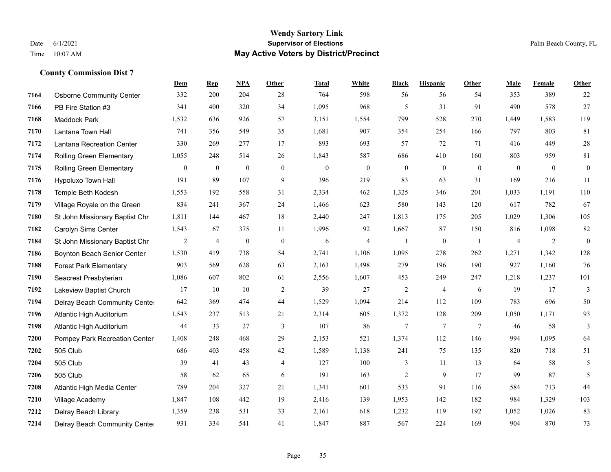## **Wendy Sartory Link** Date 6/1/2021 **Supervisor of Elections Supervisor of Elections** Palm Beach County, FL Time 10:07 AM **May Active Voters by District/Precinct**

|      |                                 | Dem          | $\mathbf{Rep}$   | NPA              | Other          | <b>Total</b> | White        | <b>Black</b>     | <b>Hispanic</b>  | <b>Other</b> | Male         | Female         | <b>Other</b>     |
|------|---------------------------------|--------------|------------------|------------------|----------------|--------------|--------------|------------------|------------------|--------------|--------------|----------------|------------------|
| 7164 | <b>Osborne Community Center</b> | 332          | 200              | 204              | 28             | 764          | 598          | 56               | 56               | 54           | 353          | 389            | 22               |
| 7166 | PB Fire Station #3              | 341          | 400              | 320              | 34             | 1,095        | 968          | 5                | 31               | 91           | 490          | 578            | 27               |
| 7168 | Maddock Park                    | 1,532        | 636              | 926              | 57             | 3,151        | 1,554        | 799              | 528              | 270          | 1,449        | 1,583          | 119              |
| 7170 | Lantana Town Hall               | 741          | 356              | 549              | 35             | 1,681        | 907          | 354              | 254              | 166          | 797          | 803            | 81               |
| 7172 | Lantana Recreation Center       | 330          | 269              | 277              | 17             | 893          | 693          | 57               | 72               | 71           | 416          | 449            | $28\,$           |
| 7174 | Rolling Green Elementary        | 1,055        | 248              | 514              | 26             | 1,843        | 587          | 686              | 410              | 160          | 803          | 959            | 81               |
| 7175 | <b>Rolling Green Elementary</b> | $\mathbf{0}$ | $\boldsymbol{0}$ | $\mathbf{0}$     | $\mathbf{0}$   | $\mathbf{0}$ | $\mathbf{0}$ | $\boldsymbol{0}$ | $\mathbf{0}$     | $\mathbf{0}$ | $\mathbf{0}$ | $\mathbf{0}$   | $\boldsymbol{0}$ |
| 7176 | Hypoluxo Town Hall              | 191          | 89               | 107              | 9              | 396          | 219          | 83               | 63               | 31           | 169          | 216            | 11               |
| 7178 | Temple Beth Kodesh              | 1,553        | 192              | 558              | 31             | 2,334        | 462          | 1,325            | 346              | 201          | 1,033        | 1,191          | $110\,$          |
| 7179 | Village Royale on the Green     | 834          | 241              | 367              | 24             | 1,466        | 623          | 580              | 143              | 120          | 617          | 782            | 67               |
| 7180 | St John Missionary Baptist Chr  | 1,811        | 144              | 467              | 18             | 2,440        | 247          | 1,813            | 175              | 205          | 1,029        | 1,306          | 105              |
| 7182 | Carolyn Sims Center             | 1,543        | 67               | 375              | 11             | 1,996        | 92           | 1,667            | 87               | 150          | 816          | 1,098          | $82\,$           |
| 7184 | St John Missionary Baptist Chr  | 2            | 4                | $\boldsymbol{0}$ | $\bf{0}$       | 6            | 4            | $\mathbf{1}$     | $\boldsymbol{0}$ | -1           | 4            | $\overline{2}$ | $\boldsymbol{0}$ |
| 7186 | Boynton Beach Senior Center     | 1,530        | 419              | 738              | 54             | 2,741        | 1,106        | 1,095            | 278              | 262          | 1,271        | 1,342          | 128              |
| 7188 | <b>Forest Park Elementary</b>   | 903          | 569              | 628              | 63             | 2,163        | 1,498        | 279              | 196              | 190          | 927          | 1,160          | 76               |
| 7190 | Seacrest Presbyterian           | 1,086        | 607              | 802              | 61             | 2,556        | 1,607        | 453              | 249              | 247          | 1,218        | 1,237          | 101              |
| 7192 | Lakeview Baptist Church         | 17           | 10               | 10               | 2              | 39           | 27           | $\overline{c}$   | $\overline{4}$   | 6            | 19           | 17             | $\overline{3}$   |
| 7194 | Delray Beach Community Cente    | 642          | 369              | 474              | 44             | 1,529        | 1,094        | 214              | 112              | 109          | 783          | 696            | 50               |
| 7196 | Atlantic High Auditorium        | 1,543        | 237              | 513              | 21             | 2,314        | 605          | 1,372            | 128              | 209          | 1,050        | 1,171          | 93               |
| 7198 | Atlantic High Auditorium        | 44           | 33               | 27               | 3              | 107          | 86           | 7                | $\tau$           | 7            | 46           | 58             | $\overline{3}$   |
| 7200 | Pompey Park Recreation Center   | 1,408        | 248              | 468              | 29             | 2,153        | 521          | 1,374            | 112              | 146          | 994          | 1,095          | 64               |
| 7202 | 505 Club                        | 686          | 403              | 458              | 42             | 1,589        | 1,138        | 241              | 75               | 135          | 820          | 718            | 51               |
| 7204 | 505 Club                        | 39           | 41               | 43               | $\overline{4}$ | 127          | 100          | 3                | 11               | 13           | 64           | 58             | $\mathfrak{H}$   |
| 7206 | 505 Club                        | 58           | 62               | 65               | 6              | 191          | 163          | $\overline{c}$   | 9                | 17           | 99           | 87             | 5                |
| 7208 | Atlantic High Media Center      | 789          | 204              | 327              | 21             | 1,341        | 601          | 533              | 91               | 116          | 584          | 713            | 44               |
| 7210 | Village Academy                 | 1,847        | 108              | 442              | 19             | 2,416        | 139          | 1,953            | 142              | 182          | 984          | 1,329          | 103              |
| 7212 | Delray Beach Library            | 1,359        | 238              | 531              | 33             | 2,161        | 618          | 1,232            | 119              | 192          | 1,052        | 1,026          | 83               |
| 7214 | Delray Beach Community Cente    | 931          | 334              | 541              | 41             | 1,847        | 887          | 567              | 224              | 169          | 904          | 870            | 73               |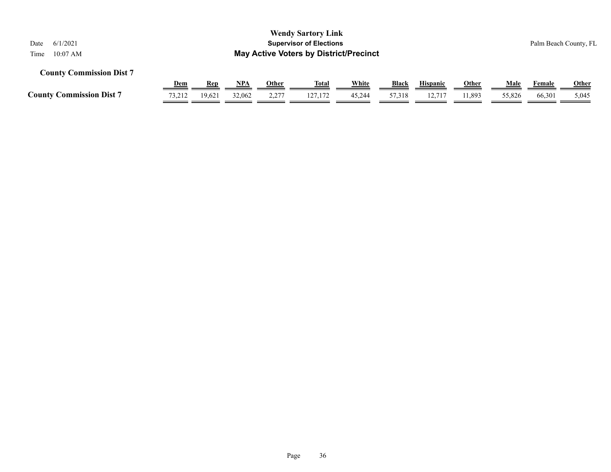| <b>Wendy Sartory Link</b><br>6/1/2021<br><b>Supervisor of Elections</b><br>Date<br><b>May Active Voters by District/Precinct</b><br>$10:07$ AM<br>Time |            |        |        |       |              |        |              |                 |              |        |        | Palm Beach County, FL |
|--------------------------------------------------------------------------------------------------------------------------------------------------------|------------|--------|--------|-------|--------------|--------|--------------|-----------------|--------------|--------|--------|-----------------------|
| <b>County Commission Dist 7</b>                                                                                                                        | <u>Dem</u> | Rep    | NPA    | Other | <u>Total</u> | White  | <b>Black</b> | <b>Hispanic</b> | <b>Other</b> | Male   | Female | <b>Other</b>          |
| <b>County Commission Dist 7</b>                                                                                                                        | 73,212     | 19,621 | 32,062 | 2,277 | 127.172      | 45,244 | 57,318       | 12.717          | 11,893       | 55,826 | 66,301 | 5,045                 |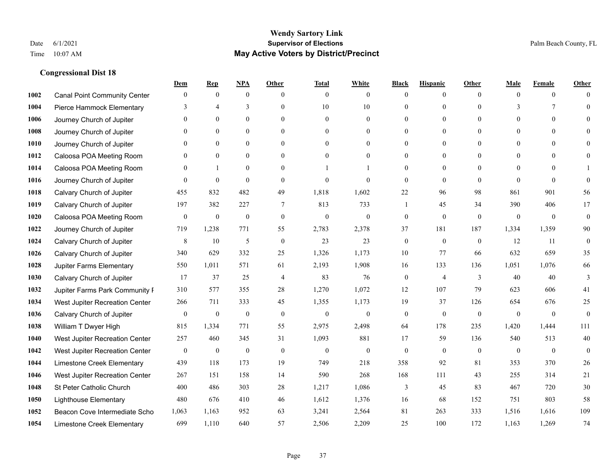|      |                                     | Dem          | <b>Rep</b>       | NPA              | <b>Other</b>   | <b>Total</b>     | <b>White</b>     | <b>Black</b>   | <b>Hispanic</b> | <b>Other</b>   | <b>Male</b>    | <b>Female</b>  | <b>Other</b> |
|------|-------------------------------------|--------------|------------------|------------------|----------------|------------------|------------------|----------------|-----------------|----------------|----------------|----------------|--------------|
| 1002 | <b>Canal Point Community Center</b> | $\mathbf{0}$ | $\mathbf{0}$     | $\boldsymbol{0}$ | $\theta$       | $\mathbf{0}$     | $\overline{0}$   | $\mathbf{0}$   | $\mathbf{0}$    | $\theta$       | $\theta$       | $\overline{0}$ | $\Omega$     |
| 1004 | Pierce Hammock Elementary           | 3            | $\overline{4}$   | 3                | $\theta$       | 10               | 10               | $\theta$       | $\mathbf{0}$    | $\Omega$       | 3              | $\tau$         | $\theta$     |
| 1006 | Journey Church of Jupiter           | $\theta$     | $\mathbf{0}$     | $\mathbf{0}$     | $\theta$       | $\mathbf{0}$     | $\overline{0}$   | $\theta$       | $\mathbf{0}$    | $\Omega$       | $\theta$       | $\theta$       | $\Omega$     |
| 1008 | Journey Church of Jupiter           | $\Omega$     | $\mathbf{0}$     | $\mathbf{0}$     | $\mathbf{0}$   | $\theta$         | $\mathbf{0}$     | $\overline{0}$ | $\mathbf{0}$    | $\Omega$       | $\mathbf{0}$   | $\theta$       |              |
| 1010 | Journey Church of Jupiter           | $\Omega$     | $\theta$         | $\mathbf{0}$     | $\Omega$       | $\Omega$         | $\Omega$         | $\theta$       | $\theta$        | $\Omega$       | $\theta$       | $\Omega$       | $\Omega$     |
| 1012 | Caloosa POA Meeting Room            | $\mathbf{0}$ | $\mathbf{0}$     | $\mathbf{0}$     | $\theta$       | $\theta$         | $\boldsymbol{0}$ | $\overline{0}$ | $\mathbf{0}$    | $\Omega$       | $\overline{0}$ | $\Omega$       | $\theta$     |
| 1014 | Caloosa POA Meeting Room            | $\Omega$     | -1               | $\mathbf{0}$     | $\theta$       |                  |                  | $\mathbf{0}$   | $\mathbf{0}$    | $\Omega$       | $\theta$       | $\theta$       |              |
| 1016 | Journey Church of Jupiter           | $\Omega$     | $\theta$         | $\theta$         | $\Omega$       | $\theta$         | $\theta$         | $\theta$       | $\theta$        | $\Omega$       | $\Omega$       | $\Omega$       | $\Omega$     |
| 1018 | Calvary Church of Jupiter           | 455          | 832              | 482              | 49             | 1,818            | 1,602            | 22             | 96              | 98             | 861            | 901            | 56           |
| 1019 | Calvary Church of Jupiter           | 197          | 382              | 227              | 7              | 813              | 733              | 1              | 45              | 34             | 390            | 406            | 17           |
| 1020 | Caloosa POA Meeting Room            | $\mathbf{0}$ | $\mathbf{0}$     | $\mathbf{0}$     | $\theta$       | $\mathbf{0}$     | $\mathbf{0}$     | $\mathbf{0}$   | $\theta$        | $\theta$       | $\theta$       | $\theta$       | $\mathbf{0}$ |
| 1022 | Journey Church of Jupiter           | 719          | 1,238            | 771              | 55             | 2,783            | 2,378            | 37             | 181             | 187            | 1,334          | 1,359          | 90           |
| 1024 | Calvary Church of Jupiter           | 8            | 10               | 5                | $\mathbf{0}$   | 23               | 23               | $\mathbf{0}$   | $\mathbf{0}$    | $\theta$       | 12             | 11             | $\mathbf{0}$ |
| 1026 | Calvary Church of Jupiter           | 340          | 629              | 332              | 25             | 1,326            | 1,173            | 10             | 77              | 66             | 632            | 659            | 35           |
| 1028 | Jupiter Farms Elementary            | 550          | 1,011            | 571              | 61             | 2,193            | 1,908            | 16             | 133             | 136            | 1,051          | 1,076          | 66           |
| 1030 | Calvary Church of Jupiter           | 17           | 37               | 25               | $\overline{4}$ | 83               | 76               | $\mathbf{0}$   | $\overline{4}$  | 3              | 40             | 40             | 3            |
| 1032 | Jupiter Farms Park Community F      | 310          | 577              | 355              | 28             | 1,270            | 1,072            | 12             | 107             | 79             | 623            | 606            | 41           |
| 1034 | West Jupiter Recreation Center      | 266          | 711              | 333              | 45             | 1,355            | 1,173            | 19             | 37              | 126            | 654            | 676            | 25           |
| 1036 | Calvary Church of Jupiter           | $\mathbf{0}$ | $\boldsymbol{0}$ | $\boldsymbol{0}$ | $\mathbf{0}$   | $\boldsymbol{0}$ | $\boldsymbol{0}$ | $\mathbf{0}$   | $\mathbf{0}$    | $\overline{0}$ | $\mathbf{0}$   | $\mathbf{0}$   | $\mathbf{0}$ |
| 1038 | William T Dwyer High                | 815          | 1,334            | 771              | 55             | 2,975            | 2,498            | 64             | 178             | 235            | 1,420          | 1,444          | 111          |
| 1040 | West Jupiter Recreation Center      | 257          | 460              | 345              | 31             | 1,093            | 881              | 17             | 59              | 136            | 540            | 513            | 40           |
| 1042 | West Jupiter Recreation Center      | $\mathbf{0}$ | $\boldsymbol{0}$ | $\mathbf{0}$     | $\mathbf{0}$   | $\theta$         | $\mathbf{0}$     | $\mathbf{0}$   | $\mathbf{0}$    | $\mathbf{0}$   | $\mathbf{0}$   | $\theta$       | $\mathbf{0}$ |
| 1044 | Limestone Creek Elementary          | 439          | 118              | 173              | 19             | 749              | 218              | 358            | 92              | 81             | 353            | 370            | 26           |
| 1046 | West Jupiter Recreation Center      | 267          | 151              | 158              | 14             | 590              | 268              | 168            | 111             | 43             | 255            | 314            | 21           |
| 1048 | St Peter Catholic Church            | 400          | 486              | 303              | 28             | 1,217            | 1,086            | 3              | 45              | 83             | 467            | 720            | 30           |
| 1050 | <b>Lighthouse Elementary</b>        | 480          | 676              | 410              | 46             | 1,612            | 1,376            | 16             | 68              | 152            | 751            | 803            | 58           |
| 1052 | Beacon Cove Intermediate Scho       | 1,063        | 1,163            | 952              | 63             | 3,241            | 2,564            | 81             | 263             | 333            | 1,516          | 1,616          | 109          |
| 1054 | Limestone Creek Elementary          | 699          | 1,110            | 640              | 57             | 2,506            | 2,209            | 25             | 100             | 172            | 1,163          | 1,269          | 74           |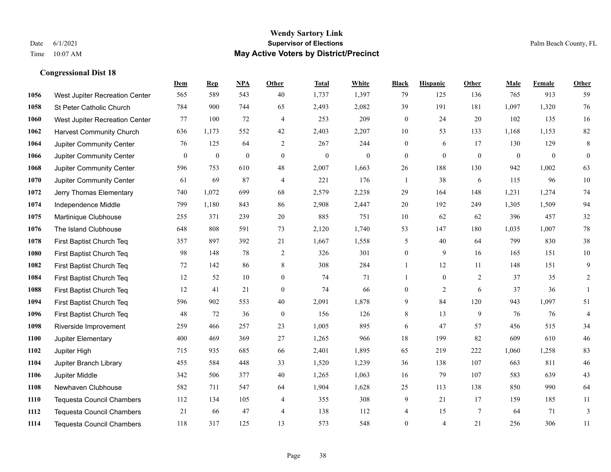#### **Wendy Sartory Link** Date 6/1/2021 **Supervisor of Elections** Palm Beach County, FL Time 10:07 AM **May Active Voters by District/Precinct**

# **Dem Rep NPA Other Total White Black Hispanic Other Male Female Other** West Jupiter Recreation Center 565 589 543 40 1,737 1,397 79 125 136 765 913 59 St Peter Catholic Church 784 900 744 65 2,493 2,082 39 191 181 1,097 1,320 76 West Jupiter Recreation Center 77 100 72 4 253 209 0 24 20 102 135 16 Harvest Community Church 636 1,173 552 42 2,403 2,207 10 53 133 1,168 1,153 82 Jupiter Community Center  $\begin{array}{cccc} 76 & 125 & 64 & 2 & 267 & 244 & 0 & 6 & 17 & 130 & 129 & 8 \end{array}$  Jupiter Community Center 0 0 0 0 0 0 0 0 0 0 0 0 Jupiter Community Center 596 753 610 48 2,007 1,663 26 188 130 942 1,002 63 Jupiter Community Center 61 69 87 4 221 176 1 38 6 115 96 10 Jerry Thomas Elementary 740 1,072 699 68 2,579 2,238 29 164 148 1,231 1,274 74 Independence Middle 799 1,180 843 86 2,908 2,447 20 192 249 1,305 1,509 94 Martinique Clubhouse 255 371 239 20 885 751 10 62 62 396 457 32 The Island Clubhouse 648 808 591 73 2,120 1,740 53 147 180 1,035 1,007 78 First Baptist Church Teq 357 897 392 21 1,667 1,558 5 40 64 799 830 38 First Baptist Church Teq 98 148 78 2 326 301 0 9 16 165 151 10 First Baptist Church Teq 72 142 86 8 308 284 1 12 11 148 151 9 First Baptist Church Teq **12** 52 10 0 74 71 1 0 2 37 35 2 First Baptist Church Teq 12 41 21 0 74 66 0 2 6 37 36 1 First Baptist Church Teq 596 902 553 40 2,091 1,878 9 84 120 943 1,097 51 First Baptist Church Teq 48 72 36 0 156 126 8 13 9 76 76 4 Riverside Improvement 259 466 257 23 1,005 895 6 47 57 456 515 34 Jupiter Elementary 400 469 369 27 1,265 966 18 199 82 609 610 46 Jupiter High 715 935 685 66 2,401 1,895 65 219 222 1,060 1,258 83 Jupiter Branch Library 455 584 448 33 1,520 1,239 36 138 107 663 811 46 Jupiter Middle 342 506 377 40 1,265 1,063 16 79 107 583 639 43 Newhaven Clubhouse 582 711 547 64 1,904 1,628 25 113 138 850 990 64 Tequesta Council Chambers 112 134 105 4 355 308 9 21 17 159 185 11 Tequesta Council Chambers 21 66 47 4 138 112 4 15 7 64 71 3 Tequesta Council Chambers 118 317 125 13 573 548 0 4 21 256 306 11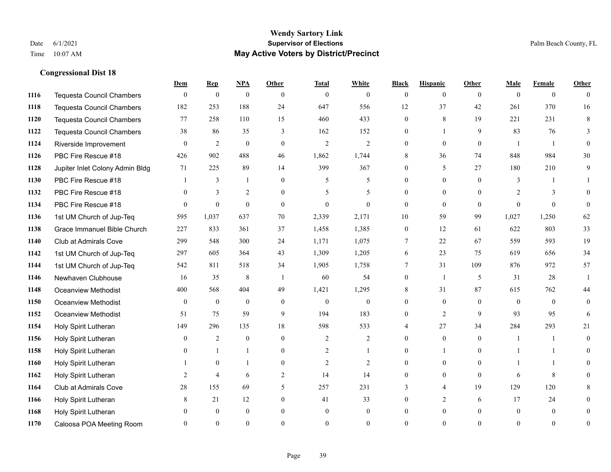#### **Wendy Sartory Link** Date 6/1/2021 **Supervisor of Elections** Palm Beach County, FL Time 10:07 AM **May Active Voters by District/Precinct**

**Dem Rep NPA Other Total White Black Hispanic Other Male Female Other**

# Tequesta Council Chambers 0 0 0 0 0 0 0 0 0 0 0 0 Tequesta Council Chambers 182 253 188 24 647 556 12 37 42 261 370 16 Tequesta Council Chambers 77 258 110 15 460 433 0 8 19 221 231 8 Tequesta Council Chambers 38 86 35 3 162 152 0 1 9 83 76 3 Riverside Improvement 0 0 2 0 0 2 2 2 0 0 0 0 1 1 0 PBC Fire Rescue #18 **426** 902 488 46 1,862 1,744 8 36 74 848 984 30 Jupiter Inlet Colony Admin Bldg 71 225 89 14 399 367 0 5 27 180 210 9 PBC Fire Rescue #18 **1** 3 1 0 5 5 0 0 0 3 1 1 1132 PBC Fire Rescue #18 0 3 2 0 5 5 0 0 0 2 3 0 PBC Fire Rescue #18 0 0 0 0 0 0 0 0 0 0 0 0 1st UM Church of Jup-Teq 595 1,037 637 70 2,339 2,171 10 59 99 1,027 1,250 62 Grace Immanuel Bible Church 227 833 361 37 1,458 1,385 0 12 61 622 803 33 Club at Admirals Cove 299 548 300 24 1,171 1,075 7 22 67 559 593 19 1st UM Church of Jup-Teq 297 605 364 43 1,309 1,205 6 23 75 619 656 34 1st UM Church of Jup-Teq 542 811 518 34 1,905 1,758 7 31 109 876 972 57 Newhaven Clubhouse 16 35 8 1 60 54 0 1 5 31 28 1 Oceanview Methodist 400 568 404 49 1,421 1,295 8 31 87 615 762 44 Oceanview Methodist 0 0 0 0 0 0 0 0 0 0 0 0 Oceanview Methodist 51 75 59 9 194 183 0 2 9 93 95 6 Holy Spirit Lutheran 149 296 135 18 598 533 4 27 34 284 293 21 Holy Spirit Lutheran **0** 2 0 0 2 2 2 0 0 0 1 1 0 Holy Spirit Lutheran **0** 1 1 0 2 1 0 1 0 1 1 0 Holy Spirit Lutheran 1 0 1 0 2 2 0 0 0 1 1 0 Holy Spirit Lutheran 2 4 6 2 14 14 0 0 0 6 8 0 Club at Admirals Cove 28 155 69 5 257 231 3 4 19 129 120 8 Holy Spirit Lutheran **8** 21 12 0 41 33 0 2 6 17 24 0

 Holy Spirit Lutheran 0 0 0 0 0 0 0 0 0 0 0 0 Caloosa POA Meeting Room 0 0 0 0 0 0 0 0 0 0 0 0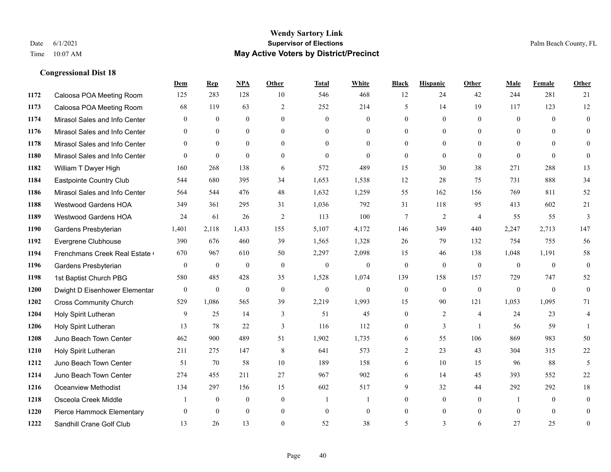#### **Wendy Sartory Link** Date 6/1/2021 **Supervisor of Elections** Palm Beach County, FL Time 10:07 AM **May Active Voters by District/Precinct**

# **Dem Rep NPA Other Total White Black Hispanic Other Male Female Other** Caloosa POA Meeting Room 125 283 128 10 546 468 12 24 42 244 281 21 Caloosa POA Meeting Room 68 119 63 2 252 214 5 14 19 117 123 12 Mirasol Sales and Info Center 0 0 0 0 0 0 0 0 0 0 0 0 Mirasol Sales and Info Center 0 0 0 0 0 0 0 0 0 0 0 0 Mirasol Sales and Info Center 0 0 0 0 0 0 0 0 0 0 0 0 Mirasol Sales and Info Center 0 0 0 0 0 0 0 0 0 0 0 0 William T Dwyer High 160 268 138 6 572 489 15 30 38 271 288 13 Eastpointe Country Club 544 680 395 34 1,653 1,538 12 28 75 731 888 34 Mirasol Sales and Info Center 564 544 476 48 1,632 1,259 55 162 156 769 811 52 Westwood Gardens HOA 349 361 295 31 1,036 792 31 118 95 413 602 21 Westwood Gardens HOA 24 61 26 2 113 100 7 2 4 55 55 3 Gardens Presbyterian 1,401 2,118 1,433 155 5,107 4,172 146 349 440 2,247 2,713 147 Evergrene Clubhouse 390 676 460 39 1,565 1,328 26 79 132 754 755 56 1194 Frenchmans Creek Real Estate 670 967 610 50 2,297 2,098 15 46 138 1,048 1,191 58 Gardens Presbyterian 0 0 0 0 0 0 0 0 0 0 0 0 1st Baptist Church PBG 580 485 428 35 1,528 1,074 139 158 157 729 747 52 Dwight D Eisenhower Elementary 0 0 0 0 0 0 0 0 0 0 0 0 Cross Community Church 529 1,086 565 39 2,219 1,993 15 90 121 1,053 1,095 71 Holy Spirit Lutheran 9 25 14 3 51 45 0 2 4 24 23 4 Holy Spirit Lutheran **13** 78 22 3 116 112 0 3 1 56 59 1 Juno Beach Town Center 462 900 489 51 1,902 1,735 6 55 106 869 983 50 Holy Spirit Lutheran 211 275 147 8 641 573 2 23 43 304 315 22 Juno Beach Town Center 51 70 58 10 189 158 6 10 15 96 88 5 Juno Beach Town Center 274 455 211 27 967 902 6 14 45 393 552 22 Oceanview Methodist 134 297 156 15 602 517 9 32 44 292 292 18 Osceola Creek Middle  $\begin{array}{cccccccc} 1 & 0 & 0 & 0 & 1 & 1 & 0 & 0 & 0 \end{array}$  Pierce Hammock Elementary 0 0 0 0 0 0 0 0 0 0 0 0 Sandhill Crane Golf Club 13 26 13 0 52 38 5 3 6 27 25 0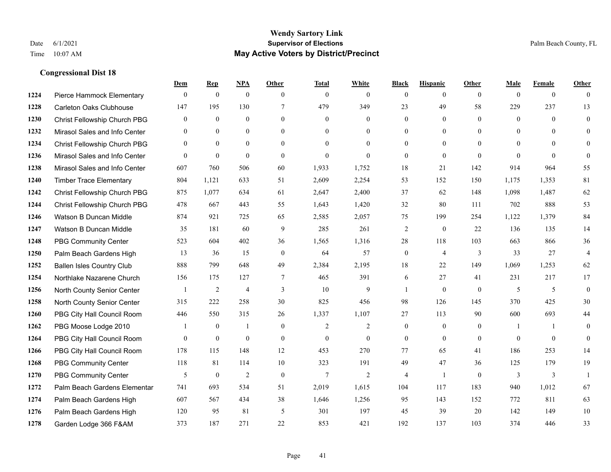#### **Wendy Sartory Link** Date 6/1/2021 **Supervisor of Elections** Palm Beach County, FL Time 10:07 AM **May Active Voters by District/Precinct**

# **Dem Rep NPA Other Total White Black Hispanic Other Male Female Other** Pierce Hammock Elementary 0 0 0 0 0 0 0 0 0 0 0 0 Carleton Oaks Clubhouse 147 195 130 7 479 349 23 49 58 229 237 13 Christ Fellowship Church PBG 0 0 0 0 0 0 0 0 0 0 0 0 Mirasol Sales and Info Center 0 0 0 0 0 0 0 0 0 0 0 0 Christ Fellowship Church PBG 0 0 0 0 0 0 0 0 0 0 0 0 Mirasol Sales and Info Center 0 0 0 0 0 0 0 0 0 0 0 0 Mirasol Sales and Info Center 607 760 506 60 1,933 1,752 18 21 142 914 964 55 Timber Trace Elementary 804 1,121 633 51 2,609 2,254 53 152 150 1,175 1,353 81 Christ Fellowship Church PBG 875 1,077 634 61 2,647 2,400 37 62 148 1,098 1,487 62 Christ Fellowship Church PBG 478 667 443 55 1,643 1,420 32 80 111 702 888 53 Watson B Duncan Middle 874 921 725 65 2,585 2,057 75 199 254 1,122 1,379 84 Watson B Duncan Middle 35 181 60 9 285 261 2 0 22 136 135 14 PBG Community Center 523 604 402 36 1,565 1,316 28 118 103 663 866 36 Palm Beach Gardens High 13 36 15 0 64 57 0 4 3 33 27 4 Ballen Isles Country Club 888 799 648 49 2,384 2,195 18 22 149 1,069 1,253 62 Northlake Nazarene Church 156 175 127 7 465 391 6 27 41 231 217 17 North County Senior Center 1 2 4 3 10 9 1 0 0 5 5 5 0 North County Senior Center 315 222 258 30 825 456 98 126 145 370 425 30 PBG City Hall Council Room 446 550 315 26 1,337 1,107 27 113 90 600 693 44 PBG Moose Lodge 2010 1 0 1 0 1 0 2 2 0 0 0 1 1 0 PBG City Hall Council Room 0 0 0 0 0 0 0 0 0 0 0 0 PBG City Hall Council Room 178 115 148 12 453 270 77 65 41 186 253 14 PBG Community Center 118 81 114 10 323 191 49 47 36 125 179 19 PBG Community Center 5 0 2 0 7 2 4 1 0 3 3 1 Palm Beach Gardens Elementary 741 693 534 51 2,019 1,615 104 117 183 940 1,012 67 Palm Beach Gardens High 607 567 434 38 1,646 1,256 95 143 152 772 811 63 Palm Beach Gardens High 120 95 81 5 301 197 45 39 20 142 149 10 Garden Lodge 366 F&AM 373 187 271 22 853 421 192 137 103 374 446 33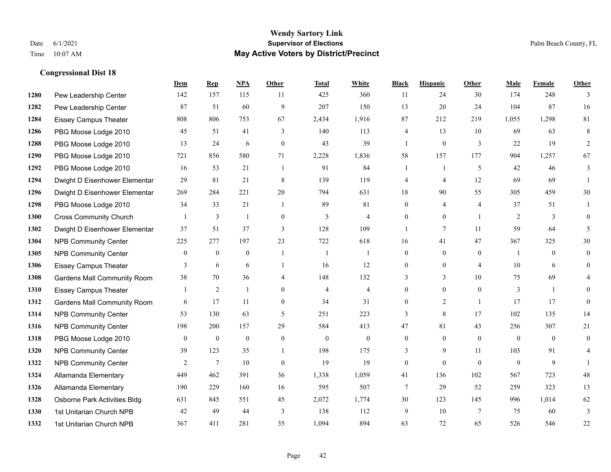|      |                                    | Dem            | <b>Rep</b>       | NPA              | <b>Other</b>   | <b>Total</b>   | <b>White</b>             | <b>Black</b>     | <b>Hispanic</b>  | <b>Other</b>     | <b>Male</b> | Female       | <b>Other</b>   |
|------|------------------------------------|----------------|------------------|------------------|----------------|----------------|--------------------------|------------------|------------------|------------------|-------------|--------------|----------------|
| 1280 | Pew Leadership Center              | 142            | 157              | 115              | 11             | 425            | 360                      | 11               | 24               | 30               | 174         | 248          | 3              |
| 1282 | Pew Leadership Center              | 87             | 51               | 60               | 9              | 207            | 150                      | 13               | 20               | 24               | 104         | 87           | 16             |
| 1284 | <b>Eissey Campus Theater</b>       | 808            | 806              | 753              | 67             | 2,434          | 1,916                    | 87               | 212              | 219              | 1,055       | 1,298        | 81             |
| 1286 | PBG Moose Lodge 2010               | 45             | 51               | 41               | 3              | 140            | 113                      | 4                | 13               | 10               | 69          | 63           | 8              |
| 1288 | PBG Moose Lodge 2010               | 13             | 24               | 6                | $\theta$       | 43             | 39                       | $\mathbf{1}$     | $\overline{0}$   | 3                | 22          | 19           | 2              |
| 1290 | PBG Moose Lodge 2010               | 721            | 856              | 580              | 71             | 2,228          | 1,836                    | 58               | 157              | 177              | 904         | 1,257        | 67             |
| 1292 | PBG Moose Lodge 2010               | 16             | 53               | 21               | -1             | 91             | 84                       |                  | $\mathbf{1}$     | 5                | 42          | 46           | 3              |
| 1294 | Dwight D Eisenhower Elementar      | 29             | 81               | 21               | 8              | 139            | 119                      | 4                | 4                | 12               | 69          | 69           |                |
| 1296 | Dwight D Eisenhower Elementar      | 269            | 284              | 221              | 20             | 794            | 631                      | 18               | 90               | 55               | 305         | 459          | 30             |
| 1298 | PBG Moose Lodge 2010               | 34             | 33               | 21               | $\overline{1}$ | 89             | 81                       | $\overline{0}$   | 4                | $\overline{4}$   | 37          | 51           | $\mathbf{1}$   |
| 1300 | <b>Cross Community Church</b>      |                | 3                | $\mathbf{1}$     | $\theta$       | 5              | $\overline{4}$           | $\Omega$         | $\Omega$         | $\overline{1}$   | 2           | 3            | $\Omega$       |
| 1302 | Dwight D Eisenhower Elementar      | 37             | 51               | 37               | 3              | 128            | 109                      | 1                | 7                | 11               | 59          | 64           | 5              |
| 1304 | <b>NPB Community Center</b>        | 225            | 277              | 197              | 23             | 722            | 618                      | 16               | 41               | 47               | 367         | 325          | 30             |
| 1305 | <b>NPB Community Center</b>        | $\bf{0}$       | $\boldsymbol{0}$ | $\boldsymbol{0}$ | $\overline{1}$ | $\overline{1}$ | 1                        | $\boldsymbol{0}$ | $\boldsymbol{0}$ | $\boldsymbol{0}$ | -1          | $\mathbf{0}$ | $\overline{0}$ |
| 1306 | <b>Eissey Campus Theater</b>       | 3              | 6                | 6                |                | 16             | 12                       | $\overline{0}$   | $\overline{0}$   | $\overline{4}$   | 10          | 6            | $\overline{0}$ |
| 1308 | <b>Gardens Mall Community Room</b> | 38             | 70               | 36               | 4              | 148            | 132                      | 3                | 3                | 10               | 75          | 69           |                |
| 1310 | <b>Eissey Campus Theater</b>       |                | $\mathfrak{2}$   | $\mathbf{1}$     | $\mathbf{0}$   | $\overline{4}$ | $\overline{\mathcal{L}}$ | $\boldsymbol{0}$ | $\boldsymbol{0}$ | $\mathbf{0}$     | 3           | $\mathbf{1}$ | $\Omega$       |
| 1312 | <b>Gardens Mall Community Room</b> | 6              | 17               | 11               | $\theta$       | 34             | 31                       | $\overline{0}$   | $\overline{2}$   |                  | 17          | 17           | $\overline{0}$ |
| 1314 | <b>NPB Community Center</b>        | 53             | 130              | 63               | 5              | 251            | 223                      | 3                | 8                | 17               | 102         | 135          | 14             |
| 1316 | <b>NPB Community Center</b>        | 198            | 200              | 157              | 29             | 584            | 413                      | 47               | 81               | 43               | 256         | 307          | 21             |
| 1318 | PBG Moose Lodge 2010               | $\overline{0}$ | $\mathbf{0}$     | $\theta$         | $\theta$       | $\mathbf{0}$   | $\mathbf{0}$             | $\overline{0}$   | $\Omega$         | $\theta$         | $\theta$    | $\theta$     | $\overline{0}$ |
| 1320 | <b>NPB Community Center</b>        | 39             | 123              | 35               | $\overline{1}$ | 198            | 175                      | 3                | 9                | 11               | 103         | 91           |                |
| 1322 | <b>NPB Community Center</b>        | 2              | $\tau$           | 10               | $\overline{0}$ | 19             | 19                       | $\overline{0}$   | $\overline{0}$   | $\theta$         | 9           | 9            |                |
| 1324 | Allamanda Elementary               | 449            | 462              | 391              | 36             | 1,338          | 1,059                    | 41               | 136              | 102              | 567         | 723          | 48             |
| 1326 | Allamanda Elementary               | 190            | 229              | 160              | 16             | 595            | 507                      | $\overline{7}$   | 29               | 52               | 259         | 323          | 13             |
| 1328 | Osborne Park Activities Bldg       | 631            | 845              | 551              | 45             | 2,072          | 1,774                    | 30               | 123              | 145              | 996         | 1,014        | 62             |
| 1330 | 1st Unitarian Church NPB           | 42             | 49               | 44               | 3              | 138            | 112                      | 9                | 10               | $\overline{7}$   | 75          | 60           | 3              |
| 1332 | 1st Unitarian Church NPB           | 367            | 411              | 281              | 35             | 1,094          | 894                      | 63               | 72               | 65               | 526         | 546          | 22             |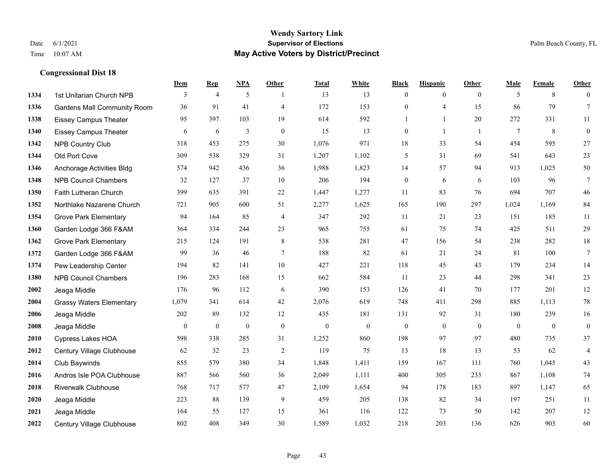#### **Wendy Sartory Link** Date 6/1/2021 **Supervisor of Elections** Palm Beach County, FL Time 10:07 AM **May Active Voters by District/Precinct**

# **Dem Rep NPA Other Total White Black Hispanic Other Male Female Other** 1334 1st Unitarian Church NPB 3 4 5 1 13 13 0 0 0 5 8 0 Gardens Mall Community Room 36 91 41 4 172 153 0 4 15 86 79 7 Eissey Campus Theater **95** 95 397 103 19 614 592 1 1 20 272 331 11 Eissey Campus Theater 6 6 6 3 0 15 13 0 1 1 7 8 0 NPB Country Club 318 453 275 30 1,076 971 18 33 54 454 595 27 Old Port Cove 309 538 329 31 1,207 1,102 5 31 69 541 643 23 Anchorage Activities Bldg 574 942 436 36 1,988 1,823 14 57 94 913 1,025 50 NPB Council Chambers 32 127 37 10 206 194 0 6 6 103 96 7 Faith Lutheran Church 399 635 391 22 1,447 1,277 11 83 76 694 707 46 Northlake Nazarene Church 721 905 600 51 2,277 1,625 165 190 297 1,024 1,169 84 Grove Park Elementary 94 164 85 4 347 292 11 21 23 151 185 11 Garden Lodge 366 F&AM 364 334 244 23 965 755 61 75 74 425 511 29 Grove Park Elementary 215 124 191 8 538 281 47 156 54 238 282 18 Garden Lodge 366 F&AM 99 36 46 7 188 82 61 21 24 81 100 7 Pew Leadership Center 194 82 141 10 427 221 118 45 43 179 234 14 NPB Council Chambers 196 283 168 15 662 584 11 23 44 298 341 23 Jeaga Middle 176 96 112 6 390 153 126 41 70 177 201 12 Grassy Waters Elementary 1,079 341 614 42 2,076 619 748 411 298 885 1,113 78 Jeaga Middle 202 89 132 12 435 181 131 92 31 180 239 16 Jeaga Middle 0 0 0 0 0 0 0 0 0 0 0 0 Cypress Lakes HOA 598 338 285 31 1,252 860 198 97 97 480 735 37 Century Village Clubhouse 62 32 23 2 119 75 13 18 13 53 62 4 Club Baywinds 855 579 380 34 1,848 1,411 159 167 111 760 1,045 43 Andros Isle POA Clubhouse 887 566 560 36 2,049 1,111 400 305 233 867 1,108 74 Riverwalk Clubhouse 768 717 577 47 2,109 1,654 94 178 183 897 1,147 65 Jeaga Middle 223 88 139 9 459 205 138 82 34 197 251 11 Jeaga Middle 164 55 127 15 361 116 122 73 50 142 207 12 Century Village Clubhouse 802 408 349 30 1,589 1,032 218 203 136 626 903 60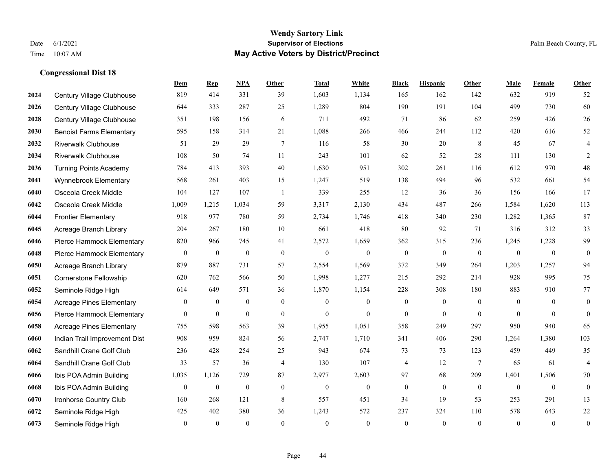#### **Wendy Sartory Link** Date 6/1/2021 **Supervisor of Elections** Palm Beach County, FL Time 10:07 AM **May Active Voters by District/Precinct**

# **Dem Rep NPA Other Total White Black Hispanic Other Male Female Other** Century Village Clubhouse 819 414 331 39 1,603 1,134 165 162 142 632 919 52 Century Village Clubhouse 644 333 287 25 1,289 804 190 191 104 499 730 60 Century Village Clubhouse 351 198 156 6 711 492 71 86 62 259 426 26 Benoist Farms Elementary 595 158 314 21 1,088 266 466 244 112 420 616 52 Riverwalk Clubhouse 51 29 29 7 116 58 30 20 8 45 67 4 Riverwalk Clubhouse 108 50 74 11 243 101 62 52 28 111 130 2 Turning Points Academy 784 413 393 40 1,630 951 302 261 116 612 970 48 Wynnebrook Elementary 568 261 403 15 1,247 519 138 494 96 532 661 54 Osceola Creek Middle 104 127 107 1 339 255 12 36 36 156 166 17 Osceola Creek Middle 1,009 1,215 1,034 59 3,317 2,130 434 487 266 1,584 1,620 113 Frontier Elementary 918 977 780 59 2,734 1,746 418 340 230 1,282 1,365 87 Acreage Branch Library 204 267 180 10 661 418 80 92 71 316 312 33 Pierce Hammock Elementary 820 966 745 41 2,572 1,659 362 315 236 1,245 1,228 99 Pierce Hammock Elementary 0 0 0 0 0 0 0 0 0 0 0 0 Acreage Branch Library 879 887 731 57 2,554 1,569 372 349 264 1,203 1,257 94 Cornerstone Fellowship 620 762 566 50 1,998 1,277 215 292 214 928 995 75 Seminole Ridge High 614 649 571 36 1,870 1,154 228 308 180 883 910 77 Acreage Pines Elementary 0 0 0 0 0 0 0 0 0 0 0 0 Pierce Hammock Elementary 0 0 0 0 0 0 0 0 0 0 0 0 Acreage Pines Elementary 755 598 563 39 1,955 1,051 358 249 297 950 940 65 Indian Trail Improvement Dist 908 959 824 56 2,747 1,710 341 406 290 1,264 1,380 103 Sandhill Crane Golf Club 236 428 254 25 943 674 73 73 123 459 449 35 Sandhill Crane Golf Club 33 57 36 4 130 107 4 12 7 65 61 4 Ibis POA Admin Building 1,035 1,126 729 87 2,977 2,603 97 68 209 1,401 1,506 70 Ibis POA Admin Building 0 0 0 0 0 0 0 0 0 0 0 0 Ironhorse Country Club 160 268 121 8 557 451 34 19 53 253 291 13 Seminole Ridge High 425 402 380 36 1,243 572 237 324 110 578 643 22 Seminole Ridge High 0 0 0 0 0 0 0 0 0 0 0 0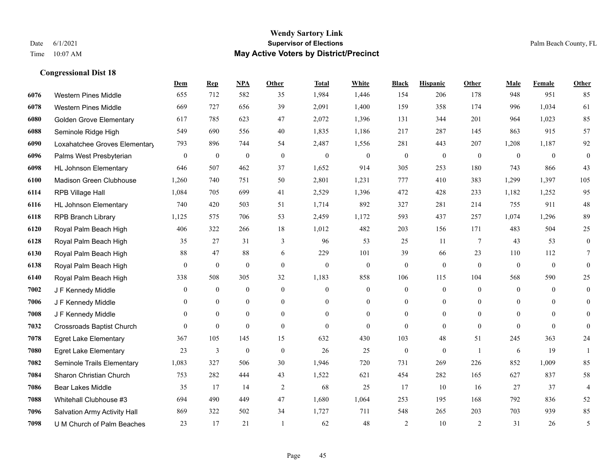**Dem Rep NPA Other Total White Black Hispanic Other Male Female Other**

| 6076 | <b>Western Pines Middle</b>      | 655          | 712              | 582              | 35             | 1,984          | 1,446            | 154              | 206              | 178            | 948          | 951          | 85             |
|------|----------------------------------|--------------|------------------|------------------|----------------|----------------|------------------|------------------|------------------|----------------|--------------|--------------|----------------|
| 6078 | <b>Western Pines Middle</b>      | 669          | 727              | 656              | 39             | 2,091          | 1,400            | 159              | 358              | 174            | 996          | 1,034        | 61             |
| 6080 | <b>Golden Grove Elementary</b>   | 617          | 785              | 623              | 47             | 2,072          | 1,396            | 131              | 344              | 201            | 964          | 1,023        | 85             |
| 6088 | Seminole Ridge High              | 549          | 690              | 556              | 40             | 1,835          | 1,186            | 217              | 287              | 145            | 863          | 915          | 57             |
| 6090 | Loxahatchee Groves Elementary    | 793          | 896              | 744              | 54             | 2,487          | 1,556            | 281              | 443              | 207            | 1,208        | 1,187        | 92             |
| 6096 | Palms West Presbyterian          | $\mathbf{0}$ | $\boldsymbol{0}$ | $\boldsymbol{0}$ | $\mathbf{0}$   | $\mathbf{0}$   | $\mathbf{0}$     | $\mathbf{0}$     | $\mathbf{0}$     | $\mathbf{0}$   | $\theta$     | $\mathbf{0}$ | $\overline{0}$ |
| 6098 | <b>HL Johnson Elementary</b>     | 646          | 507              | 462              | 37             | 1,652          | 914              | 305              | 253              | 180            | 743          | 866          | 43             |
| 6100 | Madison Green Clubhouse          | 1,260        | 740              | 751              | 50             | 2,801          | 1,231            | 777              | 410              | 383            | 1,299        | 1,397        | 105            |
| 6114 | RPB Village Hall                 | 1,084        | 705              | 699              | 41             | 2,529          | 1,396            | 472              | 428              | 233            | 1,182        | 1,252        | 95             |
| 6116 | <b>HL Johnson Elementary</b>     | 740          | 420              | 503              | 51             | 1,714          | 892              | 327              | 281              | 214            | 755          | 911          | $48\,$         |
| 6118 | <b>RPB Branch Library</b>        | 1,125        | 575              | 706              | 53             | 2,459          | 1,172            | 593              | 437              | 257            | 1,074        | 1,296        | 89             |
| 6120 | Royal Palm Beach High            | 406          | 322              | 266              | 18             | 1,012          | 482              | 203              | 156              | 171            | 483          | 504          | 25             |
| 6128 | Royal Palm Beach High            | 35           | 27               | 31               | 3              | 96             | 53               | 25               | 11               | 7              | 43           | 53           | $\theta$       |
| 6130 | Royal Palm Beach High            | 88           | 47               | 88               | 6              | 229            | 101              | 39               | 66               | 23             | 110          | 112          |                |
| 6138 | Royal Palm Beach High            | $\mathbf{0}$ | $\mathbf{0}$     | $\theta$         | $\mathbf{0}$   | $\theta$       | $\overline{0}$   | $\mathbf{0}$     | $\mathbf{0}$     | $\theta$       | $\theta$     | $\theta$     | $\theta$       |
| 6140 | Royal Palm Beach High            | 338          | 508              | 305              | 32             | 1,183          | 858              | 106              | 115              | 104            | 568          | 590          | 25             |
| 7002 | J F Kennedy Middle               | $\mathbf{0}$ | $\boldsymbol{0}$ | $\boldsymbol{0}$ | $\mathbf{0}$   | $\overline{0}$ | $\boldsymbol{0}$ | $\boldsymbol{0}$ | $\boldsymbol{0}$ | $\theta$       | $\mathbf{0}$ | $\theta$     | $\mathbf{0}$   |
| 7006 | J F Kennedy Middle               | 0            | $\mathbf{0}$     | $\mathbf{0}$     | $\overline{0}$ | $\theta$       | $\overline{0}$   | $\overline{0}$   | $\overline{0}$   | $\theta$       | $\theta$     | $\theta$     | $\theta$       |
| 7008 | J F Kennedy Middle               | $\theta$     | $\theta$         | $\theta$         | $\theta$       | $\Omega$       | $\Omega$         | $\overline{0}$   | $\Omega$         | $\theta$       | $\theta$     | $\theta$     | $\theta$       |
| 7032 | <b>Crossroads Baptist Church</b> | $\Omega$     | $\mathbf{0}$     | $\mathbf{0}$     | $\mathbf{0}$   | $\mathbf{0}$   | $\overline{0}$   | $\overline{0}$   | $\overline{0}$   | $\mathbf{0}$   | $\theta$     | $\mathbf{0}$ | $\theta$       |
| 7078 | <b>Egret Lake Elementary</b>     | 367          | 105              | 145              | 15             | 632            | 430              | 103              | 48               | 51             | 245          | 363          | 24             |
| 7080 | <b>Egret Lake Elementary</b>     | 23           | 3                | $\mathbf{0}$     | $\theta$       | 26             | 25               | $\mathbf{0}$     | $\overline{0}$   | $\overline{1}$ | 6            | 19           |                |
| 7082 | Seminole Trails Elementary       | 1,083        | 327              | 506              | 30             | 1,946          | 720              | 731              | 269              | 226            | 852          | 1,009        | 85             |
| 7084 | Sharon Christian Church          | 753          | 282              | 444              | 43             | 1,522          | 621              | 454              | 282              | 165            | 627          | 837          | 58             |
| 7086 | <b>Bear Lakes Middle</b>         | 35           | 17               | 14               | $\overline{2}$ | 68             | 25               | 17               | 10               | 16             | 27           | 37           | 4              |
| 7088 | Whitehall Clubhouse #3           | 694          | 490              | 449              | 47             | 1,680          | 1,064            | 253              | 195              | 168            | 792          | 836          | 52             |
| 7096 | Salvation Army Activity Hall     | 869          | 322              | 502              | 34             | 1,727          | 711              | 548              | 265              | 203            | 703          | 939          | 85             |
| 7098 | U M Church of Palm Beaches       | 23           | 17               | 21               |                | 62             | 48               | 2                | 10               | 2              | 31           | 26           | 5              |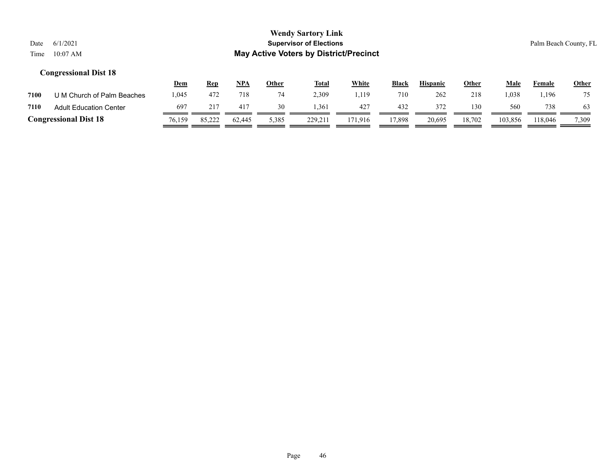|      |                               | <u>Dem</u> | <u>Rep</u> | NPA          | Other | <b>Total</b> | <u>White</u> | <b>Black</b> | <b>Hispanic</b> | <u>Other</u> | Male    | Female  | <b>Other</b> |
|------|-------------------------------|------------|------------|--------------|-------|--------------|--------------|--------------|-----------------|--------------|---------|---------|--------------|
| 7100 | U M Church of Palm Beaches    | .045       | 472        | 718          |       | 2.309        | . 119        | 710          | 262             | 218          | .038    | .196    | 75           |
| 7110 | <b>Adult Education Center</b> | 697        | 217        | $41^{\circ}$ | 30    | .361         | $42-$        | 432          | 372             | 130          | 560     | 738     | 63           |
|      | <b>Congressional Dist 18</b>  | 76,159     | 85,222     | 62.445       | 5,385 | 229,211      | 171.916      | 7.898        | 20,695          | 18,702       | 103,856 | 118,046 | 7,309        |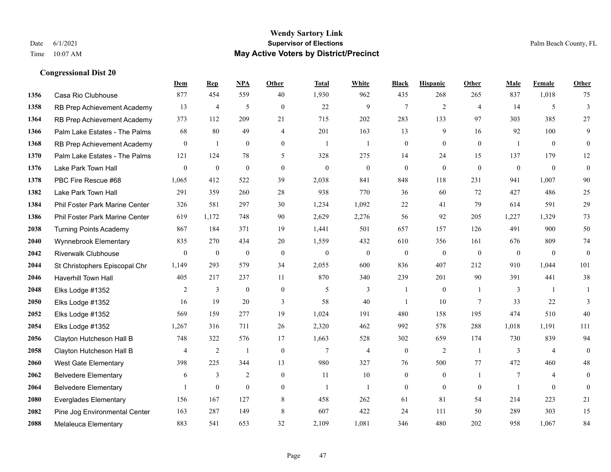#### **Wendy Sartory Link** Date 6/1/2021 **Supervisor of Elections** Palm Beach County, FL Time 10:07 AM **May Active Voters by District/Precinct**

# **Dem Rep NPA Other Total White Black Hispanic Other Male Female Other** Casa Rio Clubhouse 877 454 559 40 1,930 962 435 268 265 837 1,018 75 RB Prep Achievement Academy 13 4 5 0 22 9 7 2 4 14 5 3 RB Prep Achievement Academy 373 112 209 21 715 202 283 133 97 303 385 27 Palm Lake Estates - The Palms 68 80 49 4 201 163 13 9 16 92 100 9 RB Prep Achievement Academy 0 1 0 0 1 1 1 0 0 0 0 0 1 0 0 Palm Lake Estates - The Palms 121 124 78 5 328 275 14 24 15 137 179 12 Lake Park Town Hall 0 0 0 0 0 0 0 0 0 0 0 0 PBC Fire Rescue #68 1,065 412 522 39 2,038 841 848 118 231 941 1,007 90 Lake Park Town Hall 291 359 260 28 938 770 36 60 72 427 486 25 Phil Foster Park Marine Center 326 581 297 30 1,234 1,092 22 41 79 614 591 29 Phil Foster Park Marine Center 619 1,172 748 90 2,629 2,276 56 92 205 1,227 1,329 73 Turning Points Academy 867 184 371 19 1,441 501 657 157 126 491 900 50 Wynnebrook Elementary 835 270 434 20 1,559 432 610 356 161 676 809 74 Riverwalk Clubhouse 0 0 0 0 0 0 0 0 0 0 0 0 St Christophers Episcopal Chr 1,149 293 579 34 2,055 600 836 407 212 910 1,044 101 Haverhill Town Hall 405 217 237 11 870 340 239 201 90 391 441 38 Elks Lodge #1352 2 3 0 0 5 3 1 0 1 3 1 1 Elks Lodge #1352 16 19 20 3 58 40 1 10 7 33 22 3 Elks Lodge #1352 569 159 277 19 1,024 191 480 158 195 474 510 40 Elks Lodge #1352 1,267 316 711 26 2,320 462 992 578 288 1,018 1,191 111 Clayton Hutcheson Hall B 748 322 576 17 1,663 528 302 659 174 730 839 94 Clayton Hutcheson Hall B 4 2 1 0 7 4 0 2 1 3 4 0 West Gate Elementary 398 225 344 13 980 327 76 500 77 472 460 48 Belvedere Elementary 6 3 2 0 11 10 0 0 1 7 4 0 Belvedere Elementary 1 0 0 0 1 1 0 0 0 1 0 0 Everglades Elementary 156 167 127 8 458 262 61 81 54 214 223 21 Pine Jog Environmental Center 163 287 149 8 607 422 24 111 50 289 303 15 Melaleuca Elementary 883 541 653 32 2,109 1,081 346 480 202 958 1,067 84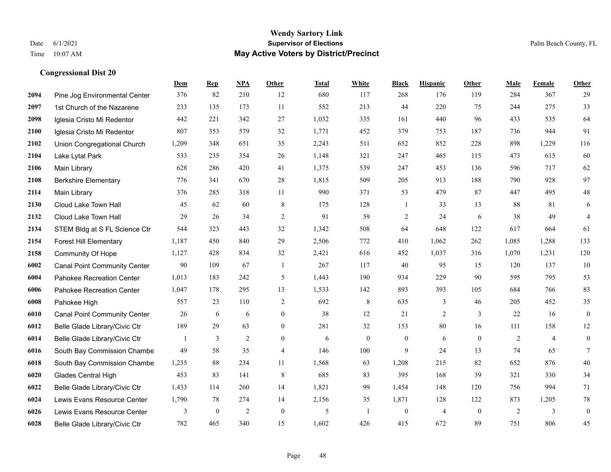#### **Wendy Sartory Link** Date 6/1/2021 **Supervisor of Elections** Palm Beach County, FL Time 10:07 AM **May Active Voters by District/Precinct**

# **Dem Rep NPA Other Total White Black Hispanic Other Male Female Other** Pine Jog Environmental Center 376 82 210 12 680 117 268 176 119 284 367 29 1st Church of the Nazarene 233 135 173 11 552 213 44 220 75 244 275 33 Iglesia Cristo Mi Redentor 442 221 342 27 1,032 335 161 440 96 433 535 64 Iglesia Cristo Mi Redentor 807 353 579 32 1,771 452 379 753 187 736 944 91 Union Congregational Church 1,209 348 651 35 2,243 511 652 852 228 898 1,229 116 Lake Lytal Park 533 235 354 26 1,148 321 247 465 115 473 615 60 Main Library 628 286 420 41 1,375 539 247 453 136 596 717 62 Berkshire Elementary 776 341 670 28 1,815 509 205 913 188 790 928 97 Main Library 376 285 318 11 990 371 53 479 87 447 495 48 Cloud Lake Town Hall 45 62 60 8 175 128 1 33 13 88 81 6 Cloud Lake Town Hall 29 26 34 2 91 59 2 24 6 38 49 4 STEM Bldg at S FL Science Ctr 544 323 443 32 1,342 508 64 648 122 617 664 61 Forest Hill Elementary 1,187 450 840 29 2,506 772 410 1,062 262 1,085 1,288 133 Community Of Hope 1,127 428 834 32 2,421 616 452 1,037 316 1,070 1,231 120 Canal Point Community Center 90 109 67 1 267 117 40 95 15 120 137 10 Pahokee Recreation Center 1,013 183 242 5 1,443 190 934 229 90 595 795 53 Pahokee Recreation Center 1,047 178 295 13 1,533 142 893 393 105 684 766 83 Pahokee High 557 23 110 2 692 8 635 3 46 205 452 35 Canal Point Community Center 26 6 6 0 38 12 21 2 3 22 16 0 Belle Glade Library/Civic Ctr 189 29 63 0 281 32 153 80 16 111 158 12 Belle Glade Library/Civic Ctr 1 3 2 0 6 0 0 6 0 2 4 0 South Bay Commission Chambe 49 58 35 4 146 100 9 24 13 74 65 7 South Bay Commission Chambe 1,235 88 234 11 1,568 63 1,208 215 82 652 876 40 Glades Central High 453 83 141 8 685 83 395 168 39 321 330 34 Belle Glade Library/Civic Ctr 1,433 114 260 14 1,821 99 1,454 148 120 756 994 71 Lewis Evans Resource Center 1,790 78 274 14 2,156 35 1,871 128 122 873 1,205 78 Lewis Evans Resource Center 3 0 2 0 5 1 0 4 0 2 3 0

Belle Glade Library/Civic Ctr 782 465 340 15 1,602 426 415 672 89 751 806 45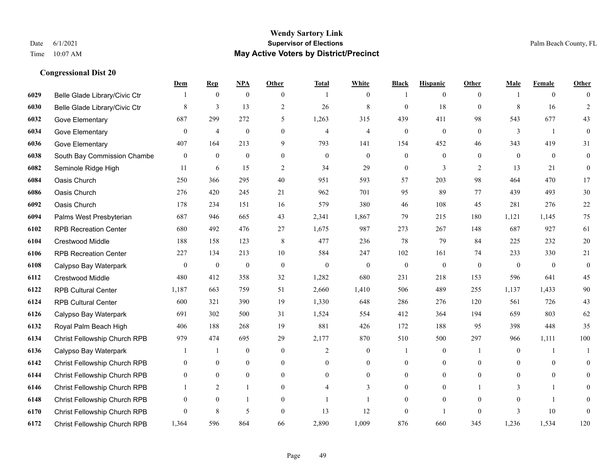|      |                               | Dem              | <b>Rep</b>       | NPA              | <b>Other</b>   | <b>Total</b>   | <b>White</b>     | <b>Black</b>     | <b>Hispanic</b>  | <b>Other</b>   | <b>Male</b>      | <b>Female</b>  | <b>Other</b>     |
|------|-------------------------------|------------------|------------------|------------------|----------------|----------------|------------------|------------------|------------------|----------------|------------------|----------------|------------------|
| 6029 | Belle Glade Library/Civic Ctr |                  | $\bf{0}$         | $\boldsymbol{0}$ | $\overline{0}$ |                | $\overline{0}$   |                  | $\mathbf{0}$     | $\overline{0}$ |                  | $\overline{0}$ | $\Omega$         |
| 6030 | Belle Glade Library/Civic Ctr | 8                | $\overline{3}$   | 13               | $\overline{2}$ | 26             | $\,$ 8 $\,$      | $\mathbf{0}$     | 18               | $\theta$       | 8                | 16             | $\overline{2}$   |
| 6032 | Gove Elementary               | 687              | 299              | 272              | 5              | 1,263          | 315              | 439              | 411              | 98             | 543              | 677            | 43               |
| 6034 | Gove Elementary               | $\boldsymbol{0}$ | $\overline{4}$   | $\boldsymbol{0}$ | $\mathbf{0}$   | $\overline{4}$ | 4                | $\boldsymbol{0}$ | $\boldsymbol{0}$ | $\mathbf{0}$   | 3                | -1             | $\boldsymbol{0}$ |
| 6036 | Gove Elementary               | 407              | 164              | 213              | 9              | 793            | 141              | 154              | 452              | 46             | 343              | 419            | 31               |
| 6038 | South Bay Commission Chambe   | $\mathbf{0}$     | $\boldsymbol{0}$ | $\boldsymbol{0}$ | $\overline{0}$ | $\mathbf{0}$   | $\overline{0}$   | $\boldsymbol{0}$ | $\mathbf{0}$     | $\theta$       | $\mathbf{0}$     | $\mathbf{0}$   | $\boldsymbol{0}$ |
| 6082 | Seminole Ridge High           | 11               | 6                | 15               | $\sqrt{2}$     | 34             | 29               | $\boldsymbol{0}$ | 3                | $\overline{2}$ | 13               | 21             | $\boldsymbol{0}$ |
| 6084 | Oasis Church                  | 250              | 366              | 295              | 40             | 951            | 593              | 57               | 203              | 98             | 464              | 470            | 17               |
| 6086 | Oasis Church                  | 276              | 420              | 245              | 21             | 962            | 701              | 95               | 89               | 77             | 439              | 493            | $30\,$           |
| 6092 | Oasis Church                  | 178              | 234              | 151              | 16             | 579            | 380              | 46               | 108              | 45             | 281              | 276            | $22\,$           |
| 6094 | Palms West Presbyterian       | 687              | 946              | 665              | 43             | 2,341          | 1,867            | 79               | 215              | 180            | 1,121            | 1,145          | 75               |
| 6102 | <b>RPB Recreation Center</b>  | 680              | 492              | 476              | 27             | 1,675          | 987              | 273              | 267              | 148            | 687              | 927            | 61               |
| 6104 | Crestwood Middle              | 188              | 158              | 123              | 8              | 477            | 236              | 78               | 79               | 84             | 225              | 232            | $20\,$           |
| 6106 | <b>RPB Recreation Center</b>  | 227              | 134              | 213              | 10             | 584            | 247              | 102              | 161              | 74             | 233              | 330            | 21               |
| 6108 | Calypso Bay Waterpark         | $\boldsymbol{0}$ | $\boldsymbol{0}$ | $\boldsymbol{0}$ | $\theta$       | $\mathbf{0}$   | $\boldsymbol{0}$ | $\overline{0}$   | $\boldsymbol{0}$ | $\mathbf{0}$   | $\mathbf{0}$     | $\overline{0}$ | $\boldsymbol{0}$ |
| 6112 | Crestwood Middle              | 480              | 412              | 358              | 32             | 1,282          | 680              | 231              | 218              | 153            | 596              | 641            | 45               |
| 6122 | <b>RPB Cultural Center</b>    | 1,187            | 663              | 759              | 51             | 2,660          | 1,410            | 506              | 489              | 255            | 1,137            | 1,433          | 90               |
| 6124 | <b>RPB Cultural Center</b>    | 600              | 321              | 390              | 19             | 1,330          | 648              | 286              | 276              | 120            | 561              | 726            | 43               |
| 6126 | Calypso Bay Waterpark         | 691              | 302              | 500              | 31             | 1,524          | 554              | 412              | 364              | 194            | 659              | 803            | 62               |
| 6132 | Royal Palm Beach High         | 406              | 188              | 268              | 19             | 881            | 426              | 172              | 188              | 95             | 398              | 448            | 35               |
| 6134 | Christ Fellowship Church RPB  | 979              | 474              | 695              | 29             | 2,177          | 870              | 510              | 500              | 297            | 966              | 1,111          | 100              |
| 6136 | Calypso Bay Waterpark         |                  | $\mathbf{1}$     | $\boldsymbol{0}$ | $\mathbf{0}$   | 2              | $\mathbf{0}$     |                  | $\boldsymbol{0}$ | -1             | $\boldsymbol{0}$ | -1             | -1               |
| 6142 | Christ Fellowship Church RPB  | $\overline{0}$   | $\boldsymbol{0}$ | $\boldsymbol{0}$ | $\overline{0}$ | $\theta$       | $\mathbf{0}$     | $\boldsymbol{0}$ | $\mathbf{0}$     | $\theta$       | $\theta$         | $\mathbf{0}$   | $\mathbf{0}$     |
| 6144 | Christ Fellowship Church RPB  | $\overline{0}$   | $\mathbf{0}$     | $\overline{0}$   | $\Omega$       | $\theta$       | $\overline{0}$   | $\mathbf{0}$     | $\mathbf{0}$     | $\theta$       | $\Omega$         | $\mathbf{0}$   | $\theta$         |
| 6146 | Christ Fellowship Church RPB  |                  | $\overline{2}$   | $\mathbf{1}$     | $\overline{0}$ | $\overline{4}$ | 3                | $\boldsymbol{0}$ | $\boldsymbol{0}$ |                | 3                |                | $\theta$         |
| 6148 | Christ Fellowship Church RPB  | $\mathbf{0}$     | $\mathbf{0}$     | 1                | $\theta$       |                | $\mathbf{1}$     | $\mathbf{0}$     | $\mathbf{0}$     | $\theta$       | $\theta$         |                | $\overline{0}$   |
| 6170 | Christ Fellowship Church RPB  | $\theta$         | 8                | 5                | $\theta$       | 13             | 12               | $\mathbf{0}$     | 1                | $\theta$       | $\mathbf{3}$     | 10             | $\mathbf{0}$     |
| 6172 | Christ Fellowship Church RPB  | 1,364            | 596              | 864              | 66             | 2,890          | 1,009            | 876              | 660              | 345            | 1,236            | 1,534          | 120              |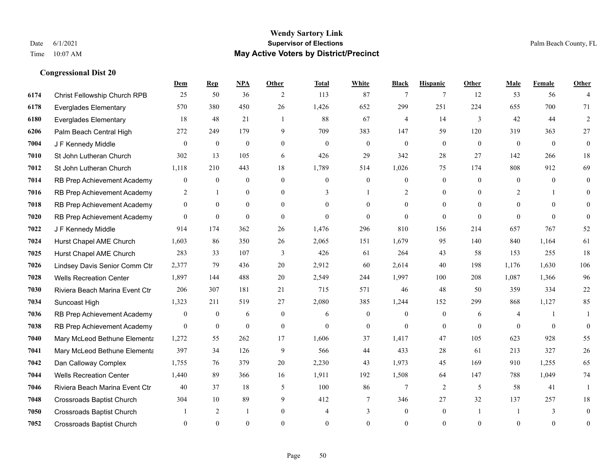#### **Wendy Sartory Link** Date 6/1/2021 **Supervisor of Elections** Palm Beach County, FL Time 10:07 AM **May Active Voters by District/Precinct**

# **Dem Rep NPA Other Total White Black Hispanic Other Male Female Other** Christ Fellowship Church RPB 25 50 36 2 113 87 7 7 12 53 56 4 Everglades Elementary 570 380 450 26 1,426 652 299 251 224 655 700 71 Everglades Elementary 18 48 21 1 88 67 4 14 3 42 44 2 Palm Beach Central High 272 249 179 9 709 383 147 59 120 319 363 27 **7004 J F Kennedy Middle 0 0 0 0 0 0 0 0 0** 0 St John Lutheran Church 302 13 105 6 426 29 342 28 27 142 266 18 St John Lutheran Church 1,118 210 443 18 1,789 514 1,026 75 174 808 912 69 RB Prep Achievement Academy 0 0 0 0 0 0 0 0 0 0 0 0 RB Prep Achievement Academy 2 1 0 0 3 1 2 0 0 2 1 0 RB Prep Achievement Academy 0 0 0 0 0 0 0 0 0 0 0 0 RB Prep Achievement Academy 0 0 0 0 0 0 0 0 0 0 0 0 J F Kennedy Middle 914 174 362 26 1,476 296 810 156 214 657 767 52 Hurst Chapel AME Church 1,603 86 350 26 2,065 151 1,679 95 140 840 1,164 61 Hurst Chapel AME Church 283 33 107 3 426 61 264 43 58 153 255 18 Lindsey Davis Senior Comm Ctr 2,377 79 436 20 2,912 60 2,614 40 198 1,176 1,630 106 Wells Recreation Center 1,897 144 488 20 2,549 244 1,997 100 208 1,087 1,366 96 Riviera Beach Marina Event Ctr 206 307 181 21 715 571 46 48 50 359 334 22 Suncoast High 1,323 211 519 27 2,080 385 1,244 152 299 868 1,127 85 RB Prep Achievement Academy 0 0 6 0 6 0 6 0 0 0 6 4 1 1 RB Prep Achievement Academy 0 0 0 0 0 0 0 0 0 0 0 0 Mary McLeod Bethune Elementary 1,272 55 262 17 1,606 37 1,417 47 105 623 928 55 Mary McLeod Bethune Elementary 397 34 126 9 566 44 433 28 61 213 327 26 Dan Calloway Complex 1,755 76 379 20 2,230 43 1,973 45 169 910 1,255 65 Wells Recreation Center 1,440 89 366 16 1,911 192 1,508 64 147 788 1,049 74 Riviera Beach Marina Event Ctr  $\begin{array}{cccc} 40 & 37 & 18 & 5 & 100 & 86 & 7 & 2 & 5 & 58 & 41 & 1 \end{array}$  Crossroads Baptist Church 304 10 89 9 412 7 346 27 32 137 257 18 Crossroads Baptist Church 1 2 1 0 4 3 0 1 1 3 0 Crossroads Baptist Church 0 0 0 0 0 0 0 0 0 0 0 0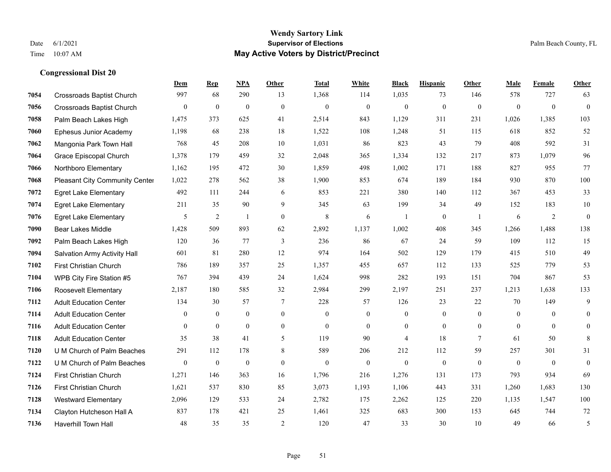#### **Wendy Sartory Link** Date 6/1/2021 **Supervisor of Elections** Palm Beach County, FL Time 10:07 AM **May Active Voters by District/Precinct**

# **Dem Rep NPA Other Total White Black Hispanic Other Male Female Other** Crossroads Baptist Church 997 68 290 13 1,368 114 1,035 73 146 578 727 63 Crossroads Baptist Church 0 0 0 0 0 0 0 0 0 0 0 0 Palm Beach Lakes High 1,475 373 625 41 2,514 843 1,129 311 231 1,026 1,385 103 Ephesus Junior Academy 1,198 68 238 18 1,522 108 1,248 51 115 618 852 52 Mangonia Park Town Hall 768 45 208 10 1,031 86 823 43 79 408 592 31 Grace Episcopal Church 1,378 179 459 32 2,048 365 1,334 132 217 873 1,079 96 Northboro Elementary 1,162 195 472 30 1,859 498 1,002 171 188 827 955 77 Pleasant City Community Center 1,022 278 562 38 1,900 853 674 189 184 930 870 100 Egret Lake Elementary 492 111 244 6 853 221 380 140 112 367 453 33 Egret Lake Elementary 211 35 90 9 345 63 199 34 49 152 183 10 Egret Lake Elementary 5 2 1 0 8 6 1 0 1 6 2 0 Bear Lakes Middle 1,428 509 893 62 2,892 1,137 1,002 408 345 1,266 1,488 138 Palm Beach Lakes High 120 36 77 3 236 86 67 24 59 109 112 15 Salvation Army Activity Hall 601 81 280 12 974 164 502 129 179 415 510 49 First Christian Church 786 189 357 25 1,357 455 657 112 133 525 779 53 WPB City Fire Station #5 767 394 439 24 1,624 998 282 193 151 704 867 53 Roosevelt Elementary 2,187 180 585 32 2,984 299 2,197 251 237 1,213 1,638 133 Adult Education Center 134 30 57 7 228 57 126 23 22 70 149 9 Adult Education Center 0 0 0 0 0 0 0 0 0 0 0 0 Adult Education Center 0 0 0 0 0 0 0 0 0 0 0 0 Adult Education Center 35 38 41 5 119 90 4 18 7 61 50 8 U M Church of Palm Beaches 291 112 178 8 589 206 212 112 59 257 301 31 U M Church of Palm Beaches 0 0 0 0 0 0 0 0 0 0 0 0 First Christian Church 1,271 146 363 16 1,796 216 1,276 131 173 793 934 69 First Christian Church 1,621 537 830 85 3,073 1,193 1,106 443 331 1,260 1,683 130 Westward Elementary 2,096 129 533 24 2,782 175 2,262 125 220 1,135 1,547 100 Clayton Hutcheson Hall A 837 178 421 25 1,461 325 683 300 153 645 744 72 Haverhill Town Hall 48 35 35 2 120 47 33 30 10 49 66 5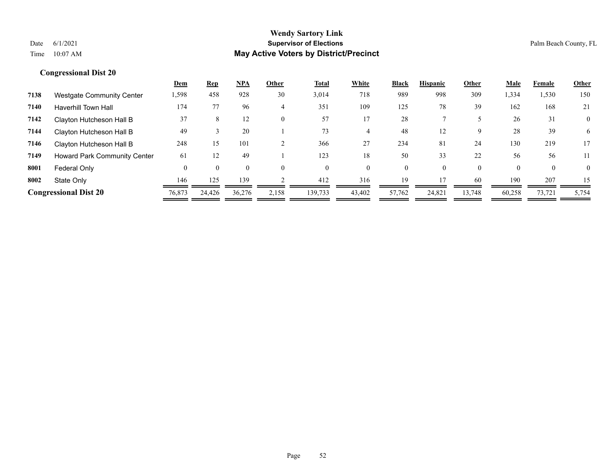|      |                                     | <u>Dem</u> | <b>Rep</b> | NPA      | Other    | <u>Total</u> | White  | <b>Black</b> | <b>Hispanic</b> | Other    | Male   | Female   | Other        |
|------|-------------------------------------|------------|------------|----------|----------|--------------|--------|--------------|-----------------|----------|--------|----------|--------------|
| 7138 | <b>Westgate Community Center</b>    | 1,598      | 458        | 928      | 30       | 3,014        | 718    | 989          | 998             | 309      | 1,334  | 1,530    | 150          |
| 7140 | <b>Haverhill Town Hall</b>          | 174        | 77         | 96       | 4        | 351          | 109    | 125          | 78              | 39       | 162    | 168      | 21           |
| 7142 | Clayton Hutcheson Hall B            | 37         | 8          | 12       | $\Omega$ | 57           |        | 28           |                 |          | 26     | 31       | $\mathbf{0}$ |
| 7144 | Clayton Hutcheson Hall B            | 49         |            | 20       |          | 73           |        | 48           | 12              | 9        | 28     | 39       | 6            |
| 7146 | Clayton Hutcheson Hall B            | 248        | 15         | 101      |          | 366          | 27     | 234          | 81              | 24       | 130    | 219      | 17           |
| 7149 | <b>Howard Park Community Center</b> | 61         | 12         | 49       |          | 123          | 18     | 50           | 33              | 22       | 56     | 56       | 11           |
| 8001 | Federal Only                        | $\Omega$   | $\theta$   | $\theta$ | $\Omega$ |              | 0      | $\mathbf{0}$ | $\Omega$        | $\theta$ |        | $\theta$ | $\mathbf{0}$ |
| 8002 | State Only                          | 146        | 125        | 139      |          | 412          | 316    | 19           |                 | 60       | 190    | 207      | 15           |
|      | <b>Congressional Dist 20</b>        | 76,873     | 24,426     | 36,276   | 2,158    | 139,733      | 43,402 | 57,762       | 24,821          | 13.748   | 60,258 | 73,721   | 5,754        |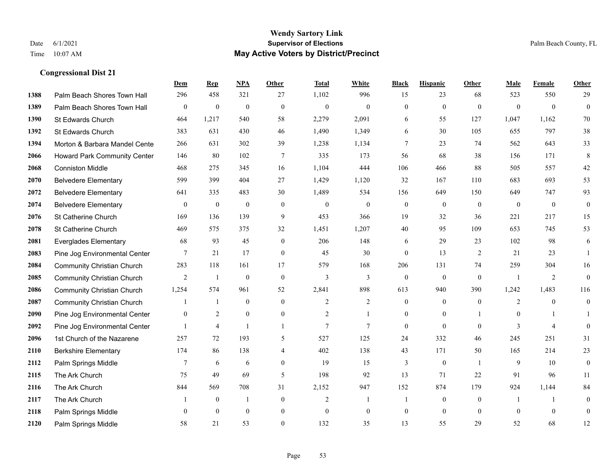|      |                                   | Dem              | <b>Rep</b>       | NPA              | <b>Other</b>     | <b>Total</b>     | <b>White</b>     | <b>Black</b>     | <b>Hispanic</b>  | <b>Other</b>   | <b>Male</b>      | Female         | Other            |
|------|-----------------------------------|------------------|------------------|------------------|------------------|------------------|------------------|------------------|------------------|----------------|------------------|----------------|------------------|
| 1388 | Palm Beach Shores Town Hall       | 296              | 458              | 321              | 27               | 1,102            | 996              | 15               | 23               | 68             | 523              | 550            | 29               |
| 1389 | Palm Beach Shores Town Hall       | $\boldsymbol{0}$ | $\boldsymbol{0}$ | $\boldsymbol{0}$ | $\mathbf{0}$     | $\boldsymbol{0}$ | $\boldsymbol{0}$ | $\mathbf{0}$     | $\boldsymbol{0}$ | $\mathbf{0}$   | $\mathbf{0}$     | $\overline{0}$ | $\boldsymbol{0}$ |
| 1390 | St Edwards Church                 | 464              | 1,217            | 540              | 58               | 2,279            | 2,091            | 6                | 55               | 127            | 1,047            | 1,162          | 70               |
| 1392 | St Edwards Church                 | 383              | 631              | 430              | 46               | 1,490            | 1,349            | 6                | 30               | 105            | 655              | 797            | 38               |
| 1394 | Morton & Barbara Mandel Cente     | 266              | 631              | 302              | 39               | 1,238            | 1,134            | 7                | 23               | 74             | 562              | 643            | 33               |
| 2066 | Howard Park Community Center      | 146              | 80               | 102              | 7                | 335              | 173              | 56               | 68               | 38             | 156              | 171            | $\,8\,$          |
| 2068 | <b>Conniston Middle</b>           | 468              | 275              | 345              | 16               | 1,104            | 444              | 106              | 466              | 88             | 505              | 557            | $42\,$           |
| 2070 | <b>Belvedere Elementary</b>       | 599              | 399              | 404              | 27               | 1,429            | 1,120            | 32               | 167              | 110            | 683              | 693            | 53               |
| 2072 | <b>Belvedere Elementary</b>       | 641              | 335              | 483              | 30               | 1,489            | 534              | 156              | 649              | 150            | 649              | 747            | 93               |
| 2074 | <b>Belvedere Elementary</b>       | $\mathbf{0}$     | $\boldsymbol{0}$ | $\boldsymbol{0}$ | $\mathbf{0}$     | $\mathbf{0}$     | $\boldsymbol{0}$ | $\boldsymbol{0}$ | $\boldsymbol{0}$ | $\overline{0}$ | $\overline{0}$   | $\overline{0}$ | $\overline{0}$   |
| 2076 | St Catherine Church               | 169              | 136              | 139              | 9                | 453              | 366              | 19               | 32               | 36             | 221              | 217            | 15               |
| 2078 | St Catherine Church               | 469              | 575              | 375              | 32               | 1,451            | 1,207            | 40               | 95               | 109            | 653              | 745            | 53               |
| 2081 | <b>Everglades Elementary</b>      | 68               | 93               | 45               | $\mathbf{0}$     | 206              | 148              | 6                | 29               | 23             | 102              | 98             | 6                |
| 2083 | Pine Jog Environmental Center     | 7                | 21               | 17               | $\boldsymbol{0}$ | 45               | 30               | $\boldsymbol{0}$ | 13               | $\overline{2}$ | 21               | 23             | -1               |
| 2084 | <b>Community Christian Church</b> | 283              | 118              | 161              | 17               | 579              | 168              | 206              | 131              | 74             | 259              | 304            | 16               |
| 2085 | <b>Community Christian Church</b> | 2                | -1               | $\mathbf{0}$     | $\mathbf{0}$     | 3                | 3                | $\overline{0}$   | $\overline{0}$   | $\mathbf{0}$   | $\overline{1}$   | 2              | $\overline{0}$   |
| 2086 | <b>Community Christian Church</b> | 1,254            | 574              | 961              | 52               | 2,841            | 898              | 613              | 940              | 390            | 1,242            | 1,483          | 116              |
| 2087 | <b>Community Christian Church</b> |                  | $\mathbf{1}$     | $\theta$         | $\theta$         | 2                | $\overline{2}$   | $\overline{0}$   | $\overline{0}$   | $\theta$       | 2                | $\theta$       | $\overline{0}$   |
| 2090 | Pine Jog Environmental Center     | $\boldsymbol{0}$ | $\overline{2}$   | $\boldsymbol{0}$ | $\boldsymbol{0}$ | $\overline{c}$   | 1                | $\boldsymbol{0}$ | $\boldsymbol{0}$ |                | $\boldsymbol{0}$ |                | $\mathbf{1}$     |
| 2092 | Pine Jog Environmental Center     |                  | $\overline{4}$   |                  | 1                | $\overline{7}$   | 7                | $\overline{0}$   | $\overline{0}$   | $\theta$       | 3                | $\overline{4}$ | $\overline{0}$   |
| 2096 | 1st Church of the Nazarene        | 257              | 72               | 193              | 5                | 527              | 125              | 24               | 332              | 46             | 245              | 251            | 31               |
| 2110 | <b>Berkshire Elementary</b>       | 174              | 86               | 138              | 4                | 402              | 138              | 43               | 171              | 50             | 165              | 214            | $23\,$           |
| 2112 | Palm Springs Middle               | $7\phantom{.0}$  | 6                | 6                | $\theta$         | 19               | 15               | 3                | $\mathbf{0}$     | $\overline{1}$ | 9                | 10             | $\overline{0}$   |
| 2115 | The Ark Church                    | 75               | 49               | 69               | 5                | 198              | 92               | 13               | 71               | 22             | 91               | 96             | 11               |
| 2116 | The Ark Church                    | 844              | 569              | 708              | 31               | 2,152            | 947              | 152              | 874              | 179            | 924              | 1,144          | 84               |
| 2117 | The Ark Church                    |                  | $\boldsymbol{0}$ | $\overline{1}$   | $\mathbf{0}$     | $\sqrt{2}$       | $\mathbf{1}$     | 1                | $\boldsymbol{0}$ | $\mathbf{0}$   | -1               | $\mathbf{1}$   | $\boldsymbol{0}$ |
| 2118 | Palm Springs Middle               | $\mathbf{0}$     | $\theta$         | $\mathbf{0}$     | $\mathbf{0}$     | $\theta$         | $\mathbf{0}$     | $\boldsymbol{0}$ | $\overline{0}$   | $\mathbf{0}$   | $\theta$         | $\theta$       | $\mathbf{0}$     |
| 2120 | Palm Springs Middle               | 58               | 21               | 53               | $\theta$         | 132              | 35               | 13               | 55               | 29             | 52               | 68             | 12               |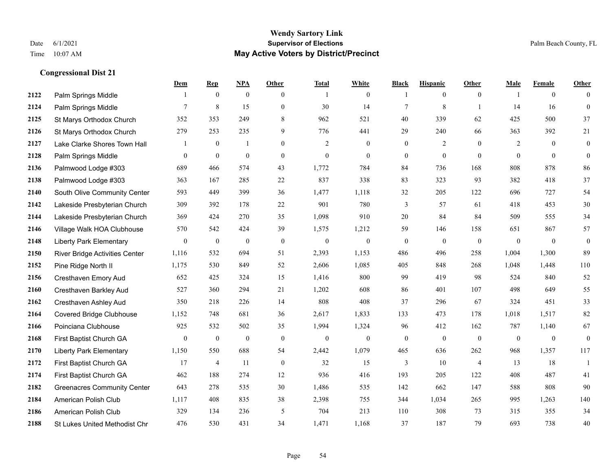#### **Wendy Sartory Link** Date 6/1/2021 **Supervisor of Elections** Palm Beach County, FL Time 10:07 AM **May Active Voters by District/Precinct**

# **Dem Rep NPA Other Total White Black Hispanic Other Male Female Other** Palm Springs Middle 1 0 0 0 1 0 1 0 0 1 0 0 **2124** Palm Springs Middle  $\begin{array}{cccccccc} 7 & 8 & 15 & 0 & 30 & 14 & 7 & 8 & 1 & 14 & 16 & 0 \end{array}$  St Marys Orthodox Church 352 353 249 8 962 521 40 339 62 425 500 37 St Marys Orthodox Church 279 253 235 9 776 441 29 240 66 363 392 21 Lake Clarke Shores Town Hall  $\begin{array}{ccccccccc} 1 & 0 & 1 & 0 & 2 & 0 & 0 & 2 & 0 & 2 & 0 & 0 \end{array}$  Palm Springs Middle 0 0 0 0 0 0 0 0 0 0 0 0 Palmwood Lodge #303 689 466 574 43 1,772 784 84 736 168 808 878 86 Palmwood Lodge #303 363 167 285 22 837 338 83 323 93 382 418 37 South Olive Community Center 593 449 399 36 1,477 1,118 32 205 122 696 727 54 Lakeside Presbyterian Church 309 392 178 22 901 780 3 57 61 418 453 30 Lakeside Presbyterian Church 369 424 270 35 1,098 910 20 84 84 509 555 34 Village Walk HOA Clubhouse 570 542 424 39 1,575 1,212 59 146 158 651 867 57 Liberty Park Elementary 0 0 0 0 0 0 0 0 0 0 0 0 River Bridge Activities Center 1,116 532 694 51 2,393 1,153 486 496 258 1,004 1,300 89 Pine Ridge North II 1,175 530 849 52 2,606 1,085 405 848 268 1,048 1,448 110 Cresthaven Emory Aud 652 425 324 15 1,416 800 99 419 98 524 840 52 Cresthaven Barkley Aud 527 360 294 21 1,202 608 86 401 107 498 649 55 Cresthaven Ashley Aud 350 218 226 14 808 408 37 296 67 324 451 33 Covered Bridge Clubhouse 1,152 748 681 36 2,617 1,833 133 473 178 1,018 1,517 82 Poinciana Clubhouse 925 532 502 35 1,994 1,324 96 412 162 787 1,140 67 First Baptist Church GA 0 0 0 0 0 0 0 0 0 0 0 0 Liberty Park Elementary 1,150 550 688 54 2,442 1,079 465 636 262 968 1,357 117 First Baptist Church GA 17 4 11 0 32 15 3 10 4 13 18 1 First Baptist Church GA 462 188 274 12 936 416 193 205 122 408 487 41 Greenacres Community Center 643 278 535 30 1,486 535 142 662 147 588 808 90 American Polish Club 1,117 408 835 38 2,398 755 344 1,034 265 995 1,263 140 American Polish Club 329 134 236 5 704 213 110 308 73 315 355 34 St Lukes United Methodist Chr 476 530 431 34 1,471 1,168 37 187 79 693 738 40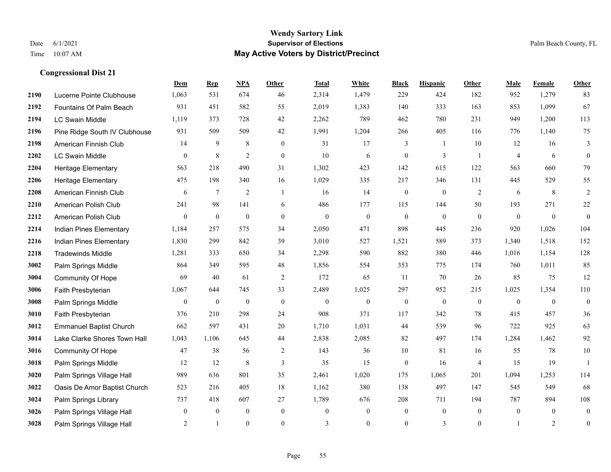#### **Wendy Sartory Link** Date 6/1/2021 **Supervisor of Elections** Palm Beach County, FL Time 10:07 AM **May Active Voters by District/Precinct**

# **Dem Rep NPA Other Total White Black Hispanic Other Male Female Other** Lucerne Pointe Clubhouse 1,063 531 674 46 2,314 1,479 229 424 182 952 1,279 83 Fountains Of Palm Beach 931 451 582 55 2,019 1,383 140 333 163 853 1,099 67 LC Swain Middle 1,119 373 728 42 2,262 789 462 780 231 949 1,200 113 Pine Ridge South IV Clubhouse 931 509 509 42 1,991 1,204 266 405 116 776 1,140 75 American Finnish Club 14 9 8 0 31 17 3 1 10 12 16 3 LC Swain Middle 0 8 2 0 10 6 0 3 1 4 6 0 Heritage Elementary 563 218 490 31 1,302 423 142 615 122 563 660 79 Heritage Elementary 475 198 340 16 1,029 335 217 346 131 445 529 55 American Finnish Club 6 7 2 1 16 14 0 0 2 6 8 2 American Polish Club 241 98 141 6 486 177 115 144 50 193 271 22 American Polish Club 0 0 0 0 0 0 0 0 0 0 0 0 Indian Pines Elementary 1,184 257 575 34 2,050 471 898 445 236 920 1,026 104 Indian Pines Elementary 1,830 299 842 39 3,010 527 1,521 589 373 1,340 1,518 152 Tradewinds Middle 1,281 333 650 34 2,298 590 882 380 446 1,016 1,154 128 Palm Springs Middle 864 349 595 48 1,856 554 353 775 174 760 1,011 85 Community Of Hope 69 40 61 2 172 65 11 70 26 85 75 12 Faith Presbyterian 1,067 644 745 33 2,489 1,025 297 952 215 1,025 1,354 110 Palm Springs Middle  $\begin{pmatrix} 0 & 0 & 0 & 0 \\ 0 & 0 & 0 & 0 \\ 0 & 0 & 0 & 0 \end{pmatrix}$  Faith Presbyterian 376 210 298 24 908 371 117 342 78 415 457 36 Emmanuel Baptist Church 662 597 431 20 1,710 1,031 44 539 96 722 925 63 Lake Clarke Shores Town Hall 1,043 1,106 645 44 2,838 2,085 82 497 174 1,284 1,462 92 Community Of Hope 47 38 56 2 143 36 10 81 16 55 78 10 Palm Springs Middle 12 12 8 3 35 15 0 16 4 15 19 1 Palm Springs Village Hall 989 636 801 35 2,461 1,020 175 1,065 201 1,094 1,253 114 Oasis De Amor Baptist Church 523 216 405 18 1,162 380 138 497 147 545 549 68 Palm Springs Library 737 418 607 27 1,789 676 208 711 194 787 894 108 **3026** Palm Springs Village Hall  $\begin{pmatrix} 0 & 0 & 0 & 0 \\ 0 & 0 & 0 & 0 \\ 0 & 0 & 0 & 0 \end{pmatrix}$ Palm Springs Village Hall 2 1 0 0 3 0 0 3 0 1 2 0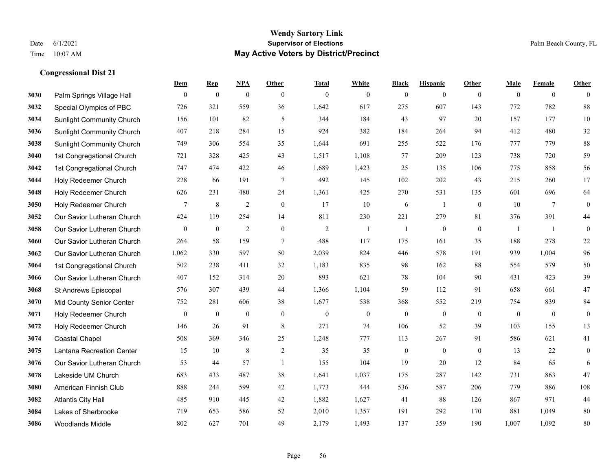## **Wendy Sartory Link** Date 6/1/2021 **Supervisor of Elections** Palm Beach County, FL Time 10:07 AM **May Active Voters by District/Precinct**

|      |                                  | Dem            | <b>Rep</b>       | <b>NPA</b>       | Other            | <b>Total</b>   | White          | <b>Black</b>     | <b>Hispanic</b>  | <b>Other</b> | Male         | Female          | Other            |
|------|----------------------------------|----------------|------------------|------------------|------------------|----------------|----------------|------------------|------------------|--------------|--------------|-----------------|------------------|
| 3030 | Palm Springs Village Hall        | $\mathbf{0}$   | $\mathbf{0}$     | $\boldsymbol{0}$ | $\theta$         | $\mathbf{0}$   | $\overline{0}$ | $\mathbf{0}$     | $\mathbf{0}$     | $\theta$     | $\mathbf{0}$ | $\mathbf{0}$    | $\mathbf{0}$     |
| 3032 | Special Olympics of PBC          | 726            | 321              | 559              | 36               | 1,642          | 617            | 275              | 607              | 143          | 772          | 782             | 88               |
| 3034 | <b>Sunlight Community Church</b> | 156            | 101              | 82               | 5                | 344            | 184            | 43               | 97               | 20           | 157          | 177             | 10               |
| 3036 | <b>Sunlight Community Church</b> | 407            | 218              | 284              | 15               | 924            | 382            | 184              | 264              | 94           | 412          | 480             | 32               |
| 3038 | <b>Sunlight Community Church</b> | 749            | 306              | 554              | 35               | 1,644          | 691            | 255              | 522              | 176          | 777          | 779             | 88               |
| 3040 | 1st Congregational Church        | 721            | 328              | 425              | 43               | 1,517          | 1,108          | 77               | 209              | 123          | 738          | 720             | 59               |
| 3042 | 1st Congregational Church        | 747            | 474              | 422              | 46               | 1,689          | 1,423          | 25               | 135              | 106          | 775          | 858             | 56               |
| 3044 | Holy Redeemer Church             | 228            | 66               | 191              | $\tau$           | 492            | 145            | 102              | 202              | 43           | 215          | 260             | 17               |
| 3048 | Holy Redeemer Church             | 626            | 231              | 480              | 24               | 1,361          | 425            | 270              | 531              | 135          | 601          | 696             | 64               |
| 3050 | Holy Redeemer Church             | $\overline{7}$ | 8                | $\sqrt{2}$       | $\boldsymbol{0}$ | 17             | 10             | 6                | 1                | $\mathbf{0}$ | 10           | $7\phantom{.0}$ | $\boldsymbol{0}$ |
| 3052 | Our Savior Lutheran Church       | 424            | 119              | 254              | 14               | 811            | 230            | 221              | 279              | 81           | 376          | 391             | 44               |
| 3058 | Our Savior Lutheran Church       | $\mathbf{0}$   | $\boldsymbol{0}$ | $\overline{c}$   | $\mathbf{0}$     | $\overline{2}$ | -1             | -1               | $\boldsymbol{0}$ | $\mathbf{0}$ | -1           | -1              | $\boldsymbol{0}$ |
| 3060 | Our Savior Lutheran Church       | 264            | 58               | 159              | $\tau$           | 488            | 117            | 175              | 161              | 35           | 188          | 278             | 22               |
| 3062 | Our Savior Lutheran Church       | 1,062          | 330              | 597              | 50               | 2,039          | 824            | 446              | 578              | 191          | 939          | 1,004           | 96               |
| 3064 | 1st Congregational Church        | 502            | 238              | 411              | 32               | 1,183          | 835            | 98               | 162              | 88           | 554          | 579             | 50               |
| 3066 | Our Savior Lutheran Church       | 407            | 152              | 314              | 20               | 893            | 621            | 78               | 104              | 90           | 431          | 423             | 39               |
| 3068 | St Andrews Episcopal             | 576            | 307              | 439              | 44               | 1,366          | 1,104          | 59               | 112              | 91           | 658          | 661             | 47               |
| 3070 | Mid County Senior Center         | 752            | 281              | 606              | 38               | 1,677          | 538            | 368              | 552              | 219          | 754          | 839             | 84               |
| 3071 | Holy Redeemer Church             | $\mathbf{0}$   | $\mathbf{0}$     | $\mathbf{0}$     | $\mathbf{0}$     | $\mathbf{0}$   | $\mathbf{0}$   | $\mathbf{0}$     | $\mathbf{0}$     | $\mathbf{0}$ | $\mathbf{0}$ | $\mathbf{0}$    | $\boldsymbol{0}$ |
| 3072 | Holy Redeemer Church             | 146            | 26               | 91               | $\,8\,$          | 271            | 74             | 106              | 52               | 39           | 103          | 155             | 13               |
| 3074 | <b>Coastal Chapel</b>            | 508            | 369              | 346              | 25               | 1,248          | 777            | 113              | 267              | 91           | 586          | 621             | 41               |
| 3075 | Lantana Recreation Center        | 15             | 10               | $\,8\,$          | 2                | 35             | 35             | $\boldsymbol{0}$ | $\mathbf{0}$     | $\theta$     | 13           | 22              | $\boldsymbol{0}$ |
| 3076 | Our Savior Lutheran Church       | 53             | 44               | 57               | -1               | 155            | 104            | 19               | 20               | 12           | 84           | 65              | 6                |
| 3078 | Lakeside UM Church               | 683            | 433              | 487              | 38               | 1,641          | 1,037          | 175              | 287              | 142          | 731          | 863             | 47               |
| 3080 | American Finnish Club            | 888            | 244              | 599              | 42               | 1,773          | 444            | 536              | 587              | 206          | 779          | 886             | 108              |
| 3082 | <b>Atlantis City Hall</b>        | 485            | 910              | 445              | 42               | 1,882          | 1,627          | 41               | 88               | 126          | 867          | 971             | 44               |
| 3084 | Lakes of Sherbrooke              | 719            | 653              | 586              | 52               | 2,010          | 1,357          | 191              | 292              | 170          | 881          | 1,049           | 80               |
| 3086 | <b>Woodlands Middle</b>          | 802            | 627              | 701              | 49               | 2.179          | 1,493          | 137              | 359              | 190          | 1.007        | 1,092           | 80               |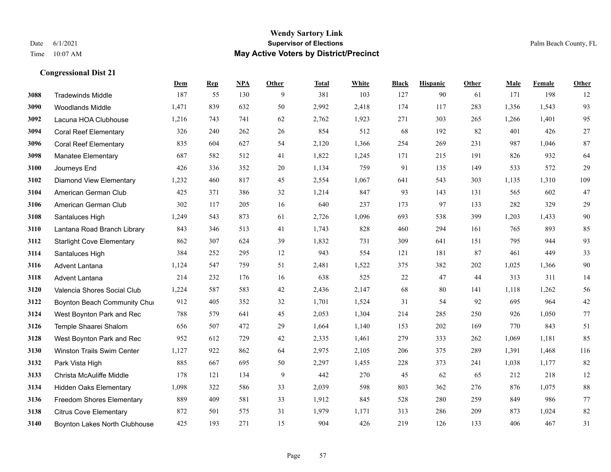#### **Wendy Sartory Link** Date 6/1/2021 **Supervisor of Elections** Palm Beach County, FL Time 10:07 AM **May Active Voters by District/Precinct**

# **Dem Rep NPA Other Total White Black Hispanic Other Male Female Other** Tradewinds Middle 187 55 130 9 381 103 127 90 61 171 198 12 Woodlands Middle 1,471 839 632 50 2,992 2,418 174 117 283 1,356 1,543 93 Lacuna HOA Clubhouse 1,216 743 741 62 2,762 1,923 271 303 265 1,266 1,401 95 Coral Reef Elementary 326 240 262 26 854 512 68 192 82 401 426 27 Coral Reef Elementary 835 604 627 54 2,120 1,366 254 269 231 987 1,046 87 Manatee Elementary 687 582 512 41 1,822 1,245 171 215 191 826 932 64 Journeys End 426 336 352 20 1,134 759 91 135 149 533 572 29 Diamond View Elementary 1,232 460 817 45 2,554 1,067 641 543 303 1,135 1,310 109 American German Club 425 371 386 32 1,214 847 93 143 131 565 602 47 American German Club 302 117 205 16 640 237 173 97 133 282 329 29 Santaluces High 1,249 543 873 61 2,726 1,096 693 538 399 1,203 1,433 90 Lantana Road Branch Library 843 346 513 41 1,743 828 460 294 161 765 893 85 Starlight Cove Elementary 862 307 624 39 1,832 731 309 641 151 795 944 93 Santaluces High 384 252 295 12 943 554 121 181 87 461 449 33 Advent Lantana 1,124 547 759 51 2,481 1,522 375 382 202 1,025 1,366 90 Advent Lantana 214 232 176 16 638 525 22 47 44 313 311 14 Valencia Shores Social Club 1,224 587 583 42 2,436 2,147 68 80 141 1,118 1,262 56 **3122 Boynton Beach Community Chu**rch 912 405 352 32 1,701 1,524 31 54 92 695 964 42 West Boynton Park and Rec 788 579 641 45 2,053 1,304 214 285 250 926 1,050 77 Temple Shaarei Shalom 656 507 472 29 1,664 1,140 153 202 169 770 843 51 West Boynton Park and Rec 952 612 729 42 2,335 1,461 279 333 262 1,069 1,181 85 Winston Trails Swim Center 1,127 922 862 64 2,975 2,105 206 375 289 1,391 1,468 116 Park Vista High 885 667 695 50 2,297 1,455 228 373 241 1,038 1,177 82 Christa McAuliffe Middle 178 121 134 9 442 270 45 62 65 212 218 12 Hidden Oaks Elementary 1,098 322 586 33 2,039 598 803 362 276 876 1,075 88 Freedom Shores Elementary 889 409 581 33 1,912 845 528 280 259 849 986 77 Citrus Cove Elementary 872 501 575 31 1,979 1,171 313 286 209 873 1,024 82 Boynton Lakes North Clubhouse 425 193 271 15 904 426 219 126 133 406 467 31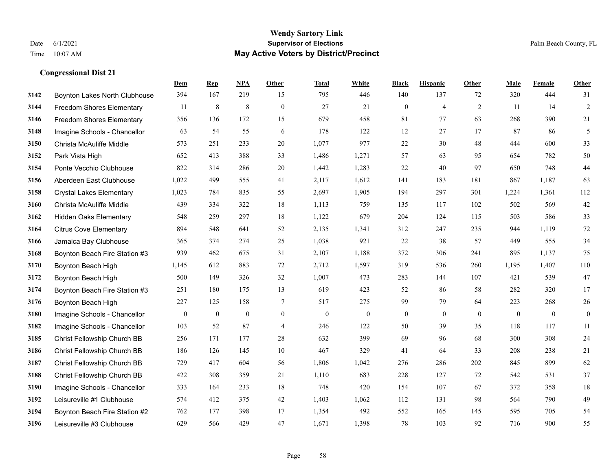|      |                                  | Dem              | <b>Rep</b>       | NPA              | <b>Other</b>     | <b>Total</b>     | <b>White</b>     | <b>Black</b>     | <b>Hispanic</b>  | <b>Other</b>     | <b>Male</b>      | Female       | <b>Other</b>     |
|------|----------------------------------|------------------|------------------|------------------|------------------|------------------|------------------|------------------|------------------|------------------|------------------|--------------|------------------|
| 3142 | Boynton Lakes North Clubhouse    | 394              | 167              | 219              | 15               | 795              | 446              | 140              | 137              | 72               | 320              | 444          | 31               |
| 3144 | Freedom Shores Elementary        | 11               | $\,$ 8 $\,$      | $\,$ 8 $\,$      | $\mathbf{0}$     | 27               | 21               | $\boldsymbol{0}$ | $\overline{4}$   | $\overline{2}$   | 11               | 14           | $\sqrt{2}$       |
| 3146 | <b>Freedom Shores Elementary</b> | 356              | 136              | 172              | 15               | 679              | 458              | 81               | 77               | 63               | 268              | 390          | 21               |
| 3148 | Imagine Schools - Chancellor     | 63               | 54               | 55               | 6                | 178              | 122              | 12               | 27               | 17               | 87               | 86           | 5                |
| 3150 | Christa McAuliffe Middle         | 573              | 251              | 233              | 20               | 1,077            | 977              | 22               | 30               | 48               | 444              | 600          | 33               |
| 3152 | Park Vista High                  | 652              | 413              | 388              | 33               | 1,486            | 1,271            | 57               | 63               | 95               | 654              | 782          | 50               |
| 3154 | Ponte Vecchio Clubhouse          | 822              | 314              | 286              | 20               | 1,442            | 1,283            | $22\,$           | 40               | 97               | 650              | 748          | $44\,$           |
| 3156 | Aberdeen East Clubhouse          | 1,022            | 499              | 555              | 41               | 2,117            | 1,612            | 141              | 183              | 181              | 867              | 1,187        | 63               |
| 3158 | <b>Crystal Lakes Elementary</b>  | 1,023            | 784              | 835              | 55               | 2,697            | 1,905            | 194              | 297              | 301              | 1,224            | 1,361        | 112              |
| 3160 | Christa McAuliffe Middle         | 439              | 334              | 322              | 18               | 1,113            | 759              | 135              | 117              | 102              | 502              | 569          | $42\,$           |
| 3162 | <b>Hidden Oaks Elementary</b>    | 548              | 259              | 297              | 18               | 1,122            | 679              | 204              | 124              | 115              | 503              | 586          | 33               |
| 3164 | <b>Citrus Cove Elementary</b>    | 894              | 548              | 641              | 52               | 2,135            | 1,341            | 312              | 247              | 235              | 944              | 1,119        | $72\,$           |
| 3166 | Jamaica Bay Clubhouse            | 365              | 374              | 274              | 25               | 1,038            | 921              | 22               | 38               | 57               | 449              | 555          | 34               |
| 3168 | Boynton Beach Fire Station #3    | 939              | 462              | 675              | 31               | 2,107            | 1,188            | 372              | 306              | 241              | 895              | 1,137        | 75               |
| 3170 | Boynton Beach High               | 1,145            | 612              | 883              | 72               | 2,712            | 1,597            | 319              | 536              | 260              | 1,195            | 1,407        | $110\,$          |
| 3172 | Boynton Beach High               | 500              | 149              | 326              | 32               | 1,007            | 473              | 283              | 144              | 107              | 421              | 539          | $47\,$           |
| 3174 | Boynton Beach Fire Station #3    | 251              | 180              | 175              | 13               | 619              | 423              | 52               | 86               | 58               | 282              | 320          | 17               |
| 3176 | Boynton Beach High               | 227              | 125              | 158              | 7                | 517              | 275              | 99               | 79               | 64               | 223              | 268          | $26\,$           |
| 3180 | Imagine Schools - Chancellor     | $\boldsymbol{0}$ | $\boldsymbol{0}$ | $\boldsymbol{0}$ | $\boldsymbol{0}$ | $\boldsymbol{0}$ | $\boldsymbol{0}$ | $\boldsymbol{0}$ | $\boldsymbol{0}$ | $\boldsymbol{0}$ | $\boldsymbol{0}$ | $\mathbf{0}$ | $\boldsymbol{0}$ |
| 3182 | Imagine Schools - Chancellor     | 103              | 52               | 87               | $\overline{4}$   | 246              | 122              | 50               | 39               | 35               | 118              | 117          | 11               |
| 3185 | Christ Fellowship Church BB      | 256              | 171              | 177              | 28               | 632              | 399              | 69               | 96               | 68               | 300              | 308          | $24\,$           |
| 3186 | Christ Fellowship Church BB      | 186              | 126              | 145              | 10               | 467              | 329              | 41               | 64               | 33               | 208              | 238          | 21               |
| 3187 | Christ Fellowship Church BB      | 729              | 417              | 604              | 56               | 1,806            | 1,042            | 276              | 286              | 202              | 845              | 899          | 62               |
| 3188 | Christ Fellowship Church BB      | 422              | 308              | 359              | 21               | 1,110            | 683              | 228              | 127              | 72               | 542              | 531          | 37               |
| 3190 | Imagine Schools - Chancellor     | 333              | 164              | 233              | 18               | 748              | 420              | 154              | 107              | 67               | 372              | 358          | $18\,$           |
| 3192 | Leisureville #1 Clubhouse        | 574              | 412              | 375              | 42               | 1,403            | 1,062            | 112              | 131              | 98               | 564              | 790          | 49               |
| 3194 | Boynton Beach Fire Station #2    | 762              | 177              | 398              | 17               | 1,354            | 492              | 552              | 165              | 145              | 595              | 705          | 54               |
| 3196 | Leisureville #3 Clubhouse        | 629              | 566              | 429              | 47               | 1,671            | 1,398            | 78               | 103              | 92               | 716              | 900          | 55               |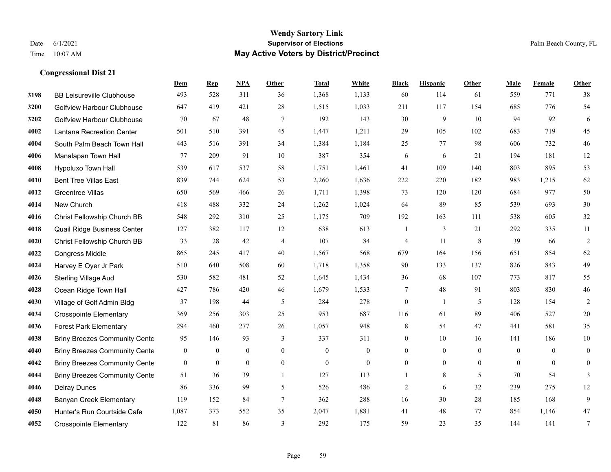#### **Wendy Sartory Link** Date 6/1/2021 **Supervisor of Elections** Palm Beach County, FL Time 10:07 AM **May Active Voters by District/Precinct**

BB Leisureville Clubhouse 493 528 311 36 1,368 1,133 60 114 61 559 771 38

**Dem Rep NPA Other Total White Black Hispanic Other Male Female Other**

# Golfview Harbour Clubhouse 647 419 421 28 1,515 1,033 211 117 154 685 776 54 Golfview Harbour Clubhouse 70 67 48 7 192 143 30 9 10 94 92 6 Lantana Recreation Center 501 510 391 45 1,447 1,211 29 105 102 683 719 45 South Palm Beach Town Hall 443 516 391 34 1,384 1,184 25 77 98 606 732 46 Manalapan Town Hall 77 209 91 10 387 354 6 6 21 194 181 12 Hypoluxo Town Hall 539 617 537 58 1,751 1,461 41 109 140 803 895 53 Bent Tree Villas East 839 744 624 53 2,260 1,636 222 220 182 983 1,215 62 Greentree Villas 650 569 466 26 1,711 1,398 73 120 120 684 977 50 New Church 418 488 332 24 1,262 1,024 64 89 85 539 693 30 Christ Fellowship Church BB 548 292 310 25 1,175 709 192 163 111 538 605 32 Quail Ridge Business Center 127 382 117 12 638 613 1 3 21 292 335 11 Christ Fellowship Church BB 33 28 42 4 107 84 4 11 8 39 66 2 Congress Middle 865 245 417 40 1,567 568 679 164 156 651 854 62 Harvey E Oyer Jr Park 510 640 508 60 1,718 1,358 90 133 137 826 843 49 Sterling Village Aud 530 582 481 52 1,645 1,434 36 68 107 773 817 55 Ocean Ridge Town Hall 427 786 420 46 1,679 1,533 7 48 91 803 830 46 Village of Golf Admin Bldg 37 198 44 5 284 278 0 1 5 128 154 2 Crosspointe Elementary 369 256 303 25 953 687 116 61 89 406 527 20 Forest Park Elementary 294 460 277 26 1,057 948 8 54 47 441 581 35 Briny Breezes Community Cente 95 146 93 337 311 0 10 16 141 186 10 Briny Breezes Community Center 0 0 0 0 0 0 0 0 0 0 0 0 Briny Breezes Community Center 0 0 0 0 0 0 0 0 0 0 0 0

 Briny Breezes Community Cente 51 36 39 1 127 113 1 8 5 70 54 3 Delray Dunes 86 336 99 5 526 486 2 6 32 239 275 12 Banyan Creek Elementary 119 152 84 7 362 288 16 30 28 185 168 9 Hunter's Run Courtside Cafe 1,087 373 552 35 2,047 1,881 41 48 77 854 1,146 47 Crosspointe Elementary 122 81 86 3 292 175 59 23 35 144 141 7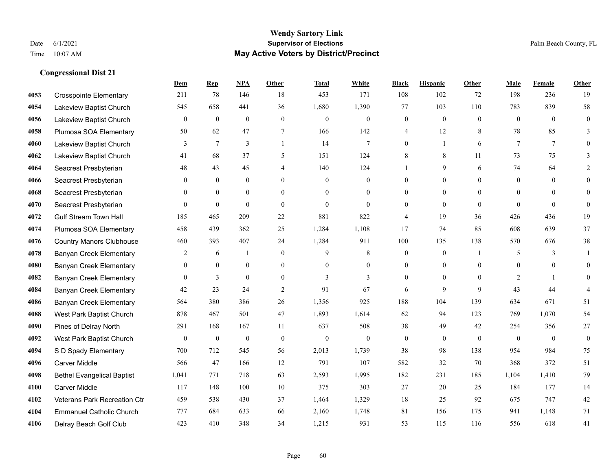## **Wendy Sartory Link** Date 6/1/2021 **Supervisor of Elections** Palm Beach County, FL Time 10:07 AM **May Active Voters by District/Precinct**

|      |                                   | Dem              | <b>Rep</b>       | <b>NPA</b>       | Other            | <b>Total</b>     | White            | <b>Black</b>     | <b>Hispanic</b>  | Other          | Male             | Female       | Other            |
|------|-----------------------------------|------------------|------------------|------------------|------------------|------------------|------------------|------------------|------------------|----------------|------------------|--------------|------------------|
| 4053 | <b>Crosspointe Elementary</b>     | 211              | 78               | 146              | 18               | 453              | 171              | 108              | 102              | 72             | 198              | 236          | 19               |
| 4054 | Lakeview Baptist Church           | 545              | 658              | 441              | 36               | 1,680            | 1,390            | 77               | 103              | 110            | 783              | 839          | 58               |
| 4056 | Lakeview Baptist Church           | $\boldsymbol{0}$ | $\boldsymbol{0}$ | $\boldsymbol{0}$ | $\boldsymbol{0}$ | $\boldsymbol{0}$ | $\boldsymbol{0}$ | $\boldsymbol{0}$ | $\boldsymbol{0}$ | $\mathbf{0}$   | $\boldsymbol{0}$ | $\mathbf{0}$ | $\boldsymbol{0}$ |
| 4058 | Plumosa SOA Elementary            | 50               | 62               | 47               | 7                | 166              | 142              | 4                | 12               | 8              | 78               | 85           | 3                |
| 4060 | Lakeview Baptist Church           | 3                | 7                | $\overline{3}$   | $\overline{1}$   | 14               | 7                | $\overline{0}$   | $\mathbf{1}$     | 6              | $\tau$           | $\tau$       | $\Omega$         |
| 4062 | Lakeview Baptist Church           | 41               | 68               | 37               | 5                | 151              | 124              | 8                | 8                | 11             | 73               | 75           | 3                |
| 4064 | Seacrest Presbyterian             | 48               | 43               | 45               | $\overline{4}$   | 140              | 124              |                  | 9                | 6              | 74               | 64           | $\overline{2}$   |
| 4066 | Seacrest Presbyterian             | $\theta$         | $\overline{0}$   | $\overline{0}$   | $\theta$         | $\mathbf{0}$     | $\overline{0}$   | $\theta$         | $\mathbf{0}$     | $\Omega$       | $\mathbf{0}$     | $\theta$     | $\theta$         |
| 4068 | Seacrest Presbyterian             | $\Omega$         | $\overline{0}$   | $\theta$         | $\Omega$         | $\Omega$         | $\theta$         | $\Omega$         | $\theta$         | $\Omega$       | $\theta$         | $\Omega$     | $\theta$         |
| 4070 | Seacrest Presbyterian             | $\overline{0}$   | $\overline{0}$   | $\overline{0}$   | $\mathbf{0}$     | $\mathbf{0}$     | $\overline{0}$   | $\theta$         | $\mathbf{0}$     | $\theta$       | $\theta$         | $\mathbf{0}$ | $\mathbf{0}$     |
| 4072 | <b>Gulf Stream Town Hall</b>      | 185              | 465              | 209              | 22               | 881              | 822              | 4                | 19               | 36             | 426              | 436          | 19               |
| 4074 | Plumosa SOA Elementary            | 458              | 439              | 362              | 25               | 1,284            | 1,108            | 17               | 74               | 85             | 608              | 639          | 37               |
| 4076 | <b>Country Manors Clubhouse</b>   | 460              | 393              | 407              | 24               | 1,284            | 911              | 100              | 135              | 138            | 570              | 676          | 38               |
| 4078 | <b>Banyan Creek Elementary</b>    | 2                | 6                | 1                | $\theta$         | 9                | 8                | $\mathbf{0}$     | $\mathbf{0}$     | $\overline{1}$ | 5                | 3            | -1               |
| 4080 | Banyan Creek Elementary           | $\theta$         | $\overline{0}$   | $\overline{0}$   | $\theta$         | $\theta$         | $\overline{0}$   | $\theta$         | $\mathbf{0}$     | $\Omega$       | $\overline{0}$   | $\theta$     | $\theta$         |
| 4082 | <b>Banyan Creek Elementary</b>    | $\theta$         | 3                | 0                | $\theta$         | 3                | 3                | 0                | $\mathbf{0}$     | $\theta$       | 2                |              | $\mathbf{0}$     |
| 4084 | Banyan Creek Elementary           | 42               | 23               | 24               | 2                | 91               | 67               | 6                | 9                | 9              | 43               | 44           | $\overline{4}$   |
| 4086 | <b>Banyan Creek Elementary</b>    | 564              | 380              | 386              | 26               | 1,356            | 925              | 188              | 104              | 139            | 634              | 671          | 51               |
| 4088 | West Park Baptist Church          | 878              | 467              | 501              | 47               | 1,893            | 1,614            | 62               | 94               | 123            | 769              | 1,070        | 54               |
| 4090 | Pines of Delray North             | 291              | 168              | 167              | 11               | 637              | 508              | 38               | 49               | 42             | 254              | 356          | 27               |
| 4092 | West Park Baptist Church          | $\overline{0}$   | $\boldsymbol{0}$ | $\boldsymbol{0}$ | $\theta$         | $\boldsymbol{0}$ | $\theta$         | $\mathbf{0}$     | $\mathbf{0}$     | $\theta$       | $\theta$         | $\theta$     | $\mathbf{0}$     |
| 4094 | S D Spady Elementary              | 700              | 712              | 545              | 56               | 2,013            | 1,739            | 38               | 98               | 138            | 954              | 984          | 75               |
| 4096 | Carver Middle                     | 566              | 47               | 166              | 12               | 791              | 107              | 582              | 32               | 70             | 368              | 372          | 51               |
| 4098 | <b>Bethel Evangelical Baptist</b> | 1,041            | 771              | 718              | 63               | 2,593            | 1,995            | 182              | 231              | 185            | 1,104            | 1,410        | 79               |
| 4100 | Carver Middle                     | 117              | 148              | $100\,$          | $10\,$           | 375              | 303              | 27               | 20               | 25             | 184              | 177          | 14               |
| 4102 | Veterans Park Recreation Ctr      | 459              | 538              | 430              | 37               | 1,464            | 1,329            | 18               | 25               | 92             | 675              | 747          | 42               |
| 4104 | <b>Emmanuel Catholic Church</b>   | 777              | 684              | 633              | 66               | 2,160            | 1,748            | 81               | 156              | 175            | 941              | 1,148        | 71               |
| 4106 | Delray Beach Golf Club            | 423              | 410              | 348              | 34               | 1,215            | 931              | 53               | 115              | 116            | 556              | 618          | 41               |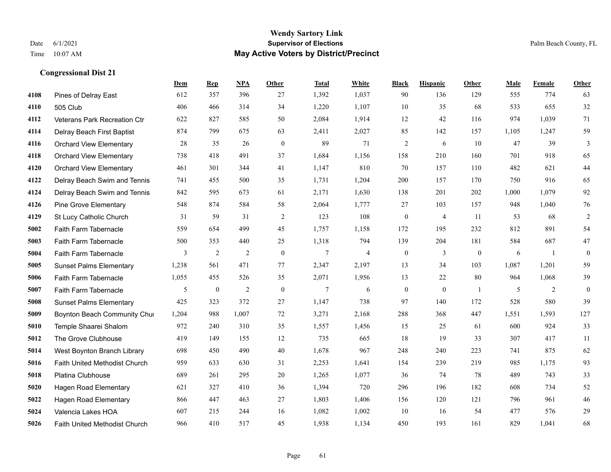|      |                                      | Dem   | <b>Rep</b>       | NPA            | <b>Other</b>     | <b>Total</b> | White          | <b>Black</b>     | <b>Hispanic</b> | Other          | <b>Male</b> | Female | <b>Other</b>     |
|------|--------------------------------------|-------|------------------|----------------|------------------|--------------|----------------|------------------|-----------------|----------------|-------------|--------|------------------|
| 4108 | Pines of Delray East                 | 612   | 357              | 396            | 27               | 1,392        | 1,037          | 90               | 136             | 129            | 555         | 774    | 63               |
| 4110 | 505 Club                             | 406   | 466              | 314            | 34               | 1,220        | 1,107          | 10               | 35              | 68             | 533         | 655    | 32               |
| 4112 | Veterans Park Recreation Ctr         | 622   | 827              | 585            | 50               | 2,084        | 1,914          | 12               | 42              | 116            | 974         | 1,039  | 71               |
| 4114 | Delray Beach First Baptist           | 874   | 799              | 675            | 63               | 2,411        | 2,027          | 85               | 142             | 157            | 1,105       | 1,247  | 59               |
| 4116 | <b>Orchard View Elementary</b>       | 28    | 35               | 26             | $\mathbf{0}$     | 89           | 71             | $\overline{2}$   | 6               | 10             | 47          | 39     | 3                |
| 4118 | <b>Orchard View Elementary</b>       | 738   | 418              | 491            | 37               | 1,684        | 1,156          | 158              | 210             | 160            | 701         | 918    | 65               |
| 4120 | <b>Orchard View Elementary</b>       | 461   | 301              | 344            | 41               | 1,147        | 810            | 70               | 157             | 110            | 482         | 621    | $44\,$           |
| 4122 | Delray Beach Swim and Tennis         | 741   | 455              | 500            | 35               | 1,731        | 1,204          | 200              | 157             | 170            | 750         | 916    | 65               |
| 4124 | Delray Beach Swim and Tennis         | 842   | 595              | 673            | 61               | 2,171        | 1,630          | 138              | 201             | 202            | 1,000       | 1,079  | 92               |
| 4126 | <b>Pine Grove Elementary</b>         | 548   | 874              | 584            | 58               | 2,064        | 1,777          | 27               | 103             | 157            | 948         | 1,040  | 76               |
| 4129 | St Lucy Catholic Church              | 31    | 59               | 31             | 2                | 123          | 108            | $\boldsymbol{0}$ | $\overline{4}$  | 11             | 53          | 68     | $\overline{2}$   |
| 5002 | Faith Farm Tabernacle                | 559   | 654              | 499            | 45               | 1,757        | 1,158          | 172              | 195             | 232            | 812         | 891    | 54               |
| 5003 | Faith Farm Tabernacle                | 500   | 353              | 440            | 25               | 1,318        | 794            | 139              | 204             | 181            | 584         | 687    | 47               |
| 5004 | Faith Farm Tabernacle                | 3     | $\sqrt{2}$       | $\mathfrak{2}$ | $\boldsymbol{0}$ | 7            | $\overline{4}$ | $\boldsymbol{0}$ | 3               | $\mathbf{0}$   | 6           | -1     | $\boldsymbol{0}$ |
| 5005 | <b>Sunset Palms Elementary</b>       | 1,238 | 561              | 471            | 77               | 2,347        | 2,197          | 13               | 34              | 103            | 1,087       | 1,201  | 59               |
| 5006 | <b>Faith Farm Tabernacle</b>         | 1,055 | 455              | 526            | 35               | 2,071        | 1,956          | 13               | 22              | 80             | 964         | 1,068  | 39               |
| 5007 | Faith Farm Tabernacle                | 5     | $\boldsymbol{0}$ | $\overline{2}$ | $\mathbf{0}$     | 7            | 6              | $\boldsymbol{0}$ | $\mathbf{0}$    | $\overline{1}$ | 5           | 2      | $\mathbf{0}$     |
| 5008 | <b>Sunset Palms Elementary</b>       | 425   | 323              | 372            | 27               | 1,147        | 738            | 97               | 140             | 172            | 528         | 580    | 39               |
| 5009 | Boynton Beach Community Chur         | 1,204 | 988              | 1,007          | 72               | 3,271        | 2,168          | 288              | 368             | 447            | 1,551       | 1,593  | 127              |
| 5010 | Temple Shaarei Shalom                | 972   | 240              | 310            | 35               | 1,557        | 1,456          | 15               | 25              | 61             | 600         | 924    | 33               |
| 5012 | The Grove Clubhouse                  | 419   | 149              | 155            | 12               | 735          | 665            | 18               | 19              | 33             | 307         | 417    | 11               |
| 5014 | West Boynton Branch Library          | 698   | 450              | 490            | 40               | 1,678        | 967            | 248              | 240             | 223            | 741         | 875    | 62               |
| 5016 | Faith United Methodist Church        | 959   | 633              | 630            | 31               | 2,253        | 1,641          | 154              | 239             | 219            | 985         | 1,175  | 93               |
| 5018 | Platina Clubhouse                    | 689   | 261              | 295            | 20               | 1,265        | 1,077          | 36               | 74              | 78             | 489         | 743    | 33               |
| 5020 | Hagen Road Elementary                | 621   | 327              | 410            | 36               | 1,394        | 720            | 296              | 196             | 182            | 608         | 734    | 52               |
| 5022 | Hagen Road Elementary                | 866   | 447              | 463            | 27               | 1,803        | 1,406          | 156              | 120             | 121            | 796         | 961    | 46               |
| 5024 | Valencia Lakes HOA                   | 607   | 215              | 244            | 16               | 1,082        | 1,002          | 10               | 16              | 54             | 477         | 576    | 29               |
| 5026 | <b>Faith United Methodist Church</b> | 966   | 410              | 517            | 45               | 1,938        | 1,134          | 450              | 193             | 161            | 829         | 1,041  | 68               |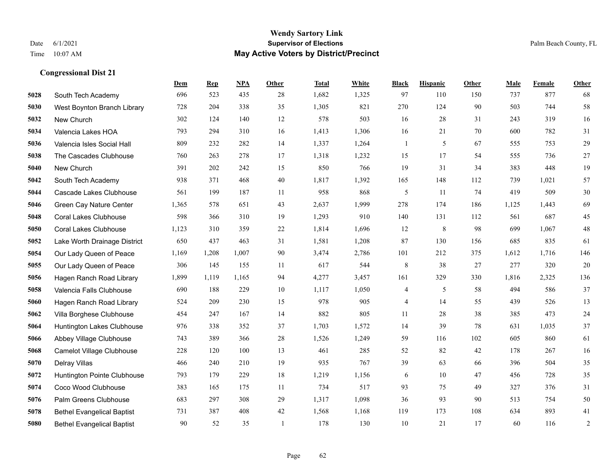#### **Wendy Sartory Link** Date 6/1/2021 **Supervisor of Elections** Palm Beach County, FL Time 10:07 AM **May Active Voters by District/Precinct**

# **Dem Rep NPA Other Total White Black Hispanic Other Male Female Other** South Tech Academy 696 523 435 28 1,682 1,325 97 110 150 737 877 68 West Boynton Branch Library 728 204 338 35 1,305 821 270 124 90 503 744 58 New Church 302 124 140 12 578 503 16 28 31 243 319 16 Valencia Lakes HOA 793 294 310 16 1,413 1,306 16 21 70 600 782 31 Valencia Isles Social Hall 809 232 282 14 1,337 1,264 1 5 67 555 753 29 The Cascades Clubhouse 760 263 278 17 1,318 1,232 15 17 54 555 736 27 New Church 391 202 242 15 850 766 19 31 34 383 448 19 South Tech Academy 938 371 468 40 1,817 1,392 165 148 112 739 1,021 57 Cascade Lakes Clubhouse 561 199 187 11 958 868 5 11 74 419 509 30 Green Cay Nature Center 1,365 578 651 43 2,637 1,999 278 174 186 1,125 1,443 69 Coral Lakes Clubhouse 598 366 310 19 1,293 910 140 131 112 561 687 45 Coral Lakes Clubhouse 1,123 310 359 22 1,814 1,696 12 8 98 699 1,067 48 Lake Worth Drainage District 650 437 463 31 1,581 1,208 87 130 156 685 835 61 Our Lady Queen of Peace 1,169 1,208 1,007 90 3,474 2,786 101 212 375 1,612 1,716 146 Our Lady Queen of Peace 306 145 155 11 617 544 8 38 27 277 320 20 Hagen Ranch Road Library 1,899 1,119 1,165 94 4,277 3,457 161 329 330 1,816 2,325 136 Valencia Falls Clubhouse 690 188 229 10 1,117 1,050 4 5 58 494 586 37 Hagen Ranch Road Library 524 209 230 15 978 905 4 14 55 439 526 13 Villa Borghese Clubhouse 454 247 167 14 882 805 11 28 38 385 473 24 Huntington Lakes Clubhouse 976 338 352 37 1,703 1,572 14 39 78 631 1,035 37 Abbey Village Clubhouse 743 389 366 28 1,526 1,249 59 116 102 605 860 61 Camelot Village Clubhouse 228 120 100 13 461 285 52 82 42 178 267 16 Delray Villas 466 240 210 19 935 767 39 63 66 396 504 35 Huntington Pointe Clubhouse 793 179 229 18 1,219 1,156 6 10 47 456 728 35 Coco Wood Clubhouse 383 165 175 11 734 517 93 75 49 327 376 31 Palm Greens Clubhouse 683 297 308 29 1,317 1,098 36 93 90 513 754 50 Bethel Evangelical Baptist 731 387 408 42 1,568 1,168 119 173 108 634 893 41 Bethel Evangelical Baptist 90 52 35 1 178 130 10 21 17 60 116 2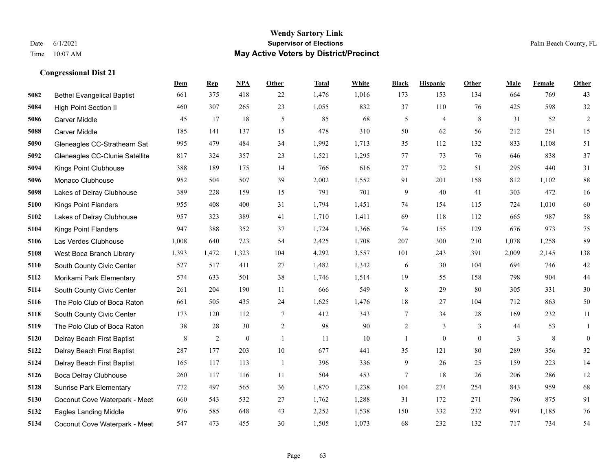#### **Wendy Sartory Link** Date 6/1/2021 **Supervisor of Elections** Palm Beach County, FL Time 10:07 AM **May Active Voters by District/Precinct**

# **Dem Rep NPA Other Total White Black Hispanic Other Male Female Other** Bethel Evangelical Baptist 661 375 418 22 1,476 1,016 173 153 134 664 769 43 High Point Section II 460 307 265 23 1,055 832 37 110 76 425 598 32 Carver Middle 45 17 18 5 85 68 5 4 8 31 52 2 Carver Middle 185 141 137 15 478 310 50 62 56 212 251 15 Gleneagles CC-Strathearn Sat 995 479 484 34 1,992 1,713 35 112 132 833 1,108 51 Gleneagles CC-Clunie Satellite 817 324 357 23 1,521 1,295 77 73 76 646 838 37 Kings Point Clubhouse 388 189 175 14 766 616 27 72 51 295 440 31 Monaco Clubhouse 952 504 507 39 2,002 1,552 91 201 158 812 1,102 88 Lakes of Delray Clubhouse 389 228 159 15 791 701 9 40 41 303 472 16 Kings Point Flanders 955 408 400 31 1,794 1,451 74 154 115 724 1,010 60 Lakes of Delray Clubhouse 957 323 389 41 1,710 1,411 69 118 112 665 987 58 Kings Point Flanders 947 388 352 37 1,724 1,366 74 155 129 676 973 75 Las Verdes Clubhouse 1,008 640 723 54 2,425 1,708 207 300 210 1,078 1,258 89 West Boca Branch Library 1,393 1,472 1,323 104 4,292 3,557 101 243 391 2,009 2,145 138 South County Civic Center 527 517 411 27 1,482 1,342 6 30 104 694 746 42 Morikami Park Elementary 574 633 501 38 1,746 1,514 19 55 158 798 904 44 South County Civic Center 261 204 190 11 666 549 8 29 80 305 331 30 The Polo Club of Boca Raton 661 505 435 24 1,625 1,476 18 27 104 712 863 50 South County Civic Center 173 120 112 7 412 343 7 34 28 169 232 11 The Polo Club of Boca Raton 38 28 30 2 98 90 2 3 3 44 53 1 Delray Beach First Baptist 8 8 2 0 1 11 10 1 0 0 3 8 0 Delray Beach First Baptist 287 177 203 10 677 441 35 121 80 289 356 32 Delray Beach First Baptist 165 117 113 1 396 336 9 26 25 159 223 14 Boca Delray Clubhouse 260 117 116 11 504 453 7 18 26 206 286 12 Sunrise Park Elementary 772 497 565 36 1,870 1,238 104 274 254 843 959 68 Coconut Cove Waterpark - Meet 660 543 532 27 1,762 1,288 31 172 271 796 875 91 Eagles Landing Middle 976 585 648 43 2,252 1,538 150 332 232 991 1,185 76

Coconut Cove Waterpark - Meet 547 473 455 30 1,505 1,073 68 232 132 717 734 54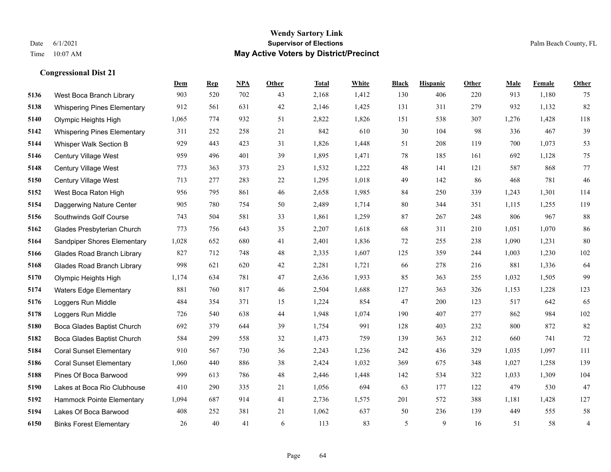#### **Wendy Sartory Link** Date 6/1/2021 **Supervisor of Elections** Palm Beach County, FL Time 10:07 AM **May Active Voters by District/Precinct**

# **Dem Rep NPA Other Total White Black Hispanic Other Male Female Other** West Boca Branch Library 903 520 702 43 2,168 1,412 130 406 220 913 1,180 75 Whispering Pines Elementary 912 561 631 42 2,146 1,425 131 311 279 932 1,132 82 Olympic Heights High 1,065 774 932 51 2,822 1,826 151 538 307 1,276 1,428 118 Whispering Pines Elementary 311 252 258 21 842 610 30 104 98 336 467 39 Whisper Walk Section B 929 443 423 31 1,826 1,448 51 208 119 700 1,073 53 Century Village West 959 496 401 39 1,895 1,471 78 185 161 692 1,128 75 Century Village West 773 363 373 23 1,532 1,222 48 141 121 587 868 77 Century Village West 713 277 283 22 1,295 1,018 49 142 86 468 781 46 West Boca Raton High 956 795 861 46 2,658 1,985 84 250 339 1,243 1,301 114 Daggerwing Nature Center 905 780 754 50 2,489 1,714 80 344 351 1,115 1,255 119 Southwinds Golf Course 743 504 581 33 1,861 1,259 87 267 248 806 967 88 Glades Presbyterian Church 773 756 643 35 2,207 1,618 68 311 210 1,051 1,070 86 Sandpiper Shores Elementary 1,028 652 680 41 2,401 1,836 72 255 238 1,090 1,231 80 Glades Road Branch Library 827 712 748 48 2,335 1,607 125 359 244 1,003 1,230 102 Glades Road Branch Library 998 621 620 42 2,281 1,721 66 278 216 881 1,336 64 Olympic Heights High 1,174 634 781 47 2,636 1,933 85 363 255 1,032 1,505 99 Waters Edge Elementary 881 760 817 46 2,504 1,688 127 363 326 1,153 1,228 123 Loggers Run Middle 484 354 371 15 1,224 854 47 200 123 517 642 65 Loggers Run Middle 726 540 638 44 1,948 1,074 190 407 277 862 984 102 Boca Glades Baptist Church 692 379 644 39 1,754 991 128 403 232 800 872 82 Boca Glades Baptist Church 584 299 558 32 1,473 759 139 363 212 660 741 72 Coral Sunset Elementary 910 567 730 36 2,243 1,236 242 436 329 1,035 1,097 111 Coral Sunset Elementary 1,060 440 886 38 2,424 1,032 369 675 348 1,027 1,258 139 Pines Of Boca Barwood 999 613 786 48 2,446 1,448 142 534 322 1,033 1,309 104 Lakes at Boca Rio Clubhouse 410 290 335 21 1,056 694 63 177 122 479 530 47 Hammock Pointe Elementary 1,094 687 914 41 2,736 1,575 201 572 388 1,181 1,428 127 Lakes Of Boca Barwood 408 252 381 21 1,062 637 50 236 139 449 555 58 Binks Forest Elementary 26 40 41 6 113 83 5 9 16 51 58 4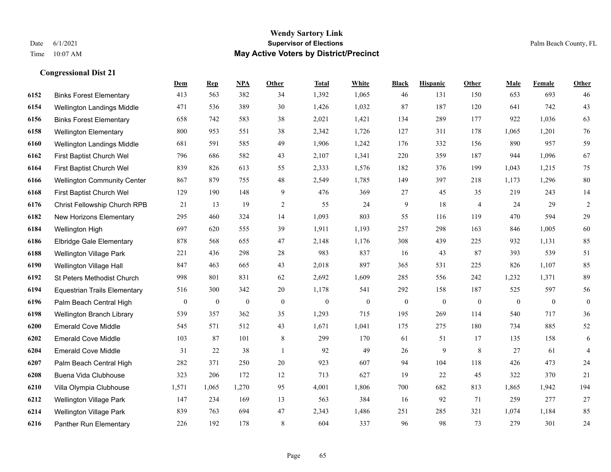#### **Wendy Sartory Link** Date 6/1/2021 **Supervisor of Elections** Palm Beach County, FL Time 10:07 AM **May Active Voters by District/Precinct**

# **Dem Rep NPA Other Total White Black Hispanic Other Male Female Other** Binks Forest Elementary 413 563 382 34 1,392 1,065 46 131 150 653 693 46 Wellington Landings Middle 471 536 389 30 1,426 1,032 87 187 120 641 742 43 Binks Forest Elementary 658 742 583 38 2,021 1,421 134 289 177 922 1,036 63 Wellington Elementary 800 953 551 38 2,342 1,726 127 311 178 1,065 1,201 76 Wellington Landings Middle 681 591 585 49 1,906 1,242 176 332 156 890 957 59 First Baptist Church Wel 796 686 582 43 2,107 1,341 220 359 187 944 1,096 67 First Baptist Church Wel 839 826 613 55 2,333 1,576 182 376 199 1,043 1,215 75 Wellington Community Center 867 879 755 48 2,549 1,785 149 397 218 1,173 1,296 80 First Baptist Church Wel 129 190 148 9 476 369 27 45 35 219 243 14 Christ Fellowship Church RPB 21 13 19 2 55 24 9 18 4 24 29 2 New Horizons Elementary 295 460 324 14 1,093 803 55 116 119 470 594 29 Wellington High 697 620 555 39 1,911 1,193 257 298 163 846 1,005 60 Elbridge Gale Elementary 878 568 655 47 2,148 1,176 308 439 225 932 1,131 85 Wellington Village Park 221 436 298 28 983 837 16 43 87 393 539 51 Wellington Village Hall 847 463 665 43 2,018 897 365 531 225 826 1,107 85 St Peters Methodist Church 998 801 831 62 2,692 1,609 285 556 242 1,232 1,371 89 Equestrian Trails Elementary 516 300 342 20 1,178 541 292 158 187 525 597 56 Palm Beach Central High 0 0 0 0 0 0 0 0 0 0 0 0 Wellington Branch Library 539 357 362 35 1,293 715 195 269 114 540 717 36 Emerald Cove Middle 545 571 512 43 1,671 1,041 175 275 180 734 885 52 Emerald Cove Middle 103 87 101 8 299 170 61 51 17 135 158 6 Emerald Cove Middle 31 22 38 1 92 49 26 9 8 27 61 4 Palm Beach Central High 282 371 250 20 923 607 94 104 118 426 473 24 Buena Vida Clubhouse 323 206 172 12 713 627 19 22 45 322 370 21 Villa Olympia Clubhouse 1,571 1,065 1,270 95 4,001 1,806 700 682 813 1,865 1,942 194 Wellington Village Park 147 234 169 13 563 384 16 92 71 259 277 27 Wellington Village Park 839 763 694 47 2,343 1,486 251 285 321 1,074 1,184 85 Panther Run Elementary 226 192 178 8 604 337 96 98 73 279 301 24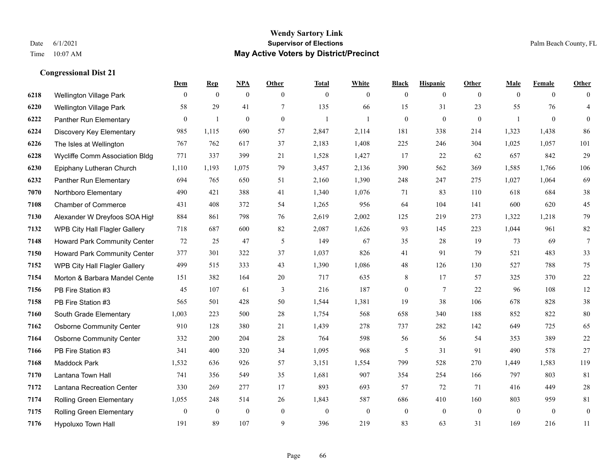## **Wendy Sartory Link** Date 6/1/2021 **Supervisor of Elections** Palm Beach County, FL Time 10:07 AM **May Active Voters by District/Precinct**

|      |                                     | Dem            | <b>Rep</b>     | NPA          | Other        | <b>Total</b> | White        | <b>Black</b>   | <b>Hispanic</b> | Other        | Male     | Female         | Other          |
|------|-------------------------------------|----------------|----------------|--------------|--------------|--------------|--------------|----------------|-----------------|--------------|----------|----------------|----------------|
| 6218 | <b>Wellington Village Park</b>      | $\theta$       | $\overline{0}$ | $\mathbf{0}$ | $\theta$     | $\mathbf{0}$ | $\mathbf{0}$ | $\overline{0}$ | $\overline{0}$  | $\theta$     | $\theta$ | $\overline{0}$ | $\theta$       |
| 6220 | <b>Wellington Village Park</b>      | 58             | 29             | 41           | $\tau$       | 135          | 66           | 15             | 31              | 23           | 55       | 76             | $\overline{4}$ |
| 6222 | Panther Run Elementary              | $\theta$       | 1              | $\mathbf{0}$ | $\mathbf{0}$ | -1           | $\mathbf{1}$ | $\overline{0}$ | $\mathbf{0}$    | $\mathbf{0}$ | 1        | $\mathbf{0}$   | $\overline{0}$ |
| 6224 | Discovery Key Elementary            | 985            | 1,115          | 690          | 57           | 2,847        | 2,114        | 181            | 338             | 214          | 1,323    | 1,438          | 86             |
| 6226 | The Isles at Wellington             | 767            | 762            | 617          | 37           | 2,183        | 1,408        | 225            | 246             | 304          | 1,025    | 1,057          | 101            |
| 6228 | Wycliffe Comm Association Bldg      | 771            | 337            | 399          | 21           | 1,528        | 1,427        | 17             | 22              | 62           | 657      | 842            | 29             |
| 6230 | Epiphany Lutheran Church            | 1,110          | 1,193          | 1,075        | 79           | 3,457        | 2,136        | 390            | 562             | 369          | 1,585    | 1,766          | 106            |
| 6232 | Panther Run Elementary              | 694            | 765            | 650          | 51           | 2,160        | 1,390        | 248            | 247             | 275          | 1,027    | 1,064          | 69             |
| 7070 | Northboro Elementary                | 490            | 421            | 388          | 41           | 1,340        | 1,076        | 71             | 83              | 110          | 618      | 684            | 38             |
| 7108 | <b>Chamber of Commerce</b>          | 431            | 408            | 372          | 54           | 1,265        | 956          | 64             | 104             | 141          | 600      | 620            | 45             |
| 7130 | Alexander W Dreyfoos SOA High       | 884            | 861            | 798          | 76           | 2,619        | 2,002        | 125            | 219             | 273          | 1,322    | 1,218          | 79             |
| 7132 | WPB City Hall Flagler Gallery       | 718            | 687            | 600          | 82           | 2,087        | 1,626        | 93             | 145             | 223          | 1,044    | 961            | 82             |
| 7148 | Howard Park Community Center        | 72             | 25             | 47           | 5            | 149          | 67           | 35             | 28              | 19           | 73       | 69             | $\tau$         |
| 7150 | <b>Howard Park Community Center</b> | 377            | 301            | 322          | 37           | 1,037        | 826          | 41             | 91              | 79           | 521      | 483            | 33             |
| 7152 | WPB City Hall Flagler Gallery       | 499            | 515            | 333          | 43           | 1,390        | 1,086        | $48\,$         | 126             | 130          | 527      | 788            | 75             |
| 7154 | Morton & Barbara Mandel Cente       | 151            | 382            | 164          | 20           | 717          | 635          | 8              | 17              | 57           | 325      | 370            | 22             |
| 7156 | PB Fire Station #3                  | 45             | 107            | 61           | 3            | 216          | 187          | $\overline{0}$ | $7\phantom{.0}$ | 22           | 96       | 108            | 12             |
| 7158 | PB Fire Station #3                  | 565            | 501            | 428          | 50           | 1,544        | 1,381        | 19             | 38              | 106          | 678      | 828            | 38             |
| 7160 | South Grade Elementary              | 1,003          | 223            | 500          | 28           | 1,754        | 568          | 658            | 340             | 188          | 852      | 822            | 80             |
| 7162 | <b>Osborne Community Center</b>     | 910            | 128            | 380          | 21           | 1,439        | 278          | 737            | 282             | 142          | 649      | 725            | 65             |
| 7164 | <b>Osborne Community Center</b>     | 332            | 200            | 204          | 28           | 764          | 598          | 56             | 56              | 54           | 353      | 389            | 22             |
| 7166 | PB Fire Station #3                  | 341            | 400            | 320          | 34           | 1,095        | 968          | 5              | 31              | 91           | 490      | 578            | $27\,$         |
| 7168 | Maddock Park                        | 1,532          | 636            | 926          | 57           | 3,151        | 1,554        | 799            | 528             | 270          | 1,449    | 1,583          | 119            |
| 7170 | Lantana Town Hall                   | 741            | 356            | 549          | 35           | 1,681        | 907          | 354            | 254             | 166          | 797      | 803            | 81             |
| 7172 | Lantana Recreation Center           | 330            | 269            | 277          | 17           | 893          | 693          | 57             | 72              | 71           | 416      | 449            | 28             |
| 7174 | <b>Rolling Green Elementary</b>     | 1,055          | 248            | 514          | 26           | 1,843        | 587          | 686            | 410             | 160          | 803      | 959            | 81             |
| 7175 | Rolling Green Elementary            | $\overline{0}$ | $\mathbf{0}$   | $\mathbf{0}$ | $\mathbf{0}$ | $\mathbf{0}$ | $\mathbf{0}$ | $\mathbf{0}$   | $\theta$        | $\theta$     | $\theta$ | $\mathbf{0}$   | $\overline{0}$ |
| 7176 | Hypoluxo Town Hall                  | 191            | 89             | 107          | 9            | 396          | 219          | 83             | 63              | 31           | 169      | 216            | 11             |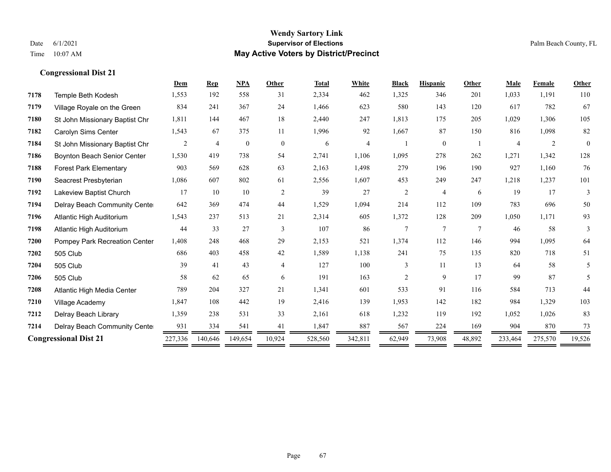#### **Wendy Sartory Link** Date 6/1/2021 **Supervisor of Elections** Palm Beach County, FL Time 10:07 AM **May Active Voters by District/Precinct**

# **Dem Rep NPA Other Total White Black Hispanic Other Male Female Other** Temple Beth Kodesh 1,553 192 558 31 2,334 462 1,325 346 201 1,033 1,191 110 Village Royale on the Green 834 241 367 24 1,466 623 580 143 120 617 782 67 St John Missionary Baptist Chr 1,811 144 467 18 2,440 247 1,813 175 205 1,029 1,306 105 Carolyn Sims Center 1,543 67 375 11 1,996 92 1,667 87 150 816 1,098 82 St John Missionary Baptist Chr 2 4 0 0 6 4 1 0 1 4 2 0 Boynton Beach Senior Center 1,530 419 738 54 2,741 1,106 1,095 278 262 1,271 1,342 128 Forest Park Elementary 903 569 628 63 2,163 1,498 279 196 190 927 1,160 76 Seacrest Presbyterian 1,086 607 802 61 2,556 1,607 453 249 247 1,218 1,237 101 Lakeview Baptist Church 17 10 10 2 39 27 2 4 6 19 17 3 Delray Beach Community Center 642 369 474 44 1,529 1,094 214 112 109 783 696 50 Atlantic High Auditorium 1,543 237 513 21 2,314 605 1,372 128 209 1,050 1,171 93 Atlantic High Auditorium 44 33 27 3 107 86 7 7 7 46 58 3 Pompey Park Recreation Center 1,408 248 468 29 2,153 521 1,374 112 146 994 1,095 64 505 Club 686 403 458 42 1,589 1,138 241 75 135 820 718 51 505 Club 39 41 43 4 127 100 3 11 13 64 58 5 505 Club 58 62 65 6 191 163 2 9 17 99 87 5 Atlantic High Media Center 789 204 327 21 1,341 601 533 91 116 584 713 44 Village Academy 1,847 108 442 19 2,416 139 1,953 142 182 984 1,329 103 Delray Beach Library 1,359 238 531 33 2,161 618 1,232 119 192 1,052 1,026 83 Delray Beach Community Center 931 334 541 41 1,847 887 567 224 169 904 870 73 **Congressional Dist 21** 227,336 140,646 149,654 10,924 528,560 342,811 62,949 73,908 48,892 233,464 275,570 19,526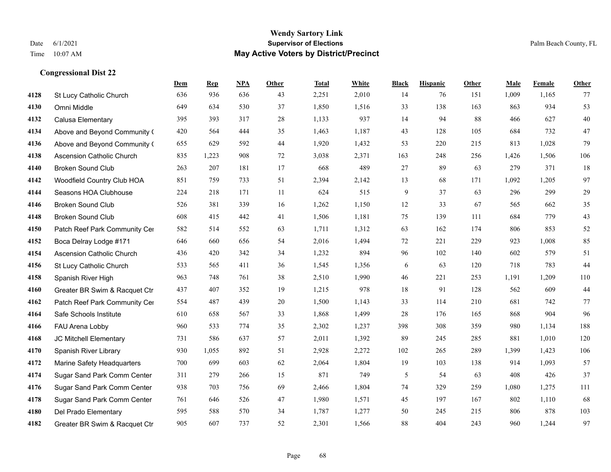#### **Wendy Sartory Link** Date 6/1/2021 **Supervisor of Elections** Palm Beach County, FL Time 10:07 AM **May Active Voters by District/Precinct**

# **Dem Rep NPA Other Total White Black Hispanic Other Male Female Other** St Lucy Catholic Church 636 936 636 43 2,251 2,010 14 76 151 1,009 1,165 77 Omni Middle 649 634 530 37 1,850 1,516 33 138 163 863 934 53 Calusa Elementary 395 393 317 28 1,133 937 14 94 88 466 627 40 Above and Beyond Community Church 420 564 444 35 1,463 1,187 43 128 105 684 732 47 Above and Beyond Community Church 655 629 592 44 1,920 1,432 53 220 215 813 1,028 79 Ascension Catholic Church 835 1,223 908 72 3,038 2,371 163 248 256 1,426 1,506 106 Broken Sound Club 263 207 181 17 668 489 27 89 63 279 371 18 Woodfield Country Club HOA 851 759 733 51 2,394 2,142 13 68 171 1,092 1,205 97 Seasons HOA Clubhouse 224 218 171 11 624 515 9 37 63 296 299 29 Broken Sound Club 526 381 339 16 1,262 1,150 12 33 67 565 662 35 Broken Sound Club 608 415 442 41 1,506 1,181 75 139 111 684 779 43 4150 Patch Reef Park Community Center 582 514 552 63 1,711 1,312 63 162 174 806 853 52 Boca Delray Lodge #171 646 660 656 54 2,016 1,494 72 221 229 923 1,008 85 Ascension Catholic Church 436 420 342 34 1,232 894 96 102 140 602 579 51 St Lucy Catholic Church 533 565 411 36 1,545 1,356 6 63 120 718 783 44 Spanish River High 963 748 761 38 2,510 1,990 46 221 253 1,191 1,209 110 Greater BR Swim & Racquet Ctr 437 407 352 19 1,215 978 18 91 128 562 609 44 4162 Patch Reef Park Community Center 554 487 439 20 1,500 1,143 33 114 210 681 742 77 Safe Schools Institute 610 658 567 33 1,868 1,499 28 176 165 868 904 96 FAU Arena Lobby 960 533 774 35 2,302 1,237 398 308 359 980 1,134 188 JC Mitchell Elementary 731 586 637 57 2,011 1,392 89 245 285 881 1,010 120 Spanish River Library 930 1,055 892 51 2,928 2,272 102 265 289 1,399 1,423 106 Marine Safety Headquarters 700 699 603 62 2,064 1,804 19 103 138 914 1,093 57 Sugar Sand Park Comm Center 311 279 266 15 871 749 5 54 63 408 426 37 Sugar Sand Park Comm Center 938 703 756 69 2,466 1,804 74 329 259 1,080 1,275 111 Sugar Sand Park Comm Center 761 646 526 47 1,980 1,571 45 197 167 802 1,110 68 Del Prado Elementary 595 588 570 34 1,787 1,277 50 245 215 806 878 103 Greater BR Swim & Racquet Ctr 905 607 737 52 2,301 1,566 88 404 243 960 1,244 97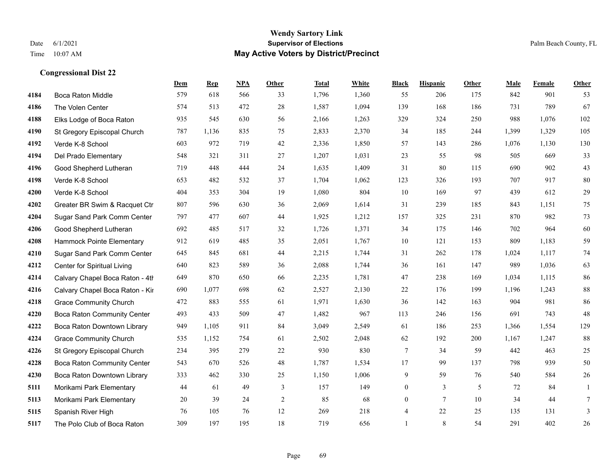|      |                                    | Dem | <b>Rep</b> | NPA | <b>Other</b> | <b>Total</b> | <b>White</b> | <b>Black</b>     | <b>Hispanic</b> | Other | <b>Male</b> | Female | <b>Other</b> |
|------|------------------------------------|-----|------------|-----|--------------|--------------|--------------|------------------|-----------------|-------|-------------|--------|--------------|
| 4184 | Boca Raton Middle                  | 579 | 618        | 566 | 33           | 1,796        | 1,360        | 55               | 206             | 175   | 842         | 901    | 53           |
| 4186 | The Volen Center                   | 574 | 513        | 472 | 28           | 1,587        | 1,094        | 139              | 168             | 186   | 731         | 789    | 67           |
| 4188 | Elks Lodge of Boca Raton           | 935 | 545        | 630 | 56           | 2,166        | 1,263        | 329              | 324             | 250   | 988         | 1,076  | 102          |
| 4190 | St Gregory Episcopal Church        | 787 | 1,136      | 835 | 75           | 2,833        | 2,370        | 34               | 185             | 244   | 1,399       | 1,329  | 105          |
| 4192 | Verde K-8 School                   | 603 | 972        | 719 | 42           | 2,336        | 1,850        | 57               | 143             | 286   | 1,076       | 1,130  | 130          |
| 4194 | Del Prado Elementary               | 548 | 321        | 311 | 27           | 1,207        | 1,031        | 23               | 55              | 98    | 505         | 669    | 33           |
| 4196 | Good Shepherd Lutheran             | 719 | 448        | 444 | 24           | 1,635        | 1,409        | 31               | 80              | 115   | 690         | 902    | 43           |
| 4198 | Verde K-8 School                   | 653 | 482        | 532 | 37           | 1,704        | 1,062        | 123              | 326             | 193   | 707         | 917    | 80           |
| 4200 | Verde K-8 School                   | 404 | 353        | 304 | 19           | 1,080        | 804          | 10               | 169             | 97    | 439         | 612    | 29           |
| 4202 | Greater BR Swim & Racquet Ctr      | 807 | 596        | 630 | 36           | 2,069        | 1,614        | 31               | 239             | 185   | 843         | 1.151  | 75           |
| 4204 | Sugar Sand Park Comm Center        | 797 | 477        | 607 | 44           | 1,925        | 1,212        | 157              | 325             | 231   | 870         | 982    | 73           |
| 4206 | Good Shepherd Lutheran             | 692 | 485        | 517 | 32           | 1,726        | 1,371        | 34               | 175             | 146   | 702         | 964    | 60           |
| 4208 | Hammock Pointe Elementary          | 912 | 619        | 485 | 35           | 2,051        | 1,767        | $10\,$           | 121             | 153   | 809         | 1,183  | 59           |
| 4210 | Sugar Sand Park Comm Center        | 645 | 845        | 681 | 44           | 2,215        | 1,744        | 31               | 262             | 178   | 1,024       | 1,117  | 74           |
| 4212 | Center for Spiritual Living        | 640 | 823        | 589 | 36           | 2,088        | 1,744        | 36               | 161             | 147   | 989         | 1,036  | 63           |
| 4214 | Calvary Chapel Boca Raton - 4th    | 649 | 870        | 650 | 66           | 2,235        | 1,781        | 47               | 238             | 169   | 1,034       | 1,115  | 86           |
| 4216 | Calvary Chapel Boca Raton - Kir    | 690 | 1,077      | 698 | 62           | 2,527        | 2,130        | 22               | 176             | 199   | 1,196       | 1,243  | 88           |
| 4218 | <b>Grace Community Church</b>      | 472 | 883        | 555 | 61           | 1,971        | 1,630        | 36               | 142             | 163   | 904         | 981    | 86           |
| 4220 | Boca Raton Community Center        | 493 | 433        | 509 | 47           | 1,482        | 967          | 113              | 246             | 156   | 691         | 743    | 48           |
| 4222 | Boca Raton Downtown Library        | 949 | 1,105      | 911 | 84           | 3,049        | 2,549        | 61               | 186             | 253   | 1,366       | 1,554  | 129          |
| 4224 | <b>Grace Community Church</b>      | 535 | 1,152      | 754 | 61           | 2,502        | 2,048        | 62               | 192             | 200   | 1,167       | 1,247  | $88\,$       |
| 4226 | St Gregory Episcopal Church        | 234 | 395        | 279 | 22           | 930          | 830          | $\tau$           | 34              | 59    | 442         | 463    | $25\,$       |
| 4228 | <b>Boca Raton Community Center</b> | 543 | 670        | 526 | 48           | 1,787        | 1,534        | 17               | 99              | 137   | 798         | 939    | 50           |
| 4230 | Boca Raton Downtown Library        | 333 | 462        | 330 | 25           | 1,150        | 1,006        | 9                | 59              | 76    | 540         | 584    | $26\,$       |
| 5111 | Morikami Park Elementary           | 44  | 61         | 49  | 3            | 157          | 149          | $\boldsymbol{0}$ | $\overline{3}$  | 5     | 72          | 84     | 1            |
| 5113 | Morikami Park Elementary           | 20  | 39         | 24  | $\sqrt{2}$   | 85           | 68           | $\overline{0}$   | $7\overline{ }$ | 10    | 34          | 44     | $\tau$       |
| 5115 | Spanish River High                 | 76  | 105        | 76  | 12           | 269          | 218          | 4                | 22              | 25    | 135         | 131    | 3            |
| 5117 | The Polo Club of Boca Raton        | 309 | 197        | 195 | 18           | 719          | 656          | $\mathbf{1}$     | 8               | 54    | 291         | 402    | 26           |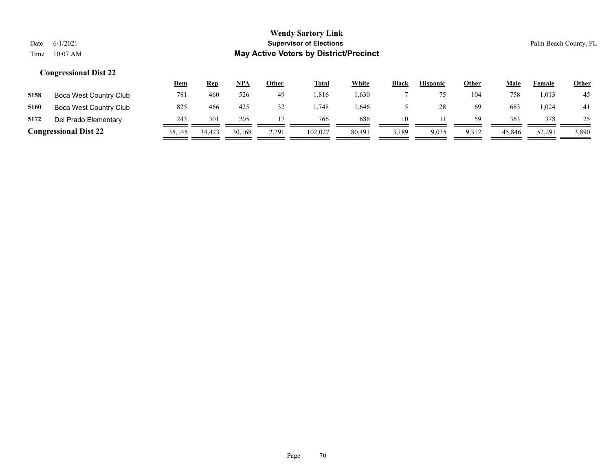|                              |                        | <u>Dem</u> | <b>Rep</b> | <u>NPA</u> | <b>Other</b> | <b>Total</b> | White  | <b>Black</b> | <b>Hispanic</b> | <b>Other</b> | Male   | Female | <u>Other</u> |
|------------------------------|------------------------|------------|------------|------------|--------------|--------------|--------|--------------|-----------------|--------------|--------|--------|--------------|
| 5158                         | Boca West Country Club | 781        | 460        | 526        | 49           | .816         | 1,630  |              |                 | 104          | 758    | 1,013  | 45           |
| 5160                         | Boca West Country Club | 825        | 466        | 425        | 32           | .748         | .646   |              |                 | 69           | 683    | 0.024  | 41           |
| 5172                         | Del Prado Elementary   | 243        | 301        | 205        |              | 766          | 686    | 10           |                 | 59           | 363    | 378    | 25           |
| <b>Congressional Dist 22</b> |                        | 35,145     | 34,423     | 30.168     | 2,291        | 102,027      | 80.491 | 3,189        | 9,035           | 9,312        | 45,846 | 52,291 | 3,890        |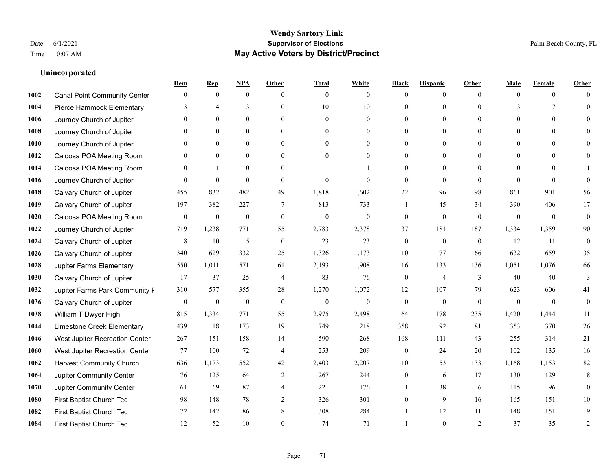**Unincorporated**

#### **Wendy Sartory Link** Date 6/1/2021 **Supervisor of Elections** Palm Beach County, FL Time 10:07 AM **May Active Voters by District/Precinct**

**Dem Rep NPA Other Total White Black Hispanic Other Male Female Other**

# Canal Point Community Center 0 0 0 0 0 0 0 0 0 0 0 0 Pierce Hammock Elementary 3 4 3 0 10 10 0 0 0 3 7 0 Journey Church of Jupiter 0 0 0 0 0 0 0 0 0 0 0 0 Journey Church of Jupiter 0 0 0 0 0 0 0 0 0 0 0 0 Journey Church of Jupiter 0 0 0 0 0 0 0 0 0 0 0 0 Caloosa POA Meeting Room 0 0 0 0 0 0 0 0 0 0 0 0 Caloosa POA Meeting Room 0 1 0 0 1 1 1 0 0 0 0 0 0 1 Journey Church of Jupiter 0 0 0 0 0 0 0 0 0 0 0 0 Calvary Church of Jupiter 455 832 482 49 1,818 1,602 22 96 98 861 901 56 Calvary Church of Jupiter 197 382 227 7 813 733 1 45 34 390 406 17 Caloosa POA Meeting Room 0 0 0 0 0 0 0 0 0 0 0 0 Journey Church of Jupiter 719 1,238 771 55 2,783 2,378 37 181 187 1,334 1,359 90 Calvary Church of Jupiter  $\begin{array}{cccccccc} 8 & 10 & 5 & 0 & 23 & 23 & 0 & 0 & 12 & 11 & 0 \end{array}$  Calvary Church of Jupiter 340 629 332 25 1,326 1,173 10 77 66 632 659 35 Jupiter Farms Elementary 550 1,011 571 61 2,193 1,908 16 133 136 1,051 1,076 66 **1030 Calvary Church of Jupiter 17** 37 25 4 83 76 0 4 3 40 40 3 Jupiter Farms Park Community Pavilion 310 577 355 28 1,270 1,072 12 107 79 623 606 41 Calvary Church of Jupiter 0 0 0 0 0 0 0 0 0 0 0 0 William T Dwyer High 815 1,334 771 55 2,975 2,498 64 178 235 1,420 1,444 111 Limestone Creek Elementary 439 118 173 19 749 218 358 92 81 353 370 26 West Jupiter Recreation Center 267 151 158 14 590 268 168 111 43 255 314 21 West Jupiter Recreation Center 77 100 72 4 253 209 0 24 20 102 135 16 Harvest Community Church 636 1,173 552 42 2,403 2,207 10 53 133 1,168 1,153 82 Jupiter Community Center 76 125 64 2 267 244 0 6 17 130 129 8 Jupiter Community Center 61 69 87 4 221 176 1 38 6 115 96 10 First Baptist Church Teq 98 148 78 2 326 301 0 9 16 165 151 10 First Baptist Church Teq 72 142 86 8 308 284 1 12 11 148 151 9

First Baptist Church Teq 12 52 10 0 74 71 1 0 2 37 35 2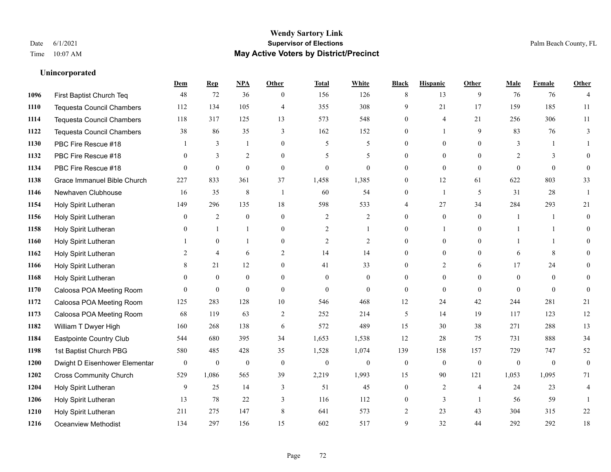**Unincorporated**

#### **Wendy Sartory Link** Date 6/1/2021 **Supervisor of Elections** Palm Beach County, FL Time 10:07 AM **May Active Voters by District/Precinct**

# **Dem Rep NPA Other Total White Black Hispanic Other Male Female Other** First Baptist Church Teq 48 72 36 0 156 126 8 13 9 76 76 4 Tequesta Council Chambers 112 134 105 4 355 308 9 21 17 159 185 11 Tequesta Council Chambers 118 317 125 13 573 548 0 4 21 256 306 11 Tequesta Council Chambers 38 86 35 3 162 152 0 1 9 83 76 3 PBC Fire Rescue #18 **1** 3 1 0 5 5 0 0 0 3 1 1 PBC Fire Rescue #18 0 3 2 0 5 5 0 0 0 2 3 0 PBC Fire Rescue #18 0 0 0 0 0 0 0 0 0 0 0 0 Grace Immanuel Bible Church 227 833 361 37 1,458 1,385 0 12 61 622 803 33 Newhaven Clubhouse 16 35 8 1 60 54 0 1 5 31 28 1 Holy Spirit Lutheran 149 296 135 18 598 533 4 27 34 284 293 21 Holy Spirit Lutheran **0** 2 0 0 2 2 2 0 0 0 1 1 0 Holy Spirit Lutheran **0** 1 1 0 2 1 0 1 0 1 1 0 Holy Spirit Lutheran **1** 0 1 0 2 2 0 0 0 1 1 0 Holy Spirit Lutheran 2 4 6 2 14 14 0 0 0 6 8 0 1166 Holy Spirit Lutheran **8** 21 12 0 41 33 0 2 6 17 24 0 Holy Spirit Lutheran 0 0 0 0 0 0 0 0 0 0 0 0 Caloosa POA Meeting Room 0 0 0 0 0 0 0 0 0 0 0 0 Caloosa POA Meeting Room 125 283 128 10 546 468 12 24 42 244 281 21 Caloosa POA Meeting Room 68 119 63 2 252 214 5 14 19 117 123 12 William T Dwyer High 160 268 138 6 572 489 15 30 38 271 288 13 Eastpointe Country Club 544 680 395 34 1,653 1,538 12 28 75 731 888 34 1st Baptist Church PBG 580 485 428 35 1,528 1,074 139 158 157 729 747 52 Dwight D Eisenhower Elementary 0 0 0 0 0 0 0 0 0 0 0 0 Cross Community Church 529 1,086 565 39 2,219 1,993 15 90 121 1,053 1,095 71 Holy Spirit Lutheran 9 25 14 3 51 45 0 2 4 24 23 4 Holy Spirit Lutheran **13** 78 22 3 116 112 0 3 1 56 59 1 Holy Spirit Lutheran 211 275 147 8 641 573 2 23 43 304 315 22 Oceanview Methodist 134 297 156 15 602 517 9 32 44 292 292 18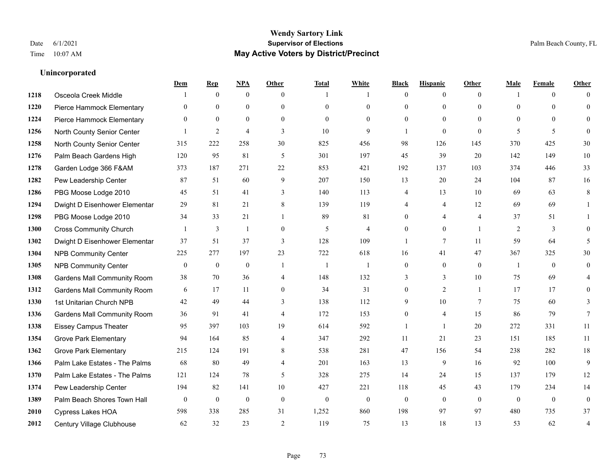## **Wendy Sartory Link** Date 6/1/2021 **Supervisor of Elections** Palm Beach County, FL Time 10:07 AM **May Active Voters by District/Precinct**

## **Dem Rep NPA Other Total White Black Hispanic Other Male Female Other** 1218 Osceola Creek Middle 1 0 0 1 1 0 0 0 1 0 0 Pierce Hammock Elementary 0 0 0 0 0 0 0 0 0 0 0 0 Pierce Hammock Elementary 0 0 0 0 0 0 0 0 0 0 0 0 North County Senior Center 1 2 4 3 10 9 1 0 0 5 5 5 0 North County Senior Center 315 222 258 30 825 456 98 126 145 370 425 30 Palm Beach Gardens High 120 95 81 5 301 197 45 39 20 142 149 10 Garden Lodge 366 F&AM 373 187 271 22 853 421 192 137 103 374 446 33 Pew Leadership Center 87 51 60 9 207 150 13 20 24 104 87 16 PBG Moose Lodge 2010 45 51 41 3 140 113 4 13 10 69 63 8 Dwight D Eisenhower Elementar 29 81 21 8 139 119 4 4 12 69 69 1 PBG Moose Lodge 2010 34 33 21 1 89 81 0 4 4 37 51 1 Cross Community Church 1 3 1 0 5 4 0 0 1 2 3 0 Dwight D Eisenhower Elementar 37 51 37 3 128 109 1 7 11 59 64 5 NPB Community Center 225 277 197 23 722 618 16 41 47 367 325 30 NPB Community Center 0 0 0 1 1 1 0 0 0 1 0 0 Gardens Mall Community Room 38 70 36 4 148 132 3 3 10 75 69 4 **1312 Gardens Mall Community Room** 6 17 11 0 34 31 0 2 1 17 17 0 1st Unitarian Church NPB 42 49 44 3 138 112 9 10 7 75 60 3 Gardens Mall Community Room 36 91 41 4 172 153 0 4 15 86 79 7 Eissey Campus Theater **95** 95 397 103 19 614 592 1 1 20 272 331 11 Grove Park Elementary 94 164 85 4 347 292 11 21 23 151 185 11 Grove Park Elementary 215 124 191 8 538 281 47 156 54 238 282 18 Palm Lake Estates - The Palms 68 80 49 4 201 163 13 9 16 92 100 9 Palm Lake Estates - The Palms 121 124 78 5 328 275 14 24 15 137 179 12 Pew Leadership Center 194 82 141 10 427 221 118 45 43 179 234 14 Palm Beach Shores Town Hall 0 0 0 0 0 0 0 0 0 0 0 0 Cypress Lakes HOA 598 338 285 31 1,252 860 198 97 97 480 735 37 Century Village Clubhouse 62 32 23 2 119 75 13 18 13 53 62 4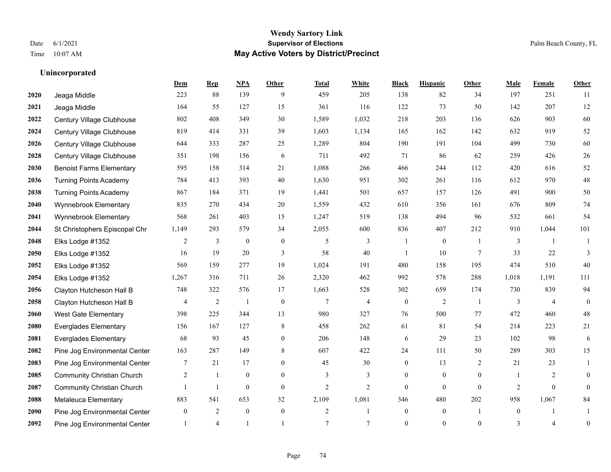## **Unincorporated**

|      |                                   | Dem          | <b>Rep</b>     | NPA              | <b>Other</b>   | <b>Total</b>   | <b>White</b>   | <b>Black</b>     | <b>Hispanic</b> | <b>Other</b>   | <b>Male</b>    | <b>Female</b>  | <b>Other</b>     |
|------|-----------------------------------|--------------|----------------|------------------|----------------|----------------|----------------|------------------|-----------------|----------------|----------------|----------------|------------------|
| 2020 | Jeaga Middle                      | 223          | 88             | 139              | 9              | 459            | 205            | 138              | 82              | 34             | 197            | 251            | 11               |
| 2021 | Jeaga Middle                      | 164          | 55             | 127              | 15             | 361            | 116            | 122              | 73              | 50             | 142            | 207            | 12               |
| 2022 | Century Village Clubhouse         | 802          | 408            | 349              | 30             | 1,589          | 1,032          | 218              | 203             | 136            | 626            | 903            | 60               |
| 2024 | Century Village Clubhouse         | 819          | 414            | 331              | 39             | 1,603          | 1,134          | 165              | 162             | 142            | 632            | 919            | 52               |
| 2026 | Century Village Clubhouse         | 644          | 333            | 287              | 25             | 1,289          | 804            | 190              | 191             | 104            | 499            | 730            | 60               |
| 2028 | Century Village Clubhouse         | 351          | 198            | 156              | 6              | 711            | 492            | 71               | 86              | 62             | 259            | 426            | $26\,$           |
| 2030 | <b>Benoist Farms Elementary</b>   | 595          | 158            | 314              | 21             | 1,088          | 266            | 466              | 244             | 112            | 420            | 616            | 52               |
| 2036 | <b>Turning Points Academy</b>     | 784          | 413            | 393              | 40             | 1,630          | 951            | 302              | 261             | 116            | 612            | 970            | $48\,$           |
| 2038 | <b>Turning Points Academy</b>     | 867          | 184            | 371              | 19             | 1,441          | 501            | 657              | 157             | 126            | 491            | 900            | 50               |
| 2040 | Wynnebrook Elementary             | 835          | 270            | 434              | $20\,$         | 1,559          | 432            | 610              | 356             | 161            | 676            | 809            | $74\,$           |
| 2041 | Wynnebrook Elementary             | 568          | 261            | 403              | 15             | 1,247          | 519            | 138              | 494             | 96             | 532            | 661            | 54               |
| 2044 | St Christophers Episcopal Chr     | 1,149        | 293            | 579              | 34             | 2,055          | 600            | 836              | 407             | 212            | 910            | 1,044          | 101              |
| 2048 | Elks Lodge #1352                  | 2            | 3              | $\boldsymbol{0}$ | $\mathbf{0}$   | 5              | 3              |                  | $\overline{0}$  |                | 3              |                | 1                |
| 2050 | Elks Lodge #1352                  | 16           | 19             | 20               | 3              | 58             | 40             | -1               | 10              | 7              | 33             | 22             | 3                |
| 2052 | Elks Lodge #1352                  | 569          | 159            | 277              | 19             | 1,024          | 191            | 480              | 158             | 195            | 474            | 510            | 40               |
| 2054 | Elks Lodge #1352                  | 1,267        | 316            | 711              | 26             | 2,320          | 462            | 992              | 578             | 288            | 1,018          | 1,191          | 111              |
| 2056 | Clayton Hutcheson Hall B          | 748          | 322            | 576              | 17             | 1,663          | 528            | 302              | 659             | 174            | 730            | 839            | 94               |
| 2058 | Clayton Hutcheson Hall B          | 4            | 2              |                  | $\mathbf{0}$   | $\overline{7}$ | $\overline{4}$ | $\mathbf{0}$     | 2               | $\overline{1}$ | 3              | $\overline{4}$ | $\mathbf{0}$     |
| 2060 | <b>West Gate Elementary</b>       | 398          | 225            | 344              | 13             | 980            | 327            | 76               | 500             | 77             | 472            | 460            | $48\,$           |
| 2080 | <b>Everglades Elementary</b>      | 156          | 167            | 127              | 8              | 458            | 262            | 61               | 81              | 54             | 214            | 223            | 21               |
| 2081 | <b>Everglades Elementary</b>      | 68           | 93             | 45               | $\overline{0}$ | 206            | 148            | 6                | 29              | 23             | 102            | 98             | 6                |
| 2082 | Pine Jog Environmental Center     | 163          | 287            | 149              | $\,$ 8 $\,$    | 607            | 422            | 24               | 111             | 50             | 289            | 303            | 15               |
| 2083 | Pine Jog Environmental Center     | 7            | 21             | 17               | $\overline{0}$ | 45             | 30             | $\boldsymbol{0}$ | 13              | 2              | 21             | 23             | 1                |
| 2085 | <b>Community Christian Church</b> | 2            | 1              | $\mathbf{0}$     | $\overline{0}$ | 3              | 3              | $\overline{0}$   | $\overline{0}$  | $\mathbf{0}$   | $\overline{1}$ | 2              | $\theta$         |
| 2087 | <b>Community Christian Church</b> |              | $\mathbf{1}$   | $\theta$         | $\Omega$       | $\overline{2}$ | $\overline{2}$ | $\Omega$         | $\Omega$        | $\theta$       | $\overline{2}$ | $\Omega$       | $\theta$         |
| 2088 | Melaleuca Elementary              | 883          | 541            | 653              | 32             | 2,109          | 1,081          | 346              | 480             | 202            | 958            | 1,067          | 84               |
| 2090 | Pine Jog Environmental Center     | $\mathbf{0}$ | 2              | $\mathbf{0}$     | $\mathbf{0}$   | $\overline{c}$ | $\mathbf{1}$   | $\boldsymbol{0}$ | $\mathbf{0}$    | $\overline{1}$ | $\overline{0}$ |                |                  |
| 2092 | Pine Jog Environmental Center     |              | $\overline{4}$ |                  |                | $\overline{7}$ | $\tau$         | $\mathbf{0}$     | $\Omega$        | $\theta$       | 3              | 4              | $\boldsymbol{0}$ |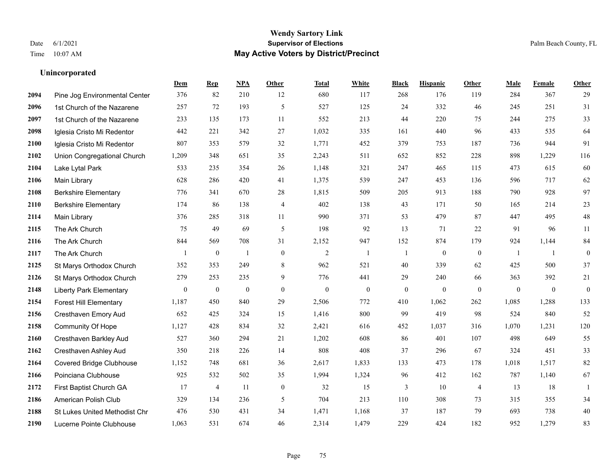## **Unincorporated**

|      |                                      | Dem          | <b>Rep</b>       | NPA          | <b>Other</b>   | <b>Total</b> | <b>White</b>   | <b>Black</b>     | <b>Hispanic</b> | <b>Other</b>     | <b>Male</b>  | Female       | <b>Other</b>     |
|------|--------------------------------------|--------------|------------------|--------------|----------------|--------------|----------------|------------------|-----------------|------------------|--------------|--------------|------------------|
| 2094 | Pine Jog Environmental Center        | 376          | 82               | 210          | 12             | 680          | 117            | 268              | 176             | 119              | 284          | 367          | 29               |
| 2096 | 1st Church of the Nazarene           | 257          | 72               | 193          | 5              | 527          | 125            | 24               | 332             | 46               | 245          | 251          | 31               |
| 2097 | 1st Church of the Nazarene           | 233          | 135              | 173          | 11             | 552          | 213            | 44               | 220             | 75               | 244          | 275          | 33               |
| 2098 | Iglesia Cristo Mi Redentor           | 442          | 221              | 342          | 27             | 1,032        | 335            | 161              | 440             | 96               | 433          | 535          | 64               |
| 2100 | Iglesia Cristo Mi Redentor           | 807          | 353              | 579          | 32             | 1,771        | 452            | 379              | 753             | 187              | 736          | 944          | 91               |
| 2102 | Union Congregational Church          | 1,209        | 348              | 651          | 35             | 2,243        | 511            | 652              | 852             | 228              | 898          | 1,229        | 116              |
| 2104 | Lake Lytal Park                      | 533          | 235              | 354          | 26             | 1,148        | 321            | 247              | 465             | 115              | 473          | 615          | 60               |
| 2106 | Main Library                         | 628          | 286              | 420          | 41             | 1,375        | 539            | 247              | 453             | 136              | 596          | 717          | 62               |
| 2108 | <b>Berkshire Elementary</b>          | 776          | 341              | 670          | 28             | 1,815        | 509            | 205              | 913             | 188              | 790          | 928          | 97               |
| 2110 | <b>Berkshire Elementary</b>          | 174          | 86               | 138          | $\overline{4}$ | 402          | 138            | 43               | 171             | 50               | 165          | 214          | $23\,$           |
| 2114 | Main Library                         | 376          | 285              | 318          | 11             | 990          | 371            | 53               | 479             | 87               | 447          | 495          | $48\,$           |
| 2115 | The Ark Church                       | 75           | 49               | 69           | 5              | 198          | 92             | 13               | 71              | 22               | 91           | 96           | 11               |
| 2116 | The Ark Church                       | 844          | 569              | 708          | 31             | 2,152        | 947            | 152              | 874             | 179              | 924          | 1,144        | $\bf 84$         |
| 2117 | The Ark Church                       |              | $\boldsymbol{0}$ | $\mathbf{1}$ | $\mathbf{0}$   | $\sqrt{2}$   | $\overline{1}$ | 1                | $\mathbf{0}$    | $\boldsymbol{0}$ | -1           | -1           | $\boldsymbol{0}$ |
| 2125 | St Marys Orthodox Church             | 352          | 353              | 249          | 8              | 962          | 521            | 40               | 339             | 62               | 425          | 500          | 37               |
| 2126 | St Marys Orthodox Church             | 279          | 253              | 235          | 9              | 776          | 441            | 29               | 240             | 66               | 363          | 392          | 21               |
| 2148 | <b>Liberty Park Elementary</b>       | $\mathbf{0}$ | $\boldsymbol{0}$ | $\mathbf{0}$ | $\overline{0}$ | $\theta$     | $\mathbf{0}$   | $\boldsymbol{0}$ | $\mathbf{0}$    | $\mathbf{0}$     | $\mathbf{0}$ | $\mathbf{0}$ | $\mathbf{0}$     |
| 2154 | <b>Forest Hill Elementary</b>        | 1,187        | 450              | 840          | 29             | 2,506        | 772            | 410              | 1,062           | 262              | 1,085        | 1,288        | 133              |
| 2156 | Cresthaven Emory Aud                 | 652          | 425              | 324          | 15             | 1,416        | 800            | 99               | 419             | 98               | 524          | 840          | 52               |
| 2158 | <b>Community Of Hope</b>             | 1,127        | 428              | 834          | 32             | 2,421        | 616            | 452              | 1,037           | 316              | 1,070        | 1,231        | 120              |
| 2160 | Cresthaven Barkley Aud               | 527          | 360              | 294          | 21             | 1,202        | 608            | 86               | 401             | 107              | 498          | 649          | 55               |
| 2162 | Cresthaven Ashley Aud                | 350          | 218              | 226          | 14             | 808          | 408            | 37               | 296             | 67               | 324          | 451          | 33               |
| 2164 | <b>Covered Bridge Clubhouse</b>      | 1,152        | 748              | 681          | 36             | 2,617        | 1,833          | 133              | 473             | 178              | 1,018        | 1,517        | 82               |
| 2166 | Poinciana Clubhouse                  | 925          | 532              | 502          | 35             | 1,994        | 1,324          | 96               | 412             | 162              | 787          | 1,140        | 67               |
| 2172 | First Baptist Church GA              | 17           | $\overline{4}$   | 11           | $\overline{0}$ | 32           | 15             | 3                | 10              | $\overline{4}$   | 13           | 18           | 1                |
| 2186 | American Polish Club                 | 329          | 134              | 236          | $\mathfrak{H}$ | 704          | 213            | 110              | 308             | 73               | 315          | 355          | 34               |
| 2188 | <b>St Lukes United Methodist Chr</b> | 476          | 530              | 431          | 34             | 1,471        | 1,168          | 37               | 187             | 79               | 693          | 738          | $40\,$           |
| 2190 | Lucerne Pointe Clubhouse             | 1,063        | 531              | 674          | 46             | 2,314        | 1,479          | 229              | 424             | 182              | 952          | 1,279        | 83               |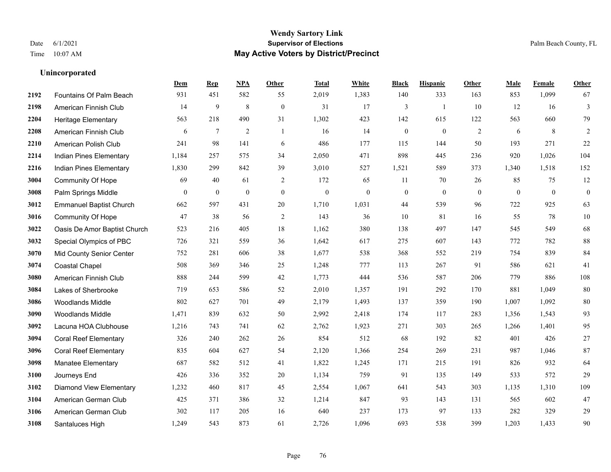#### **Wendy Sartory Link** Date 6/1/2021 **Supervisor of Elections** Palm Beach County, FL Time 10:07 AM **May Active Voters by District/Precinct**

## **Dem Rep NPA Other Total White Black Hispanic Other Male Female Other** Fountains Of Palm Beach 931 451 582 55 2,019 1,383 140 333 163 853 1,099 67 American Finnish Club 14 9 8 0 31 17 3 1 10 12 16 3 Heritage Elementary 563 218 490 31 1,302 423 142 615 122 563 660 79 American Finnish Club 6 7 2 1 16 14 0 0 2 6 8 2 American Polish Club 241 98 141 6 486 177 115 144 50 193 271 22 Indian Pines Elementary 1,184 257 575 34 2,050 471 898 445 236 920 1,026 104 Indian Pines Elementary 1,830 299 842 39 3,010 527 1,521 589 373 1,340 1,518 152 Community Of Hope 69 40 61 2 172 65 11 70 26 85 75 12 Palm Springs Middle 0 0 0 0 0 0 0 0 0 0 0 0 Emmanuel Baptist Church 662 597 431 20 1,710 1,031 44 539 96 722 925 63 Community Of Hope 47 38 56 2 143 36 10 81 16 55 78 10 Oasis De Amor Baptist Church 523 216 405 18 1,162 380 138 497 147 545 549 68 Special Olympics of PBC 726 321 559 36 1,642 617 275 607 143 772 782 88 Mid County Senior Center 752 281 606 38 1,677 538 368 552 219 754 839 84 Coastal Chapel 508 369 346 25 1,248 777 113 267 91 586 621 41 American Finnish Club 888 244 599 42 1,773 444 536 587 206 779 886 108 Lakes of Sherbrooke 719 653 586 52 2,010 1,357 191 292 170 881 1,049 80 Woodlands Middle 802 627 701 49 2,179 1,493 137 359 190 1,007 1,092 80 Woodlands Middle 1,471 839 632 50 2,992 2,418 174 117 283 1,356 1,543 93 Lacuna HOA Clubhouse 1,216 743 741 62 2,762 1,923 271 303 265 1,266 1,401 95 Coral Reef Elementary 326 240 262 26 854 512 68 192 82 401 426 27 Coral Reef Elementary 835 604 627 54 2,120 1,366 254 269 231 987 1,046 87 Manatee Elementary 687 582 512 41 1,822 1,245 171 215 191 826 932 64 Journeys End 426 336 352 20 1,134 759 91 135 149 533 572 29 Diamond View Elementary 1,232 460 817 45 2,554 1,067 641 543 303 1,135 1,310 109 American German Club 425 371 386 32 1,214 847 93 143 131 565 602 47 American German Club 302 117 205 16 640 237 173 97 133 282 329 29 Santaluces High 1,249 543 873 61 2,726 1,096 693 538 399 1,203 1,433 90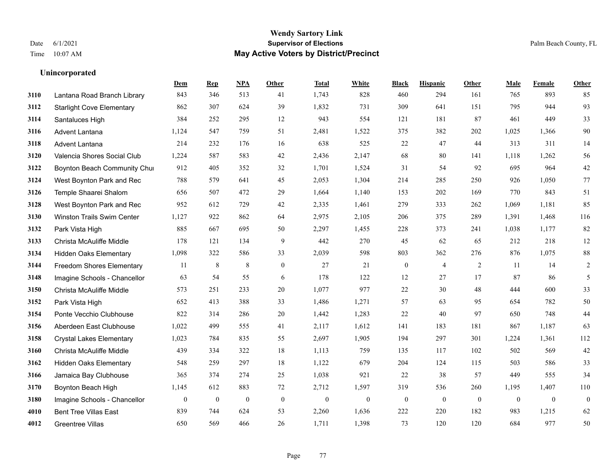## **Unincorporated**

|      |                                   | Dem              | <b>Rep</b>       | NPA              | <b>Other</b>     | <b>Total</b> | <b>White</b>     | <b>Black</b>     | <b>Hispanic</b>  | Other        | <b>Male</b>  | Female       | <b>Other</b>     |
|------|-----------------------------------|------------------|------------------|------------------|------------------|--------------|------------------|------------------|------------------|--------------|--------------|--------------|------------------|
| 3110 | Lantana Road Branch Library       | 843              | 346              | 513              | 41               | 1,743        | 828              | 460              | 294              | 161          | 765          | 893          | 85               |
| 3112 | <b>Starlight Cove Elementary</b>  | 862              | 307              | 624              | 39               | 1,832        | 731              | 309              | 641              | 151          | 795          | 944          | 93               |
| 3114 | Santaluces High                   | 384              | 252              | 295              | 12               | 943          | 554              | 121              | 181              | 87           | 461          | 449          | 33               |
| 3116 | <b>Advent Lantana</b>             | 1,124            | 547              | 759              | 51               | 2,481        | 1,522            | 375              | 382              | 202          | 1,025        | 1,366        | 90               |
| 3118 | Advent Lantana                    | 214              | 232              | 176              | 16               | 638          | 525              | 22               | 47               | 44           | 313          | 311          | 14               |
| 3120 | Valencia Shores Social Club       | 1,224            | 587              | 583              | 42               | 2,436        | 2,147            | 68               | 80               | 141          | 1,118        | 1,262        | 56               |
| 3122 | Boynton Beach Community Chu       | 912              | 405              | 352              | 32               | 1,701        | 1,524            | 31               | 54               | 92           | 695          | 964          | $42\,$           |
| 3124 | West Boynton Park and Rec         | 788              | 579              | 641              | 45               | 2,053        | 1,304            | 214              | 285              | 250          | 926          | 1,050        | 77               |
| 3126 | Temple Shaarei Shalom             | 656              | 507              | 472              | 29               | 1,664        | 1,140            | 153              | 202              | 169          | 770          | 843          | 51               |
| 3128 | West Boynton Park and Rec         | 952              | 612              | 729              | 42               | 2,335        | 1,461            | 279              | 333              | 262          | 1,069        | 1,181        | 85               |
| 3130 | <b>Winston Trails Swim Center</b> | 1,127            | 922              | 862              | 64               | 2,975        | 2,105            | 206              | 375              | 289          | 1,391        | 1,468        | 116              |
| 3132 | Park Vista High                   | 885              | 667              | 695              | 50               | 2,297        | 1,455            | 228              | 373              | 241          | 1,038        | 1,177        | 82               |
| 3133 | Christa McAuliffe Middle          | 178              | 121              | 134              | 9                | 442          | 270              | 45               | 62               | 65           | 212          | 218          | $12\,$           |
| 3134 | <b>Hidden Oaks Elementary</b>     | 1,098            | 322              | 586              | 33               | 2,039        | 598              | 803              | 362              | 276          | 876          | 1,075        | $88\,$           |
| 3144 | <b>Freedom Shores Elementary</b>  | 11               | 8                | $\,8\,$          | $\overline{0}$   | 27           | 21               | $\boldsymbol{0}$ | 4                | 2            | 11           | 14           | $\overline{c}$   |
| 3148 | Imagine Schools - Chancellor      | 63               | 54               | 55               | 6                | 178          | 122              | 12               | 27               | 17           | 87           | 86           | 5                |
| 3150 | Christa McAuliffe Middle          | 573              | 251              | 233              | 20               | 1,077        | 977              | 22               | 30               | 48           | 444          | 600          | 33               |
| 3152 | Park Vista High                   | 652              | 413              | 388              | 33               | 1,486        | 1,271            | 57               | 63               | 95           | 654          | 782          | 50               |
| 3154 | Ponte Vecchio Clubhouse           | 822              | 314              | 286              | 20               | 1,442        | 1,283            | 22               | 40               | 97           | 650          | 748          | $44\,$           |
| 3156 | Aberdeen East Clubhouse           | 1,022            | 499              | 555              | 41               | 2,117        | 1,612            | 141              | 183              | 181          | 867          | 1,187        | 63               |
| 3158 | <b>Crystal Lakes Elementary</b>   | 1,023            | 784              | 835              | 55               | 2,697        | 1,905            | 194              | 297              | 301          | 1,224        | 1,361        | 112              |
| 3160 | Christa McAuliffe Middle          | 439              | 334              | 322              | 18               | 1,113        | 759              | 135              | 117              | 102          | 502          | 569          | $42\,$           |
| 3162 | <b>Hidden Oaks Elementary</b>     | 548              | 259              | 297              | 18               | 1,122        | 679              | 204              | 124              | 115          | 503          | 586          | 33               |
| 3166 | Jamaica Bay Clubhouse             | 365              | 374              | 274              | 25               | 1,038        | 921              | 22               | 38               | 57           | 449          | 555          | 34               |
| 3170 | Boynton Beach High                | 1,145            | 612              | 883              | 72               | 2,712        | 1,597            | 319              | 536              | 260          | 1,195        | 1,407        | 110              |
| 3180 | Imagine Schools - Chancellor      | $\boldsymbol{0}$ | $\boldsymbol{0}$ | $\boldsymbol{0}$ | $\boldsymbol{0}$ | $\mathbf{0}$ | $\boldsymbol{0}$ | $\boldsymbol{0}$ | $\boldsymbol{0}$ | $\mathbf{0}$ | $\mathbf{0}$ | $\mathbf{0}$ | $\boldsymbol{0}$ |
| 4010 | <b>Bent Tree Villas East</b>      | 839              | 744              | 624              | 53               | 2,260        | 1,636            | 222              | 220              | 182          | 983          | 1,215        | 62               |
| 4012 | Greentree Villas                  | 650              | 569              | 466              | 26               | 1,711        | 1,398            | 73               | 120              | 120          | 684          | 977          | 50               |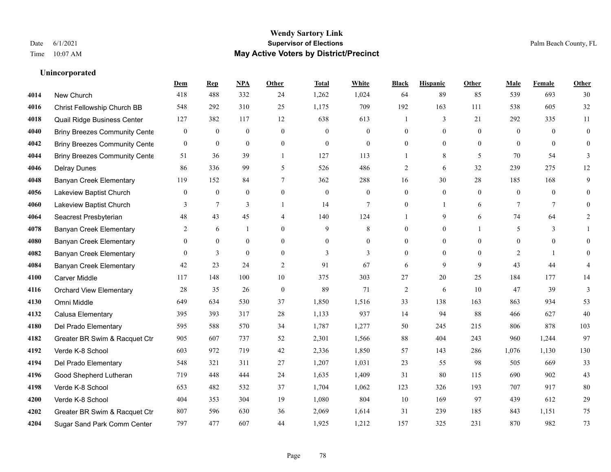## **Wendy Sartory Link** Date 6/1/2021 **Supervisor of Elections** Palm Beach County, FL Time 10:07 AM **May Active Voters by District/Precinct**

## **Dem Rep NPA Other Total White Black Hispanic Other Male Female Other** New Church 418 488 332 24 1,262 1,024 64 89 85 539 693 30 Christ Fellowship Church BB 548 292 310 25 1,175 709 192 163 111 538 605 32 Quail Ridge Business Center 127 382 117 12 638 613 1 3 21 292 335 11 Briny Breezes Community Center 0 0 0 0 0 0 0 0 0 0 0 0 Briny Breezes Community Center 0 0 0 0 0 0 0 0 0 0 0 0 Briny Breezes Community Cente 51 36 39 1 127 113 1 8 5 70 54 3 Delray Dunes 86 336 99 5 526 486 2 6 32 239 275 12 Banyan Creek Elementary 119 152 84 7 362 288 16 30 28 185 168 9 Lakeview Baptist Church 0 0 0 0 0 0 0 0 0 0 0 0 Lakeview Baptist Church 3 7 3 1 14 7 0 1 6 7 7 0 Seacrest Presbyterian **48** 43 45 4 140 124 1 9 6 74 64 2 Banyan Creek Elementary 2 6 1 0 9 8 0 0 1 5 3 1 **4080 Banyan Creek Elementary**  $\begin{array}{ccccccccccccc}\n0 & 0 & 0 & 0 & 0 & 0 & 0 & 0 & 0 & 0 & 0 & 0 & 0\n\end{array}$ **4082 Banyan Creek Elementary 0 3 0 0 3 3 3 0 0 0 2 1 0**  Banyan Creek Elementary 42 23 24 2 91 67 6 9 9 43 44 4 Carver Middle 117 148 100 10 375 303 27 20 25 184 177 14 Orchard View Elementary 28 35 26 0 89 71 2 6 10 47 39 3 Omni Middle 649 634 530 37 1,850 1,516 33 138 163 863 934 53 Calusa Elementary 395 393 317 28 1,133 937 14 94 88 466 627 40 Del Prado Elementary 595 588 570 34 1,787 1,277 50 245 215 806 878 103 Greater BR Swim & Racquet Ctr 905 607 737 52 2,301 1,566 88 404 243 960 1,244 97 Verde K-8 School 603 972 719 42 2,336 1,850 57 143 286 1,076 1,130 130 Del Prado Elementary 548 321 311 27 1,207 1,031 23 55 98 505 669 33 Good Shepherd Lutheran 719 448 444 24 1,635 1,409 31 80 115 690 902 43 Verde K-8 School 653 482 532 37 1,704 1,062 123 326 193 707 917 80 Verde K-8 School 404 353 304 19 1,080 804 10 169 97 439 612 29 Greater BR Swim & Racquet Ctr 807 596 630 36 2,069 1,614 31 239 185 843 1,151 75 Sugar Sand Park Comm Center 797 477 607 44 1,925 1,212 157 325 231 870 982 73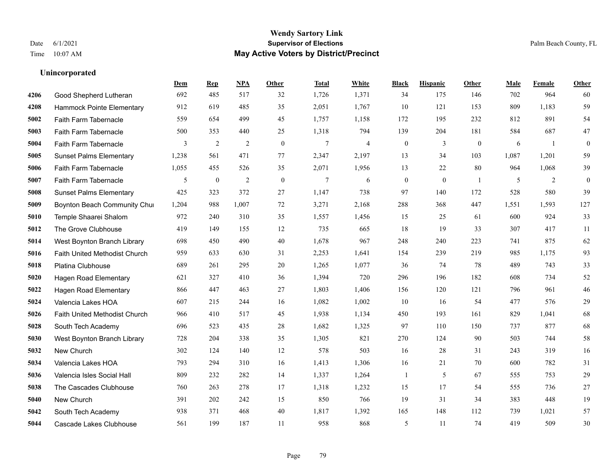## **Unincorporated**

|      |                                | Dem   | <b>Rep</b>       | NPA            | <b>Other</b>   | <b>Total</b>   | White          | <b>Black</b>     | <b>Hispanic</b> | Other          | <b>Male</b> | Female | <b>Other</b>     |
|------|--------------------------------|-------|------------------|----------------|----------------|----------------|----------------|------------------|-----------------|----------------|-------------|--------|------------------|
| 4206 | Good Shepherd Lutheran         | 692   | 485              | 517            | 32             | 1,726          | 1,371          | 34               | 175             | 146            | 702         | 964    | 60               |
| 4208 | Hammock Pointe Elementary      | 912   | 619              | 485            | 35             | 2,051          | 1,767          | 10               | 121             | 153            | 809         | 1,183  | 59               |
| 5002 | Faith Farm Tabernacle          | 559   | 654              | 499            | 45             | 1,757          | 1,158          | 172              | 195             | 232            | 812         | 891    | 54               |
| 5003 | Faith Farm Tabernacle          | 500   | 353              | 440            | 25             | 1,318          | 794            | 139              | 204             | 181            | 584         | 687    | 47               |
| 5004 | Faith Farm Tabernacle          | 3     | 2                | 2              | $\overline{0}$ | $\overline{7}$ | $\overline{4}$ | $\boldsymbol{0}$ | 3               | $\mathbf{0}$   | 6           | -1     | $\boldsymbol{0}$ |
| 5005 | <b>Sunset Palms Elementary</b> | 1,238 | 561              | 471            | 77             | 2,347          | 2,197          | 13               | 34              | 103            | 1,087       | 1,201  | 59               |
| 5006 | Faith Farm Tabernacle          | 1,055 | 455              | 526            | 35             | 2,071          | 1,956          | 13               | 22              | 80             | 964         | 1,068  | 39               |
| 5007 | Faith Farm Tabernacle          | 5     | $\boldsymbol{0}$ | $\overline{2}$ | $\theta$       | $\tau$         | 6              | $\boldsymbol{0}$ | $\mathbf{0}$    | $\overline{1}$ | 5           | 2      | $\mathbf{0}$     |
| 5008 | <b>Sunset Palms Elementary</b> | 425   | 323              | 372            | 27             | 1,147          | 738            | 97               | 140             | 172            | 528         | 580    | 39               |
| 5009 | Boynton Beach Community Chur   | 1,204 | 988              | 1,007          | 72             | 3,271          | 2,168          | 288              | 368             | 447            | 1,551       | 1,593  | 127              |
| 5010 | Temple Shaarei Shalom          | 972   | 240              | 310            | 35             | 1,557          | 1,456          | 15               | 25              | 61             | 600         | 924    | 33               |
| 5012 | The Grove Clubhouse            | 419   | 149              | 155            | 12             | 735            | 665            | 18               | 19              | 33             | 307         | 417    | 11               |
| 5014 | West Boynton Branch Library    | 698   | 450              | 490            | 40             | 1,678          | 967            | 248              | 240             | 223            | 741         | 875    | 62               |
| 5016 | Faith United Methodist Church  | 959   | 633              | 630            | 31             | 2,253          | 1,641          | 154              | 239             | 219            | 985         | 1,175  | 93               |
| 5018 | Platina Clubhouse              | 689   | 261              | 295            | 20             | 1,265          | 1,077          | 36               | 74              | 78             | 489         | 743    | 33               |
| 5020 | <b>Hagen Road Elementary</b>   | 621   | 327              | 410            | 36             | 1,394          | 720            | 296              | 196             | 182            | 608         | 734    | 52               |
| 5022 | <b>Hagen Road Elementary</b>   | 866   | 447              | 463            | 27             | 1,803          | 1,406          | 156              | 120             | 121            | 796         | 961    | $46\,$           |
| 5024 | Valencia Lakes HOA             | 607   | 215              | 244            | 16             | 1,082          | 1,002          | 10               | 16              | 54             | 477         | 576    | 29               |
| 5026 | Faith United Methodist Church  | 966   | 410              | 517            | 45             | 1,938          | 1,134          | 450              | 193             | 161            | 829         | 1,041  | 68               |
| 5028 | South Tech Academy             | 696   | 523              | 435            | 28             | 1,682          | 1,325          | 97               | 110             | 150            | 737         | 877    | 68               |
| 5030 | West Boynton Branch Library    | 728   | 204              | 338            | 35             | 1,305          | 821            | 270              | 124             | 90             | 503         | 744    | 58               |
| 5032 | New Church                     | 302   | 124              | 140            | 12             | 578            | 503            | 16               | 28              | 31             | 243         | 319    | 16               |
| 5034 | Valencia Lakes HOA             | 793   | 294              | 310            | 16             | 1,413          | 1,306          | 16               | 21              | 70             | 600         | 782    | 31               |
| 5036 | Valencia Isles Social Hall     | 809   | 232              | 282            | 14             | 1,337          | 1,264          | 1                | 5               | 67             | 555         | 753    | 29               |
| 5038 | The Cascades Clubhouse         | 760   | 263              | 278            | 17             | 1,318          | 1,232          | 15               | 17              | 54             | 555         | 736    | 27               |
| 5040 | New Church                     | 391   | 202              | 242            | 15             | 850            | 766            | 19               | 31              | 34             | 383         | 448    | 19               |
| 5042 | South Tech Academy             | 938   | 371              | 468            | 40             | 1,817          | 1,392          | 165              | 148             | 112            | 739         | 1,021  | 57               |
| 5044 | Cascade Lakes Clubhouse        | 561   | 199              | 187            | 11             | 958            | 868            | 5                | 11              | 74             | 419         | 509    | 30               |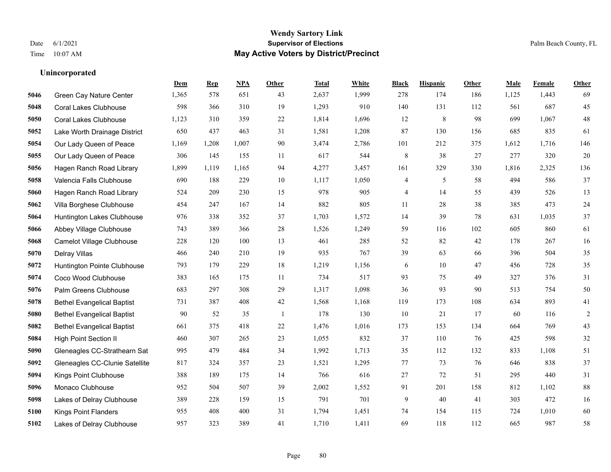### **Wendy Sartory Link** Date 6/1/2021 **Supervisor of Elections** Palm Beach County, FL Time 10:07 AM **May Active Voters by District/Precinct**

## **Dem Rep NPA Other Total White Black Hispanic Other Male Female Other** Green Cay Nature Center 1,365 578 651 43 2,637 1,999 278 174 186 1,125 1,443 69 Coral Lakes Clubhouse 598 366 310 19 1,293 910 140 131 112 561 687 45 Coral Lakes Clubhouse 1,123 310 359 22 1,814 1,696 12 8 98 699 1,067 48 Lake Worth Drainage District 650 437 463 31 1,581 1,208 87 130 156 685 835 61 Our Lady Queen of Peace 1,169 1,208 1,007 90 3,474 2,786 101 212 375 1,612 1,716 146 Our Lady Queen of Peace 306 145 155 11 617 544 8 38 27 277 320 20 Hagen Ranch Road Library 1,899 1,119 1,165 94 4,277 3,457 161 329 330 1,816 2,325 136 Valencia Falls Clubhouse 690 188 229 10 1,117 1,050 4 5 58 494 586 37 Hagen Ranch Road Library 524 209 230 15 978 905 4 14 55 439 526 13 Villa Borghese Clubhouse 454 247 167 14 882 805 11 28 38 385 473 24 Huntington Lakes Clubhouse 976 338 352 37 1,703 1,572 14 39 78 631 1,035 37 Abbey Village Clubhouse 743 389 366 28 1,526 1,249 59 116 102 605 860 61 Camelot Village Clubhouse 228 120 100 13 461 285 52 82 42 178 267 16 Delray Villas 466 240 210 19 935 767 39 63 66 396 504 35 Huntington Pointe Clubhouse 793 179 229 18 1,219 1,156 6 10 47 456 728 35 Coco Wood Clubhouse 383 165 175 11 734 517 93 75 49 327 376 31 Palm Greens Clubhouse 683 297 308 29 1,317 1,098 36 93 90 513 754 50 Bethel Evangelical Baptist 731 387 408 42 1,568 1,168 119 173 108 634 893 41 Bethel Evangelical Baptist 90 52 35 1 178 130 10 21 17 60 116 2 Bethel Evangelical Baptist 661 375 418 22 1,476 1,016 173 153 134 664 769 43 High Point Section II 460 307 265 23 1,055 832 37 110 76 425 598 32 Gleneagles CC-Strathearn Sat 995 479 484 34 1,992 1,713 35 112 132 833 1,108 51 Gleneagles CC-Clunie Satellite 817 324 357 23 1,521 1,295 77 73 76 646 838 37 Kings Point Clubhouse 388 189 175 14 766 616 27 72 51 295 440 31 Monaco Clubhouse 952 504 507 39 2,002 1,552 91 201 158 812 1,102 88 Lakes of Delray Clubhouse 389 228 159 15 791 701 9 40 41 303 472 16 Kings Point Flanders 955 408 400 31 1,794 1,451 74 154 115 724 1,010 60 Lakes of Delray Clubhouse 957 323 389 41 1,710 1,411 69 118 112 665 987 58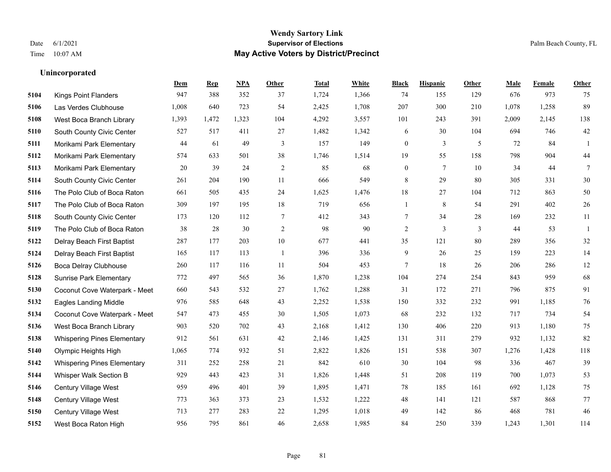## **Wendy Sartory Link** Date 6/1/2021 **Supervisor of Elections** Palm Beach County, FL Time 10:07 AM **May Active Voters by District/Precinct**

|      |                                    | <b>Dem</b> | <b>Rep</b> | NPA   | Other        | <b>Total</b> | White | <b>Black</b>     | <b>Hispanic</b> | Other | Male  | Female | <b>Other</b>    |
|------|------------------------------------|------------|------------|-------|--------------|--------------|-------|------------------|-----------------|-------|-------|--------|-----------------|
| 5104 | <b>Kings Point Flanders</b>        | 947        | 388        | 352   | 37           | 1,724        | 1,366 | 74               | 155             | 129   | 676   | 973    | 75              |
| 5106 | Las Verdes Clubhouse               | 1,008      | 640        | 723   | 54           | 2,425        | 1,708 | 207              | 300             | 210   | 1,078 | 1,258  | 89              |
| 5108 | West Boca Branch Library           | 1,393      | 1,472      | 1,323 | 104          | 4,292        | 3,557 | 101              | 243             | 391   | 2,009 | 2,145  | 138             |
| 5110 | South County Civic Center          | 527        | 517        | 411   | 27           | 1,482        | 1,342 | 6                | 30              | 104   | 694   | 746    | 42              |
| 5111 | Morikami Park Elementary           | 44         | 61         | 49    | 3            | 157          | 149   | $\boldsymbol{0}$ | 3               | 5     | 72    | 84     | -1              |
| 5112 | Morikami Park Elementary           | 574        | 633        | 501   | 38           | 1,746        | 1,514 | 19               | 55              | 158   | 798   | 904    | 44              |
| 5113 | Morikami Park Elementary           | 20         | 39         | 24    | $\sqrt{2}$   | 85           | 68    | $\boldsymbol{0}$ | 7               | 10    | 34    | 44     | $7\phantom{.0}$ |
| 5114 | South County Civic Center          | 261        | 204        | 190   | 11           | 666          | 549   | 8                | 29              | 80    | 305   | 331    | 30              |
| 5116 | The Polo Club of Boca Raton        | 661        | 505        | 435   | 24           | 1,625        | 1,476 | $18\,$           | 27              | 104   | 712   | 863    | $50\,$          |
| 5117 | The Polo Club of Boca Raton        | 309        | 197        | 195   | 18           | 719          | 656   | 1                | 8               | 54    | 291   | 402    | 26              |
| 5118 | South County Civic Center          | 173        | 120        | 112   | $\tau$       | 412          | 343   | 7                | 34              | 28    | 169   | 232    | 11              |
| 5119 | The Polo Club of Boca Raton        | 38         | 28         | 30    | 2            | 98           | 90    | $\overline{2}$   | 3               | 3     | 44    | 53     | -1              |
| 5122 | Delray Beach First Baptist         | 287        | 177        | 203   | 10           | 677          | 441   | 35               | 121             | 80    | 289   | 356    | 32              |
| 5124 | Delray Beach First Baptist         | 165        | 117        | 113   | $\mathbf{1}$ | 396          | 336   | 9                | 26              | 25    | 159   | 223    | 14              |
| 5126 | <b>Boca Delray Clubhouse</b>       | 260        | 117        | 116   | 11           | 504          | 453   | 7                | 18              | 26    | 206   | 286    | $12 \,$         |
| 5128 | <b>Sunrise Park Elementary</b>     | 772        | 497        | 565   | 36           | 1,870        | 1,238 | 104              | 274             | 254   | 843   | 959    | 68              |
| 5130 | Coconut Cove Waterpark - Meet      | 660        | 543        | 532   | 27           | 1,762        | 1,288 | 31               | 172             | 271   | 796   | 875    | 91              |
| 5132 | <b>Eagles Landing Middle</b>       | 976        | 585        | 648   | 43           | 2,252        | 1,538 | 150              | 332             | 232   | 991   | 1,185  | 76              |
| 5134 | Coconut Cove Waterpark - Meet      | 547        | 473        | 455   | 30           | 1,505        | 1,073 | 68               | 232             | 132   | 717   | 734    | 54              |
| 5136 | West Boca Branch Library           | 903        | 520        | 702   | 43           | 2,168        | 1,412 | 130              | 406             | 220   | 913   | 1,180  | 75              |
| 5138 | <b>Whispering Pines Elementary</b> | 912        | 561        | 631   | 42           | 2,146        | 1,425 | 131              | 311             | 279   | 932   | 1,132  | 82              |
| 5140 | Olympic Heights High               | 1,065      | 774        | 932   | 51           | 2,822        | 1,826 | 151              | 538             | 307   | 1,276 | 1,428  | 118             |
| 5142 | <b>Whispering Pines Elementary</b> | 311        | 252        | 258   | 21           | 842          | 610   | 30               | 104             | 98    | 336   | 467    | 39              |
| 5144 | Whisper Walk Section B             | 929        | 443        | 423   | 31           | 1,826        | 1,448 | 51               | 208             | 119   | 700   | 1,073  | 53              |
| 5146 | Century Village West               | 959        | 496        | 401   | 39           | 1,895        | 1,471 | 78               | 185             | 161   | 692   | 1,128  | $75\,$          |
| 5148 | Century Village West               | 773        | 363        | 373   | 23           | 1,532        | 1,222 | 48               | 141             | 121   | 587   | 868    | 77              |
| 5150 | Century Village West               | 713        | 277        | 283   | 22           | 1,295        | 1,018 | 49               | 142             | 86    | 468   | 781    | 46              |
| 5152 | West Boca Raton High               | 956        | 795        | 861   | 46           | 2,658        | 1,985 | 84               | 250             | 339   | 1.243 | 1.301  | 114             |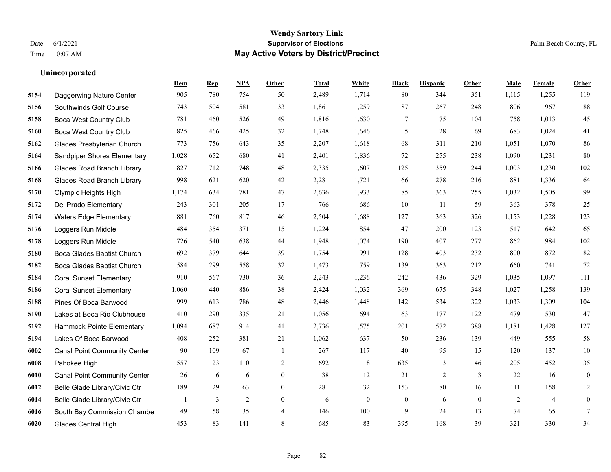#### **Wendy Sartory Link** Date 6/1/2021 **Supervisor of Elections** Palm Beach County, FL Time 10:07 AM **May Active Voters by District/Precinct**

## **Dem Rep NPA Other Total White Black Hispanic Other Male Female Other** Daggerwing Nature Center 905 780 754 50 2,489 1,714 80 344 351 1,115 1,255 119 Southwinds Golf Course 743 504 581 33 1,861 1,259 87 267 248 806 967 88 Boca West Country Club 781 460 526 49 1,816 1,630 7 75 104 758 1,013 45 Boca West Country Club 825 466 425 32 1,748 1,646 5 28 69 683 1,024 41 Glades Presbyterian Church 773 756 643 35 2,207 1,618 68 311 210 1,051 1,070 86 Sandpiper Shores Elementary 1,028 652 680 41 2,401 1,836 72 255 238 1,090 1,231 80 Glades Road Branch Library 827 712 748 48 2,335 1,607 125 359 244 1,003 1,230 102 Glades Road Branch Library 998 621 620 42 2,281 1,721 66 278 216 881 1,336 64 Olympic Heights High 1,174 634 781 47 2,636 1,933 85 363 255 1,032 1,505 99 Del Prado Elementary 243 301 205 17 766 686 10 11 59 363 378 25 Waters Edge Elementary 881 760 817 46 2,504 1,688 127 363 326 1,153 1,228 123 Loggers Run Middle 484 354 371 15 1,224 854 47 200 123 517 642 65 Loggers Run Middle 726 540 638 44 1,948 1,074 190 407 277 862 984 102 Boca Glades Baptist Church 692 379 644 39 1,754 991 128 403 232 800 872 82 Boca Glades Baptist Church 584 299 558 32 1,473 759 139 363 212 660 741 72 Coral Sunset Elementary 910 567 730 36 2,243 1,236 242 436 329 1,035 1,097 111 Coral Sunset Elementary 1,060 440 886 38 2,424 1,032 369 675 348 1,027 1,258 139 Pines Of Boca Barwood 999 613 786 48 2,446 1,448 142 534 322 1,033 1,309 104 Lakes at Boca Rio Clubhouse 410 290 335 21 1,056 694 63 177 122 479 530 47 Hammock Pointe Elementary 1,094 687 914 41 2,736 1,575 201 572 388 1,181 1,428 127 Lakes Of Boca Barwood 408 252 381 21 1,062 637 50 236 139 449 555 58 Canal Point Community Center 90 109 67 1 267 117 40 95 15 120 137 10 Pahokee High 557 23 110 2 692 8 635 3 46 205 452 35 Canal Point Community Center 26 6 6 0 38 12 21 2 3 22 16 0 Belle Glade Library/Civic Ctr 189 29 63 0 281 32 153 80 16 111 158 12 Belle Glade Library/Civic Ctr 1 3 2 0 6 0 0 6 0 2 4 0 South Bay Commission Chambe 49 58 35 4 146 100 9 24 13 74 65 7 Glades Central High 453 83 141 8 685 83 395 168 39 321 330 34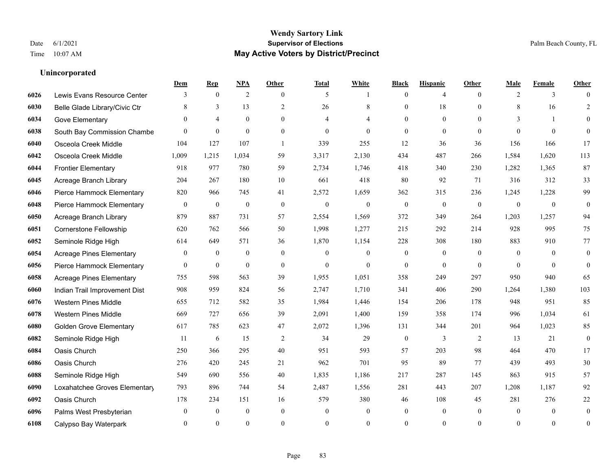## **Unincorporated**

|      |                                 | Dem              | <b>Rep</b>       | NPA              | <b>Other</b>   | <b>Total</b>   | <b>White</b>   | <b>Black</b>     | <b>Hispanic</b>  | <b>Other</b>   | <b>Male</b>  | <b>Female</b>  | <b>Other</b>     |
|------|---------------------------------|------------------|------------------|------------------|----------------|----------------|----------------|------------------|------------------|----------------|--------------|----------------|------------------|
| 6026 | Lewis Evans Resource Center     | 3                | $\mathbf{0}$     | $\overline{2}$   | $\theta$       | 5              | -1             | $\mathbf{0}$     | 4                | $\theta$       | 2            | 3              | $\Omega$         |
| 6030 | Belle Glade Library/Civic Ctr   | 8                | 3                | 13               | $\overline{2}$ | 26             | 8              | $\mathbf{0}$     | 18               | $\Omega$       | 8            | 16             | $\overline{2}$   |
| 6034 | Gove Elementary                 | $\Omega$         | $\overline{4}$   | $\theta$         | $\Omega$       | $\overline{4}$ | 4              | $\Omega$         | $\theta$         | $\Omega$       | 3            | $\mathbf{1}$   | $\theta$         |
| 6038 | South Bay Commission Chambe     | $\theta$         | $\mathbf{0}$     | $\mathbf{0}$     | $\mathbf{0}$   | $\theta$       | $\overline{0}$ | $\mathbf{0}$     | $\mathbf{0}$     | $\overline{0}$ | $\theta$     | $\mathbf{0}$   | $\theta$         |
| 6040 | Osceola Creek Middle            | 104              | 127              | 107              | $\overline{1}$ | 339            | 255            | 12               | 36               | 36             | 156          | 166            | 17               |
| 6042 | Osceola Creek Middle            | 1,009            | 1,215            | 1,034            | 59             | 3,317          | 2,130          | 434              | 487              | 266            | 1,584        | 1,620          | 113              |
| 6044 | <b>Frontier Elementary</b>      | 918              | 977              | 780              | 59             | 2,734          | 1,746          | 418              | 340              | 230            | 1,282        | 1,365          | 87               |
| 6045 | Acreage Branch Library          | 204              | 267              | 180              | 10             | 661            | 418            | 80               | 92               | 71             | 316          | 312            | 33               |
| 6046 | Pierce Hammock Elementary       | 820              | 966              | 745              | 41             | 2,572          | 1,659          | 362              | 315              | 236            | 1,245        | 1,228          | 99               |
| 6048 | Pierce Hammock Elementary       | $\mathbf{0}$     | $\mathbf{0}$     | $\mathbf{0}$     | $\mathbf{0}$   | $\mathbf{0}$   | $\mathbf{0}$   | $\mathbf{0}$     | $\mathbf{0}$     | $\mathbf{0}$   | $\mathbf{0}$ | $\mathbf{0}$   | $\boldsymbol{0}$ |
| 6050 | Acreage Branch Library          | 879              | 887              | 731              | 57             | 2,554          | 1,569          | 372              | 349              | 264            | 1,203        | 1,257          | 94               |
| 6051 | Cornerstone Fellowship          | 620              | 762              | 566              | 50             | 1,998          | 1,277          | 215              | 292              | 214            | 928          | 995            | 75               |
| 6052 | Seminole Ridge High             | 614              | 649              | 571              | 36             | 1,870          | 1,154          | 228              | 308              | 180            | 883          | 910            | 77               |
| 6054 | <b>Acreage Pines Elementary</b> | $\boldsymbol{0}$ | $\boldsymbol{0}$ | $\boldsymbol{0}$ | $\mathbf{0}$   | $\mathbf{0}$   | $\overline{0}$ | $\boldsymbol{0}$ | $\boldsymbol{0}$ | $\overline{0}$ | $\mathbf{0}$ | $\overline{0}$ | $\boldsymbol{0}$ |
| 6056 | Pierce Hammock Elementary       | $\overline{0}$   | $\boldsymbol{0}$ | $\mathbf{0}$     | $\mathbf{0}$   | $\mathbf{0}$   | $\overline{0}$ | $\mathbf{0}$     | $\mathbf{0}$     | $\theta$       | $\theta$     | $\theta$       | $\mathbf{0}$     |
| 6058 | <b>Acreage Pines Elementary</b> | 755              | 598              | 563              | 39             | 1,955          | 1,051          | 358              | 249              | 297            | 950          | 940            | 65               |
| 6060 | Indian Trail Improvement Dist   | 908              | 959              | 824              | 56             | 2,747          | 1,710          | 341              | 406              | 290            | 1,264        | 1,380          | 103              |
| 6076 | <b>Western Pines Middle</b>     | 655              | 712              | 582              | 35             | 1,984          | 1,446          | 154              | 206              | 178            | 948          | 951            | 85               |
| 6078 | <b>Western Pines Middle</b>     | 669              | 727              | 656              | 39             | 2,091          | 1,400          | 159              | 358              | 174            | 996          | 1,034          | 61               |
| 6080 | <b>Golden Grove Elementary</b>  | 617              | 785              | 623              | 47             | 2,072          | 1,396          | 131              | 344              | 201            | 964          | 1,023          | 85               |
| 6082 | Seminole Ridge High             | 11               | 6                | 15               | 2              | 34             | 29             | $\mathbf{0}$     | 3                | 2              | 13           | 21             | $\mathbf{0}$     |
| 6084 | Oasis Church                    | 250              | 366              | 295              | $40\,$         | 951            | 593            | 57               | 203              | 98             | 464          | 470            | 17               |
| 6086 | Oasis Church                    | 276              | 420              | 245              | 21             | 962            | 701            | 95               | 89               | 77             | 439          | 493            | $30\,$           |
| 6088 | Seminole Ridge High             | 549              | 690              | 556              | 40             | 1,835          | 1,186          | 217              | 287              | 145            | 863          | 915            | 57               |
| 6090 | Loxahatchee Groves Elementary   | 793              | 896              | 744              | 54             | 2,487          | 1,556          | 281              | 443              | 207            | 1,208        | 1,187          | 92               |
| 6092 | Oasis Church                    | 178              | 234              | 151              | 16             | 579            | 380            | 46               | 108              | 45             | 281          | 276            | $22\,$           |
| 6096 | Palms West Presbyterian         | $\mathbf{0}$     | $\mathbf{0}$     | $\mathbf{0}$     | $\mathbf{0}$   | $\theta$       | $\overline{0}$ | $\mathbf{0}$     | $\mathbf{0}$     | $\theta$       | $\theta$     | $\overline{0}$ | $\mathbf{0}$     |
| 6108 | Calypso Bay Waterpark           | $\Omega$         | $\theta$         | $\theta$         | $\theta$       | $\Omega$       | $\theta$       | $\theta$         | $\theta$         | $\theta$       | $\Omega$     | $\theta$       | $\boldsymbol{0}$ |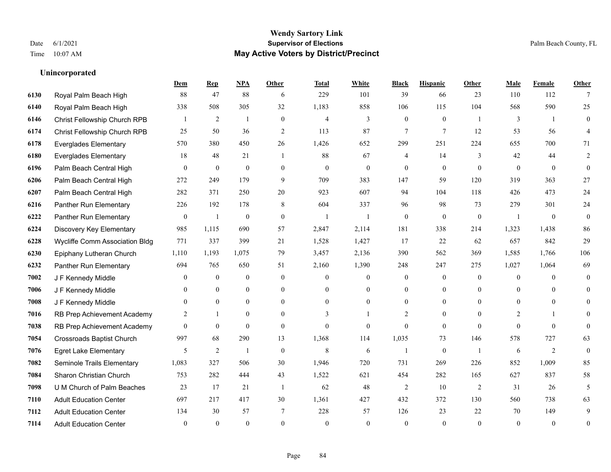## **Wendy Sartory Link** Date 6/1/2021 **Supervisor of Elections** Palm Beach County, FL Time 10:07 AM **May Active Voters by District/Precinct**

## **Dem Rep NPA Other Total White Black Hispanic Other Male Female Other** Royal Palm Beach High 88 47 88 6 229 101 39 66 23 110 112 7 Royal Palm Beach High 338 508 305 32 1,183 858 106 115 104 568 590 25 Christ Fellowship Church RPB 1 2 1 0 4 3 0 0 1 3 1 0 Christ Fellowship Church RPB 25 50 36 2 113 87 7 7 12 53 56 4 Everglades Elementary 570 380 450 26 1,426 652 299 251 224 655 700 71 Everglades Elementary 18 48 21 1 88 67 4 14 3 42 44 2 Palm Beach Central High 0 0 0 0 0 0 0 0 0 0 0 0 Palm Beach Central High 272 249 179 9 709 383 147 59 120 319 363 27 Palm Beach Central High 282 371 250 20 923 607 94 104 118 426 473 24 Panther Run Elementary 226 192 178 8 604 337 96 98 73 279 301 24 Panther Run Elementary 0 1 0 0 1 1 0 0 0 1 0 0 Discovery Key Elementary 985 1,115 690 57 2,847 2,114 181 338 214 1,323 1,438 86 Wycliffe Comm Association Bldg 771 337 399 21 1,528 1,427 17 22 62 657 842 29 Epiphany Lutheran Church 1,110 1,193 1,075 79 3,457 2,136 390 562 369 1,585 1,766 106 Panther Run Elementary 694 765 650 51 2,160 1,390 248 247 275 1,027 1,064 69 J F Kennedy Middle 0 0 0 0 0 0 0 0 0 0 J F Kennedy Middle 0 0 0 0 0 0 0 0 0 0 J F Kennedy Middle 0 0 0 0 0 0 0 0 0 0 RB Prep Achievement Academy 2 1 0 0 3 1 2 0 0 2 1 0 RB Prep Achievement Academy 0 0 0 0 0 0 0 0 0 0 0 0 Crossroads Baptist Church 997 68 290 13 1,368 114 1,035 73 146 578 727 63 Egret Lake Elementary 5 2 1 0 8 6 1 0 1 6 2 0 Seminole Trails Elementary 1,083 327 506 30 1,946 720 731 269 226 852 1,009 85 Sharon Christian Church 753 282 444 43 1,522 621 454 282 165 627 837 58 U M Church of Palm Beaches 23 17 21 1 62 48 2 10 2 31 26 5 Adult Education Center 697 217 417 30 1,361 427 432 372 130 560 738 63 Adult Education Center 134 30 57 7 228 57 126 23 22 70 149 9 Adult Education Center 0 0 0 0 0 0 0 0 0 0 0 0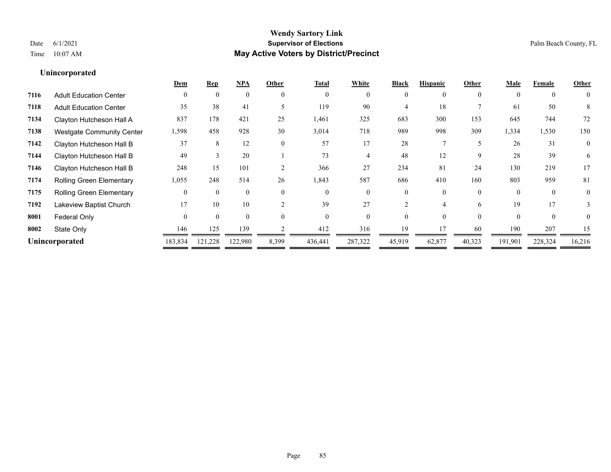## **Unincorporated**

|                                  | Dem      | <b>Rep</b> | <b>NPA</b> | Other          | <b>Total</b>   | White    | <b>Black</b> | <b>Hispanic</b> | Other    | <b>Male</b> | Female   | Other        |
|----------------------------------|----------|------------|------------|----------------|----------------|----------|--------------|-----------------|----------|-------------|----------|--------------|
| <b>Adult Education Center</b>    | $\Omega$ | $\theta$   | $\theta$   | $\theta$       | $\overline{0}$ | $\theta$ | 0            | 0               | $\theta$ | $\Omega$    | $\left($ | $\theta$     |
| <b>Adult Education Center</b>    | 35       | 38         | 41         |                | 119            | 90       |              | 18              |          | 61          | 50       | 8            |
| Clayton Hutcheson Hall A         | 837      | 178        | 421        | 25             | 1,461          | 325      | 683          | 300             | 153      | 645         | 744      | 72           |
| <b>Westgate Community Center</b> | 1,598    | 458        | 928        | 30             | 3,014          | 718      | 989          | 998             | 309      | 1,334       | 1,530    | 150          |
| Clayton Hutcheson Hall B         | 37       | 8          | 12         | $\theta$       | 57             | 17       | 28           |                 |          | 26          | 31       | $\mathbf{0}$ |
| Clayton Hutcheson Hall B         | 49       |            | 20         |                | 73             |          | 48           | 12              | 9        | 28          | 39       | 6            |
| Clayton Hutcheson Hall B         | 248      | 15         | 101        | $\mathfrak{D}$ | 366            | 27       | 234          | 81              | 24       | 130         | 219      | 17           |
| Rolling Green Elementary         | 1,055    | 248        | 514        | 26             | 1,843          | 587      | 686          | 410             | 160      | 803         | 959      | 81           |
| <b>Rolling Green Elementary</b>  | $\Omega$ | $\theta$   | $\theta$   | $\overline{0}$ | $\Omega$       | $\theta$ | 0            | 0               | $\Omega$ |             |          | $\mathbf{0}$ |
| Lakeview Baptist Church          | 17       | 10         | 10         | $\bigcap$      | 39             | 27       |              |                 | 6        | 19          | 17       |              |
| Federal Only                     | $\Omega$ | $\Omega$   | $\theta$   | $\Omega$       | $\Omega$       | $\Omega$ | 0            | $\Omega$        | $\Omega$ | $\Omega$    | $\Omega$ | $\Omega$     |
| State Only                       | 146      | 125        | 139        |                | 412            | 316      | 19           |                 | 60       | 190         | 207      | 15           |
| Unincorporated                   | 183,834  | 121,228    | 122,980    | 8,399          | 436,441        | 287,322  | 45,919       | 62,877          | 40,323   | 191,901     | 228,324  | 16,216       |
|                                  |          |            |            |                |                |          |              |                 |          |             |          |              |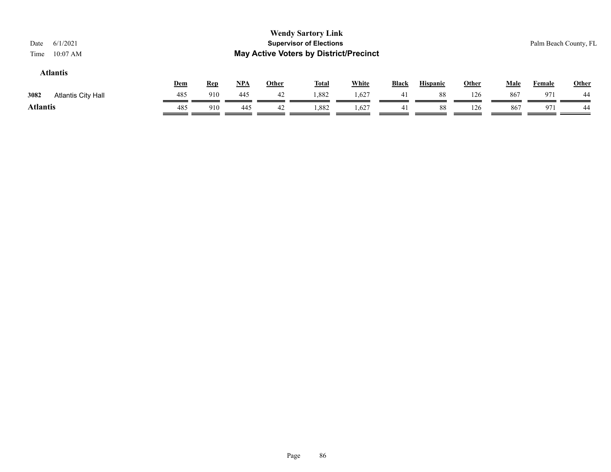## **Atlantis**

|                                   | Dem | <b>Rep</b> | <b>NPA</b> | Other | <b>Total</b> | White | <b>Black</b> | <b>Hispanic</b> | Other | Male | Female | Other |
|-----------------------------------|-----|------------|------------|-------|--------------|-------|--------------|-----------------|-------|------|--------|-------|
| 3082<br><b>Atlantis City Hall</b> | 485 | 910        | 445        | 42    | 1,882        | 1,627 | 41           | 88              | 126   | 867  | Q7     | 44    |
| <b>Atlantis</b>                   | 485 | 910        | 445        | 42    | 1,882        | 1,627 |              | 88              | 126   | 867  | 971    | 44    |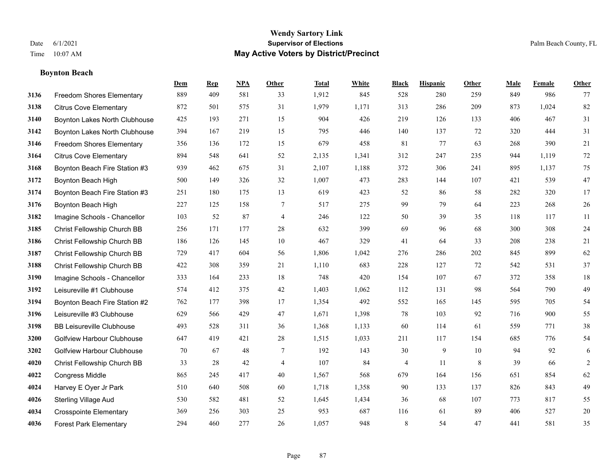## **Boynton Beach**

|      |                                   | Dem | <b>Rep</b> | NPA | <b>Other</b>   | <b>Total</b> | <b>White</b> | <b>Black</b> | <b>Hispanic</b> | <b>Other</b> | <b>Male</b> | <b>Female</b> | <b>Other</b>   |
|------|-----------------------------------|-----|------------|-----|----------------|--------------|--------------|--------------|-----------------|--------------|-------------|---------------|----------------|
| 3136 | <b>Freedom Shores Elementary</b>  | 889 | 409        | 581 | 33             | 1,912        | 845          | 528          | 280             | 259          | 849         | 986           | 77             |
| 3138 | <b>Citrus Cove Elementary</b>     | 872 | 501        | 575 | 31             | 1,979        | 1,171        | 313          | 286             | 209          | 873         | 1,024         | 82             |
| 3140 | Boynton Lakes North Clubhouse     | 425 | 193        | 271 | 15             | 904          | 426          | 219          | 126             | 133          | 406         | 467           | 31             |
| 3142 | Boynton Lakes North Clubhouse     | 394 | 167        | 219 | 15             | 795          | 446          | 140          | 137             | 72           | 320         | 444           | 31             |
| 3146 | <b>Freedom Shores Elementary</b>  | 356 | 136        | 172 | 15             | 679          | 458          | 81           | 77              | 63           | 268         | 390           | 21             |
| 3164 | <b>Citrus Cove Elementary</b>     | 894 | 548        | 641 | 52             | 2,135        | 1,341        | 312          | 247             | 235          | 944         | 1,119         | $72\,$         |
| 3168 | Boynton Beach Fire Station #3     | 939 | 462        | 675 | 31             | 2,107        | 1,188        | 372          | 306             | 241          | 895         | 1,137         | 75             |
| 3172 | Boynton Beach High                | 500 | 149        | 326 | 32             | 1,007        | 473          | 283          | 144             | 107          | 421         | 539           | $47\,$         |
| 3174 | Boynton Beach Fire Station #3     | 251 | 180        | 175 | 13             | 619          | 423          | 52           | 86              | 58           | 282         | 320           | 17             |
| 3176 | Boynton Beach High                | 227 | 125        | 158 | 7              | 517          | 275          | 99           | 79              | 64           | 223         | 268           | 26             |
| 3182 | Imagine Schools - Chancellor      | 103 | 52         | 87  | $\overline{4}$ | 246          | 122          | 50           | 39              | 35           | 118         | 117           | 11             |
| 3185 | Christ Fellowship Church BB       | 256 | 171        | 177 | 28             | 632          | 399          | 69           | 96              | 68           | 300         | 308           | 24             |
| 3186 | Christ Fellowship Church BB       | 186 | 126        | 145 | 10             | 467          | 329          | 41           | 64              | 33           | 208         | 238           | $21\,$         |
| 3187 | Christ Fellowship Church BB       | 729 | 417        | 604 | 56             | 1,806        | 1,042        | 276          | 286             | 202          | 845         | 899           | 62             |
| 3188 | Christ Fellowship Church BB       | 422 | 308        | 359 | 21             | 1,110        | 683          | 228          | 127             | 72           | 542         | 531           | 37             |
| 3190 | Imagine Schools - Chancellor      | 333 | 164        | 233 | 18             | 748          | 420          | 154          | 107             | 67           | 372         | 358           | $18\,$         |
| 3192 | Leisureville #1 Clubhouse         | 574 | 412        | 375 | $42\,$         | 1,403        | 1,062        | 112          | 131             | 98           | 564         | 790           | 49             |
| 3194 | Boynton Beach Fire Station #2     | 762 | 177        | 398 | 17             | 1,354        | 492          | 552          | 165             | 145          | 595         | 705           | 54             |
| 3196 | Leisureville #3 Clubhouse         | 629 | 566        | 429 | 47             | 1,671        | 1,398        | 78           | 103             | 92           | 716         | 900           | 55             |
| 3198 | <b>BB Leisureville Clubhouse</b>  | 493 | 528        | 311 | 36             | 1,368        | 1,133        | 60           | 114             | 61           | 559         | 771           | 38             |
| 3200 | Golfview Harbour Clubhouse        | 647 | 419        | 421 | 28             | 1,515        | 1,033        | 211          | 117             | 154          | 685         | 776           | 54             |
| 3202 | <b>Golfview Harbour Clubhouse</b> | 70  | 67         | 48  | $\tau$         | 192          | 143          | 30           | 9               | 10           | 94          | 92            | 6              |
| 4020 | Christ Fellowship Church BB       | 33  | 28         | 42  | $\overline{4}$ | 107          | 84           | 4            | 11              | 8            | 39          | 66            | $\overline{c}$ |
| 4022 | <b>Congress Middle</b>            | 865 | 245        | 417 | 40             | 1,567        | 568          | 679          | 164             | 156          | 651         | 854           | 62             |
| 4024 | Harvey E Oyer Jr Park             | 510 | 640        | 508 | 60             | 1,718        | 1,358        | 90           | 133             | 137          | 826         | 843           | 49             |
| 4026 | <b>Sterling Village Aud</b>       | 530 | 582        | 481 | 52             | 1,645        | 1,434        | 36           | 68              | 107          | 773         | 817           | 55             |
| 4034 | <b>Crosspointe Elementary</b>     | 369 | 256        | 303 | 25             | 953          | 687          | 116          | 61              | 89           | 406         | 527           | $20\,$         |
| 4036 | <b>Forest Park Elementary</b>     | 294 | 460        | 277 | 26             | 1,057        | 948          | 8            | 54              | 47           | 441         | 581           | 35             |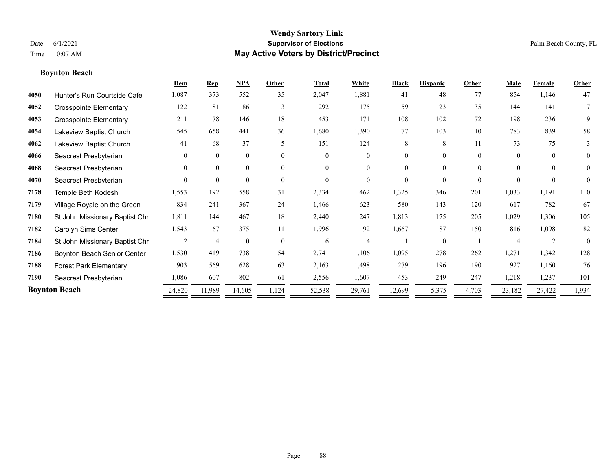**Boynton Beach**

## **Wendy Sartory Link** Date 6/1/2021 **Supervisor of Elections** Palm Beach County, FL Time 10:07 AM **May Active Voters by District/Precinct**

## **Dem Rep NPA Other Total White Black Hispanic Other Male Female Other** Hunter's Run Courtside Cafe 1,087 373 552 35 2,047 1,881 41 48 77 854 1,146 47 Crosspointe Elementary 122 81 86 3 292 175 59 23 35 144 141 7 Crosspointe Elementary 211 78 146 18 453 171 108 102 72 198 236 19 Lakeview Baptist Church 545 658 441 36 1,680 1,390 77 103 110 783 839 58 Lakeview Baptist Church 41 68 37 5 151 124 8 8 11 73 75 3 Seacrest Presbyterian 0 0 0 0 0 0 0 0 0 0 0 0 Seacrest Presbyterian 0 0 0 0 0 0 0 0 0 0 0 0 Seacrest Presbyterian 0 0 0 0 0 0 0 0 0 0 0 0 Temple Beth Kodesh 1,553 192 558 31 2,334 462 1,325 346 201 1,033 1,191 110 Village Royale on the Green 834 241 367 24 1,466 623 580 143 120 617 782 67 St John Missionary Baptist Chr 1,811 144 467 18 2,440 247 1,813 175 205 1,029 1,306 105 Carolyn Sims Center 1,543 67 375 11 1,996 92 1,667 87 150 816 1,098 82 St John Missionary Baptist Chr 2 4 0 0 6 4 1 0 1 4 2 0 Boynton Beach Senior Center 1,530 419 738 54 2,741 1,106 1,095 278 262 1,271 1,342 128 Forest Park Elementary 903 569 628 63 2,163 1,498 279 196 190 927 1,160 76 Seacrest Presbyterian 1,086 607 802 61 2,556 1,607 453 249 247 1,218 1,237 101 **Boynton Beach** 24,820 11,989 14,605 1,124 52,538 29,761 12,699 5,375 4,703 23,182 27,422 1,934

—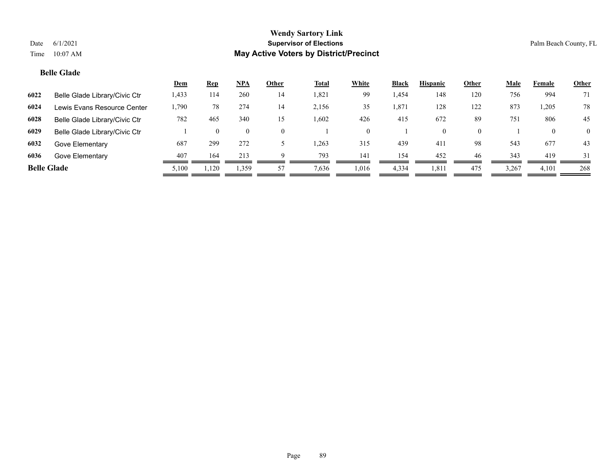## **Belle Glade**

|                    |                               | <u>Dem</u> | <u>Rep</u> | <b>NPA</b>     | Other    | <b>Total</b> | <b>White</b> | Black | <b>Hispanic</b> | Other    | <b>Male</b> | Female | <b>Other</b>   |
|--------------------|-------------------------------|------------|------------|----------------|----------|--------------|--------------|-------|-----------------|----------|-------------|--------|----------------|
| 6022               | Belle Glade Library/Civic Ctr | 1,433      | 114        | 260            | 14       | 1,821        | 99           | 1,454 | 148             | 120      | 756         | 994    | 71             |
| 6024               | Lewis Evans Resource Center   | 1,790      | 78         | 274            | 14       | 2,156        | 35           | 1,871 | 128             | 122      | 873         | ,205   | 78             |
| 6028               | Belle Glade Library/Civic Ctr | 782        | 465        | 340            | 15       | 1.602        | 426          | 415   | 672             | 89       | 751         | 806    | 45             |
| 6029               | Belle Glade Library/Civic Ctr |            | $\theta$   | $\overline{0}$ | $\Omega$ |              |              |       | $\theta$        | $\Omega$ |             |        | $\overline{0}$ |
| 6032               | Gove Elementary               | 687        | 299        | 272            |          | .263         | 315          | 439   | 411             | 98       | 543         | 677    | 43             |
| 6036               | Gove Elementary               | 407        | 164        | 213            | $\Omega$ | 793          | 141          | 154   | 452             | 46       | 343         | 419    | 31             |
| <b>Belle Glade</b> |                               | 5,100      | 1.120      | 1,359          | 57       | 7,636        | 1,016        | 4,334 | 1,811           | 475      | 3,267       | 4,101  | 268            |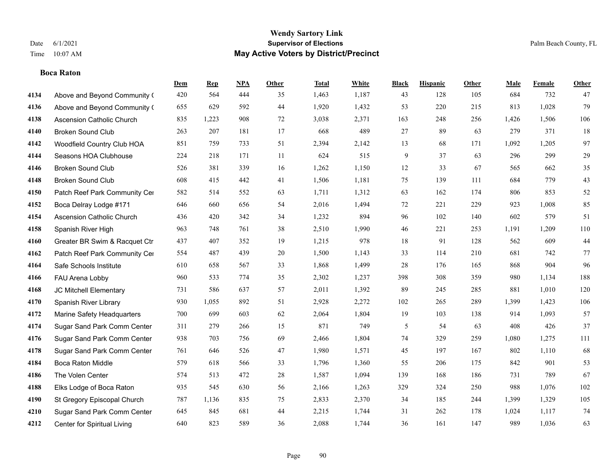## **Boca Raton**

|      |                                  | Dem | <b>Rep</b> | NPA | <b>Other</b> | <b>Total</b> | <b>White</b> | <b>Black</b> | <b>Hispanic</b> | Other | <b>Male</b> | <b>Female</b> | <b>Other</b> |
|------|----------------------------------|-----|------------|-----|--------------|--------------|--------------|--------------|-----------------|-------|-------------|---------------|--------------|
| 4134 | Above and Beyond Community (     | 420 | 564        | 444 | 35           | 1,463        | 1,187        | 43           | 128             | 105   | 684         | 732           | 47           |
| 4136 | Above and Beyond Community (     | 655 | 629        | 592 | 44           | 1,920        | 1,432        | 53           | 220             | 215   | 813         | 1,028         | 79           |
| 4138 | <b>Ascension Catholic Church</b> | 835 | 1,223      | 908 | 72           | 3,038        | 2,371        | 163          | 248             | 256   | 1,426       | 1,506         | 106          |
| 4140 | <b>Broken Sound Club</b>         | 263 | 207        | 181 | 17           | 668          | 489          | 27           | 89              | 63    | 279         | 371           | 18           |
| 4142 | Woodfield Country Club HOA       | 851 | 759        | 733 | 51           | 2,394        | 2,142        | 13           | 68              | 171   | 1,092       | 1,205         | 97           |
| 4144 | Seasons HOA Clubhouse            | 224 | 218        | 171 | $11\,$       | 624          | 515          | 9            | 37              | 63    | 296         | 299           | 29           |
| 4146 | <b>Broken Sound Club</b>         | 526 | 381        | 339 | 16           | 1,262        | 1,150        | 12           | 33              | 67    | 565         | 662           | 35           |
| 4148 | <b>Broken Sound Club</b>         | 608 | 415        | 442 | 41           | 1,506        | 1,181        | 75           | 139             | 111   | 684         | 779           | 43           |
| 4150 | Patch Reef Park Community Cer    | 582 | 514        | 552 | 63           | 1,711        | 1,312        | 63           | 162             | 174   | 806         | 853           | 52           |
| 4152 | Boca Delray Lodge #171           | 646 | 660        | 656 | 54           | 2,016        | 1,494        | $72\,$       | 221             | 229   | 923         | 1,008         | 85           |
| 4154 | Ascension Catholic Church        | 436 | 420        | 342 | 34           | 1,232        | 894          | 96           | 102             | 140   | 602         | 579           | 51           |
| 4158 | Spanish River High               | 963 | 748        | 761 | 38           | 2,510        | 1,990        | 46           | 221             | 253   | 1,191       | 1,209         | 110          |
| 4160 | Greater BR Swim & Racquet Ctr    | 437 | 407        | 352 | 19           | 1,215        | 978          | 18           | 91              | 128   | 562         | 609           | $44\,$       |
| 4162 | Patch Reef Park Community Cer    | 554 | 487        | 439 | 20           | 1,500        | 1,143        | 33           | 114             | 210   | 681         | 742           | 77           |
| 4164 | Safe Schools Institute           | 610 | 658        | 567 | 33           | 1,868        | 1,499        | 28           | 176             | 165   | 868         | 904           | 96           |
| 4166 | FAU Arena Lobby                  | 960 | 533        | 774 | 35           | 2,302        | 1,237        | 398          | 308             | 359   | 980         | 1,134         | 188          |
| 4168 | JC Mitchell Elementary           | 731 | 586        | 637 | 57           | 2,011        | 1,392        | 89           | 245             | 285   | 881         | 1,010         | 120          |
| 4170 | Spanish River Library            | 930 | 1,055      | 892 | 51           | 2,928        | 2,272        | 102          | 265             | 289   | 1,399       | 1,423         | 106          |
| 4172 | Marine Safety Headquarters       | 700 | 699        | 603 | 62           | 2,064        | 1,804        | 19           | 103             | 138   | 914         | 1,093         | 57           |
| 4174 | Sugar Sand Park Comm Center      | 311 | 279        | 266 | 15           | 871          | 749          | 5            | 54              | 63    | 408         | 426           | 37           |
| 4176 | Sugar Sand Park Comm Center      | 938 | 703        | 756 | 69           | 2,466        | 1,804        | 74           | 329             | 259   | 1,080       | 1,275         | 111          |
| 4178 | Sugar Sand Park Comm Center      | 761 | 646        | 526 | $47\,$       | 1,980        | 1,571        | 45           | 197             | 167   | 802         | 1,110         | 68           |
| 4184 | Boca Raton Middle                | 579 | 618        | 566 | 33           | 1,796        | 1,360        | 55           | 206             | 175   | 842         | 901           | 53           |
| 4186 | The Volen Center                 | 574 | 513        | 472 | 28           | 1,587        | 1,094        | 139          | 168             | 186   | 731         | 789           | 67           |
| 4188 | Elks Lodge of Boca Raton         | 935 | 545        | 630 | 56           | 2,166        | 1,263        | 329          | 324             | 250   | 988         | 1,076         | 102          |
| 4190 | St Gregory Episcopal Church      | 787 | 1,136      | 835 | 75           | 2,833        | 2,370        | 34           | 185             | 244   | 1,399       | 1,329         | 105          |
| 4210 | Sugar Sand Park Comm Center      | 645 | 845        | 681 | 44           | 2,215        | 1,744        | 31           | 262             | 178   | 1,024       | 1,117         | 74           |
| 4212 | Center for Spiritual Living      | 640 | 823        | 589 | 36           | 2,088        | 1,744        | 36           | 161             | 147   | 989         | 1,036         | 63           |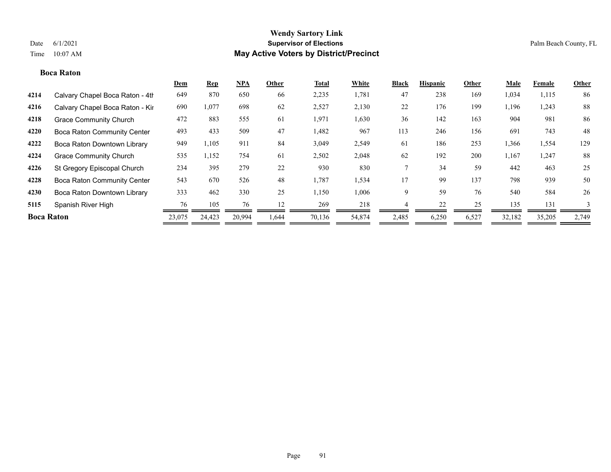#### **Boca Raton**

|                   |                                    | <u>Dem</u> | <b>Rep</b> | <u>NPA</u> | Other | <b>Total</b> | White  | <b>Black</b> | <b>Hispanic</b> | Other | Male   | Female | Other |
|-------------------|------------------------------------|------------|------------|------------|-------|--------------|--------|--------------|-----------------|-------|--------|--------|-------|
| 4214              | Calvary Chapel Boca Raton - 4th    | 649        | 870        | 650        | 66    | 2,235        | 1,781  | 47           | 238             | 169   | 1,034  | 1,115  | 86    |
| 4216              | Calvary Chapel Boca Raton - Kir    | 690        | 1,077      | 698        | 62    | 2,527        | 2,130  | 22           | 176             | 199   | 1,196  | 1,243  | 88    |
| 4218              | <b>Grace Community Church</b>      | 472        | 883        | 555        | 61    | 1,971        | 1,630  | 36           | 142             | 163   | 904    | 981    | 86    |
| 4220              | <b>Boca Raton Community Center</b> | 493        | 433        | 509        | 47    | 1,482        | 967    | 113          | 246             | 156   | 691    | 743    | 48    |
| 4222              | Boca Raton Downtown Library        | 949        | 1,105      | 911        | 84    | 3,049        | 2,549  | 61           | 186             | 253   | 1,366  | 1,554  | 129   |
| 4224              | <b>Grace Community Church</b>      | 535        | 1,152      | 754        | 61    | 2,502        | 2,048  | 62           | 192             | 200   | 1,167  | 1,247  | 88    |
| 4226              | St Gregory Episcopal Church        | 234        | 395        | 279        | 22    | 930          | 830    |              | 34              | 59    | 442    | 463    | 25    |
| 4228              | <b>Boca Raton Community Center</b> | 543        | 670        | 526        | 48    | 1,787        | 1,534  | 17           | 99              | 137   | 798    | 939    | 50    |
| 4230              | Boca Raton Downtown Library        | 333        | 462        | 330        | 25    | 1,150        | 1,006  | 9            | 59              | 76    | 540    | 584    | 26    |
| 5115              | Spanish River High                 | 76         | 105        | 76         | 12    | 269          | 218    |              | 22              | 25    | 135    | 131    |       |
| <b>Boca Raton</b> |                                    | 23,075     | 24,423     | 20.994     | 1.644 | 70,136       | 54,874 | 2,485        | 6,250           | 6,527 | 32,182 | 35,205 | 2,749 |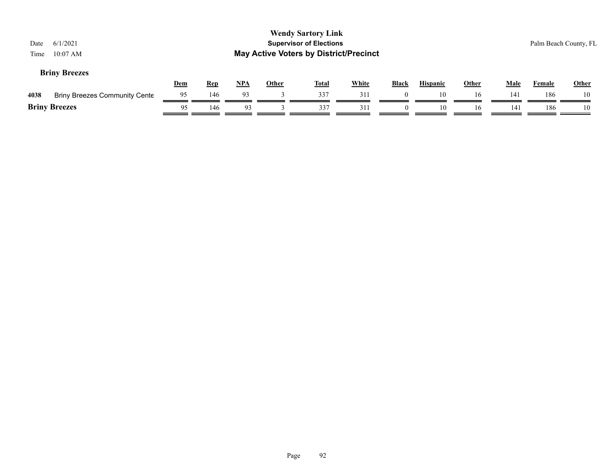| <b>Wendy Sartory Link</b><br><b>Supervisor of Elections</b><br>6/1/2021<br>Date<br><b>May Active Voters by District/Precinct</b><br>$10:07$ AM<br>Time<br><b>Briny Breezes</b> |                                      |            |            |            |              |              |              |          |                 |              |             | Palm Beach County, FL |              |
|--------------------------------------------------------------------------------------------------------------------------------------------------------------------------------|--------------------------------------|------------|------------|------------|--------------|--------------|--------------|----------|-----------------|--------------|-------------|-----------------------|--------------|
|                                                                                                                                                                                |                                      | <b>Dem</b> | <b>Rep</b> | <u>NPA</u> | <b>Other</b> | <u>Total</u> | <b>White</b> | Black    | <b>Hispanic</b> | <b>Other</b> | <b>Male</b> | Female                | <b>Other</b> |
| 4038                                                                                                                                                                           | <b>Briny Breezes Community Cente</b> | 95         | 146        | 93         |              | 337          | 311          |          | 10              | 16           | 141         | 186                   | 10           |
|                                                                                                                                                                                | <b>Briny Breezes</b>                 | 95         | 146        | 93         |              | 337          | 311          | $\Omega$ | 10              | 16           | 141         | 186                   | 10           |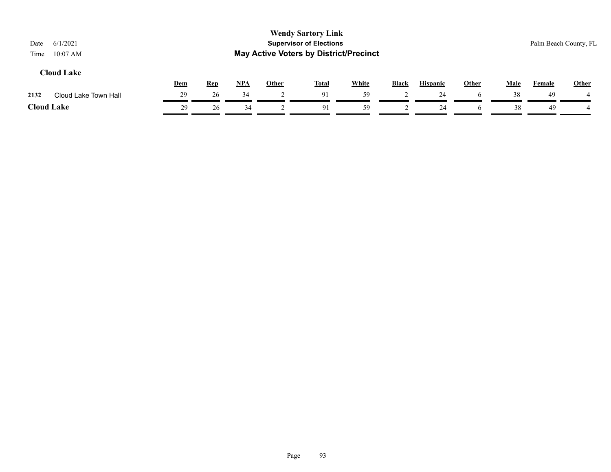| 6/1/2021<br>Date<br>$10:07$ AM<br>Time |     |            |     |              | <b>Wendy Sartory Link</b><br><b>Supervisor of Elections</b><br><b>May Active Voters by District/Precinct</b> |              |              |                 |              |             |               | Palm Beach County, FL |
|----------------------------------------|-----|------------|-----|--------------|--------------------------------------------------------------------------------------------------------------|--------------|--------------|-----------------|--------------|-------------|---------------|-----------------------|
| <b>Cloud Lake</b>                      | Dem | <u>Rep</u> | NPA | <b>Other</b> | <u>Total</u>                                                                                                 | <b>White</b> | <b>Black</b> | <b>Hispanic</b> | <b>Other</b> | <b>Male</b> | <b>Female</b> | <b>Other</b>          |
| 2132<br>Cloud Lake Town Hall           | 29  | 26         | 34  |              | 91                                                                                                           | 59           |              | 24              |              | 38          | 49            |                       |
| <b>Cloud Lake</b>                      | 29  | 26         | 34  |              | 91                                                                                                           | 59           |              | 24              |              | 38          | 49            |                       |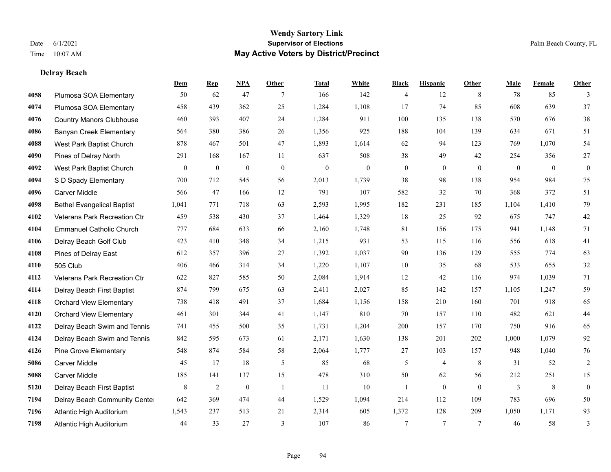**Delray Beach**

#### **Wendy Sartory Link** Date 6/1/2021 **Supervisor of Elections** Palm Beach County, FL Time 10:07 AM **May Active Voters by District/Precinct**

**Dem Rep NPA Other Total White Black Hispanic Other Male Female Other**

## Plumosa SOA Elementary 50 62 47 7 166 142 4 12 8 78 85 3 Plumosa SOA Elementary 458 439 362 25 1,284 1,108 17 74 85 608 639 37 Country Manors Clubhouse 460 393 407 24 1,284 911 100 135 138 570 676 38 Banyan Creek Elementary 564 380 386 26 1,356 925 188 104 139 634 671 51 West Park Baptist Church 878 467 501 47 1,893 1,614 62 94 123 769 1,070 54 Pines of Delray North 291 168 167 11 637 508 38 49 42 254 356 27 West Park Baptist Church 0 0 0 0 0 0 0 0 0 0 0 0 S D Spady Elementary 700 712 545 56 2,013 1,739 38 98 138 954 984 75 Carver Middle 566 47 166 12 791 107 582 32 70 368 372 51 Bethel Evangelical Baptist 1,041 771 718 63 2,593 1,995 182 231 185 1,104 1,410 79 Veterans Park Recreation Ctr 459 538 430 37 1,464 1,329 18 25 92 675 747 42 Emmanuel Catholic Church 777 684 633 66 2,160 1,748 81 156 175 941 1,148 71 Delray Beach Golf Club 423 410 348 34 1,215 931 53 115 116 556 618 41 Pines of Delray East 612 357 396 27 1,392 1,037 90 136 129 555 774 63 505 Club 406 466 314 34 1,220 1,107 10 35 68 533 655 32 Veterans Park Recreation Ctr 622 827 585 50 2,084 1,914 12 42 116 974 1,039 71 Delray Beach First Baptist 874 799 675 63 2,411 2,027 85 142 157 1,105 1,247 59 Orchard View Elementary 738 418 491 37 1,684 1,156 158 210 160 701 918 65 Orchard View Elementary 461 301 344 41 1,147 810 70 157 110 482 621 44 Delray Beach Swim and Tennis 741 455 500 35 1,731 1,204 200 157 170 750 916 65 Delray Beach Swim and Tennis 842 595 673 61 2,171 1,630 138 201 202 1,000 1,079 92 Pine Grove Elementary 548 874 584 58 2,064 1,777 27 103 157 948 1,040 76 Carver Middle 45 17 18 5 85 68 5 4 8 31 52 2

 Carver Middle 185 141 137 15 478 310 50 62 56 212 251 15 Delray Beach First Baptist  $\begin{array}{ccccccccccccc}\n & 8 & 2 & 0 & 1 & 11 & 10 & 1 & 0 & 0 & 3 & 8 & 0\n\end{array}$  Delray Beach Community Center 642 369 474 44 1,529 1,094 214 112 109 783 696 50 Atlantic High Auditorium 1,543 237 513 21 2,314 605 1,372 128 209 1,050 1,171 93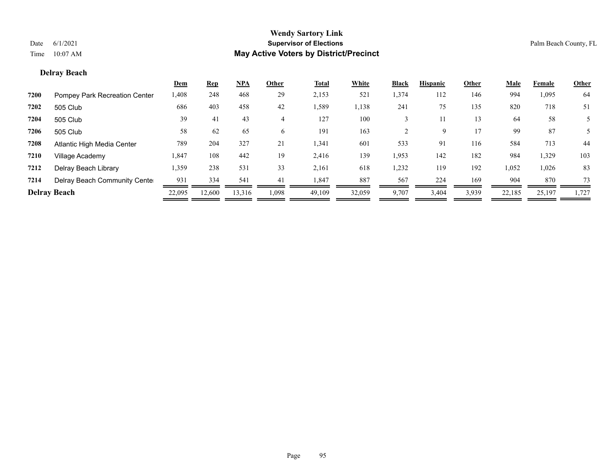## **Delray Beach**

|      |                               | <u>Dem</u> | <b>Rep</b> | <u>NPA</u> | Other | <b>Total</b> | White  | <b>Black</b> | <b>Hispanic</b> | Other | <u>Male</u> | Female | <b>Other</b> |
|------|-------------------------------|------------|------------|------------|-------|--------------|--------|--------------|-----------------|-------|-------------|--------|--------------|
| 7200 | Pompey Park Recreation Center | 1,408      | 248        | 468        | 29    | 2,153        | 521    | 1,374        | 112             | 146   | 994         | 1,095  | 64           |
| 7202 | 505 Club                      | 686        | 403        | 458        | 42    | 1,589        | 1,138  | 241          | 75              | 135   | 820         | 718    | 51           |
| 7204 | 505 Club                      | 39         | 41         | 43         | 4     | 127          | 100    |              |                 | 13    | 64          | 58     |              |
| 7206 | 505 Club                      | 58         | 62         | 65         | 6     | 191          | 163    |              | 9               | 17    | 99          | 87     |              |
| 7208 | Atlantic High Media Center    | 789        | 204        | 327        | 21    | 1,341        | 601    | 533          | 91              | 116   | 584         | 713    | 44           |
| 7210 | Village Academy               | 1,847      | 108        | 442        | 19    | 2,416        | 139    | 1,953        | 142             | 182   | 984         | 1,329  | 103          |
| 7212 | Delray Beach Library          | 1,359      | 238        | 531        | 33    | 2,161        | 618    | 1,232        | 119             | 192   | 1,052       | 1,026  | 83           |
| 7214 | Delray Beach Community Cente  | 931        | 334        | 541        | 41    | 1,847        | 887    | 567          | 224             | 169   | 904         | 870    | 73           |
|      | <b>Delray Beach</b>           | 22,095     | 12,600     | 13,316     | 1,098 | 49,109       | 32,059 | 9,707        | 3,404           | 3,939 | 22,185      | 25,197 | 1,727        |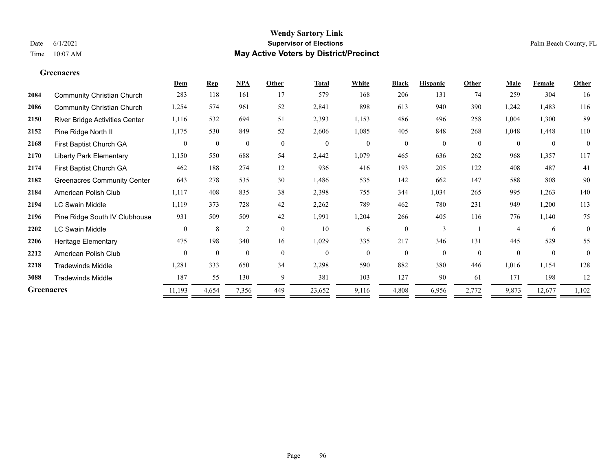#### **Greenacres**

|                   |                                       | Dem            | <b>Rep</b>       | <b>NPA</b>       | Other          | <b>Total</b>     | White        | <b>Black</b> | <b>Hispanic</b> | Other        | Male           | Female           | Other        |
|-------------------|---------------------------------------|----------------|------------------|------------------|----------------|------------------|--------------|--------------|-----------------|--------------|----------------|------------------|--------------|
| 2084              | <b>Community Christian Church</b>     | 283            | 118              | 161              | 17             | 579              | 168          | 206          | 131             | 74           | 259            | 304              | 16           |
| 2086              | <b>Community Christian Church</b>     | 1,254          | 574              | 961              | 52             | 2,841            | 898          | 613          | 940             | 390          | 1,242          | 1,483            | 116          |
| 2150              | <b>River Bridge Activities Center</b> | 1,116          | 532              | 694              | 51             | 2,393            | 1,153        | 486          | 496             | 258          | 1,004          | 1,300            | 89           |
| 2152              | Pine Ridge North II                   | 1,175          | 530              | 849              | 52             | 2,606            | 1,085        | 405          | 848             | 268          | 1,048          | 1,448            | 110          |
| 2168              | First Baptist Church GA               | $\overline{0}$ | $\boldsymbol{0}$ | $\boldsymbol{0}$ | $\overline{0}$ | $\boldsymbol{0}$ | $\mathbf{0}$ | $\mathbf{0}$ | $\mathbf{0}$    | $\mathbf{0}$ | $\overline{0}$ | $\boldsymbol{0}$ | $\mathbf{0}$ |
| 2170              | <b>Liberty Park Elementary</b>        | 1,150          | 550              | 688              | 54             | 2,442            | 1,079        | 465          | 636             | 262          | 968            | 1,357            | 117          |
| 2174              | First Baptist Church GA               | 462            | 188              | 274              | 12             | 936              | 416          | 193          | 205             | 122          | 408            | 487              | 41           |
| 2182              | <b>Greenacres Community Center</b>    | 643            | 278              | 535              | 30             | 1,486            | 535          | 142          | 662             | 147          | 588            | 808              | 90           |
| 2184              | American Polish Club                  | 1,117          | 408              | 835              | 38             | 2,398            | 755          | 344          | 1,034           | 265          | 995            | 1,263            | 140          |
| 2194              | <b>LC Swain Middle</b>                | 1,119          | 373              | 728              | 42             | 2,262            | 789          | 462          | 780             | 231          | 949            | 1,200            | 113          |
| 2196              | Pine Ridge South IV Clubhouse         | 931            | 509              | 509              | 42             | 1,991            | 1,204        | 266          | 405             | 116          | 776            | 1,140            | 75           |
| 2202              | <b>LC Swain Middle</b>                | $\theta$       | 8                | $\overline{2}$   | $\theta$       | 10               | 6            | $\theta$     | 3               |              | $\overline{A}$ | 6                | $\theta$     |
| 2206              | <b>Heritage Elementary</b>            | 475            | 198              | 340              | 16             | 1,029            | 335          | 217          | 346             | 131          | 445            | 529              | 55           |
| 2212              | American Polish Club                  | $\theta$       | $\mathbf{0}$     | $\theta$         | $\theta$       | $\mathbf{0}$     | $\theta$     | $\theta$     | $\theta$        | $\theta$     | $\theta$       | $\theta$         | $\theta$     |
| 2218              | <b>Tradewinds Middle</b>              | 1,281          | 333              | 650              | 34             | 2,298            | 590          | 882          | 380             | 446          | 1,016          | 1,154            | 128          |
| 3088              | <b>Tradewinds Middle</b>              | 187            | 55               | 130              | 9              | 381              | 103          | 127          | 90              | 61           | 171            | 198              | 12           |
| <b>Greenacres</b> |                                       | 11,193         | 4,654            | 7,356            | 449            | 23,652           | 9,116        | 4,808        | 6,956           | 2,772        | 9,873          | 12,677           | 1,102        |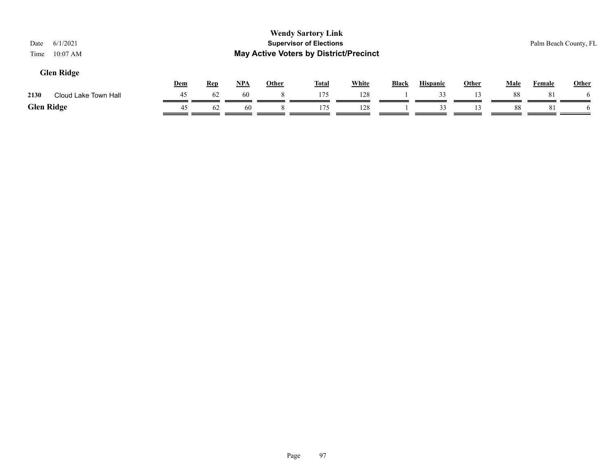| Date<br>Time      | 6/1/2021<br>$10:07$ AM |            |            |            |              | <b>Wendy Sartory Link</b><br><b>Supervisor of Elections</b> | <b>May Active Voters by District/Precinct</b> |              |                 |       |      |               | Palm Beach County, FL |
|-------------------|------------------------|------------|------------|------------|--------------|-------------------------------------------------------------|-----------------------------------------------|--------------|-----------------|-------|------|---------------|-----------------------|
|                   | <b>Glen Ridge</b>      |            |            |            |              |                                                             |                                               |              |                 |       |      |               |                       |
|                   |                        | <b>Dem</b> | <b>Rep</b> | <u>NPA</u> | <b>Other</b> | Total                                                       | <b>White</b>                                  | <b>Black</b> | <b>Hispanic</b> | Other | Male | <b>Female</b> | <b>Other</b>          |
| 2130              | Cloud Lake Town Hall   | 45         | 62         | 60         | 8            | 175                                                         | 128                                           |              | 33              |       | 88   | 81            |                       |
| <b>Glen Ridge</b> |                        | 45         | 62         | 60         |              | 175                                                         | 128                                           |              | 33              |       | 88   | 81            |                       |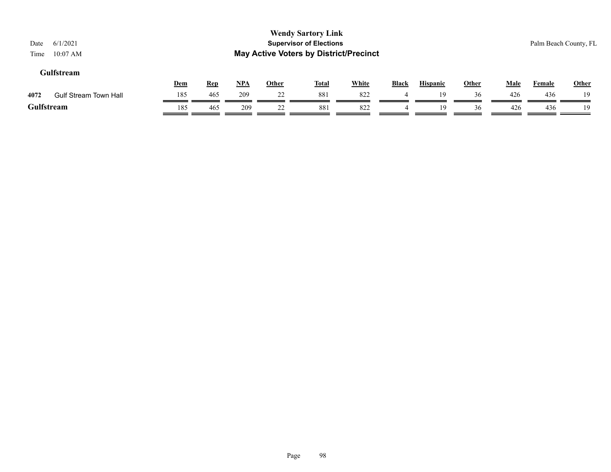| 6/1/2021<br>Date<br>$10:07$ AM<br>Time |            |            |       |              | <b>Wendy Sartory Link</b><br><b>Supervisor of Elections</b><br><b>May Active Voters by District/Precinct</b> |              |              |                 |              |             | Palm Beach County, FL |              |
|----------------------------------------|------------|------------|-------|--------------|--------------------------------------------------------------------------------------------------------------|--------------|--------------|-----------------|--------------|-------------|-----------------------|--------------|
| Gulfstream                             | <u>Dem</u> | <u>Rep</u> | $NPA$ | <u>Other</u> | <b>Total</b>                                                                                                 | <b>White</b> | <b>Black</b> | <b>Hispanic</b> | <b>Other</b> | <b>Male</b> | <b>Female</b>         | <b>Other</b> |
| <b>Gulf Stream Town Hall</b><br>4072   | 185        | 465        | 209   | 22           | 881                                                                                                          | 822          |              | 19              | 36           | 426         | 436                   | 19           |
| Gulfstream                             | 185        | 465        | 209   | 22           | 881                                                                                                          | 822          | 4            | 19              | 36           | 426         | 436                   | 19           |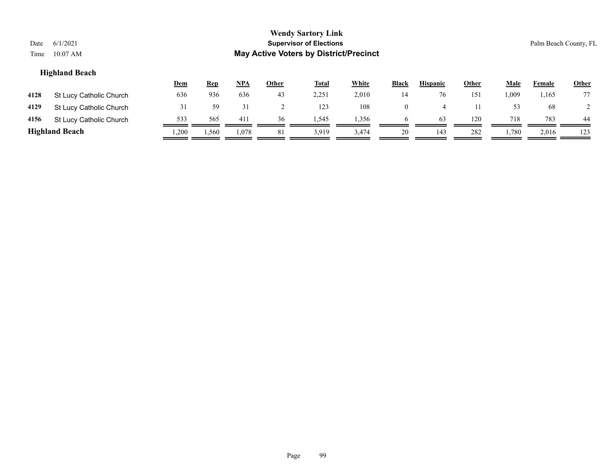| Date<br>Time                                                                                                                                                           | 6/1/2021<br>$10:07$ AM  |     |     |     |    | <b>Wendy Sartory Link</b><br><b>Supervisor of Elections</b><br><b>May Active Voters by District/Precinct</b> |       |                |    |     |       |       | Palm Beach County, FL |
|------------------------------------------------------------------------------------------------------------------------------------------------------------------------|-------------------------|-----|-----|-----|----|--------------------------------------------------------------------------------------------------------------|-------|----------------|----|-----|-------|-------|-----------------------|
| <b>Highland Beach</b><br><b>White</b><br>NPA<br><b>Black</b><br><b>Hispanic</b><br>Other<br><b>Male</b><br><u>Rep</u><br><u>Other</u><br><b>Total</b><br>Dem<br>Female |                         |     |     |     |    |                                                                                                              |       |                |    |     |       |       |                       |
| 4128                                                                                                                                                                   | St Lucy Catholic Church | 636 | 936 | 636 | 43 | 2,251                                                                                                        | 2,010 | 14             | 76 | 151 | 1,009 | 1,165 | 77                    |
| 4129                                                                                                                                                                   | St Lucy Catholic Church | 31  | 59  | 31  |    | 123                                                                                                          | 108   | $\overline{0}$ | 4  |     | 53    | 68    |                       |
| 4156                                                                                                                                                                   | St Lucy Catholic Church | 533 | 565 | 411 | 36 | 1,545                                                                                                        | 1,356 | <sub>0</sub>   | 63 | 120 | 718   | 783   | 44                    |

# **Highland Beach** 1,200 1,560 1,078 1,078 1,078 1,079 1,079 1,079 1,143 20 1,143 282 1,780 2,016 123

Page 99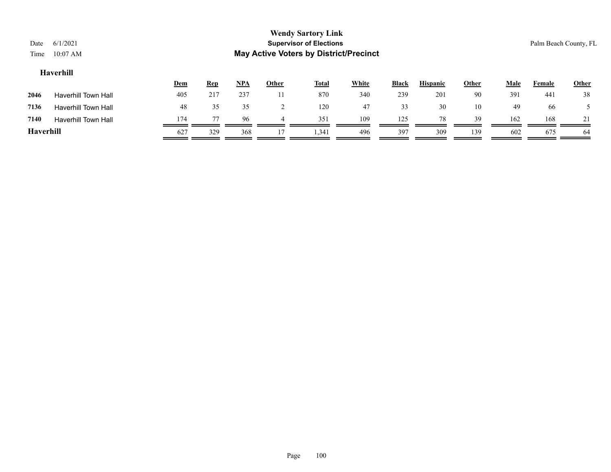| Date<br>Time | 6/1/2021<br>$10:07$ AM     |            |            |       |              | <b>Wendy Sartory Link</b><br><b>Supervisor of Elections</b><br><b>May Active Voters by District/Precinct</b> |              |              |                 |       |             |        | Palm Beach County, FL |
|--------------|----------------------------|------------|------------|-------|--------------|--------------------------------------------------------------------------------------------------------------|--------------|--------------|-----------------|-------|-------------|--------|-----------------------|
|              | Haverhill                  | <u>Dem</u> | <u>Rep</u> | $NPA$ | <b>Other</b> | <b>Total</b>                                                                                                 | <b>White</b> | <b>Black</b> | <b>Hispanic</b> | Other | <b>Male</b> | Female | Other                 |
| 2046         | <b>Haverhill Town Hall</b> | 405        | 217        | 237   |              | 870                                                                                                          | 340          | 239          | 201             | 90    | 391         | 441    | 38                    |
| 7136         | <b>Haverhill Town Hall</b> | 48         | 35         | 35    |              | 120                                                                                                          | 47           | 33           | 30              | 10    | 49          | 66     |                       |

**7140** Haverhill Town Hall  $\frac{174}{\sqrt{77}} \frac{77}{\sqrt{645}} \frac{96}{\sqrt{645}} \frac{4}{\sqrt{645}} \frac{351}{\sqrt{645}} \frac{109}{\sqrt{645}} \frac{125}{\sqrt{645}} \frac{78}{\sqrt{645}} \frac{39}{\sqrt{645}} \frac{162}{\sqrt{645}} \frac{168}{\sqrt{645}} \frac{21}{\sqrt{645}}$ **Haverhill** 627 329 368 17 1,341 496 397 309 139 602 675 64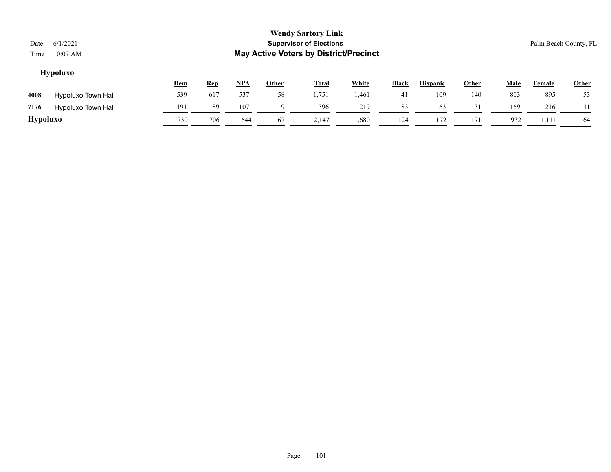## **Hypoluxo**

|                 |                           | <u>Dem</u> | <u>Rep</u> | <u>NPA</u> | Other | <b>Total</b> | White | <b>Black</b> | <b>Hispanic</b> | Other | Male | Female | <b>Other</b> |
|-----------------|---------------------------|------------|------------|------------|-------|--------------|-------|--------------|-----------------|-------|------|--------|--------------|
| 4008            | <b>Hypoluxo Town Hall</b> | 539        | 617        | 537        | 58    | 1,751        | 1,461 | 41           | 109             | 140   | 803  | 895    | 53           |
| 7176            | <b>Hypoluxo Town Hall</b> | 191        | 89         | 107        |       | 396          | 219   | 83           | 63              |       | 169  | 216    |              |
| <b>Hypoluxo</b> |                           | 730        | 706        | 644        | 67    | 2,147        | 1,680 | 124          | 172             | 171   | 972  | 1,111  | 64           |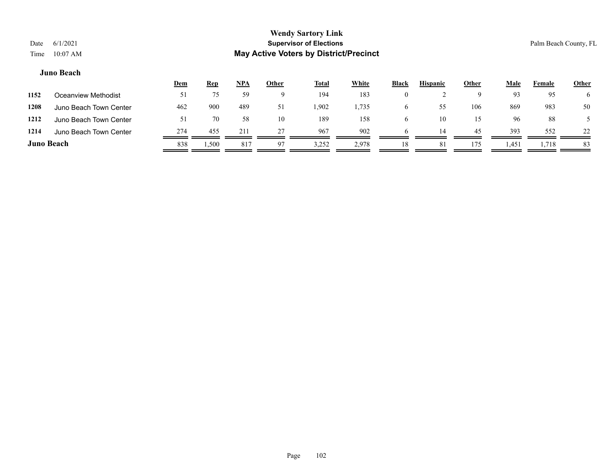#### **Juno Beach**

|                   |                        | <u>Dem</u> | <b>Rep</b> | <u>NPA</u> | <b>Other</b> | <b>Total</b> | <b>White</b> | <b>Black</b> | <b>Hispanic</b> | <u>Other</u> | Male  | Female | <b>Other</b> |
|-------------------|------------------------|------------|------------|------------|--------------|--------------|--------------|--------------|-----------------|--------------|-------|--------|--------------|
| 1152              | Oceanview Methodist    | 51         |            | 59         |              | 194          | 183          | $\theta$     |                 |              | 93    | 95     |              |
| 1208              | Juno Beach Town Center | 462        | 900        | 489        | 51           | 1,902        | 1,735        | o            | 55              | 106          | 869   | 983    | 50           |
| 1212              | Juno Beach Town Center | 51         | 70         | 58         | 10           | 189          | 158          | O            | 10              | 15           | 96    | 88     |              |
| 1214              | Juno Beach Town Center | 274        | 455        | 211        | 27           | 967          | 902          | h            | 14              | 45           | 393   | 552    | 22           |
| <b>Juno Beach</b> |                        | 838        | 500.ا      | 817        | 97           | 3,252        | 2,978        | 18           | 81              | 175          | 1,451 | 1,718  | 83           |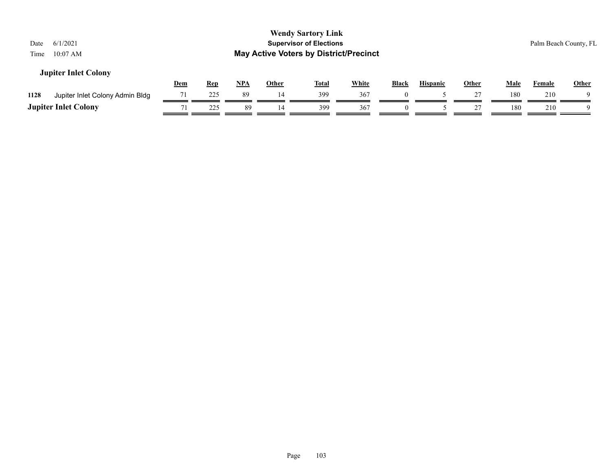| 6/1/2021<br>Date<br>$10:07$ AM<br>Time  |     |            |            |              | <b>Wendy Sartory Link</b><br><b>Supervisor of Elections</b><br><b>May Active Voters by District/Precinct</b> |              |              |                 |              |             |               | Palm Beach County, FL |
|-----------------------------------------|-----|------------|------------|--------------|--------------------------------------------------------------------------------------------------------------|--------------|--------------|-----------------|--------------|-------------|---------------|-----------------------|
| <b>Jupiter Inlet Colony</b>             | Dem | <u>Rep</u> | <u>NPA</u> | <u>Other</u> | <u>Total</u>                                                                                                 | <b>White</b> | <b>Black</b> | <b>Hispanic</b> | <b>Other</b> | <u>Male</u> | <b>Female</b> | <b>Other</b>          |
| 1128<br>Jupiter Inlet Colony Admin Bldg | 71  | 225        | 89         | 14           | 399                                                                                                          | 367          | $\Omega$     |                 |              | 180         | 210           |                       |
| <b>Jupiter Inlet Colony</b>             | 71  | 225        | 89         | 14           | 399                                                                                                          | 367          | $\Omega$     |                 |              | 180         | 210           |                       |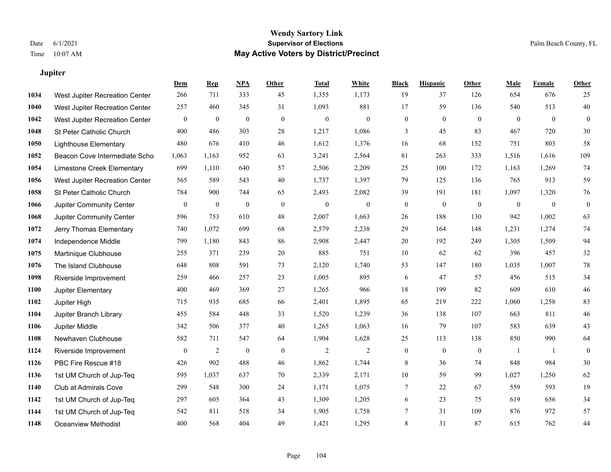**Jupiter**

## **Wendy Sartory Link** Date 6/1/2021 **Supervisor of Elections** Palm Beach County, FL Time 10:07 AM **May Active Voters by District/Precinct**

|      |                                | Dem              | <b>Rep</b>       | <u>NPA</u>   | <b>Other</b> | <b>Total</b>   | <b>White</b>     | <b>Black</b>     | <b>Hispanic</b>  | <b>Other</b>     | <b>Male</b>      | <b>Female</b> | <b>Other</b>   |
|------|--------------------------------|------------------|------------------|--------------|--------------|----------------|------------------|------------------|------------------|------------------|------------------|---------------|----------------|
| 1034 | West Jupiter Recreation Center | 266              | 711              | 333          | 45           | 1,355          | 1,173            | 19               | 37               | 126              | 654              | 676           | 25             |
| 1040 | West Jupiter Recreation Center | 257              | 460              | 345          | 31           | 1,093          | 881              | 17               | 59               | 136              | 540              | 513           | 40             |
| 1042 | West Jupiter Recreation Center | $\mathbf{0}$     | $\boldsymbol{0}$ | $\mathbf{0}$ | $\mathbf{0}$ | $\mathbf{0}$   | $\mathbf{0}$     | $\mathbf{0}$     | $\mathbf{0}$     | $\mathbf{0}$     | $\overline{0}$   | $\mathbf{0}$  | $\theta$       |
| 1048 | St Peter Catholic Church       | 400              | 486              | 303          | 28           | 1,217          | 1,086            | $\overline{3}$   | 45               | 83               | 467              | 720           | 30             |
| 1050 | <b>Lighthouse Elementary</b>   | 480              | 676              | 410          | 46           | 1,612          | 1,376            | 16               | 68               | 152              | 751              | 803           | 58             |
| 1052 | Beacon Cove Intermediate Scho  | 1,063            | 1,163            | 952          | 63           | 3,241          | 2,564            | 81               | 263              | 333              | 1,516            | 1,616         | 109            |
| 1054 | Limestone Creek Elementary     | 699              | 1,110            | 640          | 57           | 2,506          | 2,209            | 25               | 100              | 172              | 1,163            | 1,269         | 74             |
| 1056 | West Jupiter Recreation Center | 565              | 589              | 543          | 40           | 1,737          | 1,397            | 79               | 125              | 136              | 765              | 913           | 59             |
| 1058 | St Peter Catholic Church       | 784              | 900              | 744          | 65           | 2,493          | 2,082            | 39               | 191              | 181              | 1,097            | 1,320         | 76             |
| 1066 | Jupiter Community Center       | $\boldsymbol{0}$ | $\mathbf{0}$     | $\mathbf{0}$ | $\mathbf{0}$ | $\mathbf{0}$   | $\boldsymbol{0}$ | $\mathbf{0}$     | $\boldsymbol{0}$ | $\boldsymbol{0}$ | $\boldsymbol{0}$ | $\mathbf{0}$  | $\overline{0}$ |
| 1068 | Jupiter Community Center       | 596              | 753              | 610          | 48           | 2,007          | 1,663            | 26               | 188              | 130              | 942              | 1,002         | 63             |
| 1072 | Jerry Thomas Elementary        | 740              | 1,072            | 699          | 68           | 2,579          | 2,238            | 29               | 164              | 148              | 1,231            | 1,274         | 74             |
| 1074 | Independence Middle            | 799              | 1,180            | 843          | 86           | 2,908          | 2,447            | 20               | 192              | 249              | 1,305            | 1,509         | 94             |
| 1075 | Martinique Clubhouse           | 255              | 371              | 239          | 20           | 885            | 751              | 10               | 62               | 62               | 396              | 457           | 32             |
| 1076 | The Island Clubhouse           | 648              | 808              | 591          | 73           | 2,120          | 1,740            | 53               | 147              | 180              | 1,035            | 1,007         | 78             |
| 1098 | Riverside Improvement          | 259              | 466              | 257          | 23           | 1,005          | 895              | 6                | 47               | 57               | 456              | 515           | 34             |
| 1100 | Jupiter Elementary             | 400              | 469              | 369          | 27           | 1,265          | 966              | 18               | 199              | 82               | 609              | 610           | 46             |
| 1102 | Jupiter High                   | 715              | 935              | 685          | 66           | 2,401          | 1,895            | 65               | 219              | 222              | 1,060            | 1,258         | 83             |
| 1104 | Jupiter Branch Library         | 455              | 584              | 448          | 33           | 1,520          | 1,239            | 36               | 138              | 107              | 663              | 811           | 46             |
| 1106 | Jupiter Middle                 | 342              | 506              | 377          | 40           | 1,265          | 1,063            | 16               | 79               | 107              | 583              | 639           | 43             |
| 1108 | Newhaven Clubhouse             | 582              | 711              | 547          | 64           | 1,904          | 1,628            | 25               | 113              | 138              | 850              | 990           | 64             |
| 1124 | Riverside Improvement          | $\boldsymbol{0}$ | $\overline{c}$   | $\mathbf{0}$ | $\mathbf{0}$ | $\overline{c}$ | $\overline{2}$   | $\boldsymbol{0}$ | $\boldsymbol{0}$ | $\boldsymbol{0}$ | 1                | 1             | $\overline{0}$ |
| 1126 | PBC Fire Rescue #18            | 426              | 902              | 488          | 46           | 1,862          | 1,744            | 8                | 36               | 74               | 848              | 984           | 30             |
| 1136 | 1st UM Church of Jup-Teq       | 595              | 1,037            | 637          | 70           | 2,339          | 2,171            | 10               | 59               | 99               | 1,027            | 1,250         | 62             |
| 1140 | Club at Admirals Cove          | 299              | 548              | 300          | 24           | 1,171          | 1,075            | 7                | 22               | 67               | 559              | 593           | 19             |
| 1142 | 1st UM Church of Jup-Teq       | 297              | 605              | 364          | 43           | 1,309          | 1,205            | 6                | 23               | 75               | 619              | 656           | 34             |
| 1144 | 1st UM Church of Jup-Teq       | 542              | 811              | 518          | 34           | 1,905          | 1,758            | $\overline{7}$   | 31               | 109              | 876              | 972           | 57             |
| 1148 | <b>Oceanview Methodist</b>     | 400              | 568              | 404          | 49           | 1,421          | 1,295            | 8                | 31               | 87               | 615              | 762           | 44             |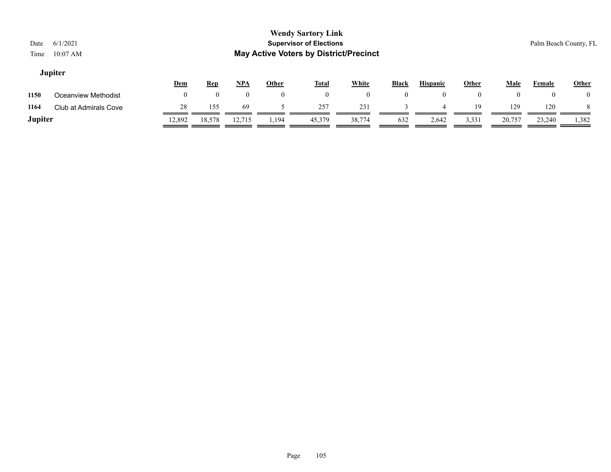## **Jupiter**

|         |                       | <u>Dem</u> | <u>Rep</u> | <b>NPA</b> | Other | <b>Total</b> | <b>White</b> | <b>Black</b> | <b>Hispanic</b> | Other | Male   | Female | <b>Other</b> |
|---------|-----------------------|------------|------------|------------|-------|--------------|--------------|--------------|-----------------|-------|--------|--------|--------------|
| 1150    | Oceanview Methodist   |            |            |            |       |              |              |              |                 |       |        |        |              |
| 1164    | Club at Admirals Cove | 28         | 155        | 69         |       | 257          | 231          |              |                 | 19    | 129    | 120    |              |
| Jupiter |                       | 12,892     | 18,578     | 12,715     | .,194 | 45,379       | 38,774       | 632          | 2,642           | 3,331 | 20,757 | 23,240 | 1,382        |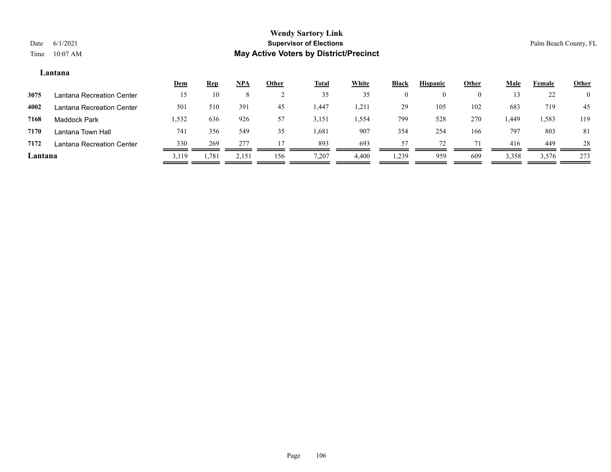#### **Lantana**

|         |                           | <u>Dem</u> | <b>Rep</b> | $NPA$   | Other | <b>Total</b> | <b>White</b> | <b>Black</b> | <b>Hispanic</b> | Other    | <u>Male</u> | Female | <b>Other</b>   |
|---------|---------------------------|------------|------------|---------|-------|--------------|--------------|--------------|-----------------|----------|-------------|--------|----------------|
| 3075    | Lantana Recreation Center | 15         | 10         | $\circ$ |       | 35           | 35           |              |                 | $\theta$ | 13          | 22     | $\overline{0}$ |
| 4002    | Lantana Recreation Center | 501        | 510        | 391     | 45    | 1,447        | 1,21         | 29           | 105             | 102      | 683         | 719    | -45            |
| 7168    | Maddock Park              | 1,532      | 636        | 926     | 57    | 3,151        | 1,554        | 799          | 528             | 270      | . 449.      | 1,583  | 119            |
| 7170    | Lantana Town Hall         | 741        | 356        | 549     | 35    | 1,681        | 907          | 354          | 254             | 166      | 797         | 803    | 81             |
| 7172    | Lantana Recreation Center | 330        | 269        | 277     |       | 893          | 693          | 57           | 72              |          | 416         | 449    | 28             |
| Lantana |                           | 3.119      | 1,781      | 2,151   | 156   | 7,207        | 4,400        | . 239        | 959             | 609      | 3,358       | 3,576  | 273            |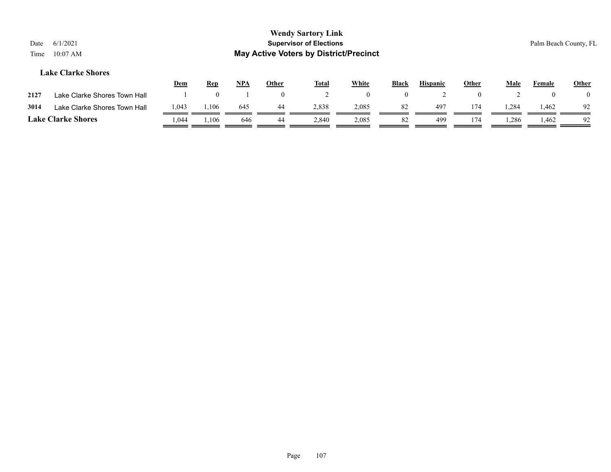## **Wendy Sartory Link** Date 6/1/2021 **Supervisor of Elections** Palm Beach County, FL Time 10:07 AM **May Active Voters by District/Precinct Dem Rep NPA Other Total White Black Hispanic Other Male Female Other Lake Clarke Shores**

| 2127                      | Lake Clarke Shores Town Hall |       |       |     |    |       |       |     |     |      |       |    |
|---------------------------|------------------------------|-------|-------|-----|----|-------|-------|-----|-----|------|-------|----|
| 3014                      | Lake Clarke Shores Town Hall | 1,043 | ,106  | 645 |    | 2,838 | 2,085 | 497 |     | .284 | . 462 | 92 |
| <b>Lake Clarke Shores</b> |                              | .044  | l,106 | 646 | 44 | 2.840 | 2,085 | 499 | 174 | .286 | l.462 | 92 |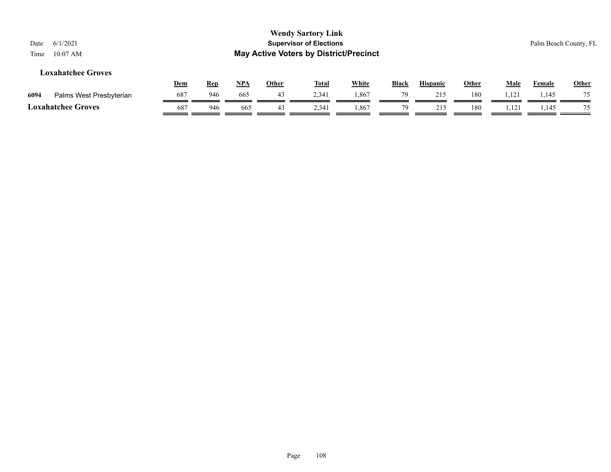| 6/1/2021<br>Date<br>$10:07$ AM<br>Time |            |            |       |              | <b>Wendy Sartory Link</b><br><b>Supervisor of Elections</b><br><b>May Active Voters by District/Precinct</b> |              |       |                 |              |             |               | Palm Beach County, FL |
|----------------------------------------|------------|------------|-------|--------------|--------------------------------------------------------------------------------------------------------------|--------------|-------|-----------------|--------------|-------------|---------------|-----------------------|
| <b>Loxahatchee Groves</b>              | <u>Dem</u> | <u>Rep</u> | $NPA$ | <b>Other</b> | <b>Total</b>                                                                                                 | <b>White</b> | Black | <b>Hispanic</b> | <u>Other</u> | <b>Male</b> | <b>Female</b> | <b>Other</b>          |
| 6094<br>Palms West Presbyterian        | 687        | 946        | 665   | 43           | 2,341                                                                                                        | 1,867        | 79    | 215             | 180          | 1,121       | 1,145         | 75                    |
| <b>Loxahatchee Groves</b>              | 687        | 946        | 665   | 43           | 2,341                                                                                                        | 1,867        | 79    | 215             | 180          | 1,121       | 1,145         | 75                    |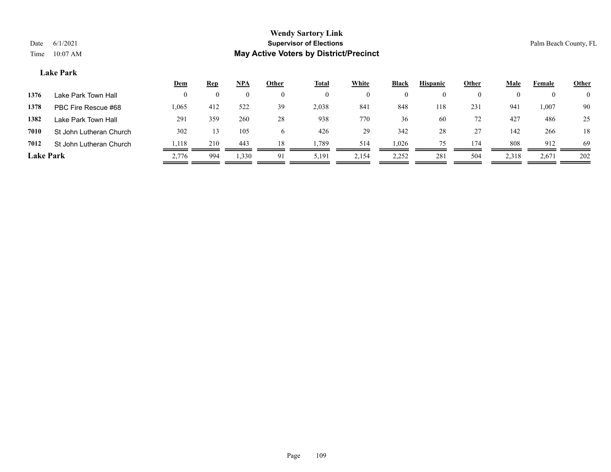#### **Lake Park**

|                  |                         | Dem   | <b>Rep</b> | <u>NPA</u> | Other    | <b>Total</b> | White    | <b>Black</b> | <b>Hispanic</b> | Other | Male  | Female   | <b>Other</b>   |
|------------------|-------------------------|-------|------------|------------|----------|--------------|----------|--------------|-----------------|-------|-------|----------|----------------|
| 1376             | Lake Park Town Hall     | 0     | 0          |            | $\theta$ |              | $\theta$ |              |                 |       |       | $\theta$ | $\overline{0}$ |
| 1378             | PBC Fire Rescue #68     | 1,065 | 412        | 522        | 39       | 2,038        | 841      | 848          | 118             | 231   | 941   | 1,007    | 90             |
| 1382             | Lake Park Town Hall     | 291   | 359        | 260        | 28       | 938          | 770      | 36           | 60              | 72    | 427   | 486      | 25             |
| 7010             | St John Lutheran Church | 302   | 13.        | 105        | 6        | 426          | 29       | 342          | 28              | 27    | 142   | 266      | 18             |
| 7012             | St John Lutheran Church | 1,118 | 210        | 443        | 18       | . 789        | 514      | 1,026        | 75.             | 174   | 808   | 912      | -69            |
| <b>Lake Park</b> |                         | 2,776 | 994        | 1,330      | 91       | 5,191        | 2,154    | 2,252        | 281             | 504   | 2,318 | 2,671    | 202            |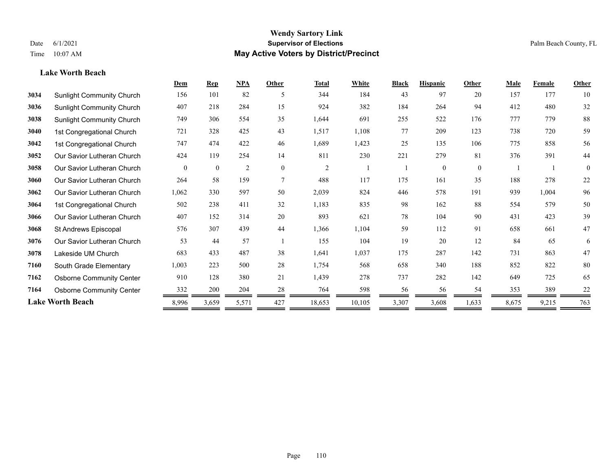## **Lake Worth Beach**

|      |                                  | Dem      | <b>Rep</b>   | NPA            | Other    | <b>Total</b>   | White  | <b>Black</b> | <b>Hispanic</b> | Other    | Male  | Female | <b>Other</b> |
|------|----------------------------------|----------|--------------|----------------|----------|----------------|--------|--------------|-----------------|----------|-------|--------|--------------|
| 3034 | <b>Sunlight Community Church</b> | 156      | 101          | 82             | -5       | 344            | 184    | 43           | 97              | 20       | 157   | 177    | 10           |
| 3036 | <b>Sunlight Community Church</b> | 407      | 218          | 284            | 15       | 924            | 382    | 184          | 264             | 94       | 412   | 480    | 32           |
| 3038 | <b>Sunlight Community Church</b> | 749      | 306          | 554            | 35       | 1,644          | 691    | 255          | 522             | 176      | 777   | 779    | 88           |
| 3040 | 1st Congregational Church        | 721      | 328          | 425            | 43       | 1,517          | 1,108  | 77           | 209             | 123      | 738   | 720    | 59           |
| 3042 | 1st Congregational Church        | 747      | 474          | 422            | 46       | 1,689          | 1,423  | 25           | 135             | 106      | 775   | 858    | 56           |
| 3052 | Our Savior Lutheran Church       | 424      | 119          | 254            | 14       | 811            | 230    | 221          | 279             | 81       | 376   | 391    | 44           |
| 3058 | Our Savior Lutheran Church       | $\theta$ | $\mathbf{0}$ | $\overline{c}$ | $\theta$ | $\overline{2}$ |        |              | $\theta$        | $\theta$ |       |        | $\theta$     |
| 3060 | Our Savior Lutheran Church       | 264      | 58           | 159            | 7        | 488            | 117    | 175          | 161             | 35       | 188   | 278    | 22           |
| 3062 | Our Savior Lutheran Church       | 1,062    | 330          | 597            | 50       | 2,039          | 824    | 446          | 578             | 191      | 939   | 1,004  | 96           |
| 3064 | 1st Congregational Church        | 502      | 238          | 411            | 32       | 1,183          | 835    | 98           | 162             | 88       | 554   | 579    | 50           |
| 3066 | Our Savior Lutheran Church       | 407      | 152          | 314            | 20       | 893            | 621    | 78           | 104             | 90       | 431   | 423    | 39           |
| 3068 | St Andrews Episcopal             | 576      | 307          | 439            | 44       | 1,366          | 1,104  | 59           | 112             | 91       | 658   | 661    | 47           |
| 3076 | Our Savior Lutheran Church       | 53       | 44           | 57             |          | 155            | 104    | 19           | 20              | 12       | 84    | 65     | 6            |
| 3078 | Lakeside UM Church               | 683      | 433          | 487            | 38       | 1,641          | 1,037  | 175          | 287             | 142      | 731   | 863    | 47           |
| 7160 | South Grade Elementary           | 1,003    | 223          | 500            | 28       | 1,754          | 568    | 658          | 340             | 188      | 852   | 822    | 80           |
| 7162 | <b>Osborne Community Center</b>  | 910      | 128          | 380            | 21       | 1,439          | 278    | 737          | 282             | 142      | 649   | 725    | 65           |
| 7164 | <b>Osborne Community Center</b>  | 332      | 200          | 204            | 28       | 764            | 598    | 56           | 56              | 54       | 353   | 389    | 22           |
|      | <b>Lake Worth Beach</b>          | 8,996    | 3,659        | 5,571          | 427      | 18,653         | 10,105 | 3,307        | 3,608           | 1,633    | 8,675 | 9,215  | 763          |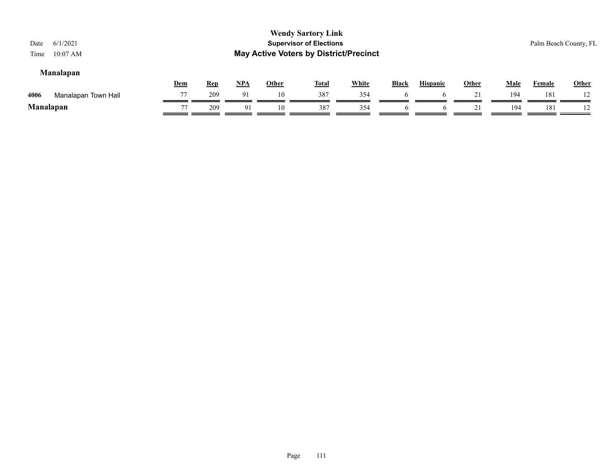| 6/1/2021<br>Date                                                                                                                                                                                                                                                     |    |     |    |    | <b>Wendy Sartory Link</b><br><b>Supervisor of Elections</b> |     |   |   |  |     |     | Palm Beach County, FL |
|----------------------------------------------------------------------------------------------------------------------------------------------------------------------------------------------------------------------------------------------------------------------|----|-----|----|----|-------------------------------------------------------------|-----|---|---|--|-----|-----|-----------------------|
| <b>May Active Voters by District/Precinct</b><br>$10:07$ AM<br>Time<br><b>Manalapan</b><br><b>White</b><br><u>NPA</u><br><b>Male</b><br><b>Black</b><br><b>Hispanic</b><br><u>Other</u><br><b>Other</b><br><u>Dem</u><br><u>Total</u><br><u>Rep</u><br><b>Female</b> |    |     |    |    |                                                             |     |   |   |  |     |     |                       |
| Manalapan Town Hall<br>4006                                                                                                                                                                                                                                          | 77 | 209 | 91 | 10 | 387                                                         | 354 | h |   |  | 194 | 181 | 12                    |
| <b>Manalapan</b>                                                                                                                                                                                                                                                     | 77 | 209 | 91 | 10 | 387                                                         | 354 |   | O |  | 194 | 181 | 12                    |

=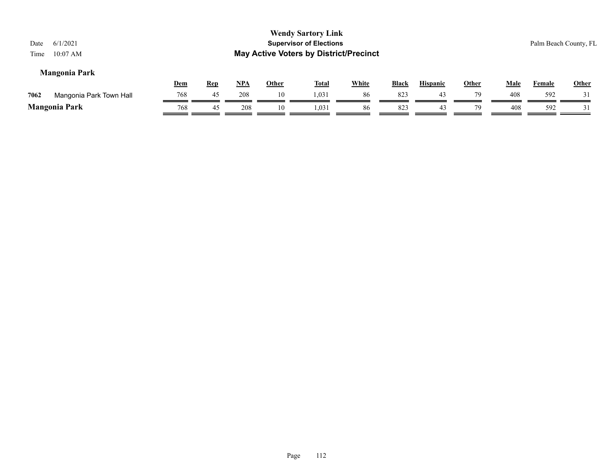| 6/1/2021<br>Date<br>$10:07$ AM<br>Time |            |            |       |              | <b>Wendy Sartory Link</b><br><b>Supervisor of Elections</b><br><b>May Active Voters by District/Precinct</b> |              |              |                 |              |             |               | Palm Beach County, FL |
|----------------------------------------|------------|------------|-------|--------------|--------------------------------------------------------------------------------------------------------------|--------------|--------------|-----------------|--------------|-------------|---------------|-----------------------|
| <b>Mangonia Park</b>                   |            |            |       |              |                                                                                                              |              |              |                 |              |             |               |                       |
|                                        | <u>Dem</u> | <u>Rep</u> | $NPA$ | <b>Other</b> | <u>Total</u>                                                                                                 | <u>White</u> | <b>Black</b> | <b>Hispanic</b> | <u>Other</u> | <u>Male</u> | <b>Female</b> | <u>Other</u>          |
| Mangonia Park Town Hall<br>7062        | 768        | 45         | 208   | 10           | 1,031                                                                                                        | 86           | 823          | 43              | 79           | 408         | 592           | 31                    |
| <b>Mangonia Park</b>                   | 768        | 45         | 208   | 10           | 1,031                                                                                                        | 86           | 823          | 43              | 79           | 408         | 592           | 31                    |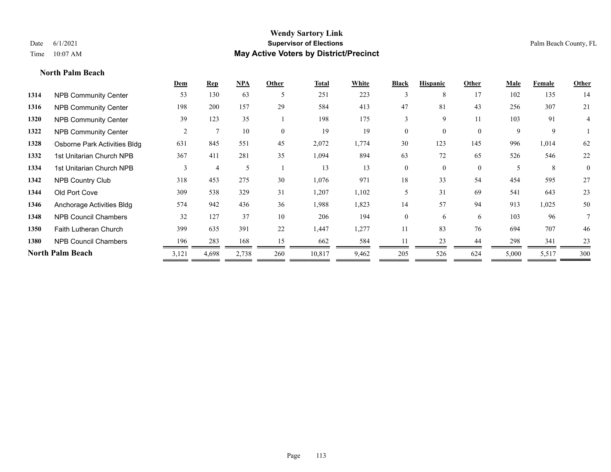**North Palm Beach**

# **Wendy Sartory Link** Date 6/1/2021 **Supervisor of Elections** Palm Beach County, FL Time 10:07 AM **May Active Voters by District/Precinct**

|      |                              | Dem   | $\mathbf{Rep}$ | <b>NPA</b> | Other    | <b>Total</b> | White | <b>Black</b> | <b>Hispanic</b> | Other        | <b>Male</b> | Female | Other    |
|------|------------------------------|-------|----------------|------------|----------|--------------|-------|--------------|-----------------|--------------|-------------|--------|----------|
| 1314 | <b>NPB Community Center</b>  | 53    | 130            | 63         | 5        | 251          | 223   | 3            | 8               | 17           | 102         | 135    | 14       |
| 1316 | <b>NPB Community Center</b>  | 198   | 200            | 157        | 29       | 584          | 413   | 47           | 81              | 43           | 256         | 307    | 21       |
| 1320 | <b>NPB Community Center</b>  | 39    | 123            | 35         |          | 198          | 175   | 3            | 9               | 11           | 103         | 91     | 4        |
| 1322 | <b>NPB Community Center</b>  | 2     | $\mathcal{I}$  | 10         | $\Omega$ | 19           | 19    | $\mathbf{0}$ | $\overline{0}$  | $\mathbf{0}$ | 9           | 9      |          |
| 1328 | Osborne Park Activities Bldg | 631   | 845            | 551        | 45       | 2,072        | 1,774 | 30           | 123             | 145          | 996         | 1,014  | 62       |
| 1332 | 1st Unitarian Church NPB     | 367   | 411            | 281        | 35       | 1,094        | 894   | 63           | 72              | 65           | 526         | 546    | 22       |
| 1334 | 1st Unitarian Church NPB     | 3     | 4              | 5          |          | 13           | 13    | $\theta$     | $\theta$        | $\theta$     | 5           | 8      | $\theta$ |
| 1342 | <b>NPB Country Club</b>      | 318   | 453            | 275        | 30       | 1,076        | 971   | 18           | 33              | 54           | 454         | 595    | 27       |
| 1344 | Old Port Cove                | 309   | 538            | 329        | 31       | 1,207        | 1,102 | 5            | 31              | 69           | 541         | 643    | 23       |
| 1346 | Anchorage Activities Bldg    | 574   | 942            | 436        | 36       | 1,988        | 1,823 | 14           | 57              | 94           | 913         | 1,025  | 50       |
| 1348 | <b>NPB Council Chambers</b>  | 32    | 127            | 37         | 10       | 206          | 194   | $\theta$     | 6               | 6            | 103         | 96     | 7        |
| 1350 | Faith Lutheran Church        | 399   | 635            | 391        | 22       | 1,447        | 1,277 | 11           | 83              | 76           | 694         | 707    | 46       |
| 1380 | <b>NPB Council Chambers</b>  | 196   | 283            | 168        | 15       | 662          | 584   | 11           | 23              | 44           | 298         | 341    | 23       |
|      | North Palm Beach             | 3,121 | 4,698          | 2,738      | 260      | 10,817       | 9,462 | 205          | 526             | 624          | 5,000       | 5,517  | 300      |
|      |                              |       |                |            |          |              |       |              |                 |              |             |        |          |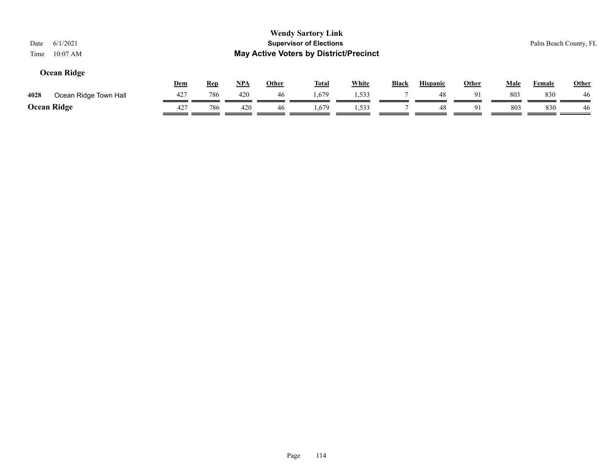| 6/1/2021<br>Date<br>$10:07$ AM<br>Time |     |            |       |              | <b>Wendy Sartory Link</b><br><b>Supervisor of Elections</b><br><b>May Active Voters by District/Precinct</b> |              |              |                 |       |             |               | Palm Beach County, FL |
|----------------------------------------|-----|------------|-------|--------------|--------------------------------------------------------------------------------------------------------------|--------------|--------------|-----------------|-------|-------------|---------------|-----------------------|
| Ocean Ridge                            | Dem | <b>Rep</b> | $NPA$ | <b>Other</b> | <b>Total</b>                                                                                                 | <b>White</b> | <b>Black</b> | <b>Hispanic</b> | Other | <b>Male</b> | <b>Female</b> | <b>Other</b>          |
| Ocean Ridge Town Hall<br>4028          | 427 | 786        | 420   | 46           | 1,679                                                                                                        | 1,533        |              | 48              | 91    | 803         | 830           | 46                    |
| <b>Ocean Ridge</b>                     | 427 | 786        | 420   | 46           | 1.679                                                                                                        | 1,533        |              | 48              | 91    | 803         | 830           | 46                    |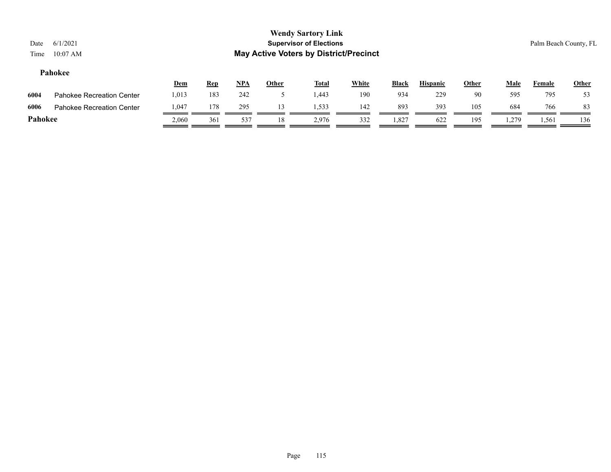#### **Pahokee**

|         |                           | <u>Dem</u> | <b>Rep</b> | <u>NPA</u> | Other | <b>Total</b> | White | <b>Black</b> | <b>Hispanic</b> | Other | Male  | Female | <b>Other</b> |
|---------|---------------------------|------------|------------|------------|-------|--------------|-------|--------------|-----------------|-------|-------|--------|--------------|
| 6004    | Pahokee Recreation Center | 013. ا     | 183        | 242        |       | 1.443        | 190   | 934          | 229             | 90    | 595   | 795    |              |
| 6006    | Pahokee Recreation Center | 0.047      | 178        | 295        |       | 1,533        | 142   | 893          | 393             | 105   | 684   | 766    | 83           |
| Pahokee |                           | 2,060      | 361        | 537        |       | 2.976        | 332   | 1,827        | 622             | 195   | . 279 | 1,561  | 136          |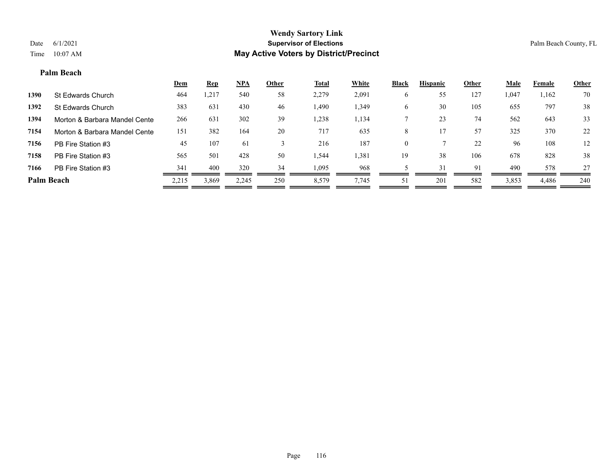#### **Palm Beach**

|                   |                               | <b>Dem</b> | <b>Rep</b> | NPA   | Other | <b>Total</b> | White | <b>Black</b> | <b>Hispanic</b> | Other | <b>Male</b> | Female | <b>Other</b> |
|-------------------|-------------------------------|------------|------------|-------|-------|--------------|-------|--------------|-----------------|-------|-------------|--------|--------------|
| 1390              | St Edwards Church             | 464        | ,217       | 540   | 58    | 2,279        | 2,091 | O            | 55              | 127   | 1,047       | 1,162  | 70           |
| 1392              | St Edwards Church             | 383        | 631        | 430   | 46    | 1,490        | 1,349 | O            | 30              | 105   | 655         | 797    | 38           |
| 1394              | Morton & Barbara Mandel Cente | 266        | 631        | 302   | 39    | 1,238        | 1,134 |              | 23              | 74    | 562         | 643    | 33           |
| 7154              | Morton & Barbara Mandel Cente | 151        | 382        | 164   | 20    | 717          | 635   | 8            |                 | 57    | 325         | 370    | 22           |
| 7156              | PB Fire Station #3            | 45         | 107        | 61    |       | 216          | 187   | $\theta$     |                 | 22    | 96          | 108    | 12           |
| 7158              | PB Fire Station #3            | 565        | 501        | 428   | 50    | 1,544        | 1,381 | 19           | 38              | 106   | 678         | 828    | 38           |
| 7166              | PB Fire Station #3            | 341        | 400        | 320   | 34    | 1,095        | 968   |              | 31              | 91    | 490         | 578    | 27           |
| <b>Palm Beach</b> |                               | 2,215      | 3,869      | 2,245 | 250   | 8,579        | 7,745 | 51           | 201             | 582   | 3,853       | 4,486  | 240          |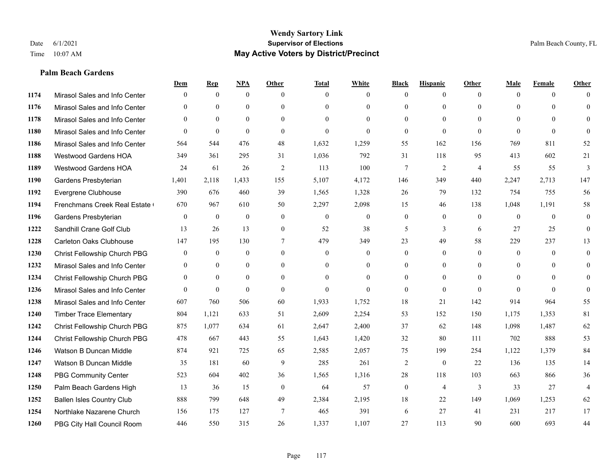### **Palm Beach Gardens**

|      |                                  | Dem              | <b>Rep</b>       | NPA              | <b>Other</b>   | <b>Total</b>     | <b>White</b>     | <b>Black</b>     | <b>Hispanic</b> | <b>Other</b>   | <b>Male</b>  | <b>Female</b> | <b>Other</b>   |
|------|----------------------------------|------------------|------------------|------------------|----------------|------------------|------------------|------------------|-----------------|----------------|--------------|---------------|----------------|
| 1174 | Mirasol Sales and Info Center    | $\theta$         | $\mathbf{0}$     | $\mathbf{0}$     | $\theta$       | $\theta$         | $\overline{0}$   | $\Omega$         | $\mathbf{0}$    | $\theta$       | $\theta$     | $\theta$      | $\Omega$       |
| 1176 | Mirasol Sales and Info Center    | $\Omega$         | $\theta$         | $\theta$         | $\Omega$       | $\Omega$         | $\theta$         | $\Omega$         | $\theta$        | $\Omega$       | $\theta$     | $\Omega$      | $\theta$       |
| 1178 | Mirasol Sales and Info Center    | $\theta$         | $\mathbf{0}$     | $\theta$         | $\theta$       | $\Omega$         | $\Omega$         | $\theta$         | $\theta$        | $\Omega$       | $\theta$     | $\Omega$      | $\Omega$       |
| 1180 | Mirasol Sales and Info Center    | $\theta$         | $\theta$         | $\theta$         | $\theta$       | $\mathbf{0}$     | $\Omega$         | $\overline{0}$   | $\theta$        | $\theta$       | $\theta$     | $\theta$      | $\Omega$       |
| 1186 | Mirasol Sales and Info Center    | 564              | 544              | 476              | 48             | 1,632            | 1,259            | 55               | 162             | 156            | 769          | 811           | 52             |
| 1188 | <b>Westwood Gardens HOA</b>      | 349              | 361              | 295              | 31             | 1,036            | 792              | 31               | 118             | 95             | 413          | 602           | 21             |
| 1189 | Westwood Gardens HOA             | 24               | 61               | 26               | 2              | 113              | 100              | $\overline{7}$   | $\overline{2}$  | $\overline{4}$ | 55           | 55            | 3              |
| 1190 | Gardens Presbyterian             | 1,401            | 2,118            | 1,433            | 155            | 5,107            | 4,172            | 146              | 349             | 440            | 2,247        | 2,713         | 147            |
| 1192 | Evergrene Clubhouse              | 390              | 676              | 460              | 39             | 1,565            | 1,328            | 26               | 79              | 132            | 754          | 755           | 56             |
| 1194 | Frenchmans Creek Real Estate     | 670              | 967              | 610              | 50             | 2,297            | 2,098            | 15               | 46              | 138            | 1,048        | 1,191         | 58             |
| 1196 | Gardens Presbyterian             | $\theta$         | $\mathbf{0}$     | $\theta$         | $\theta$       | $\theta$         | $\overline{0}$   | $\overline{0}$   | $\theta$        | $\theta$       | $\theta$     | $\Omega$      | $\theta$       |
| 1222 | Sandhill Crane Golf Club         | 13               | 26               | 13               | $\overline{0}$ | 52               | 38               | 5                | 3               | 6              | 27           | 25            | $\mathbf{0}$   |
| 1228 | Carleton Oaks Clubhouse          | 147              | 195              | 130              | $\tau$         | 479              | 349              | 23               | 49              | 58             | 229          | 237           | 13             |
| 1230 | Christ Fellowship Church PBG     | $\boldsymbol{0}$ | $\boldsymbol{0}$ | $\boldsymbol{0}$ | $\mathbf{0}$   | $\boldsymbol{0}$ | $\boldsymbol{0}$ | $\boldsymbol{0}$ | $\mathbf{0}$    | $\mathbf{0}$   | $\mathbf{0}$ | $\mathbf{0}$  | $\mathbf{0}$   |
| 1232 | Mirasol Sales and Info Center    | $\theta$         | $\mathbf{0}$     | $\mathbf{0}$     | $\theta$       | $\theta$         | $\overline{0}$   | $\overline{0}$   | $\mathbf{0}$    | $\Omega$       | $\theta$     | $\theta$      | $\mathbf{0}$   |
| 1234 | Christ Fellowship Church PBG     | $\theta$         | $\theta$         | $\theta$         | $\Omega$       | $\theta$         | $\theta$         | $\Omega$         | $\theta$        | $\Omega$       | $\theta$     | $\Omega$      | $\theta$       |
| 1236 | Mirasol Sales and Info Center    | $\theta$         | $\mathbf{0}$     | $\mathbf{0}$     | $\theta$       | $\mathbf{0}$     | $\Omega$         | $\overline{0}$   | $\mathbf{0}$    | $\theta$       | $\theta$     | $\theta$      | $\theta$       |
| 1238 | Mirasol Sales and Info Center    | 607              | 760              | 506              | 60             | 1,933            | 1,752            | 18               | 21              | 142            | 914          | 964           | 55             |
| 1240 | <b>Timber Trace Elementary</b>   | 804              | 1,121            | 633              | 51             | 2,609            | 2,254            | 53               | 152             | 150            | 1,175        | 1,353         | 81             |
| 1242 | Christ Fellowship Church PBG     | 875              | 1,077            | 634              | 61             | 2,647            | 2,400            | 37               | 62              | 148            | 1,098        | 1,487         | 62             |
| 1244 | Christ Fellowship Church PBG     | 478              | 667              | 443              | 55             | 1,643            | 1,420            | 32               | 80              | 111            | 702          | 888           | 53             |
| 1246 | Watson B Duncan Middle           | 874              | 921              | 725              | 65             | 2,585            | 2,057            | 75               | 199             | 254            | 1,122        | 1,379         | 84             |
| 1247 | Watson B Duncan Middle           | 35               | 181              | 60               | 9              | 285              | 261              | $\overline{2}$   | $\mathbf{0}$    | 22             | 136          | 135           | 14             |
| 1248 | <b>PBG Community Center</b>      | 523              | 604              | 402              | 36             | 1,565            | 1,316            | 28               | 118             | 103            | 663          | 866           | 36             |
| 1250 | Palm Beach Gardens High          | 13               | 36               | 15               | $\theta$       | 64               | 57               | $\overline{0}$   | $\overline{4}$  | 3              | 33           | 27            | $\overline{4}$ |
| 1252 | <b>Ballen Isles Country Club</b> | 888              | 799              | 648              | 49             | 2,384            | 2,195            | 18               | 22              | 149            | 1,069        | 1,253         | 62             |
| 1254 | Northlake Nazarene Church        | 156              | 175              | 127              | $\overline{7}$ | 465              | 391              | 6                | 27              | 41             | 231          | 217           | 17             |
| 1260 | PBG City Hall Council Room       | 446              | 550              | 315              | 26             | 1,337            | 1,107            | 27               | 113             | 90             | 600          | 693           | 44             |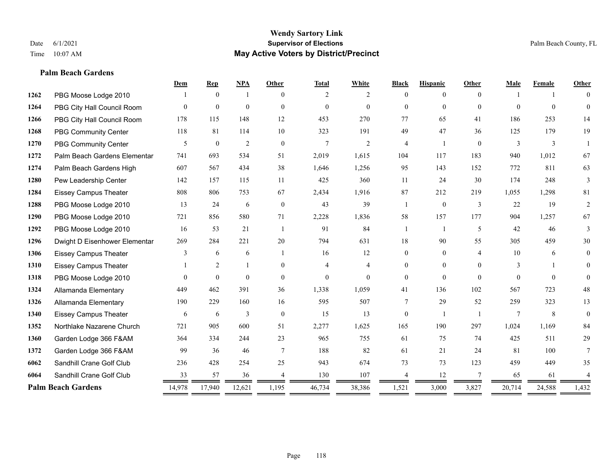**Palm Beach Gardens**

### **Wendy Sartory Link** Date 6/1/2021 **Supervisor of Elections** Palm Beach County, FL Time 10:07 AM **May Active Voters by District/Precinct**

# **Dem Rep NPA Other Total White Black Hispanic Other Male Female Other** PBG Moose Lodge 2010 1 0 1 0 2 2 0 0 0 1 1 0 PBG City Hall Council Room 0 0 0 0 0 0 0 0 0 0 0 0 PBG City Hall Council Room 178 115 148 12 453 270 77 65 41 186 253 14 PBG Community Center 118 81 114 10 323 191 49 47 36 125 179 19 PBG Community Center  $\begin{array}{ccccccccccccc}\n & & & & 5 & & 0 & & 2 & & 0 & & 7 & & 2 & & 4 & & 1 & & 0 & & 3 & & 3 & & 1\n\end{array}$  Palm Beach Gardens Elementary 741 693 534 51 2,019 1,615 104 117 183 940 1,012 67 Palm Beach Gardens High 607 567 434 38 1,646 1,256 95 143 152 772 811 63 Pew Leadership Center 142 157 115 11 425 360 11 24 30 174 248 3 Eissey Campus Theater 808 806 753 67 2,434 1,916 87 212 219 1,055 1,298 81 PBG Moose Lodge 2010 13 24 6 0 43 39 1 0 3 22 19 2 PBG Moose Lodge 2010 721 856 580 71 2,228 1,836 58 157 177 904 1,257 67 PBG Moose Lodge 2010 16 53 21 1 91 84 1 1 5 42 46 3 Dwight D Eisenhower Elementar 269 284 221 20 794 631 18 90 55 305 459 30 Eissey Campus Theater **3** 6 6 1 16 12 0 0 4 10 6 0 Eissey Campus Theater 1 2 1 0 4 4 0 0 0 3 1 0 PBG Moose Lodge 2010 0 0 0 0 0 0 0 0 0 0 0 0 Allamanda Elementary 449 462 391 36 1,338 1,059 41 136 102 567 723 48 Allamanda Elementary 190 229 160 16 595 507 7 29 52 259 323 13 Eissey Campus Theater 6 6 6 3 0 15 13 0 1 1 7 8 0 Northlake Nazarene Church 721 905 600 51 2,277 1,625 165 190 297 1,024 1,169 84 Garden Lodge 366 F&AM 364 334 244 23 965 755 61 75 74 425 511 29 Garden Lodge 366 F&AM 99 36 46 7 188 82 61 21 24 81 100 7 Sandhill Crane Golf Club 236 428 254 25 943 674 73 73 123 459 449 35 Sandhill Crane Golf Club 33 57 36 4 130 107 4 12 7 65 61 4 **Palm Beach Gardens** 14,978 17,940 12,621 1,195 46,734 38,386 1,521 3,000 3,827 20,714 24,588 1,432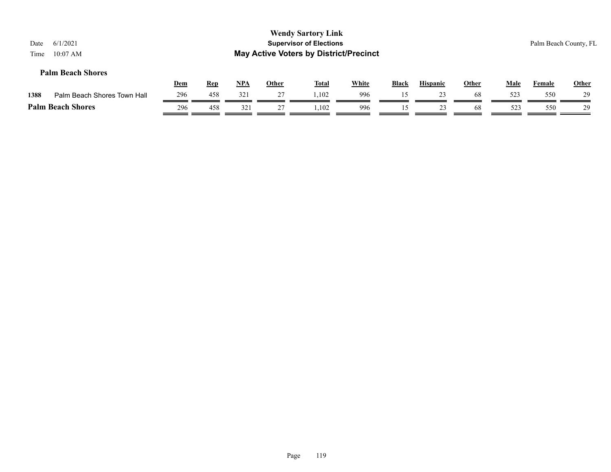| Date<br>Time | 6/1/2021<br>$10:07$ AM      |            |            |       |              | <b>Wendy Sartory Link</b><br><b>Supervisor of Elections</b><br><b>May Active Voters by District/Precinct</b> |       |              |                 |              |      |        | Palm Beach County, FL |
|--------------|-----------------------------|------------|------------|-------|--------------|--------------------------------------------------------------------------------------------------------------|-------|--------------|-----------------|--------------|------|--------|-----------------------|
|              | <b>Palm Beach Shores</b>    | <u>Dem</u> | <b>Rep</b> | $NPA$ | <b>Other</b> | <u>Total</u>                                                                                                 | White | <b>Black</b> | <b>Hispanic</b> | <b>Other</b> | Male | Female | <b>Other</b>          |
| 1388         | Palm Beach Shores Town Hall | 296        | 458        | 321   | 27           | 1.102                                                                                                        | 996   | 15           | 23              | 68           | 523  | 550    | 29                    |
|              | <b>Palm Beach Shores</b>    | 296        | 458        | 321   | 27           | 1.102                                                                                                        | 996   | 15           | 23              | 68           | 523  | 550    | 29                    |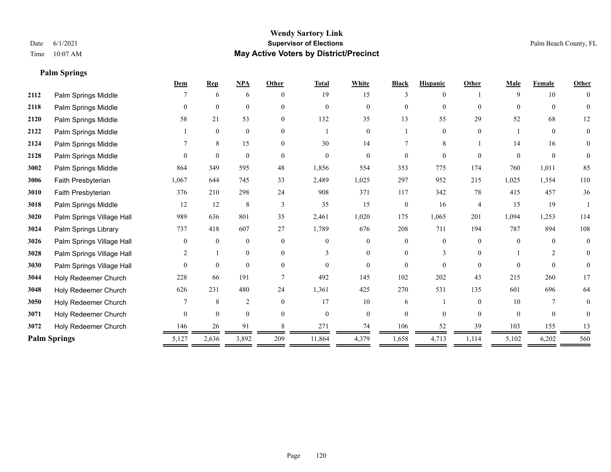# **Palm Springs**

|      |                           | Dem      | <b>Rep</b>   | NPA            | Other          | <b>Total</b> | White          | <b>Black</b>   | <b>Hispanic</b> | Other          | Male     | Female         | Other    |
|------|---------------------------|----------|--------------|----------------|----------------|--------------|----------------|----------------|-----------------|----------------|----------|----------------|----------|
| 2112 | Palm Springs Middle       |          | 6            | 6              | $\theta$       | 19           | 15             |                |                 |                | 9        | 10             |          |
| 2118 | Palm Springs Middle       | 0        | $\theta$     | $\theta$       | $\Omega$       | $\Omega$     | $\Omega$       | 0              | $\Omega$        | $\Omega$       | $\Omega$ | $\theta$       | 0        |
| 2120 | Palm Springs Middle       | 58       | 21           | 53             | $\overline{0}$ | 132          | 35             | 13             | 55              | 29             | 52       | 68             | 12       |
| 2122 | Palm Springs Middle       |          | $\theta$     | $\mathbf{0}$   | $\Omega$       |              | $\Omega$       |                | $\Omega$        | $\Omega$       |          | $\theta$       | $\theta$ |
| 2124 | Palm Springs Middle       |          | 8            | 15             | $\Omega$       | 30           | 14             |                | 8               |                | 14       | 16             | 0        |
| 2128 | Palm Springs Middle       | $\Omega$ | $\mathbf{0}$ | $\mathbf{0}$   | $\Omega$       | $\theta$     | $\Omega$       | $\Omega$       | $\theta$        | $\Omega$       | $\Omega$ | $\theta$       | $\theta$ |
| 3002 | Palm Springs Middle       | 864      | 349          | 595            | 48             | 1,856        | 554            | 353            | 775             | 174            | 760      | 1,011          | 85       |
| 3006 | Faith Presbyterian        | 1,067    | 644          | 745            | 33             | 2,489        | 1,025          | 297            | 952             | 215            | 1,025    | 1,354          | 110      |
| 3010 | Faith Presbyterian        | 376      | 210          | 298            | 24             | 908          | 371            | 117            | 342             | 78             | 415      | 457            | 36       |
| 3018 | Palm Springs Middle       | 12       | 12           | $\,$ 8 $\,$    | 3              | 35           | 15             | $\overline{0}$ | 16              | $\overline{4}$ | 15       | 19             |          |
| 3020 | Palm Springs Village Hall | 989      | 636          | 801            | 35             | 2,461        | 1,020          | 175            | 1,065           | 201            | 1,094    | 1,253          | 114      |
| 3024 | Palm Springs Library      | 737      | 418          | 607            | 27             | 1,789        | 676            | 208            | 711             | 194            | 787      | 894            | 108      |
| 3026 | Palm Springs Village Hall | $\theta$ | $\theta$     | $\mathbf{0}$   | $\theta$       | $\theta$     | $\overline{0}$ | $\theta$       | $\Omega$        | $\theta$       | $\theta$ | $\theta$       | $\theta$ |
| 3028 | Palm Springs Village Hall |          |              | $\mathbf{0}$   | $\Omega$       |              | $\overline{0}$ |                | 3               |                |          | $\mathfrak{D}$ | 0        |
| 3030 | Palm Springs Village Hall | $\Omega$ | $\mathbf{0}$ | $\mathbf{0}$   | $\Omega$       | $\Omega$     | $\theta$       | $\Omega$       | $\Omega$        | $\Omega$       | $\Omega$ | $\Omega$       | $\Omega$ |
| 3044 | Holy Redeemer Church      | 228      | 66           | 191            |                | 492          | 145            | 102            | 202             | 43             | 215      | 260            | 17       |
| 3048 | Holy Redeemer Church      | 626      | 231          | 480            | 24             | 1,361        | 425            | 270            | 531             | 135            | 601      | 696            | 64       |
| 3050 | Holy Redeemer Church      |          | $\,8\,$      | $\overline{c}$ | $\theta$       | 17           | 10             | 6              |                 | $\theta$       | 10       |                | 0        |
| 3071 | Holy Redeemer Church      | $\theta$ | $\theta$     | $\theta$       | $\theta$       | $\Omega$     | $\theta$       | $\Omega$       | $\theta$        | $\Omega$       | $\theta$ | $\theta$       | 0        |
| 3072 | Holy Redeemer Church      | 146      | 26           | 91             |                | 271          | 74             | 106            | 52              | 39             | 103      | 155            | 13       |
|      | <b>Palm Springs</b>       | 5,127    | 2,636        | 3,892          | 209            | 11,864       | 4,379          | 1,658          | 4,713           | 1,114          | 5,102    | 6,202          | 560      |
|      |                           |          |              |                |                |              |                |                |                 |                |          |                |          |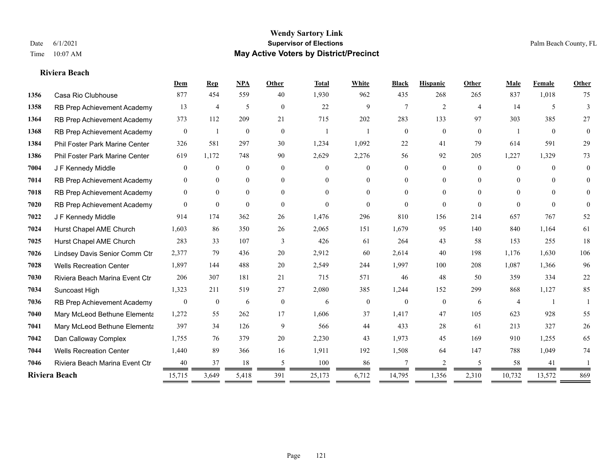#### **Riviera Beach**

|      |                                | Dem              | Rep              | <b>NPA</b>   | <b>Other</b>   | <b>Total</b>   | White            | <b>Black</b>   | <b>Hispanic</b> | Other          | Male           | Female       | Other          |
|------|--------------------------------|------------------|------------------|--------------|----------------|----------------|------------------|----------------|-----------------|----------------|----------------|--------------|----------------|
| 1356 | Casa Rio Clubhouse             | 877              | 454              | 559          | 40             | 1,930          | 962              | 435            | 268             | 265            | 837            | 1,018        | 75             |
| 1358 | RB Prep Achievement Academy    | 13               | 4                | 5            | $\overline{0}$ | 22             | 9                | $\tau$         | 2               | $\overline{4}$ | 14             | 5            | 3              |
| 1364 | RB Prep Achievement Academy    | 373              | 112              | 209          | 21             | 715            | 202              | 283            | 133             | 97             | 303            | 385          | 27             |
| 1368 | RB Prep Achievement Academy    | $\mathbf{0}$     | 1                | $\mathbf{0}$ | $\overline{0}$ | $\overline{1}$ |                  | $\mathbf{0}$   | $\overline{0}$  | $\mathbf{0}$   |                | $\mathbf{0}$ | $\overline{0}$ |
| 1384 | Phil Foster Park Marine Center | 326              | 581              | 297          | 30             | 1,234          | 1,092            | 22             | 41              | 79             | 614            | 591          | 29             |
| 1386 | Phil Foster Park Marine Center | 619              | 1,172            | 748          | 90             | 2,629          | 2,276            | 56             | 92              | 205            | 1,227          | 1,329        | 73             |
| 7004 | J F Kennedy Middle             | $\overline{0}$   | $\mathbf{0}$     | $\mathbf{0}$ | $\mathbf{0}$   | $\Omega$       | $\overline{0}$   | $\overline{0}$ | $\overline{0}$  | $\Omega$       | $\overline{0}$ | $\theta$     | $\theta$       |
| 7014 | RB Prep Achievement Academy    | $\overline{0}$   | $\theta$         | $\mathbf{0}$ | $\overline{0}$ | $\Omega$       | $\overline{0}$   | 0              | $\overline{0}$  | $\Omega$       | $\theta$       | $\Omega$     | $\theta$       |
| 7018 | RB Prep Achievement Academy    | $\mathbf{0}$     | $\overline{0}$   | $\mathbf{0}$ | $\Omega$       | $\Omega$       | $\overline{0}$   | $\Omega$       | $\overline{0}$  | $\Omega$       | $\Omega$       | $\Omega$     | $\Omega$       |
| 7020 | RB Prep Achievement Academy    | $\theta$         | $\theta$         | $\theta$     | $\theta$       | $\Omega$       | $\Omega$         | $\Omega$       | $\Omega$        | $\theta$       | $\Omega$       | $\theta$     | $\theta$       |
| 7022 | J F Kennedy Middle             | 914              | 174              | 362          | 26             | 1,476          | 296              | 810            | 156             | 214            | 657            | 767          | 52             |
| 7024 | Hurst Chapel AME Church        | 1,603            | 86               | 350          | 26             | 2,065          | 151              | 1,679          | 95              | 140            | 840            | 1,164        | 61             |
| 7025 | Hurst Chapel AME Church        | 283              | 33               | 107          | 3              | 426            | 61               | 264            | 43              | 58             | 153            | 255          | 18             |
| 7026 | Lindsey Davis Senior Comm Ctr  | 2,377            | 79               | 436          | 20             | 2,912          | 60               | 2,614          | 40              | 198            | 1,176          | 1,630        | 106            |
| 7028 | <b>Wells Recreation Center</b> | 1,897            | 144              | 488          | 20             | 2,549          | 244              | 1,997          | 100             | 208            | 1,087          | 1,366        | 96             |
| 7030 | Riviera Beach Marina Event Ctr | 206              | 307              | 181          | 21             | 715            | 571              | 46             | 48              | 50             | 359            | 334          | $22\,$         |
| 7034 | Suncoast High                  | 1,323            | 211              | 519          | 27             | 2,080          | 385              | 1,244          | 152             | 299            | 868            | 1,127        | 85             |
| 7036 | RB Prep Achievement Academy    | $\boldsymbol{0}$ | $\boldsymbol{0}$ | 6            | $\mathbf{0}$   | 6              | $\boldsymbol{0}$ | $\overline{0}$ | $\mathbf{0}$    | 6              | $\overline{4}$ |              |                |
| 7040 | Mary McLeod Bethune Elementa   | 1,272            | 55               | 262          | 17             | 1,606          | 37               | 1,417          | 47              | 105            | 623            | 928          | 55             |
| 7041 | Mary McLeod Bethune Elementa   | 397              | 34               | 126          | 9              | 566            | 44               | 433            | 28              | 61             | 213            | 327          | $26\,$         |
| 7042 | Dan Calloway Complex           | 1,755            | 76               | 379          | 20             | 2,230          | 43               | 1,973          | 45              | 169            | 910            | 1,255        | 65             |
| 7044 | <b>Wells Recreation Center</b> | 1,440            | 89               | 366          | 16             | 1,911          | 192              | 1,508          | 64              | 147            | 788            | 1,049        | 74             |
| 7046 | Riviera Beach Marina Event Ctr | 40               | 37               | 18           | 5              | 100            | 86               | 7              | 2               | .5             | 58             | 41           |                |
|      | Riviera Beach                  | 15,715           | 3,649            | 5,418        | 391            | 25,173         | 6,712            | 14,795         | 1,356           | 2,310          | 10,732         | 13,572       | 869            |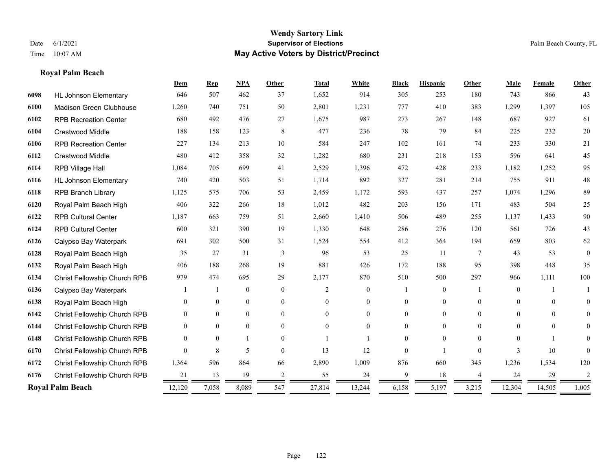# **Royal Palm Beach**

|      |                                | Dem      | <b>Rep</b>     | NPA              | <b>Other</b>   | <b>Total</b>   | White            | <b>Black</b>   | <b>Hispanic</b> | <b>Other</b>    | Male           | Female   | Other          |
|------|--------------------------------|----------|----------------|------------------|----------------|----------------|------------------|----------------|-----------------|-----------------|----------------|----------|----------------|
| 6098 | <b>HL Johnson Elementary</b>   | 646      | 507            | 462              | 37             | 1,652          | 914              | 305            | 253             | 180             | 743            | 866      | 43             |
| 6100 | <b>Madison Green Clubhouse</b> | 1,260    | 740            | 751              | 50             | 2,801          | 1,231            | 777            | 410             | 383             | 1,299          | 1,397    | 105            |
| 6102 | <b>RPB Recreation Center</b>   | 680      | 492            | 476              | 27             | 1,675          | 987              | 273            | 267             | 148             | 687            | 927      | 61             |
| 6104 | <b>Crestwood Middle</b>        | 188      | 158            | 123              | 8              | 477            | 236              | 78             | 79              | 84              | 225            | 232      | $20\,$         |
| 6106 | <b>RPB Recreation Center</b>   | 227      | 134            | 213              | 10             | 584            | 247              | 102            | 161             | 74              | 233            | 330      | 21             |
| 6112 | Crestwood Middle               | 480      | 412            | 358              | 32             | 1,282          | 680              | 231            | 218             | 153             | 596            | 641      | 45             |
| 6114 | RPB Village Hall               | 1,084    | 705            | 699              | 41             | 2,529          | 1,396            | 472            | 428             | 233             | 1,182          | 1,252    | 95             |
| 6116 | <b>HL Johnson Elementary</b>   | 740      | 420            | 503              | 51             | 1,714          | 892              | 327            | 281             | 214             | 755            | 911      | 48             |
| 6118 | <b>RPB Branch Library</b>      | 1,125    | 575            | 706              | 53             | 2,459          | 1,172            | 593            | 437             | 257             | 1,074          | 1,296    | 89             |
| 6120 | Royal Palm Beach High          | 406      | 322            | 266              | 18             | 1,012          | 482              | 203            | 156             | 171             | 483            | 504      | 25             |
| 6122 | <b>RPB Cultural Center</b>     | 1,187    | 663            | 759              | 51             | 2,660          | 1,410            | 506            | 489             | 255             | 1,137          | 1,433    | 90             |
| 6124 | <b>RPB Cultural Center</b>     | 600      | 321            | 390              | 19             | 1,330          | 648              | 286            | 276             | 120             | 561            | 726      | 43             |
| 6126 | Calypso Bay Waterpark          | 691      | 302            | 500              | 31             | 1,524          | 554              | 412            | 364             | 194             | 659            | 803      | 62             |
| 6128 | Royal Palm Beach High          | 35       | 27             | 31               | 3              | 96             | 53               | 25             | 11              | $7\phantom{.0}$ | 43             | 53       | $\theta$       |
| 6132 | Royal Palm Beach High          | 406      | 188            | 268              | 19             | 881            | 426              | 172            | 188             | 95              | 398            | 448      | 35             |
| 6134 | Christ Fellowship Church RPB   | 979      | 474            | 695              | 29             | 2,177          | 870              | 510            | 500             | 297             | 966            | 1,111    | 100            |
| 6136 | Calypso Bay Waterpark          |          |                | $\mathbf{0}$     | $\mathbf{0}$   | $\overline{2}$ | $\overline{0}$   |                | $\overline{0}$  |                 | $\overline{0}$ |          |                |
| 6138 | Royal Palm Beach High          | $\theta$ | $\overline{0}$ | $\boldsymbol{0}$ | $\overline{0}$ | $\Omega$       | $\boldsymbol{0}$ | $\overline{0}$ | $\overline{0}$  | $\theta$        | $\mathbf{0}$   | $\theta$ | $\overline{0}$ |
| 6142 | Christ Fellowship Church RPB   | $\theta$ | $\overline{0}$ | $\mathbf{0}$     | $\theta$       | $\Omega$       | $\overline{0}$   | $\overline{0}$ | $\overline{0}$  | $\theta$        | $\Omega$       | $\theta$ | $\overline{0}$ |
| 6144 | Christ Fellowship Church RPB   | $\theta$ | $\theta$       | $\theta$         | $\theta$       | $\Omega$       | $\Omega$         | 0              | $\Omega$        | $\Omega$        | $\theta$       | $\theta$ | 0              |
| 6148 | Christ Fellowship Church RPB   | $\Omega$ | $\theta$       |                  | $\Omega$       |                |                  | 0              | $\Omega$        | $\Omega$        | $\Omega$       |          | 0              |
| 6170 | Christ Fellowship Church RPB   | $\Omega$ | 8              | 5                | $\theta$       | 13             | 12               | $\theta$       |                 | $\Omega$        | 3              | 10       | 0              |
| 6172 | Christ Fellowship Church RPB   | 1,364    | 596            | 864              | 66             | 2,890          | 1,009            | 876            | 660             | 345             | 1,236          | 1,534    | 120            |
| 6176 | Christ Fellowship Church RPB   | 21       | 13             | 19               | 2              | 55             | 24               | 9              | 18              |                 | 24             | 29       | $\overline{c}$ |
|      | <b>Royal Palm Beach</b>        | 12,120   | 7,058          | 8,089            | 547            | 27,814         | 13,244           | 6,158          | 5,197           | 3,215           | 12,304         | 14,505   | 1,005          |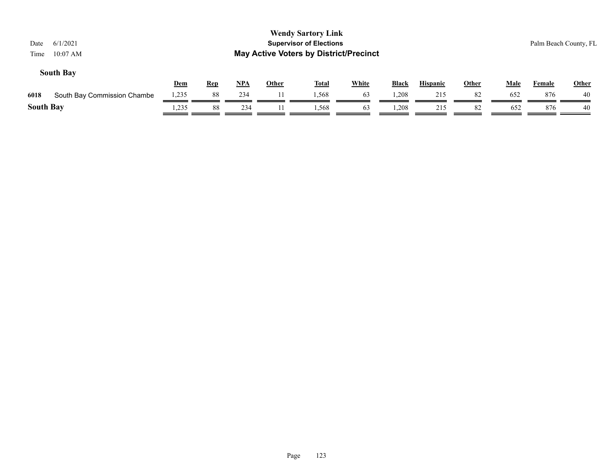| 6/1/2021<br>Date<br>10:07 AM<br>Time |       |            |       |              | <b>Wendy Sartory Link</b><br><b>Supervisor of Elections</b><br><b>May Active Voters by District/Precinct</b> |              |              |                 |              |             |        | Palm Beach County, FL |
|--------------------------------------|-------|------------|-------|--------------|--------------------------------------------------------------------------------------------------------------|--------------|--------------|-----------------|--------------|-------------|--------|-----------------------|
| <b>South Bay</b>                     | Dem   | <u>Rep</u> | $NPA$ | <b>Other</b> | <b>Total</b>                                                                                                 | <b>White</b> | <b>Black</b> | <b>Hispanic</b> | <b>Other</b> | <b>Male</b> | Female | <b>Other</b>          |
| 6018<br>South Bay Commission Chambe  | 1,235 | 88         | 234   |              | 1.568                                                                                                        | 63           | .208         | 215             | 82           | 652         | 876    | 40                    |
| <b>South Bay</b>                     | 1,235 | 88         | 234   | 11           | 1.568                                                                                                        | 63           | .208         | 215             | 82           | 652         | 876    | 40                    |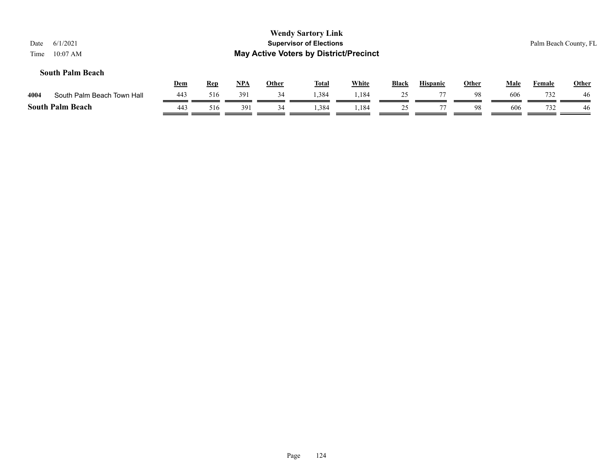| Date<br>Time | 6/1/2021<br>$10:07$ AM     |            |            |       |              | <b>Wendy Sartory Link</b><br><b>Supervisor of Elections</b><br><b>May Active Voters by District/Precinct</b> |              |       |                 |              |             | Palm Beach County, FL |              |
|--------------|----------------------------|------------|------------|-------|--------------|--------------------------------------------------------------------------------------------------------------|--------------|-------|-----------------|--------------|-------------|-----------------------|--------------|
|              | <b>South Palm Beach</b>    | <u>Dem</u> | <b>Rep</b> | $NPA$ | <u>Other</u> | <b>Total</b>                                                                                                 | <b>White</b> | Black | <b>Hispanic</b> | <b>Other</b> | <b>Male</b> | <b>Female</b>         | <b>Other</b> |
| 4004         | South Palm Beach Town Hall | 443        | 516        | 391   | 34           | 1,384                                                                                                        | 1,184        | 25    | 77              | 98           | 606         | 732                   | 46           |
|              | <b>South Palm Beach</b>    | 443        | 516        | 391   | 34           | 1,384                                                                                                        | 1,184        | 25    |                 | 98           | 606         | 732                   | 46           |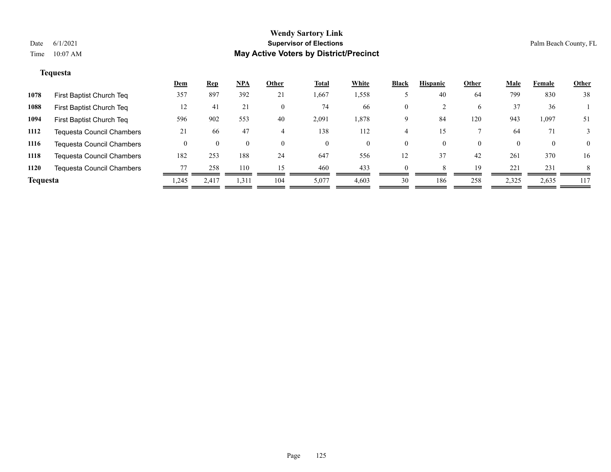# **Tequesta**

|                 |                                  | <b>Dem</b> | <u>Rep</u> | $NPA$    | Other    | <b>Total</b> | White | <b>Black</b> | <b>Hispanic</b> | Other        | <b>Male</b> | Female   | <b>Other</b> |
|-----------------|----------------------------------|------------|------------|----------|----------|--------------|-------|--------------|-----------------|--------------|-------------|----------|--------------|
| 1078            | First Baptist Church Teq         | 357        | 897        | 392      | 21       | 1,667        | 1,558 |              | 40              | 64           | 799         | 830      | 38           |
| 1088            | First Baptist Church Teq         | 12         | 41         | 21       | 0        | 74           | 66    | $\mathbf{0}$ |                 | <sub>0</sub> | 37          | 36       |              |
| 1094            | First Baptist Church Teq         | 596        | 902        | 553      | 40       | 2,091        | 1,878 | Q            | 84              | 120          | 943         | 1,097    | 51           |
| 1112            | <b>Tequesta Council Chambers</b> | 21         | -66        | 47       | 4        | 138          | 112   |              |                 |              | 64          | 71       |              |
| 1116            | <b>Tequesta Council Chambers</b> |            |            | $\theta$ | $\Omega$ | $\theta$     | 0     | $\theta$     | $\theta$        | $\Omega$     |             | $\bf{0}$ | $\theta$     |
| 1118            | <b>Tequesta Council Chambers</b> | 182        | 253        | 188      | 24       | 647          | 556   | 12           | 37              | 42           | 261         | 370      | 16           |
| 1120            | <b>Tequesta Council Chambers</b> |            | 258        | 110      | 15       | 460          | 433   | $\Omega$     |                 | 19           | 221         | 231      | 8            |
| <b>Tequesta</b> |                                  | .245       | 2.417      | 1,311    | 104      | 5,077        | 4,603 | 30           | 186             | 258          | 2,325       | 2,635    | 117          |
|                 |                                  |            |            |          |          |              |       |              |                 |              |             |          |              |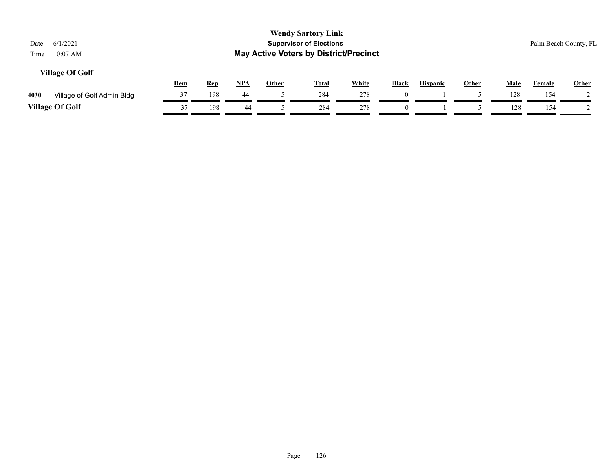| 6/1/2021<br>Date<br>$10:07$ AM<br>Time |            |            |            |              | <b>Wendy Sartory Link</b><br><b>Supervisor of Elections</b><br><b>May Active Voters by District/Precinct</b> |              |              |                 |              |             |               | Palm Beach County, FL |
|----------------------------------------|------------|------------|------------|--------------|--------------------------------------------------------------------------------------------------------------|--------------|--------------|-----------------|--------------|-------------|---------------|-----------------------|
| <b>Village Of Golf</b>                 | <u>Dem</u> | <u>Rep</u> | <u>NPA</u> | <u>Other</u> | <u>Total</u>                                                                                                 | <b>White</b> | <b>Black</b> | <b>Hispanic</b> | <b>Other</b> | <b>Male</b> | <b>Female</b> | Other                 |
| 4030<br>Village of Golf Admin Bldg     | 37         | 198        | 44         |              | 284                                                                                                          | 278          | $\Omega$     |                 |              | 128         | 154           |                       |
| <b>Village Of Golf</b>                 | 37         | 198        | 44         |              | 284                                                                                                          | 278          |              |                 |              | 128         | 154           |                       |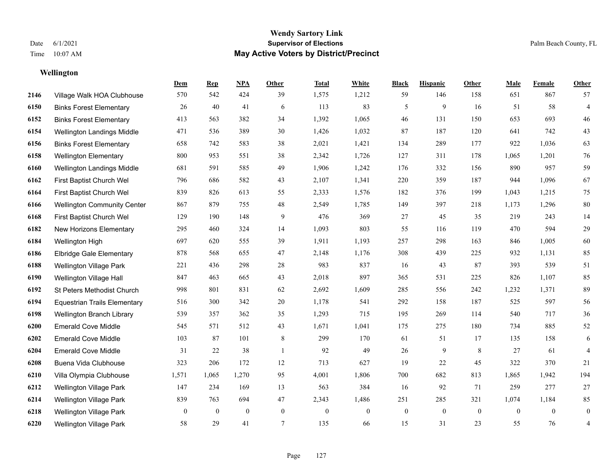# **Wellington**

|      |                                     | Dem              | <b>Rep</b>   | NPA              | <b>Other</b>     | <b>Total</b>     | <b>White</b>     | <b>Black</b> | <b>Hispanic</b> | Other          | <b>Male</b>  | <b>Female</b>  | <b>Other</b>   |
|------|-------------------------------------|------------------|--------------|------------------|------------------|------------------|------------------|--------------|-----------------|----------------|--------------|----------------|----------------|
| 2146 | Village Walk HOA Clubhouse          | 570              | 542          | 424              | 39               | 1,575            | 1,212            | 59           | 146             | 158            | 651          | 867            | 57             |
| 6150 | <b>Binks Forest Elementary</b>      | 26               | 40           | 41               | 6                | 113              | 83               | 5            | 9               | 16             | 51           | 58             | $\overline{4}$ |
| 6152 | <b>Binks Forest Elementary</b>      | 413              | 563          | 382              | 34               | 1,392            | 1,065            | 46           | 131             | 150            | 653          | 693            | 46             |
| 6154 | Wellington Landings Middle          | 471              | 536          | 389              | 30               | 1,426            | 1,032            | 87           | 187             | 120            | 641          | 742            | 43             |
| 6156 | <b>Binks Forest Elementary</b>      | 658              | 742          | 583              | 38               | 2,021            | 1,421            | 134          | 289             | 177            | 922          | 1,036          | 63             |
| 6158 | <b>Wellington Elementary</b>        | 800              | 953          | 551              | 38               | 2,342            | 1,726            | 127          | 311             | 178            | 1,065        | 1,201          | 76             |
| 6160 | Wellington Landings Middle          | 681              | 591          | 585              | 49               | 1,906            | 1,242            | 176          | 332             | 156            | 890          | 957            | 59             |
| 6162 | First Baptist Church Wel            | 796              | 686          | 582              | 43               | 2,107            | 1,341            | 220          | 359             | 187            | 944          | 1,096          | 67             |
| 6164 | First Baptist Church Wel            | 839              | 826          | 613              | 55               | 2,333            | 1,576            | 182          | 376             | 199            | 1,043        | 1,215          | 75             |
| 6166 | <b>Wellington Community Center</b>  | 867              | 879          | 755              | 48               | 2,549            | 1,785            | 149          | 397             | 218            | 1,173        | 1,296          | $80\,$         |
| 6168 | First Baptist Church Wel            | 129              | 190          | 148              | 9                | 476              | 369              | 27           | 45              | 35             | 219          | 243            | 14             |
| 6182 | New Horizons Elementary             | 295              | 460          | 324              | 14               | 1,093            | 803              | 55           | 116             | 119            | 470          | 594            | 29             |
| 6184 | Wellington High                     | 697              | 620          | 555              | 39               | 1,911            | 1,193            | 257          | 298             | 163            | 846          | 1,005          | $60\,$         |
| 6186 | <b>Elbridge Gale Elementary</b>     | 878              | 568          | 655              | 47               | 2,148            | 1,176            | 308          | 439             | 225            | 932          | 1,131          | 85             |
| 6188 | <b>Wellington Village Park</b>      | 221              | 436          | 298              | 28               | 983              | 837              | 16           | 43              | 87             | 393          | 539            | 51             |
| 6190 | Wellington Village Hall             | 847              | 463          | 665              | 43               | 2,018            | 897              | 365          | 531             | 225            | 826          | 1,107          | 85             |
| 6192 | St Peters Methodist Church          | 998              | 801          | 831              | 62               | 2,692            | 1,609            | 285          | 556             | 242            | 1,232        | 1,371          | 89             |
| 6194 | <b>Equestrian Trails Elementary</b> | 516              | 300          | 342              | 20               | 1,178            | 541              | 292          | 158             | 187            | 525          | 597            | 56             |
| 6198 | Wellington Branch Library           | 539              | 357          | 362              | 35               | 1,293            | 715              | 195          | 269             | 114            | 540          | 717            | $36\,$         |
| 6200 | <b>Emerald Cove Middle</b>          | 545              | 571          | 512              | 43               | 1,671            | 1,041            | 175          | 275             | 180            | 734          | 885            | $52\,$         |
| 6202 | <b>Emerald Cove Middle</b>          | 103              | 87           | 101              | 8                | 299              | 170              | 61           | 51              | 17             | 135          | 158            | 6              |
| 6204 | <b>Emerald Cove Middle</b>          | 31               | 22           | 38               | $\mathbf{1}$     | 92               | 49               | 26           | 9               | 8              | 27           | 61             | $\overline{4}$ |
| 6208 | Buena Vida Clubhouse                | 323              | 206          | 172              | 12               | 713              | 627              | 19           | 22              | 45             | 322          | 370            | 21             |
| 6210 | Villa Olympia Clubhouse             | 1,571            | 1,065        | 1,270            | 95               | 4,001            | 1,806            | 700          | 682             | 813            | 1,865        | 1,942          | 194            |
| 6212 | <b>Wellington Village Park</b>      | 147              | 234          | 169              | 13               | 563              | 384              | 16           | 92              | 71             | 259          | 277            | $27\,$         |
| 6214 | Wellington Village Park             | 839              | 763          | 694              | 47               | 2,343            | 1,486            | 251          | 285             | 321            | 1,074        | 1,184          | 85             |
| 6218 | Wellington Village Park             | $\boldsymbol{0}$ | $\mathbf{0}$ | $\boldsymbol{0}$ | $\boldsymbol{0}$ | $\boldsymbol{0}$ | $\boldsymbol{0}$ | $\mathbf{0}$ | $\overline{0}$  | $\overline{0}$ | $\mathbf{0}$ | $\overline{0}$ | $\mathbf{0}$   |
| 6220 | <b>Wellington Village Park</b>      | 58               | 29           | 41               | 7                | 135              | 66               | 15           | 31              | 23             | 55           | 76             | 4              |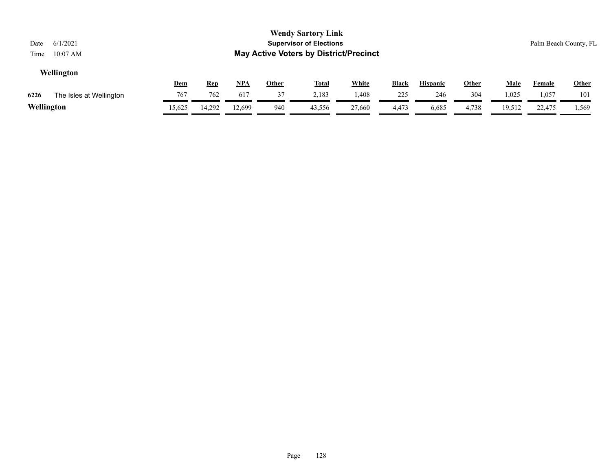| 6/1/2021<br>Date                |        |            |            |              | <b>Wendy Sartory Link</b><br><b>Supervisor of Elections</b> |              |       |                 |              |             | Palm Beach County, FL |              |  |
|---------------------------------|--------|------------|------------|--------------|-------------------------------------------------------------|--------------|-------|-----------------|--------------|-------------|-----------------------|--------------|--|
| $10:07$ AM<br>Time              |        |            |            |              | <b>May Active Voters by District/Precinct</b>               |              |       |                 |              |             |                       |              |  |
| Wellington                      |        |            |            |              |                                                             |              |       |                 |              |             |                       |              |  |
|                                 | Dem    | <b>Rep</b> | <u>NPA</u> | <b>Other</b> | <u>Total</u>                                                | <b>White</b> | Black | <b>Hispanic</b> | <u>Other</u> | <u>Male</u> | <u>Female</u>         | <b>Other</b> |  |
| 6226<br>The Isles at Wellington | 767    | 762        | 617        | 37           | 2,183                                                       | .408         | 225   | 246             | 304          | 1,025       | .057                  | 101          |  |
| Wellington                      | 15,625 | 14,292     | 12.699     | 940          | 43,556                                                      | 27,660       | 4,473 | 6,685           | 4,738        | 19,512      | 22,475                | 1,569        |  |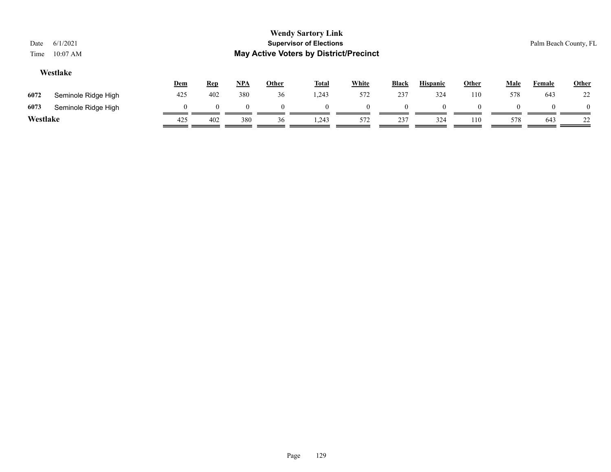| Date<br>Time | 6/1/2021<br>$10:07$ AM |     |            |          |              | <b>Wendy Sartory Link</b><br><b>Supervisor of Elections</b><br><b>May Active Voters by District/Precinct</b> |              |              |                 |              |             |        | Palm Beach County, FL |
|--------------|------------------------|-----|------------|----------|--------------|--------------------------------------------------------------------------------------------------------------|--------------|--------------|-----------------|--------------|-------------|--------|-----------------------|
|              | Westlake               | Dem | <u>Rep</u> | $NPA$    | <b>Other</b> | <u>Total</u>                                                                                                 | <b>White</b> | <b>Black</b> | <b>Hispanic</b> | <b>Other</b> | <u>Male</u> | Female | <b>Other</b>          |
| 6072         | Seminole Ridge High    | 425 | 402        | 380      | 36           | .243                                                                                                         | 572          | 237          | 324             | 110          | 578         | 643    | 22                    |
| 6073         | Seminole Ridge High    | 0   |            | $\theta$ | $\Omega$     |                                                                                                              | 0            | $\theta$     | $\theta$        | $\Omega$     | $\theta$    |        | $\sqrt{ }$            |
| Westlake     |                        | 425 | 402        | 380      | 36           | 1,243                                                                                                        | 572          | 237          | 324             | 110          | 578         | 643    | 22                    |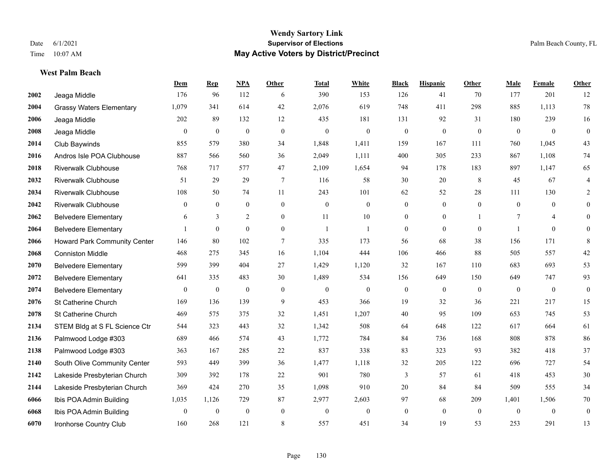**West Palm Beach**

#### **Wendy Sartory Link** Date 6/1/2021 **Supervisor of Elections** Palm Beach County, FL Time 10:07 AM **May Active Voters by District/Precinct**

# **Dem Rep NPA Other Total White Black Hispanic Other Male Female Other** Jeaga Middle 176 96 112 6 390 153 126 41 70 177 201 12 Grassy Waters Elementary 1,079 341 614 42 2,076 619 748 411 298 885 1,113 78 Jeaga Middle 202 89 132 12 435 181 131 92 31 180 239 16 Jeaga Middle 0 0 0 0 0 0 0 0 0 0 0 0 Club Baywinds 855 579 380 34 1,848 1,411 159 167 111 760 1,045 43 Andros Isle POA Clubhouse 887 566 560 36 2,049 1,111 400 305 233 867 1,108 74 Riverwalk Clubhouse 768 717 577 47 2,109 1,654 94 178 183 897 1,147 65 Riverwalk Clubhouse 51 29 29 7 116 58 30 20 8 45 67 4 Riverwalk Clubhouse 108 50 74 11 243 101 62 52 28 111 130 2 Riverwalk Clubhouse 0 0 0 0 0 0 0 0 0 0 0 0 Belvedere Elementary 6 3 2 0 11 10 0 0 1 7 4 0 Belvedere Elementary 1 0 0 0 1 1 0 0 0 1 0 0 Howard Park Community Center 146 80 102 7 335 173 56 68 38 156 171 8 Conniston Middle 468 275 345 16 1,104 444 106 466 88 505 557 42 Belvedere Elementary 599 399 404 27 1,429 1,120 32 167 110 683 693 53 Belvedere Elementary 641 335 483 30 1,489 534 156 649 150 649 747 93 Belvedere Elementary 0 0 0 0 0 0 0 0 0 0 0 0 St Catherine Church 169 136 139 9 453 366 19 32 36 221 217 15 St Catherine Church 469 575 375 32 1,451 1,207 40 95 109 653 745 53 STEM Bldg at S FL Science Ctr 544 323 443 32 1,342 508 64 648 122 617 664 61 Palmwood Lodge #303 689 466 574 43 1,772 784 84 736 168 808 878 86 Palmwood Lodge #303 363 167 285 22 837 338 83 323 93 382 418 37 South Olive Community Center 593 449 399 36 1,477 1,118 32 205 122 696 727 54 Lakeside Presbyterian Church 309 392 178 22 901 780 3 57 61 418 453 30 Lakeside Presbyterian Church 369 424 270 35 1,098 910 20 84 84 509 555 34 Ibis POA Admin Building 1,035 1,126 729 87 2,977 2,603 97 68 209 1,401 1,506 70 Ibis POA Admin Building 0 0 0 0 0 0 0 0 0 0 0 0 Ironhorse Country Club 160 268 121 8 557 451 34 19 53 253 291 13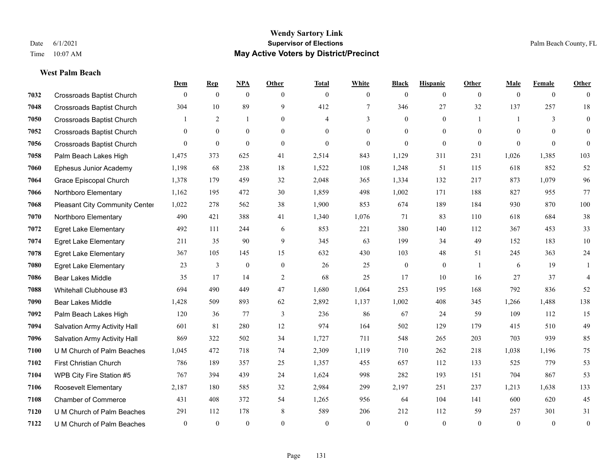**West Palm Beach**

#### **Wendy Sartory Link** Date 6/1/2021 **Supervisor of Elections** Palm Beach County, FL Time 10:07 AM **May Active Voters by District/Precinct**

# **Dem Rep NPA Other Total White Black Hispanic Other Male Female Other** Crossroads Baptist Church 0 0 0 0 0 0 0 0 0 0 0 0 Crossroads Baptist Church 304 10 89 9 412 7 346 27 32 137 257 18 Crossroads Baptist Church 1 2 1 0 4 3 0 0 1 1 3 0 Crossroads Baptist Church 0 0 0 0 0 0 0 0 0 0 0 0 Crossroads Baptist Church 0 0 0 0 0 0 0 0 0 0 0 0 Palm Beach Lakes High 1,475 373 625 41 2,514 843 1,129 311 231 1,026 1,385 103 Ephesus Junior Academy 1,198 68 238 18 1,522 108 1,248 51 115 618 852 52 Grace Episcopal Church 1,378 179 459 32 2,048 365 1,334 132 217 873 1,079 96 Northboro Elementary 1,162 195 472 30 1,859 498 1,002 171 188 827 955 77 Pleasant City Community Center 1,022 278 562 38 1,900 853 674 189 184 930 870 100 Northboro Elementary 490 421 388 41 1,340 1,076 71 83 110 618 684 38 Egret Lake Elementary 492 111 244 6 853 221 380 140 112 367 453 33 Egret Lake Elementary 211 35 90 9 345 63 199 34 49 152 183 10 Egret Lake Elementary 367 105 145 15 632 430 103 48 51 245 363 24 Egret Lake Elementary 23 3 0 0 26 25 0 0 1 6 19 1 Bear Lakes Middle 35 17 14 2 68 25 17 10 16 27 37 4 Whitehall Clubhouse #3 694 490 449 47 1,680 1,064 253 195 168 792 836 52 Bear Lakes Middle 1,428 509 893 62 2,892 1,137 1,002 408 345 1,266 1,488 138 Palm Beach Lakes High 120 36 77 3 236 86 67 24 59 109 112 15 Salvation Army Activity Hall 601 81 280 12 974 164 502 129 179 415 510 49 Salvation Army Activity Hall 869 322 502 34 1,727 711 548 265 203 703 939 85 U M Church of Palm Beaches 1,045 472 718 74 2,309 1,119 710 262 218 1,038 1,196 75 First Christian Church 786 189 357 25 1,357 455 657 112 133 525 779 53 WPB City Fire Station #5 767 394 439 24 1,624 998 282 193 151 704 867 53 Roosevelt Elementary 2,187 180 585 32 2,984 299 2,197 251 237 1,213 1,638 133 Chamber of Commerce 431 408 372 54 1,265 956 64 104 141 600 620 45 U M Church of Palm Beaches 291 112 178 8 589 206 212 112 59 257 301 31 U M Church of Palm Beaches 0 0 0 0 0 0 0 0 0 0 0 0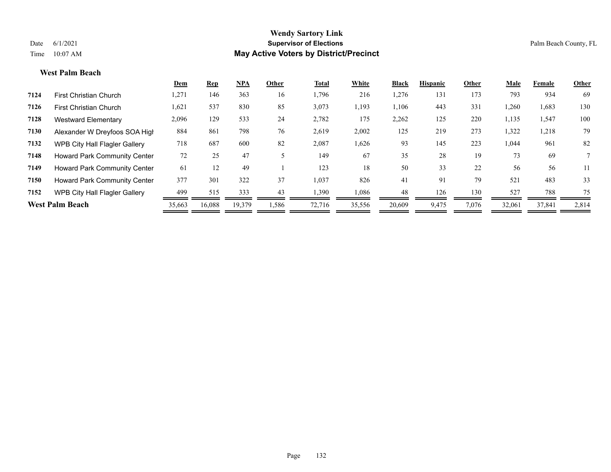#### **West Palm Beach**

|      |                                      | Dem    | Rep    | <b>NPA</b> | Other | Total  | White  | <b>Black</b> | <b>Hispanic</b> | Other | Male   | Female | Other          |
|------|--------------------------------------|--------|--------|------------|-------|--------|--------|--------------|-----------------|-------|--------|--------|----------------|
| 7124 | <b>First Christian Church</b>        | 1,271  | 146    | 363        | 16    | 1,796  | 216    | 1,276        | 131             | 173   | 793    | 934    | 69             |
| 7126 | <b>First Christian Church</b>        | 1,621  | 537    | 830        | 85    | 3,073  | 1,193  | 1,106        | 443             | 331   | 1,260  | 1,683  | 130            |
| 7128 | <b>Westward Elementary</b>           | 2,096  | 129    | 533        | 24    | 2,782  | 175    | 2,262        | 125             | 220   | 1,135  | 1,547  | 100            |
| 7130 | Alexander W Dreyfoos SOA High        | 884    | 861    | 798        | 76    | 2,619  | 2,002  | 125          | 219             | 273   | 1,322  | 1,218  | 79             |
| 7132 | WPB City Hall Flagler Gallery        | 718    | 687    | 600        | 82    | 2,087  | 1,626  | 93           | 145             | 223   | 1,044  | 961    | 82             |
| 7148 | <b>Howard Park Community Center</b>  | 72     | 25     | 47         |       | 149    | 67     | 35           | 28              | 19    | 73     | 69     | $7\phantom{0}$ |
| 7149 | Howard Park Community Center         | 61     | 12     | 49         |       | 123    | 18     | 50           | 33              | 22    | 56     | 56     | 11             |
| 7150 | <b>Howard Park Community Center</b>  | 377    | 301    | 322        | 37    | 1,037  | 826    | 41           | 91              | 79    | 521    | 483    | 33             |
| 7152 | <b>WPB City Hall Flagler Gallery</b> | 499    | 515    | 333        | 43    | 1,390  | 1,086  | 48           | 126             | 130   | 527    | 788    | 75             |
|      | <b>West Palm Beach</b>               | 35,663 | 16,088 | 19,379     | 1,586 | 72,716 | 35,556 | 20,609       | 9,475           | 7,076 | 32,061 | 37,841 | 2,814          |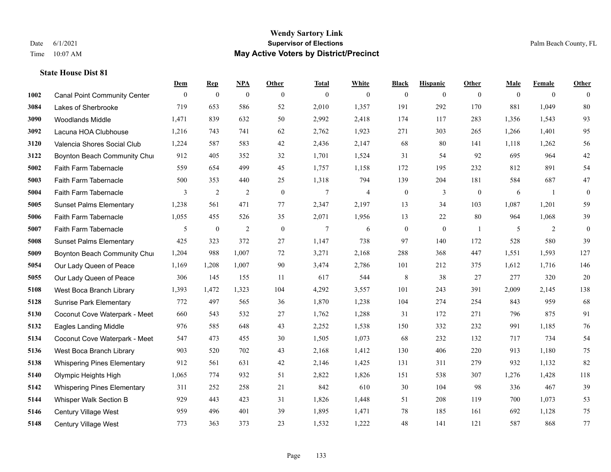|      |                                     | Dem          | <b>Rep</b>       | NPA              | <b>Other</b>   | <b>Total</b>   | <b>White</b> | <b>Black</b>     | <b>Hispanic</b> | <b>Other</b>     | <b>Male</b>  | <b>Female</b>  | <b>Other</b> |
|------|-------------------------------------|--------------|------------------|------------------|----------------|----------------|--------------|------------------|-----------------|------------------|--------------|----------------|--------------|
| 1002 | <b>Canal Point Community Center</b> | $\mathbf{0}$ | $\boldsymbol{0}$ | $\boldsymbol{0}$ | $\overline{0}$ | $\theta$       | $\mathbf{0}$ | $\mathbf{0}$     | $\mathbf{0}$    | $\overline{0}$   | $\mathbf{0}$ | $\overline{0}$ | $\theta$     |
| 3084 | Lakes of Sherbrooke                 | 719          | 653              | 586              | 52             | 2,010          | 1,357        | 191              | 292             | 170              | 881          | 1,049          | 80           |
| 3090 | <b>Woodlands Middle</b>             | 1,471        | 839              | 632              | 50             | 2,992          | 2,418        | 174              | 117             | 283              | 1,356        | 1,543          | 93           |
| 3092 | Lacuna HOA Clubhouse                | 1,216        | 743              | 741              | 62             | 2,762          | 1,923        | 271              | 303             | 265              | 1,266        | 1,401          | 95           |
| 3120 | Valencia Shores Social Club         | 1,224        | 587              | 583              | 42             | 2,436          | 2,147        | 68               | 80              | 141              | 1,118        | 1,262          | 56           |
| 3122 | Boynton Beach Community Chur        | 912          | 405              | 352              | 32             | 1,701          | 1,524        | 31               | 54              | 92               | 695          | 964            | $42\,$       |
| 5002 | Faith Farm Tabernacle               | 559          | 654              | 499              | 45             | 1,757          | 1,158        | 172              | 195             | 232              | 812          | 891            | 54           |
| 5003 | Faith Farm Tabernacle               | 500          | 353              | 440              | 25             | 1,318          | 794          | 139              | 204             | 181              | 584          | 687            | $47\,$       |
| 5004 | Faith Farm Tabernacle               | 3            | $\overline{2}$   | $\overline{2}$   | $\mathbf{0}$   | $\tau$         | 4            | $\boldsymbol{0}$ | 3               | $\boldsymbol{0}$ | 6            | -1             | $\mathbf{0}$ |
| 5005 | <b>Sunset Palms Elementary</b>      | 1,238        | 561              | 471              | 77             | 2,347          | 2,197        | 13               | 34              | 103              | 1,087        | 1,201          | 59           |
| 5006 | Faith Farm Tabernacle               | 1,055        | 455              | 526              | 35             | 2,071          | 1,956        | 13               | 22              | 80               | 964          | 1,068          | 39           |
| 5007 | Faith Farm Tabernacle               | 5            | $\boldsymbol{0}$ | $\overline{2}$   | $\overline{0}$ | $\overline{7}$ | 6            | $\boldsymbol{0}$ | $\mathbf{0}$    | $\overline{1}$   | 5            | 2              | $\mathbf{0}$ |
| 5008 | <b>Sunset Palms Elementary</b>      | 425          | 323              | 372              | $27\,$         | 1,147          | 738          | 97               | 140             | 172              | 528          | 580            | 39           |
| 5009 | Boynton Beach Community Chur        | 1,204        | 988              | 1,007            | 72             | 3,271          | 2,168        | 288              | 368             | 447              | 1,551        | 1,593          | 127          |
| 5054 | Our Lady Queen of Peace             | 1,169        | 1,208            | 1,007            | 90             | 3,474          | 2,786        | 101              | 212             | 375              | 1,612        | 1,716          | 146          |
| 5055 | Our Lady Queen of Peace             | 306          | 145              | 155              | 11             | 617            | 544          | 8                | 38              | 27               | 277          | 320            | $20\,$       |
| 5108 | West Boca Branch Library            | 1,393        | 1,472            | 1,323            | 104            | 4,292          | 3,557        | 101              | 243             | 391              | 2,009        | 2,145          | 138          |
| 5128 | <b>Sunrise Park Elementary</b>      | 772          | 497              | 565              | 36             | 1,870          | 1,238        | 104              | 274             | 254              | 843          | 959            | 68           |
| 5130 | Coconut Cove Waterpark - Meet       | 660          | 543              | 532              | 27             | 1,762          | 1,288        | 31               | 172             | 271              | 796          | 875            | 91           |
| 5132 | <b>Eagles Landing Middle</b>        | 976          | 585              | 648              | 43             | 2,252          | 1,538        | 150              | 332             | 232              | 991          | 1,185          | 76           |
| 5134 | Coconut Cove Waterpark - Meet       | 547          | 473              | 455              | 30             | 1,505          | 1,073        | 68               | 232             | 132              | 717          | 734            | 54           |
| 5136 | West Boca Branch Library            | 903          | 520              | 702              | 43             | 2,168          | 1,412        | 130              | 406             | 220              | 913          | 1,180          | 75           |
| 5138 | <b>Whispering Pines Elementary</b>  | 912          | 561              | 631              | 42             | 2,146          | 1,425        | 131              | 311             | 279              | 932          | 1,132          | 82           |
| 5140 | Olympic Heights High                | 1,065        | 774              | 932              | 51             | 2,822          | 1,826        | 151              | 538             | 307              | 1,276        | 1,428          | 118          |
| 5142 | <b>Whispering Pines Elementary</b>  | 311          | 252              | 258              | 21             | 842            | 610          | 30               | 104             | 98               | 336          | 467            | 39           |
| 5144 | Whisper Walk Section B              | 929          | 443              | 423              | 31             | 1,826          | 1,448        | 51               | 208             | 119              | 700          | 1,073          | 53           |
| 5146 | <b>Century Village West</b>         | 959          | 496              | 401              | 39             | 1,895          | 1,471        | 78               | 185             | 161              | 692          | 1,128          | 75           |
| 5148 | Century Village West                | 773          | 363              | 373              | 23             | 1,532          | 1,222        | 48               | 141             | 121              | 587          | 868            | 77           |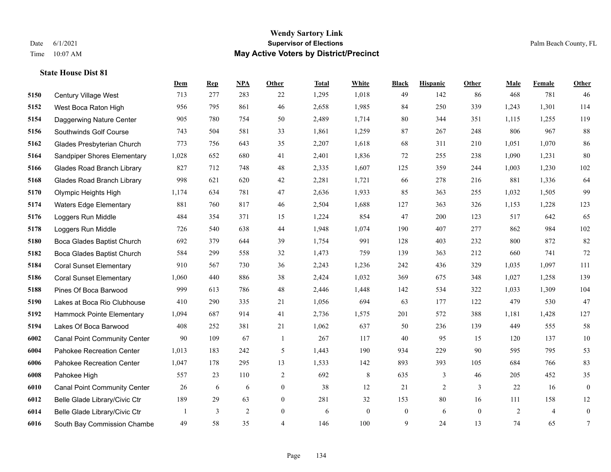|      |                                     | Dem   | <b>Rep</b> | NPA | <b>Other</b>   | <b>Total</b> | White        | <b>Black</b>     | <b>Hispanic</b> | Other        | <b>Male</b> | <b>Female</b>  | <b>Other</b>     |
|------|-------------------------------------|-------|------------|-----|----------------|--------------|--------------|------------------|-----------------|--------------|-------------|----------------|------------------|
| 5150 | Century Village West                | 713   | 277        | 283 | 22             | 1,295        | 1,018        | 49               | 142             | 86           | 468         | 781            | 46               |
| 5152 | West Boca Raton High                | 956   | 795        | 861 | 46             | 2,658        | 1,985        | 84               | 250             | 339          | 1,243       | 1,301          | 114              |
| 5154 | Daggerwing Nature Center            | 905   | 780        | 754 | 50             | 2,489        | 1,714        | 80               | 344             | 351          | 1,115       | 1,255          | 119              |
| 5156 | Southwinds Golf Course              | 743   | 504        | 581 | 33             | 1,861        | 1,259        | 87               | 267             | 248          | 806         | 967            | 88               |
| 5162 | Glades Presbyterian Church          | 773   | 756        | 643 | 35             | 2,207        | 1,618        | 68               | 311             | 210          | 1,051       | 1,070          | 86               |
| 5164 | Sandpiper Shores Elementary         | 1,028 | 652        | 680 | 41             | 2,401        | 1,836        | 72               | 255             | 238          | 1,090       | 1,231          | 80               |
| 5166 | <b>Glades Road Branch Library</b>   | 827   | 712        | 748 | 48             | 2,335        | 1,607        | 125              | 359             | 244          | 1,003       | 1,230          | 102              |
| 5168 | <b>Glades Road Branch Library</b>   | 998   | 621        | 620 | 42             | 2,281        | 1,721        | 66               | 278             | 216          | 881         | 1,336          | 64               |
| 5170 | Olympic Heights High                | 1,174 | 634        | 781 | 47             | 2,636        | 1,933        | 85               | 363             | 255          | 1,032       | 1,505          | 99               |
| 5174 | <b>Waters Edge Elementary</b>       | 881   | 760        | 817 | 46             | 2,504        | 1,688        | 127              | 363             | 326          | 1,153       | 1,228          | 123              |
| 5176 | Loggers Run Middle                  | 484   | 354        | 371 | 15             | 1,224        | 854          | 47               | 200             | 123          | 517         | 642            | 65               |
| 5178 | Loggers Run Middle                  | 726   | 540        | 638 | 44             | 1,948        | 1,074        | 190              | 407             | 277          | 862         | 984            | 102              |
| 5180 | Boca Glades Baptist Church          | 692   | 379        | 644 | 39             | 1,754        | 991          | 128              | 403             | 232          | 800         | 872            | 82               |
| 5182 | Boca Glades Baptist Church          | 584   | 299        | 558 | 32             | 1,473        | 759          | 139              | 363             | 212          | 660         | 741            | 72               |
| 5184 | <b>Coral Sunset Elementary</b>      | 910   | 567        | 730 | 36             | 2,243        | 1,236        | 242              | 436             | 329          | 1.035       | 1,097          | 111              |
| 5186 | <b>Coral Sunset Elementary</b>      | 1,060 | 440        | 886 | 38             | 2,424        | 1,032        | 369              | 675             | 348          | 1,027       | 1,258          | 139              |
| 5188 | Pines Of Boca Barwood               | 999   | 613        | 786 | 48             | 2,446        | 1,448        | 142              | 534             | 322          | 1,033       | 1,309          | 104              |
| 5190 | Lakes at Boca Rio Clubhouse         | 410   | 290        | 335 | 21             | 1,056        | 694          | 63               | 177             | 122          | 479         | 530            | 47               |
| 5192 | Hammock Pointe Elementary           | 1,094 | 687        | 914 | 41             | 2,736        | 1,575        | 201              | 572             | 388          | 1,181       | 1,428          | 127              |
| 5194 | Lakes Of Boca Barwood               | 408   | 252        | 381 | 21             | 1,062        | 637          | 50               | 236             | 139          | 449         | 555            | 58               |
| 6002 | <b>Canal Point Community Center</b> | 90    | 109        | 67  | $\overline{1}$ | 267          | 117          | 40               | 95              | 15           | 120         | 137            | $10\,$           |
| 6004 | Pahokee Recreation Center           | 1,013 | 183        | 242 | 5              | 1,443        | 190          | 934              | 229             | 90           | 595         | 795            | 53               |
| 6006 | Pahokee Recreation Center           | 1,047 | 178        | 295 | 13             | 1,533        | 142          | 893              | 393             | 105          | 684         | 766            | 83               |
| 6008 | Pahokee High                        | 557   | 23         | 110 | $\overline{c}$ | 692          | 8            | 635              | 3               | 46           | 205         | 452            | 35               |
| 6010 | <b>Canal Point Community Center</b> | 26    | 6          | 6   | $\overline{0}$ | 38           | 12           | 21               | $\overline{2}$  | 3            | 22          | 16             | $\boldsymbol{0}$ |
| 6012 | Belle Glade Library/Civic Ctr       | 189   | 29         | 63  | $\overline{0}$ | 281          | 32           | 153              | 80              | 16           | 111         | 158            | 12               |
| 6014 | Belle Glade Library/Civic Ctr       |       | 3          | 2   | $\overline{0}$ | 6            | $\mathbf{0}$ | $\boldsymbol{0}$ | 6               | $\mathbf{0}$ | 2           | $\overline{4}$ | $\boldsymbol{0}$ |
| 6016 | South Bay Commission Chambe         | 49    | 58         | 35  | $\overline{4}$ | 146          | 100          | 9                | 24              | 13           | 74          | 65             | $\overline{7}$   |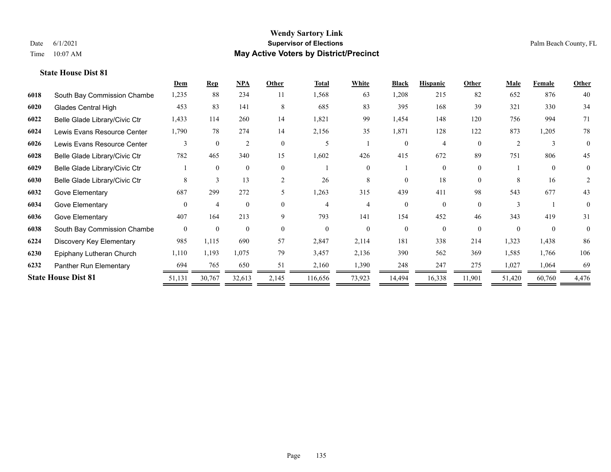|      |                               | Dem            | <b>Rep</b>     | NPA            | Other    | <b>Total</b>   | <b>White</b> | <b>Black</b> | <b>Hispanic</b> | Other    | <b>Male</b>  | Female        | <b>Other</b> |
|------|-------------------------------|----------------|----------------|----------------|----------|----------------|--------------|--------------|-----------------|----------|--------------|---------------|--------------|
| 6018 | South Bay Commission Chambe   | 1,235          | 88             | 234            | 11       | 1,568          | 63           | 1,208        | 215             | 82       | 652          | 876           | 40           |
| 6020 | <b>Glades Central High</b>    | 453            | 83             | 141            | 8        | 685            | 83           | 395          | 168             | 39       | 321          | 330           | 34           |
| 6022 | Belle Glade Library/Civic Ctr | 1,433          | 114            | 260            | 14       | 1,821          | 99           | 1,454        | 148             | 120      | 756          | 994           | 71           |
| 6024 | Lewis Evans Resource Center   | 1,790          | 78             | 274            | 14       | 2,156          | 35           | 1,871        | 128             | 122      | 873          | 1,205         | 78           |
| 6026 | Lewis Evans Resource Center   | 3              | $\theta$       | $\overline{2}$ | $\theta$ | 5              |              | $\Omega$     | 4               | $\Omega$ | 2            | $\mathcal{E}$ | $\Omega$     |
| 6028 | Belle Glade Library/Civic Ctr | 782            | 465            | 340            | 15       | 1,602          | 426          | 415          | 672             | 89       | 751          | 806           | 45           |
| 6029 | Belle Glade Library/Civic Ctr |                | $\theta$       | $\mathbf{0}$   | $\theta$ |                | $\Omega$     |              | $\theta$        | $\theta$ |              | $\theta$      | $\Omega$     |
| 6030 | Belle Glade Library/Civic Ctr | 8              | 3              | 13             | 2        | 26             | 8            | $\theta$     | 18              | $\theta$ | 8            | 16            | 2            |
| 6032 | Gove Elementary               | 687            | 299            | 272            | 5        | 1,263          | 315          | 439          | 411             | 98       | 543          | 677           | 43           |
| 6034 | Gove Elementary               | $\Omega$       | $\overline{4}$ | $\mathbf{0}$   | $\Omega$ | 4              |              | $\Omega$     | $\Omega$        | $\Omega$ | $\mathbf{3}$ |               | $\Omega$     |
| 6036 | Gove Elementary               | 407            | 164            | 213            | 9        | 793            | 141          | 154          | 452             | 46       | 343          | 419           | 31           |
| 6038 | South Bay Commission Chambe   | $\overline{0}$ | $\theta$       | $\mathbf{0}$   | $\Omega$ | $\overline{0}$ | $\theta$     | $\theta$     | $\theta$        | $\theta$ | $\theta$     | $\theta$      | $\Omega$     |
| 6224 | Discovery Key Elementary      | 985            | 1,115          | 690            | 57       | 2,847          | 2,114        | 181          | 338             | 214      | 1,323        | 1,438         | 86           |
| 6230 | Epiphany Lutheran Church      | 1,110          | 1,193          | 1,075          | 79       | 3,457          | 2,136        | 390          | 562             | 369      | 1,585        | 1,766         | 106          |
| 6232 | Panther Run Elementary        | 694            | 765            | 650            | 51       | 2,160          | 1,390        | 248          | 247             | 275      | 1,027        | 1,064         | 69           |
|      | <b>State House Dist 81</b>    | 51,131         | 30,767         | 32,613         | 2,145    | 116,656        | 73,923       | 14,494       | 16,338          | 11,901   | 51,420       | 60,760        | 4,476        |
|      |                               |                |                |                |          |                |              |              |                 |          |              |               |              |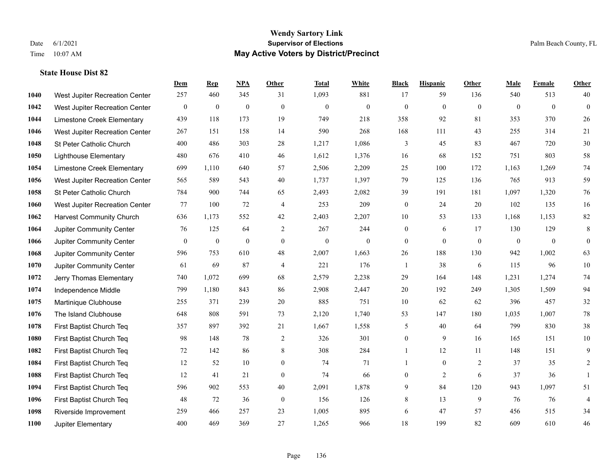|      |                                 | Dem          | <b>Rep</b>       | NPA          | <b>Other</b>   | <b>Total</b>   | <b>White</b> | <b>Black</b>     | <b>Hispanic</b> | <b>Other</b>   | <b>Male</b>  | <b>Female</b> | <b>Other</b>     |
|------|---------------------------------|--------------|------------------|--------------|----------------|----------------|--------------|------------------|-----------------|----------------|--------------|---------------|------------------|
| 1040 | West Jupiter Recreation Center  | 257          | 460              | 345          | 31             | 1,093          | 881          | 17               | 59              | 136            | 540          | 513           | 40               |
| 1042 | West Jupiter Recreation Center  | $\bf{0}$     | $\mathbf{0}$     | $\mathbf{0}$ | $\mathbf{0}$   | $\theta$       | $\mathbf{0}$ | $\mathbf{0}$     | $\mathbf{0}$    | $\theta$       | $\mathbf{0}$ | $\mathbf{0}$  | $\mathbf{0}$     |
| 1044 | Limestone Creek Elementary      | 439          | 118              | 173          | 19             | 749            | 218          | 358              | 92              | 81             | 353          | 370           | 26               |
| 1046 | West Jupiter Recreation Center  | 267          | 151              | 158          | 14             | 590            | 268          | 168              | 111             | 43             | 255          | 314           | 21               |
| 1048 | St Peter Catholic Church        | 400          | 486              | 303          | 28             | 1,217          | 1,086        | 3                | 45              | 83             | 467          | 720           | $30\,$           |
| 1050 | <b>Lighthouse Elementary</b>    | 480          | 676              | 410          | 46             | 1,612          | 1,376        | 16               | 68              | 152            | 751          | 803           | 58               |
| 1054 | Limestone Creek Elementary      | 699          | 1,110            | 640          | 57             | 2,506          | 2,209        | 25               | 100             | 172            | 1,163        | 1,269         | 74               |
| 1056 | West Jupiter Recreation Center  | 565          | 589              | 543          | 40             | 1,737          | 1,397        | 79               | 125             | 136            | 765          | 913           | 59               |
| 1058 | St Peter Catholic Church        | 784          | 900              | 744          | 65             | 2,493          | 2,082        | 39               | 191             | 181            | 1,097        | 1,320         | 76               |
| 1060 | West Jupiter Recreation Center  | 77           | 100              | 72           | $\overline{4}$ | 253            | 209          | $\boldsymbol{0}$ | 24              | 20             | 102          | 135           | 16               |
| 1062 | <b>Harvest Community Church</b> | 636          | 1,173            | 552          | 42             | 2,403          | 2,207        | 10               | 53              | 133            | 1,168        | 1,153         | $82\,$           |
| 1064 | Jupiter Community Center        | 76           | 125              | 64           | 2              | 267            | 244          | $\boldsymbol{0}$ | 6               | 17             | 130          | 129           | 8                |
| 1066 | Jupiter Community Center        | $\mathbf{0}$ | $\boldsymbol{0}$ | $\mathbf{0}$ | $\overline{0}$ | $\overline{0}$ | $\mathbf{0}$ | $\mathbf{0}$     | $\mathbf{0}$    | $\theta$       | $\mathbf{0}$ | $\mathbf{0}$  | $\boldsymbol{0}$ |
| 1068 | Jupiter Community Center        | 596          | 753              | 610          | 48             | 2,007          | 1,663        | 26               | 188             | 130            | 942          | 1,002         | 63               |
| 1070 | Jupiter Community Center        | 61           | 69               | 87           | 4              | 221            | 176          | 1                | 38              | 6              | 115          | 96            | $10\,$           |
| 1072 | Jerry Thomas Elementary         | 740          | 1,072            | 699          | 68             | 2,579          | 2,238        | 29               | 164             | 148            | 1,231        | 1,274         | $74\,$           |
| 1074 | Independence Middle             | 799          | 1,180            | 843          | 86             | 2,908          | 2,447        | 20               | 192             | 249            | 1,305        | 1,509         | 94               |
| 1075 | Martinique Clubhouse            | 255          | 371              | 239          | 20             | 885            | 751          | 10               | 62              | 62             | 396          | 457           | $32\,$           |
| 1076 | The Island Clubhouse            | 648          | 808              | 591          | 73             | 2,120          | 1,740        | 53               | 147             | 180            | 1,035        | 1,007         | $78\,$           |
| 1078 | First Baptist Church Teq        | 357          | 897              | 392          | 21             | 1,667          | 1,558        | 5                | 40              | 64             | 799          | 830           | 38               |
| 1080 | First Baptist Church Teq        | 98           | 148              | 78           | 2              | 326            | 301          | $\boldsymbol{0}$ | 9               | 16             | 165          | 151           | $10\,$           |
| 1082 | First Baptist Church Teq        | 72           | 142              | 86           | 8              | 308            | 284          | $\mathbf{1}$     | 12              | 11             | 148          | 151           | 9                |
| 1084 | First Baptist Church Teq        | 12           | 52               | 10           | $\overline{0}$ | 74             | 71           | 1                | $\mathbf{0}$    | $\overline{2}$ | 37           | 35            | $\overline{c}$   |
| 1088 | First Baptist Church Teq        | 12           | 41               | 21           | $\theta$       | 74             | 66           | $\boldsymbol{0}$ | $\overline{2}$  | 6              | 37           | 36            | $\mathbf{1}$     |
| 1094 | First Baptist Church Teq        | 596          | 902              | 553          | $40\,$         | 2,091          | 1,878        | 9                | 84              | 120            | 943          | 1,097         | 51               |
| 1096 | First Baptist Church Teq        | 48           | 72               | 36           | $\mathbf{0}$   | 156            | 126          | 8                | 13              | 9              | 76           | 76            | $\overline{4}$   |
| 1098 | Riverside Improvement           | 259          | 466              | 257          | 23             | 1,005          | 895          | 6                | 47              | 57             | 456          | 515           | 34               |
| 1100 | Jupiter Elementary              | 400          | 469              | 369          | 27             | 1,265          | 966          | 18               | 199             | 82             | 609          | 610           | 46               |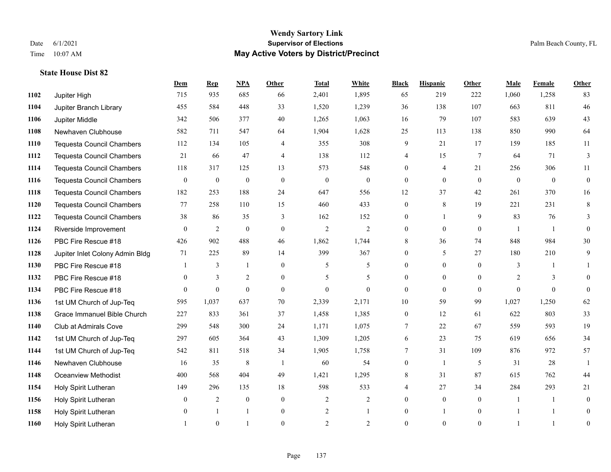|      |                                  | Dem          | <b>Rep</b>       | NPA              | Other          | <b>Total</b>   | <b>White</b>   | <b>Black</b>   | <b>Hispanic</b> | Other        | <b>Male</b>    | <b>Female</b>  | <b>Other</b>   |
|------|----------------------------------|--------------|------------------|------------------|----------------|----------------|----------------|----------------|-----------------|--------------|----------------|----------------|----------------|
| 1102 | Jupiter High                     | 715          | 935              | 685              | 66             | 2,401          | 1,895          | 65             | 219             | 222          | 1,060          | 1,258          | 83             |
| 1104 | Jupiter Branch Library           | 455          | 584              | 448              | 33             | 1,520          | 1,239          | 36             | 138             | 107          | 663            | 811            | 46             |
| 1106 | Jupiter Middle                   | 342          | 506              | 377              | 40             | 1,265          | 1,063          | 16             | 79              | 107          | 583            | 639            | 43             |
| 1108 | Newhaven Clubhouse               | 582          | 711              | 547              | 64             | 1,904          | 1,628          | 25             | 113             | 138          | 850            | 990            | 64             |
| 1110 | <b>Tequesta Council Chambers</b> | 112          | 134              | 105              | $\overline{4}$ | 355            | 308            | 9              | 21              | 17           | 159            | 185            | $11\,$         |
| 1112 | <b>Tequesta Council Chambers</b> | 21           | 66               | 47               | $\overline{4}$ | 138            | 112            | 4              | 15              | 7            | 64             | 71             | 3              |
| 1114 | <b>Tequesta Council Chambers</b> | 118          | 317              | 125              | 13             | 573            | 548            | $\overline{0}$ | 4               | 21           | 256            | 306            | 11             |
| 1116 | <b>Tequesta Council Chambers</b> | $\mathbf{0}$ | $\boldsymbol{0}$ | $\boldsymbol{0}$ | $\theta$       | $\mathbf{0}$   | $\overline{0}$ | $\overline{0}$ | $\mathbf{0}$    | $\theta$     | $\overline{0}$ | $\overline{0}$ | $\mathbf{0}$   |
| 1118 | <b>Tequesta Council Chambers</b> | 182          | 253              | 188              | 24             | 647            | 556            | 12             | 37              | 42           | 261            | 370            | 16             |
| 1120 | <b>Tequesta Council Chambers</b> | 77           | 258              | 110              | 15             | 460            | 433            | $\overline{0}$ | 8               | 19           | 221            | 231            | $8\,$          |
| 1122 | <b>Tequesta Council Chambers</b> | 38           | 86               | 35               | 3              | 162            | 152            | $\overline{0}$ | 1               | 9            | 83             | 76             | 3              |
| 1124 | Riverside Improvement            | $\theta$     | $\overline{2}$   | $\mathbf{0}$     | $\mathbf{0}$   | $\overline{2}$ | 2              | $\overline{0}$ | $\theta$        | $\theta$     | $\overline{1}$ | $\overline{1}$ | $\theta$       |
| 1126 | PBC Fire Rescue #18              | 426          | 902              | 488              | 46             | 1,862          | 1,744          | 8              | 36              | 74           | 848            | 984            | $30\,$         |
| 1128 | Jupiter Inlet Colony Admin Bldg  | 71           | 225              | 89               | 14             | 399            | 367            | $\overline{0}$ | 5               | 27           | 180            | 210            | 9              |
| 1130 | PBC Fire Rescue #18              |              | 3                | 1                | $\theta$       | 5              | 5              | $\overline{0}$ | $\Omega$        | $\Omega$     | 3              |                |                |
| 1132 | PBC Fire Rescue #18              | $\mathbf{0}$ | 3                | $\overline{c}$   | $\mathbf{0}$   | 5              | 5              | $\overline{0}$ | $\overline{0}$  | $\theta$     | 2              | 3              | $\Omega$       |
| 1134 | PBC Fire Rescue #18              | $\Omega$     | $\theta$         | $\theta$         | $\theta$       | $\Omega$       | $\theta$       | $\mathbf{0}$   | $\theta$        | $\Omega$     | $\Omega$       | $\Omega$       | $\Omega$       |
| 1136 | 1st UM Church of Jup-Teq         | 595          | 1,037            | 637              | 70             | 2,339          | 2,171          | $10\,$         | 59              | 99           | 1,027          | 1,250          | 62             |
| 1138 | Grace Immanuel Bible Church      | 227          | 833              | 361              | 37             | 1,458          | 1,385          | 0              | 12              | 61           | 622            | 803            | 33             |
| 1140 | <b>Club at Admirals Cove</b>     | 299          | 548              | 300              | 24             | 1,171          | 1,075          | 7              | 22              | 67           | 559            | 593            | 19             |
| 1142 | 1st UM Church of Jup-Teq         | 297          | 605              | 364              | 43             | 1,309          | 1,205          | 6              | 23              | 75           | 619            | 656            | 34             |
| 1144 | 1st UM Church of Jup-Teq         | 542          | 811              | 518              | 34             | 1,905          | 1,758          | 7              | 31              | 109          | 876            | 972            | 57             |
| 1146 | Newhaven Clubhouse               | 16           | 35               | 8                | $\overline{1}$ | 60             | 54             | $\overline{0}$ | 1               | 5            | 31             | 28             | $\mathbf{1}$   |
| 1148 | <b>Oceanview Methodist</b>       | 400          | 568              | 404              | 49             | 1,421          | 1,295          | 8              | 31              | 87           | 615            | 762            | 44             |
| 1154 | Holy Spirit Lutheran             | 149          | 296              | 135              | 18             | 598            | 533            | 4              | 27              | 34           | 284            | 293            | 21             |
| 1156 | Holy Spirit Lutheran             | $\mathbf{0}$ | $\overline{c}$   | $\mathbf{0}$     | $\mathbf{0}$   | $\overline{2}$ | $\overline{c}$ | $\overline{0}$ | $\overline{0}$  | $\theta$     | $\overline{1}$ | $\overline{1}$ | $\theta$       |
| 1158 | Holy Spirit Lutheran             | $\theta$     |                  | 1                | $\mathbf{0}$   | $\overline{2}$ |                | $\overline{0}$ | 1               | $\mathbf{0}$ |                |                | $\Omega$       |
| 1160 | Holy Spirit Lutheran             |              | $\theta$         |                  | $\theta$       | $\mathfrak{D}$ | $\overline{2}$ | $\theta$       | $\theta$        | $\mathbf{0}$ |                |                | $\overline{0}$ |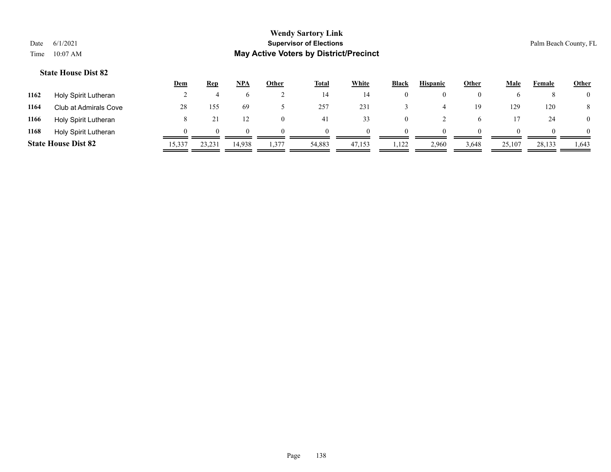|      |                            | <u>Dem</u> | <b>Rep</b>   | NPA    | <u>Other</u> | <b>Total</b> | White  | <b>Black</b> | <b>Hispanic</b> | <b>Other</b> | <b>Male</b> | Female | <b>Other</b>   |
|------|----------------------------|------------|--------------|--------|--------------|--------------|--------|--------------|-----------------|--------------|-------------|--------|----------------|
| 1162 | Holy Spirit Lutheran       |            |              |        |              | 14           | 14     | 0            | $\theta$        |              |             |        | $\overline{0}$ |
| 1164 | Club at Admirals Cove      | 28         | 155          | 69     |              | 257          | 231    |              |                 | 19           | 129         | 120    | 8              |
| 1166 | Holy Spirit Lutheran       |            |              |        |              | 41           | 33     | 0            |                 |              |             | 24     | $\overline{0}$ |
| 1168 | Holy Spirit Lutheran       |            | $\mathbf{U}$ | 0      |              | $\theta$     |        | $\theta$     | $\Omega$        |              |             |        | $\overline{0}$ |
|      | <b>State House Dist 82</b> | 15,337     | 23,231       | 14,938 | 1,377        | 54,883       | 47,153 | 1,122        | 2,960           | 3,648        | 25,107      | 28,133 | 1,643          |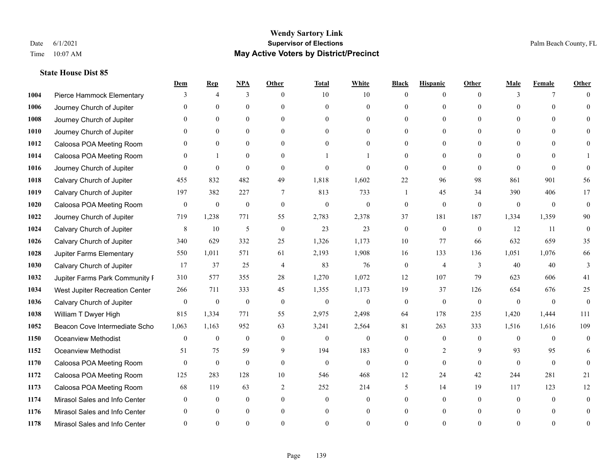|      |                                | Dem          | <b>Rep</b>       | NPA              | <b>Other</b>   | <b>Total</b>     | <b>White</b>     | <b>Black</b>     | <b>Hispanic</b> | <b>Other</b> | <b>Male</b>  | <b>Female</b> | <b>Other</b>   |
|------|--------------------------------|--------------|------------------|------------------|----------------|------------------|------------------|------------------|-----------------|--------------|--------------|---------------|----------------|
| 1004 | Pierce Hammock Elementary      | 3            | $\overline{4}$   | 3                | $\theta$       | 10               | 10               | $\mathbf{0}$     | $\mathbf{0}$    | $\theta$     | 3            | 7             | $\Omega$       |
| 1006 | Journey Church of Jupiter      | $\Omega$     | $\theta$         | $\theta$         | $\Omega$       | $\Omega$         | $\overline{0}$   | $\theta$         | $\mathbf{0}$    | $\Omega$     | $\Omega$     | $\Omega$      | $\Omega$       |
| 1008 | Journey Church of Jupiter      | $\Omega$     | $\theta$         | $\theta$         | $\Omega$       | $\Omega$         | $\Omega$         | $\Omega$         | $\Omega$        | $\Omega$     | $\Omega$     | $\Omega$      |                |
| 1010 | Journey Church of Jupiter      |              | $\mathbf{0}$     | $\mathbf{0}$     | $\mathbf{0}$   | $\theta$         | $\overline{0}$   | $\overline{0}$   | $\mathbf{0}$    | $\Omega$     | $\mathbf{0}$ | $\theta$      |                |
| 1012 | Caloosa POA Meeting Room       | $\Omega$     | $\theta$         | $\mathbf{0}$     | $\Omega$       | $\Omega$         | $\theta$         | $\theta$         | $\theta$        | $\Omega$     | $\theta$     | $\Omega$      | $\Omega$       |
| 1014 | Caloosa POA Meeting Room       | $\Omega$     | $\mathbf{1}$     | $\mathbf{0}$     | $\Omega$       |                  |                  | $\theta$         | $\theta$        | $\Omega$     | $\theta$     | $\Omega$      |                |
| 1016 | Journey Church of Jupiter      | $\theta$     | $\mathbf{0}$     | $\mathbf{0}$     | $\mathbf{0}$   | $\theta$         | $\mathbf{0}$     | $\mathbf{0}$     | $\mathbf{0}$    | $\theta$     | $\theta$     | $\theta$      | $\theta$       |
| 1018 | Calvary Church of Jupiter      | 455          | 832              | 482              | 49             | 1,818            | 1,602            | 22               | 96              | 98           | 861          | 901           | 56             |
| 1019 | Calvary Church of Jupiter      | 197          | 382              | 227              | 7              | 813              | 733              | 1                | 45              | 34           | 390          | 406           | 17             |
| 1020 | Caloosa POA Meeting Room       | $\mathbf{0}$ | $\mathbf{0}$     | $\mathbf{0}$     | $\mathbf{0}$   | $\mathbf{0}$     | $\mathbf{0}$     | $\mathbf{0}$     | $\theta$        | $\theta$     | $\mathbf{0}$ | $\theta$      | $\mathbf{0}$   |
| 1022 | Journey Church of Jupiter      | 719          | 1,238            | 771              | 55             | 2,783            | 2,378            | 37               | 181             | 187          | 1,334        | 1,359         | 90             |
| 1024 | Calvary Church of Jupiter      | $\,$ 8 $\,$  | 10               | $\mathfrak{H}$   | $\mathbf{0}$   | 23               | 23               | $\boldsymbol{0}$ | $\mathbf{0}$    | $\mathbf{0}$ | 12           | 11            | $\theta$       |
| 1026 | Calvary Church of Jupiter      | 340          | 629              | 332              | 25             | 1,326            | 1,173            | 10               | 77              | 66           | 632          | 659           | 35             |
| 1028 | Jupiter Farms Elementary       | 550          | 1,011            | 571              | 61             | 2,193            | 1,908            | 16               | 133             | 136          | 1,051        | 1,076         | 66             |
| 1030 | Calvary Church of Jupiter      | 17           | 37               | 25               | 4              | 83               | 76               | $\boldsymbol{0}$ | 4               | 3            | 40           | 40            | 3              |
| 1032 | Jupiter Farms Park Community I | 310          | 577              | 355              | 28             | 1,270            | 1,072            | 12               | 107             | 79           | 623          | 606           | 41             |
| 1034 | West Jupiter Recreation Center | 266          | 711              | 333              | 45             | 1,355            | 1,173            | 19               | 37              | 126          | 654          | 676           | 25             |
| 1036 | Calvary Church of Jupiter      | $\mathbf{0}$ | $\boldsymbol{0}$ | $\boldsymbol{0}$ | $\mathbf{0}$   | $\boldsymbol{0}$ | $\boldsymbol{0}$ | $\overline{0}$   | $\mathbf{0}$    | $\mathbf{0}$ | $\theta$     | $\theta$      | $\mathbf{0}$   |
| 1038 | William T Dwyer High           | 815          | 1,334            | 771              | 55             | 2,975            | 2,498            | 64               | 178             | 235          | 1,420        | 1,444         | 111            |
| 1052 | Beacon Cove Intermediate Scho  | 1,063        | 1,163            | 952              | 63             | 3,241            | 2,564            | 81               | 263             | 333          | 1,516        | 1,616         | 109            |
| 1150 | <b>Oceanview Methodist</b>     | $\theta$     | $\mathbf{0}$     | $\mathbf{0}$     | $\Omega$       | $\theta$         | $\mathbf{0}$     | $\theta$         | $\theta$        | $\Omega$     | $\Omega$     | $\Omega$      | $\theta$       |
| 1152 | <b>Oceanview Methodist</b>     | 51           | 75               | 59               | 9              | 194              | 183              | $\overline{0}$   | $\overline{c}$  | 9            | 93           | 95            | 6              |
| 1170 | Caloosa POA Meeting Room       | $\mathbf{0}$ | $\mathbf{0}$     | $\mathbf{0}$     | $\mathbf{0}$   | $\mathbf{0}$     | $\mathbf{0}$     | $\overline{0}$   | $\mathbf{0}$    | $\theta$     | $\theta$     | $\theta$      | $\theta$       |
| 1172 | Caloosa POA Meeting Room       | 125          | 283              | 128              | 10             | 546              | 468              | 12               | 24              | 42           | 244          | 281           | 21             |
| 1173 | Caloosa POA Meeting Room       | 68           | 119              | 63               | $\overline{2}$ | 252              | 214              | 5                | 14              | 19           | 117          | 123           | 12             |
| 1174 | Mirasol Sales and Info Center  | $\theta$     | $\overline{0}$   | $\mathbf{0}$     | $\theta$       | $\theta$         | $\overline{0}$   | $\theta$         | $\mathbf{0}$    | $\theta$     | $\theta$     | $\theta$      | $\overline{0}$ |
| 1176 | Mirasol Sales and Info Center  | $\Omega$     | $\theta$         | $\Omega$         | $\theta$       | $\theta$         | $\overline{0}$   | $\theta$         | $\theta$        | $\Omega$     |              | $\theta$      | $\theta$       |
| 1178 | Mirasol Sales and Info Center  | $\Omega$     | $\Omega$         | $\Omega$         | $\Omega$       | $\Omega$         | $\Omega$         | $\Omega$         | $\Omega$        | $\Omega$     |              | $\Omega$      | $\theta$       |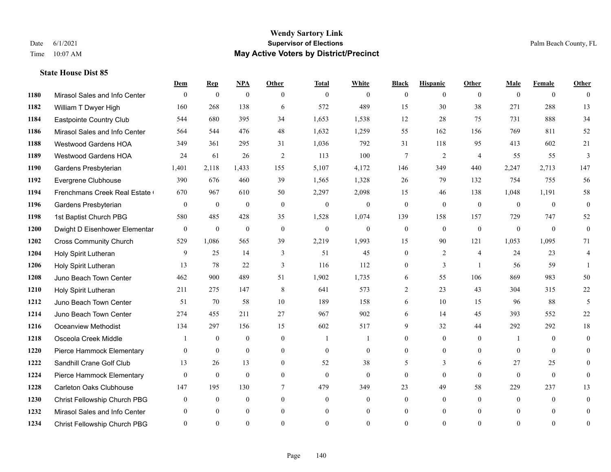### **Wendy Sartory Link** Date 6/1/2021 **Supervisor of Elections** Palm Beach County, FL Time 10:07 AM **May Active Voters by District/Precinct**

**Dem Rep NPA Other Total White Black Hispanic Other Male Female Other**

# Mirasol Sales and Info Center 0 0 0 0 0 0 0 0 0 0 0 0 William T Dwyer High 160 268 138 6 572 489 15 30 38 271 288 13 Eastpointe Country Club 544 680 395 34 1,653 1,538 12 28 75 731 888 34 Mirasol Sales and Info Center 564 544 476 48 1,632 1,259 55 162 156 769 811 52 Westwood Gardens HOA 349 361 295 31 1,036 792 31 118 95 413 602 21 Westwood Gardens HOA 24 61 26 2 113 100 7 2 4 55 55 3 Gardens Presbyterian 1,401 2,118 1,433 155 5,107 4,172 146 349 440 2,247 2,713 147 Evergrene Clubhouse 390 676 460 39 1,565 1,328 26 79 132 754 755 56 1194 Frenchmans Creek Real Estate 670 967 610 50 2,297 2,098 15 46 138 1,048 1,191 58 Gardens Presbyterian 0 0 0 0 0 0 0 0 0 0 0 0 1st Baptist Church PBG 580 485 428 35 1,528 1,074 139 158 157 729 747 52 Dwight D Eisenhower Elementary 0 0 0 0 0 0 0 0 0 0 0 0 Cross Community Church 529 1,086 565 39 2,219 1,993 15 90 121 1,053 1,095 71 Holy Spirit Lutheran 9 25 14 3 51 45 0 2 4 24 23 4 Holy Spirit Lutheran 13 78 22 3 116 112 0 3 1 56 59 1 Juno Beach Town Center 462 900 489 51 1,902 1,735 6 55 106 869 983 50 Holy Spirit Lutheran 211 275 147 8 641 573 2 23 43 304 315 22 Juno Beach Town Center 51 70 58 10 189 158 6 10 15 96 88 5 Juno Beach Town Center 274 455 211 27 967 902 6 14 45 393 552 22 Oceanview Methodist 134 297 156 15 602 517 9 32 44 292 292 18 Osceola Creek Middle  $\begin{array}{cccccccc} 1 & 0 & 0 & 0 & 1 & 1 & 0 & 0 & 0 \\ 0 & 0 & 0 & 1 & 0 & 0 & 0 & 0 \\ 0 & 0 & 0 & 0 & 0 & 0 & 0 & 0 \\ 0 & 0 & 0 & 0 & 0 & 0 & 0 & 0 \\ 0 & 0 & 0 & 0 & 0 & 0 & 0 & 0 \\ 0 & 0 & 0 & 0 & 0 & 0 & 0 & 0 \\ 0 & 0 & 0 & 0 & 0 & 0 & 0 & 0 \\ 0 & 0 & 0 & 0 & 0$  Pierce Hammock Elementary 0 0 0 0 0 0 0 0 0 0 0 0 **1222 Sandhill Crane Golf Club** 13 26 13 0 52 38 5 3 6 27 25 0 Pierce Hammock Elementary 0 0 0 0 0 0 0 0 0 0 0 0 Carleton Oaks Clubhouse 147 195 130 7 479 349 23 49 58 229 237 13

| ▪▲▲▼ | $\overline{ }$ icice i iailililock Lienientaly |     | $\mathbf v$ | $\mathbf{v}$ | $\mathbf v$ |              | $\mathbf v$  | $\mathbf v$ | $\mathbf v$ | $\mathbf v$ | $\mathbf v$ | $\mathbf v$ | v  |
|------|------------------------------------------------|-----|-------------|--------------|-------------|--------------|--------------|-------------|-------------|-------------|-------------|-------------|----|
| 1228 | Carleton Oaks Clubhouse                        | 147 | 195         | 130          |             | 479          | 349          | 23          | 49          | 58          | 229         | 237         | 13 |
| 1230 | Christ Fellowship Church PBG                   |     |             |              |             |              | $\Omega$     | $\Omega$    |             |             |             |             |    |
| 1232 | Mirasol Sales and Info Center                  |     |             |              | $\theta$    | 0            | $\theta$     | $\Omega$    | $\theta$    |             |             |             | 0  |
| 1234 | Christ Fellowship Church PBG                   |     |             |              | $\theta$    | $\mathbf{0}$ | $\mathbf{U}$ | $\theta$    | 0           | $\theta$    | $\theta$    | 0           | 0  |
|      |                                                |     |             |              |             |              |              |             |             |             |             |             |    |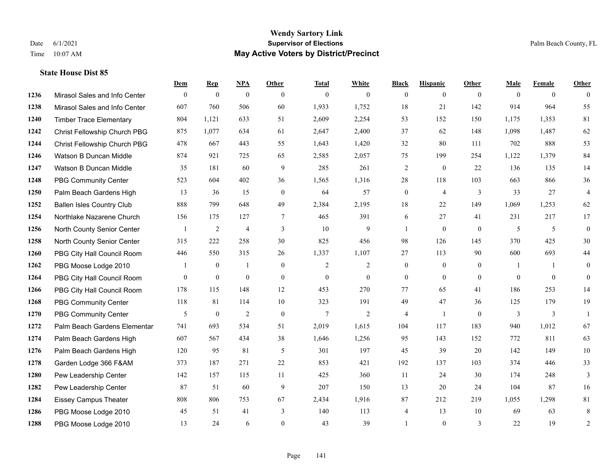### **Wendy Sartory Link** Date 6/1/2021 **Supervisor of Elections** Palm Beach County, FL Time 10:07 AM **May Active Voters by District/Precinct**

# **Dem Rep NPA Other Total White Black Hispanic Other Male Female Other** Mirasol Sales and Info Center 0 0 0 0 0 0 0 0 0 0 0 0 Mirasol Sales and Info Center 607 760 506 60 1,933 1,752 18 21 142 914 964 55 Timber Trace Elementary 804 1,121 633 51 2,609 2,254 53 152 150 1,175 1,353 81 Christ Fellowship Church PBG 875 1,077 634 61 2,647 2,400 37 62 148 1,098 1,487 62 Christ Fellowship Church PBG 478 667 443 55 1,643 1,420 32 80 111 702 888 53 Watson B Duncan Middle 874 921 725 65 2,585 2,057 75 199 254 1,122 1,379 84 Watson B Duncan Middle 35 181 60 9 285 261 2 0 22 136 135 14 PBG Community Center 523 604 402 36 1,565 1,316 28 118 103 663 866 36 Palm Beach Gardens High 13 36 15 0 64 57 0 4 3 33 27 4 Ballen Isles Country Club 888 799 648 49 2,384 2,195 18 22 149 1,069 1,253 62 Northlake Nazarene Church 156 175 127 7 465 391 6 27 41 231 217 17 North County Senior Center 1 2 4 3 10 9 1 0 0 5 5 0 North County Senior Center 315 222 258 30 825 456 98 126 145 370 425 30 PBG City Hall Council Room 446 550 315 26 1,337 1,107 27 113 90 600 693 44 PBG Moose Lodge 2010 1 0 1 0 1 0 2 2 0 0 0 1 1 0 PBG City Hall Council Room 0 0 0 0 0 0 0 0 0 0 0 0 PBG City Hall Council Room 178 115 148 12 453 270 77 65 41 186 253 14 PBG Community Center 118 81 114 10 323 191 49 47 36 125 179 19 PBG Community Center  $\begin{array}{ccccccccccccc}\n & & & & 5 & & 0 & & 2 & & 0 & & 7 & & 2 & & 4 & & 1 & & 0 & & 3 & & 3 & & 1\n\end{array}$  Palm Beach Gardens Elementary 741 693 534 51 2,019 1,615 104 117 183 940 1,012 67 Palm Beach Gardens High 607 567 434 38 1,646 1,256 95 143 152 772 811 63 Palm Beach Gardens High 120 95 81 5 301 197 45 39 20 142 149 10 Garden Lodge 366 F&AM 373 187 271 22 853 421 192 137 103 374 446 33 Pew Leadership Center 142 157 115 11 425 360 11 24 30 174 248 3 Pew Leadership Center 87 51 60 9 207 150 13 20 24 104 87 16 Eissey Campus Theater 808 806 753 67 2,434 1,916 87 212 219 1,055 1,298 81 PBG Moose Lodge 2010 45 51 41 3 140 113 4 13 10 69 63 8 PBG Moose Lodge 2010 13 24 6 0 43 39 1 0 3 22 19 2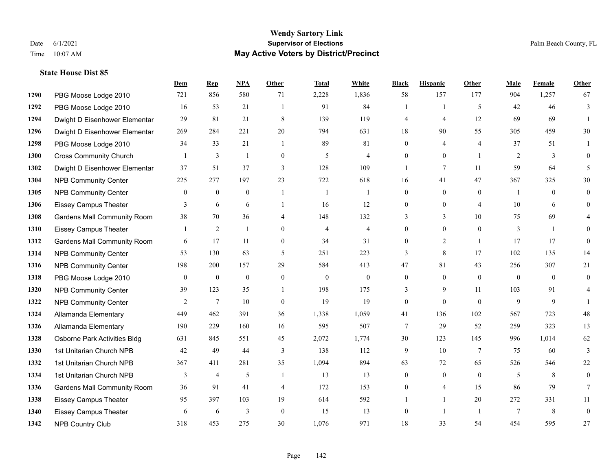#### **Wendy Sartory Link** Date 6/1/2021 **Supervisor of Elections** Palm Beach County, FL Time 10:07 AM **May Active Voters by District/Precinct**

# **Dem Rep NPA Other Total White Black Hispanic Other Male Female Other** PBG Moose Lodge 2010 721 856 580 71 2,228 1,836 58 157 177 904 1,257 67 PBG Moose Lodge 2010 16 53 21 1 91 84 1 1 5 42 46 3 Dwight D Eisenhower Elementar 29 81 21 8 139 119 4 4 12 69 69 1 Dwight D Eisenhower Elementar 269 284 221 20 794 631 18 90 55 305 459 30 PBG Moose Lodge 2010 34 33 21 1 89 81 0 4 4 37 51 1 Cross Community Church 1 3 1 0 5 4 0 0 1 2 3 0 Dwight D Eisenhower Elementar 37 51 37 3 128 109 1 7 11 59 64 5 NPB Community Center 225 277 197 23 722 618 16 41 47 367 325 30 1305 NPB Community Center  $\begin{array}{ccccccccccccc}\n & 0 & 0 & 0 & 1 & 1 & 0 & 0 & 0 & 1 & 0 & 0\n\end{array}$  Eissey Campus Theater **3** 6 6 1 16 12 0 0 4 10 6 0 Gardens Mall Community Room 38 70 36 4 148 132 3 3 10 75 69 4 Eissey Campus Theater 1 2 1 0 4 4 0 0 0 3 1 0 Gardens Mall Community Room 6 17 11 0 34 31 0 2 1 17 17 0 NPB Community Center 53 130 63 5 251 223 3 8 17 102 135 14 NPB Community Center 198 200 157 29 584 413 47 81 43 256 307 21 PBG Moose Lodge 2010 0 0 0 0 0 0 0 0 0 0 0 0 NPB Community Center 39 123 35 1 198 175 3 9 11 103 91 4 **1322 NPB Community Center** 2 7 10 0 19 19 0 0 0 9 9 1 Allamanda Elementary 449 462 391 36 1,338 1,059 41 136 102 567 723 48 Allamanda Elementary 190 229 160 16 595 507 7 29 52 259 323 13 Osborne Park Activities Bldg 631 845 551 45 2,072 1,774 30 123 145 996 1,014 62 1st Unitarian Church NPB 42 49 44 3 138 112 9 10 7 75 60 3 1st Unitarian Church NPB 367 411 281 35 1,094 894 63 72 65 526 546 22 1334 1st Unitarian Church NPB 3 4 5 1 13 13 0 0 0 5 8 0 Gardens Mall Community Room 36 91 41 4 172 153 0 4 15 86 79 7 Eissey Campus Theater 95 397 103 19 614 592 1 1 20 272 331 11 Eissey Campus Theater 6 6 6 3 0 15 13 0 1 1 7 8 0

NPB Country Club 318 453 275 30 1,076 971 18 33 54 454 595 27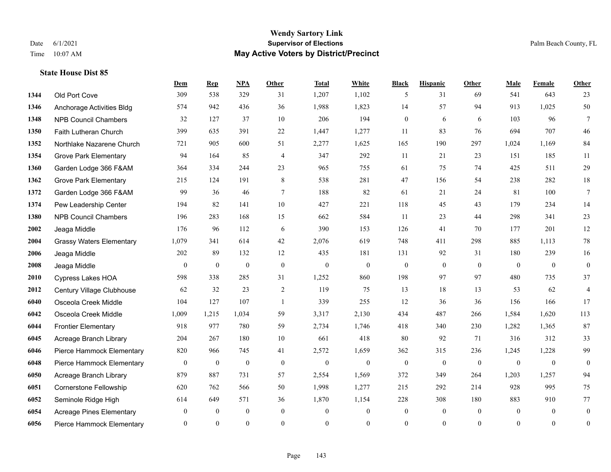#### **Wendy Sartory Link** Date 6/1/2021 **Supervisor of Elections** Palm Beach County, FL Time 10:07 AM **May Active Voters by District/Precinct**

# **Dem Rep NPA Other Total White Black Hispanic Other Male Female Other** Old Port Cove 309 538 329 31 1,207 1,102 5 31 69 541 643 23 Anchorage Activities Bldg 574 942 436 36 1,988 1,823 14 57 94 913 1,025 50 NPB Council Chambers 32 127 37 10 206 194 0 6 6 103 96 7 Faith Lutheran Church 399 635 391 22 1,447 1,277 11 83 76 694 707 46 Northlake Nazarene Church 721 905 600 51 2,277 1,625 165 190 297 1,024 1,169 84 Grove Park Elementary 94 164 85 4 347 292 11 21 23 151 185 11 Garden Lodge 366 F&AM 364 334 244 23 965 755 61 75 74 425 511 29 Grove Park Elementary 215 124 191 8 538 281 47 156 54 238 282 18 Garden Lodge 366 F&AM 99 36 46 7 188 82 61 21 24 81 100 7 Pew Leadership Center 194 82 141 10 427 221 118 45 43 179 234 14 NPB Council Chambers 196 283 168 15 662 584 11 23 44 298 341 23 Jeaga Middle 176 96 112 6 390 153 126 41 70 177 201 12 Grassy Waters Elementary 1,079 341 614 42 2,076 619 748 411 298 885 1,113 78 Jeaga Middle 202 89 132 12 435 181 131 92 31 180 239 16 Jeaga Middle 0 0 0 0 0 0 0 0 0 0 0 0 Cypress Lakes HOA 598 338 285 31 1,252 860 198 97 97 480 735 37 Century Village Clubhouse 62 32 23 2 119 75 13 18 13 53 62 4 Osceola Creek Middle 104 127 107 1 339 255 12 36 36 156 166 17 Osceola Creek Middle 1,009 1,215 1,034 59 3,317 2,130 434 487 266 1,584 1,620 113 Frontier Elementary 918 977 780 59 2,734 1,746 418 340 230 1,282 1,365 87 Acreage Branch Library 204 267 180 10 661 418 80 92 71 316 312 33 Pierce Hammock Elementary 820 966 745 41 2,572 1,659 362 315 236 1,245 1,228 99 Pierce Hammock Elementary 0 0 0 0 0 0 0 0 0 0 0 0 Acreage Branch Library 879 887 731 57 2,554 1,569 372 349 264 1,203 1,257 94 Cornerstone Fellowship 620 762 566 50 1,998 1,277 215 292 214 928 995 75 Seminole Ridge High 614 649 571 36 1,870 1,154 228 308 180 883 910 77 Acreage Pines Elementary 0 0 0 0 0 0 0 0 0 0 0 0 Pierce Hammock Elementary 0 0 0 0 0 0 0 0 0 0 0 0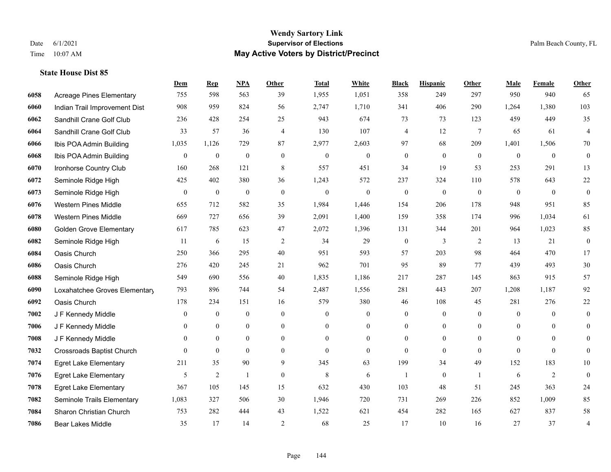#### **Wendy Sartory Link** Date 6/1/2021 **Supervisor of Elections** Palm Beach County, FL Time 10:07 AM **May Active Voters by District/Precinct**

# **Dem Rep NPA Other Total White Black Hispanic Other Male Female Other** Acreage Pines Elementary 755 598 563 39 1,955 1,051 358 249 297 950 940 65 Indian Trail Improvement Dist 908 959 824 56 2,747 1,710 341 406 290 1,264 1,380 103 Sandhill Crane Golf Club 236 428 254 25 943 674 73 73 123 459 449 35 Sandhill Crane Golf Club 33 57 36 4 130 107 4 12 7 65 61 4 Ibis POA Admin Building 1,035 1,126 729 87 2,977 2,603 97 68 209 1,401 1,506 70 Ibis POA Admin Building 0 0 0 0 0 0 0 0 0 0 0 0 Ironhorse Country Club 160 268 121 8 557 451 34 19 53 253 291 13 Seminole Ridge High 425 402 380 36 1,243 572 237 324 110 578 643 22 Seminole Ridge High 0 0 0 0 0 0 0 0 0 0 0 0 Western Pines Middle 655 712 582 35 1,984 1,446 154 206 178 948 951 85 Western Pines Middle 669 727 656 39 2,091 1,400 159 358 174 996 1,034 61 Golden Grove Elementary 617 785 623 47 2,072 1,396 131 344 201 964 1,023 85 Seminole Ridge High 11 6 15 2 34 29 0 3 2 13 21 0 Oasis Church 250 366 295 40 951 593 57 203 98 464 470 17 Oasis Church 276 420 245 21 962 701 95 89 77 439 493 30 Seminole Ridge High 549 690 556 40 1,835 1,186 217 287 145 863 915 57 Loxahatchee Groves Elementary 793 896 744 54 2,487 1,556 281 443 207 1,208 1,187 92 Oasis Church 178 234 151 16 579 380 46 108 45 281 276 22 J F Kennedy Middle 0 0 0 0 0 0 0 0 0 0 0 0 J F Kennedy Middle 0 0 0 0 0 0 0 0 0 0 J F Kennedy Middle 0 0 0 0 0 0 0 0 0 0 0 0 Crossroads Baptist Church 0 0 0 0 0 0 0 0 0 0 0 0 Egret Lake Elementary 211 35 90 9 345 63 199 34 49 152 183 10 Egret Lake Elementary 5 2 1 0 8 6 1 0 1 6 2 0 Egret Lake Elementary 367 105 145 15 632 430 103 48 51 245 363 24 Seminole Trails Elementary 1,083 327 506 30 1,946 720 731 269 226 852 1,009 85 Sharon Christian Church 753 282 444 43 1,522 621 454 282 165 627 837 58 Bear Lakes Middle 35 17 14 2 68 25 17 10 16 27 37 4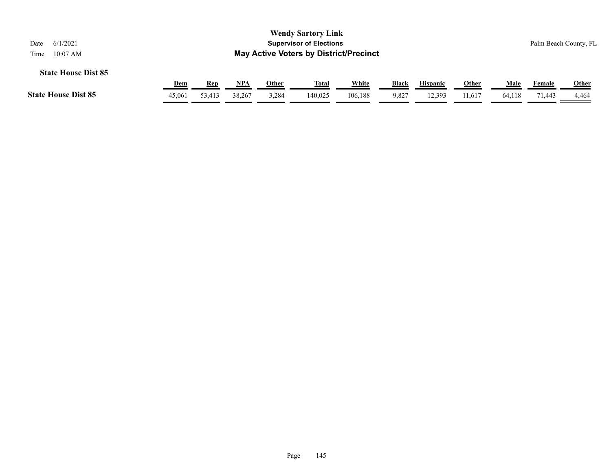| 6/1/2021<br>Date<br>$10:07$ AM<br>Time |            |        |        |       | <b>Wendy Sartory Link</b><br><b>Supervisor of Elections</b><br><b>May Active Voters by District/Precinct</b> |         |              |                 |              |        |        | Palm Beach County, FL |
|----------------------------------------|------------|--------|--------|-------|--------------------------------------------------------------------------------------------------------------|---------|--------------|-----------------|--------------|--------|--------|-----------------------|
| <b>State House Dist 85</b>             | <b>Dem</b> | Rep    | NPA    | Other | <u>Total</u>                                                                                                 | White   | <b>Black</b> | <b>Hispanic</b> | <b>Other</b> | Male   | Female | <b>Other</b>          |
| <b>State House Dist 85</b>             | 45,061     | 53,413 | 38,267 | 3,284 | 140.025                                                                                                      | 106,188 | 9,827        | 12,393          | 11,617       | 64,118 | 71,443 | 4,464                 |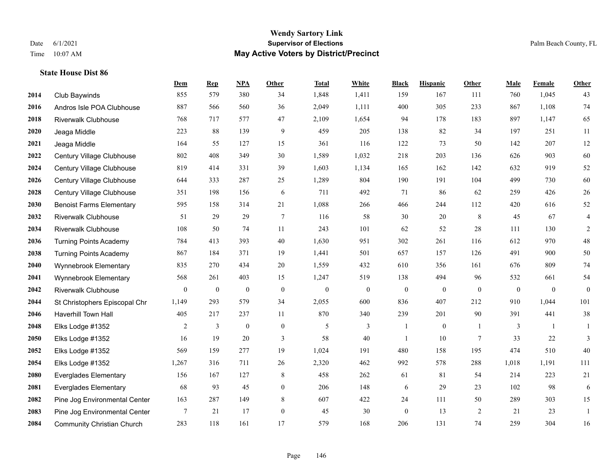|             |                                   | Dem            | <b>Rep</b> | NPA              | <b>Other</b>   | <b>Total</b> | White            | <b>Black</b>     | <b>Hispanic</b> | <b>Other</b>   | <b>Male</b>  | <b>Female</b> | <b>Other</b>   |
|-------------|-----------------------------------|----------------|------------|------------------|----------------|--------------|------------------|------------------|-----------------|----------------|--------------|---------------|----------------|
| 2014        | Club Baywinds                     | 855            | 579        | 380              | 34             | 1,848        | 1,411            | 159              | 167             | 111            | 760          | 1,045         | 43             |
| 2016        | Andros Isle POA Clubhouse         | 887            | 566        | 560              | 36             | 2,049        | 1,111            | 400              | 305             | 233            | 867          | 1,108         | 74             |
| 2018        | <b>Riverwalk Clubhouse</b>        | 768            | 717        | 577              | 47             | 2,109        | 1,654            | 94               | 178             | 183            | 897          | 1,147         | 65             |
| 2020        | Jeaga Middle                      | 223            | 88         | 139              | 9              | 459          | 205              | 138              | 82              | 34             | 197          | 251           | 11             |
| 2021        | Jeaga Middle                      | 164            | 55         | 127              | 15             | 361          | 116              | 122              | 73              | 50             | 142          | 207           | 12             |
| 2022        | Century Village Clubhouse         | 802            | 408        | 349              | 30             | 1,589        | 1,032            | 218              | 203             | 136            | 626          | 903           | 60             |
| 2024        | Century Village Clubhouse         | 819            | 414        | 331              | 39             | 1,603        | 1,134            | 165              | 162             | 142            | 632          | 919           | $52\,$         |
| 2026        | Century Village Clubhouse         | 644            | 333        | 287              | 25             | 1,289        | 804              | 190              | 191             | 104            | 499          | 730           | 60             |
| 2028        | Century Village Clubhouse         | 351            | 198        | 156              | 6              | 711          | 492              | 71               | 86              | 62             | 259          | 426           | $26\,$         |
| 2030        | <b>Benoist Farms Elementary</b>   | 595            | 158        | 314              | 21             | 1,088        | 266              | 466              | 244             | 112            | 420          | 616           | $52\,$         |
| 2032        | <b>Riverwalk Clubhouse</b>        | 51             | 29         | 29               | $\tau$         | 116          | 58               | 30               | 20              | 8              | 45           | 67            | $\overline{4}$ |
| 2034        | <b>Riverwalk Clubhouse</b>        | 108            | 50         | 74               | 11             | 243          | 101              | 62               | 52              | 28             | 111          | 130           | $\overline{2}$ |
| 2036        | <b>Turning Points Academy</b>     | 784            | 413        | 393              | 40             | 1,630        | 951              | 302              | 261             | 116            | 612          | 970           | $48\,$         |
| 2038        | <b>Turning Points Academy</b>     | 867            | 184        | 371              | 19             | 1,441        | 501              | 657              | 157             | 126            | 491          | 900           | 50             |
| 2040        | Wynnebrook Elementary             | 835            | 270        | 434              | 20             | 1,559        | 432              | 610              | 356             | 161            | 676          | 809           | $74\,$         |
| 2041        | Wynnebrook Elementary             | 568            | 261        | 403              | 15             | 1,247        | 519              | 138              | 494             | 96             | 532          | 661           | 54             |
| 2042        | Riverwalk Clubhouse               | $\overline{0}$ | $\bf{0}$   | $\boldsymbol{0}$ | $\mathbf{0}$   | $\mathbf{0}$ | $\boldsymbol{0}$ | $\boldsymbol{0}$ | $\mathbf{0}$    | $\mathbf{0}$   | $\mathbf{0}$ | $\mathbf{0}$  | $\mathbf{0}$   |
| 2044        | St Christophers Episcopal Chr     | 1,149          | 293        | 579              | 34             | 2,055        | 600              | 836              | 407             | 212            | 910          | 1,044         | 101            |
| 2046        | Haverhill Town Hall               | 405            | 217        | 237              | 11             | 870          | 340              | 239              | 201             | 90             | 391          | 441           | $38\,$         |
| 2048        | Elks Lodge #1352                  | 2              | 3          | $\mathbf{0}$     | $\mathbf{0}$   | 5            | 3                | 1                | $\mathbf{0}$    | $\overline{1}$ | 3            | -1            | 1              |
| <b>2050</b> | Elks Lodge #1352                  | 16             | 19         | 20               | 3              | 58           | 40               | -1               | 10              | $\tau$         | 33           | 22            | 3              |
| 2052        | Elks Lodge #1352                  | 569            | 159        | 277              | 19             | 1,024        | 191              | 480              | 158             | 195            | 474          | 510           | 40             |
| 2054        | Elks Lodge #1352                  | 1,267          | 316        | 711              | 26             | 2,320        | 462              | 992              | 578             | 288            | 1,018        | 1,191         | 111            |
| 2080        | <b>Everglades Elementary</b>      | 156            | 167        | 127              | 8              | 458          | 262              | 61               | 81              | 54             | 214          | 223           | 21             |
| 2081        | <b>Everglades Elementary</b>      | 68             | 93         | 45               | $\overline{0}$ | 206          | 148              | 6                | 29              | 23             | 102          | 98            | 6              |
| 2082        | Pine Jog Environmental Center     | 163            | 287        | 149              | 8              | 607          | 422              | 24               | 111             | 50             | 289          | 303           | 15             |
| 2083        | Pine Jog Environmental Center     | 7              | 21         | 17               | $\overline{0}$ | 45           | 30               | $\boldsymbol{0}$ | 13              | 2              | 21           | 23            | 1              |
| 2084        | <b>Community Christian Church</b> | 283            | 118        | 161              | 17             | 579          | 168              | 206              | 131             | 74             | 259          | 304           | 16             |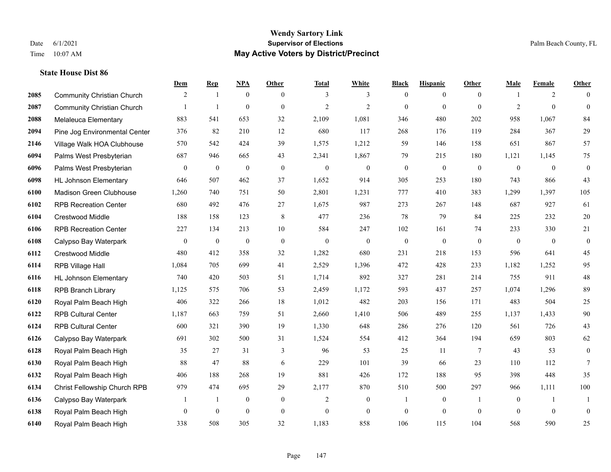### **Wendy Sartory Link** Date 6/1/2021 **Supervisor of Elections** Palm Beach County, FL Time 10:07 AM **May Active Voters by District/Precinct**

# **Dem Rep NPA Other Total White Black Hispanic Other Male Female Other** Community Christian Church 2 1 0 0 3 3 0 0 0 1 2 0 Community Christian Church 1 1 0 0 2 2 0 0 0 2 0 0 Melaleuca Elementary 883 541 653 32 2,109 1,081 346 480 202 958 1,067 84 Pine Jog Environmental Center 376 82 210 12 680 117 268 176 119 284 367 29 Village Walk HOA Clubhouse 570 542 424 39 1,575 1,212 59 146 158 651 867 57 Palms West Presbyterian 687 946 665 43 2,341 1,867 79 215 180 1,121 1,145 75 Palms West Presbyterian 0 0 0 0 0 0 0 0 0 0 0 0 HL Johnson Elementary 646 507 462 37 1,652 914 305 253 180 743 866 43 Madison Green Clubhouse 1,260 740 751 50 2,801 1,231 777 410 383 1,299 1,397 105 RPB Recreation Center 680 492 476 27 1,675 987 273 267 148 687 927 61 Crestwood Middle 188 158 123 8 477 236 78 79 84 225 232 20 RPB Recreation Center 227 134 213 10 584 247 102 161 74 233 330 21 Calypso Bay Waterpark 0 0 0 0 0 0 0 0 0 0 0 0 Crestwood Middle 480 412 358 32 1,282 680 231 218 153 596 641 45 RPB Village Hall 1,084 705 699 41 2,529 1,396 472 428 233 1,182 1,252 95 HL Johnson Elementary 740 420 503 51 1,714 892 327 281 214 755 911 48 RPB Branch Library 1,125 575 706 53 2,459 1,172 593 437 257 1,074 1,296 89 Royal Palm Beach High 406 322 266 18 1,012 482 203 156 171 483 504 25 RPB Cultural Center 1,187 663 759 51 2,660 1,410 506 489 255 1,137 1,433 90 RPB Cultural Center 600 321 390 19 1,330 648 286 276 120 561 726 43 Calypso Bay Waterpark 691 302 500 31 1,524 554 412 364 194 659 803 62 Royal Palm Beach High 35 27 31 3 96 53 25 11 7 43 53 0 Royal Palm Beach High 88 47 88 6 229 101 39 66 23 110 112 7 Royal Palm Beach High 406 188 268 19 881 426 172 188 95 398 448 35 Christ Fellowship Church RPB 979 474 695 29 2,177 870 510 500 297 966 1,111 100 Calypso Bay Waterpark 1 1 0 0 2 0 1 0 1 0 1 1 Royal Palm Beach High 0 0 0 0 0 0 0 0 0 0 0 0

Royal Palm Beach High 338 508 305 32 1,183 858 106 115 104 568 590 25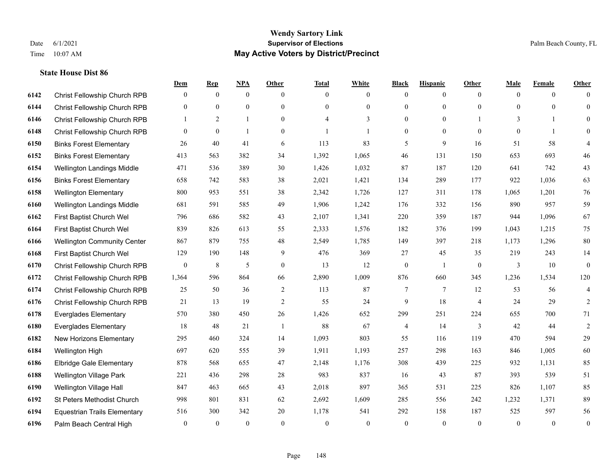|      |                                     | Dem          | <b>Rep</b>   | <u>NPA</u>   | <b>Other</b>   | <b>Total</b> | <b>White</b>   | <b>Black</b>     | <b>Hispanic</b> | <b>Other</b>   | <b>Male</b>  | <b>Female</b> | <b>Other</b>     |
|------|-------------------------------------|--------------|--------------|--------------|----------------|--------------|----------------|------------------|-----------------|----------------|--------------|---------------|------------------|
| 6142 | Christ Fellowship Church RPB        | $\mathbf{0}$ | $\mathbf{0}$ | $\mathbf{0}$ | $\theta$       | $\theta$     | $\overline{0}$ | $\mathbf{0}$     | $\overline{0}$  | $\theta$       | $\theta$     | $\theta$      | $\Omega$         |
| 6144 | Christ Fellowship Church RPB        | $\mathbf{0}$ | $\mathbf{0}$ | $\mathbf{0}$ | $\Omega$       | $\Omega$     | $\overline{0}$ | $\mathbf{0}$     | $\mathbf{0}$    | $\theta$       | $\theta$     | $\theta$      | $\theta$         |
| 6146 | Christ Fellowship Church RPB        | 1            | 2            | $\mathbf{1}$ | $\theta$       | 4            | 3              | $\mathbf{0}$     | $\overline{0}$  |                | 3            | -1            | $\Omega$         |
| 6148 | Christ Fellowship Church RPB        | $\mathbf{0}$ | $\mathbf{0}$ | $\mathbf{1}$ | $\overline{0}$ |              | $\mathbf{1}$   | $\boldsymbol{0}$ | $\overline{0}$  | $\theta$       | $\mathbf{0}$ | $\mathbf{1}$  | $\Omega$         |
| 6150 | <b>Binks Forest Elementary</b>      | 26           | 40           | 41           | 6              | 113          | 83             | 5                | 9               | 16             | 51           | 58            | 4                |
| 6152 | <b>Binks Forest Elementary</b>      | 413          | 563          | 382          | 34             | 1,392        | 1,065          | 46               | 131             | 150            | 653          | 693           | $46\,$           |
| 6154 | Wellington Landings Middle          | 471          | 536          | 389          | 30             | 1,426        | 1,032          | 87               | 187             | 120            | 641          | 742           | 43               |
| 6156 | <b>Binks Forest Elementary</b>      | 658          | 742          | 583          | 38             | 2,021        | 1,421          | 134              | 289             | 177            | 922          | 1,036         | 63               |
| 6158 | <b>Wellington Elementary</b>        | 800          | 953          | 551          | 38             | 2,342        | 1,726          | 127              | 311             | 178            | 1,065        | 1,201         | 76               |
| 6160 | Wellington Landings Middle          | 681          | 591          | 585          | 49             | 1,906        | 1,242          | 176              | 332             | 156            | 890          | 957           | 59               |
| 6162 | First Baptist Church Wel            | 796          | 686          | 582          | 43             | 2,107        | 1,341          | 220              | 359             | 187            | 944          | 1.096         | 67               |
| 6164 | First Baptist Church Wel            | 839          | 826          | 613          | 55             | 2,333        | 1,576          | 182              | 376             | 199            | 1,043        | 1,215         | 75               |
| 6166 | <b>Wellington Community Center</b>  | 867          | 879          | 755          | 48             | 2,549        | 1,785          | 149              | 397             | 218            | 1,173        | 1,296         | 80               |
| 6168 | First Baptist Church Wel            | 129          | 190          | 148          | 9              | 476          | 369            | 27               | 45              | 35             | 219          | 243           | 14               |
| 6170 | Christ Fellowship Church RPB        | $\mathbf{0}$ | 8            | 5            | $\overline{0}$ | 13           | 12             | $\boldsymbol{0}$ | $\mathbf{1}$    | $\overline{0}$ | 3            | 10            | $\mathbf{0}$     |
| 6172 | Christ Fellowship Church RPB        | 1,364        | 596          | 864          | 66             | 2,890        | 1,009          | 876              | 660             | 345            | 1,236        | 1,534         | 120              |
| 6174 | Christ Fellowship Church RPB        | 25           | 50           | 36           | $\overline{c}$ | 113          | 87             | 7                | $\overline{7}$  | 12             | 53           | 56            | 4                |
| 6176 | Christ Fellowship Church RPB        | 21           | 13           | 19           | $\overline{2}$ | 55           | 24             | 9                | 18              | $\overline{4}$ | 24           | 29            | $\overline{2}$   |
| 6178 | <b>Everglades Elementary</b>        | 570          | 380          | 450          | 26             | 1,426        | 652            | 299              | 251             | 224            | 655          | 700           | 71               |
| 6180 | <b>Everglades Elementary</b>        | 18           | 48           | 21           | $\mathbf{1}$   | 88           | 67             | 4                | 14              | 3              | 42           | 44            | $\sqrt{2}$       |
| 6182 | New Horizons Elementary             | 295          | 460          | 324          | 14             | 1,093        | 803            | 55               | 116             | 119            | 470          | 594           | 29               |
| 6184 | Wellington High                     | 697          | 620          | 555          | 39             | 1,911        | 1,193          | 257              | 298             | 163            | 846          | 1,005         | 60               |
| 6186 | Elbridge Gale Elementary            | 878          | 568          | 655          | 47             | 2,148        | 1,176          | 308              | 439             | 225            | 932          | 1,131         | 85               |
| 6188 | <b>Wellington Village Park</b>      | 221          | 436          | 298          | 28             | 983          | 837            | 16               | 43              | 87             | 393          | 539           | 51               |
| 6190 | Wellington Village Hall             | 847          | 463          | 665          | 43             | 2,018        | 897            | 365              | 531             | 225            | 826          | 1.107         | 85               |
| 6192 | St Peters Methodist Church          | 998          | 801          | 831          | 62             | 2,692        | 1,609          | 285              | 556             | 242            | 1,232        | 1,371         | 89               |
| 6194 | <b>Equestrian Trails Elementary</b> | 516          | 300          | 342          | 20             | 1,178        | 541            | 292              | 158             | 187            | 525          | 597           | 56               |
| 6196 | Palm Beach Central High             | $\mathbf{0}$ | $\mathbf{0}$ | $\mathbf{0}$ | $\theta$       | $\theta$     | $\overline{0}$ | $\theta$         | $\theta$        | $\theta$       | $\theta$     | $\mathbf{0}$  | $\boldsymbol{0}$ |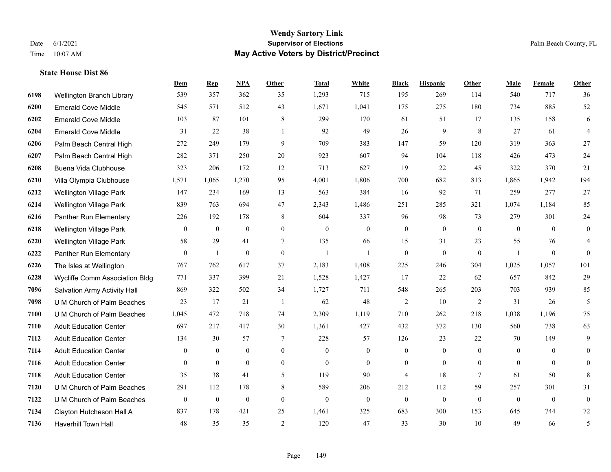|      |                                | Dem              | <b>Rep</b>     | NPA              | <b>Other</b>     | <b>Total</b>     | <b>White</b>   | <b>Black</b>     | <b>Hispanic</b>  | Other          | <b>Male</b>    | <b>Female</b>    | <b>Other</b>   |
|------|--------------------------------|------------------|----------------|------------------|------------------|------------------|----------------|------------------|------------------|----------------|----------------|------------------|----------------|
| 6198 | Wellington Branch Library      | 539              | 357            | 362              | 35               | 1,293            | 715            | 195              | 269              | 114            | 540            | 717              | 36             |
| 6200 | <b>Emerald Cove Middle</b>     | 545              | 571            | 512              | 43               | 1,671            | 1,041          | 175              | 275              | 180            | 734            | 885              | 52             |
| 6202 | <b>Emerald Cove Middle</b>     | 103              | 87             | 101              | 8                | 299              | 170            | 61               | 51               | 17             | 135            | 158              | 6              |
| 6204 | <b>Emerald Cove Middle</b>     | 31               | 22             | 38               | $\mathbf{1}$     | 92               | 49             | 26               | 9                | 8              | 27             | 61               | $\overline{4}$ |
| 6206 | Palm Beach Central High        | 272              | 249            | 179              | 9                | 709              | 383            | 147              | 59               | 120            | 319            | 363              | 27             |
| 6207 | Palm Beach Central High        | 282              | 371            | 250              | $20\,$           | 923              | 607            | 94               | 104              | 118            | 426            | 473              | 24             |
| 6208 | Buena Vida Clubhouse           | 323              | 206            | 172              | 12               | 713              | 627            | 19               | 22               | 45             | 322            | 370              | 21             |
| 6210 | Villa Olympia Clubhouse        | 1,571            | 1,065          | 1,270            | 95               | 4,001            | 1,806          | 700              | 682              | 813            | 1,865          | 1,942            | 194            |
| 6212 | <b>Wellington Village Park</b> | 147              | 234            | 169              | 13               | 563              | 384            | 16               | 92               | 71             | 259            | 277              | $27\,$         |
| 6214 | Wellington Village Park        | 839              | 763            | 694              | 47               | 2,343            | 1,486          | 251              | 285              | 321            | 1,074          | 1,184            | 85             |
| 6216 | Panther Run Elementary         | 226              | 192            | 178              | 8                | 604              | 337            | 96               | 98               | 73             | 279            | 301              | 24             |
| 6218 | <b>Wellington Village Park</b> | $\mathbf{0}$     | $\overline{0}$ | $\mathbf{0}$     | $\overline{0}$   | $\boldsymbol{0}$ | $\mathbf{0}$   | $\overline{0}$   | $\overline{0}$   | $\mathbf{0}$   | $\mathbf{0}$   | $\theta$         | $\mathbf{0}$   |
| 6220 | Wellington Village Park        | 58               | 29             | 41               | $\tau$           | 135              | 66             | 15               | 31               | 23             | 55             | 76               | 4              |
| 6222 | Panther Run Elementary         | $\boldsymbol{0}$ | 1              | $\boldsymbol{0}$ | $\boldsymbol{0}$ | $\mathbf{1}$     | 1              | $\boldsymbol{0}$ | $\boldsymbol{0}$ | $\mathbf{0}$   | $\overline{1}$ | $\boldsymbol{0}$ | $\theta$       |
| 6226 | The Isles at Wellington        | 767              | 762            | 617              | 37               | 2,183            | 1,408          | 225              | 246              | 304            | 1,025          | 1,057            | 101            |
| 6228 | Wycliffe Comm Association Bldg | 771              | 337            | 399              | 21               | 1,528            | 1,427          | 17               | 22               | 62             | 657            | 842              | 29             |
| 7096 | Salvation Army Activity Hall   | 869              | 322            | 502              | 34               | 1,727            | 711            | 548              | 265              | 203            | 703            | 939              | 85             |
| 7098 | U M Church of Palm Beaches     | 23               | 17             | 21               | $\overline{1}$   | 62               | 48             | $\overline{c}$   | 10               | 2              | 31             | 26               | 5              |
| 7100 | U M Church of Palm Beaches     | 1,045            | 472            | 718              | 74               | 2,309            | 1,119          | 710              | 262              | 218            | 1,038          | 1,196            | 75             |
| 7110 | <b>Adult Education Center</b>  | 697              | 217            | 417              | 30               | 1,361            | 427            | 432              | 372              | 130            | 560            | 738              | 63             |
| 7112 | <b>Adult Education Center</b>  | 134              | 30             | 57               | 7                | 228              | 57             | 126              | 23               | 22             | 70             | 149              | 9              |
| 7114 | <b>Adult Education Center</b>  | $\mathbf{0}$     | $\overline{0}$ | $\mathbf{0}$     | $\overline{0}$   | $\theta$         | $\overline{0}$ | $\mathbf{0}$     | $\overline{0}$   | $\theta$       | $\mathbf{0}$   | $\theta$         | $\theta$       |
| 7116 | <b>Adult Education Center</b>  | $\overline{0}$   | $\overline{0}$ | $\mathbf{0}$     | $\overline{0}$   | $\mathbf{0}$     | $\overline{0}$ | $\boldsymbol{0}$ | $\overline{0}$   | $\overline{0}$ | $\overline{0}$ | $\overline{0}$   | $\mathbf{0}$   |
| 7118 | <b>Adult Education Center</b>  | 35               | 38             | 41               | 5                | 119              | 90             | 4                | 18               | $\tau$         | 61             | 50               | 8              |
| 7120 | U M Church of Palm Beaches     | 291              | 112            | 178              | 8                | 589              | 206            | 212              | 112              | 59             | 257            | 301              | 31             |
| 7122 | U M Church of Palm Beaches     | $\mathbf{0}$     | $\mathbf{0}$   | $\theta$         | $\mathbf{0}$     | $\theta$         | $\mathbf{0}$   | $\boldsymbol{0}$ | $\overline{0}$   | $\mathbf{0}$   | $\overline{0}$ | $\overline{0}$   | $\overline{0}$ |
| 7134 | Clayton Hutcheson Hall A       | 837              | 178            | 421              | 25               | 1,461            | 325            | 683              | 300              | 153            | 645            | 744              | $72\,$         |
| 7136 | <b>Haverhill Town Hall</b>     | 48               | 35             | 35               | 2                | 120              | 47             | 33               | 30               | 10             | 49             | 66               | 5              |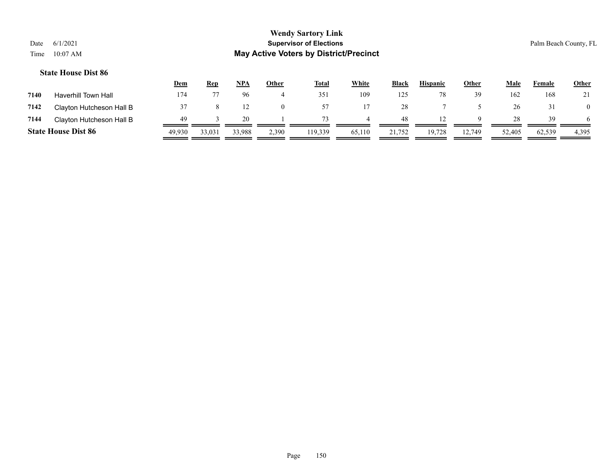|      |                            | <u>Dem</u> | <b>Rep</b> | <u>NPA</u> | Other    | <b>Total</b> | White  | <b>Black</b> | <b>Hispanic</b> | Other  | Male   | Female | <b>Other</b>   |
|------|----------------------------|------------|------------|------------|----------|--------------|--------|--------------|-----------------|--------|--------|--------|----------------|
| 7140 | <b>Haverhill Town Hall</b> | 174        |            | 96         | 4        | 351          | 109    | 125          |                 | 39     | 162    | 168    |                |
| 7142 | Clayton Hutcheson Hall B   |            |            |            | $\Omega$ | 57           |        | 28           |                 |        | 26     |        | $\overline{0}$ |
| 7144 | Clayton Hutcheson Hall B   | 49         |            | 20.        |          | 73           |        | 48           |                 |        | 28     | 39     | 6              |
|      | <b>State House Dist 86</b> | 49.930     | 33,031     | 33,988     | 2,390    | 119.339      | 65,110 | 21,752       | 19,728          | 12,749 | 52,405 | 62,539 | 4,395          |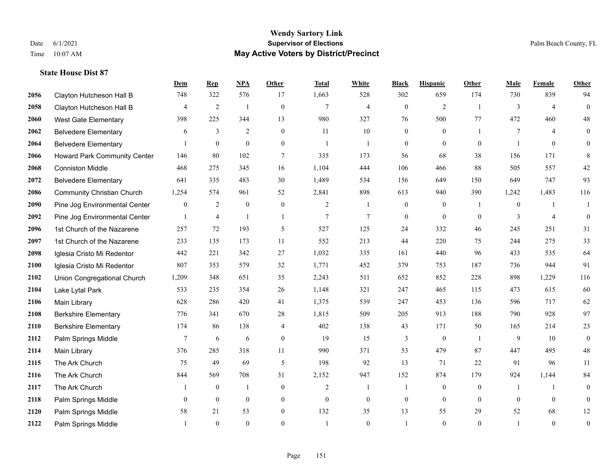|      |                                   | <b>Dem</b>       | <b>Rep</b>     | NPA              | <b>Other</b>     | <b>Total</b>   | <b>White</b>     | <b>Black</b>     | <b>Hispanic</b>  | <b>Other</b>   | <b>Male</b>    | Female         | <b>Other</b>     |
|------|-----------------------------------|------------------|----------------|------------------|------------------|----------------|------------------|------------------|------------------|----------------|----------------|----------------|------------------|
| 2056 | Clayton Hutcheson Hall B          | 748              | 322            | 576              | 17               | 1,663          | 528              | 302              | 659              | 174            | 730            | 839            | 94               |
| 2058 | Clayton Hutcheson Hall B          | 4                | 2              | $\overline{1}$   | $\boldsymbol{0}$ | $\overline{7}$ | $\overline{4}$   | $\boldsymbol{0}$ | $\overline{2}$   | -1             | 3              | $\overline{4}$ | $\boldsymbol{0}$ |
| 2060 | <b>West Gate Elementary</b>       | 398              | 225            | 344              | 13               | 980            | 327              | 76               | 500              | 77             | 472            | 460            | 48               |
| 2062 | <b>Belvedere Elementary</b>       | 6                | $\mathfrak{Z}$ | 2                | $\mathbf{0}$     | 11             | 10               | $\mathbf{0}$     | $\mathbf{0}$     |                | $\overline{7}$ | $\overline{4}$ | $\mathbf{0}$     |
| 2064 | <b>Belvedere Elementary</b>       |                  | $\mathbf{0}$   | $\mathbf{0}$     | $\overline{0}$   | $\overline{1}$ | $\mathbf{1}$     | $\overline{0}$   | $\overline{0}$   | $\theta$       |                | $\theta$       | $\mathbf{0}$     |
| 2066 | Howard Park Community Center      | 146              | 80             | 102              | 7                | 335            | 173              | 56               | 68               | 38             | 156            | 171            | 8                |
| 2068 | <b>Conniston Middle</b>           | 468              | 275            | 345              | 16               | 1,104          | 444              | 106              | 466              | 88             | 505            | 557            | $42\,$           |
| 2072 | <b>Belvedere Elementary</b>       | 641              | 335            | 483              | 30               | 1,489          | 534              | 156              | 649              | 150            | 649            | 747            | 93               |
| 2086 | <b>Community Christian Church</b> | 1,254            | 574            | 961              | 52               | 2,841          | 898              | 613              | 940              | 390            | 1,242          | 1,483          | 116              |
| 2090 | Pine Jog Environmental Center     | $\boldsymbol{0}$ | 2              | $\boldsymbol{0}$ | $\boldsymbol{0}$ | $\overline{2}$ | -1               | $\boldsymbol{0}$ | $\boldsymbol{0}$ | -1             | $\overline{0}$ | -1             | 1                |
| 2092 | Pine Jog Environmental Center     | $\mathbf{1}$     | $\overline{4}$ | $\mathbf{1}$     | $\mathbf{1}$     | $\tau$         | $\tau$           | $\boldsymbol{0}$ | $\mathbf{0}$     | $\theta$       | 3              | $\overline{4}$ | $\mathbf{0}$     |
| 2096 | 1st Church of the Nazarene        | 257              | 72             | 193              | 5                | 527            | 125              | 24               | 332              | 46             | 245            | 251            | 31               |
| 2097 | 1st Church of the Nazarene        | 233              | 135            | 173              | 11               | 552            | 213              | 44               | 220              | 75             | 244            | 275            | 33               |
| 2098 | Iglesia Cristo Mi Redentor        | 442              | 221            | 342              | 27               | 1,032          | 335              | 161              | 440              | 96             | 433            | 535            | 64               |
| 2100 | Iglesia Cristo Mi Redentor        | 807              | 353            | 579              | 32               | 1,771          | 452              | 379              | 753              | 187            | 736            | 944            | 91               |
| 2102 | Union Congregational Church       | 1,209            | 348            | 651              | 35               | 2,243          | 511              | 652              | 852              | 228            | 898            | 1,229          | 116              |
| 2104 | Lake Lytal Park                   | 533              | 235            | 354              | 26               | 1,148          | 321              | 247              | 465              | 115            | 473            | 615            | 60               |
| 2106 | Main Library                      | 628              | 286            | 420              | 41               | 1,375          | 539              | 247              | 453              | 136            | 596            | 717            | 62               |
| 2108 | <b>Berkshire Elementary</b>       | 776              | 341            | 670              | 28               | 1,815          | 509              | 205              | 913              | 188            | 790            | 928            | 97               |
| 2110 | <b>Berkshire Elementary</b>       | 174              | 86             | 138              | 4                | 402            | 138              | 43               | 171              | 50             | 165            | 214            | 23               |
| 2112 | Palm Springs Middle               | $\tau$           | 6              | 6                | $\overline{0}$   | 19             | 15               | 3                | $\mathbf{0}$     | $\overline{1}$ | 9              | 10             | $\mathbf{0}$     |
| 2114 | Main Library                      | 376              | 285            | 318              | 11               | 990            | 371              | 53               | 479              | 87             | 447            | 495            | $48\,$           |
| 2115 | The Ark Church                    | 75               | 49             | 69               | 5                | 198            | 92               | 13               | 71               | 22             | 91             | 96             | 11               |
| 2116 | The Ark Church                    | 844              | 569            | 708              | 31               | 2,152          | 947              | 152              | 874              | 179            | 924            | 1,144          | 84               |
| 2117 | The Ark Church                    |                  | $\mathbf{0}$   | $\mathbf{1}$     | $\overline{0}$   | 2              | $\mathbf{1}$     | 1                | $\mathbf{0}$     | $\theta$       | -1             | $\mathbf{1}$   | $\boldsymbol{0}$ |
| 2118 | Palm Springs Middle               | $\overline{0}$   | $\mathbf{0}$   | $\boldsymbol{0}$ | $\boldsymbol{0}$ | $\overline{0}$ | $\boldsymbol{0}$ | $\boldsymbol{0}$ | $\mathbf{0}$     | $\mathbf{0}$   | $\mathbf{0}$   | $\mathbf{0}$   | $\boldsymbol{0}$ |
| 2120 | Palm Springs Middle               | 58               | 21             | 53               | $\overline{0}$   | 132            | 35               | 13               | 55               | 29             | 52             | 68             | 12               |
| 2122 | Palm Springs Middle               |                  | $\theta$       | $\theta$         | $\Omega$         | $\overline{1}$ | $\Omega$         |                  | $\theta$         | $\theta$       |                | $\theta$       | $\boldsymbol{0}$ |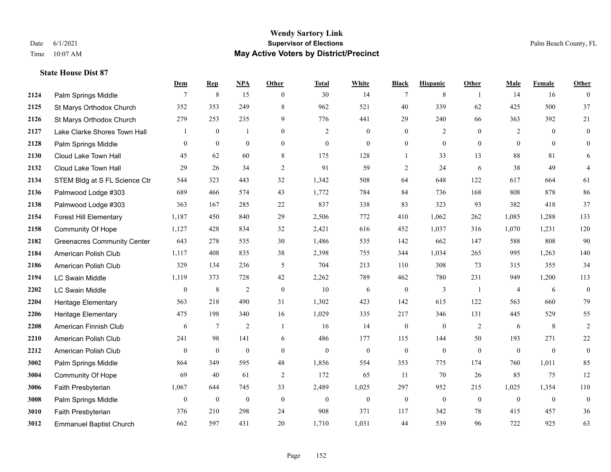### **Wendy Sartory Link** Date 6/1/2021 **Supervisor of Elections** Palm Beach County, FL Time 10:07 AM **May Active Voters by District/Precinct**

## **Dem Rep NPA Other Total White Black Hispanic Other Male Female Other 2124** Palm Springs Middle  $\begin{array}{cccccccc} 7 & 8 & 15 & 0 & 30 & 14 & 7 & 8 & 1 & 14 & 16 & 0 \end{array}$  St Marys Orthodox Church 352 353 249 8 962 521 40 339 62 425 500 37 St Marys Orthodox Church 279 253 235 9 776 441 29 240 66 363 392 21 Lake Clarke Shores Town Hall  $\begin{array}{ccccccccc} 1 & 0 & 1 & 0 & 2 & 0 & 0 & 2 & 0 & 2 & 0 & 0 \end{array}$  Palm Springs Middle 0 0 0 0 0 0 0 0 0 0 0 0 Cloud Lake Town Hall 45 62 60 8 175 128 1 33 13 88 81 6 Cloud Lake Town Hall 29 26 34 2 91 59 2 24 6 38 49 4 STEM Bldg at S FL Science Ctr 544 323 443 32 1,342 508 64 648 122 617 664 61 Palmwood Lodge #303 689 466 574 43 1,772 784 84 736 168 808 878 86 Palmwood Lodge #303 363 167 285 22 837 338 83 323 93 382 418 37 Forest Hill Elementary 1,187 450 840 29 2,506 772 410 1,062 262 1,085 1,288 133 Community Of Hope 1,127 428 834 32 2,421 616 452 1,037 316 1,070 1,231 120 Greenacres Community Center 643 278 535 30 1,486 535 142 662 147 588 808 90 American Polish Club 1,117 408 835 38 2,398 755 344 1,034 265 995 1,263 140 American Polish Club 329 134 236 5 704 213 110 308 73 315 355 34 LC Swain Middle 1,119 373 728 42 2,262 789 462 780 231 949 1,200 113 LC Swain Middle 0 8 2 0 10 6 0 3 1 4 6 0 Heritage Elementary 563 218 490 31 1,302 423 142 615 122 563 660 79 Heritage Elementary 475 198 340 16 1,029 335 217 346 131 445 529 55 American Finnish Club 6 7 2 1 16 14 0 0 2 6 8 2 American Polish Club 241 98 141 6 486 177 115 144 50 193 271 22 American Polish Club 0 0 0 0 0 0 0 0 0 0 0 0 Palm Springs Middle 864 349 595 48 1,856 554 353 775 174 760 1,011 85 Community Of Hope 69 40 61 2 172 65 11 70 26 85 75 12 Faith Presbyterian 1,067 644 745 33 2,489 1,025 297 952 215 1,025 1,354 110 Palm Springs Middle  $\begin{pmatrix} 0 & 0 & 0 & 0 \\ 0 & 0 & 0 & 0 \\ 0 & 0 & 0 & 0 \end{pmatrix}$  Faith Presbyterian 376 210 298 24 908 371 117 342 78 415 457 36 Emmanuel Baptist Church 662 597 431 20 1,710 1,031 44 539 96 722 925 63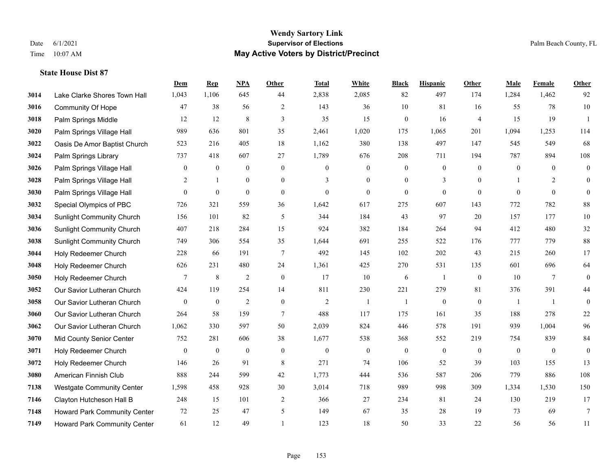|      |                                     | Dem              | <b>Rep</b>       | NPA              | <b>Other</b>   | <b>Total</b>     | <b>White</b>     | <b>Black</b>             | <b>Hispanic</b>  | <b>Other</b>     | <b>Male</b>      | <b>Female</b>   | <b>Other</b>   |
|------|-------------------------------------|------------------|------------------|------------------|----------------|------------------|------------------|--------------------------|------------------|------------------|------------------|-----------------|----------------|
| 3014 | Lake Clarke Shores Town Hall        | 1,043            | 1,106            | 645              | 44             | 2,838            | 2,085            | 82                       | 497              | 174              | 1,284            | 1,462           | 92             |
| 3016 | <b>Community Of Hope</b>            | 47               | 38               | 56               | 2              | 143              | 36               | 10                       | 81               | 16               | 55               | 78              | $10\,$         |
| 3018 | Palm Springs Middle                 | 12               | 12               | $\,8\,$          | 3              | 35               | 15               | $\boldsymbol{0}$         | 16               | $\overline{4}$   | 15               | 19              | -1             |
| 3020 | Palm Springs Village Hall           | 989              | 636              | 801              | 35             | 2,461            | 1,020            | 175                      | 1,065            | 201              | 1,094            | 1,253           | 114            |
| 3022 | Oasis De Amor Baptist Church        | 523              | 216              | 405              | 18             | 1,162            | 380              | 138                      | 497              | 147              | 545              | 549             | 68             |
| 3024 | Palm Springs Library                | 737              | 418              | 607              | 27             | 1,789            | 676              | 208                      | 711              | 194              | 787              | 894             | 108            |
| 3026 | Palm Springs Village Hall           | $\bf{0}$         | $\boldsymbol{0}$ | $\boldsymbol{0}$ | $\mathbf{0}$   | $\theta$         | $\boldsymbol{0}$ | $\boldsymbol{0}$         | $\boldsymbol{0}$ | $\mathbf{0}$     | $\boldsymbol{0}$ | $\overline{0}$  | $\mathbf{0}$   |
| 3028 | Palm Springs Village Hall           | 2                | $\mathbf{1}$     | $\theta$         | $\theta$       | 3                | $\theta$         | $\Omega$                 | 3                | $\Omega$         | $\mathbf{1}$     | 2               | $\overline{0}$ |
| 3030 | Palm Springs Village Hall           | $\boldsymbol{0}$ | $\boldsymbol{0}$ | $\mathbf{0}$     | $\mathbf{0}$   | $\boldsymbol{0}$ | $\mathbf{0}$     | $\boldsymbol{0}$         | $\overline{0}$   | $\mathbf{0}$     | $\mathbf{0}$     | $\mathbf{0}$    | $\overline{0}$ |
| 3032 | Special Olympics of PBC             | 726              | 321              | 559              | 36             | 1,642            | 617              | 275                      | 607              | 143              | 772              | 782             | $88\,$         |
| 3034 | <b>Sunlight Community Church</b>    | 156              | 101              | 82               | 5              | 344              | 184              | 43                       | 97               | 20               | 157              | 177             | $10\,$         |
| 3036 | <b>Sunlight Community Church</b>    | 407              | 218              | 284              | 15             | 924              | 382              | 184                      | 264              | 94               | 412              | 480             | 32             |
| 3038 | <b>Sunlight Community Church</b>    | 749              | 306              | 554              | 35             | 1,644            | 691              | 255                      | 522              | 176              | 777              | 779             | $88\,$         |
| 3044 | Holy Redeemer Church                | 228              | 66               | 191              | $\overline{7}$ | 492              | 145              | 102                      | 202              | 43               | 215              | 260             | 17             |
| 3048 | Holy Redeemer Church                | 626              | 231              | 480              | 24             | 1,361            | 425              | 270                      | 531              | 135              | 601              | 696             | 64             |
| 3050 | Holy Redeemer Church                | $7\phantom{.0}$  | $\,$ 8 $\,$      | $\overline{2}$   | $\mathbf{0}$   | 17               | 10               | 6                        | -1               | $\mathbf{0}$     | 10               | $7\phantom{.0}$ | $\overline{0}$ |
| 3052 | Our Savior Lutheran Church          | 424              | 119              | 254              | 14             | 811              | 230              | 221                      | 279              | 81               | 376              | 391             | 44             |
| 3058 | Our Savior Lutheran Church          | $\overline{0}$   | $\mathbf{0}$     | $\overline{2}$   | $\mathbf{0}$   | $\overline{2}$   | $\mathbf{1}$     | $\overline{\phantom{0}}$ | $\overline{0}$   | $\mathbf{0}$     | $\overline{1}$   | $\mathbf{1}$    | $\mathbf{0}$   |
| 3060 | Our Savior Lutheran Church          | 264              | 58               | 159              | $\overline{7}$ | 488              | 117              | 175                      | 161              | 35               | 188              | 278             | 22             |
| 3062 | Our Savior Lutheran Church          | 1,062            | 330              | 597              | 50             | 2,039            | 824              | 446                      | 578              | 191              | 939              | 1,004           | 96             |
| 3070 | Mid County Senior Center            | 752              | 281              | 606              | 38             | 1,677            | 538              | 368                      | 552              | 219              | 754              | 839             | 84             |
| 3071 | Holy Redeemer Church                | $\mathbf{0}$     | $\boldsymbol{0}$ | $\mathbf{0}$     | $\mathbf{0}$   | $\boldsymbol{0}$ | $\boldsymbol{0}$ | $\mathbf{0}$             | $\mathbf{0}$     | $\boldsymbol{0}$ | $\mathbf{0}$     | $\overline{0}$  | $\overline{0}$ |
| 3072 | Holy Redeemer Church                | 146              | 26               | 91               | 8              | 271              | 74               | 106                      | 52               | 39               | 103              | 155             | 13             |
| 3080 | American Finnish Club               | 888              | 244              | 599              | 42             | 1,773            | 444              | 536                      | 587              | 206              | 779              | 886             | 108            |
| 7138 | <b>Westgate Community Center</b>    | 1,598            | 458              | 928              | 30             | 3,014            | 718              | 989                      | 998              | 309              | 1,334            | 1,530           | 150            |
| 7146 | Clayton Hutcheson Hall B            | 248              | 15               | 101              | 2              | 366              | 27               | 234                      | 81               | 24               | 130              | 219             | 17             |
| 7148 | Howard Park Community Center        | 72               | 25               | 47               | 5              | 149              | 67               | 35                       | 28               | 19               | 73               | 69              | 7              |
| 7149 | <b>Howard Park Community Center</b> | 61               | 12               | 49               |                | 123              | 18               | 50                       | 33               | 22               | 56               | 56              | 11             |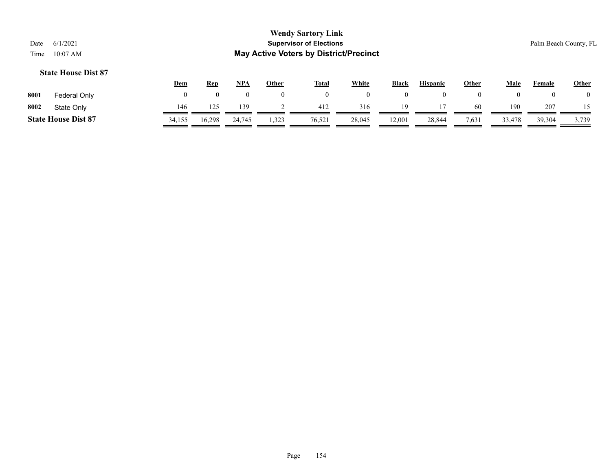|      |                            | <u>Dem</u> | <b>Rep</b> | <b>NPA</b> | Other | <b>Total</b> | White  | <b>Black</b> | <b>Hispanic</b> | Other | Male   | Female | <b>Other</b> |
|------|----------------------------|------------|------------|------------|-------|--------------|--------|--------------|-----------------|-------|--------|--------|--------------|
| 8001 | Federal Only               |            |            |            |       |              |        |              |                 |       |        |        |              |
| 8002 | State Only                 | 146        | 125        | 139        |       | 412          | 316    | 19           |                 | -60   | 190    | 207    |              |
|      | <b>State House Dist 87</b> | 34,155     | 16,298     | 24,745     | 1,323 | 76,521       | 28,045 | 12,001       | 28,844          | 7,631 | 33,478 | 39,304 | 3,739        |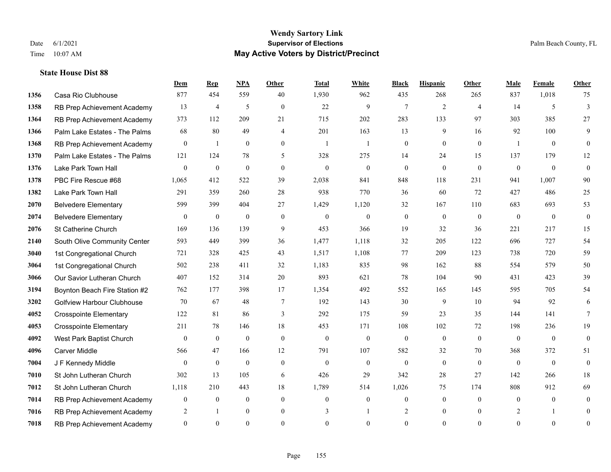### **Wendy Sartory Link** Date 6/1/2021 **Supervisor of Elections** Palm Beach County, FL Time 10:07 AM **May Active Voters by District/Precinct**

**Dem Rep NPA Other Total White Black Hispanic Other Male Female Other**

# Casa Rio Clubhouse 877 454 559 40 1,930 962 435 268 265 837 1,018 75 RB Prep Achievement Academy 13 4 5 0 22 9 7 2 4 14 5 3 RB Prep Achievement Academy 373 112 209 21 715 202 283 133 97 303 385 27 Palm Lake Estates - The Palms 68 80 49 4 201 163 13 9 16 92 100 9 RB Prep Achievement Academy 0 1 0 0 1 1 1 0 0 0 0 0 1 0 0 Palm Lake Estates - The Palms 121 124 78 5 328 275 14 24 15 137 179 12 Lake Park Town Hall 0 0 0 0 0 0 0 0 0 0 0 0 PBC Fire Rescue #68 1,065 412 522 39 2,038 841 848 118 231 941 1,007 90 Lake Park Town Hall 291 359 260 28 938 770 36 60 72 427 486 25 Belvedere Elementary 599 399 404 27 1,429 1,120 32 167 110 683 693 53 Belvedere Elementary 0 0 0 0 0 0 0 0 0 0 0 0 St Catherine Church 169 136 139 9 453 366 19 32 36 221 217 15 South Olive Community Center 593 449 399 36 1,477 1,118 32 205 122 696 727 54 1st Congregational Church 721 328 425 43 1,517 1,108 77 209 123 738 720 59 1st Congregational Church 502 238 411 32 1,183 835 98 162 88 554 579 50 Our Savior Lutheran Church 407 152 314 20 893 621 78 104 90 431 423 39 Boynton Beach Fire Station #2 762 177 398 17 1,354 492 552 165 145 595 705 54 Golfview Harbour Clubhouse 70 67 48 7 192 143 30 9 10 94 92 6 Crosspointe Elementary 122 81 86 3 292 175 59 23 35 144 141 7 Crosspointe Elementary 211 78 146 18 453 171 108 102 72 198 236 19 West Park Baptist Church 0 0 0 0 0 0 0 0 0 0 0 0 Carver Middle 566 47 166 12 791 107 582 32 70 368 372 51 J F Kennedy Middle 0 0 0 0 0 0 0 0 0 0 0 0 St John Lutheran Church 302 13 105 6 426 29 342 28 27 142 266 18 St John Lutheran Church 1,118 210 443 18 1,789 514 1,026 75 174 808 912 69

 RB Prep Achievement Academy 0 0 0 0 0 0 0 0 0 0 0 0 RB Prep Achievement Academy 2 1 0 0 3 1 2 0 0 2 1 0 RB Prep Achievement Academy 0 0 0 0 0 0 0 0 0 0 0 0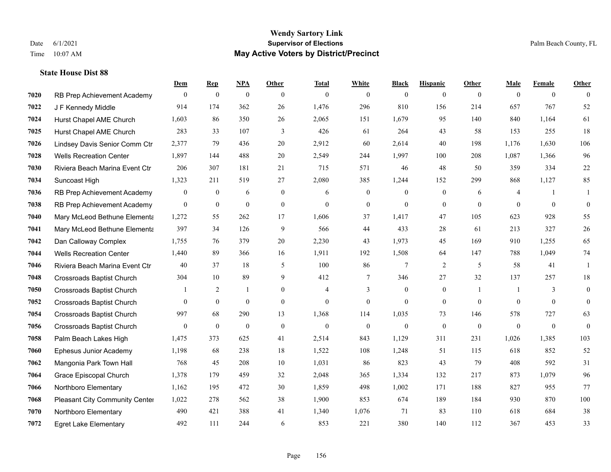|      |                                  | Dem            | <b>Rep</b>       | NPA              | <b>Other</b>   | <b>Total</b>   | <b>White</b>     | <b>Black</b>     | <b>Hispanic</b>  | <b>Other</b>   | <b>Male</b>    | <b>Female</b>  | <b>Other</b>     |
|------|----------------------------------|----------------|------------------|------------------|----------------|----------------|------------------|------------------|------------------|----------------|----------------|----------------|------------------|
| 7020 | RB Prep Achievement Academy      | $\overline{0}$ | $\bf{0}$         | $\mathbf{0}$     | $\theta$       | $\theta$       | $\overline{0}$   | $\mathbf{0}$     | $\overline{0}$   | $\theta$       | $\theta$       | $\overline{0}$ | $\theta$         |
| 7022 | J F Kennedy Middle               | 914            | 174              | 362              | 26             | 1,476          | 296              | 810              | 156              | 214            | 657            | 767            | 52               |
| 7024 | Hurst Chapel AME Church          | 1,603          | 86               | 350              | 26             | 2,065          | 151              | 1,679            | 95               | 140            | 840            | 1,164          | 61               |
| 7025 | Hurst Chapel AME Church          | 283            | 33               | 107              | 3              | 426            | 61               | 264              | 43               | 58             | 153            | 255            | 18               |
| 7026 | Lindsey Davis Senior Comm Ctr    | 2.377          | 79               | 436              | 20             | 2,912          | 60               | 2,614            | 40               | 198            | 1,176          | 1.630          | 106              |
| 7028 | <b>Wells Recreation Center</b>   | 1,897          | 144              | 488              | 20             | 2,549          | 244              | 1,997            | 100              | 208            | 1,087          | 1,366          | 96               |
| 7030 | Riviera Beach Marina Event Ctr   | 206            | 307              | 181              | 21             | 715            | 571              | 46               | 48               | 50             | 359            | 334            | $22\,$           |
| 7034 | Suncoast High                    | 1,323          | 211              | 519              | 27             | 2,080          | 385              | 1,244            | 152              | 299            | 868            | 1,127          | 85               |
| 7036 | RB Prep Achievement Academy      | $\mathbf{0}$   | $\boldsymbol{0}$ | 6                | $\mathbf{0}$   | 6              | $\mathbf{0}$     | $\boldsymbol{0}$ | $\boldsymbol{0}$ | 6              | $\overline{4}$ | -1             | 1                |
| 7038 | RB Prep Achievement Academy      | $\mathbf{0}$   | $\bf{0}$         | $\mathbf{0}$     | $\mathbf{0}$   | $\theta$       | $\overline{0}$   | $\mathbf{0}$     | $\overline{0}$   | $\theta$       | $\theta$       | $\overline{0}$ | $\mathbf{0}$     |
| 7040 | Mary McLeod Bethune Elementa     | 1,272          | 55               | 262              | 17             | 1,606          | 37               | 1,417            | 47               | 105            | 623            | 928            | 55               |
| 7041 | Mary McLeod Bethune Elementa     | 397            | 34               | 126              | 9              | 566            | 44               | 433              | 28               | 61             | 213            | 327            | 26               |
| 7042 | Dan Calloway Complex             | 1,755          | 76               | 379              | 20             | 2,230          | 43               | 1,973            | 45               | 169            | 910            | 1,255          | 65               |
| 7044 | <b>Wells Recreation Center</b>   | 1,440          | 89               | 366              | 16             | 1,911          | 192              | 1,508            | 64               | 147            | 788            | 1,049          | 74               |
| 7046 | Riviera Beach Marina Event Ctr   | 40             | 37               | 18               | 5              | 100            | 86               | 7                | $\overline{2}$   | 5              | 58             | 41             | -1               |
| 7048 | <b>Crossroads Baptist Church</b> | 304            | 10               | 89               | 9              | 412            | 7                | 346              | 27               | 32             | 137            | 257            | 18               |
| 7050 | <b>Crossroads Baptist Church</b> |                | 2                | 1                | $\mathbf{0}$   | $\overline{4}$ | 3                | $\boldsymbol{0}$ | $\mathbf{0}$     | $\overline{1}$ |                | 3              | $\mathbf{0}$     |
| 7052 | <b>Crossroads Baptist Church</b> | $\theta$       | $\overline{0}$   | $\mathbf{0}$     | $\overline{0}$ | $\theta$       | $\overline{0}$   | $\mathbf{0}$     | $\overline{0}$   | $\theta$       | $\theta$       | $\theta$       | $\mathbf{0}$     |
| 7054 | <b>Crossroads Baptist Church</b> | 997            | 68               | 290              | 13             | 1,368          | 114              | 1,035            | 73               | 146            | 578            | 727            | 63               |
| 7056 | <b>Crossroads Baptist Church</b> | $\mathbf{0}$   | $\boldsymbol{0}$ | $\boldsymbol{0}$ | $\mathbf{0}$   | $\mathbf{0}$   | $\boldsymbol{0}$ | $\mathbf{0}$     | $\mathbf{0}$     | $\mathbf{0}$   | $\overline{0}$ | $\mathbf{0}$   | $\boldsymbol{0}$ |
| 7058 | Palm Beach Lakes High            | 1,475          | 373              | 625              | 41             | 2,514          | 843              | 1,129            | 311              | 231            | 1,026          | 1,385          | 103              |
| 7060 | Ephesus Junior Academy           | 1,198          | 68               | 238              | 18             | 1,522          | 108              | 1,248            | 51               | 115            | 618            | 852            | 52               |
| 7062 | Mangonia Park Town Hall          | 768            | 45               | 208              | 10             | 1,031          | 86               | 823              | 43               | 79             | 408            | 592            | 31               |
| 7064 | Grace Episcopal Church           | 1,378          | 179              | 459              | 32             | 2,048          | 365              | 1,334            | 132              | 217            | 873            | 1,079          | 96               |
| 7066 | Northboro Elementary             | 1,162          | 195              | 472              | 30             | 1,859          | 498              | 1,002            | 171              | 188            | 827            | 955            | 77               |
| 7068 | Pleasant City Community Center   | 1,022          | 278              | 562              | 38             | 1,900          | 853              | 674              | 189              | 184            | 930            | 870            | 100              |
| 7070 | Northboro Elementary             | 490            | 421              | 388              | 41             | 1,340          | 1,076            | 71               | 83               | 110            | 618            | 684            | 38               |
| 7072 | <b>Egret Lake Elementary</b>     | 492            | 111              | 244              | 6              | 853            | 221              | 380              | 140              | 112            | 367            | 453            | 33               |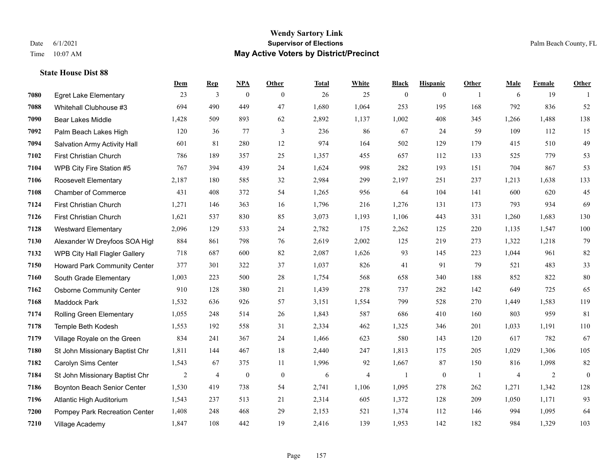|      |                                 | Dem   | <b>Rep</b>     | NPA              | <b>Other</b>   | <b>Total</b> | <b>White</b> | <b>Black</b> | <b>Hispanic</b> | <b>Other</b>   | <b>Male</b> | Female         | <b>Other</b>     |
|------|---------------------------------|-------|----------------|------------------|----------------|--------------|--------------|--------------|-----------------|----------------|-------------|----------------|------------------|
| 7080 | <b>Egret Lake Elementary</b>    | 23    | 3              | $\boldsymbol{0}$ | $\theta$       | 26           | 25           | $\mathbf{0}$ | $\overline{0}$  | $\overline{1}$ | 6           | 19             | $\overline{1}$   |
| 7088 | Whitehall Clubhouse #3          | 694   | 490            | 449              | 47             | 1,680        | 1,064        | 253          | 195             | 168            | 792         | 836            | 52               |
| 7090 | <b>Bear Lakes Middle</b>        | 1,428 | 509            | 893              | 62             | 2,892        | 1,137        | 1,002        | 408             | 345            | 1,266       | 1,488          | 138              |
| 7092 | Palm Beach Lakes High           | 120   | 36             | 77               | $\mathfrak{Z}$ | 236          | 86           | 67           | 24              | 59             | 109         | 112            | 15               |
| 7094 | Salvation Army Activity Hall    | 601   | 81             | 280              | 12             | 974          | 164          | 502          | 129             | 179            | 415         | 510            | 49               |
| 7102 | First Christian Church          | 786   | 189            | 357              | 25             | 1,357        | 455          | 657          | 112             | 133            | 525         | 779            | 53               |
| 7104 | WPB City Fire Station #5        | 767   | 394            | 439              | 24             | 1,624        | 998          | 282          | 193             | 151            | 704         | 867            | 53               |
| 7106 | Roosevelt Elementary            | 2,187 | 180            | 585              | 32             | 2,984        | 299          | 2,197        | 251             | 237            | 1,213       | 1,638          | 133              |
| 7108 | <b>Chamber of Commerce</b>      | 431   | 408            | 372              | 54             | 1,265        | 956          | 64           | 104             | 141            | 600         | 620            | 45               |
| 7124 | First Christian Church          | 1,271 | 146            | 363              | 16             | 1,796        | 216          | 1,276        | 131             | 173            | 793         | 934            | 69               |
| 7126 | First Christian Church          | 1,621 | 537            | 830              | 85             | 3,073        | 1,193        | 1,106        | 443             | 331            | 1,260       | 1,683          | 130              |
| 7128 | <b>Westward Elementary</b>      | 2,096 | 129            | 533              | 24             | 2,782        | 175          | 2,262        | 125             | 220            | 1,135       | 1,547          | 100              |
| 7130 | Alexander W Dreyfoos SOA High   | 884   | 861            | 798              | 76             | 2,619        | 2,002        | 125          | 219             | 273            | 1,322       | 1,218          | 79               |
| 7132 | WPB City Hall Flagler Gallery   | 718   | 687            | 600              | 82             | 2,087        | 1,626        | 93           | 145             | 223            | 1,044       | 961            | 82               |
| 7150 | Howard Park Community Center    | 377   | 301            | 322              | 37             | 1,037        | 826          | 41           | 91              | 79             | 521         | 483            | 33               |
| 7160 | South Grade Elementary          | 1,003 | 223            | 500              | 28             | 1,754        | 568          | 658          | 340             | 188            | 852         | 822            | 80               |
| 7162 | <b>Osborne Community Center</b> | 910   | 128            | 380              | 21             | 1,439        | 278          | 737          | 282             | 142            | 649         | 725            | 65               |
| 7168 | <b>Maddock Park</b>             | 1,532 | 636            | 926              | 57             | 3,151        | 1,554        | 799          | 528             | 270            | 1,449       | 1,583          | 119              |
| 7174 | Rolling Green Elementary        | 1,055 | 248            | 514              | $26\,$         | 1,843        | 587          | 686          | 410             | 160            | 803         | 959            | 81               |
| 7178 | Temple Beth Kodesh              | 1,553 | 192            | 558              | 31             | 2,334        | 462          | 1,325        | 346             | 201            | 1,033       | 1,191          | 110              |
| 7179 | Village Royale on the Green     | 834   | 241            | 367              | 24             | 1,466        | 623          | 580          | 143             | 120            | 617         | 782            | 67               |
| 7180 | St John Missionary Baptist Chr  | 1,811 | 144            | 467              | 18             | 2,440        | 247          | 1,813        | 175             | 205            | 1,029       | 1,306          | 105              |
| 7182 | Carolyn Sims Center             | 1,543 | 67             | 375              | 11             | 1,996        | 92           | 1,667        | 87              | 150            | 816         | 1,098          | 82               |
| 7184 | St John Missionary Baptist Chr  | 2     | $\overline{4}$ | $\boldsymbol{0}$ | $\mathbf{0}$   | 6            | 4            | -1           | $\bf{0}$        | -1             | 4           | $\overline{c}$ | $\boldsymbol{0}$ |
| 7186 | Boynton Beach Senior Center     | 1,530 | 419            | 738              | 54             | 2,741        | 1,106        | 1,095        | 278             | 262            | 1,271       | 1,342          | 128              |
| 7196 | Atlantic High Auditorium        | 1,543 | 237            | 513              | 21             | 2,314        | 605          | 1,372        | 128             | 209            | 1,050       | 1,171          | 93               |
| 7200 | Pompey Park Recreation Center   | 1,408 | 248            | 468              | 29             | 2,153        | 521          | 1,374        | 112             | 146            | 994         | 1,095          | 64               |
| 7210 | Village Academy                 | 1,847 | 108            | 442              | 19             | 2,416        | 139          | 1,953        | 142             | 182            | 984         | 1,329          | 103              |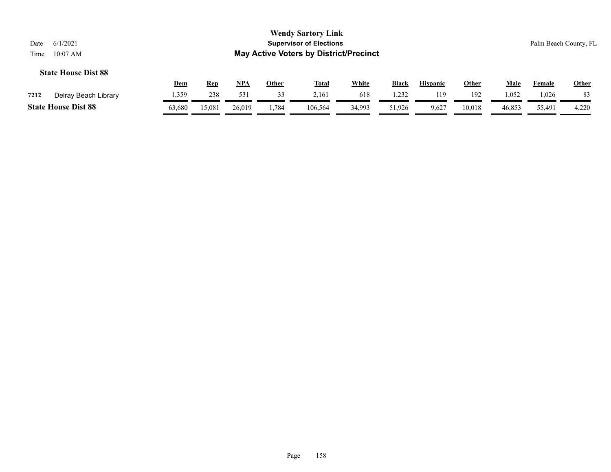|      |                            | Dem    | Rep    | <b>NPA</b> | Other | <b>Total</b> | <b>White</b> | <b>Black</b> | <b>Hispanic</b> | Other  | Male   | Female | <b>Other</b> |
|------|----------------------------|--------|--------|------------|-------|--------------|--------------|--------------|-----------------|--------|--------|--------|--------------|
| 7212 | Delray Beach Library       | 1,359  | 238    | 531        | 33    | 2.161        | 618          | 1.232        | 119             | 192    | 1,052  | .026   |              |
|      | <b>State House Dist 88</b> | 53,680 | 15,081 | 26,019     | .,784 | 106,564      | 34,993       | 51,926       | 9,627           | 10,018 | 46,853 | 55,491 | 4,220        |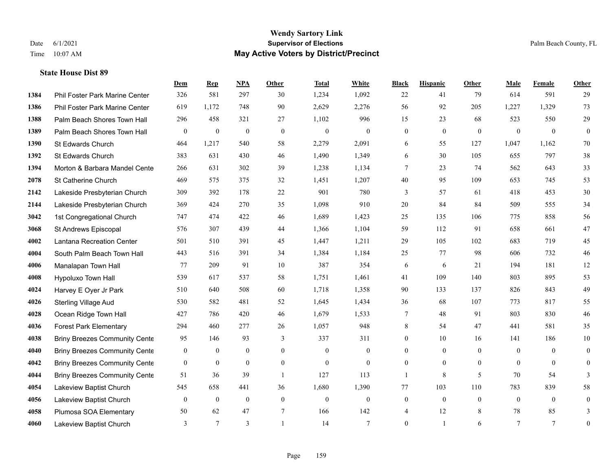#### **Wendy Sartory Link** Date 6/1/2021 **Supervisor of Elections** Palm Beach County, FL Time 10:07 AM **May Active Voters by District/Precinct**

# **Dem Rep NPA Other Total White Black Hispanic Other Male Female Other** Phil Foster Park Marine Center 326 581 297 30 1,234 1,092 22 41 79 614 591 29 Phil Foster Park Marine Center 619 1,172 748 90 2,629 2,276 56 92 205 1,227 1,329 73 Palm Beach Shores Town Hall 296 458 321 27 1,102 996 15 23 68 523 550 29 Palm Beach Shores Town Hall 0 0 0 0 0 0 0 0 0 0 0 0 St Edwards Church 464 1,217 540 58 2,279 2,091 6 55 127 1,047 1,162 70 St Edwards Church 383 631 430 46 1,490 1,349 6 30 105 655 797 38 **1394 Morton & Barbara Mandel Cente** 266 631 302 39 1,238 1,134 7 23 74 562 643 33 St Catherine Church 469 575 375 32 1,451 1,207 40 95 109 653 745 53 Lakeside Presbyterian Church 309 392 178 22 901 780 3 57 61 418 453 30 Lakeside Presbyterian Church 369 424 270 35 1,098 910 20 84 84 509 555 34 1st Congregational Church 747 474 422 46 1,689 1,423 25 135 106 775 858 56 St Andrews Episcopal 576 307 439 44 1,366 1,104 59 112 91 658 661 47 Lantana Recreation Center 501 510 391 45 1,447 1,211 29 105 102 683 719 45 South Palm Beach Town Hall 443 516 391 34 1,384 1,184 25 77 98 606 732 46 Manalapan Town Hall 77 209 91 10 387 354 6 6 21 194 181 12 Hypoluxo Town Hall 539 617 537 58 1,751 1,461 41 109 140 803 895 53 Harvey E Oyer Jr Park 510 640 508 60 1,718 1,358 90 133 137 826 843 49 Sterling Village Aud 530 582 481 52 1,645 1,434 36 68 107 773 817 55 Ocean Ridge Town Hall 427 786 420 46 1,679 1,533 7 48 91 803 830 46 Forest Park Elementary 294 460 277 26 1,057 948 8 54 47 441 581 35 Briny Breezes Community Cente 95 146 93 337 311 0 10 16 141 186 10 Briny Breezes Community Center 0 0 0 0 0 0 0 0 0 0 0 0 Briny Breezes Community Center 0 0 0 0 0 0 0 0 0 0 0 0 Briny Breezes Community Cente 51 36 39 1 127 113 1 13 36 5 70 54 3 Lakeview Baptist Church 545 658 441 36 1,680 1,390 77 103 110 783 839 58 Lakeview Baptist Church 0 0 0 0 0 0 0 0 0 0 0 0 Plumosa SOA Elementary 50 62 47 7 166 142 4 12 8 78 85 3 Lakeview Baptist Church 3 7 3 1 14 7 0 1 6 7 7 0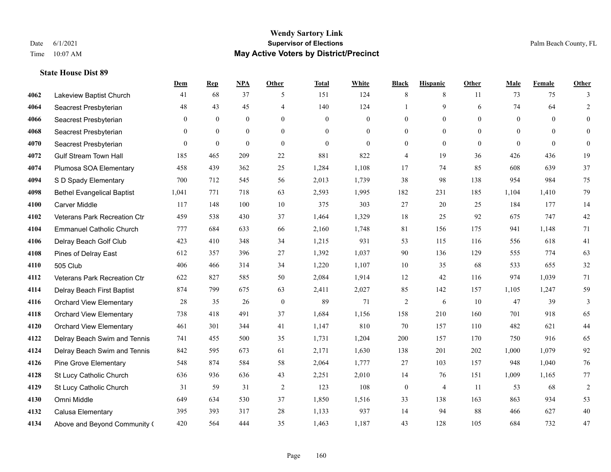### **Wendy Sartory Link** Date 6/1/2021 **Supervisor of Elections** Palm Beach County, FL Time 10:07 AM **May Active Voters by District/Precinct**

# **Dem Rep NPA Other Total White Black Hispanic Other Male Female Other** Lakeview Baptist Church 41 68 37 5 151 124 8 8 11 73 75 3 Seacrest Presbyterian **48** 43 45 4 140 124 1 9 6 74 64 2 Seacrest Presbyterian 0 0 0 0 0 0 0 0 0 0 0 0 Seacrest Presbyterian 0 0 0 0 0 0 0 0 0 0 0 0 Seacrest Presbyterian 0 0 0 0 0 0 0 0 0 0 0 0 Gulf Stream Town Hall 185 465 209 22 881 822 4 19 36 426 436 19 Plumosa SOA Elementary 458 439 362 25 1,284 1,108 17 74 85 608 639 37 S D Spady Elementary 700 712 545 56 2,013 1,739 38 98 138 954 984 75 Bethel Evangelical Baptist 1,041 771 718 63 2,593 1,995 182 231 185 1,104 1,410 79 Carver Middle 117 148 100 10 375 303 27 20 25 184 177 14 Veterans Park Recreation Ctr 459 538 430 37 1,464 1,329 18 25 92 675 747 42 Emmanuel Catholic Church 777 684 633 66 2,160 1,748 81 156 175 941 1,148 71 Delray Beach Golf Club 423 410 348 34 1,215 931 53 115 116 556 618 41 Pines of Delray East 612 357 396 27 1,392 1,037 90 136 129 555 774 63 505 Club 406 466 314 34 1,220 1,107 10 35 68 533 655 32 Veterans Park Recreation Ctr 622 827 585 50 2,084 1,914 12 42 116 974 1,039 71 Delray Beach First Baptist 874 799 675 63 2,411 2,027 85 142 157 1,105 1,247 59 Orchard View Elementary 28 35 26 0 89 71 2 6 10 47 39 3 Orchard View Elementary 738 418 491 37 1,684 1,156 158 210 160 701 918 65 Orchard View Elementary 461 301 344 41 1,147 810 70 157 110 482 621 44 Delray Beach Swim and Tennis 741 455 500 35 1,731 1,204 200 157 170 750 916 65 Delray Beach Swim and Tennis 842 595 673 61 2,171 1,630 138 201 202 1,000 1,079 92 Pine Grove Elementary 548 874 584 58 2,064 1,777 27 103 157 948 1,040 76 St Lucy Catholic Church 636 936 636 43 2,251 2,010 14 76 151 1,009 1,165 77 St Lucy Catholic Church 31 59 31 2 123 108 0 4 11 53 68 2 Omni Middle 649 634 530 37 1,850 1,516 33 138 163 863 934 53 Calusa Elementary 395 393 317 28 1,133 937 14 94 88 466 627 40 Above and Beyond Community Church 420 564 444 35 1,463 1,187 43 128 105 684 732 47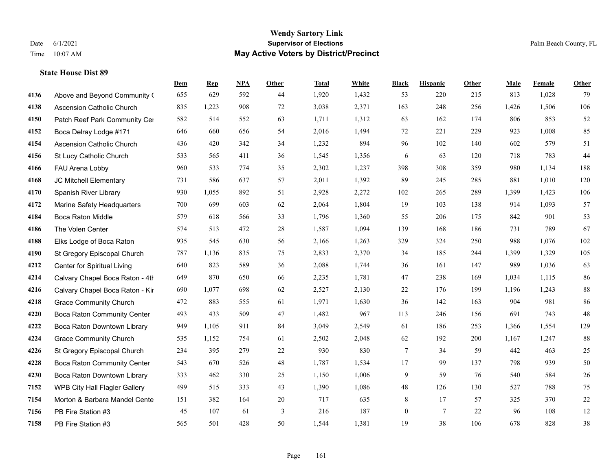### **Wendy Sartory Link** Date 6/1/2021 **Supervisor of Elections** Palm Beach County, FL Time 10:07 AM **May Active Voters by District/Precinct**

Above and Beyond Community Church 655 629 592 44 1,920 1,432 53 220 215 813 1,028 79

**Dem Rep NPA Other Total White Black Hispanic Other Male Female Other**

# Ascension Catholic Church 835 1,223 908 72 3,038 2,371 163 248 256 1,426 1,506 106 4150 Patch Reef Park Community Center 582 514 552 63 1,711 1,312 63 162 174 806 853 52 Boca Delray Lodge #171 646 660 656 54 2,016 1,494 72 221 229 923 1,008 85 Ascension Catholic Church 436 420 342 34 1,232 894 96 102 140 602 579 51 St Lucy Catholic Church 533 565 411 36 1,545 1,356 6 63 120 718 783 44 FAU Arena Lobby 960 533 774 35 2,302 1,237 398 308 359 980 1,134 188 JC Mitchell Elementary 731 586 637 57 2,011 1,392 89 245 285 881 1,010 120 Spanish River Library 930 1,055 892 51 2,928 2,272 102 265 289 1,399 1,423 106 Marine Safety Headquarters 700 699 603 62 2,064 1,804 19 103 138 914 1,093 57 Boca Raton Middle 579 618 566 33 1,796 1,360 55 206 175 842 901 53 The Volen Center 574 513 472 28 1,587 1,094 139 168 186 731 789 67 Elks Lodge of Boca Raton 935 545 630 56 2,166 1,263 329 324 250 988 1,076 102 St Gregory Episcopal Church 787 1,136 835 75 2,833 2,370 34 185 244 1,399 1,329 105 Center for Spiritual Living 640 823 589 36 2,088 1,744 36 161 147 989 1,036 63 4214 Calvary Chapel Boca Raton - 4th 649 870 650 66 2,235 1,781 47 238 169 1,034 1,115 86 Calvary Chapel Boca Raton - Kir 690 1,077 698 62 2,527 2,130 22 176 199 1,196 1,243 88 Grace Community Church 472 883 555 61 1,971 1,630 36 142 163 904 981 86 Boca Raton Community Center 493 433 509 47 1,482 967 113 246 156 691 743 48 Boca Raton Downtown Library 949 1,105 911 84 3,049 2,549 61 186 253 1,366 1,554 129 Grace Community Church 535 1,152 754 61 2,502 2,048 62 192 200 1,167 1,247 88 St Gregory Episcopal Church 234 395 279 22 930 830 7 34 59 442 463 25 Boca Raton Community Center 543 670 526 48 1,787 1,534 17 99 137 798 939 50 Boca Raton Downtown Library 333 462 330 25 1,150 1,006 9 59 76 540 584 26 WPB City Hall Flagler Gallery 499 515 333 43 1,390 1,086 48 126 130 527 788 75

 Morton & Barbara Mandel Center 151 382 164 20 717 635 8 17 57 325 370 22 PB Fire Station #3 45 107 61 3 216 187 0 7 22 96 108 12 PB Fire Station #3 565 501 428 50 1,544 1,381 19 38 106 678 828 38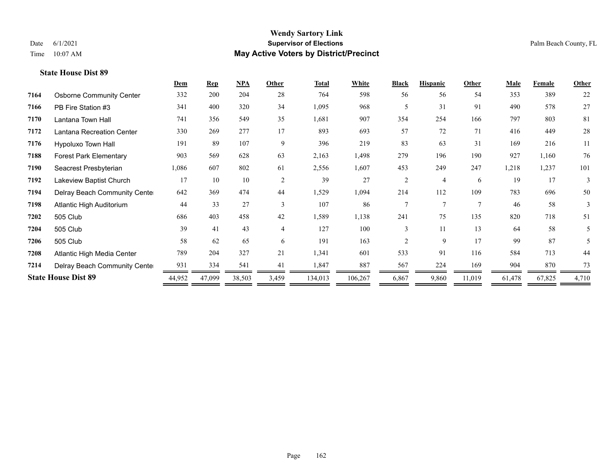|      |                                 | Dem    | <b>Rep</b> | $NPA$  | Other          | <b>Total</b> | White   | <b>Black</b>                | <b>Hispanic</b> | Other  | <b>Male</b> | Female | <b>Other</b> |
|------|---------------------------------|--------|------------|--------|----------------|--------------|---------|-----------------------------|-----------------|--------|-------------|--------|--------------|
| 7164 | <b>Osborne Community Center</b> | 332    | 200        | 204    | 28             | 764          | 598     | 56                          | 56              | 54     | 353         | 389    | 22           |
| 7166 | PB Fire Station #3              | 341    | 400        | 320    | 34             | 1,095        | 968     | 5                           | 31              | 91     | 490         | 578    | 27           |
| 7170 | Lantana Town Hall               | 741    | 356        | 549    | 35             | 1,681        | 907     | 354                         | 254             | 166    | 797         | 803    | 81           |
| 7172 | Lantana Recreation Center       | 330    | 269        | 277    | 17             | 893          | 693     | 57                          | 72              | 71     | 416         | 449    | 28           |
| 7176 | Hypoluxo Town Hall              | 191    | 89         | 107    | 9              | 396          | 219     | 83                          | 63              | 31     | 169         | 216    | 11           |
| 7188 | <b>Forest Park Elementary</b>   | 903    | 569        | 628    | 63             | 2,163        | 1,498   | 279                         | 196             | 190    | 927         | 1,160  | 76           |
| 7190 | Seacrest Presbyterian           | 1,086  | 607        | 802    | 61             | 2,556        | 1,607   | 453                         | 249             | 247    | 1,218       | 1,237  | 101          |
| 7192 | Lakeview Baptist Church         | 17     | 10         | 10     | $\overline{2}$ | 39           | 27      | 2                           | $\overline{4}$  | 6      | 19          | 17     | 3            |
| 7194 | Delray Beach Community Cente    | 642    | 369        | 474    | 44             | 1,529        | 1,094   | 214                         | 112             | 109    | 783         | 696    | 50           |
| 7198 | Atlantic High Auditorium        | 44     | 33         | 27     | $\mathcal{F}$  | 107          | 86      |                             | $\overline{7}$  | $\tau$ | 46          | 58     | 3            |
| 7202 | 505 Club                        | 686    | 403        | 458    | 42             | 1,589        | 1,138   | 241                         | 75              | 135    | 820         | 718    | 51           |
| 7204 | 505 Club                        | 39     | 41         | 43     | $\overline{4}$ | 127          | 100     | 3                           | 11              | 13     | 64          | 58     | 5            |
| 7206 | 505 Club                        | 58     | 62         | 65     | 6              | 191          | 163     | $\mathcal{D}_{\mathcal{L}}$ | 9               | 17     | 99          | 87     | 5            |
| 7208 | Atlantic High Media Center      | 789    | 204        | 327    | 21             | 1,341        | 601     | 533                         | 91              | 116    | 584         | 713    | 44           |
| 7214 | Delray Beach Community Cente    | 931    | 334        | 541    | 41             | 1,847        | 887     | 567                         | 224             | 169    | 904         | 870    | 73           |
|      | <b>State House Dist 89</b>      | 44,952 | 47,099     | 38,503 | 3,459          | 134,013      | 106,267 | 6,867                       | 9,860           | 11,019 | 61,478      | 67,825 | 4,710        |
|      |                                 |        |            |        |                |              |         |                             |                 |        |             |        |              |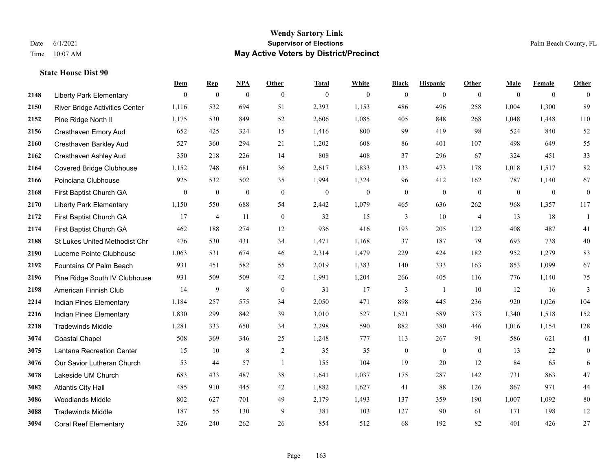### **Wendy Sartory Link** Date 6/1/2021 **Supervisor of Elections** Palm Beach County, FL Time 10:07 AM **May Active Voters by District/Precinct**

**Dem Rep NPA Other Total White Black Hispanic Other Male Female Other**

# Liberty Park Elementary 0 0 0 0 0 0 0 0 0 0 0 0 River Bridge Activities Center 1,116 532 694 51 2,393 1,153 486 496 258 1,004 1,300 89 Pine Ridge North II 1,175 530 849 52 2,606 1,085 405 848 268 1,048 1,448 110 Cresthaven Emory Aud 652 425 324 15 1,416 800 99 419 98 524 840 52 Cresthaven Barkley Aud 527 360 294 21 1,202 608 86 401 107 498 649 55 Cresthaven Ashley Aud 350 218 226 14 808 408 37 296 67 324 451 33 Covered Bridge Clubhouse 1,152 748 681 36 2,617 1,833 133 473 178 1,018 1,517 82 Poinciana Clubhouse 925 532 502 35 1,994 1,324 96 412 162 787 1,140 67 First Baptist Church GA 0 0 0 0 0 0 0 0 0 0 0 0 Liberty Park Elementary 1,150 550 688 54 2,442 1,079 465 636 262 968 1,357 117 First Baptist Church GA 17 4 11 0 32 15 3 10 4 13 18 1 First Baptist Church GA 462 188 274 12 936 416 193 205 122 408 487 41 St Lukes United Methodist Chr 476 530 431 34 1,471 1,168 37 187 79 693 738 40 Lucerne Pointe Clubhouse 1,063 531 674 46 2,314 1,479 229 424 182 952 1,279 83 Fountains Of Palm Beach 931 451 582 55 2,019 1,383 140 333 163 853 1,099 67 Pine Ridge South IV Clubhouse 931 509 509 42 1,991 1,204 266 405 116 776 1,140 75 American Finnish Club 14 9 8 0 31 17 3 1 10 12 16 3 Indian Pines Elementary 1,184 257 575 34 2,050 471 898 445 236 920 1,026 104 Indian Pines Elementary 1,830 299 842 39 3,010 527 1,521 589 373 1,340 1,518 152 Tradewinds Middle 1,281 333 650 34 2,298 590 882 380 446 1,016 1,154 128 Coastal Chapel 508 369 346 25 1,248 777 113 267 91 586 621 41 Lantana Recreation Center 15 10 8 2 35 35 0 0 0 13 22 0 Our Savior Lutheran Church 53 44 57 1 155 104 19 20 12 84 65 6 Lakeside UM Church 683 433 487 38 1,641 1,037 175 287 142 731 863 47 Atlantis City Hall 485 910 445 42 1,882 1,627 41 88 126 867 971 44

 Woodlands Middle 802 627 701 49 2,179 1,493 137 359 190 1,007 1,092 80 Tradewinds Middle 187 55 130 9 381 103 127 90 61 171 198 12 Coral Reef Elementary 326 240 262 26 854 512 68 192 82 401 426 27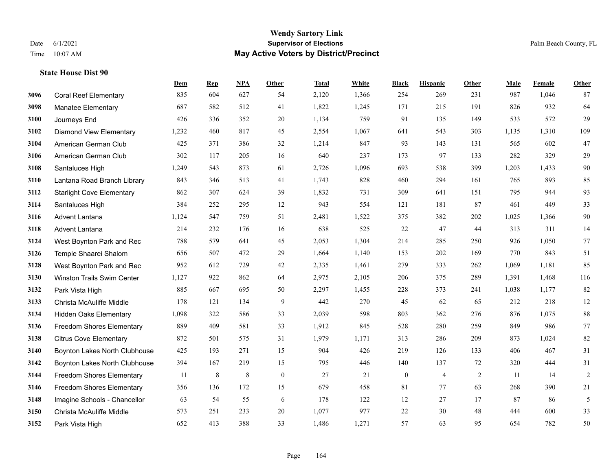|      |                                  | Dem   | <b>Rep</b> | NPA     | <b>Other</b> | <b>Total</b> | White | <b>Black</b>     | <b>Hispanic</b> | Other | <b>Male</b> | Female | <b>Other</b>   |
|------|----------------------------------|-------|------------|---------|--------------|--------------|-------|------------------|-----------------|-------|-------------|--------|----------------|
| 3096 | <b>Coral Reef Elementary</b>     | 835   | 604        | 627     | 54           | 2,120        | 1,366 | 254              | 269             | 231   | 987         | 1,046  | 87             |
| 3098 | <b>Manatee Elementary</b>        | 687   | 582        | 512     | 41           | 1,822        | 1,245 | 171              | 215             | 191   | 826         | 932    | 64             |
| 3100 | Journeys End                     | 426   | 336        | 352     | 20           | 1,134        | 759   | 91               | 135             | 149   | 533         | 572    | 29             |
| 3102 | <b>Diamond View Elementary</b>   | 1,232 | 460        | 817     | 45           | 2,554        | 1,067 | 641              | 543             | 303   | 1,135       | 1,310  | 109            |
| 3104 | American German Club             | 425   | 371        | 386     | 32           | 1,214        | 847   | 93               | 143             | 131   | 565         | 602    | 47             |
| 3106 | American German Club             | 302   | 117        | 205     | 16           | 640          | 237   | 173              | 97              | 133   | 282         | 329    | $29\,$         |
| 3108 | Santaluces High                  | 1,249 | 543        | 873     | 61           | 2,726        | 1,096 | 693              | 538             | 399   | 1,203       | 1,433  | $90\,$         |
| 3110 | Lantana Road Branch Library      | 843   | 346        | 513     | 41           | 1,743        | 828   | 460              | 294             | 161   | 765         | 893    | 85             |
| 3112 | <b>Starlight Cove Elementary</b> | 862   | 307        | 624     | 39           | 1,832        | 731   | 309              | 641             | 151   | 795         | 944    | 93             |
| 3114 | Santaluces High                  | 384   | 252        | 295     | 12           | 943          | 554   | 121              | 181             | 87    | 461         | 449    | 33             |
| 3116 | Advent Lantana                   | 1,124 | 547        | 759     | 51           | 2,481        | 1,522 | 375              | 382             | 202   | 1,025       | 1,366  | 90             |
| 3118 | <b>Advent Lantana</b>            | 214   | 232        | 176     | 16           | 638          | 525   | 22               | 47              | 44    | 313         | 311    | 14             |
| 3124 | West Boynton Park and Rec        | 788   | 579        | 641     | 45           | 2,053        | 1,304 | 214              | 285             | 250   | 926         | 1,050  | 77             |
| 3126 | Temple Shaarei Shalom            | 656   | 507        | 472     | 29           | 1,664        | 1,140 | 153              | 202             | 169   | 770         | 843    | 51             |
| 3128 | West Boynton Park and Rec        | 952   | 612        | 729     | 42           | 2,335        | 1,461 | 279              | 333             | 262   | 1,069       | 1,181  | 85             |
| 3130 | Winston Trails Swim Center       | 1,127 | 922        | 862     | 64           | 2,975        | 2,105 | 206              | 375             | 289   | 1,391       | 1,468  | 116            |
| 3132 | Park Vista High                  | 885   | 667        | 695     | 50           | 2,297        | 1,455 | 228              | 373             | 241   | 1,038       | 1,177  | 82             |
| 3133 | Christa McAuliffe Middle         | 178   | 121        | 134     | 9            | 442          | 270   | 45               | 62              | 65    | 212         | 218    | 12             |
| 3134 | <b>Hidden Oaks Elementary</b>    | 1,098 | 322        | 586     | 33           | 2,039        | 598   | 803              | 362             | 276   | 876         | 1,075  | 88             |
| 3136 | <b>Freedom Shores Elementary</b> | 889   | 409        | 581     | 33           | 1,912        | 845   | 528              | 280             | 259   | 849         | 986    | 77             |
| 3138 | <b>Citrus Cove Elementary</b>    | 872   | 501        | 575     | 31           | 1,979        | 1,171 | 313              | 286             | 209   | 873         | 1,024  | $82\,$         |
| 3140 | Boynton Lakes North Clubhouse    | 425   | 193        | 271     | 15           | 904          | 426   | 219              | 126             | 133   | 406         | 467    | 31             |
| 3142 | Boynton Lakes North Clubhouse    | 394   | 167        | 219     | 15           | 795          | 446   | 140              | 137             | 72    | 320         | 444    | 31             |
| 3144 | Freedom Shores Elementary        | 11    | 8          | $\,8\,$ | $\mathbf{0}$ | 27           | 21    | $\boldsymbol{0}$ | $\overline{4}$  | 2     | 11          | 14     | $\overline{2}$ |
| 3146 | <b>Freedom Shores Elementary</b> | 356   | 136        | 172     | 15           | 679          | 458   | 81               | 77              | 63    | 268         | 390    | 21             |
| 3148 | Imagine Schools - Chancellor     | 63    | 54         | 55      | 6            | 178          | 122   | 12               | 27              | 17    | 87          | 86     | 5              |
| 3150 | Christa McAuliffe Middle         | 573   | 251        | 233     | 20           | 1,077        | 977   | 22               | 30              | 48    | 444         | 600    | 33             |
| 3152 | Park Vista High                  | 652   | 413        | 388     | 33           | 1,486        | 1,271 | 57               | 63              | 95    | 654         | 782    | 50             |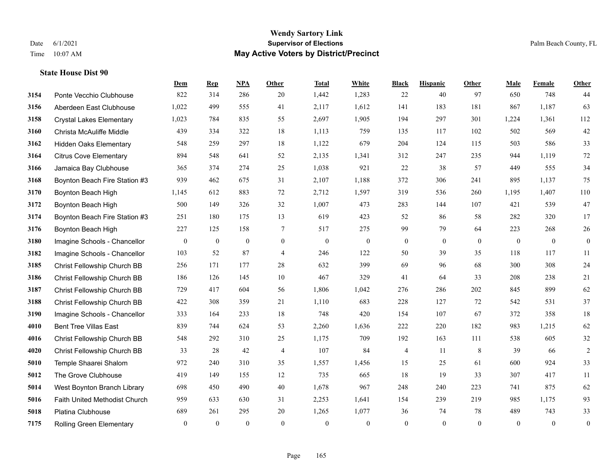|      |                                 | Dem          | <b>Rep</b>       | NPA          | <b>Other</b>   | <b>Total</b> | <b>White</b>   | <b>Black</b>     | <b>Hispanic</b> | <b>Other</b> | <b>Male</b>    | Female         | <b>Other</b>     |
|------|---------------------------------|--------------|------------------|--------------|----------------|--------------|----------------|------------------|-----------------|--------------|----------------|----------------|------------------|
| 3154 | Ponte Vecchio Clubhouse         | 822          | 314              | 286          | 20             | 1,442        | 1,283          | 22               | 40              | 97           | 650            | 748            | 44               |
| 3156 | Aberdeen East Clubhouse         | 1,022        | 499              | 555          | 41             | 2,117        | 1,612          | 141              | 183             | 181          | 867            | 1,187          | 63               |
| 3158 | <b>Crystal Lakes Elementary</b> | 1,023        | 784              | 835          | 55             | 2,697        | 1,905          | 194              | 297             | 301          | 1,224          | 1,361          | 112              |
| 3160 | Christa McAuliffe Middle        | 439          | 334              | 322          | 18             | 1,113        | 759            | 135              | 117             | 102          | 502            | 569            | 42               |
| 3162 | <b>Hidden Oaks Elementary</b>   | 548          | 259              | 297          | 18             | 1,122        | 679            | 204              | 124             | 115          | 503            | 586            | 33               |
| 3164 | <b>Citrus Cove Elementary</b>   | 894          | 548              | 641          | 52             | 2,135        | 1,341          | 312              | 247             | 235          | 944            | 1,119          | $72\,$           |
| 3166 | Jamaica Bay Clubhouse           | 365          | 374              | 274          | 25             | 1,038        | 921            | 22               | 38              | 57           | 449            | 555            | 34               |
| 3168 | Boynton Beach Fire Station #3   | 939          | 462              | 675          | 31             | 2,107        | 1,188          | 372              | 306             | 241          | 895            | 1,137          | 75               |
| 3170 | Boynton Beach High              | 1,145        | 612              | 883          | 72             | 2,712        | 1,597          | 319              | 536             | 260          | 1,195          | 1,407          | 110              |
| 3172 | Boynton Beach High              | 500          | 149              | 326          | 32             | 1,007        | 473            | 283              | 144             | 107          | 421            | 539            | $47\,$           |
| 3174 | Boynton Beach Fire Station #3   | 251          | 180              | 175          | 13             | 619          | 423            | 52               | 86              | 58           | 282            | 320            | 17               |
| 3176 | Boynton Beach High              | 227          | 125              | 158          | 7              | 517          | 275            | 99               | 79              | 64           | 223            | 268            | $26\,$           |
| 3180 | Imagine Schools - Chancellor    | $\mathbf{0}$ | $\boldsymbol{0}$ | $\mathbf{0}$ | $\overline{0}$ | $\mathbf{0}$ | $\mathbf{0}$   | $\boldsymbol{0}$ | $\overline{0}$  | $\theta$     | $\overline{0}$ | $\overline{0}$ | $\mathbf{0}$     |
| 3182 | Imagine Schools - Chancellor    | 103          | 52               | 87           | $\overline{4}$ | 246          | 122            | 50               | 39              | 35           | 118            | 117            | 11               |
| 3185 | Christ Fellowship Church BB     | 256          | 171              | 177          | 28             | 632          | 399            | 69               | 96              | 68           | 300            | 308            | $24\,$           |
| 3186 | Christ Fellowship Church BB     | 186          | 126              | 145          | 10             | 467          | 329            | 41               | 64              | 33           | 208            | 238            | 21               |
| 3187 | Christ Fellowship Church BB     | 729          | 417              | 604          | 56             | 1,806        | 1,042          | 276              | 286             | 202          | 845            | 899            | 62               |
| 3188 | Christ Fellowship Church BB     | 422          | 308              | 359          | 21             | 1,110        | 683            | 228              | 127             | 72           | 542            | 531            | 37               |
| 3190 | Imagine Schools - Chancellor    | 333          | 164              | 233          | 18             | 748          | 420            | 154              | 107             | 67           | 372            | 358            | 18               |
| 4010 | <b>Bent Tree Villas East</b>    | 839          | 744              | 624          | 53             | 2,260        | 1,636          | 222              | 220             | 182          | 983            | 1,215          | 62               |
| 4016 | Christ Fellowship Church BB     | 548          | 292              | 310          | 25             | 1,175        | 709            | 192              | 163             | 111          | 538            | 605            | 32               |
| 4020 | Christ Fellowship Church BB     | 33           | 28               | 42           | $\overline{4}$ | 107          | 84             | 4                | 11              | 8            | 39             | 66             | $\sqrt{2}$       |
| 5010 | Temple Shaarei Shalom           | 972          | 240              | 310          | 35             | 1,557        | 1,456          | 15               | 25              | 61           | 600            | 924            | 33               |
| 5012 | The Grove Clubhouse             | 419          | 149              | 155          | 12             | 735          | 665            | 18               | 19              | 33           | 307            | 417            | 11               |
| 5014 | West Boynton Branch Library     | 698          | 450              | 490          | 40             | 1,678        | 967            | 248              | 240             | 223          | 741            | 875            | 62               |
| 5016 | Faith United Methodist Church   | 959          | 633              | 630          | 31             | 2,253        | 1,641          | 154              | 239             | 219          | 985            | 1,175          | 93               |
| 5018 | Platina Clubhouse               | 689          | 261              | 295          | 20             | 1,265        | 1,077          | 36               | 74              | 78           | 489            | 743            | 33               |
| 7175 | Rolling Green Elementary        | $\mathbf{0}$ | $\mathbf{0}$     | $\mathbf{0}$ | $\theta$       | $\mathbf{0}$ | $\overline{0}$ | $\overline{0}$   | $\Omega$        | $\mathbf{0}$ | $\theta$       | $\overline{0}$ | $\boldsymbol{0}$ |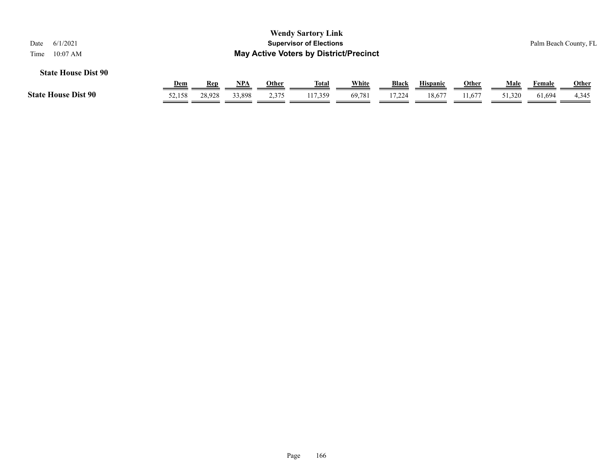| <b>Wendy Sartory Link</b><br>6/1/2021<br><b>Supervisor of Elections</b><br>Date<br><b>May Active Voters by District/Precinct</b><br>$10:07$ AM<br>Time |        |        |        |       |              |        |        |                 |              |        |        | Palm Beach County, FL |
|--------------------------------------------------------------------------------------------------------------------------------------------------------|--------|--------|--------|-------|--------------|--------|--------|-----------------|--------------|--------|--------|-----------------------|
| <b>State House Dist 90</b>                                                                                                                             | Dem    | Rep    | NPA    | Other | <u>Total</u> | White  | Black  | <b>Hispanic</b> | <b>Other</b> | Male   | Female | <b>Other</b>          |
| <b>State House Dist 90</b>                                                                                                                             | 52.158 | 28.928 | 33.898 | 2,375 | 117.359      | 69,781 | 17,224 | 18.677          | 11.677       | 51,320 | 61,694 | 4,345                 |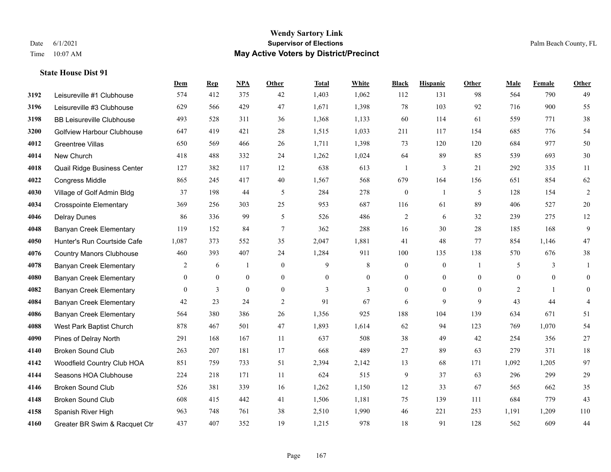### **Wendy Sartory Link** Date 6/1/2021 **Supervisor of Elections** Palm Beach County, FL Time 10:07 AM **May Active Voters by District/Precinct**

# **Dem Rep NPA Other Total White Black Hispanic Other Male Female Other** Leisureville #1 Clubhouse 574 412 375 42 1,403 1,062 112 131 98 564 790 49 Leisureville #3 Clubhouse 629 566 429 47 1,671 1,398 78 103 92 716 900 55 BB Leisureville Clubhouse 493 528 311 36 1,368 1,133 60 114 61 559 771 38 Golfview Harbour Clubhouse 647 419 421 28 1,515 1,033 211 117 154 685 776 54 Greentree Villas 650 569 466 26 1,711 1,398 73 120 120 684 977 50 New Church 418 488 332 24 1,262 1,024 64 89 85 539 693 30 Quail Ridge Business Center 127 382 117 12 638 613 1 3 21 292 335 11 Congress Middle 865 245 417 40 1,567 568 679 164 156 651 854 62 Village of Golf Admin Bldg 37 198 44 5 284 278 0 1 5 128 154 2 Crosspointe Elementary 369 256 303 25 953 687 116 61 89 406 527 20 Delray Dunes 86 336 99 5 526 486 2 6 32 239 275 12 Banyan Creek Elementary 119 152 84 7 362 288 16 30 28 185 168 9 Hunter's Run Courtside Cafe 1,087 373 552 35 2,047 1,881 41 48 77 854 1,146 47 Country Manors Clubhouse 460 393 407 24 1,284 911 100 135 138 570 676 38 Banyan Creek Elementary 2 6 1 0 9 8 0 0 1 5 3 1 Banyan Creek Elementary 0 0 0 0 0 0 0 0 0 0 0 0 **4082 Banyan Creek Elementary 0 3 0 0 3 3 3 0 0 0 2 1 0**  Banyan Creek Elementary 42 23 24 2 91 67 6 9 9 43 44 4 Banyan Creek Elementary 564 380 386 26 1,356 925 188 104 139 634 671 51 West Park Baptist Church 878 467 501 47 1,893 1,614 62 94 123 769 1,070 54 Pines of Delray North 291 168 167 11 637 508 38 49 42 254 356 27 Broken Sound Club 263 207 181 17 668 489 27 89 63 279 371 18 Woodfield Country Club HOA 851 759 733 51 2,394 2,142 13 68 171 1,092 1,205 97 Seasons HOA Clubhouse 224 218 171 11 624 515 9 37 63 296 299 29 Broken Sound Club 526 381 339 16 1,262 1,150 12 33 67 565 662 35 Broken Sound Club 608 415 442 41 1,506 1,181 75 139 111 684 779 43 Spanish River High 963 748 761 38 2,510 1,990 46 221 253 1,191 1,209 110 Greater BR Swim & Racquet Ctr 437 407 352 19 1,215 978 18 91 128 562 609 44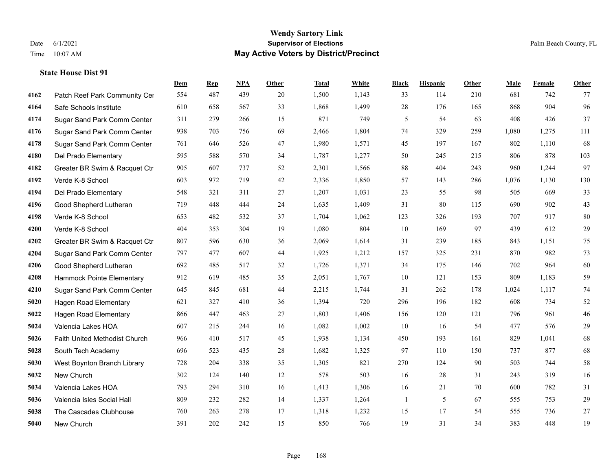#### **Wendy Sartory Link** Date 6/1/2021 **Supervisor of Elections** Palm Beach County, FL Time 10:07 AM **May Active Voters by District/Precinct**

# **Dem Rep NPA Other Total White Black Hispanic Other Male Female Other** 4162 Patch Reef Park Community Center 554 487 439 20 1,500 1,143 33 114 210 681 742 77 Safe Schools Institute 610 658 567 33 1,868 1,499 28 176 165 868 904 96 Sugar Sand Park Comm Center 311 279 266 15 871 749 5 54 63 408 426 37 Sugar Sand Park Comm Center 938 703 756 69 2,466 1,804 74 329 259 1,080 1,275 111 Sugar Sand Park Comm Center 761 646 526 47 1,980 1,571 45 197 167 802 1,110 68 Del Prado Elementary 595 588 570 34 1,787 1,277 50 245 215 806 878 103 Greater BR Swim & Racquet Ctr 905 607 737 52 2,301 1,566 88 404 243 960 1,244 97 Verde K-8 School 603 972 719 42 2,336 1,850 57 143 286 1,076 1,130 130 Del Prado Elementary 548 321 311 27 1,207 1,031 23 55 98 505 669 33 Good Shepherd Lutheran 719 448 444 24 1,635 1,409 31 80 115 690 902 43 Verde K-8 School 653 482 532 37 1,704 1,062 123 326 193 707 917 80 Verde K-8 School 404 353 304 19 1,080 804 10 169 97 439 612 29 Greater BR Swim & Racquet Ctr 807 596 630 36 2,069 1,614 31 239 185 843 1,151 75 Sugar Sand Park Comm Center 797 477 607 44 1,925 1,212 157 325 231 870 982 73 Good Shepherd Lutheran 692 485 517 32 1,726 1,371 34 175 146 702 964 60 Hammock Pointe Elementary 912 619 485 35 2,051 1,767 10 121 153 809 1,183 59 Sugar Sand Park Comm Center 645 845 681 44 2,215 1,744 31 262 178 1,024 1,117 74 Hagen Road Elementary 621 327 410 36 1,394 720 296 196 182 608 734 52 Hagen Road Elementary 866 447 463 27 1,803 1,406 156 120 121 796 961 46 Valencia Lakes HOA 607 215 244 16 1,082 1,002 10 16 54 477 576 29 Faith United Methodist Church 966 410 517 45 1,938 1,134 450 193 161 829 1,041 68 South Tech Academy 696 523 435 28 1,682 1,325 97 110 150 737 877 68 West Boynton Branch Library 728 204 338 35 1,305 821 270 124 90 503 744 58 New Church 302 124 140 12 578 503 16 28 31 243 319 16 Valencia Lakes HOA 793 294 310 16 1,413 1,306 16 21 70 600 782 31 Valencia Isles Social Hall 809 232 282 14 1,337 1,264 1 5 67 555 753 29 The Cascades Clubhouse 760 263 278 17 1,318 1,232 15 17 54 555 736 27

New Church 391 202 242 15 850 766 19 31 34 383 448 19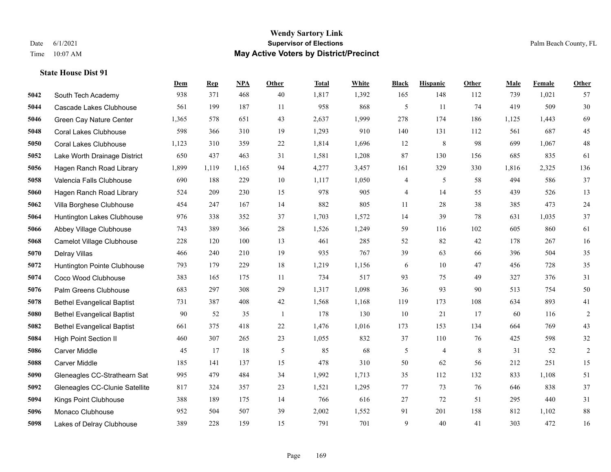#### **Wendy Sartory Link** Date 6/1/2021 **Supervisor of Elections** Palm Beach County, FL Time 10:07 AM **May Active Voters by District/Precinct**

# **Dem Rep NPA Other Total White Black Hispanic Other Male Female Other** South Tech Academy 938 371 468 40 1,817 1,392 165 148 112 739 1,021 57 Cascade Lakes Clubhouse 561 199 187 11 958 868 5 11 74 419 509 30 Green Cay Nature Center 1,365 578 651 43 2,637 1,999 278 174 186 1,125 1,443 69 Coral Lakes Clubhouse 598 366 310 19 1,293 910 140 131 112 561 687 45 Coral Lakes Clubhouse 1,123 310 359 22 1,814 1,696 12 8 98 699 1,067 48 Lake Worth Drainage District 650 437 463 31 1,581 1,208 87 130 156 685 835 61 Hagen Ranch Road Library 1,899 1,119 1,165 94 4,277 3,457 161 329 330 1,816 2,325 136 Valencia Falls Clubhouse 690 188 229 10 1,117 1,050 4 5 58 494 586 37 Hagen Ranch Road Library 524 209 230 15 978 905 4 14 55 439 526 13 Villa Borghese Clubhouse 454 247 167 14 882 805 11 28 38 385 473 24 Huntington Lakes Clubhouse 976 338 352 37 1,703 1,572 14 39 78 631 1,035 37 Abbey Village Clubhouse 743 389 366 28 1,526 1,249 59 116 102 605 860 61 Camelot Village Clubhouse 228 120 100 13 461 285 52 82 42 178 267 16 Delray Villas 466 240 210 19 935 767 39 63 66 396 504 35 Huntington Pointe Clubhouse 793 179 229 18 1,219 1,156 6 10 47 456 728 35 Coco Wood Clubhouse 383 165 175 11 734 517 93 75 49 327 376 31 Palm Greens Clubhouse 683 297 308 29 1,317 1,098 36 93 90 513 754 50 Bethel Evangelical Baptist 731 387 408 42 1,568 1,168 119 173 108 634 893 41 Bethel Evangelical Baptist 90 52 35 1 178 130 10 21 17 60 116 2 Bethel Evangelical Baptist 661 375 418 22 1,476 1,016 173 153 134 664 769 43 High Point Section II 460 307 265 23 1,055 832 37 110 76 425 598 32 Carver Middle 45 17 18 5 85 68 5 4 8 31 52 2 Carver Middle 185 141 137 15 478 310 50 62 56 212 251 15 Gleneagles CC-Strathearn Sat 995 479 484 34 1,992 1,713 35 112 132 833 1,108 51 Gleneagles CC-Clunie Satellite 817 324 357 23 1,521 1,295 77 73 76 646 838 37 Kings Point Clubhouse 388 189 175 14 766 616 27 72 51 295 440 31 Monaco Clubhouse 952 504 507 39 2,002 1,552 91 201 158 812 1,102 88 Lakes of Delray Clubhouse 389 228 159 15 791 701 9 40 41 303 472 16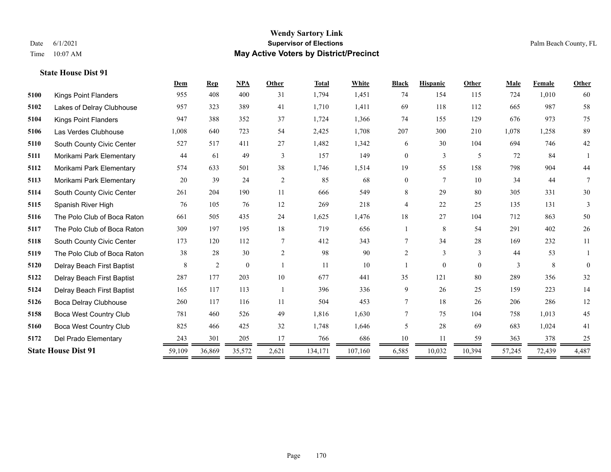|                               | Dem    | <b>Rep</b> | <b>NPA</b>   | Other          | <b>Total</b> | White   | <b>Black</b>   | <b>Hispanic</b> | Other    | Male   | Female | Other    |
|-------------------------------|--------|------------|--------------|----------------|--------------|---------|----------------|-----------------|----------|--------|--------|----------|
| <b>Kings Point Flanders</b>   | 955    | 408        | 400          | 31             | 1,794        | 1,451   | 74             | 154             | 115      | 724    | 1,010  | 60       |
| Lakes of Delray Clubhouse     | 957    | 323        | 389          | 41             | 1,710        | 1,411   | 69             | 118             | 112      | 665    | 987    | 58       |
| <b>Kings Point Flanders</b>   | 947    | 388        | 352          | 37             | 1,724        | 1,366   | 74             | 155             | 129      | 676    | 973    | 75       |
| Las Verdes Clubhouse          | 1,008  | 640        | 723          | 54             | 2,425        | 1,708   | 207            | 300             | 210      | 1,078  | 1,258  | 89       |
| South County Civic Center     | 527    | 517        | 411          | 27             | 1,482        | 1,342   | 6              | 30              | 104      | 694    | 746    | $42\,$   |
| Morikami Park Elementary      | 44     | 61         | 49           | 3              | 157          | 149     | $\overline{0}$ | $\overline{3}$  | 5        | 72     | 84     |          |
| Morikami Park Elementary      | 574    | 633        | 501          | 38             | 1,746        | 1,514   | 19             | 55              | 158      | 798    | 904    | 44       |
| Morikami Park Elementary      | 20     | 39         | 24           | 2              | 85           | 68      | $\overline{0}$ | $\overline{7}$  | 10       | 34     | 44     | 7        |
| South County Civic Center     | 261    | 204        | 190          | 11             | 666          | 549     | 8              | 29              | 80       | 305    | 331    | $30\,$   |
| Spanish River High            | 76     | 105        | 76           | 12             | 269          | 218     | 4              | 22              | 25       | 135    | 131    | 3        |
| The Polo Club of Boca Raton   | 661    | 505        | 435          | 24             | 1,625        | 1,476   | 18             | 27              | 104      | 712    | 863    | 50       |
| The Polo Club of Boca Raton   | 309    | 197        | 195          | 18             | 719          | 656     |                | 8               | 54       | 291    | 402    | $26\,$   |
| South County Civic Center     | 173    | 120        | 112          | 7              | 412          | 343     | 7              | 34              | 28       | 169    | 232    | 11       |
| The Polo Club of Boca Raton   | 38     | 28         | 30           | $\overline{2}$ | 98           | 90      | 2              | $\overline{3}$  | 3        | 44     | 53     |          |
| Delray Beach First Baptist    | 8      | 2          | $\mathbf{0}$ |                | 11           | 10      |                | $\overline{0}$  | $\Omega$ | 3      | 8      | $\theta$ |
| Delray Beach First Baptist    | 287    | 177        | 203          | 10             | 677          | 441     | 35             | 121             | 80       | 289    | 356    | 32       |
| Delray Beach First Baptist    | 165    | 117        | 113          | -1             | 396          | 336     | 9              | 26              | 25       | 159    | 223    | 14       |
| Boca Delray Clubhouse         | 260    | 117        | 116          | 11             | 504          | 453     | $\tau$         | 18              | 26       | 206    | 286    | 12       |
| <b>Boca West Country Club</b> | 781    | 460        | 526          | 49             | 1,816        | 1,630   | 7              | 75              | 104      | 758    | 1,013  | 45       |
| <b>Boca West Country Club</b> | 825    | 466        | 425          | 32             | 1,748        | 1,646   | 5              | 28              | 69       | 683    | 1,024  | 41       |
| Del Prado Elementary          | 243    | 301        | 205          | 17             | 766          | 686     | 10             | 11              | 59       | 363    | 378    | 25       |
| <b>State House Dist 91</b>    | 59,109 | 36,869     | 35,572       | 2,621          | 134,171      | 107,160 | 6,585          | 10,032          | 10,394   | 57,245 | 72,439 | 4,487    |
|                               |        |            |              |                |              |         |                |                 |          |        |        |          |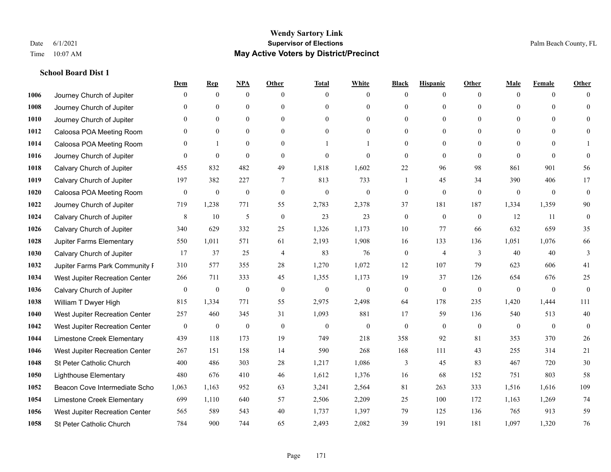### **School Board Dist 1**

|      |                                | Dem              | <b>Rep</b>       | NPA              | <b>Other</b>     | <b>Total</b>     | <b>White</b>     | <b>Black</b>     | <b>Hispanic</b> | <b>Other</b>   | <b>Male</b>  | <b>Female</b> | <b>Other</b>     |
|------|--------------------------------|------------------|------------------|------------------|------------------|------------------|------------------|------------------|-----------------|----------------|--------------|---------------|------------------|
| 1006 | Journey Church of Jupiter      | $\Omega$         | $\mathbf{0}$     | $\mathbf{0}$     | $\Omega$         | $\Omega$         | $\overline{0}$   | $\mathbf{0}$     | $\mathbf{0}$    | $\theta$       | $\mathbf{0}$ | $\theta$      | $\Omega$         |
| 1008 | Journey Church of Jupiter      | $\Omega$         | $\theta$         | $\theta$         | $\Omega$         | $\Omega$         | $\overline{0}$   | $\theta$         | $\mathbf{0}$    | $\Omega$       | $\theta$     | $\Omega$      | $\theta$         |
| 1010 | Journey Church of Jupiter      | $\theta$         | $\mathbf{0}$     | $\mathbf{0}$     | $\theta$         | $\Omega$         | $\overline{0}$   | $\theta$         | $\mathbf{0}$    | $\Omega$       | $\theta$     | $\Omega$      | $\Omega$         |
| 1012 | Caloosa POA Meeting Room       | $\mathbf{0}$     | $\mathbf{0}$     | $\mathbf{0}$     | $\mathbf{0}$     | $\theta$         | $\overline{0}$   | $\mathbf{0}$     | $\mathbf{0}$    | $\Omega$       | $\mathbf{0}$ | $\theta$      | $\Omega$         |
| 1014 | Caloosa POA Meeting Room       | $\theta$         | 1                | $\theta$         | $\Omega$         |                  |                  | $\theta$         | $\theta$        | $\Omega$       | $\Omega$     | $\Omega$      |                  |
| 1016 | Journey Church of Jupiter      | $\overline{0}$   | $\boldsymbol{0}$ | $\mathbf{0}$     | $\theta$         | $\theta$         | $\overline{0}$   | $\mathbf{0}$     | $\mathbf{0}$    | $\theta$       | $\theta$     | $\theta$      | $\theta$         |
| 1018 | Calvary Church of Jupiter      | 455              | 832              | 482              | 49               | 1,818            | 1,602            | $22\,$           | 96              | 98             | 861          | 901           | 56               |
| 1019 | Calvary Church of Jupiter      | 197              | 382              | 227              | 7                | 813              | 733              | $\mathbf{1}$     | 45              | 34             | 390          | 406           | 17               |
| 1020 | Caloosa POA Meeting Room       | $\mathbf{0}$     | $\boldsymbol{0}$ | $\boldsymbol{0}$ | $\mathbf{0}$     | $\boldsymbol{0}$ | $\boldsymbol{0}$ | $\boldsymbol{0}$ | $\mathbf{0}$    | $\mathbf{0}$   | $\mathbf{0}$ | $\mathbf{0}$  | $\mathbf{0}$     |
| 1022 | Journey Church of Jupiter      | 719              | 1,238            | 771              | 55               | 2,783            | 2,378            | 37               | 181             | 187            | 1,334        | 1,359         | 90               |
| 1024 | Calvary Church of Jupiter      | 8                | 10               | 5                | $\theta$         | 23               | 23               | $\mathbf{0}$     | $\theta$        | $\theta$       | 12           | 11            | $\mathbf{0}$     |
| 1026 | Calvary Church of Jupiter      | 340              | 629              | 332              | 25               | 1,326            | 1,173            | 10               | 77              | 66             | 632          | 659           | 35               |
| 1028 | Jupiter Farms Elementary       | 550              | 1,011            | 571              | 61               | 2,193            | 1,908            | 16               | 133             | 136            | 1,051        | 1,076         | 66               |
| 1030 | Calvary Church of Jupiter      | 17               | 37               | 25               | $\overline{4}$   | 83               | 76               | $\boldsymbol{0}$ | $\overline{4}$  | $\overline{3}$ | 40           | 40            | 3                |
| 1032 | Jupiter Farms Park Community I | 310              | 577              | 355              | 28               | 1,270            | 1,072            | 12               | 107             | 79             | 623          | 606           | 41               |
| 1034 | West Jupiter Recreation Center | 266              | 711              | 333              | 45               | 1,355            | 1,173            | 19               | 37              | 126            | 654          | 676           | 25               |
| 1036 | Calvary Church of Jupiter      | $\boldsymbol{0}$ | $\boldsymbol{0}$ | $\boldsymbol{0}$ | $\boldsymbol{0}$ | $\boldsymbol{0}$ | $\boldsymbol{0}$ | $\boldsymbol{0}$ | $\mathbf{0}$    | $\mathbf{0}$   | $\mathbf{0}$ | $\mathbf{0}$  | $\boldsymbol{0}$ |
| 1038 | William T Dwyer High           | 815              | 1,334            | 771              | 55               | 2,975            | 2,498            | 64               | 178             | 235            | 1,420        | 1,444         | 111              |
| 1040 | West Jupiter Recreation Center | 257              | 460              | 345              | 31               | 1,093            | 881              | 17               | 59              | 136            | 540          | 513           | 40               |
| 1042 | West Jupiter Recreation Center | $\boldsymbol{0}$ | $\boldsymbol{0}$ | $\boldsymbol{0}$ | $\mathbf{0}$     | $\overline{0}$   | $\boldsymbol{0}$ | $\boldsymbol{0}$ | $\mathbf{0}$    | $\mathbf{0}$   | $\mathbf{0}$ | $\mathbf{0}$  | $\boldsymbol{0}$ |
| 1044 | Limestone Creek Elementary     | 439              | 118              | 173              | 19               | 749              | 218              | 358              | 92              | 81             | 353          | 370           | $26\,$           |
| 1046 | West Jupiter Recreation Center | 267              | 151              | 158              | 14               | 590              | 268              | 168              | 111             | 43             | 255          | 314           | $21\,$           |
| 1048 | St Peter Catholic Church       | 400              | 486              | 303              | 28               | 1,217            | 1,086            | 3                | 45              | 83             | 467          | 720           | $30\,$           |
| 1050 | <b>Lighthouse Elementary</b>   | 480              | 676              | 410              | 46               | 1,612            | 1,376            | 16               | 68              | 152            | 751          | 803           | 58               |
| 1052 | Beacon Cove Intermediate Scho  | 1.063            | 1.163            | 952              | 63               | 3,241            | 2,564            | 81               | 263             | 333            | 1.516        | 1.616         | 109              |
| 1054 | Limestone Creek Elementary     | 699              | 1,110            | 640              | 57               | 2,506            | 2,209            | 25               | 100             | 172            | 1,163        | 1,269         | 74               |
| 1056 | West Jupiter Recreation Center | 565              | 589              | 543              | 40               | 1,737            | 1,397            | 79               | 125             | 136            | 765          | 913           | 59               |
| 1058 | St Peter Catholic Church       | 784              | 900              | 744              | 65               | 2,493            | 2,082            | 39               | 191             | 181            | 1,097        | 1,320         | 76               |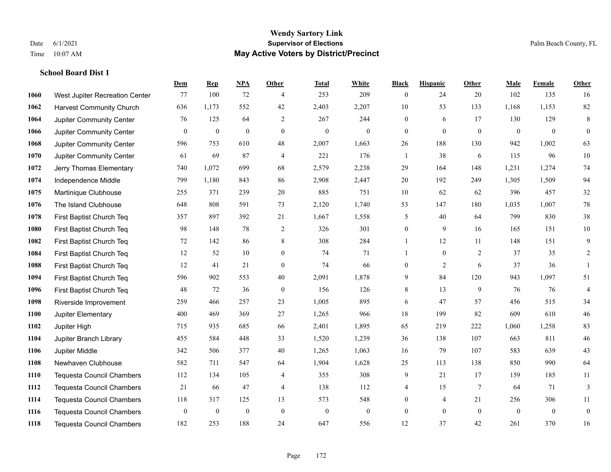### **Wendy Sartory Link** Date 6/1/2021 **Supervisor of Elections** Palm Beach County, FL Time 10:07 AM **May Active Voters by District/Precinct**

**Dem Rep NPA Other Total White Black Hispanic Other Male Female Other**

# West Jupiter Recreation Center 77 100 72 4 253 209 0 24 20 102 135 16 Harvest Community Church 636 1,173 552 42 2,403 2,207 10 53 133 1,168 1,153 82 Jupiter Community Center  $\begin{array}{cccc} 76 & 125 & 64 & 2 & 267 & 244 & 0 & 6 & 17 & 130 & 129 & 8 \end{array}$  Jupiter Community Center 0 0 0 0 0 0 0 0 0 0 0 0 Jupiter Community Center 596 753 610 48 2,007 1,663 26 188 130 942 1,002 63 Jupiter Community Center 61 69 87 4 221 176 1 38 6 115 96 10 Jerry Thomas Elementary 740 1,072 699 68 2,579 2,238 29 164 148 1,231 1,274 74 Independence Middle 799 1,180 843 86 2,908 2,447 20 192 249 1,305 1,509 94 Martinique Clubhouse 255 371 239 20 885 751 10 62 62 396 457 32 The Island Clubhouse 648 808 591 73 2,120 1,740 53 147 180 1,035 1,007 78 First Baptist Church Teq 357 897 392 21 1,667 1,558 5 40 64 799 830 38 First Baptist Church Teq 98 148 78 2 326 301 0 9 16 165 151 10 First Baptist Church Teq 72 142 86 8 308 284 1 12 11 148 151 9 First Baptist Church Teq 12 52 10 0 74 71 1 0 2 37 35 2 First Baptist Church Teq 12 41 21 0 74 66 0 2 6 37 36 1 First Baptist Church Teq 596 902 553 40 2,091 1,878 9 84 120 943 1,097 51 First Baptist Church Teq 48 72 36 0 156 126 8 13 9 76 76 4 Riverside Improvement 259 466 257 23 1,005 895 6 47 57 456 515 34 Jupiter Elementary 400 469 369 27 1,265 966 18 199 82 609 610 46 Jupiter High 715 935 685 66 2,401 1,895 65 219 222 1,060 1,258 83 Jupiter Branch Library 455 584 448 33 1,520 1,239 36 138 107 663 811 46 Jupiter Middle 342 506 377 40 1,265 1,063 16 79 107 583 639 43 Newhaven Clubhouse 582 711 547 64 1,904 1,628 25 113 138 850 990 64 Tequesta Council Chambers 112 134 105 4 355 308 9 21 17 159 185 11 Tequesta Council Chambers 21 66 47 4 138 112 4 15 7 64 71 3 Tequesta Council Chambers 118 317 125 13 573 548 0 4 21 256 306 11 Tequesta Council Chambers 0 0 0 0 0 0 0 0 0 0 0 0

Tequesta Council Chambers 182 253 188 24 647 556 12 37 42 261 370 16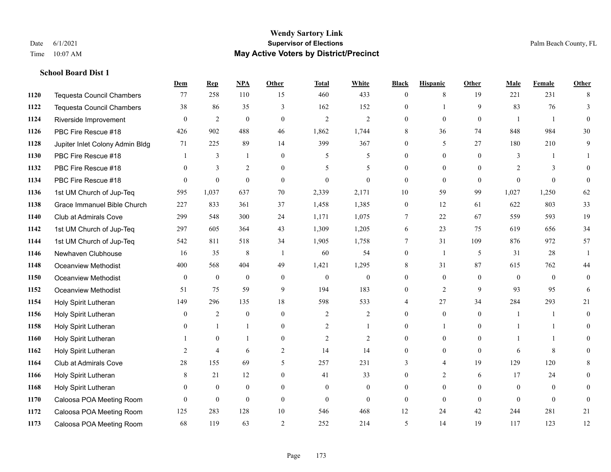### **Wendy Sartory Link** Date 6/1/2021 **Supervisor of Elections** Palm Beach County, FL Time 10:07 AM **May Active Voters by District/Precinct**

# **Dem Rep NPA Other Total White Black Hispanic Other Male Female Other** Tequesta Council Chambers 77 258 110 15 460 433 0 8 19 221 231 8 Tequesta Council Chambers 38 86 35 3 162 152 0 1 9 83 76 3 Riverside Improvement 0 0 2 0 0 2 2 2 0 0 0 0 1 1 0 PBC Fire Rescue #18 426 902 488 46 1,862 1,744 8 36 74 848 984 30 Jupiter Inlet Colony Admin Bldg 71 225 89 14 399 367 0 5 27 180 210 9 PBC Fire Rescue #18 **1** 3 1 0 5 5 0 0 0 3 1 1 PBC Fire Rescue #18 0 3 2 0 5 5 0 0 0 2 3 0 PBC Fire Rescue #18 0 0 0 0 0 0 0 0 0 0 0 0 1st UM Church of Jup-Teq 595 1,037 637 70 2,339 2,171 10 59 99 1,027 1,250 62 Grace Immanuel Bible Church 227 833 361 37 1,458 1,385 0 12 61 622 803 33 Club at Admirals Cove 299 548 300 24 1,171 1,075 7 22 67 559 593 19 1st UM Church of Jup-Teq 297 605 364 43 1,309 1,205 6 23 75 619 656 34 1st UM Church of Jup-Teq 542 811 518 34 1,905 1,758 7 31 109 876 972 57 Newhaven Clubhouse 16 35 8 1 60 54 0 1 5 31 28 1 Oceanview Methodist 400 568 404 49 1,421 1,295 8 31 87 615 762 44 Oceanview Methodist 0 0 0 0 0 0 0 0 0 0 0 0 Oceanview Methodist 51 75 59 9 194 183 0 2 9 93 95 6 Holy Spirit Lutheran 149 296 135 18 598 533 4 27 34 284 293 21 Holy Spirit Lutheran 0 2 0 0 2 2 0 0 0 1 1 0 Holy Spirit Lutheran 0 1 1 0 2 1 0 1 0 1 1 0 Holy Spirit Lutheran 1 0 1 0 2 2 0 0 0 1 1 0 Holy Spirit Lutheran 2 4 6 2 14 14 0 0 0 6 8 0 Club at Admirals Cove 28 155 69 5 257 231 3 4 19 129 120 8 Holy Spirit Lutheran **8** 21 12 0 41 33 0 2 6 17 24 0 Holy Spirit Lutheran 0 0 0 0 0 0 0 0 0 0 0 0 Caloosa POA Meeting Room 0 0 0 0 0 0 0 0 0 0 0 0 Caloosa POA Meeting Room 125 283 128 10 546 468 12 24 42 244 281 21 Caloosa POA Meeting Room 68 119 63 2 252 214 5 14 19 117 123 12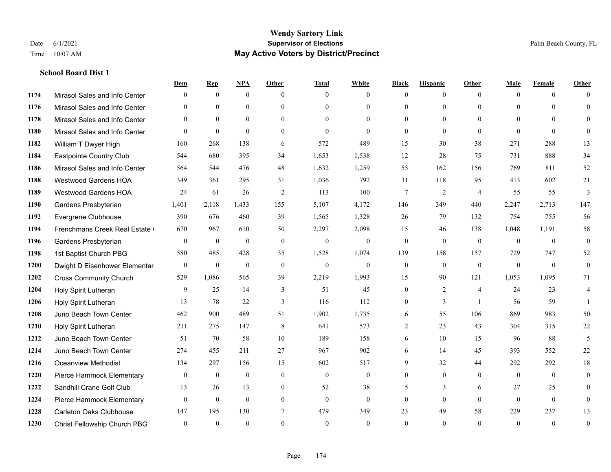## **School Board Dist 1**

|      |                               | Dem          | <b>Rep</b>   | NPA          | <b>Other</b>   | <b>Total</b>   | <b>White</b>     | <b>Black</b>   | <b>Hispanic</b> | <b>Other</b>   | <b>Male</b>  | Female         | <b>Other</b>   |
|------|-------------------------------|--------------|--------------|--------------|----------------|----------------|------------------|----------------|-----------------|----------------|--------------|----------------|----------------|
| 1174 | Mirasol Sales and Info Center | $\Omega$     | $\mathbf{0}$ | $\mathbf{0}$ | $\theta$       | $\theta$       | $\theta$         | $\theta$       | $\overline{0}$  | $\Omega$       | $\theta$     | $\theta$       | $\Omega$       |
| 1176 | Mirasol Sales and Info Center | $\Omega$     | $\theta$     | $\theta$     | $\Omega$       | $\Omega$       | $\theta$         | $\theta$       | $\Omega$        | $\Omega$       | $\Omega$     | $\Omega$       | $\theta$       |
| 1178 | Mirasol Sales and Info Center | $\Omega$     | $\theta$     | $\theta$     | $\theta$       | $\Omega$       | $\Omega$         | $\theta$       | $\Omega$        | $\Omega$       | $\theta$     | $\Omega$       | $\Omega$       |
| 1180 | Mirasol Sales and Info Center | $\theta$     | $\theta$     | $\theta$     | $\theta$       | $\theta$       | $\Omega$         | $\overline{0}$ | $\theta$        | $\theta$       | $\theta$     | $\theta$       | $\Omega$       |
| 1182 | William T Dwyer High          | 160          | 268          | 138          | 6              | 572            | 489              | 15             | 30              | 38             | 271          | 288            | 13             |
| 1184 | Eastpointe Country Club       | 544          | 680          | 395          | 34             | 1,653          | 1,538            | 12             | 28              | 75             | 731          | 888            | 34             |
| 1186 | Mirasol Sales and Info Center | 564          | 544          | 476          | 48             | 1,632          | 1,259            | 55             | 162             | 156            | 769          | 811            | 52             |
| 1188 | Westwood Gardens HOA          | 349          | 361          | 295          | 31             | 1,036          | 792              | 31             | 118             | 95             | 413          | 602            | 21             |
| 1189 | Westwood Gardens HOA          | 24           | 61           | 26           | 2              | 113            | 100              | 7              | $\overline{c}$  | $\overline{4}$ | 55           | 55             | 3              |
| 1190 | Gardens Presbyterian          | 1,401        | 2,118        | 1,433        | 155            | 5,107          | 4,172            | 146            | 349             | 440            | 2,247        | 2,713          | 147            |
| 1192 | Evergrene Clubhouse           | 390          | 676          | 460          | 39             | 1,565          | 1,328            | 26             | 79              | 132            | 754          | 755            | 56             |
| 1194 | Frenchmans Creek Real Estate  | 670          | 967          | 610          | 50             | 2,297          | 2,098            | 15             | 46              | 138            | 1,048        | 1,191          | 58             |
| 1196 | Gardens Presbyterian          | $\theta$     | $\mathbf{0}$ | $\mathbf{0}$ | $\theta$       | $\mathbf{0}$   | $\overline{0}$   | $\mathbf{0}$   | $\overline{0}$  | $\theta$       | $\theta$     | $\theta$       | $\mathbf{0}$   |
| 1198 | 1st Baptist Church PBG        | 580          | 485          | 428          | 35             | 1,528          | 1,074            | 139            | 158             | 157            | 729          | 747            | 52             |
| 1200 | Dwight D Eisenhower Elementar | $\mathbf{0}$ | $\mathbf{0}$ | $\mathbf{0}$ | $\mathbf{0}$   | $\overline{0}$ | $\overline{0}$   | $\mathbf{0}$   | $\overline{0}$  | $\mathbf{0}$   | $\mathbf{0}$ | $\theta$       | $\mathbf{0}$   |
| 1202 | <b>Cross Community Church</b> | 529          | 1,086        | 565          | 39             | 2,219          | 1,993            | 15             | 90              | 121            | 1,053        | 1,095          | 71             |
| 1204 | Holy Spirit Lutheran          | 9            | 25           | 14           | 3              | 51             | 45               | $\overline{0}$ | $\overline{2}$  | $\overline{4}$ | 24           | 23             | $\overline{4}$ |
| 1206 | Holy Spirit Lutheran          | 13           | 78           | 22           | $\overline{3}$ | 116            | 112              | $\overline{0}$ | 3               |                | 56           | 59             |                |
| 1208 | Juno Beach Town Center        | 462          | 900          | 489          | 51             | 1,902          | 1,735            | 6              | 55              | 106            | 869          | 983            | 50             |
| 1210 | Holy Spirit Lutheran          | 211          | 275          | 147          | $\,8\,$        | 641            | 573              | 2              | 23              | 43             | 304          | 315            | 22             |
| 1212 | Juno Beach Town Center        | 51           | 70           | 58           | 10             | 189            | 158              | 6              | 10              | 15             | 96           | 88             | 5              |
| 1214 | Juno Beach Town Center        | 274          | 455          | 211          | 27             | 967            | 902              | 6              | 14              | 45             | 393          | 552            | $22\,$         |
| 1216 | <b>Oceanview Methodist</b>    | 134          | 297          | 156          | 15             | 602            | 517              | 9              | 32              | 44             | 292          | 292            | $18\,$         |
| 1220 | Pierce Hammock Elementary     | $\mathbf{0}$ | $\mathbf{0}$ | $\mathbf{0}$ | $\mathbf{0}$   | $\mathbf{0}$   | $\boldsymbol{0}$ | $\overline{0}$ | $\overline{0}$  | $\theta$       | $\theta$     | $\overline{0}$ | $\theta$       |
| 1222 | Sandhill Crane Golf Club      | 13           | 26           | 13           | $\theta$       | 52             | 38               | 5              | 3               | 6              | 27           | 25             | $\theta$       |
| 1224 | Pierce Hammock Elementary     | $\Omega$     | $\mathbf{0}$ | $\mathbf{0}$ | $\theta$       | $\mathbf{0}$   | $\overline{0}$   | $\theta$       | $\overline{0}$  | $\Omega$       | $\theta$     | $\theta$       | $\mathbf{0}$   |
| 1228 | Carleton Oaks Clubhouse       | 147          | 195          | 130          | $\overline{7}$ | 479            | 349              | 23             | 49              | 58             | 229          | 237            | 13             |
| 1230 | Christ Fellowship Church PBG  | $\theta$     | $\theta$     | $\theta$     | $\Omega$       | $\theta$       | $\theta$         | $\theta$       | $\Omega$        | $\Omega$       | $\Omega$     | $\Omega$       | $\mathbf{0}$   |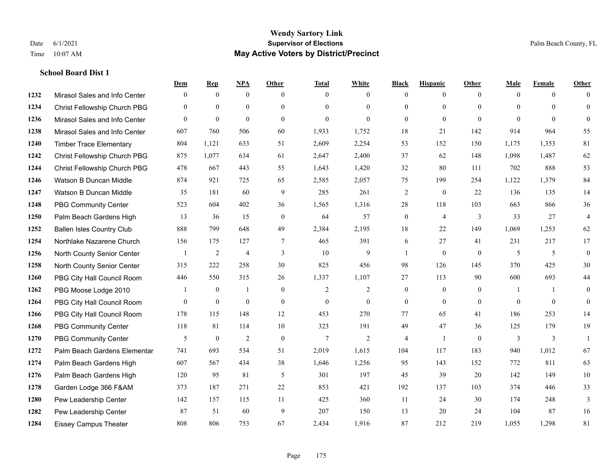### **Wendy Sartory Link** Date 6/1/2021 **Supervisor of Elections** Palm Beach County, FL Time 10:07 AM **May Active Voters by District/Precinct**

## **Dem Rep NPA Other Total White Black Hispanic Other Male Female Other** Mirasol Sales and Info Center 0 0 0 0 0 0 0 0 0 0 0 0 Christ Fellowship Church PBG 0 0 0 0 0 0 0 0 0 0 0 0 Mirasol Sales and Info Center 0 0 0 0 0 0 0 0 0 0 0 0 Mirasol Sales and Info Center 607 760 506 60 1,933 1,752 18 21 142 914 964 55 Timber Trace Elementary 804 1,121 633 51 2,609 2,254 53 152 150 1,175 1,353 81 Christ Fellowship Church PBG 875 1,077 634 61 2,647 2,400 37 62 148 1,098 1,487 62 Christ Fellowship Church PBG 478 667 443 55 1,643 1,420 32 80 111 702 888 53 Watson B Duncan Middle 874 921 725 65 2,585 2,057 75 199 254 1,122 1,379 84 Watson B Duncan Middle 35 181 60 9 285 261 2 0 22 136 135 14 PBG Community Center 523 604 402 36 1,565 1,316 28 118 103 663 866 36 Palm Beach Gardens High 13 36 15 0 64 57 0 4 3 33 27 4 Ballen Isles Country Club 888 799 648 49 2,384 2,195 18 22 149 1,069 1,253 62 Northlake Nazarene Church 156 175 127 7 465 391 6 27 41 231 217 17 North County Senior Center 1 2 4 3 10 9 1 0 0 5 5 5 0 North County Senior Center 315 222 258 30 825 456 98 126 145 370 425 30 PBG City Hall Council Room 446 550 315 26 1,337 1,107 27 113 90 600 693 44 PBG Moose Lodge 2010 1 0 1 0 1 0 2 2 0 0 0 1 1 0 PBG City Hall Council Room 0 0 0 0 0 0 0 0 0 0 0 0 PBG City Hall Council Room 178 115 148 12 453 270 77 65 41 186 253 14 PBG Community Center 118 81 114 10 323 191 49 47 36 125 179 19 PBG Community Center  $\begin{array}{ccccccccccccc}\n & & & 5 & & 0 & & 2 & & 0 & & 7 & & 2 & & 4 & & 1 & & 0 & & 3 & & 3 & & 1\n\end{array}$  Palm Beach Gardens Elementary 741 693 534 51 2,019 1,615 104 117 183 940 1,012 67 Palm Beach Gardens High 607 567 434 38 1,646 1,256 95 143 152 772 811 63 Palm Beach Gardens High 120 95 81 5 301 197 45 39 20 142 149 10 Garden Lodge 366 F&AM 373 187 271 22 853 421 192 137 103 374 446 33 Pew Leadership Center 142 157 115 11 425 360 11 24 30 174 248 3 Pew Leadership Center 87 51 60 9 207 150 13 20 24 104 87 16 Eissey Campus Theater 808 806 753 67 2,434 1,916 87 212 219 1,055 1,298 81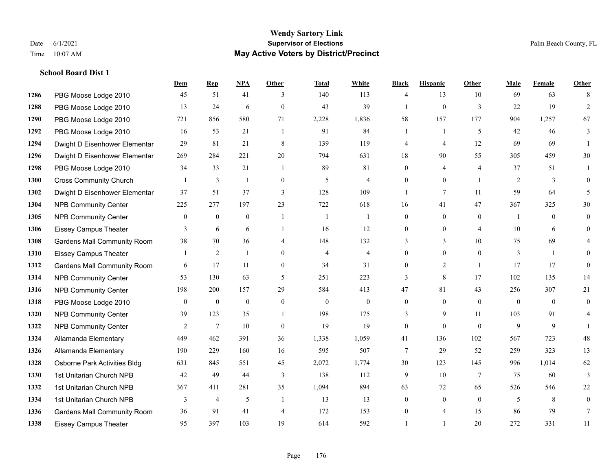### **Wendy Sartory Link** Date 6/1/2021 **Supervisor of Elections** Palm Beach County, FL Time 10:07 AM **May Active Voters by District/Precinct**

# **Dem Rep NPA Other Total White Black Hispanic Other Male Female Other** PBG Moose Lodge 2010 45 51 41 3 140 113 4 13 10 69 63 8 PBG Moose Lodge 2010 13 24 6 0 43 39 1 0 3 22 19 2 PBG Moose Lodge 2010 721 856 580 71 2,228 1,836 58 157 177 904 1,257 67 PBG Moose Lodge 2010 16 53 21 1 91 84 1 1 5 42 46 3 Dwight D Eisenhower Elementar 29 81 21 8 139 119 4 4 12 69 69 1 Dwight D Eisenhower Elementar 269 284 221 20 794 631 18 90 55 305 459 30 PBG Moose Lodge 2010 34 33 21 1 89 81 0 4 4 37 51 1 Cross Community Church 1 3 1 0 5 4 0 0 1 2 3 0 Dwight D Eisenhower Elementar 37 51 37 3 128 109 1 7 11 59 64 5 NPB Community Center 225 277 197 23 722 618 16 41 47 367 325 30 NPB Community Center 0 0 0 1 1 1 0 0 0 1 0 0 Eissey Campus Theater **3** 6 6 1 16 12 0 0 4 10 6 0 Gardens Mall Community Room 38 70 36 4 148 132 3 3 10 75 69 4 Eissey Campus Theater 1 2 1 0 4 4 0 0 0 3 1 0 **1312 Gardens Mall Community Room** 6 17 11 0 34 31 0 2 1 17 17 0 NPB Community Center 53 130 63 5 251 223 3 8 17 102 135 14 NPB Community Center 198 200 157 29 584 413 47 81 43 256 307 21 PBG Moose Lodge 2010 0 0 0 0 0 0 0 0 0 0 0 0 NPB Community Center 39 123 35 1 198 175 3 9 11 103 91 4 NPB Community Center 2 7 10 0 19 19 0 0 0 9 9 1 Allamanda Elementary 449 462 391 36 1,338 1,059 41 136 102 567 723 48 Allamanda Elementary 190 229 160 16 595 507 7 29 52 259 323 13 Osborne Park Activities Bldg 631 845 551 45 2,072 1,774 30 123 145 996 1,014 62 1st Unitarian Church NPB 42 49 44 3 138 112 9 10 7 75 60 3 1st Unitarian Church NPB 367 411 281 35 1,094 894 63 72 65 526 546 22 1334 1st Unitarian Church NPB 3 4 5 1 13 13 0 0 0 5 8 0 Gardens Mall Community Room 36 91 41 4 172 153 0 4 15 86 79 7 Eissey Campus Theater 95 397 103 19 614 592 1 1 20 272 331 11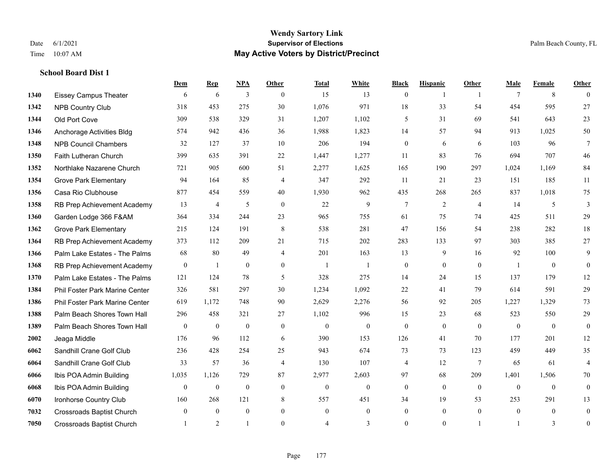## **Wendy Sartory Link** Date 6/1/2021 **Supervisor of Elections** Palm Beach County, FL Time 10:07 AM **May Active Voters by District/Precinct**

|      |                                  | Dem              | <b>Rep</b>       | <b>NPA</b>       | Other            | <b>Total</b>   | White        | <b>Black</b>     | <b>Hispanic</b>  | Other          | Male         | Female           | Other            |
|------|----------------------------------|------------------|------------------|------------------|------------------|----------------|--------------|------------------|------------------|----------------|--------------|------------------|------------------|
| 1340 | <b>Eissey Campus Theater</b>     | 6                | 6                | 3                | $\theta$         | 15             | 13           | $\mathbf{0}$     | 1                | $\overline{1}$ | $\tau$       | 8                | $\theta$         |
| 1342 | <b>NPB Country Club</b>          | 318              | 453              | 275              | 30               | 1,076          | 971          | 18               | 33               | 54             | 454          | 595              | 27               |
| 1344 | Old Port Cove                    | 309              | 538              | 329              | 31               | 1,207          | 1,102        | 5                | 31               | 69             | 541          | 643              | 23               |
| 1346 | Anchorage Activities Bldg        | 574              | 942              | 436              | 36               | 1,988          | 1,823        | 14               | 57               | 94             | 913          | 1,025            | 50               |
| 1348 | <b>NPB Council Chambers</b>      | 32               | 127              | 37               | 10               | 206            | 194          | $\boldsymbol{0}$ | 6                | 6              | 103          | 96               | $\tau$           |
| 1350 | Faith Lutheran Church            | 399              | 635              | 391              | 22               | 1,447          | 1,277        | 11               | 83               | 76             | 694          | 707              | 46               |
| 1352 | Northlake Nazarene Church        | 721              | 905              | 600              | 51               | 2,277          | 1,625        | 165              | 190              | 297            | 1,024        | 1.169            | 84               |
| 1354 | <b>Grove Park Elementary</b>     | 94               | 164              | 85               | $\overline{4}$   | 347            | 292          | 11               | 21               | 23             | 151          | 185              | 11               |
| 1356 | Casa Rio Clubhouse               | 877              | 454              | 559              | 40               | 1,930          | 962          | 435              | 268              | 265            | 837          | 1,018            | 75               |
| 1358 | RB Prep Achievement Academy      | 13               | $\overline{4}$   | 5                | $\boldsymbol{0}$ | 22             | 9            | $\overline{7}$   | $\mathfrak{2}$   | $\overline{4}$ | 14           | 5                | 3                |
| 1360 | Garden Lodge 366 F&AM            | 364              | 334              | 244              | 23               | 965            | 755          | 61               | 75               | 74             | 425          | 511              | 29               |
| 1362 | <b>Grove Park Elementary</b>     | 215              | 124              | 191              | $\,8\,$          | 538            | 281          | 47               | 156              | 54             | 238          | 282              | 18               |
| 1364 | RB Prep Achievement Academy      | 373              | 112              | 209              | 21               | 715            | 202          | 283              | 133              | 97             | 303          | 385              | 27               |
| 1366 | Palm Lake Estates - The Palms    | 68               | 80               | 49               | $\overline{4}$   | 201            | 163          | 13               | 9                | 16             | 92           | 100              | $\mathbf{9}$     |
| 1368 | RB Prep Achievement Academy      | $\boldsymbol{0}$ | 1                | $\boldsymbol{0}$ | $\mathbf{0}$     | $\overline{1}$ | -1           | $\boldsymbol{0}$ | $\mathbf{0}$     | $\mathbf{0}$   | -1           | $\mathbf{0}$     | $\overline{0}$   |
| 1370 | Palm Lake Estates - The Palms    | 121              | 124              | 78               | 5                | 328            | 275          | 14               | 24               | 15             | 137          | 179              | 12               |
| 1384 | Phil Foster Park Marine Center   | 326              | 581              | 297              | 30               | 1,234          | 1,092        | 22               | 41               | 79             | 614          | 591              | 29               |
| 1386 | Phil Foster Park Marine Center   | 619              | 1,172            | 748              | 90               | 2,629          | 2,276        | 56               | 92               | 205            | 1,227        | 1,329            | 73               |
| 1388 | Palm Beach Shores Town Hall      | 296              | 458              | 321              | 27               | 1,102          | 996          | 15               | 23               | 68             | 523          | 550              | 29               |
| 1389 | Palm Beach Shores Town Hall      | $\mathbf{0}$     | $\boldsymbol{0}$ | $\boldsymbol{0}$ | $\boldsymbol{0}$ | $\mathbf{0}$   | $\mathbf{0}$ | $\boldsymbol{0}$ | $\boldsymbol{0}$ | $\mathbf{0}$   | $\mathbf{0}$ | $\mathbf{0}$     | $\boldsymbol{0}$ |
| 2002 | Jeaga Middle                     | 176              | 96               | 112              | 6                | 390            | 153          | 126              | 41               | 70             | 177          | 201              | 12               |
| 6062 | Sandhill Crane Golf Club         | 236              | 428              | 254              | 25               | 943            | 674          | 73               | 73               | 123            | 459          | 449              | 35               |
| 6064 | Sandhill Crane Golf Club         | 33               | 57               | 36               | $\overline{4}$   | 130            | 107          | 4                | 12               | $\overline{7}$ | 65           | 61               | $\overline{4}$   |
| 6066 | Ibis POA Admin Building          | 1,035            | 1,126            | 729              | 87               | 2,977          | 2,603        | 97               | 68               | 209            | 1,401        | 1,506            | $70\,$           |
| 6068 | Ibis POA Admin Building          | $\mathbf{0}$     | $\boldsymbol{0}$ | $\boldsymbol{0}$ | $\mathbf{0}$     | $\mathbf{0}$   | $\mathbf{0}$ | $\mathbf{0}$     | $\mathbf{0}$     | $\mathbf{0}$   | $\mathbf{0}$ | $\boldsymbol{0}$ | $\overline{0}$   |
| 6070 | Ironhorse Country Club           | 160              | 268              | 121              | 8                | 557            | 451          | 34               | 19               | 53             | 253          | 291              | 13               |
| 7032 | <b>Crossroads Baptist Church</b> | $\theta$         | $\theta$         | $\overline{0}$   | $\theta$         | $\theta$       | $\theta$     | $\theta$         | $\theta$         | $\theta$       | $\theta$     | $\theta$         | $\mathbf{0}$     |
| 7050 | <b>Crossroads Baptist Church</b> | $\overline{1}$   | 2                | $\mathbf{1}$     | $\theta$         | $\overline{4}$ | 3            | $\theta$         | $\theta$         |                | 1            | 3                | $\boldsymbol{0}$ |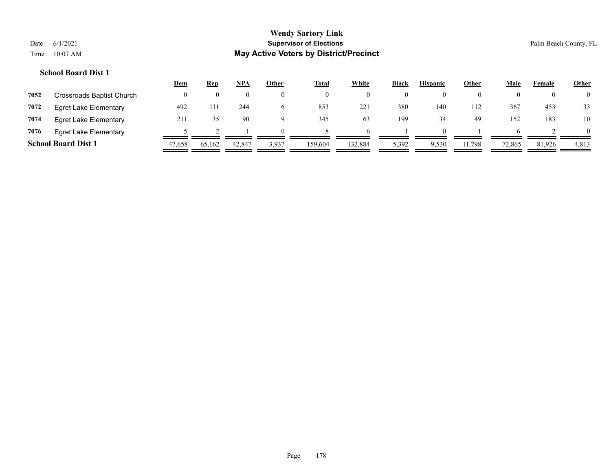## **School Board Dist 1**

|      |                              | <u>Dem</u> | <u>Rep</u> | NPA      | Other      | <b>Total</b> | <b>White</b> | <b>Black</b> | <b>Hispanic</b> | Other  | <u>Male</u> | Female | <b>Other</b> |
|------|------------------------------|------------|------------|----------|------------|--------------|--------------|--------------|-----------------|--------|-------------|--------|--------------|
| 7052 | Crossroads Baptist Church    |            |            | $\theta$ |            | $\theta$     |              | $\theta$     |                 |        |             | O      |              |
| 7072 | <b>Egret Lake Elementary</b> | 492        | 111        | 244      |            | 853          | 221          | 380          | 140             | 112    | 367         | 453    | 33           |
| 7074 | Egret Lake Elementary        | 211        |            | 90       |            | 345          | 63           | 199          | 34              | 49     | 152         | 183    | 10           |
| 7076 | Egret Lake Elementary        |            |            |          | $^{\circ}$ |              |              |              | $^{\prime}$     |        |             |        |              |
|      | <b>School Board Dist 1</b>   | 47,658     | 65,162     | 42,847   | 3,937      | 159,604      | 132,884      | 5,392        | 9,530           | 11,798 | 72,865      | 81,926 | 4,813        |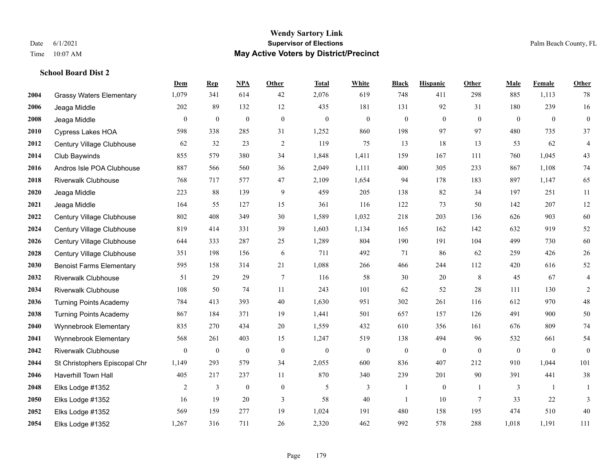#### **Wendy Sartory Link** Date 6/1/2021 **Supervisor of Elections** Palm Beach County, FL Time 10:07 AM **May Active Voters by District/Precinct**

**Dem Rep NPA Other Total White Black Hispanic Other Male Female Other**

# Grassy Waters Elementary 1,079 341 614 42 2,076 619 748 411 298 885 1,113 78 Jeaga Middle 202 89 132 12 435 181 131 92 31 180 239 16 Jeaga Middle 0 0 0 0 0 0 0 0 0 0 0 0 Cypress Lakes HOA 598 338 285 31 1,252 860 198 97 97 480 735 37 Century Village Clubhouse 62 32 23 2 119 75 13 18 13 53 62 4 Club Baywinds 855 579 380 34 1,848 1,411 159 167 111 760 1,045 43 Andros Isle POA Clubhouse 887 566 560 36 2,049 1,111 400 305 233 867 1,108 74 Riverwalk Clubhouse 768 717 577 47 2,109 1,654 94 178 183 897 1,147 65 Jeaga Middle 223 88 139 9 459 205 138 82 34 197 251 11 Jeaga Middle 164 55 127 15 361 116 122 73 50 142 207 12 Century Village Clubhouse 802 408 349 30 1,589 1,032 218 203 136 626 903 60 Century Village Clubhouse 819 414 331 39 1,603 1,134 165 162 142 632 919 52 Century Village Clubhouse 644 333 287 25 1,289 804 190 191 104 499 730 60 Century Village Clubhouse 351 198 156 6 711 492 71 86 62 259 426 26 Benoist Farms Elementary 595 158 314 21 1,088 266 466 244 112 420 616 52 Riverwalk Clubhouse 51 29 29 7 116 58 30 20 8 45 67 4 Riverwalk Clubhouse 108 50 74 11 243 101 62 52 28 111 130 2 Turning Points Academy 784 413 393 40 1,630 951 302 261 116 612 970 48 Turning Points Academy 867 184 371 19 1,441 501 657 157 126 491 900 50 Wynnebrook Elementary 835 270 434 20 1,559 432 610 356 161 676 809 74 Wynnebrook Elementary 568 261 403 15 1,247 519 138 494 96 532 661 54 Riverwalk Clubhouse 0 0 0 0 0 0 0 0 0 0 0 0 St Christophers Episcopal Chr 1,149 293 579 34 2,055 600 836 407 212 910 1,044 101 Haverhill Town Hall 405 217 237 11 870 340 239 201 90 391 441 38 Elks Lodge #1352 2 3 0 0 5 3 1 0 1 3 1 1 Elks Lodge #1352 16 19 20 3 58 40 1 10 7 33 22 3 Elks Lodge #1352 569 159 277 19 1,024 191 480 158 195 474 510 40

Elks Lodge #1352 1,267 316 711 26 2,320 462 992 578 288 1,018 1,191 111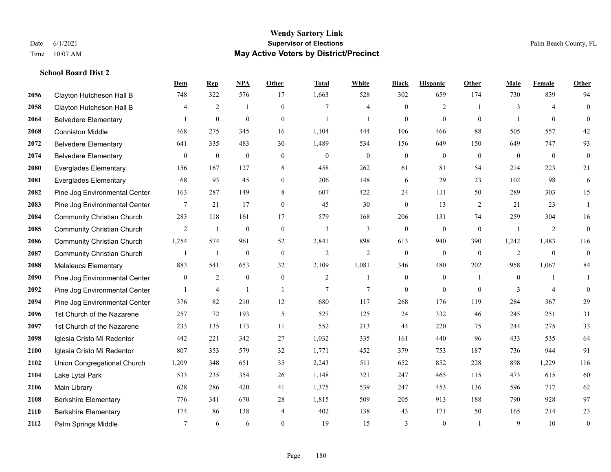### **Wendy Sartory Link** Date 6/1/2021 **Supervisor of Elections** Palm Beach County, FL Time 10:07 AM **May Active Voters by District/Precinct**

## **Dem Rep NPA Other Total White Black Hispanic Other Male Female Other** Clayton Hutcheson Hall B 748 322 576 17 1,663 528 302 659 174 730 839 94 Clayton Hutcheson Hall B 4 2 1 0 7 4 0 2 1 3 4 0 Belvedere Elementary 1 0 0 0 1 1 0 0 0 1 0 0 Conniston Middle 468 275 345 16 1,104 444 106 466 88 505 557 42 Belvedere Elementary 641 335 483 30 1,489 534 156 649 150 649 747 93 Belvedere Elementary 0 0 0 0 0 0 0 0 0 0 0 0 Everglades Elementary 156 167 127 8 458 262 61 81 54 214 223 21 Everglades Elementary 68 93 45 0 206 148 6 29 23 102 98 6 Pine Jog Environmental Center 163 287 149 8 607 422 24 111 50 289 303 15 Pine Jog Environmental Center 7 21 17 0 45 30 0 13 2 21 23 1 Community Christian Church 283 118 161 17 579 168 206 131 74 259 304 16 Community Christian Church 2 1 0 0 3 3 0 0 0 1 2 0 Community Christian Church 1,254 574 961 52 2,841 898 613 940 390 1,242 1,483 116 Community Christian Church 1 1 0 0 2 2 0 0 0 2 0 0 Melaleuca Elementary 883 541 653 32 2,109 1,081 346 480 202 958 1,067 84 **2090** Pine Jog Environmental Center  $\begin{array}{cccccccc} 0 & 2 & 0 & 0 & 2 & 1 & 0 & 1 & 0 & 1 \end{array}$ **2092** Pine Jog Environmental Center  $\begin{array}{ccccccccccccc} & 1 & 4 & 1 & 1 & 7 & 7 & 0 & 0 & 0 & 3 & 4 & 0 \end{array}$  Pine Jog Environmental Center 376 82 210 12 680 117 268 176 119 284 367 29 1st Church of the Nazarene 257 72 193 5 527 125 24 332 46 245 251 31 1st Church of the Nazarene 233 135 173 11 552 213 44 220 75 244 275 33 Iglesia Cristo Mi Redentor 442 221 342 27 1,032 335 161 440 96 433 535 64 Iglesia Cristo Mi Redentor 807 353 579 32 1,771 452 379 753 187 736 944 91 Union Congregational Church 1,209 348 651 35 2,243 511 652 852 228 898 1,229 116 Lake Lytal Park 533 235 354 26 1,148 321 247 465 115 473 615 60 Main Library 628 286 420 41 1,375 539 247 453 136 596 717 62 Berkshire Elementary 776 341 670 28 1,815 509 205 913 188 790 928 97 Berkshire Elementary 174 86 138 4 402 138 43 171 50 165 214 23 **2112** Palm Springs Middle  $\begin{array}{cccccccc} 7 & 6 & 6 & 0 & 19 & 15 & 3 & 0 & 1 & 9 & 10 & 0 \end{array}$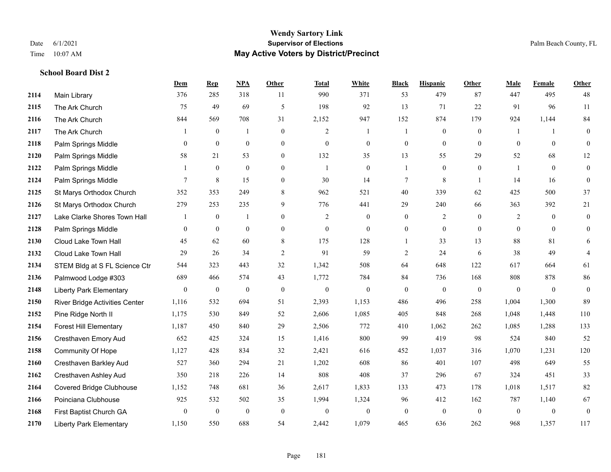#### **Wendy Sartory Link** Date 6/1/2021 **Supervisor of Elections** Palm Beach County, FL Time 10:07 AM **May Active Voters by District/Precinct**

# **Dem Rep NPA Other Total White Black Hispanic Other Male Female Other** Main Library 376 285 318 11 990 371 53 479 87 447 495 48 The Ark Church 75 49 69 5 198 92 13 71 22 91 96 11 The Ark Church 844 569 708 31 2,152 947 152 874 179 924 1,144 84 The Ark Church 1 0 1 0 2 1 1 0 0 1 1 0 Palm Springs Middle 0 0 0 0 0 0 0 0 0 0 0 0 Palm Springs Middle 58 21 53 0 132 35 13 55 29 52 68 12 Palm Springs Middle 1 0 0 0 1 0 1 0 0 1 0 0 **2124** Palm Springs Middle  $\begin{array}{cccccccc} 7 & 8 & 15 & 0 & 30 & 14 & 7 & 8 & 1 & 14 & 16 & 0 \end{array}$  St Marys Orthodox Church 352 353 249 8 962 521 40 339 62 425 500 37 St Marys Orthodox Church 279 253 235 9 776 441 29 240 66 363 392 21 Lake Clarke Shores Town Hall  $\begin{array}{ccccccccc} 1 & 0 & 1 & 0 & 2 & 0 & 0 & 2 & 0 & 2 & 0 & 0 \end{array}$  Palm Springs Middle 0 0 0 0 0 0 0 0 0 0 0 0 Cloud Lake Town Hall 45 62 60 8 175 128 1 33 13 88 81 6 Cloud Lake Town Hall 29 26 34 2 91 59 2 24 6 38 49 4 STEM Bldg at S FL Science Ctr 544 323 443 32 1,342 508 64 648 122 617 664 61 Palmwood Lodge #303 689 466 574 43 1,772 784 84 736 168 808 878 86 Liberty Park Elementary 0 0 0 0 0 0 0 0 0 0 0 0 River Bridge Activities Center 1,116 532 694 51 2,393 1,153 486 496 258 1,004 1,300 89 Pine Ridge North II 1,175 530 849 52 2,606 1,085 405 848 268 1,048 1,448 110 Forest Hill Elementary 1,187 450 840 29 2,506 772 410 1,062 262 1,085 1,288 133 Cresthaven Emory Aud 652 425 324 15 1,416 800 99 419 98 524 840 52 Community Of Hope 1,127 428 834 32 2,421 616 452 1,037 316 1,070 1,231 120 Cresthaven Barkley Aud 527 360 294 21 1,202 608 86 401 107 498 649 55 Cresthaven Ashley Aud 350 218 226 14 808 408 37 296 67 324 451 33 Covered Bridge Clubhouse 1,152 748 681 36 2,617 1,833 133 473 178 1,018 1,517 82 Poinciana Clubhouse 925 532 502 35 1,994 1,324 96 412 162 787 1,140 67 First Baptist Church GA 0 0 0 0 0 0 0 0 0 0 0 0 Liberty Park Elementary 1,150 550 688 54 2,442 1,079 465 636 262 968 1,357 117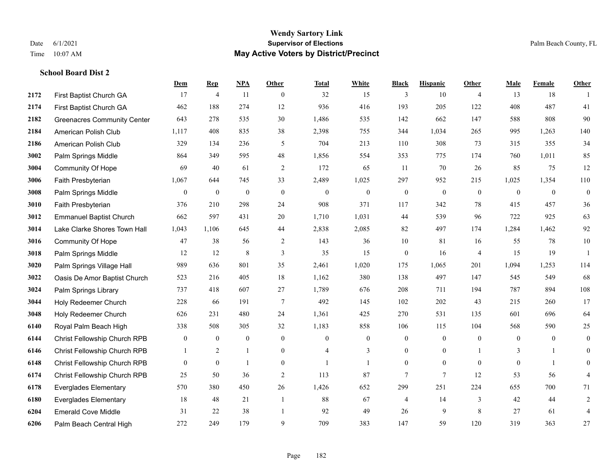|      |                                    | Dem            | <b>Rep</b>       | NPA              | <b>Other</b>   | <b>Total</b>   | <b>White</b>     | <b>Black</b>     | <b>Hispanic</b>  | <b>Other</b>   | <b>Male</b>    | Female         | <b>Other</b>   |
|------|------------------------------------|----------------|------------------|------------------|----------------|----------------|------------------|------------------|------------------|----------------|----------------|----------------|----------------|
| 2172 | First Baptist Church GA            | 17             | $\overline{4}$   | 11               | $\overline{0}$ | 32             | 15               | 3                | 10               | $\overline{4}$ | 13             | 18             |                |
| 2174 | First Baptist Church GA            | 462            | 188              | 274              | 12             | 936            | 416              | 193              | 205              | 122            | 408            | 487            | 41             |
| 2182 | <b>Greenacres Community Center</b> | 643            | 278              | 535              | 30             | 1,486          | 535              | 142              | 662              | 147            | 588            | 808            | 90             |
| 2184 | American Polish Club               | 1,117          | 408              | 835              | 38             | 2,398          | 755              | 344              | 1,034            | 265            | 995            | 1,263          | 140            |
| 2186 | American Polish Club               | 329            | 134              | 236              | 5              | 704            | 213              | 110              | 308              | 73             | 315            | 355            | 34             |
| 3002 | Palm Springs Middle                | 864            | 349              | 595              | 48             | 1,856          | 554              | 353              | 775              | 174            | 760            | 1,011          | 85             |
| 3004 | Community Of Hope                  | 69             | 40               | 61               | $\overline{2}$ | 172            | 65               | 11               | 70               | 26             | 85             | 75             | 12             |
| 3006 | Faith Presbyterian                 | 1,067          | 644              | 745              | 33             | 2,489          | 1,025            | 297              | 952              | 215            | 1,025          | 1,354          | 110            |
| 3008 | Palm Springs Middle                | $\overline{0}$ | $\boldsymbol{0}$ | $\boldsymbol{0}$ | $\mathbf{0}$   | $\mathbf{0}$   | $\boldsymbol{0}$ | $\boldsymbol{0}$ | $\boldsymbol{0}$ | $\overline{0}$ | $\mathbf{0}$   | $\overline{0}$ | $\overline{0}$ |
| 3010 | Faith Presbyterian                 | 376            | 210              | 298              | 24             | 908            | 371              | 117              | 342              | 78             | 415            | 457            | $36\,$         |
| 3012 | <b>Emmanuel Baptist Church</b>     | 662            | 597              | 431              | 20             | 1,710          | 1,031            | 44               | 539              | 96             | 722            | 925            | 63             |
| 3014 | Lake Clarke Shores Town Hall       | 1,043          | 1.106            | 645              | 44             | 2,838          | 2,085            | 82               | 497              | 174            | 1,284          | 1,462          | 92             |
| 3016 | Community Of Hope                  | 47             | 38               | 56               | 2              | 143            | 36               | 10               | 81               | 16             | 55             | 78             | $10\,$         |
| 3018 | Palm Springs Middle                | 12             | 12               | 8                | 3              | 35             | 15               | $\boldsymbol{0}$ | 16               | $\overline{4}$ | 15             | 19             | $\overline{1}$ |
| 3020 | Palm Springs Village Hall          | 989            | 636              | 801              | 35             | 2,461          | 1,020            | 175              | 1,065            | 201            | 1,094          | 1,253          | 114            |
| 3022 | Oasis De Amor Baptist Church       | 523            | 216              | 405              | 18             | 1,162          | 380              | 138              | 497              | 147            | 545            | 549            | 68             |
| 3024 | Palm Springs Library               | 737            | 418              | 607              | 27             | 1,789          | 676              | 208              | 711              | 194            | 787            | 894            | 108            |
| 3044 | Holy Redeemer Church               | 228            | 66               | 191              | $\overline{7}$ | 492            | 145              | 102              | 202              | 43             | 215            | 260            | 17             |
| 3048 | Holy Redeemer Church               | 626            | 231              | 480              | 24             | 1,361          | 425              | 270              | 531              | 135            | 601            | 696            | 64             |
| 6140 | Royal Palm Beach High              | 338            | 508              | 305              | 32             | 1,183          | 858              | 106              | 115              | 104            | 568            | 590            | 25             |
| 6144 | Christ Fellowship Church RPB       | $\mathbf{0}$   | $\boldsymbol{0}$ | $\mathbf{0}$     | $\overline{0}$ | $\mathbf{0}$   | $\boldsymbol{0}$ | $\mathbf{0}$     | $\mathbf{0}$     | $\mathbf{0}$   | $\overline{0}$ | $\overline{0}$ | $\overline{0}$ |
| 6146 | Christ Fellowship Church RPB       |                | 2                | $\mathbf{1}$     | $\overline{0}$ | $\overline{4}$ | 3                | $\mathbf{0}$     | $\mathbf{0}$     |                | 3              | $\mathbf{1}$   | $\overline{0}$ |
| 6148 | Christ Fellowship Church RPB       | $\Omega$       | $\mathbf{0}$     | $\mathbf{1}$     | $\Omega$       |                | $\mathbf{1}$     | $\mathbf{0}$     | $\theta$         | $\Omega$       | $\theta$       | $\mathbf{1}$   | $\overline{0}$ |
| 6174 | Christ Fellowship Church RPB       | 25             | 50               | 36               | $\overline{c}$ | 113            | 87               | 7                | $\overline{7}$   | 12             | 53             | 56             | 4              |
| 6178 | <b>Everglades Elementary</b>       | 570            | 380              | 450              | 26             | 1,426          | 652              | 299              | 251              | 224            | 655            | 700            | 71             |
| 6180 | <b>Everglades Elementary</b>       | 18             | 48               | 21               | $\mathbf{1}$   | 88             | 67               | 4                | 14               | 3              | 42             | 44             | $\overline{c}$ |
| 6204 | <b>Emerald Cove Middle</b>         | 31             | 22               | 38               | $\overline{1}$ | 92             | 49               | 26               | 9                | 8              | 27             | 61             | 4              |
| 6206 | Palm Beach Central High            | 272            | 249              | 179              | 9              | 709            | 383              | 147              | 59               | 120            | 319            | 363            | 27             |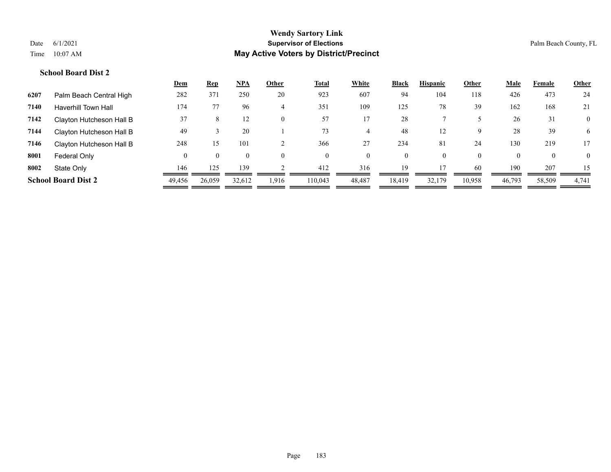|      |                            | <u>Dem</u> | <u>Rep</u> | <u>NPA</u>     | Other    | <b>Total</b> | <b>White</b> | <b>Black</b> | <b>Hispanic</b> | Other    | <u>Male</u> | Female       | <b>Other</b>   |
|------|----------------------------|------------|------------|----------------|----------|--------------|--------------|--------------|-----------------|----------|-------------|--------------|----------------|
| 6207 | Palm Beach Central High    | 282        | 371        | 250            | 20       | 923          | 607          | 94           | 104             | 118      | 426         | 473          | 24             |
| 7140 | <b>Haverhill Town Hall</b> | 174        |            | 96             | 4        | 351          | 109          | 125          | 78              | 39       | 162         | 168          | 21             |
| 7142 | Clayton Hutcheson Hall B   | 37         | Ō.         | 12             | $\theta$ | 57           | 17           | 28           |                 |          | 26          | 31           | $\overline{0}$ |
| 7144 | Clayton Hutcheson Hall B   | 49         |            | 20             |          | 73           |              | 48           | 12              | 9        | 28          | 39           | 6              |
| 7146 | Clayton Hutcheson Hall B   | 248        | 15         | 101            |          | 366          | 27           | 234          | 81              | 24       | 130         | 219          | 17             |
| 8001 | Federal Only               | 0          | $\Omega$   | $\overline{0}$ | $\theta$ | $\theta$     | $\Omega$     | 0            |                 | $\theta$ | $\Omega$    | $\mathbf{0}$ | $\Omega$       |
| 8002 | State Only                 | 146        | 125        | 139            |          | 412          | 316          | 19           |                 | 60       | 190         | 207          | 15             |
|      | <b>School Board Dist 2</b> | 49,456     | 26,059     | 32,612         | 1.916    | 110.043      | 48,487       | 18,419       | 32,179          | 10,958   | 46,793      | 58,509       | 4,741          |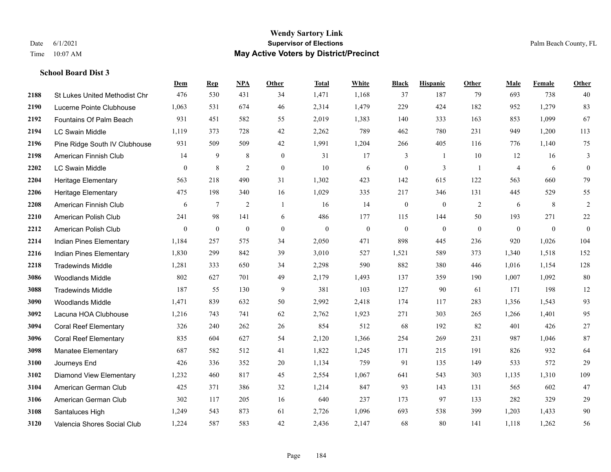|      |                                      | Dem            | <b>Rep</b> | NPA              | <b>Other</b>     | <b>Total</b> | White            | <b>Black</b>     | <b>Hispanic</b>  | <b>Other</b> | <b>Male</b>    | <b>Female</b> | <b>Other</b>     |
|------|--------------------------------------|----------------|------------|------------------|------------------|--------------|------------------|------------------|------------------|--------------|----------------|---------------|------------------|
| 2188 | <b>St Lukes United Methodist Chr</b> | 476            | 530        | 431              | 34               | 1,471        | 1,168            | 37               | 187              | 79           | 693            | 738           | 40               |
| 2190 | Lucerne Pointe Clubhouse             | 1,063          | 531        | 674              | 46               | 2,314        | 1,479            | 229              | 424              | 182          | 952            | 1,279         | 83               |
| 2192 | Fountains Of Palm Beach              | 931            | 451        | 582              | 55               | 2,019        | 1,383            | 140              | 333              | 163          | 853            | 1,099         | 67               |
| 2194 | <b>LC Swain Middle</b>               | 1,119          | 373        | 728              | 42               | 2,262        | 789              | 462              | 780              | 231          | 949            | 1,200         | 113              |
| 2196 | Pine Ridge South IV Clubhouse        | 931            | 509        | 509              | 42               | 1,991        | 1,204            | 266              | 405              | 116          | 776            | 1,140         | 75               |
| 2198 | American Finnish Club                | 14             | 9          | 8                | $\mathbf{0}$     | 31           | 17               | 3                | 1                | 10           | 12             | 16            | 3                |
| 2202 | LC Swain Middle                      | $\mathbf{0}$   | $\,8\,$    | $\overline{2}$   | $\boldsymbol{0}$ | 10           | 6                | $\boldsymbol{0}$ | 3                | -1           | $\overline{4}$ | 6             | $\boldsymbol{0}$ |
| 2204 | <b>Heritage Elementary</b>           | 563            | 218        | 490              | 31               | 1,302        | 423              | 142              | 615              | 122          | 563            | 660           | 79               |
| 2206 | Heritage Elementary                  | 475            | 198        | 340              | 16               | 1,029        | 335              | 217              | 346              | 131          | 445            | 529           | 55               |
| 2208 | American Finnish Club                | 6              | $\tau$     | $\overline{2}$   | -1               | 16           | 14               | $\boldsymbol{0}$ | $\mathbf{0}$     | 2            | 6              | 8             | $\overline{2}$   |
| 2210 | American Polish Club                 | 241            | 98         | 141              | 6                | 486          | 177              | 115              | 144              | 50           | 193            | 271           | $22\,$           |
| 2212 | American Polish Club                 | $\overline{0}$ | $\bf{0}$   | $\boldsymbol{0}$ | $\overline{0}$   | $\mathbf{0}$ | $\boldsymbol{0}$ | $\boldsymbol{0}$ | $\boldsymbol{0}$ | $\mathbf{0}$ | $\mathbf{0}$   | $\mathbf{0}$  | $\mathbf{0}$     |
| 2214 | Indian Pines Elementary              | 1,184          | 257        | 575              | 34               | 2,050        | 471              | 898              | 445              | 236          | 920            | 1,026         | 104              |
| 2216 | Indian Pines Elementary              | 1,830          | 299        | 842              | 39               | 3,010        | 527              | 1,521            | 589              | 373          | 1,340          | 1,518         | 152              |
| 2218 | <b>Tradewinds Middle</b>             | 1,281          | 333        | 650              | 34               | 2,298        | 590              | 882              | 380              | 446          | 1,016          | 1,154         | 128              |
| 3086 | <b>Woodlands Middle</b>              | 802            | 627        | 701              | 49               | 2,179        | 1,493            | 137              | 359              | 190          | 1,007          | 1,092         | 80               |
| 3088 | <b>Tradewinds Middle</b>             | 187            | 55         | 130              | 9                | 381          | 103              | 127              | 90               | 61           | 171            | 198           | 12               |
| 3090 | Woodlands Middle                     | 1,471          | 839        | 632              | 50               | 2,992        | 2,418            | 174              | 117              | 283          | 1,356          | 1,543         | 93               |
| 3092 | Lacuna HOA Clubhouse                 | 1,216          | 743        | 741              | 62               | 2,762        | 1,923            | 271              | 303              | 265          | 1,266          | 1,401         | 95               |
| 3094 | <b>Coral Reef Elementary</b>         | 326            | 240        | 262              | 26               | 854          | 512              | 68               | 192              | 82           | 401            | 426           | $27\,$           |
| 3096 | <b>Coral Reef Elementary</b>         | 835            | 604        | 627              | 54               | 2,120        | 1,366            | 254              | 269              | 231          | 987            | 1,046         | 87               |
| 3098 | <b>Manatee Elementary</b>            | 687            | 582        | 512              | 41               | 1,822        | 1,245            | 171              | 215              | 191          | 826            | 932           | 64               |
| 3100 | Journeys End                         | 426            | 336        | 352              | 20               | 1,134        | 759              | 91               | 135              | 149          | 533            | 572           | 29               |
| 3102 | <b>Diamond View Elementary</b>       | 1,232          | 460        | 817              | 45               | 2,554        | 1,067            | 641              | 543              | 303          | 1,135          | 1,310         | 109              |
| 3104 | American German Club                 | 425            | 371        | 386              | 32               | 1,214        | 847              | 93               | 143              | 131          | 565            | 602           | 47               |
| 3106 | American German Club                 | 302            | 117        | 205              | 16               | 640          | 237              | 173              | 97               | 133          | 282            | 329           | $29\,$           |
| 3108 | Santaluces High                      | 1,249          | 543        | 873              | 61               | 2,726        | 1,096            | 693              | 538              | 399          | 1,203          | 1,433         | $90\,$           |
| 3120 | Valencia Shores Social Club          | 1,224          | 587        | 583              | 42               | 2,436        | 2,147            | 68               | 80               | 141          | 1,118          | 1,262         | 56               |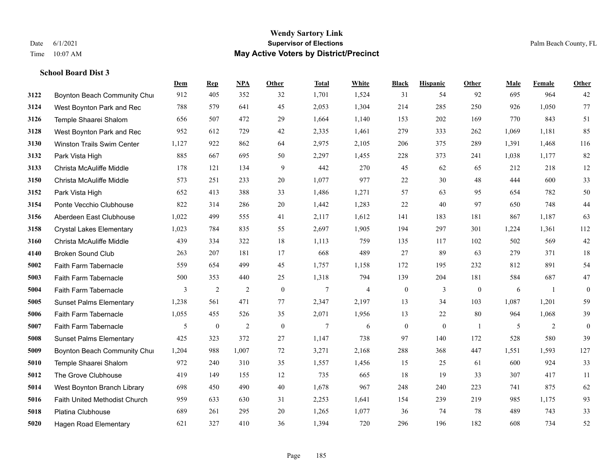#### **Wendy Sartory Link** Date 6/1/2021 **Supervisor of Elections** Palm Beach County, FL Time 10:07 AM **May Active Voters by District/Precinct**

**3122 Boynton Beach Community Chu**rch 912 405 352 32 1,701 1,524 31 54 92 695 964 42

**Dem Rep NPA Other Total White Black Hispanic Other Male Female Other**

# West Boynton Park and Rec 788 579 641 45 2,053 1,304 214 285 250 926 1,050 77 Temple Shaarei Shalom 656 507 472 29 1,664 1,140 153 202 169 770 843 51 West Boynton Park and Rec 952 612 729 42 2,335 1,461 279 333 262 1,069 1,181 85 Winston Trails Swim Center 1,127 922 862 64 2,975 2,105 206 375 289 1,391 1,468 116

| 3132 | Park Vista High                 | 885   | 667            | 695            | 50           | 2,297           | 1,455          | 228              | 373          | 241              | 1,038 | 1,177 | 82             |
|------|---------------------------------|-------|----------------|----------------|--------------|-----------------|----------------|------------------|--------------|------------------|-------|-------|----------------|
| 3133 | Christa McAuliffe Middle        | 178   | 121            | 134            | 9            | 442             | 270            | 45               | 62           | 65               | 212   | 218   | 12             |
| 3150 | Christa McAuliffe Middle        | 573   | 251            | 233            | 20           | 1,077           | 977            | 22               | 30           | 48               | 444   | 600   | 33             |
| 3152 | Park Vista High                 | 652   | 413            | 388            | 33           | 1,486           | 1,271          | 57               | 63           | 95               | 654   | 782   | 50             |
| 3154 | Ponte Vecchio Clubhouse         | 822   | 314            | 286            | 20           | 1,442           | 1,283          | 22               | 40           | 97               | 650   | 748   | $44\,$         |
| 3156 | Aberdeen East Clubhouse         | 1,022 | 499            | 555            | 41           | 2,117           | 1,612          | 141              | 183          | 181              | 867   | 1,187 | 63             |
| 3158 | <b>Crystal Lakes Elementary</b> | 1,023 | 784            | 835            | 55           | 2,697           | 1,905          | 194              | 297          | 301              | 1,224 | 1,361 | 112            |
| 3160 | Christa McAuliffe Middle        | 439   | 334            | 322            | 18           | 1,113           | 759            | 135              | 117          | 102              | 502   | 569   | $42\,$         |
| 4140 | <b>Broken Sound Club</b>        | 263   | 207            | 181            | 17           | 668             | 489            | 27               | 89           | 63               | 279   | 371   | 18             |
| 5002 | <b>Faith Farm Tabernacle</b>    | 559   | 654            | 499            | 45           | 1,757           | 1,158          | 172              | 195          | 232              | 812   | 891   | 54             |
| 5003 | Faith Farm Tabernacle           | 500   | 353            | 440            | 25           | 1,318           | 794            | 139              | 204          | 181              | 584   | 687   | 47             |
| 5004 | <b>Faith Farm Tabernacle</b>    | 3     | $\overline{2}$ | $\overline{2}$ | $\mathbf{0}$ | $\overline{7}$  | $\overline{4}$ | $\bf{0}$         | 3            | $\boldsymbol{0}$ | 6     |       | $\mathbf{0}$   |
| 5005 | <b>Sunset Palms Elementary</b>  | 1,238 | 561            | 471            | 77           | 2,347           | 2,197          | 13               | 34           | 103              | 1,087 | 1,201 | 59             |
| 5006 | Faith Farm Tabernacle           | 1,055 | 455            | 526            | 35           | 2,071           | 1,956          | 13               | 22           | 80               | 964   | 1,068 | 39             |
| 5007 | Faith Farm Tabernacle           | 5     | $\overline{0}$ | $\overline{2}$ | $\mathbf{0}$ | $7\phantom{.0}$ | 6              | $\boldsymbol{0}$ | $\mathbf{0}$ |                  | 5     | 2     | $\overline{0}$ |
| 5008 | <b>Sunset Palms Elementary</b>  | 425   | 323            | 372            | 27           | 1,147           | 738            | 97               | 140          | 172              | 528   | 580   | 39             |
| 5009 | Boynton Beach Community Chur    | 1,204 | 988            | 1,007          | 72           | 3,271           | 2,168          | 288              | 368          | 447              | 1,551 | 1,593 | 127            |
| 5010 | Temple Shaarei Shalom           | 972   | 240            | 310            | 35           | 1,557           | 1,456          | 15               | 25           | 61               | 600   | 924   | 33             |
| 5012 | The Grove Clubhouse             | 419   | 149            | 155            | 12           | 735             | 665            | 18               | 19           | 33               | 307   | 417   | 11             |
| 5014 | West Boynton Branch Library     | 698   | 450            | 490            | 40           | 1,678           | 967            | 248              | 240          | 223              | 741   | 875   | 62             |
| 5016 | Faith United Methodist Church   | 959   | 633            | 630            | 31           | 2,253           | 1,641          | 154              | 239          | 219              | 985   | 1,175 | 93             |
| 5018 | Platina Clubhouse               | 689   | 261            | 295            | 20           | 1,265           | 1,077          | 36               | 74           | 78               | 489   | 743   | 33             |
| 5020 | <b>Hagen Road Elementary</b>    | 621   | 327            | 410            | 36           | 1,394           | 720            | 296              | 196          | 182              | 608   | 734   | 52             |
|      |                                 |       |                |                |              |                 |                |                  |              |                  |       |       |                |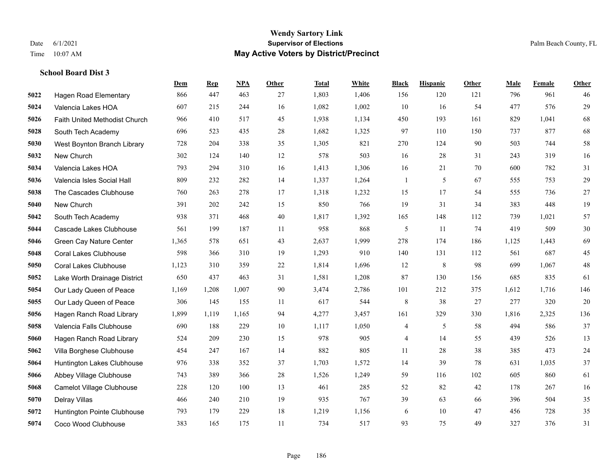#### **Wendy Sartory Link** Date 6/1/2021 **Supervisor of Elections** Palm Beach County, FL Time 10:07 AM **May Active Voters by District/Precinct**

# **Dem Rep NPA Other Total White Black Hispanic Other Male Female Other** Hagen Road Elementary 866 447 463 27 1,803 1,406 156 120 121 796 961 46 Valencia Lakes HOA 607 215 244 16 1,082 1,002 10 16 54 477 576 29 Faith United Methodist Church 966 410 517 45 1,938 1,134 450 193 161 829 1,041 68 South Tech Academy 696 523 435 28 1,682 1,325 97 110 150 737 877 68 West Boynton Branch Library 728 204 338 35 1,305 821 270 124 90 503 744 58 New Church 302 124 140 12 578 503 16 28 31 243 319 16 Valencia Lakes HOA 793 294 310 16 1,413 1,306 16 21 70 600 782 31 Valencia Isles Social Hall 809 232 282 14 1,337 1,264 1 5 67 555 753 29 The Cascades Clubhouse 760 263 278 17 1,318 1,232 15 17 54 555 736 27 New Church 391 202 242 15 850 766 19 31 34 383 448 19 South Tech Academy 938 371 468 40 1,817 1,392 165 148 112 739 1,021 57 Cascade Lakes Clubhouse 561 199 187 11 958 868 5 11 74 419 509 30 Green Cay Nature Center 1,365 578 651 43 2,637 1,999 278 174 186 1,125 1,443 69 Coral Lakes Clubhouse 598 366 310 19 1,293 910 140 131 112 561 687 45 Coral Lakes Clubhouse 1,123 310 359 22 1,814 1,696 12 8 98 699 1,067 48 Lake Worth Drainage District 650 437 463 31 1,581 1,208 87 130 156 685 835 61 Our Lady Queen of Peace 1,169 1,208 1,007 90 3,474 2,786 101 212 375 1,612 1,716 146 Our Lady Queen of Peace 306 145 155 11 617 544 8 38 27 277 320 20 Hagen Ranch Road Library 1,899 1,119 1,165 94 4,277 3,457 161 329 330 1,816 2,325 136 Valencia Falls Clubhouse 690 188 229 10 1,117 1,050 4 5 58 494 586 37 Hagen Ranch Road Library 524 209 230 15 978 905 4 14 55 439 526 13 Villa Borghese Clubhouse 454 247 167 14 882 805 11 28 38 385 473 24 Huntington Lakes Clubhouse 976 338 352 37 1,703 1,572 14 39 78 631 1,035 37 Abbey Village Clubhouse 743 389 366 28 1,526 1,249 59 116 102 605 860 61 Camelot Village Clubhouse 228 120 100 13 461 285 52 82 42 178 267 16 Delray Villas 466 240 210 19 935 767 39 63 66 396 504 35 Huntington Pointe Clubhouse 793 179 229 18 1,219 1,156 6 10 47 456 728 35 Coco Wood Clubhouse 383 165 175 11 734 517 93 75 49 327 376 31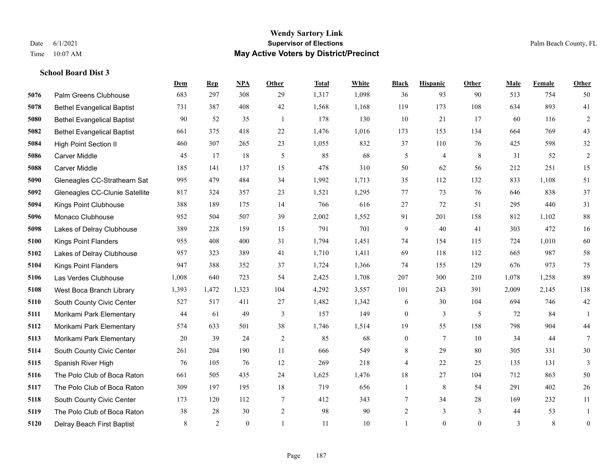#### **Wendy Sartory Link** Date 6/1/2021 **Supervisor of Elections** Palm Beach County, FL Time 10:07 AM **May Active Voters by District/Precinct**

# **Dem Rep NPA Other Total White Black Hispanic Other Male Female Other** Palm Greens Clubhouse 683 297 308 29 1,317 1,098 36 93 90 513 754 50 Bethel Evangelical Baptist 731 387 408 42 1,568 1,168 119 173 108 634 893 41 Bethel Evangelical Baptist 90 52 35 1 178 130 10 21 17 60 116 2 Bethel Evangelical Baptist 661 375 418 22 1,476 1,016 173 153 134 664 769 43 High Point Section II 460 307 265 23 1,055 832 37 110 76 425 598 32 Carver Middle 45 17 18 5 85 68 5 4 8 31 52 2 Carver Middle 185 141 137 15 478 310 50 62 56 212 251 15 Gleneagles CC-Strathearn Sat 995 479 484 34 1,992 1,713 35 112 132 833 1,108 51 Gleneagles CC-Clunie Satellite 817 324 357 23 1,521 1,295 77 73 76 646 838 37 Kings Point Clubhouse 388 189 175 14 766 616 27 72 51 295 440 31 Monaco Clubhouse 952 504 507 39 2,002 1,552 91 201 158 812 1,102 88 Lakes of Delray Clubhouse 389 228 159 15 791 701 9 40 41 303 472 16 Kings Point Flanders 955 408 400 31 1,794 1,451 74 154 115 724 1,010 60 Lakes of Delray Clubhouse 957 323 389 41 1,710 1,411 69 118 112 665 987 58 Kings Point Flanders 947 388 352 37 1,724 1,366 74 155 129 676 973 75 Las Verdes Clubhouse 1,008 640 723 54 2,425 1,708 207 300 210 1,078 1,258 89 West Boca Branch Library 1,393 1,472 1,323 104 4,292 3,557 101 243 391 2,009 2,145 138 South County Civic Center 527 517 411 27 1,482 1,342 6 30 104 694 746 42 Morikami Park Elementary 44 61 49 3 157 149 0 3 5 72 84 1 Morikami Park Elementary 574 633 501 38 1,746 1,514 19 55 158 798 904 44 Morikami Park Elementary 20 39 24 2 85 68 0 7 10 34 44 7 South County Civic Center 261 204 190 11 666 549 8 29 80 305 331 30 Spanish River High 76 105 76 12 269 218 4 22 25 135 131 3 The Polo Club of Boca Raton 661 505 435 24 1,625 1,476 18 27 104 712 863 50 The Polo Club of Boca Raton 309 197 195 18 719 656 1 8 54 291 402 26 South County Civic Center 173 120 112 7 412 343 7 34 28 169 232 11 The Polo Club of Boca Raton 38 28 30 2 98 90 2 3 3 44 53 1 Delray Beach First Baptist 8 8 2 0 1 11 10 1 0 0 0 3 8 0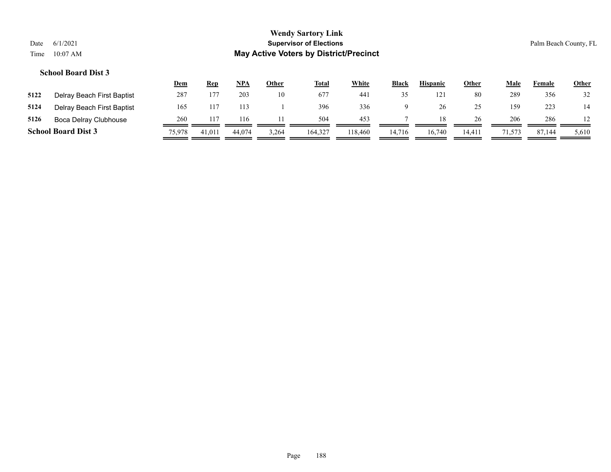|      |                            | <u>Dem</u> | <b>Rep</b>      | <u>NPA</u> | Other | <u>Total</u> | <b>White</b>    | <b>Black</b> | <b>Hispanic</b> | <u>Other</u> | Male   | Female | <b>Other</b> |
|------|----------------------------|------------|-----------------|------------|-------|--------------|-----------------|--------------|-----------------|--------------|--------|--------|--------------|
| 5122 | Delray Beach First Baptist | 287        | 177             | 203        | 10    | 677          | 44 <sub>1</sub> | 35           | 121             | 80           | 289    | 356    | 32           |
| 5124 | Delray Beach First Baptist | 165        | 11 <sup>7</sup> |            |       | 396          | 336             |              | 26              | 25           | 159    | 223    | 14           |
| 5126 | Boca Delray Clubhouse      | 260        |                 | 116        |       | 504          | 453             |              |                 | 26           | 206    | 286    |              |
|      | <b>School Board Dist 3</b> | 75,978     | 41,011          | 44.074     | 3,264 | 164,327      | 118.460         | 14.716       | 16.740          | 14.411       | 71,573 | 87,144 | 5,610        |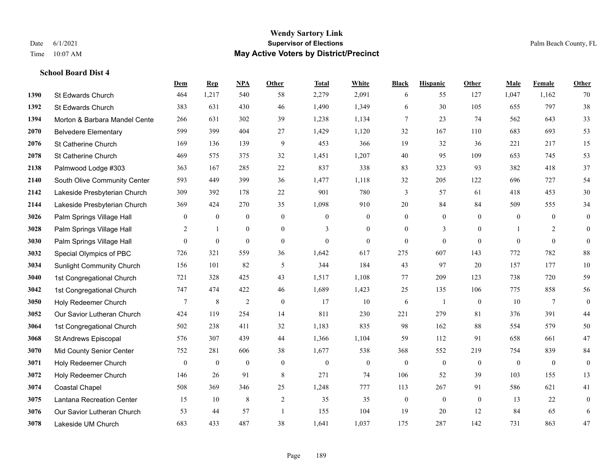#### **Wendy Sartory Link** Date 6/1/2021 **Supervisor of Elections** Palm Beach County, FL Time 10:07 AM **May Active Voters by District/Precinct**

# **Dem Rep NPA Other Total White Black Hispanic Other Male Female Other** St Edwards Church 464 1,217 540 58 2,279 2,091 6 55 127 1,047 1,162 70 St Edwards Church 383 631 430 46 1,490 1,349 6 30 105 655 797 38 **1394 Morton & Barbara Mandel Cente** 266 631 302 39 1,238 1,134 7 23 74 562 643 33 Belvedere Elementary 599 399 404 27 1,429 1,120 32 167 110 683 693 53 St Catherine Church 169 136 139 9 453 366 19 32 36 221 217 15 St Catherine Church 469 575 375 32 1,451 1,207 40 95 109 653 745 53 Palmwood Lodge #303 363 167 285 22 837 338 83 323 93 382 418 37 South Olive Community Center 593 449 399 36 1,477 1,118 32 205 122 696 727 54 Lakeside Presbyterian Church 309 392 178 22 901 780 3 57 61 418 453 30 Lakeside Presbyterian Church 369 424 270 35 1,098 910 20 84 84 509 555 34 **3026** Palm Springs Village Hall  $\begin{pmatrix} 0 & 0 & 0 & 0 \\ 0 & 0 & 0 & 0 \\ 0 & 0 & 0 & 0 \end{pmatrix}$  Palm Springs Village Hall 2 1 0 0 3 0 0 3 0 1 2 0 **3030** Palm Springs Village Hall  $\begin{pmatrix} 0 & 0 & 0 & 0 \\ 0 & 0 & 0 & 0 \\ 0 & 0 & 0 & 0 \end{pmatrix}$  Special Olympics of PBC 726 321 559 36 1,642 617 275 607 143 772 782 88 Sunlight Community Church 156 101 82 5 344 184 43 97 20 157 177 10 1st Congregational Church 721 328 425 43 1,517 1,108 77 209 123 738 720 59 1st Congregational Church 747 474 422 46 1,689 1,423 25 135 106 775 858 56 Holy Redeemer Church **7** 8 2 0 17 10 6 1 0 10 7 0 Our Savior Lutheran Church 424 119 254 14 811 230 221 279 81 376 391 44 1st Congregational Church 502 238 411 32 1,183 835 98 162 88 554 579 50 St Andrews Episcopal 576 307 439 44 1,366 1,104 59 112 91 658 661 47 Mid County Senior Center 752 281 606 38 1,677 538 368 552 219 754 839 84 Holy Redeemer Church 0 0 0 0 0 0 0 0 0 0 0 0 Holy Redeemer Church 146 26 91 8 271 74 106 52 39 103 155 13 Coastal Chapel 508 369 346 25 1,248 777 113 267 91 586 621 41 Lantana Recreation Center 15 10 8 2 35 35 0 0 0 13 22 0 Our Savior Lutheran Church 53 44 57 1 155 104 19 20 12 84 65 6 Lakeside UM Church 683 433 487 38 1,641 1,037 175 287 142 731 863 47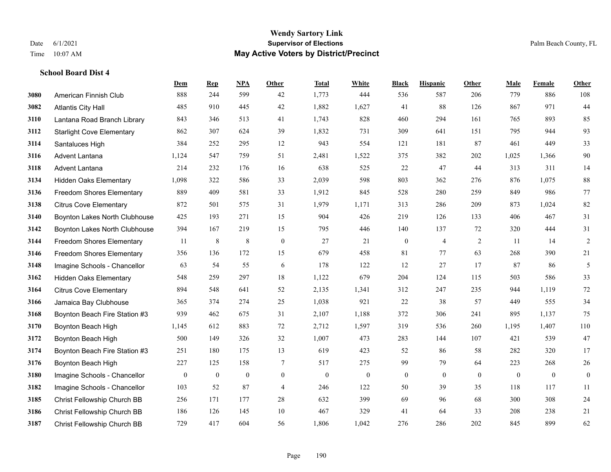#### **Wendy Sartory Link** Date 6/1/2021 **Supervisor of Elections** Palm Beach County, FL Time 10:07 AM **May Active Voters by District/Precinct**

# **Dem Rep NPA Other Total White Black Hispanic Other Male Female Other** American Finnish Club 888 244 599 42 1,773 444 536 587 206 779 886 108 Atlantis City Hall 485 910 445 42 1,882 1,627 41 88 126 867 971 44 Lantana Road Branch Library 843 346 513 41 1,743 828 460 294 161 765 893 85 Starlight Cove Elementary 862 307 624 39 1,832 731 309 641 151 795 944 93 Santaluces High 384 252 295 12 943 554 121 181 87 461 449 33 Advent Lantana 1,124 547 759 51 2,481 1,522 375 382 202 1,025 1,366 90 Advent Lantana 214 232 176 16 638 525 22 47 44 313 311 14 Hidden Oaks Elementary 1,098 322 586 33 2,039 598 803 362 276 876 1,075 88 Freedom Shores Elementary 889 409 581 33 1,912 845 528 280 259 849 986 77 Citrus Cove Elementary 872 501 575 31 1,979 1,171 313 286 209 873 1,024 82 Boynton Lakes North Clubhouse 425 193 271 15 904 426 219 126 133 406 467 31 Boynton Lakes North Clubhouse 394 167 219 15 795 446 140 137 72 320 444 31 Freedom Shores Elementary 11 8 8 0 27 21 0 4 2 11 14 2 Freedom Shores Elementary 356 136 172 15 679 458 81 77 63 268 390 21 Imagine Schools - Chancellor 63 54 55 6 178 122 12 27 17 87 86 5 Hidden Oaks Elementary 548 259 297 18 1,122 679 204 124 115 503 586 33 Citrus Cove Elementary 894 548 641 52 2,135 1,341 312 247 235 944 1,119 72 Jamaica Bay Clubhouse 365 374 274 25 1,038 921 22 38 57 449 555 34 Boynton Beach Fire Station #3 939 462 675 31 2,107 1,188 372 306 241 895 1,137 75 Boynton Beach High 1,145 612 883 72 2,712 1,597 319 536 260 1,195 1,407 110 Boynton Beach High 500 149 326 32 1,007 473 283 144 107 421 539 47 Boynton Beach Fire Station #3 251 180 175 13 619 423 52 86 58 282 320 17 Boynton Beach High 227 125 158 7 517 275 99 79 64 223 268 26 Imagine Schools - Chancellor 0 0 0 0 0 0 0 0 0 0 0 0 Imagine Schools - Chancellor 103 52 87 4 246 122 50 39 35 118 117 11 Christ Fellowship Church BB 256 171 177 28 632 399 69 96 68 300 308 24 Christ Fellowship Church BB 186 126 145 10 467 329 41 64 33 208 238 21

Christ Fellowship Church BB 729 417 604 56 1,806 1,042 276 286 202 845 899 62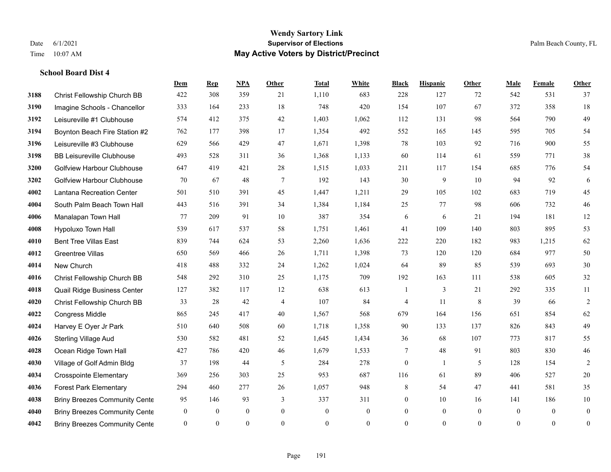#### **Wendy Sartory Link** Date 6/1/2021 **Supervisor of Elections** Palm Beach County, FL Time 10:07 AM **May Active Voters by District/Precinct**

# **Dem Rep NPA Other Total White Black Hispanic Other Male Female Other** Christ Fellowship Church BB 422 308 359 21 1,110 683 228 127 72 542 531 37 Imagine Schools - Chancellor 333 164 233 18 748 420 154 107 67 372 358 18 Leisureville #1 Clubhouse 574 412 375 42 1,403 1,062 112 131 98 564 790 49 Boynton Beach Fire Station #2 762 177 398 17 1,354 492 552 165 145 595 705 54 Leisureville #3 Clubhouse 629 566 429 47 1,671 1,398 78 103 92 716 900 55 BB Leisureville Clubhouse 493 528 311 36 1,368 1,133 60 114 61 559 771 38 Golfview Harbour Clubhouse 647 419 421 28 1,515 1,033 211 117 154 685 776 54 Golfview Harbour Clubhouse 70 67 48 7 192 143 30 9 10 94 92 6 Lantana Recreation Center 501 510 391 45 1,447 1,211 29 105 102 683 719 45 South Palm Beach Town Hall 443 516 391 34 1,384 1,184 25 77 98 606 732 46 Manalapan Town Hall 77 209 91 10 387 354 6 6 21 194 181 12 Hypoluxo Town Hall 539 617 537 58 1,751 1,461 41 109 140 803 895 53 Bent Tree Villas East 839 744 624 53 2,260 1,636 222 220 182 983 1,215 62 Greentree Villas 650 569 466 26 1,711 1,398 73 120 120 684 977 50 New Church 418 488 332 24 1,262 1,024 64 89 85 539 693 30 Christ Fellowship Church BB 548 292 310 25 1,175 709 192 163 111 538 605 32 Quail Ridge Business Center 127 382 117 12 638 613 1 3 21 292 335 11 Christ Fellowship Church BB 33 28 42 4 107 84 4 11 8 39 66 2 Congress Middle 865 245 417 40 1,567 568 679 164 156 651 854 62 Harvey E Oyer Jr Park 510 640 508 60 1,718 1,358 90 133 137 826 843 49 Sterling Village Aud 530 582 481 52 1,645 1,434 36 68 107 773 817 55 Ocean Ridge Town Hall 427 786 420 46 1,679 1,533 7 48 91 803 830 46 Village of Golf Admin Bldg 37 198 44 5 284 278 0 1 5 128 154 2 Crosspointe Elementary 369 256 303 25 953 687 116 61 89 406 527 20 Forest Park Elementary 294 460 277 26 1,057 948 8 54 47 441 581 35 **4038 Briny Breezes Community Cente** 95 146 93 337 311 0 10 16 141 186 10 Briny Breezes Community Center 0 0 0 0 0 0 0 0 0 0 0 0 Briny Breezes Community Center 0 0 0 0 0 0 0 0 0 0 0 0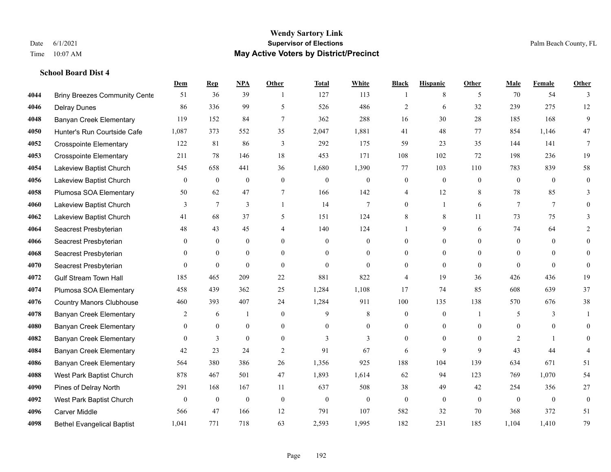|      |                                      | Dem            | <b>Rep</b>       | NPA              | <b>Other</b>   | <b>Total</b> | <b>White</b>     | <b>Black</b>     | <b>Hispanic</b>  | <b>Other</b>   | <b>Male</b>    | <b>Female</b> | <b>Other</b>     |
|------|--------------------------------------|----------------|------------------|------------------|----------------|--------------|------------------|------------------|------------------|----------------|----------------|---------------|------------------|
| 4044 | <b>Briny Breezes Community Cente</b> | 51             | 36               | 39               | $\overline{1}$ | 127          | 113              | -1               | 8                | 5              | 70             | 54            | 3                |
| 4046 | <b>Delray Dunes</b>                  | 86             | 336              | 99               | 5              | 526          | 486              | $\overline{2}$   | 6                | 32             | 239            | 275           | 12               |
| 4048 | <b>Banyan Creek Elementary</b>       | 119            | 152              | 84               | $\tau$         | 362          | 288              | 16               | 30               | 28             | 185            | 168           | 9                |
| 4050 | Hunter's Run Courtside Cafe          | 1,087          | 373              | 552              | 35             | 2,047        | 1,881            | 41               | 48               | 77             | 854            | 1,146         | 47               |
| 4052 | <b>Crosspointe Elementary</b>        | 122            | 81               | 86               | 3              | 292          | 175              | 59               | 23               | 35             | 144            | 141           | $\tau$           |
| 4053 | <b>Crosspointe Elementary</b>        | 211            | 78               | 146              | 18             | 453          | 171              | 108              | 102              | 72             | 198            | 236           | 19               |
| 4054 | Lakeview Baptist Church              | 545            | 658              | 441              | 36             | 1,680        | 1,390            | 77               | 103              | 110            | 783            | 839           | 58               |
| 4056 | Lakeview Baptist Church              | $\overline{0}$ | $\mathbf{0}$     | $\overline{0}$   | $\Omega$       | $\theta$     | $\boldsymbol{0}$ | $\mathbf{0}$     | $\mathbf{0}$     | $\theta$       | $\theta$       | $\theta$      | $\mathbf{0}$     |
| 4058 | Plumosa SOA Elementary               | 50             | 62               | 47               | 7              | 166          | 142              | 4                | 12               | 8              | 78             | 85            | 3                |
| 4060 | Lakeview Baptist Church              | 3              | $\tau$           | 3                | $\overline{1}$ | 14           | $\overline{7}$   | $\mathbf{0}$     | $\mathbf{1}$     | 6              | $\tau$         | $\tau$        | $\theta$         |
| 4062 | Lakeview Baptist Church              | 41             | 68               | 37               | 5              | 151          | 124              | 8                | 8                | 11             | 73             | 75            | 3                |
| 4064 | Seacrest Presbyterian                | 48             | 43               | 45               | 4              | 140          | 124              | $\mathbf{1}$     | 9                | 6              | 74             | 64            | 2                |
| 4066 | Seacrest Presbyterian                | $\Omega$       | $\overline{0}$   | $\overline{0}$   | $\Omega$       | $\theta$     | $\mathbf{0}$     | $\mathbf{0}$     | $\mathbf{0}$     | $\Omega$       | $\theta$       | $\theta$      | $\theta$         |
| 4068 | Seacrest Presbyterian                | 0              | $\mathbf{0}$     | $\overline{0}$   | $\overline{0}$ | $\mathbf{0}$ | $\boldsymbol{0}$ | $\boldsymbol{0}$ | $\mathbf{0}$     | $\overline{0}$ | $\overline{0}$ | $\mathbf{0}$  | $\theta$         |
| 4070 | Seacrest Presbyterian                | $\overline{0}$ | $\mathbf{0}$     | $\mathbf{0}$     | $\theta$       | $\theta$     | $\overline{0}$   | $\boldsymbol{0}$ | $\mathbf{0}$     | $\theta$       | $\theta$       | $\Omega$      | $\mathbf{0}$     |
| 4072 | <b>Gulf Stream Town Hall</b>         | 185            | 465              | 209              | 22             | 881          | 822              | 4                | 19               | 36             | 426            | 436           | 19               |
| 4074 | Plumosa SOA Elementary               | 458            | 439              | 362              | 25             | 1,284        | 1,108            | 17               | 74               | 85             | 608            | 639           | 37               |
| 4076 | <b>Country Manors Clubhouse</b>      | 460            | 393              | 407              | 24             | 1,284        | 911              | 100              | 135              | 138            | 570            | 676           | $38\,$           |
| 4078 | <b>Banyan Creek Elementary</b>       | 2              | 6                | $\mathbf{1}$     | $\overline{0}$ | 9            | 8                | $\boldsymbol{0}$ | $\boldsymbol{0}$ | $\overline{1}$ | 5              | 3             | 1                |
| 4080 | <b>Banyan Creek Elementary</b>       | $\theta$       | $\mathbf{0}$     | $\mathbf{0}$     | $\theta$       | $\theta$     | $\overline{0}$   | $\mathbf{0}$     | $\mathbf{0}$     | $\theta$       | $\theta$       | $\theta$      | $\theta$         |
| 4082 | <b>Banyan Creek Elementary</b>       | $\Omega$       | $\overline{3}$   | $\theta$         | $\Omega$       | 3            | $\overline{3}$   | $\mathbf{0}$     | $\theta$         | $\Omega$       | 2              |               | $\Omega$         |
| 4084 | <b>Banyan Creek Elementary</b>       | 42             | 23               | 24               | $\overline{2}$ | 91           | 67               | 6                | 9                | 9              | 43             | 44            |                  |
| 4086 | <b>Banyan Creek Elementary</b>       | 564            | 380              | 386              | 26             | 1,356        | 925              | 188              | 104              | 139            | 634            | 671           | 51               |
| 4088 | West Park Baptist Church             | 878            | 467              | 501              | 47             | 1,893        | 1,614            | 62               | 94               | 123            | 769            | 1,070         | 54               |
| 4090 | Pines of Delray North                | 291            | 168              | 167              | 11             | 637          | 508              | 38               | 49               | 42             | 254            | 356           | $27\,$           |
| 4092 | West Park Baptist Church             | $\mathbf{0}$   | $\boldsymbol{0}$ | $\boldsymbol{0}$ | $\mathbf{0}$   | $\mathbf{0}$ | $\mathbf{0}$     | $\mathbf{0}$     | $\mathbf{0}$     | $\theta$       | $\theta$       | $\theta$      | $\boldsymbol{0}$ |
| 4096 | <b>Carver Middle</b>                 | 566            | 47               | 166              | 12             | 791          | 107              | 582              | 32               | 70             | 368            | 372           | 51               |
| 4098 | <b>Bethel Evangelical Baptist</b>    | 1,041          | 771              | 718              | 63             | 2,593        | 1,995            | 182              | 231              | 185            | 1,104          | 1,410         | 79               |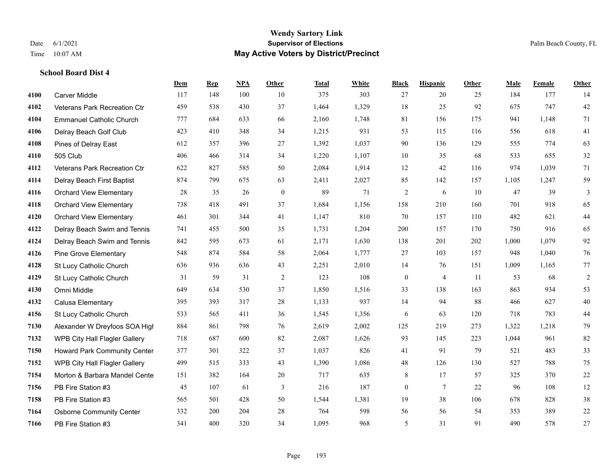#### **Wendy Sartory Link** Date 6/1/2021 **Supervisor of Elections** Palm Beach County, FL Time 10:07 AM **May Active Voters by District/Precinct**

# **Dem Rep NPA Other Total White Black Hispanic Other Male Female Other** Carver Middle 117 148 100 10 375 303 27 20 25 184 177 14 Veterans Park Recreation Ctr 459 538 430 37 1,464 1,329 18 25 92 675 747 42 Emmanuel Catholic Church 777 684 633 66 2,160 1,748 81 156 175 941 1,148 71 Delray Beach Golf Club 423 410 348 34 1,215 931 53 115 116 556 618 41 Pines of Delray East 612 357 396 27 1,392 1,037 90 136 129 555 774 63 505 Club 406 466 314 34 1,220 1,107 10 35 68 533 655 32 Veterans Park Recreation Ctr 622 827 585 50 2,084 1,914 12 42 116 974 1,039 71 Delray Beach First Baptist 874 799 675 63 2,411 2,027 85 142 157 1,105 1,247 59 Orchard View Elementary 28 35 26 0 89 71 2 6 10 47 39 3 Orchard View Elementary 738 418 491 37 1,684 1,156 158 210 160 701 918 65 Orchard View Elementary 461 301 344 41 1,147 810 70 157 110 482 621 44 Delray Beach Swim and Tennis 741 455 500 35 1,731 1,204 200 157 170 750 916 65 Delray Beach Swim and Tennis 842 595 673 61 2,171 1,630 138 201 202 1,000 1,079 92 Pine Grove Elementary 548 874 584 58 2,064 1,777 27 103 157 948 1,040 76 St Lucy Catholic Church 636 936 636 43 2,251 2,010 14 76 151 1,009 1,165 77 St Lucy Catholic Church 31 59 31 2 123 108 0 4 11 53 68 2 Omni Middle 649 634 530 37 1,850 1,516 33 138 163 863 934 53 Calusa Elementary 395 393 317 28 1,133 937 14 94 88 466 627 40 St Lucy Catholic Church 533 565 411 36 1,545 1,356 6 63 120 718 783 44 Alexander W Dreyfoos SOA High 884 861 798 76 2,619 2,002 125 219 273 1,322 1,218 79 WPB City Hall Flagler Gallery 718 687 600 82 2,087 1,626 93 145 223 1,044 961 82 Howard Park Community Center 377 301 322 37 1,037 826 41 91 79 521 483 33 WPB City Hall Flagler Gallery 499 515 333 43 1,390 1,086 48 126 130 527 788 75 Morton & Barbara Mandel Center 151 382 164 20 717 635 8 17 57 325 370 22 PB Fire Station #3 45 107 61 3 216 187 0 7 22 96 108 12 PB Fire Station #3 565 501 428 50 1,544 1,381 19 38 106 678 828 38 Osborne Community Center 332 200 204 28 764 598 56 56 54 353 389 22 PB Fire Station #3 341 400 320 34 1,095 968 5 31 91 490 578 27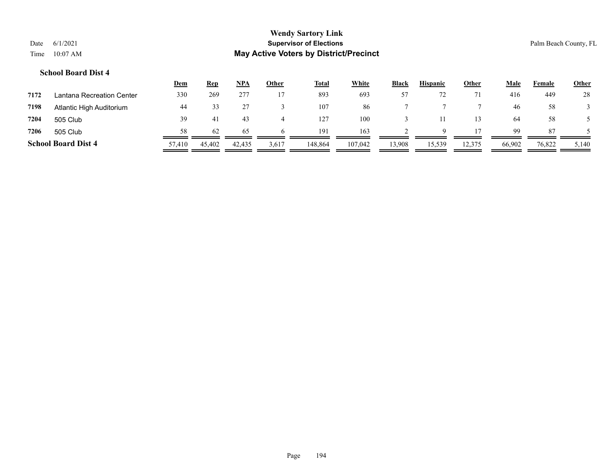|      |                            | <u>Dem</u> | <b>Rep</b> | <b>NPA</b> | <u>Other</u> | <b>Total</b> | White   | <b>Black</b> | <b>Hispanic</b> | <b>Other</b> | <u>Male</u> | Female | <u>Other</u> |
|------|----------------------------|------------|------------|------------|--------------|--------------|---------|--------------|-----------------|--------------|-------------|--------|--------------|
| 7172 | Lantana Recreation Center  | 330        | 269        | 277        |              | 893          | 693     |              |                 |              | 416         | 449    | 28           |
| 7198 | Atlantic High Auditorium   | 44         |            |            |              | 107          | 86      |              |                 |              | 46          | 58     |              |
| 7204 | 505 Club                   | 39         | 41         | 43         |              | 127          | 100     |              |                 |              | 64          | 58     |              |
| 7206 | 505 Club                   | 58         | 62         | 65         |              | 191          | 163     |              |                 |              | 99          | 87     |              |
|      | <b>School Board Dist 4</b> | 57,410     | 45,402     | 42,435     | 3,617        | 148,864      | 107,042 | 13,908       | 15,539          | 12,375       | 66,902      | 76,822 | 5,140        |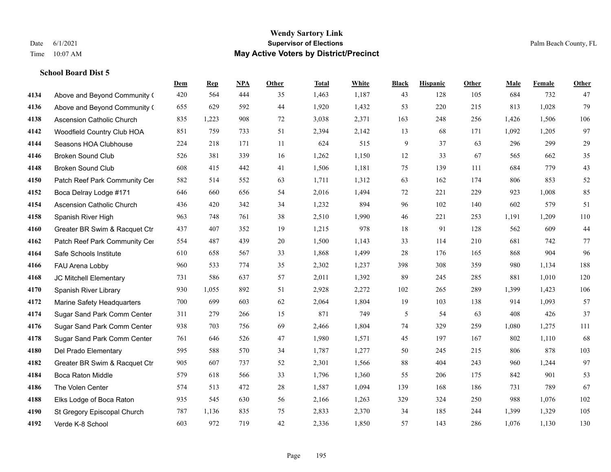|      |                                  | Dem | <b>Rep</b> | NPA | <b>Other</b> | <b>Total</b> | <b>White</b> | <b>Black</b> | <b>Hispanic</b> | <b>Other</b> | <b>Male</b> | <b>Female</b> | Other |
|------|----------------------------------|-----|------------|-----|--------------|--------------|--------------|--------------|-----------------|--------------|-------------|---------------|-------|
| 4134 | Above and Beyond Community (     | 420 | 564        | 444 | 35           | 1,463        | 1,187        | 43           | 128             | 105          | 684         | 732           | 47    |
| 4136 | Above and Beyond Community (     | 655 | 629        | 592 | 44           | 1,920        | 1,432        | 53           | 220             | 215          | 813         | 1,028         | 79    |
| 4138 | <b>Ascension Catholic Church</b> | 835 | 1,223      | 908 | 72           | 3,038        | 2,371        | 163          | 248             | 256          | 1,426       | 1,506         | 106   |
| 4142 | Woodfield Country Club HOA       | 851 | 759        | 733 | 51           | 2,394        | 2,142        | 13           | 68              | 171          | 1,092       | 1,205         | 97    |
| 4144 | Seasons HOA Clubhouse            | 224 | 218        | 171 | 11           | 624          | 515          | 9            | 37              | 63           | 296         | 299           | 29    |
| 4146 | <b>Broken Sound Club</b>         | 526 | 381        | 339 | 16           | 1,262        | 1,150        | 12           | 33              | 67           | 565         | 662           | 35    |
| 4148 | <b>Broken Sound Club</b>         | 608 | 415        | 442 | 41           | 1,506        | 1,181        | 75           | 139             | 111          | 684         | 779           | 43    |
| 4150 | Patch Reef Park Community Cer    | 582 | 514        | 552 | 63           | 1,711        | 1,312        | 63           | 162             | 174          | 806         | 853           | 52    |
| 4152 | Boca Delray Lodge #171           | 646 | 660        | 656 | 54           | 2,016        | 1,494        | 72           | 221             | 229          | 923         | 1,008         | 85    |
| 4154 | <b>Ascension Catholic Church</b> | 436 | 420        | 342 | 34           | 1,232        | 894          | 96           | 102             | 140          | 602         | 579           | 51    |
| 4158 | Spanish River High               | 963 | 748        | 761 | 38           | 2,510        | 1,990        | 46           | 221             | 253          | 1,191       | 1,209         | 110   |
| 4160 | Greater BR Swim & Racquet Ctr    | 437 | 407        | 352 | 19           | 1,215        | 978          | 18           | 91              | 128          | 562         | 609           | 44    |
| 4162 | Patch Reef Park Community Cer    | 554 | 487        | 439 | 20           | 1,500        | 1,143        | 33           | 114             | 210          | 681         | 742           | 77    |
| 4164 | Safe Schools Institute           | 610 | 658        | 567 | 33           | 1,868        | 1,499        | 28           | 176             | 165          | 868         | 904           | 96    |
| 4166 | FAU Arena Lobby                  | 960 | 533        | 774 | 35           | 2,302        | 1,237        | 398          | 308             | 359          | 980         | 1,134         | 188   |
| 4168 | JC Mitchell Elementary           | 731 | 586        | 637 | 57           | 2,011        | 1,392        | 89           | 245             | 285          | 881         | 1,010         | 120   |
| 4170 | Spanish River Library            | 930 | 1,055      | 892 | 51           | 2,928        | 2,272        | 102          | 265             | 289          | 1,399       | 1,423         | 106   |
| 4172 | Marine Safety Headquarters       | 700 | 699        | 603 | 62           | 2,064        | 1,804        | 19           | 103             | 138          | 914         | 1,093         | 57    |
| 4174 | Sugar Sand Park Comm Center      | 311 | 279        | 266 | 15           | 871          | 749          | 5            | 54              | 63           | 408         | 426           | 37    |
| 4176 | Sugar Sand Park Comm Center      | 938 | 703        | 756 | 69           | 2,466        | 1,804        | 74           | 329             | 259          | 1,080       | 1,275         | 111   |
| 4178 | Sugar Sand Park Comm Center      | 761 | 646        | 526 | 47           | 1,980        | 1,571        | 45           | 197             | 167          | 802         | 1,110         | 68    |
| 4180 | Del Prado Elementary             | 595 | 588        | 570 | 34           | 1,787        | 1,277        | 50           | 245             | 215          | 806         | 878           | 103   |
| 4182 | Greater BR Swim & Racquet Ctr    | 905 | 607        | 737 | 52           | 2,301        | 1,566        | 88           | 404             | 243          | 960         | 1,244         | 97    |
| 4184 | <b>Boca Raton Middle</b>         | 579 | 618        | 566 | 33           | 1,796        | 1,360        | 55           | 206             | 175          | 842         | 901           | 53    |
| 4186 | The Volen Center                 | 574 | 513        | 472 | 28           | 1,587        | 1,094        | 139          | 168             | 186          | 731         | 789           | 67    |
| 4188 | Elks Lodge of Boca Raton         | 935 | 545        | 630 | 56           | 2,166        | 1,263        | 329          | 324             | 250          | 988         | 1,076         | 102   |
| 4190 | St Gregory Episcopal Church      | 787 | 1,136      | 835 | 75           | 2,833        | 2,370        | 34           | 185             | 244          | 1,399       | 1,329         | 105   |
| 4192 | Verde K-8 School                 | 603 | 972        | 719 | 42           | 2,336        | 1,850        | 57           | 143             | 286          | 1,076       | 1,130         | 130   |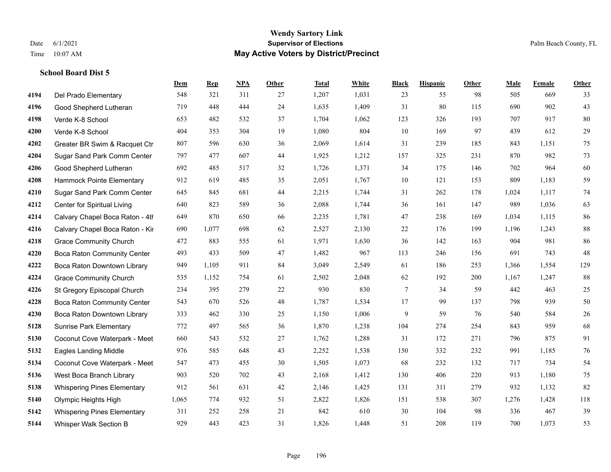|      |                                    | Dem   | <b>Rep</b> | NPA | <b>Other</b> | <b>Total</b> | <b>White</b> | <b>Black</b> | <b>Hispanic</b> | <b>Other</b> | <b>Male</b> | <b>Female</b> | <b>Other</b> |
|------|------------------------------------|-------|------------|-----|--------------|--------------|--------------|--------------|-----------------|--------------|-------------|---------------|--------------|
| 4194 | Del Prado Elementary               | 548   | 321        | 311 | 27           | 1,207        | 1,031        | 23           | 55              | 98           | 505         | 669           | 33           |
| 4196 | Good Shepherd Lutheran             | 719   | 448        | 444 | 24           | 1,635        | 1,409        | 31           | 80              | 115          | 690         | 902           | 43           |
| 4198 | Verde K-8 School                   | 653   | 482        | 532 | 37           | 1,704        | 1,062        | 123          | 326             | 193          | 707         | 917           | 80           |
| 4200 | Verde K-8 School                   | 404   | 353        | 304 | 19           | 1,080        | 804          | 10           | 169             | 97           | 439         | 612           | 29           |
| 4202 | Greater BR Swim & Racquet Ctr      | 807   | 596        | 630 | 36           | 2,069        | 1,614        | 31           | 239             | 185          | 843         | 1.151         | 75           |
| 4204 | Sugar Sand Park Comm Center        | 797   | 477        | 607 | 44           | 1,925        | 1,212        | 157          | 325             | 231          | 870         | 982           | 73           |
| 4206 | Good Shepherd Lutheran             | 692   | 485        | 517 | 32           | 1,726        | 1,371        | 34           | 175             | 146          | 702         | 964           | 60           |
| 4208 | Hammock Pointe Elementary          | 912   | 619        | 485 | 35           | 2,051        | 1,767        | 10           | 121             | 153          | 809         | 1,183         | 59           |
| 4210 | Sugar Sand Park Comm Center        | 645   | 845        | 681 | 44           | 2,215        | 1,744        | 31           | 262             | 178          | 1,024       | 1,117         | 74           |
| 4212 | Center for Spiritual Living        | 640   | 823        | 589 | 36           | 2,088        | 1,744        | 36           | 161             | 147          | 989         | 1,036         | 63           |
| 4214 | Calvary Chapel Boca Raton - 4th    | 649   | 870        | 650 | 66           | 2,235        | 1,781        | 47           | 238             | 169          | 1,034       | 1,115         | 86           |
| 4216 | Calvary Chapel Boca Raton - Kir    | 690   | 1,077      | 698 | 62           | 2,527        | 2,130        | $22\,$       | 176             | 199          | 1,196       | 1,243         | $88\,$       |
| 4218 | <b>Grace Community Church</b>      | 472   | 883        | 555 | 61           | 1,971        | 1,630        | 36           | 142             | 163          | 904         | 981           | 86           |
| 4220 | Boca Raton Community Center        | 493   | 433        | 509 | 47           | 1,482        | 967          | 113          | 246             | 156          | 691         | 743           | 48           |
| 4222 | Boca Raton Downtown Library        | 949   | 1,105      | 911 | 84           | 3,049        | 2,549        | 61           | 186             | 253          | 1,366       | 1,554         | 129          |
| 4224 | <b>Grace Community Church</b>      | 535   | 1,152      | 754 | 61           | 2,502        | 2,048        | 62           | 192             | 200          | 1,167       | 1,247         | $88\,$       |
| 4226 | St Gregory Episcopal Church        | 234   | 395        | 279 | $22\,$       | 930          | 830          | $\tau$       | 34              | 59           | 442         | 463           | 25           |
| 4228 | Boca Raton Community Center        | 543   | 670        | 526 | 48           | 1,787        | 1,534        | 17           | 99              | 137          | 798         | 939           | 50           |
| 4230 | Boca Raton Downtown Library        | 333   | 462        | 330 | 25           | 1,150        | 1,006        | 9            | 59              | 76           | 540         | 584           | 26           |
| 5128 | <b>Sunrise Park Elementary</b>     | 772   | 497        | 565 | 36           | 1,870        | 1,238        | 104          | 274             | 254          | 843         | 959           | 68           |
| 5130 | Coconut Cove Waterpark - Meet      | 660   | 543        | 532 | 27           | 1,762        | 1,288        | 31           | 172             | 271          | 796         | 875           | 91           |
| 5132 | <b>Eagles Landing Middle</b>       | 976   | 585        | 648 | 43           | 2,252        | 1,538        | 150          | 332             | 232          | 991         | 1,185         | 76           |
| 5134 | Coconut Cove Waterpark - Meet      | 547   | 473        | 455 | 30           | 1,505        | 1,073        | 68           | 232             | 132          | 717         | 734           | 54           |
| 5136 | West Boca Branch Library           | 903   | 520        | 702 | 43           | 2,168        | 1,412        | 130          | 406             | 220          | 913         | 1,180         | 75           |
| 5138 | <b>Whispering Pines Elementary</b> | 912   | 561        | 631 | 42           | 2,146        | 1,425        | 131          | 311             | 279          | 932         | 1,132         | 82           |
| 5140 | Olympic Heights High               | 1,065 | 774        | 932 | 51           | 2,822        | 1,826        | 151          | 538             | 307          | 1,276       | 1,428         | 118          |
| 5142 | <b>Whispering Pines Elementary</b> | 311   | 252        | 258 | 21           | 842          | 610          | 30           | 104             | 98           | 336         | 467           | 39           |
| 5144 | Whisper Walk Section B             | 929   | 443        | 423 | 31           | 1,826        | 1,448        | 51           | 208             | 119          | 700         | 1,073         | 53           |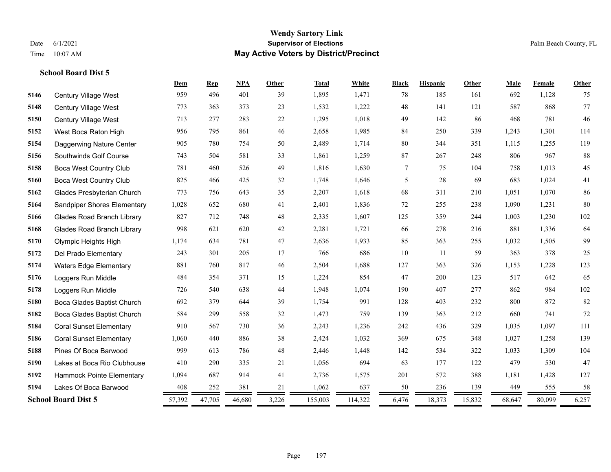|      |                                   | Dem    | <b>Rep</b> | <b>NPA</b> | Other | <b>Total</b> | White   | <b>Black</b> | <b>Hispanic</b> | Other  | Male   | Female | Other |
|------|-----------------------------------|--------|------------|------------|-------|--------------|---------|--------------|-----------------|--------|--------|--------|-------|
| 5146 | Century Village West              | 959    | 496        | 401        | 39    | 1,895        | 1,471   | 78           | 185             | 161    | 692    | 1,128  | 75    |
| 5148 | Century Village West              | 773    | 363        | 373        | 23    | 1,532        | 1,222   | 48           | 141             | 121    | 587    | 868    | 77    |
| 5150 | Century Village West              | 713    | 277        | 283        | 22    | 1,295        | 1,018   | 49           | 142             | 86     | 468    | 781    | 46    |
| 5152 | West Boca Raton High              | 956    | 795        | 861        | 46    | 2,658        | 1,985   | 84           | 250             | 339    | 1,243  | 1,301  | 114   |
| 5154 | Daggerwing Nature Center          | 905    | 780        | 754        | 50    | 2,489        | 1,714   | $80\,$       | 344             | 351    | 1,115  | 1,255  | 119   |
| 5156 | Southwinds Golf Course            | 743    | 504        | 581        | 33    | 1,861        | 1,259   | 87           | 267             | 248    | 806    | 967    | 88    |
| 5158 | <b>Boca West Country Club</b>     | 781    | 460        | 526        | 49    | 1,816        | 1,630   | 7            | 75              | 104    | 758    | 1,013  | 45    |
| 5160 | <b>Boca West Country Club</b>     | 825    | 466        | 425        | 32    | 1,748        | 1,646   | 5            | 28              | 69     | 683    | 1,024  | 41    |
| 5162 | Glades Presbyterian Church        | 773    | 756        | 643        | 35    | 2,207        | 1,618   | 68           | 311             | 210    | 1,051  | 1,070  | 86    |
| 5164 | Sandpiper Shores Elementary       | 1,028  | 652        | 680        | 41    | 2,401        | 1,836   | 72           | 255             | 238    | 1,090  | 1,231  | 80    |
| 5166 | <b>Glades Road Branch Library</b> | 827    | 712        | 748        | 48    | 2,335        | 1,607   | 125          | 359             | 244    | 1,003  | 1,230  | 102   |
| 5168 | <b>Glades Road Branch Library</b> | 998    | 621        | 620        | 42    | 2,281        | 1,721   | 66           | 278             | 216    | 881    | 1,336  | 64    |
| 5170 | Olympic Heights High              | 1,174  | 634        | 781        | 47    | 2,636        | 1,933   | 85           | 363             | 255    | 1,032  | 1,505  | 99    |
| 5172 | Del Prado Elementary              | 243    | 301        | 205        | 17    | 766          | 686     | 10           | 11              | 59     | 363    | 378    | 25    |
| 5174 | <b>Waters Edge Elementary</b>     | 881    | 760        | 817        | 46    | 2,504        | 1,688   | 127          | 363             | 326    | 1,153  | 1,228  | 123   |
| 5176 | Loggers Run Middle                | 484    | 354        | 371        | 15    | 1,224        | 854     | 47           | 200             | 123    | 517    | 642    | 65    |
| 5178 | Loggers Run Middle                | 726    | 540        | 638        | 44    | 1,948        | 1,074   | 190          | 407             | 277    | 862    | 984    | 102   |
| 5180 | Boca Glades Baptist Church        | 692    | 379        | 644        | 39    | 1,754        | 991     | 128          | 403             | 232    | 800    | 872    | 82    |
| 5182 | Boca Glades Baptist Church        | 584    | 299        | 558        | 32    | 1,473        | 759     | 139          | 363             | 212    | 660    | 741    | 72    |
| 5184 | <b>Coral Sunset Elementary</b>    | 910    | 567        | 730        | 36    | 2,243        | 1,236   | 242          | 436             | 329    | 1,035  | 1,097  | 111   |
| 5186 | <b>Coral Sunset Elementary</b>    | 1,060  | 440        | 886        | 38    | 2,424        | 1,032   | 369          | 675             | 348    | 1,027  | 1,258  | 139   |
| 5188 | Pines Of Boca Barwood             | 999    | 613        | 786        | 48    | 2,446        | 1,448   | 142          | 534             | 322    | 1,033  | 1,309  | 104   |
| 5190 | Lakes at Boca Rio Clubhouse       | 410    | 290        | 335        | 21    | 1,056        | 694     | 63           | 177             | 122    | 479    | 530    | 47    |
| 5192 | Hammock Pointe Elementary         | 1,094  | 687        | 914        | 41    | 2,736        | 1,575   | 201          | 572             | 388    | 1,181  | 1,428  | 127   |
| 5194 | Lakes Of Boca Barwood             | 408    | 252        | 381        | 21    | 1,062        | 637     | 50           | 236             | 139    | 449    | 555    | 58    |
|      | <b>School Board Dist 5</b>        | 57,392 | 47,705     | 46,680     | 3,226 | 155,003      | 114,322 | 6,476        | 18,373          | 15,832 | 68,647 | 80,099 | 6,257 |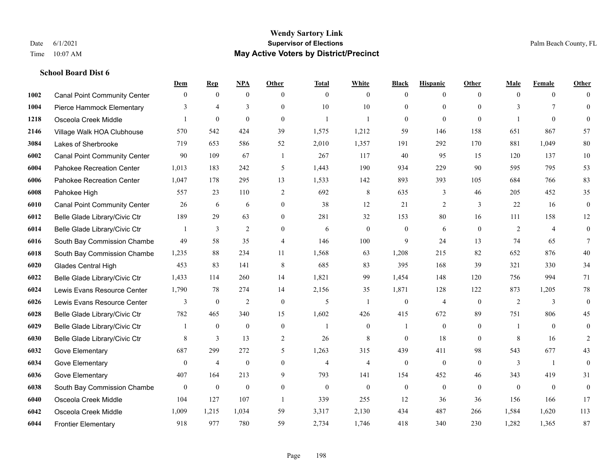|      |                                     | Dem          | <b>Rep</b>       | NPA              | <b>Other</b>     | <b>Total</b>   | <b>White</b>     | <b>Black</b> | <b>Hispanic</b> | <b>Other</b> | <b>Male</b> | <b>Female</b>  | <b>Other</b>     |
|------|-------------------------------------|--------------|------------------|------------------|------------------|----------------|------------------|--------------|-----------------|--------------|-------------|----------------|------------------|
| 1002 | <b>Canal Point Community Center</b> | $\mathbf{0}$ | $\mathbf{0}$     | $\mathbf{0}$     | $\theta$         | $\theta$       | $\overline{0}$   | $\mathbf{0}$ | $\mathbf{0}$    | $\theta$     | $\theta$    | $\overline{0}$ | $\Omega$         |
| 1004 | Pierce Hammock Elementary           | 3            | $\overline{4}$   | 3                | $\theta$         | 10             | 10               | $\theta$     | $\theta$        | $\Omega$     | 3           | $\tau$         | $\theta$         |
| 1218 | Osceola Creek Middle                |              | $\mathbf{0}$     | $\mathbf{0}$     | $\theta$         | $\mathbf{1}$   | 1                | $\theta$     | $\mathbf{0}$    | $\theta$     | -1          | $\theta$       | $\theta$         |
| 2146 | Village Walk HOA Clubhouse          | 570          | 542              | 424              | 39               | 1,575          | 1,212            | 59           | 146             | 158          | 651         | 867            | 57               |
| 3084 | Lakes of Sherbrooke                 | 719          | 653              | 586              | 52               | 2,010          | 1,357            | 191          | 292             | 170          | 881         | 1.049          | 80               |
| 6002 | <b>Canal Point Community Center</b> | 90           | 109              | 67               | -1               | 267            | 117              | 40           | 95              | 15           | 120         | 137            | $10\,$           |
| 6004 | Pahokee Recreation Center           | 1,013        | 183              | 242              | 5                | 1,443          | 190              | 934          | 229             | 90           | 595         | 795            | 53               |
| 6006 | Pahokee Recreation Center           | 1,047        | 178              | 295              | 13               | 1,533          | 142              | 893          | 393             | 105          | 684         | 766            | 83               |
| 6008 | Pahokee High                        | 557          | 23               | 110              | 2                | 692            | 8                | 635          | 3               | 46           | 205         | 452            | 35               |
| 6010 | <b>Canal Point Community Center</b> | 26           | 6                | 6                | $\mathbf{0}$     | 38             | 12               | 21           | $\overline{2}$  | 3            | 22          | 16             | $\boldsymbol{0}$ |
| 6012 | Belle Glade Library/Civic Ctr       | 189          | 29               | 63               | $\theta$         | 281            | 32               | 153          | 80              | 16           | 111         | 158            | 12               |
| 6014 | Belle Glade Library/Civic Ctr       |              | 3                | $\overline{c}$   | $\mathbf{0}$     | 6              | $\mathbf{0}$     | $\mathbf{0}$ | 6               | $\mathbf{0}$ | 2           | $\overline{4}$ | $\boldsymbol{0}$ |
| 6016 | South Bay Commission Chambe         | 49           | 58               | 35               | $\overline{4}$   | 146            | 100              | 9            | 24              | 13           | 74          | 65             | $\tau$           |
| 6018 | South Bay Commission Chambe         | 1,235        | 88               | 234              | 11               | 1,568          | 63               | 1,208        | 215             | 82           | 652         | 876            | $40\,$           |
| 6020 | Glades Central High                 | 453          | 83               | 141              | 8                | 685            | 83               | 395          | 168             | 39           | 321         | 330            | 34               |
| 6022 | Belle Glade Library/Civic Ctr       | 1,433        | 114              | 260              | 14               | 1,821          | 99               | 1,454        | 148             | 120          | 756         | 994            | 71               |
| 6024 | Lewis Evans Resource Center         | 1,790        | 78               | 274              | 14               | 2,156          | 35               | 1,871        | 128             | 122          | 873         | 1,205          | $78\,$           |
| 6026 | Lewis Evans Resource Center         | 3            | $\boldsymbol{0}$ | $\overline{2}$   | $\theta$         | 5              | $\mathbf{1}$     | $\mathbf{0}$ | $\overline{4}$  | $\theta$     | 2           | 3              | $\boldsymbol{0}$ |
| 6028 | Belle Glade Library/Civic Ctr       | 782          | 465              | 340              | 15               | 1,602          | 426              | 415          | 672             | 89           | 751         | 806            | 45               |
| 6029 | Belle Glade Library/Civic Ctr       |              | $\mathbf{0}$     | $\mathbf{0}$     | $\boldsymbol{0}$ | $\mathbf{1}$   | $\boldsymbol{0}$ | 1            | $\mathbf{0}$    | $\mathbf{0}$ | -1          | $\theta$       | $\boldsymbol{0}$ |
| 6030 | Belle Glade Library/Civic Ctr       | 8            | 3                | 13               | 2                | 26             | 8                | $\theta$     | 18              | $\theta$     | 8           | 16             | 2                |
| 6032 | Gove Elementary                     | 687          | 299              | 272              | 5                | 1,263          | 315              | 439          | 411             | 98           | 543         | 677            | 43               |
| 6034 | Gove Elementary                     | $\mathbf{0}$ | $\overline{4}$   | $\boldsymbol{0}$ | $\mathbf{0}$     | $\overline{4}$ | $\overline{4}$   | $\mathbf{0}$ | $\mathbf{0}$    | $\theta$     | 3           | -1             | $\boldsymbol{0}$ |
| 6036 | Gove Elementary                     | 407          | 164              | 213              | 9                | 793            | 141              | 154          | 452             | 46           | 343         | 419            | 31               |
| 6038 | South Bay Commission Chambe         | $\mathbf{0}$ | $\mathbf{0}$     | $\mathbf{0}$     | $\mathbf{0}$     | $\theta$       | $\mathbf{0}$     | $\mathbf{0}$ | $\mathbf{0}$    | $\theta$     | $\theta$    | $\theta$       | $\mathbf{0}$     |
| 6040 | Osceola Creek Middle                | 104          | 127              | 107              | $\overline{1}$   | 339            | 255              | 12           | 36              | 36           | 156         | 166            | 17               |
| 6042 | Osceola Creek Middle                | 1,009        | 1,215            | 1,034            | 59               | 3,317          | 2,130            | 434          | 487             | 266          | 1,584       | 1,620          | 113              |
| 6044 | <b>Frontier Elementary</b>          | 918          | 977              | 780              | 59               | 2,734          | 1,746            | 418          | 340             | 230          | 1,282       | 1,365          | 87               |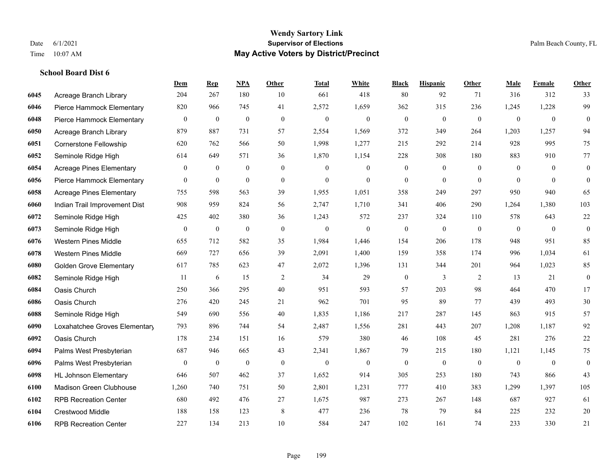#### **Wendy Sartory Link** Date 6/1/2021 **Supervisor of Elections** Palm Beach County, FL Time 10:07 AM **May Active Voters by District/Precinct**

# **Dem Rep NPA Other Total White Black Hispanic Other Male Female Other** Acreage Branch Library 204 267 180 10 661 418 80 92 71 316 312 33 Pierce Hammock Elementary 820 966 745 41 2,572 1,659 362 315 236 1,245 1,228 99 Pierce Hammock Elementary 0 0 0 0 0 0 0 0 0 0 0 0 Acreage Branch Library 879 887 731 57 2,554 1,569 372 349 264 1,203 1,257 94 Cornerstone Fellowship 620 762 566 50 1,998 1,277 215 292 214 928 995 75 Seminole Ridge High 614 649 571 36 1,870 1,154 228 308 180 883 910 77 Acreage Pines Elementary 0 0 0 0 0 0 0 0 0 0 0 0 Pierce Hammock Elementary 0 0 0 0 0 0 0 0 0 0 0 0 Acreage Pines Elementary 755 598 563 39 1,955 1,051 358 249 297 950 940 65 Indian Trail Improvement Dist 908 959 824 56 2,747 1,710 341 406 290 1,264 1,380 103 Seminole Ridge High 425 402 380 36 1,243 572 237 324 110 578 643 22 Seminole Ridge High 0 0 0 0 0 0 0 0 0 0 0 0 Western Pines Middle 655 712 582 35 1,984 1,446 154 206 178 948 951 85 Western Pines Middle 669 727 656 39 2,091 1,400 159 358 174 996 1,034 61 Golden Grove Elementary 617 785 623 47 2,072 1,396 131 344 201 964 1,023 85 Seminole Ridge High 11 6 15 2 34 29 0 3 2 13 21 0 Oasis Church 250 366 295 40 951 593 57 203 98 464 470 17 Oasis Church 276 420 245 21 962 701 95 89 77 439 493 30 Seminole Ridge High 549 690 556 40 1,835 1,186 217 287 145 863 915 57 Loxahatchee Groves Elementary 793 896 744 54 2,487 1,556 281 443 207 1,208 1,187 92 Oasis Church 178 234 151 16 579 380 46 108 45 281 276 22 Palms West Presbyterian 687 946 665 43 2,341 1,867 79 215 180 1,121 1,145 75 Palms West Presbyterian 0 0 0 0 0 0 0 0 0 0 0 0 HL Johnson Elementary 646 507 462 37 1,652 914 305 253 180 743 866 43 Madison Green Clubhouse 1,260 740 751 50 2,801 1,231 777 410 383 1,299 1,397 105 RPB Recreation Center 680 492 476 27 1,675 987 273 267 148 687 927 61 Crestwood Middle 188 158 123 8 477 236 78 79 84 225 232 20 RPB Recreation Center 227 134 213 10 584 247 102 161 74 233 330 21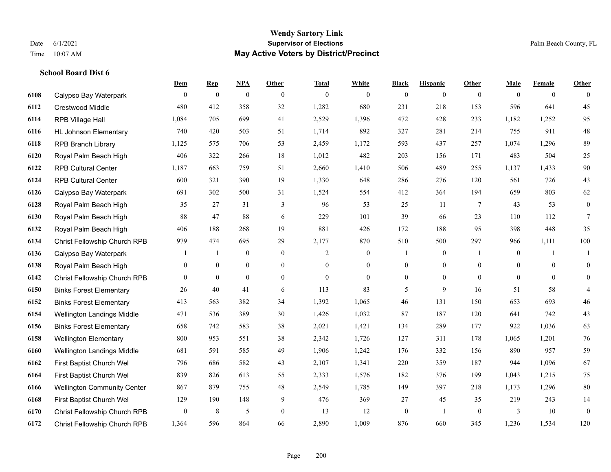|      |                                    | Dem            | <b>Rep</b>       | NPA              | <b>Other</b>   | <b>Total</b> | <b>White</b>   | <b>Black</b>     | <b>Hispanic</b>  | <b>Other</b>   | <b>Male</b>    | <b>Female</b>  | <b>Other</b>   |
|------|------------------------------------|----------------|------------------|------------------|----------------|--------------|----------------|------------------|------------------|----------------|----------------|----------------|----------------|
| 6108 | Calypso Bay Waterpark              | $\overline{0}$ | $\boldsymbol{0}$ | $\boldsymbol{0}$ | $\theta$       | $\mathbf{0}$ | $\overline{0}$ | $\overline{0}$   | $\overline{0}$   | $\overline{0}$ | $\theta$       | $\overline{0}$ | $\theta$       |
| 6112 | <b>Crestwood Middle</b>            | 480            | 412              | 358              | 32             | 1,282        | 680            | 231              | 218              | 153            | 596            | 641            | 45             |
| 6114 | RPB Village Hall                   | 1,084          | 705              | 699              | 41             | 2,529        | 1,396          | 472              | 428              | 233            | 1,182          | 1,252          | 95             |
| 6116 | <b>HL Johnson Elementary</b>       | 740            | 420              | 503              | 51             | 1,714        | 892            | 327              | 281              | 214            | 755            | 911            | $48\,$         |
| 6118 | <b>RPB Branch Library</b>          | 1,125          | 575              | 706              | 53             | 2,459        | 1,172          | 593              | 437              | 257            | 1,074          | 1,296          | 89             |
| 6120 | Royal Palm Beach High              | 406            | 322              | 266              | 18             | 1,012        | 482            | 203              | 156              | 171            | 483            | 504            | $25\,$         |
| 6122 | <b>RPB Cultural Center</b>         | 1,187          | 663              | 759              | 51             | 2,660        | 1,410          | 506              | 489              | 255            | 1,137          | 1,433          | $90\,$         |
| 6124 | <b>RPB Cultural Center</b>         | 600            | 321              | 390              | 19             | 1,330        | 648            | 286              | 276              | 120            | 561            | 726            | 43             |
| 6126 | Calypso Bay Waterpark              | 691            | 302              | 500              | 31             | 1,524        | 554            | 412              | 364              | 194            | 659            | 803            | 62             |
| 6128 | Royal Palm Beach High              | 35             | 27               | 31               | 3              | 96           | 53             | 25               | 11               | 7              | 43             | 53             | $\mathbf{0}$   |
| 6130 | Royal Palm Beach High              | 88             | 47               | 88               | 6              | 229          | 101            | 39               | 66               | 23             | 110            | 112            | $\tau$         |
| 6132 | Royal Palm Beach High              | 406            | 188              | 268              | 19             | 881          | 426            | 172              | 188              | 95             | 398            | 448            | 35             |
| 6134 | Christ Fellowship Church RPB       | 979            | 474              | 695              | 29             | 2,177        | 870            | 510              | 500              | 297            | 966            | 1,111          | $100\,$        |
| 6136 | Calypso Bay Waterpark              |                | -1               | $\boldsymbol{0}$ | $\bf{0}$       | 2            | $\mathbf{0}$   |                  | $\boldsymbol{0}$ | $\overline{1}$ | $\mathbf{0}$   | $\overline{1}$ | $\mathbf{1}$   |
| 6138 | Royal Palm Beach High              | $\mathbf{0}$   | $\mathbf{0}$     | $\mathbf{0}$     | $\mathbf{0}$   | $\theta$     | $\overline{0}$ | $\overline{0}$   | $\overline{0}$   | $\mathbf{0}$   | $\Omega$       | $\theta$       | $\mathbf{0}$   |
| 6142 | Christ Fellowship Church RPB       | $\mathbf{0}$   | $\overline{0}$   | $\mathbf{0}$     | $\overline{0}$ | $\theta$     | $\overline{0}$ | $\overline{0}$   | $\overline{0}$   | $\theta$       | $\overline{0}$ | $\theta$       | $\mathbf{0}$   |
| 6150 | <b>Binks Forest Elementary</b>     | 26             | 40               | 41               | 6              | 113          | 83             | 5                | 9                | 16             | 51             | 58             | $\overline{4}$ |
| 6152 | <b>Binks Forest Elementary</b>     | 413            | 563              | 382              | 34             | 1,392        | 1,065          | 46               | 131              | 150            | 653            | 693            | 46             |
| 6154 | Wellington Landings Middle         | 471            | 536              | 389              | 30             | 1,426        | 1,032          | 87               | 187              | 120            | 641            | 742            | $43\,$         |
| 6156 | <b>Binks Forest Elementary</b>     | 658            | 742              | 583              | 38             | 2,021        | 1,421          | 134              | 289              | 177            | 922            | 1,036          | 63             |
| 6158 | <b>Wellington Elementary</b>       | 800            | 953              | 551              | 38             | 2,342        | 1,726          | 127              | 311              | 178            | 1,065          | 1,201          | 76             |
| 6160 | Wellington Landings Middle         | 681            | 591              | 585              | 49             | 1,906        | 1,242          | 176              | 332              | 156            | 890            | 957            | 59             |
| 6162 | First Baptist Church Wel           | 796            | 686              | 582              | 43             | 2,107        | 1,341          | 220              | 359              | 187            | 944            | 1,096          | 67             |
| 6164 | First Baptist Church Wel           | 839            | 826              | 613              | 55             | 2,333        | 1,576          | 182              | 376              | 199            | 1,043          | 1,215          | 75             |
| 6166 | <b>Wellington Community Center</b> | 867            | 879              | 755              | 48             | 2,549        | 1,785          | 149              | 397              | 218            | 1,173          | 1,296          | $80\,$         |
| 6168 | First Baptist Church Wel           | 129            | 190              | 148              | 9              | 476          | 369            | $27\,$           | 45               | 35             | 219            | 243            | 14             |
| 6170 | Christ Fellowship Church RPB       | $\bf{0}$       | $\,8\,$          | 5                | $\mathbf{0}$   | 13           | 12             | $\boldsymbol{0}$ | 1                | $\mathbf{0}$   | 3              | 10             | $\bf{0}$       |
| 6172 | Christ Fellowship Church RPB       | 1,364          | 596              | 864              | 66             | 2,890        | 1,009          | 876              | 660              | 345            | 1,236          | 1,534          | 120            |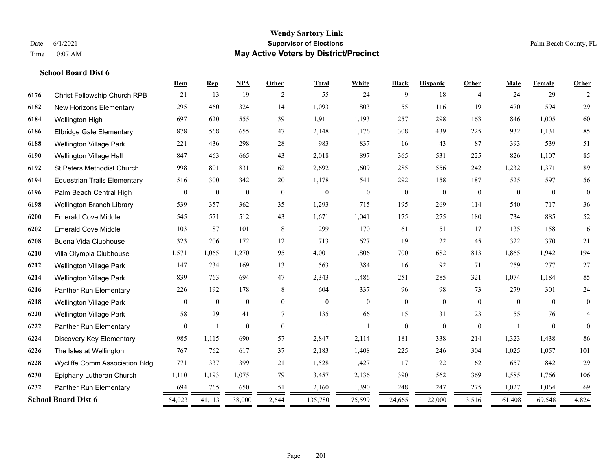#### **Wendy Sartory Link** Date 6/1/2021 **Supervisor of Elections** Palm Beach County, FL Time 10:07 AM **May Active Voters by District/Precinct**

# **Dem Rep NPA Other Total White Black Hispanic Other Male Female Other** Christ Fellowship Church RPB 21 13 19 2 55 24 9 18 4 24 29 2 New Horizons Elementary 295 460 324 14 1,093 803 55 116 119 470 594 29 Wellington High 697 620 555 39 1,911 1,193 257 298 163 846 1,005 60 Elbridge Gale Elementary 878 568 655 47 2,148 1,176 308 439 225 932 1,131 85 Wellington Village Park 221 436 298 28 983 837 16 43 87 393 539 51 Wellington Village Hall 847 463 665 43 2,018 897 365 531 225 826 1,107 85 St Peters Methodist Church 998 801 831 62 2,692 1,609 285 556 242 1,232 1,371 89 Equestrian Trails Elementary 516 300 342 20 1,178 541 292 158 187 525 597 56 Palm Beach Central High 0 0 0 0 0 0 0 0 0 0 0 0 Wellington Branch Library 539 357 362 35 1,293 715 195 269 114 540 717 36 Emerald Cove Middle 545 571 512 43 1,671 1,041 175 275 180 734 885 52 Emerald Cove Middle 103 87 101 8 299 170 61 51 17 135 158 6 Buena Vida Clubhouse 323 206 172 12 713 627 19 22 45 322 370 21 Villa Olympia Clubhouse 1,571 1,065 1,270 95 4,001 1,806 700 682 813 1,865 1,942 194 Wellington Village Park 147 234 169 13 563 384 16 92 71 259 277 27 Wellington Village Park 839 763 694 47 2,343 1,486 251 285 321 1,074 1,184 85 Panther Run Elementary 226 192 178 8 604 337 96 98 73 279 301 24 Wellington Village Park 0 0 0 0 0 0 0 0 0 0 0 0 Wellington Village Park 58 29 41 7 135 66 15 31 23 55 76 4 Panther Run Elementary 0 1 0 0 1 1 0 0 0 1 0 0 Discovery Key Elementary 985 1,115 690 57 2,847 2,114 181 338 214 1,323 1,438 86 The Isles at Wellington 767 762 617 37 2,183 1,408 225 246 304 1,025 1,057 101 Wycliffe Comm Association Bldg 771 337 399 21 1,528 1,427 17 22 62 657 842 29 Epiphany Lutheran Church 1,110 1,193 1,075 79 3,457 2,136 390 562 369 1,585 1,766 106 Panther Run Elementary 694 765 650 51 2,160 1,390 248 247 275 1,027 1,064 69 **School Board Dist 6** 54,023 41,113 38,000 2,644 135,780 75,599 24,665 22,000 13,516 61,408 69,548 4,824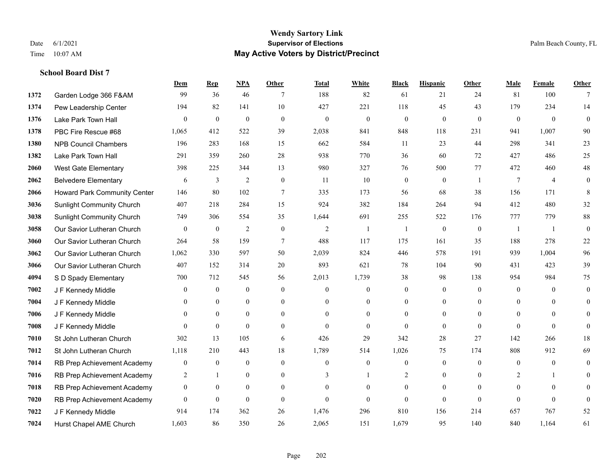#### **Wendy Sartory Link** Date 6/1/2021 **Supervisor of Elections** Palm Beach County, FL Time 10:07 AM **May Active Voters by District/Precinct**

# **Dem Rep NPA Other Total White Black Hispanic Other Male Female Other** Garden Lodge 366 F&AM 99 36 46 7 188 82 61 21 24 81 100 7 Pew Leadership Center 194 82 141 10 427 221 118 45 43 179 234 14 Lake Park Town Hall 0 0 0 0 0 0 0 0 0 0 0 0 PBC Fire Rescue #68 1,065 412 522 39 2,038 841 848 118 231 941 1,007 90 NPB Council Chambers 196 283 168 15 662 584 11 23 44 298 341 23 Lake Park Town Hall 291 359 260 28 938 770 36 60 72 427 486 25 West Gate Elementary 398 225 344 13 980 327 76 500 77 472 460 48 Belvedere Elementary 6 3 2 0 11 10 0 0 1 7 4 0 Howard Park Community Center 146 80 102 7 335 173 56 68 38 156 171 8 Sunlight Community Church 407 218 284 15 924 382 184 264 94 412 480 32 Sunlight Community Church 749 306 554 35 1,644 691 255 522 176 777 779 88 Our Savior Lutheran Church 0 0 0 2 0 0 2 1 1 0 0 0 1 1 0 Our Savior Lutheran Church 264 58 159 7 488 117 175 161 35 188 278 22 Our Savior Lutheran Church 1,062 330 597 50 2,039 824 446 578 191 939 1,004 96 Our Savior Lutheran Church 407 152 314 20 893 621 78 104 90 431 423 39 S D Spady Elementary 700 712 545 56 2,013 1,739 38 98 138 954 984 75 J F Kennedy Middle 0 0 0 0 0 0 0 0 0 0 0 0 **7004 J F Kennedy Middle 0 0 0 0 0 0 0 0 0** 0 J F Kennedy Middle 0 0 0 0 0 0 0 0 0 0 J F Kennedy Middle 0 0 0 0 0 0 0 0 0 0 St John Lutheran Church 302 13 105 6 426 29 342 28 27 142 266 18 St John Lutheran Church 1,118 210 443 18 1,789 514 1,026 75 174 808 912 69 RB Prep Achievement Academy 0 0 0 0 0 0 0 0 0 0 0 0 RB Prep Achievement Academy 2 1 0 0 3 1 2 0 0 2 1 0 RB Prep Achievement Academy 0 0 0 0 0 0 0 0 0 0 0 0 RB Prep Achievement Academy 0 0 0 0 0 0 0 0 0 0 0 0 J F Kennedy Middle 914 174 362 26 1,476 296 810 156 214 657 767 52 Hurst Chapel AME Church 1,603 86 350 26 2,065 151 1,679 95 140 840 1,164 61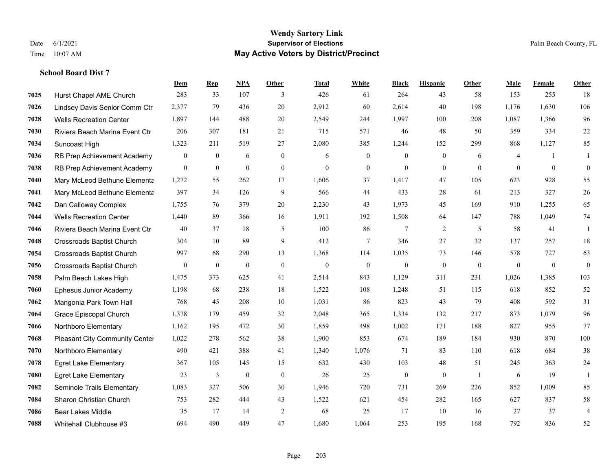|      |                                       | <b>Dem</b>       | <b>Rep</b>       | NPA          | <b>Other</b>   | Total        | <b>White</b>   | <b>Black</b>     | <b>Hispanic</b>  | <b>Other</b>   | <b>Male</b>  | Female         | <b>Other</b>     |
|------|---------------------------------------|------------------|------------------|--------------|----------------|--------------|----------------|------------------|------------------|----------------|--------------|----------------|------------------|
| 7025 | Hurst Chapel AME Church               | 283              | 33               | 107          | 3              | 426          | 61             | 264              | 43               | 58             | 153          | 255            | 18               |
| 7026 | Lindsey Davis Senior Comm Ctr         | 2,377            | 79               | 436          | 20             | 2,912        | 60             | 2,614            | 40               | 198            | 1,176        | 1,630          | 106              |
| 7028 | <b>Wells Recreation Center</b>        | 1,897            | 144              | 488          | 20             | 2,549        | 244            | 1,997            | 100              | 208            | 1,087        | 1,366          | 96               |
| 7030 | Riviera Beach Marina Event Ctr        | 206              | 307              | 181          | 21             | 715          | 571            | 46               | 48               | 50             | 359          | 334            | $22\,$           |
| 7034 | Suncoast High                         | 1,323            | 211              | 519          | 27             | 2,080        | 385            | 1.244            | 152              | 299            | 868          | 1,127          | 85               |
| 7036 | RB Prep Achievement Academy           | $\boldsymbol{0}$ | $\mathbf{0}$     | 6            | $\mathbf{0}$   | 6            | $\mathbf{0}$   | $\boldsymbol{0}$ | $\boldsymbol{0}$ | 6              | 4            | -1             | -1               |
| 7038 | RB Prep Achievement Academy           | $\overline{0}$   | $\overline{0}$   | $\mathbf{0}$ | $\mathbf{0}$   | $\theta$     | $\overline{0}$ | $\mathbf{0}$     | $\mathbf{0}$     | $\theta$       | $\theta$     | $\mathbf{0}$   | $\boldsymbol{0}$ |
| 7040 | Mary McLeod Bethune Elementa          | 1,272            | 55               | 262          | 17             | 1,606        | 37             | 1,417            | 47               | 105            | 623          | 928            | 55               |
| 7041 | Mary McLeod Bethune Elementa          | 397              | 34               | 126          | 9              | 566          | 44             | 433              | 28               | 61             | 213          | 327            | $26\,$           |
| 7042 | Dan Calloway Complex                  | 1,755            | 76               | 379          | 20             | 2,230        | 43             | 1,973            | 45               | 169            | 910          | 1,255          | 65               |
| 7044 | <b>Wells Recreation Center</b>        | 1,440            | 89               | 366          | 16             | 1,911        | 192            | 1,508            | 64               | 147            | 788          | 1,049          | 74               |
| 7046 | Riviera Beach Marina Event Ctr        | 40               | 37               | 18           | 5              | 100          | 86             | 7                | 2                | 5              | 58           | 41             | 1                |
| 7048 | <b>Crossroads Baptist Church</b>      | 304              | 10               | 89           | 9              | 412          | 7              | 346              | 27               | 32             | 137          | 257            | $18\,$           |
| 7054 | Crossroads Baptist Church             | 997              | 68               | 290          | 13             | 1,368        | 114            | 1,035            | 73               | 146            | 578          | 727            | 63               |
| 7056 | <b>Crossroads Baptist Church</b>      | $\boldsymbol{0}$ | $\boldsymbol{0}$ | $\mathbf{0}$ | $\overline{0}$ | $\mathbf{0}$ | $\mathbf{0}$   | $\boldsymbol{0}$ | $\mathbf{0}$     | $\overline{0}$ | $\mathbf{0}$ | $\overline{0}$ | $\mathbf{0}$     |
| 7058 | Palm Beach Lakes High                 | 1,475            | 373              | 625          | 41             | 2,514        | 843            | 1,129            | 311              | 231            | 1,026        | 1,385          | 103              |
| 7060 | Ephesus Junior Academy                | 1,198            | 68               | 238          | 18             | 1,522        | 108            | 1,248            | 51               | 115            | 618          | 852            | 52               |
| 7062 | Mangonia Park Town Hall               | 768              | 45               | 208          | 10             | 1,031        | 86             | 823              | 43               | 79             | 408          | 592            | 31               |
| 7064 | Grace Episcopal Church                | 1,378            | 179              | 459          | 32             | 2,048        | 365            | 1,334            | 132              | 217            | 873          | 1.079          | 96               |
| 7066 | Northboro Elementary                  | 1,162            | 195              | 472          | 30             | 1,859        | 498            | 1,002            | 171              | 188            | 827          | 955            | 77               |
| 7068 | <b>Pleasant City Community Center</b> | 1,022            | 278              | 562          | 38             | 1,900        | 853            | 674              | 189              | 184            | 930          | 870            | 100              |
| 7070 | Northboro Elementary                  | 490              | 421              | 388          | 41             | 1,340        | 1,076          | 71               | 83               | 110            | 618          | 684            | 38               |
| 7078 | <b>Egret Lake Elementary</b>          | 367              | 105              | 145          | 15             | 632          | 430            | 103              | 48               | 51             | 245          | 363            | $24\,$           |
| 7080 | <b>Egret Lake Elementary</b>          | 23               | 3                | $\bf{0}$     | $\mathbf{0}$   | 26           | 25             | $\boldsymbol{0}$ | $\mathbf{0}$     | $\overline{1}$ | 6            | 19             | -1               |
| 7082 | Seminole Trails Elementary            | 1,083            | 327              | 506          | 30             | 1,946        | 720            | 731              | 269              | 226            | 852          | 1.009          | 85               |
| 7084 | Sharon Christian Church               | 753              | 282              | 444          | 43             | 1,522        | 621            | 454              | 282              | 165            | 627          | 837            | $58\,$           |
| 7086 | <b>Bear Lakes Middle</b>              | 35               | 17               | 14           | $\overline{c}$ | 68           | 25             | 17               | 10               | 16             | 27           | 37             | $\overline{4}$   |
| 7088 | Whitehall Clubhouse #3                | 694              | 490              | 449          | 47             | 1,680        | 1,064          | 253              | 195              | 168            | 792          | 836            | 52               |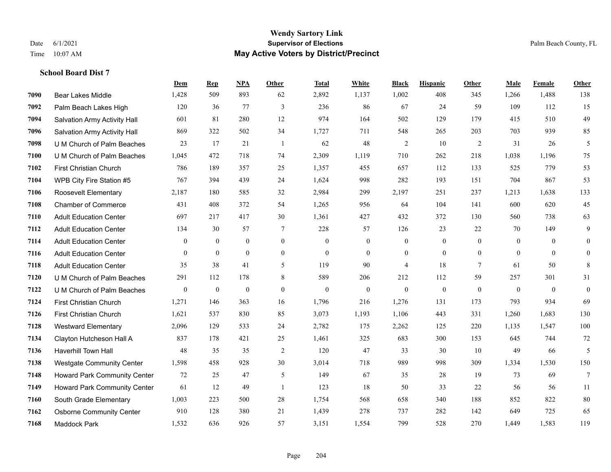|      |                                  | Dem            | <b>Rep</b>       | NPA              | <b>Other</b>   | <b>Total</b> | White            | <b>Black</b>     | <b>Hispanic</b>  | <b>Other</b> | <b>Male</b>    | Female         | <b>Other</b>    |
|------|----------------------------------|----------------|------------------|------------------|----------------|--------------|------------------|------------------|------------------|--------------|----------------|----------------|-----------------|
| 7090 | Bear Lakes Middle                | 1,428          | 509              | 893              | 62             | 2,892        | 1,137            | 1,002            | 408              | 345          | 1,266          | 1,488          | 138             |
| 7092 | Palm Beach Lakes High            | 120            | 36               | 77               | 3              | 236          | 86               | 67               | 24               | 59           | 109            | 112            | 15              |
| 7094 | Salvation Army Activity Hall     | 601            | 81               | 280              | 12             | 974          | 164              | 502              | 129              | 179          | 415            | 510            | 49              |
| 7096 | Salvation Army Activity Hall     | 869            | 322              | 502              | 34             | 1,727        | 711              | 548              | 265              | 203          | 703            | 939            | 85              |
| 7098 | U M Church of Palm Beaches       | 23             | 17               | 21               | $\overline{1}$ | 62           | 48               | $\overline{c}$   | 10               | 2            | 31             | 26             | 5               |
| 7100 | U M Church of Palm Beaches       | 1,045          | 472              | 718              | 74             | 2,309        | 1,119            | 710              | 262              | 218          | 1,038          | 1,196          | 75              |
| 7102 | First Christian Church           | 786            | 189              | 357              | 25             | 1,357        | 455              | 657              | 112              | 133          | 525            | 779            | 53              |
| 7104 | WPB City Fire Station #5         | 767            | 394              | 439              | 24             | 1,624        | 998              | 282              | 193              | 151          | 704            | 867            | 53              |
| 7106 | <b>Roosevelt Elementary</b>      | 2,187          | 180              | 585              | 32             | 2,984        | 299              | 2,197            | 251              | 237          | 1,213          | 1,638          | 133             |
| 7108 | <b>Chamber of Commerce</b>       | 431            | 408              | 372              | 54             | 1,265        | 956              | 64               | 104              | 141          | 600            | 620            | 45              |
| 7110 | <b>Adult Education Center</b>    | 697            | 217              | 417              | 30             | 1,361        | 427              | 432              | 372              | 130          | 560            | 738            | 63              |
| 7112 | <b>Adult Education Center</b>    | 134            | 30               | 57               | $\overline{7}$ | 228          | 57               | 126              | 23               | 22           | 70             | 149            | 9               |
| 7114 | <b>Adult Education Center</b>    | $\mathbf{0}$   | $\mathbf{0}$     | $\mathbf{0}$     | $\overline{0}$ | $\mathbf{0}$ | $\boldsymbol{0}$ | $\boldsymbol{0}$ | $\boldsymbol{0}$ | $\theta$     | $\overline{0}$ | $\overline{0}$ | $\mathbf{0}$    |
| 7116 | <b>Adult Education Center</b>    | $\overline{0}$ | $\overline{0}$   | $\mathbf{0}$     | $\overline{0}$ | $\mathbf{0}$ | $\overline{0}$   | $\boldsymbol{0}$ | $\mathbf{0}$     | $\mathbf{0}$ | $\mathbf{0}$   | $\mathbf{0}$   | $\mathbf{0}$    |
| 7118 | <b>Adult Education Center</b>    | 35             | 38               | 41               | 5              | 119          | 90               | $\overline{4}$   | 18               | $\tau$       | 61             | 50             | 8               |
| 7120 | U M Church of Palm Beaches       | 291            | 112              | 178              | 8              | 589          | 206              | 212              | 112              | 59           | 257            | 301            | 31              |
| 7122 | U M Church of Palm Beaches       | $\mathbf{0}$   | $\boldsymbol{0}$ | $\boldsymbol{0}$ | $\overline{0}$ | $\mathbf{0}$ | $\boldsymbol{0}$ | $\mathbf{0}$     | $\mathbf{0}$     | $\theta$     | $\mathbf{0}$   | $\mathbf{0}$   | $\mathbf{0}$    |
| 7124 | <b>First Christian Church</b>    | 1,271          | 146              | 363              | 16             | 1,796        | 216              | 1,276            | 131              | 173          | 793            | 934            | 69              |
| 7126 | First Christian Church           | 1,621          | 537              | 830              | 85             | 3,073        | 1,193            | 1,106            | 443              | 331          | 1,260          | 1,683          | 130             |
| 7128 | <b>Westward Elementary</b>       | 2,096          | 129              | 533              | 24             | 2,782        | 175              | 2,262            | 125              | 220          | 1,135          | 1,547          | 100             |
| 7134 | Clayton Hutcheson Hall A         | 837            | 178              | 421              | 25             | 1,461        | 325              | 683              | 300              | 153          | 645            | 744            | 72              |
| 7136 | Haverhill Town Hall              | 48             | 35               | 35               | $\sqrt{2}$     | 120          | 47               | 33               | 30               | 10           | 49             | 66             | 5               |
| 7138 | <b>Westgate Community Center</b> | 1,598          | 458              | 928              | 30             | 3,014        | 718              | 989              | 998              | 309          | 1,334          | 1,530          | 150             |
| 7148 | Howard Park Community Center     | 72             | 25               | 47               | 5              | 149          | 67               | 35               | 28               | 19           | 73             | 69             | $7\phantom{.0}$ |
| 7149 | Howard Park Community Center     | 61             | 12               | 49               | $\overline{1}$ | 123          | 18               | 50               | 33               | 22           | 56             | 56             | 11              |
| 7160 | South Grade Elementary           | 1,003          | 223              | 500              | 28             | 1,754        | 568              | 658              | 340              | 188          | 852            | 822            | 80              |
| 7162 | <b>Osborne Community Center</b>  | 910            | 128              | 380              | 21             | 1,439        | 278              | 737              | 282              | 142          | 649            | 725            | 65              |
| 7168 | <b>Maddock Park</b>              | 1,532          | 636              | 926              | 57             | 3,151        | 1,554            | 799              | 528              | 270          | 1,449          | 1,583          | 119             |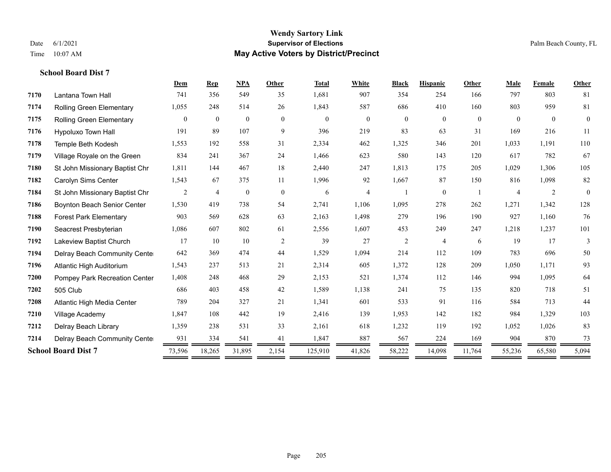|      |                                | Dem            | <b>Rep</b>     | <b>NPA</b>       | Other          | <b>Total</b> | White                    | <b>Black</b>   | <b>Hispanic</b> | Other          | Male           | Female         | Other          |
|------|--------------------------------|----------------|----------------|------------------|----------------|--------------|--------------------------|----------------|-----------------|----------------|----------------|----------------|----------------|
| 7170 | Lantana Town Hall              | 741            | 356            | 549              | 35             | 1,681        | 907                      | 354            | 254             | 166            | 797            | 803            | 81             |
| 7174 | Rolling Green Elementary       | 1,055          | 248            | 514              | 26             | 1,843        | 587                      | 686            | 410             | 160            | 803            | 959            | 81             |
| 7175 | Rolling Green Elementary       | $\overline{0}$ | $\mathbf{0}$   | $\boldsymbol{0}$ | $\theta$       | $\mathbf{0}$ | $\mathbf{0}$             | $\overline{0}$ | $\overline{0}$  | $\overline{0}$ | $\theta$       | $\overline{0}$ | $\overline{0}$ |
| 7176 | Hypoluxo Town Hall             | 191            | 89             | 107              | 9              | 396          | 219                      | 83             | 63              | 31             | 169            | 216            | 11             |
| 7178 | Temple Beth Kodesh             | 1,553          | 192            | 558              | 31             | 2,334        | 462                      | 1,325          | 346             | 201            | 1,033          | 1,191          | 110            |
| 7179 | Village Royale on the Green    | 834            | 241            | 367              | 24             | 1,466        | 623                      | 580            | 143             | 120            | 617            | 782            | 67             |
| 7180 | St John Missionary Baptist Chr | 1,811          | 144            | 467              | 18             | 2,440        | 247                      | 1,813          | 175             | 205            | 1,029          | 1,306          | 105            |
| 7182 | Carolyn Sims Center            | 1,543          | 67             | 375              | 11             | 1,996        | 92                       | 1,667          | 87              | 150            | 816            | 1,098          | 82             |
| 7184 | St John Missionary Baptist Chr | $\overline{2}$ | $\overline{4}$ | $\boldsymbol{0}$ | $\overline{0}$ | 6            | $\overline{\mathcal{L}}$ |                | $\overline{0}$  |                | $\overline{4}$ | $\sqrt{2}$     | $\Omega$       |
| 7186 | Boynton Beach Senior Center    | 1,530          | 419            | 738              | 54             | 2,741        | 1,106                    | 1,095          | 278             | 262            | 1,271          | 1,342          | 128            |
| 7188 | <b>Forest Park Elementary</b>  | 903            | 569            | 628              | 63             | 2,163        | 1,498                    | 279            | 196             | 190            | 927            | 1,160          | 76             |
| 7190 | Seacrest Presbyterian          | 1,086          | 607            | 802              | 61             | 2,556        | 1,607                    | 453            | 249             | 247            | 1,218          | 1,237          | 101            |
| 7192 | Lakeview Baptist Church        | 17             | 10             | 10               | 2              | 39           | 27                       | $\overline{c}$ | $\overline{4}$  | 6              | 19             | 17             | 3              |
| 7194 | Delray Beach Community Cente   | 642            | 369            | 474              | 44             | 1,529        | 1,094                    | 214            | 112             | 109            | 783            | 696            | 50             |
| 7196 | Atlantic High Auditorium       | 1,543          | 237            | 513              | 21             | 2,314        | 605                      | 1,372          | 128             | 209            | 1,050          | 1,171          | 93             |
| 7200 | Pompey Park Recreation Center  | 1,408          | 248            | 468              | 29             | 2,153        | 521                      | 1,374          | 112             | 146            | 994            | 1,095          | 64             |
| 7202 | 505 Club                       | 686            | 403            | 458              | 42             | 1,589        | 1,138                    | 241            | 75              | 135            | 820            | 718            | 51             |
| 7208 | Atlantic High Media Center     | 789            | 204            | 327              | 21             | 1,341        | 601                      | 533            | 91              | 116            | 584            | 713            | 44             |
| 7210 | Village Academy                | 1,847          | 108            | 442              | 19             | 2,416        | 139                      | 1,953          | 142             | 182            | 984            | 1,329          | 103            |
| 7212 | Delray Beach Library           | 1,359          | 238            | 531              | 33             | 2,161        | 618                      | 1,232          | 119             | 192            | 1,052          | 1,026          | 83             |
| 7214 | Delray Beach Community Cente   | 931            | 334            | 541              | 41             | 1,847        | 887                      | 567            | 224             | 169            | 904            | 870            | 73             |
|      | <b>School Board Dist 7</b>     | 73,596         | 18,265         | 31,895           | 2,154          | 125,910      | 41,826                   | 58,222         | 14,098          | 11,764         | 55,236         | 65,580         | 5,094          |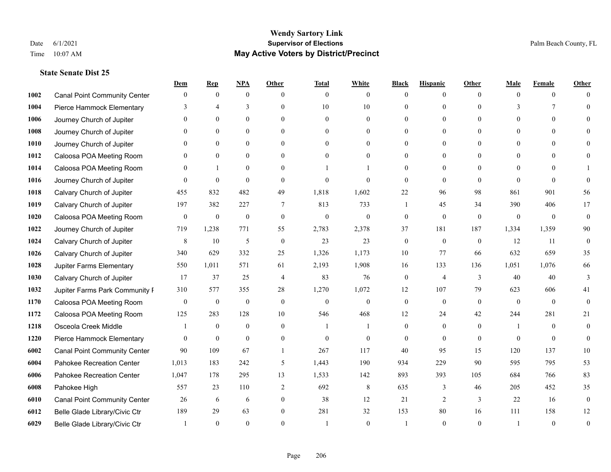|      |                                     | Dem          | <b>Rep</b>       | NPA              | <b>Other</b>   | <b>Total</b> | <b>White</b>     | <b>Black</b>     | <b>Hispanic</b> | <b>Other</b> | <b>Male</b>   | <b>Female</b> | <b>Other</b>     |
|------|-------------------------------------|--------------|------------------|------------------|----------------|--------------|------------------|------------------|-----------------|--------------|---------------|---------------|------------------|
| 1002 | <b>Canal Point Community Center</b> | $\mathbf{0}$ | $\mathbf{0}$     | $\mathbf{0}$     | $\Omega$       | $\theta$     | $\overline{0}$   | $\theta$         | $\mathbf{0}$    | $\Omega$     | $\theta$      | $\theta$      | $\Omega$         |
| 1004 | Pierce Hammock Elementary           | 3            | $\overline{4}$   | 3                | $\Omega$       | 10           | 10               | $\theta$         | $\mathbf{0}$    | $\Omega$     | $\mathcal{E}$ | 7             | $\Omega$         |
| 1006 | Journey Church of Jupiter           | $\Omega$     | $\mathbf{0}$     | $\mathbf{0}$     | $\Omega$       | $\theta$     | $\overline{0}$   | $\theta$         | $\mathbf{0}$    | $\Omega$     | $\theta$      | $\Omega$      |                  |
| 1008 | Journey Church of Jupiter           |              | $\mathbf{0}$     | $\mathbf{0}$     | $\mathbf{0}$   | $\theta$     | $\mathbf{0}$     | $\theta$         | $\mathbf{0}$    | $\Omega$     | $\theta$      | $\theta$      |                  |
| 1010 | Journey Church of Jupiter           | 0            | $\theta$         | $\mathbf{0}$     | $\Omega$       | $\Omega$     | $\theta$         | $\theta$         | $\theta$        | $\Omega$     | $\theta$      | $\Omega$      |                  |
| 1012 | Caloosa POA Meeting Room            |              | $\boldsymbol{0}$ | $\boldsymbol{0}$ | $\theta$       | $\Omega$     | $\boldsymbol{0}$ | $\overline{0}$   | $\mathbf{0}$    | $\Omega$     | $\mathbf{0}$  | $\theta$      |                  |
| 1014 | Caloosa POA Meeting Room            | $\Omega$     | 1                | $\mathbf{0}$     | $\Omega$       |              |                  | $\theta$         | $\mathbf{0}$    | $\Omega$     | $\theta$      | $\theta$      |                  |
| 1016 | Journey Church of Jupiter           | $\Omega$     | $\theta$         | $\theta$         | $\Omega$       | $\theta$     | $\theta$         | $\theta$         | $\theta$        | $\Omega$     | $\Omega$      | $\Omega$      | $\Omega$         |
| 1018 | Calvary Church of Jupiter           | 455          | 832              | 482              | 49             | 1,818        | 1,602            | 22               | 96              | 98           | 861           | 901           | 56               |
| 1019 | Calvary Church of Jupiter           | 197          | 382              | 227              | 7              | 813          | 733              | 1                | 45              | 34           | 390           | 406           | 17               |
| 1020 | Caloosa POA Meeting Room            | $\mathbf{0}$ | $\boldsymbol{0}$ | $\mathbf{0}$     | $\theta$       | $\mathbf{0}$ | $\mathbf{0}$     | $\mathbf{0}$     | $\mathbf{0}$    | $\theta$     | $\theta$      | $\theta$      | $\mathbf{0}$     |
| 1022 | Journey Church of Jupiter           | 719          | 1,238            | 771              | 55             | 2,783        | 2,378            | 37               | 181             | 187          | 1,334         | 1,359         | 90               |
| 1024 | Calvary Church of Jupiter           | 8            | 10               | $\mathfrak{H}$   | $\mathbf{0}$   | 23           | 23               | $\boldsymbol{0}$ | $\mathbf{0}$    | $\theta$     | 12            | 11            | $\mathbf{0}$     |
| 1026 | Calvary Church of Jupiter           | 340          | 629              | 332              | 25             | 1,326        | 1,173            | 10               | 77              | 66           | 632           | 659           | 35               |
| 1028 | Jupiter Farms Elementary            | 550          | 1,011            | 571              | 61             | 2,193        | 1,908            | 16               | 133             | 136          | 1,051         | 1,076         | 66               |
| 1030 | Calvary Church of Jupiter           | 17           | 37               | 25               | $\overline{4}$ | 83           | 76               | $\mathbf{0}$     | 4               | 3            | 40            | 40            | 3                |
| 1032 | Jupiter Farms Park Community I      | 310          | 577              | 355              | 28             | 1,270        | 1,072            | 12               | 107             | 79           | 623           | 606           | 41               |
| 1170 | Caloosa POA Meeting Room            | $\mathbf{0}$ | $\boldsymbol{0}$ | $\boldsymbol{0}$ | $\theta$       | $\theta$     | $\mathbf{0}$     | $\mathbf{0}$     | $\mathbf{0}$    | $\theta$     | $\theta$      | $\theta$      | $\theta$         |
| 1172 | Caloosa POA Meeting Room            | 125          | 283              | 128              | 10             | 546          | 468              | 12               | 24              | 42           | 244           | 281           | 21               |
| 1218 | Osceola Creek Middle                |              | $\mathbf{0}$     | $\mathbf{0}$     | $\theta$       | -1           | 1                | $\mathbf{0}$     | $\mathbf{0}$    | $\theta$     | -1            | $\theta$      | $\mathbf{0}$     |
| 1220 | Pierce Hammock Elementary           | $\theta$     | $\mathbf{0}$     | $\theta$         | $\Omega$       | $\theta$     | $\mathbf{0}$     | $\theta$         | $\theta$        | $\Omega$     | $\Omega$      | $\Omega$      | $\theta$         |
| 6002 | <b>Canal Point Community Center</b> | 90           | 109              | 67               |                | 267          | 117              | 40               | 95              | 15           | 120           | 137           | $10\,$           |
| 6004 | Pahokee Recreation Center           | 1,013        | 183              | 242              | 5              | 1,443        | 190              | 934              | 229             | 90           | 595           | 795           | 53               |
| 6006 | Pahokee Recreation Center           | 1,047        | 178              | 295              | 13             | 1,533        | 142              | 893              | 393             | 105          | 684           | 766           | 83               |
| 6008 | Pahokee High                        | 557          | 23               | 110              | 2              | 692          | 8                | 635              | 3               | 46           | 205           | 452           | 35               |
| 6010 | <b>Canal Point Community Center</b> | 26           | 6                | 6                | $\mathbf{0}$   | 38           | 12               | 21               | 2               | 3            | 22            | 16            | $\boldsymbol{0}$ |
| 6012 | Belle Glade Library/Civic Ctr       | 189          | 29               | 63               | $\theta$       | 281          | 32               | 153              | 80              | 16           | 111           | 158           | 12               |
| 6029 | Belle Glade Library/Civic Ctr       |              | $\Omega$         | $\theta$         | $\Omega$       |              | $\theta$         |                  | $\theta$        | $\Omega$     |               | $\theta$      | $\mathbf{0}$     |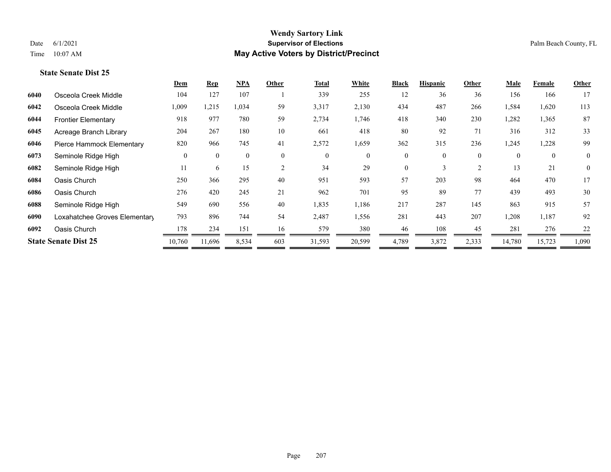|      |                               | Dem      | <b>Rep</b>   | NPA          | Other          | <b>Total</b> | White          | <b>Black</b> | <b>Hispanic</b> | Other          | <b>Male</b> | Female       | <b>Other</b> |
|------|-------------------------------|----------|--------------|--------------|----------------|--------------|----------------|--------------|-----------------|----------------|-------------|--------------|--------------|
| 6040 | Osceola Creek Middle          | 104      | 127          | 107          |                | 339          | 255            | 12           | 36              | 36             | 156         | 166          | 17           |
| 6042 | Osceola Creek Middle          | 1,009    | 1,215        | 1,034        | 59             | 3,317        | 2,130          | 434          | 487             | 266            | 1,584       | 1,620        | 113          |
| 6044 | <b>Frontier Elementary</b>    | 918      | 977          | 780          | 59             | 2,734        | 1,746          | 418          | 340             | 230            | 1,282       | 1,365        | 87           |
| 6045 | Acreage Branch Library        | 204      | 267          | 180          | 10             | 661          | 418            | 80           | 92              | 71             | 316         | 312          | 33           |
| 6046 | Pierce Hammock Elementary     | 820      | 966          | 745          | 41             | 2,572        | 1,659          | 362          | 315             | 236            | 1,245       | 1,228        | 99           |
| 6073 | Seminole Ridge High           | $\theta$ | $\mathbf{0}$ | $\mathbf{0}$ | $\overline{0}$ | $\theta$     | $\overline{0}$ | $\mathbf{0}$ | $\theta$        | $\overline{0}$ | $\Omega$    | $\mathbf{0}$ | $\mathbf{0}$ |
| 6082 | Seminole Ridge High           | 11       | 6            | 15           | $\overline{c}$ | 34           | 29             | $\mathbf{0}$ | $\sim$          | 2              | 13          | 21           | $\mathbf{0}$ |
| 6084 | Oasis Church                  | 250      | 366          | 295          | 40             | 951          | 593            | 57           | 203             | 98             | 464         | 470          | 17           |
| 6086 | Oasis Church                  | 276      | 420          | 245          | 21             | 962          | 701            | 95           | 89              | 77             | 439         | 493          | 30           |
| 6088 | Seminole Ridge High           | 549      | 690          | 556          | 40             | 1,835        | 1,186          | 217          | 287             | 145            | 863         | 915          | 57           |
| 6090 | Loxahatchee Groves Elementary | 793      | 896          | 744          | 54             | 2,487        | 1,556          | 281          | 443             | 207            | 1,208       | 1,187        | 92           |
| 6092 | Oasis Church                  | 178      | 234          | 151          | 16             | 579          | 380            | 46           | 108             | 45             | 281         | 276          | 22           |
|      | <b>State Senate Dist 25</b>   | 10,760   | 11,696       | 8,534        | 603            | 31,593       | 20,599         | 4,789        | 3,872           | 2,333          | 14,780      | 15,723       | 1,090        |
|      |                               |          |              |              |                |              |                |              |                 |                |             |              |              |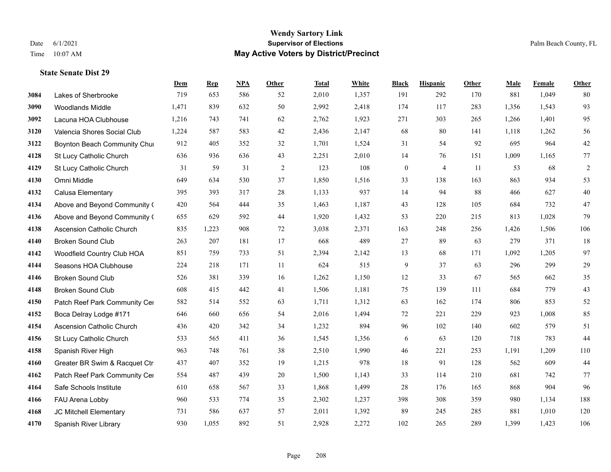**State Senate Dist 29**

# **Wendy Sartory Link** Date 6/1/2021 **Supervisor of Elections** Palm Beach County, FL Time 10:07 AM **May Active Voters by District/Precinct**

|      |                                  | Dem   | <b>Rep</b> | NPA | Other | <b>Total</b> | White | <b>Black</b>     | <b>Hispanic</b> | <b>Other</b> | Male  | Female | Other   |
|------|----------------------------------|-------|------------|-----|-------|--------------|-------|------------------|-----------------|--------------|-------|--------|---------|
| 3084 | Lakes of Sherbrooke              | 719   | 653        | 586 | 52    | 2,010        | 1,357 | 191              | 292             | 170          | 881   | 1,049  | 80      |
| 3090 | Woodlands Middle                 | 1,471 | 839        | 632 | 50    | 2,992        | 2,418 | 174              | 117             | 283          | 1,356 | 1,543  | 93      |
| 3092 | Lacuna HOA Clubhouse             | 1,216 | 743        | 741 | 62    | 2,762        | 1,923 | 271              | 303             | 265          | 1,266 | 1,401  | 95      |
| 3120 | Valencia Shores Social Club      | 1,224 | 587        | 583 | 42    | 2,436        | 2,147 | 68               | 80              | 141          | 1,118 | 1,262  | 56      |
| 3122 | Boynton Beach Community Chur     | 912   | 405        | 352 | 32    | 1,701        | 1,524 | 31               | 54              | 92           | 695   | 964    | $42\,$  |
| 4128 | St Lucy Catholic Church          | 636   | 936        | 636 | 43    | 2,251        | 2,010 | 14               | 76              | 151          | 1,009 | 1,165  | 77      |
| 4129 | St Lucy Catholic Church          | 31    | 59         | 31  | 2     | 123          | 108   | $\boldsymbol{0}$ | $\overline{4}$  | 11           | 53    | 68     | 2       |
| 4130 | Omni Middle                      | 649   | 634        | 530 | 37    | 1,850        | 1,516 | 33               | 138             | 163          | 863   | 934    | 53      |
| 4132 | Calusa Elementary                | 395   | 393        | 317 | 28    | 1,133        | 937   | 14               | 94              | 88           | 466   | 627    | $40\,$  |
| 4134 | Above and Beyond Community (     | 420   | 564        | 444 | 35    | 1,463        | 1,187 | 43               | 128             | 105          | 684   | 732    | 47      |
| 4136 | Above and Beyond Community (     | 655   | 629        | 592 | 44    | 1,920        | 1,432 | 53               | 220             | 215          | 813   | 1,028  | 79      |
| 4138 | <b>Ascension Catholic Church</b> | 835   | 1,223      | 908 | 72    | 3,038        | 2,371 | 163              | 248             | 256          | 1,426 | 1,506  | 106     |
| 4140 | <b>Broken Sound Club</b>         | 263   | 207        | 181 | 17    | 668          | 489   | 27               | 89              | 63           | 279   | 371    | 18      |
| 4142 | Woodfield Country Club HOA       | 851   | 759        | 733 | 51    | 2,394        | 2,142 | 13               | 68              | 171          | 1,092 | 1,205  | 97      |
| 4144 | Seasons HOA Clubhouse            | 224   | 218        | 171 | 11    | 624          | 515   | 9                | 37              | 63           | 296   | 299    | 29      |
| 4146 | <b>Broken Sound Club</b>         | 526   | 381        | 339 | 16    | 1,262        | 1,150 | 12               | 33              | 67           | 565   | 662    | 35      |
| 4148 | <b>Broken Sound Club</b>         | 608   | 415        | 442 | 41    | 1,506        | 1,181 | 75               | 139             | 111          | 684   | 779    | 43      |
| 4150 | Patch Reef Park Community Cer    | 582   | 514        | 552 | 63    | 1,711        | 1,312 | 63               | 162             | 174          | 806   | 853    | 52      |
| 4152 | Boca Delray Lodge #171           | 646   | 660        | 656 | 54    | 2,016        | 1,494 | 72               | 221             | 229          | 923   | 1,008  | 85      |
| 4154 | Ascension Catholic Church        | 436   | 420        | 342 | 34    | 1,232        | 894   | 96               | 102             | 140          | 602   | 579    | 51      |
| 4156 | St Lucy Catholic Church          | 533   | 565        | 411 | 36    | 1,545        | 1,356 | 6                | 63              | 120          | 718   | 783    | 44      |
| 4158 | Spanish River High               | 963   | 748        | 761 | 38    | 2,510        | 1,990 | 46               | 221             | 253          | 1,191 | 1,209  | $110\,$ |
| 4160 | Greater BR Swim & Racquet Ctr    | 437   | 407        | 352 | 19    | 1,215        | 978   | $18\,$           | 91              | 128          | 562   | 609    | 44      |
| 4162 | Patch Reef Park Community Cer    | 554   | 487        | 439 | 20    | 1,500        | 1,143 | 33               | 114             | 210          | 681   | 742    | 77      |
| 4164 | Safe Schools Institute           | 610   | 658        | 567 | 33    | 1,868        | 1,499 | 28               | 176             | 165          | 868   | 904    | 96      |
| 4166 | FAU Arena Lobby                  | 960   | 533        | 774 | 35    | 2,302        | 1,237 | 398              | 308             | 359          | 980   | 1,134  | 188     |
| 4168 | JC Mitchell Elementary           | 731   | 586        | 637 | 57    | 2,011        | 1,392 | 89               | 245             | 285          | 881   | 1,010  | 120     |
| 4170 | Spanish River Library            | 930   | 1.055      | 892 | 51    | 2,928        | 2,272 | 102              | 265             | 289          | 1.399 | 1.423  | 106     |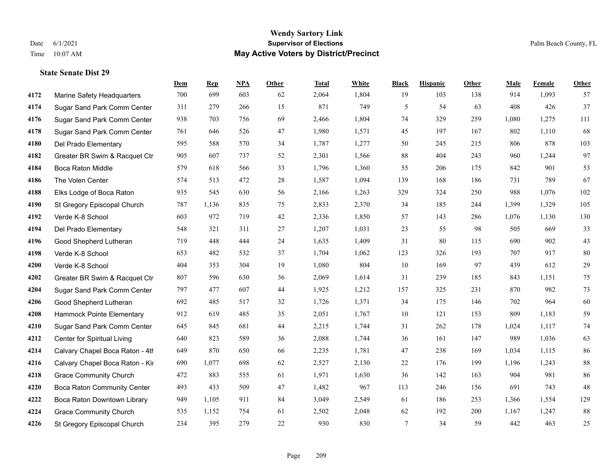**State Senate Dist 29**

#### **Wendy Sartory Link** Date 6/1/2021 **Supervisor of Elections** Palm Beach County, FL Time 10:07 AM **May Active Voters by District/Precinct**

# **Dem Rep NPA Other Total White Black Hispanic Other Male Female Other** Marine Safety Headquarters 700 699 603 62 2,064 1,804 19 103 138 914 1,093 57 Sugar Sand Park Comm Center 311 279 266 15 871 749 5 54 63 408 426 37 Sugar Sand Park Comm Center 938 703 756 69 2,466 1,804 74 329 259 1,080 1,275 111 Sugar Sand Park Comm Center 761 646 526 47 1,980 1,571 45 197 167 802 1,110 68 Del Prado Elementary 595 588 570 34 1,787 1,277 50 245 215 806 878 103 Greater BR Swim & Racquet Ctr 905 607 737 52 2,301 1,566 88 404 243 960 1,244 97 Boca Raton Middle 579 618 566 33 1,796 1,360 55 206 175 842 901 53 The Volen Center 574 513 472 28 1,587 1,094 139 168 186 731 789 67 Elks Lodge of Boca Raton 935 545 630 56 2,166 1,263 329 324 250 988 1,076 102 St Gregory Episcopal Church 787 1,136 835 75 2,833 2,370 34 185 244 1,399 1,329 105 Verde K-8 School 603 972 719 42 2,336 1,850 57 143 286 1,076 1,130 130 Del Prado Elementary 548 321 311 27 1,207 1,031 23 55 98 505 669 33 Good Shepherd Lutheran 719 448 444 24 1,635 1,409 31 80 115 690 902 43 Verde K-8 School 653 482 532 37 1,704 1,062 123 326 193 707 917 80 Verde K-8 School 404 353 304 19 1,080 804 10 169 97 439 612 29 Greater BR Swim & Racquet Ctr 807 596 630 36 2,069 1,614 31 239 185 843 1,151 75 Sugar Sand Park Comm Center 797 477 607 44 1,925 1,212 157 325 231 870 982 73 Good Shepherd Lutheran 692 485 517 32 1,726 1,371 34 175 146 702 964 60 Hammock Pointe Elementary 912 619 485 35 2,051 1,767 10 121 153 809 1,183 59 Sugar Sand Park Comm Center 645 845 681 44 2,215 1,744 31 262 178 1,024 1,117 74 Center for Spiritual Living 640 823 589 36 2,088 1,744 36 161 147 989 1,036 63 4214 Calvary Chapel Boca Raton - 4th $649$  870  $650$   $66$   $2,235$   $1,781$   $47$   $238$   $169$   $1,034$   $1,115$  86 4216 Calvary Chapel Boca Raton - Kir 690 1,077 698 62 2,527 2,130 22 176 199 1,196 1,243 88 Grace Community Church 472 883 555 61 1,971 1,630 36 142 163 904 981 86 Boca Raton Community Center 493 433 509 47 1,482 967 113 246 156 691 743 48 Boca Raton Downtown Library 949 1,105 911 84 3,049 2,549 61 186 253 1,366 1,554 129 Grace Community Church 535 1,152 754 61 2,502 2,048 62 192 200 1,167 1,247 88 St Gregory Episcopal Church 234 395 279 22 930 830 7 34 59 442 463 25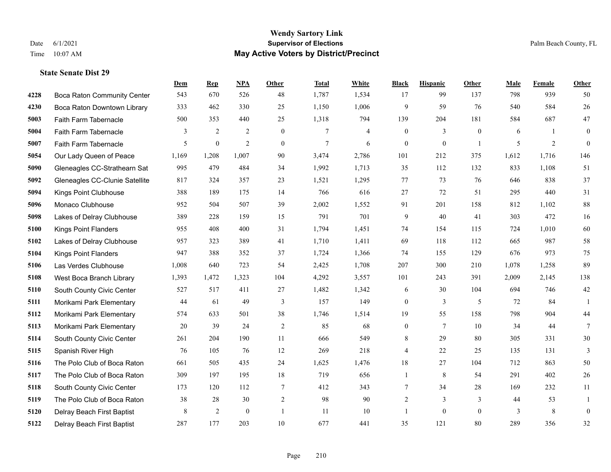|      |                                | Dem   | <b>Rep</b>       | NPA            | <b>Other</b>   | <b>Total</b> | White          | <b>Black</b>     | <b>Hispanic</b> | Other          | <b>Male</b> | Female | <b>Other</b>     |
|------|--------------------------------|-------|------------------|----------------|----------------|--------------|----------------|------------------|-----------------|----------------|-------------|--------|------------------|
| 4228 | Boca Raton Community Center    | 543   | 670              | 526            | 48             | 1,787        | 1,534          | 17               | 99              | 137            | 798         | 939    | 50               |
| 4230 | Boca Raton Downtown Library    | 333   | 462              | 330            | 25             | 1,150        | 1,006          | 9                | 59              | 76             | 540         | 584    | 26               |
| 5003 | Faith Farm Tabernacle          | 500   | 353              | 440            | 25             | 1,318        | 794            | 139              | 204             | 181            | 584         | 687    | $47\,$           |
| 5004 | Faith Farm Tabernacle          | 3     | $\overline{2}$   | $\overline{2}$ | $\overline{0}$ | 7            | $\overline{4}$ | $\boldsymbol{0}$ | 3               | $\theta$       | 6           | 1      | $\mathbf{0}$     |
| 5007 | Faith Farm Tabernacle          | 5     | $\boldsymbol{0}$ | 2              | $\mathbf{0}$   | 7            | 6              | $\boldsymbol{0}$ | $\mathbf{0}$    | $\overline{1}$ | 5           | 2      | $\mathbf{0}$     |
| 5054 | Our Lady Queen of Peace        | 1,169 | 1,208            | 1,007          | 90             | 3,474        | 2,786          | 101              | 212             | 375            | 1,612       | 1,716  | 146              |
| 5090 | Gleneagles CC-Strathearn Sat   | 995   | 479              | 484            | 34             | 1,992        | 1,713          | 35               | 112             | 132            | 833         | 1,108  | 51               |
| 5092 | Gleneagles CC-Clunie Satellite | 817   | 324              | 357            | 23             | 1,521        | 1,295          | 77               | 73              | 76             | 646         | 838    | 37               |
| 5094 | Kings Point Clubhouse          | 388   | 189              | 175            | 14             | 766          | 616            | 27               | 72              | 51             | 295         | 440    | 31               |
| 5096 | Monaco Clubhouse               | 952   | 504              | 507            | 39             | 2,002        | 1,552          | 91               | 201             | 158            | 812         | 1,102  | $88\,$           |
| 5098 | Lakes of Delray Clubhouse      | 389   | 228              | 159            | 15             | 791          | 701            | 9                | 40              | 41             | 303         | 472    | 16               |
| 5100 | Kings Point Flanders           | 955   | 408              | 400            | 31             | 1,794        | 1,451          | 74               | 154             | 115            | 724         | 1,010  | 60               |
| 5102 | Lakes of Delray Clubhouse      | 957   | 323              | 389            | 41             | 1,710        | 1,411          | 69               | 118             | 112            | 665         | 987    | $58\,$           |
| 5104 | <b>Kings Point Flanders</b>    | 947   | 388              | 352            | 37             | 1,724        | 1,366          | 74               | 155             | 129            | 676         | 973    | $75\,$           |
| 5106 | Las Verdes Clubhouse           | 1,008 | 640              | 723            | 54             | 2,425        | 1,708          | 207              | 300             | 210            | 1,078       | 1,258  | 89               |
| 5108 | West Boca Branch Library       | 1,393 | 1,472            | 1,323          | 104            | 4,292        | 3,557          | 101              | 243             | 391            | 2,009       | 2,145  | 138              |
| 5110 | South County Civic Center      | 527   | 517              | 411            | 27             | 1,482        | 1,342          | 6                | 30              | 104            | 694         | 746    | $42\,$           |
| 5111 | Morikami Park Elementary       | 44    | 61               | 49             | 3              | 157          | 149            | $\boldsymbol{0}$ | 3               | 5              | 72          | 84     | $\mathbf{1}$     |
| 5112 | Morikami Park Elementary       | 574   | 633              | 501            | 38             | 1,746        | 1,514          | 19               | 55              | 158            | 798         | 904    | $44\,$           |
| 5113 | Morikami Park Elementary       | 20    | 39               | 24             | $\overline{2}$ | 85           | 68             | $\boldsymbol{0}$ | $\overline{7}$  | 10             | 34          | 44     | $7\phantom{.0}$  |
| 5114 | South County Civic Center      | 261   | 204              | 190            | 11             | 666          | 549            | 8                | 29              | 80             | 305         | 331    | 30               |
| 5115 | Spanish River High             | 76    | 105              | 76             | 12             | 269          | 218            | 4                | 22              | 25             | 135         | 131    | 3                |
| 5116 | The Polo Club of Boca Raton    | 661   | 505              | 435            | 24             | 1,625        | 1,476          | 18               | 27              | 104            | 712         | 863    | 50               |
| 5117 | The Polo Club of Boca Raton    | 309   | 197              | 195            | 18             | 719          | 656            | 1                | 8               | 54             | 291         | 402    | 26               |
| 5118 | South County Civic Center      | 173   | 120              | 112            | 7              | 412          | 343            | 7                | 34              | 28             | 169         | 232    | 11               |
| 5119 | The Polo Club of Boca Raton    | 38    | 28               | 30             | $\sqrt{2}$     | 98           | 90             | $\overline{c}$   | 3               | 3              | 44          | 53     | 1                |
| 5120 | Delray Beach First Baptist     | 8     | 2                | $\mathbf{0}$   | $\overline{1}$ | 11           | 10             | 1                | $\theta$        | $\theta$       | 3           | 8      | $\boldsymbol{0}$ |
| 5122 | Delray Beach First Baptist     | 287   | 177              | 203            | 10             | 677          | 441            | 35               | 121             | 80             | 289         | 356    | 32               |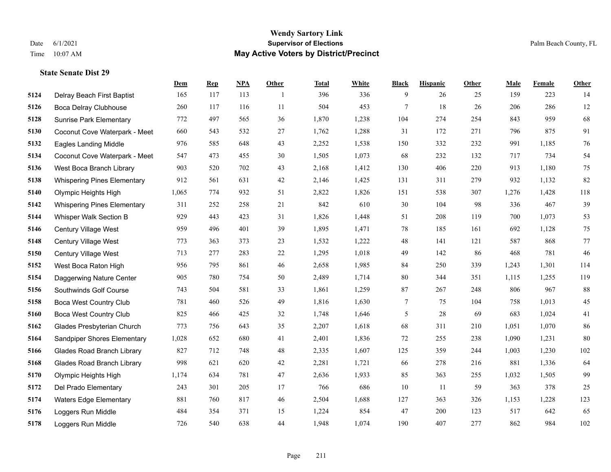**State Senate Dist 29**

#### **Wendy Sartory Link** Date 6/1/2021 **Supervisor of Elections** Palm Beach County, FL Time 10:07 AM **May Active Voters by District/Precinct**

# **Dem Rep NPA Other Total White Black Hispanic Other Male Female Other** Delray Beach First Baptist 165 117 113 1 396 336 9 26 25 159 223 14 Boca Delray Clubhouse 260 117 116 11 504 453 7 18 26 206 286 12 Sunrise Park Elementary 772 497 565 36 1,870 1,238 104 274 254 843 959 68 Coconut Cove Waterpark - Meet 660 543 532 27 1,762 1,288 31 172 271 796 875 91 Eagles Landing Middle 976 585 648 43 2,252 1,538 150 332 232 991 1,185 76 Coconut Cove Waterpark - Meeting Room B 547 473 455 30 1,505 1,073 68 232 132 717 734 54 West Boca Branch Library 903 520 702 43 2,168 1,412 130 406 220 913 1,180 75 Whispering Pines Elementary 912 561 631 42 2,146 1,425 131 311 279 932 1,132 82 Olympic Heights High 1,065 774 932 51 2,822 1,826 151 538 307 1,276 1,428 118 Whispering Pines Elementary 311 252 258 21 842 610 30 104 98 336 467 39 Whisper Walk Section B 929 443 423 31 1,826 1,448 51 208 119 700 1,073 53 Century Village West 959 496 401 39 1,895 1,471 78 185 161 692 1,128 75 Century Village West 773 363 373 23 1,532 1,222 48 141 121 587 868 77 Century Village West 713 277 283 22 1,295 1,018 49 142 86 468 781 46 West Boca Raton High 956 795 861 46 2,658 1,985 84 250 339 1,243 1,301 114 Daggerwing Nature Center 905 780 754 50 2,489 1,714 80 344 351 1,115 1,255 119 Southwinds Golf Course 743 504 581 33 1,861 1,259 87 267 248 806 967 88 Boca West Country Club 781 460 526 49 1,816 1,630 7 75 104 758 1,013 45 Boca West Country Club 825 466 425 32 1,748 1,646 5 28 69 683 1,024 41 Glades Presbyterian Church 773 756 643 35 2,207 1,618 68 311 210 1,051 1,070 86 Sandpiper Shores Elementary 1,028 652 680 41 2,401 1,836 72 255 238 1,090 1,231 80 Glades Road Branch Library 827 712 748 48 2,335 1,607 125 359 244 1,003 1,230 102 Glades Road Branch Library 998 621 620 42 2,281 1,721 66 278 216 881 1,336 64 Olympic Heights High 1,174 634 781 47 2,636 1,933 85 363 255 1,032 1,505 99 Del Prado Elementary 243 301 205 17 766 686 10 11 59 363 378 25 Waters Edge Elementary 881 760 817 46 2,504 1,688 127 363 326 1,153 1,228 123 Loggers Run Middle 484 354 371 15 1,224 854 47 200 123 517 642 65 Loggers Run Middle 726 540 638 44 1,948 1,074 190 407 277 862 984 102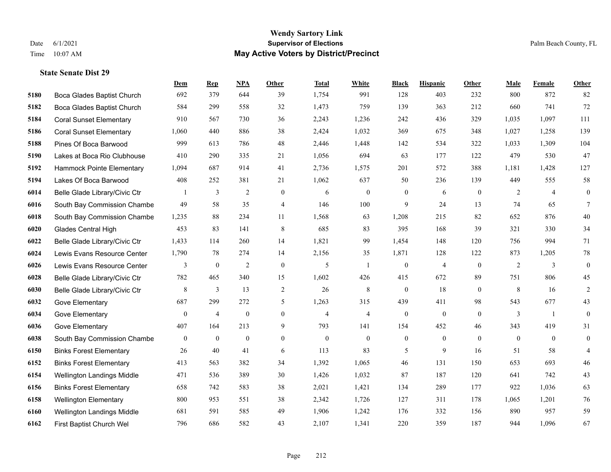|      |                                | <b>Dem</b>       | <b>Rep</b>     | NPA              | <b>Other</b>     | <b>Total</b>   | <b>White</b>   | <b>Black</b>     | <b>Hispanic</b>  | Other        | <b>Male</b>    | Female         | <b>Other</b>     |
|------|--------------------------------|------------------|----------------|------------------|------------------|----------------|----------------|------------------|------------------|--------------|----------------|----------------|------------------|
| 5180 | Boca Glades Baptist Church     | 692              | 379            | 644              | 39               | 1,754          | 991            | 128              | 403              | 232          | 800            | 872            | 82               |
| 5182 | Boca Glades Baptist Church     | 584              | 299            | 558              | 32               | 1,473          | 759            | 139              | 363              | 212          | 660            | 741            | 72               |
| 5184 | <b>Coral Sunset Elementary</b> | 910              | 567            | 730              | 36               | 2,243          | 1,236          | 242              | 436              | 329          | 1,035          | 1,097          | 111              |
| 5186 | <b>Coral Sunset Elementary</b> | 1,060            | 440            | 886              | 38               | 2,424          | 1,032          | 369              | 675              | 348          | 1,027          | 1,258          | 139              |
| 5188 | Pines Of Boca Barwood          | 999              | 613            | 786              | 48               | 2,446          | 1,448          | 142              | 534              | 322          | 1,033          | 1,309          | 104              |
| 5190 | Lakes at Boca Rio Clubhouse    | 410              | 290            | 335              | 21               | 1,056          | 694            | 63               | 177              | 122          | 479            | 530            | 47               |
| 5192 | Hammock Pointe Elementary      | 1,094            | 687            | 914              | 41               | 2,736          | 1,575          | 201              | 572              | 388          | 1,181          | 1,428          | 127              |
| 5194 | Lakes Of Boca Barwood          | 408              | 252            | 381              | 21               | 1,062          | 637            | 50               | 236              | 139          | 449            | 555            | 58               |
| 6014 | Belle Glade Library/Civic Ctr  |                  | $\mathfrak{Z}$ | $\overline{2}$   | $\overline{0}$   | 6              | $\mathbf{0}$   | $\boldsymbol{0}$ | 6                | $\theta$     | $\overline{2}$ | $\overline{4}$ | $\boldsymbol{0}$ |
| 6016 | South Bay Commission Chambe    | 49               | 58             | 35               | 4                | 146            | 100            | 9                | 24               | 13           | 74             | 65             | 7                |
| 6018 | South Bay Commission Chambe    | 1,235            | 88             | 234              | 11               | 1,568          | 63             | 1,208            | 215              | 82           | 652            | 876            | 40               |
| 6020 | <b>Glades Central High</b>     | 453              | 83             | 141              | 8                | 685            | 83             | 395              | 168              | 39           | 321            | 330            | 34               |
| 6022 | Belle Glade Library/Civic Ctr  | 1,433            | 114            | 260              | 14               | 1,821          | 99             | 1,454            | 148              | 120          | 756            | 994            | 71               |
| 6024 | Lewis Evans Resource Center    | 1,790            | 78             | 274              | 14               | 2,156          | 35             | 1,871            | 128              | 122          | 873            | 1,205          | $78\,$           |
| 6026 | Lewis Evans Resource Center    | 3                | $\mathbf{0}$   | 2                | $\mathbf{0}$     | 5              | -1             | $\boldsymbol{0}$ | $\overline{4}$   | $\theta$     | 2              | 3              | $\boldsymbol{0}$ |
| 6028 | Belle Glade Library/Civic Ctr  | 782              | 465            | 340              | 15               | 1,602          | 426            | 415              | 672              | 89           | 751            | 806            | 45               |
| 6030 | Belle Glade Library/Civic Ctr  | 8                | 3              | 13               | $\overline{c}$   | 26             | 8              | $\mathbf{0}$     | 18               | $\theta$     | 8              | 16             | $\overline{c}$   |
| 6032 | Gove Elementary                | 687              | 299            | 272              | 5                | 1,263          | 315            | 439              | 411              | 98           | 543            | 677            | 43               |
| 6034 | Gove Elementary                | $\boldsymbol{0}$ | $\overline{4}$ | $\boldsymbol{0}$ | $\boldsymbol{0}$ | $\overline{4}$ | $\overline{4}$ | $\boldsymbol{0}$ | $\boldsymbol{0}$ | $\mathbf{0}$ | 3              | -1             | $\mathbf{0}$     |
| 6036 | Gove Elementary                | 407              | 164            | 213              | 9                | 793            | 141            | 154              | 452              | 46           | 343            | 419            | 31               |
| 6038 | South Bay Commission Chambe    | $\overline{0}$   | $\theta$       | $\mathbf{0}$     | $\overline{0}$   | $\theta$       | $\mathbf{0}$   | $\mathbf{0}$     | $\theta$         | $\theta$     | $\theta$       | $\theta$       | $\mathbf{0}$     |
| 6150 | <b>Binks Forest Elementary</b> | 26               | 40             | 41               | 6                | 113            | 83             | 5                | 9                | 16           | 51             | 58             | 4                |
| 6152 | <b>Binks Forest Elementary</b> | 413              | 563            | 382              | 34               | 1,392          | 1,065          | 46               | 131              | 150          | 653            | 693            | $46\,$           |
| 6154 | Wellington Landings Middle     | 471              | 536            | 389              | 30               | 1,426          | 1,032          | 87               | 187              | 120          | 641            | 742            | 43               |
| 6156 | <b>Binks Forest Elementary</b> | 658              | 742            | 583              | 38               | 2,021          | 1,421          | 134              | 289              | 177          | 922            | 1,036          | 63               |
| 6158 | <b>Wellington Elementary</b>   | 800              | 953            | 551              | 38               | 2,342          | 1,726          | 127              | 311              | 178          | 1,065          | 1,201          | 76               |
| 6160 | Wellington Landings Middle     | 681              | 591            | 585              | 49               | 1,906          | 1,242          | 176              | 332              | 156          | 890            | 957            | 59               |
| 6162 | First Baptist Church Wel       | 796              | 686            | 582              | 43               | 2,107          | 1,341          | 220              | 359              | 187          | 944            | 1,096          | 67               |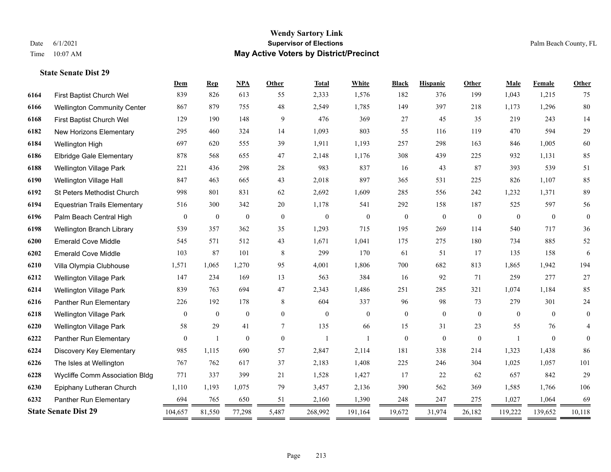|      |                                     | Dem          | <b>Rep</b>       | NPA              | <b>Other</b>   | <b>Total</b>        | White            | <b>Black</b>     | <b>Hispanic</b>  | Other          | Male           | Female           | <b>Other</b>   |
|------|-------------------------------------|--------------|------------------|------------------|----------------|---------------------|------------------|------------------|------------------|----------------|----------------|------------------|----------------|
| 6164 | First Baptist Church Wel            | 839          | 826              | 613              | 55             | 2,333               | 1,576            | 182              | 376              | 199            | 1,043          | 1,215            | 75             |
| 6166 | <b>Wellington Community Center</b>  | 867          | 879              | 755              | 48             | 2,549               | 1,785            | 149              | 397              | 218            | 1,173          | 1,296            | 80             |
| 6168 | First Baptist Church Wel            | 129          | 190              | 148              | 9              | 476                 | 369              | 27               | 45               | 35             | 219            | 243              | 14             |
| 6182 | New Horizons Elementary             | 295          | 460              | 324              | 14             | 1,093               | 803              | 55               | 116              | 119            | 470            | 594              | 29             |
| 6184 | Wellington High                     | 697          | 620              | 555              | 39             | 1,911               | 1,193            | 257              | 298              | 163            | 846            | 1,005            | 60             |
| 6186 | <b>Elbridge Gale Elementary</b>     | 878          | 568              | 655              | 47             | 2,148               | 1,176            | 308              | 439              | 225            | 932            | 1,131            | 85             |
| 6188 | <b>Wellington Village Park</b>      | 221          | 436              | 298              | 28             | 983                 | 837              | 16               | 43               | 87             | 393            | 539              | 51             |
| 6190 | Wellington Village Hall             | 847          | 463              | 665              | 43             | 2,018               | 897              | 365              | 531              | 225            | 826            | 1,107            | 85             |
| 6192 | St Peters Methodist Church          | 998          | 801              | 831              | 62             | 2,692               | 1,609            | 285              | 556              | 242            | 1,232          | 1,371            | 89             |
| 6194 | <b>Equestrian Trails Elementary</b> | 516          | 300              | 342              | 20             | 1,178               | 541              | 292              | 158              | 187            | 525            | 597              | 56             |
| 6196 | Palm Beach Central High             | $\mathbf{0}$ | $\boldsymbol{0}$ | $\boldsymbol{0}$ | $\mathbf{0}$   | $\boldsymbol{0}$    | $\boldsymbol{0}$ | $\boldsymbol{0}$ | $\boldsymbol{0}$ | $\mathbf{0}$   | $\mathbf{0}$   | $\boldsymbol{0}$ | $\overline{0}$ |
| 6198 | Wellington Branch Library           | 539          | 357              | 362              | 35             | 1,293               | 715              | 195              | 269              | 114            | 540            | 717              | 36             |
| 6200 | <b>Emerald Cove Middle</b>          | 545          | 571              | 512              | 43             | 1,671               | 1,041            | 175              | 275              | 180            | 734            | 885              | 52             |
| 6202 | <b>Emerald Cove Middle</b>          | 103          | 87               | 101              | 8              | 299                 | 170              | 61               | 51               | 17             | 135            | 158              | 6              |
| 6210 | Villa Olympia Clubhouse             | 1,571        | 1,065            | 1,270            | 95             | 4,001               | 1,806            | 700              | 682              | 813            | 1,865          | 1,942            | 194            |
| 6212 | Wellington Village Park             | 147          | 234              | 169              | 13             | 563                 | 384              | 16               | 92               | 71             | 259            | 277              | 27             |
| 6214 | Wellington Village Park             | 839          | 763              | 694              | 47             | 2,343               | 1,486            | 251              | 285              | 321            | 1,074          | 1,184            | 85             |
| 6216 | Panther Run Elementary              | 226          | 192              | 178              | 8              | 604                 | 337              | 96               | 98               | 73             | 279            | 301              | 24             |
| 6218 | <b>Wellington Village Park</b>      | $\mathbf{0}$ | $\overline{0}$   | $\mathbf{0}$     | $\overline{0}$ | $\mathbf{0}$        | $\mathbf{0}$     | $\mathbf{0}$     | $\mathbf{0}$     | $\overline{0}$ | $\overline{0}$ | $\theta$         | $\overline{0}$ |
| 6220 | Wellington Village Park             | 58           | 29               | 41               | 7              | 135                 | 66               | 15               | 31               | 23             | 55             | 76               | $\overline{4}$ |
| 6222 | Panther Run Elementary              | $\mathbf{0}$ | $\mathbf{1}$     | $\mathbf{0}$     | $\mathbf{0}$   | $\mathbf{1}$        | $\mathbf{1}$     | $\boldsymbol{0}$ | $\mathbf{0}$     | $\overline{0}$ |                | $\mathbf{0}$     | $\theta$       |
| 6224 | Discovery Key Elementary            | 985          | 1,115            | 690              | 57             | 2,847               | 2,114            | 181              | 338              | 214            | 1,323          | 1,438            | 86             |
| 6226 | The Isles at Wellington             | 767          | 762              | 617              | 37             | 2,183               | 1,408            | 225              | 246              | 304            | 1,025          | 1,057            | 101            |
| 6228 | Wycliffe Comm Association Bldg      | 771          | 337              | 399              | 21             | 1,528               | 1,427            | 17               | 22               | 62             | 657            | 842              | 29             |
| 6230 | Epiphany Lutheran Church            | 1,110        | 1,193            | 1,075            | 79             | 3,457               | 2,136            | 390              | 562              | 369            | 1,585          | 1,766            | 106            |
| 6232 | Panther Run Elementary              | 694          | 765              | 650              | 51             | 2,160               | 1,390            | 248              | 247              | 275            | 1,027          | 1,064            | 69             |
|      | <b>State Senate Dist 29</b>         | 104,657      | 81,550           | 77,298           | 5,487<br>=     | 268,992<br>$\equiv$ | 191,164          | 19,672           | 31,974           | 26,182         | 119,222        | 139,652          | 10,118         |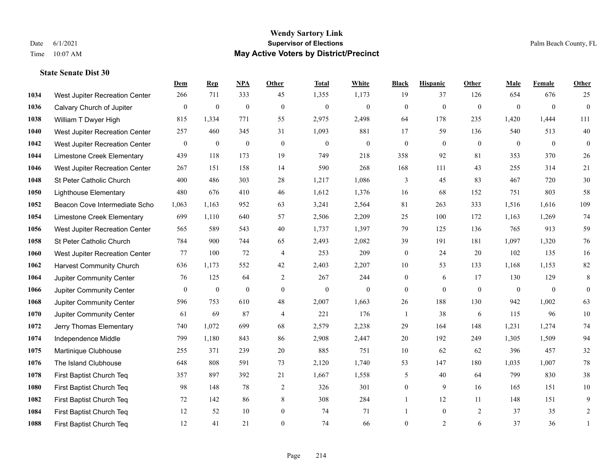|      |                                 | Dem              | <b>Rep</b>       | NPA              | <b>Other</b>   | <b>Total</b>     | <b>White</b>     | <b>Black</b>     | <b>Hispanic</b>  | Other        | <b>Male</b>      | Female         | <b>Other</b>     |
|------|---------------------------------|------------------|------------------|------------------|----------------|------------------|------------------|------------------|------------------|--------------|------------------|----------------|------------------|
| 1034 | West Jupiter Recreation Center  | 266              | 711              | 333              | 45             | 1,355            | 1,173            | 19               | 37               | 126          | 654              | 676            | 25               |
| 1036 | Calvary Church of Jupiter       | $\boldsymbol{0}$ | $\boldsymbol{0}$ | $\boldsymbol{0}$ | $\mathbf{0}$   | $\boldsymbol{0}$ | $\boldsymbol{0}$ | $\boldsymbol{0}$ | $\boldsymbol{0}$ | $\mathbf{0}$ | $\boldsymbol{0}$ | $\mathbf{0}$   | $\boldsymbol{0}$ |
| 1038 | William T Dwyer High            | 815              | 1,334            | 771              | 55             | 2,975            | 2,498            | 64               | 178              | 235          | 1,420            | 1,444          | 111              |
| 1040 | West Jupiter Recreation Center  | 257              | 460              | 345              | 31             | 1,093            | 881              | 17               | 59               | 136          | 540              | 513            | 40               |
| 1042 | West Jupiter Recreation Center  | $\overline{0}$   | $\boldsymbol{0}$ | $\boldsymbol{0}$ | $\mathbf{0}$   | $\mathbf{0}$     | $\overline{0}$   | $\boldsymbol{0}$ | $\overline{0}$   | $\theta$     | $\mathbf{0}$     | $\overline{0}$ | $\boldsymbol{0}$ |
| 1044 | Limestone Creek Elementary      | 439              | 118              | 173              | 19             | 749              | 218              | 358              | 92               | 81           | 353              | 370            | $26\,$           |
| 1046 | West Jupiter Recreation Center  | 267              | 151              | 158              | 14             | 590              | 268              | 168              | 111              | 43           | 255              | 314            | 21               |
| 1048 | St Peter Catholic Church        | 400              | 486              | 303              | 28             | 1,217            | 1,086            | 3                | 45               | 83           | 467              | 720            | $30\,$           |
| 1050 | <b>Lighthouse Elementary</b>    | 480              | 676              | 410              | 46             | 1,612            | 1,376            | 16               | 68               | 152          | 751              | 803            | 58               |
| 1052 | Beacon Cove Intermediate Scho   | 1,063            | 1,163            | 952              | 63             | 3,241            | 2,564            | 81               | 263              | 333          | 1,516            | 1,616          | 109              |
| 1054 | Limestone Creek Elementary      | 699              | 1,110            | 640              | 57             | 2,506            | 2,209            | 25               | 100              | 172          | 1,163            | 1,269          | 74               |
| 1056 | West Jupiter Recreation Center  | 565              | 589              | 543              | 40             | 1,737            | 1,397            | 79               | 125              | 136          | 765              | 913            | 59               |
| 1058 | St Peter Catholic Church        | 784              | 900              | 744              | 65             | 2,493            | 2,082            | 39               | 191              | 181          | 1,097            | 1,320          | 76               |
| 1060 | West Jupiter Recreation Center  | 77               | 100              | 72               | $\overline{4}$ | 253              | 209              | $\boldsymbol{0}$ | 24               | 20           | 102              | 135            | 16               |
| 1062 | <b>Harvest Community Church</b> | 636              | 1,173            | 552              | 42             | 2,403            | 2,207            | 10               | 53               | 133          | 1,168            | 1,153          | $82\,$           |
| 1064 | Jupiter Community Center        | 76               | 125              | 64               | 2              | 267              | 244              | $\boldsymbol{0}$ | 6                | 17           | 130              | 129            | 8                |
| 1066 | Jupiter Community Center        | $\mathbf{0}$     | $\boldsymbol{0}$ | $\mathbf{0}$     | $\mathbf{0}$   | $\boldsymbol{0}$ | $\boldsymbol{0}$ | $\boldsymbol{0}$ | $\mathbf{0}$     | $\mathbf{0}$ | $\mathbf{0}$     | $\overline{0}$ | $\boldsymbol{0}$ |
| 1068 | Jupiter Community Center        | 596              | 753              | 610              | 48             | 2,007            | 1,663            | 26               | 188              | 130          | 942              | 1,002          | 63               |
| 1070 | Jupiter Community Center        | 61               | 69               | 87               | $\overline{4}$ | 221              | 176              | $\mathbf{1}$     | 38               | 6            | 115              | 96             | $10\,$           |
| 1072 | Jerry Thomas Elementary         | 740              | 1,072            | 699              | 68             | 2,579            | 2,238            | 29               | 164              | 148          | 1,231            | 1,274          | 74               |
| 1074 | Independence Middle             | 799              | 1,180            | 843              | 86             | 2,908            | 2,447            | 20               | 192              | 249          | 1,305            | 1,509          | 94               |
| 1075 | Martinique Clubhouse            | 255              | 371              | 239              | 20             | 885              | 751              | 10               | 62               | 62           | 396              | 457            | $32\,$           |
| 1076 | The Island Clubhouse            | 648              | 808              | 591              | 73             | 2,120            | 1,740            | 53               | 147              | 180          | 1,035            | 1,007          | $78\,$           |
| 1078 | First Baptist Church Teq        | 357              | 897              | 392              | 21             | 1,667            | 1,558            | 5                | 40               | 64           | 799              | 830            | $38\,$           |
| 1080 | First Baptist Church Teq        | 98               | 148              | 78               | 2              | 326              | 301              | $\boldsymbol{0}$ | 9                | 16           | 165              | 151            | $10\,$           |
| 1082 | First Baptist Church Teq        | 72               | 142              | 86               | $\,8\,$        | 308              | 284              | $\mathbf{1}$     | 12               | 11           | 148              | 151            | 9                |
| 1084 | First Baptist Church Teq        | 12               | 52               | 10               | $\mathbf{0}$   | 74               | 71               | $\mathbf{1}$     | $\mathbf{0}$     | 2            | 37               | 35             | $\overline{c}$   |
| 1088 | First Baptist Church Teq        | 12               | 41               | 21               | $\theta$       | 74               | 66               | $\mathbf{0}$     | $\overline{2}$   | 6            | 37               | 36             | $\mathbf{1}$     |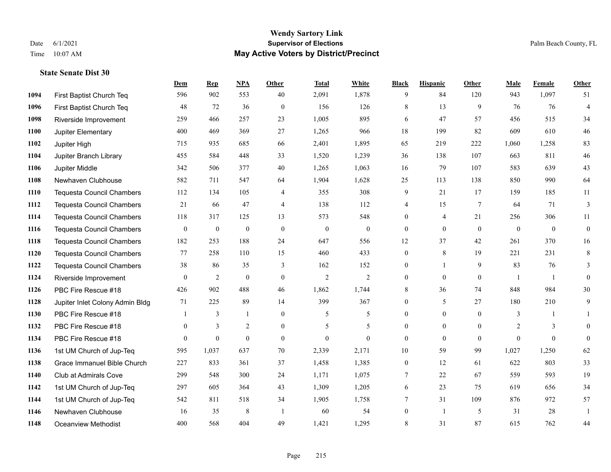|      |                                  | Dem            | <b>Rep</b>       | NPA              | <b>Other</b>   | <b>Total</b>   | White            | <b>Black</b>     | <b>Hispanic</b> | <b>Other</b>    | <b>Male</b>  | Female       | Other            |
|------|----------------------------------|----------------|------------------|------------------|----------------|----------------|------------------|------------------|-----------------|-----------------|--------------|--------------|------------------|
| 1094 | First Baptist Church Teq         | 596            | 902              | 553              | 40             | 2,091          | 1,878            | 9                | 84              | 120             | 943          | 1,097        | 51               |
| 1096 | First Baptist Church Teq         | 48             | 72               | 36               | $\mathbf{0}$   | 156            | 126              | 8                | 13              | 9               | 76           | 76           | $\overline{4}$   |
| 1098 | Riverside Improvement            | 259            | 466              | 257              | 23             | 1,005          | 895              | 6                | 47              | 57              | 456          | 515          | 34               |
| 1100 | Jupiter Elementary               | 400            | 469              | 369              | 27             | 1,265          | 966              | 18               | 199             | 82              | 609          | 610          | $46\,$           |
| 1102 | Jupiter High                     | 715            | 935              | 685              | 66             | 2,401          | 1,895            | 65               | 219             | 222             | 1,060        | 1,258        | 83               |
| 1104 | Jupiter Branch Library           | 455            | 584              | 448              | 33             | 1,520          | 1,239            | 36               | 138             | 107             | 663          | 811          | $46\,$           |
| 1106 | Jupiter Middle                   | 342            | 506              | 377              | 40             | 1,265          | 1,063            | 16               | 79              | 107             | 583          | 639          | 43               |
| 1108 | Newhaven Clubhouse               | 582            | 711              | 547              | 64             | 1,904          | 1,628            | 25               | 113             | 138             | 850          | 990          | 64               |
| 1110 | Tequesta Council Chambers        | 112            | 134              | 105              | 4              | 355            | 308              | 9                | 21              | 17              | 159          | 185          | 11               |
| 1112 | <b>Tequesta Council Chambers</b> | 21             | 66               | 47               | $\overline{4}$ | 138            | 112              | 4                | 15              | $7\phantom{.0}$ | 64           | 71           | 3                |
| 1114 | Tequesta Council Chambers        | 118            | 317              | 125              | 13             | 573            | 548              | $\boldsymbol{0}$ | 4               | 21              | 256          | 306          | 11               |
| 1116 | <b>Tequesta Council Chambers</b> | $\mathbf{0}$   | $\boldsymbol{0}$ | $\mathbf{0}$     | $\mathbf{0}$   | $\mathbf{0}$   | $\boldsymbol{0}$ | $\boldsymbol{0}$ | $\mathbf{0}$    | $\theta$        | $\mathbf{0}$ | $\mathbf{0}$ | $\boldsymbol{0}$ |
| 1118 | <b>Tequesta Council Chambers</b> | 182            | 253              | 188              | 24             | 647            | 556              | 12               | 37              | 42              | 261          | 370          | 16               |
| 1120 | <b>Tequesta Council Chambers</b> | 77             | 258              | 110              | 15             | 460            | 433              | $\boldsymbol{0}$ | 8               | 19              | 221          | 231          | 8                |
| 1122 | <b>Tequesta Council Chambers</b> | 38             | 86               | 35               | 3              | 162            | 152              | $\mathbf{0}$     | $\mathbf{1}$    | 9               | 83           | 76           | 3                |
| 1124 | Riverside Improvement            | $\overline{0}$ | 2                | $\boldsymbol{0}$ | $\mathbf{0}$   | $\overline{2}$ | $\overline{c}$   | $\mathbf{0}$     | $\mathbf{0}$    | $\overline{0}$  | -1           | -1           | $\mathbf{0}$     |
| 1126 | PBC Fire Rescue #18              | 426            | 902              | 488              | 46             | 1,862          | 1,744            | 8                | 36              | 74              | 848          | 984          | 30               |
| 1128 | Jupiter Inlet Colony Admin Bldg  | 71             | 225              | 89               | 14             | 399            | 367              | $\mathbf{0}$     | 5               | 27              | 180          | 210          | 9                |
| 1130 | PBC Fire Rescue #18              |                | 3                | 1                | $\mathbf{0}$   | 5              | 5                | $\mathbf{0}$     | $\mathbf{0}$    | $\theta$        | 3            | -1           | 1                |
| 1132 | PBC Fire Rescue #18              | $\overline{0}$ | 3                | $\overline{c}$   | $\overline{0}$ | 5              | 5                | $\mathbf{0}$     | $\overline{0}$  | $\overline{0}$  | 2            | 3            | $\mathbf{0}$     |
| 1134 | PBC Fire Rescue #18              | $\theta$       | $\mathbf{0}$     | $\theta$         | $\theta$       | $\mathbf{0}$   | $\mathbf{0}$     | $\mathbf{0}$     | $\theta$        | $\theta$        | $\Omega$     | $\theta$     | $\mathbf{0}$     |
| 1136 | 1st UM Church of Jup-Teq         | 595            | 1,037            | 637              | 70             | 2,339          | 2,171            | 10               | 59              | 99              | 1,027        | 1,250        | 62               |
| 1138 | Grace Immanuel Bible Church      | 227            | 833              | 361              | 37             | 1,458          | 1,385            | $\boldsymbol{0}$ | 12              | 61              | 622          | 803          | 33               |
| 1140 | Club at Admirals Cove            | 299            | 548              | 300              | 24             | 1,171          | 1,075            | 7                | 22              | 67              | 559          | 593          | 19               |
| 1142 | 1st UM Church of Jup-Teq         | 297            | 605              | 364              | 43             | 1,309          | 1,205            | 6                | 23              | 75              | 619          | 656          | 34               |
| 1144 | 1st UM Church of Jup-Teq         | 542            | 811              | 518              | 34             | 1,905          | 1,758            | $\tau$           | 31              | 109             | 876          | 972          | 57               |
| 1146 | Newhaven Clubhouse               | 16             | 35               | 8                | -1             | 60             | 54               | $\mathbf{0}$     | $\mathbf{1}$    | 5               | 31           | 28           | 1                |
| 1148 | <b>Oceanview Methodist</b>       | 400            | 568              | 404              | 49             | 1,421          | 1,295            | 8                | 31              | 87              | 615          | 762          | 44               |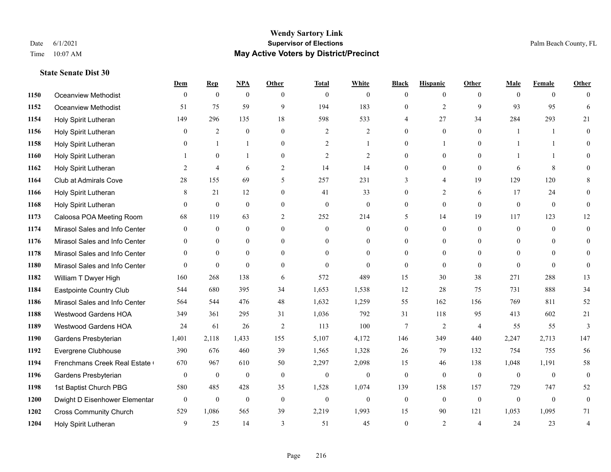**State Senate Dist 30**

#### **Wendy Sartory Link** Date 6/1/2021 **Supervisor of Elections** Palm Beach County, FL Time 10:07 AM **May Active Voters by District/Precinct**

# **Dem Rep NPA Other Total White Black Hispanic Other Male Female Other** Oceanview Methodist 0 0 0 0 0 0 0 0 0 0 0 0 Oceanview Methodist 51 75 59 9 194 183 0 2 9 93 95 6 Holy Spirit Lutheran 149 296 135 18 598 533 4 27 34 284 293 21 Holy Spirit Lutheran 0 2 0 0 2 2 0 0 0 1 1 0 Holy Spirit Lutheran 0 1 1 0 2 1 0 1 0 1 1 0 Holy Spirit Lutheran 1 0 1 0 2 2 0 0 0 1 1 0 Holy Spirit Lutheran **2** 4 6 2 14 14 0 0 0 6 8 0 Club at Admirals Cove 28 155 69 5 257 231 3 4 19 129 120 8 Holy Spirit Lutheran **8** 21 12 0 41 33 0 2 6 17 24 0 Holy Spirit Lutheran 0 0 0 0 0 0 0 0 0 0 0 0 Caloosa POA Meeting Room 68 119 63 2 252 214 5 14 19 117 123 12 Mirasol Sales and Info Center 0 0 0 0 0 0 0 0 0 0 0 0 Mirasol Sales and Info Center 0 0 0 0 0 0 0 0 0 0 0 0 Mirasol Sales and Info Center 0 0 0 0 0 0 0 0 0 0 0 0 Mirasol Sales and Info Center 0 0 0 0 0 0 0 0 0 0 0 0 William T Dwyer High 160 268 138 6 572 489 15 30 38 271 288 13 Eastpointe Country Club 544 680 395 34 1,653 1,538 12 28 75 731 888 34 Mirasol Sales and Info Center 564 544 476 48 1,632 1,259 55 162 156 769 811 52 Westwood Gardens HOA 349 361 295 31 1,036 792 31 118 95 413 602 21 Westwood Gardens HOA 24 61 26 2 113 100 7 2 4 55 55 3 Gardens Presbyterian 1,401 2,118 1,433 155 5,107 4,172 146 349 440 2,247 2,713 147 Evergrene Clubhouse 390 676 460 39 1,565 1,328 26 79 132 754 755 56 1194 Frenchmans Creek Real Estate 670 967 610 50 2,297 2,098 15 46 138 1,048 1,191 58 Gardens Presbyterian 0 0 0 0 0 0 0 0 0 0 0 0 1st Baptist Church PBG 580 485 428 35 1,528 1,074 139 158 157 729 747 52 Dwight D Eisenhower Elementary 0 0 0 0 0 0 0 0 0 0 0 0 Cross Community Church 529 1,086 565 39 2,219 1,993 15 90 121 1,053 1,095 71 Holy Spirit Lutheran 9 25 14 3 51 45 0 2 4 24 23 4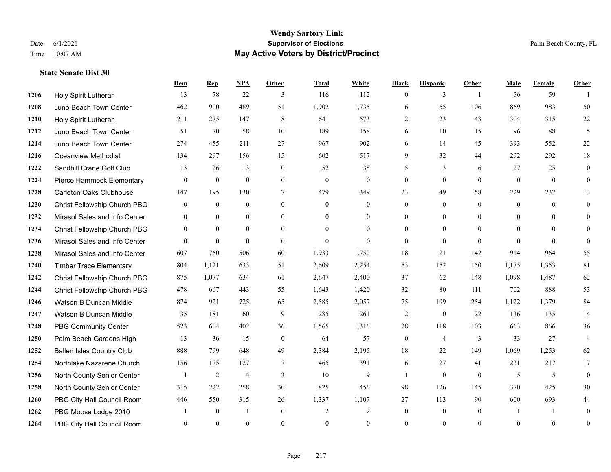#### **Wendy Sartory Link** Date 6/1/2021 **Supervisor of Elections** Palm Beach County, FL Time 10:07 AM **May Active Voters by District/Precinct**

## **Dem Rep NPA Other Total White Black Hispanic Other Male Female Other** Holy Spirit Lutheran 13 78 22 3 116 112 0 3 1 56 59 1 Juno Beach Town Center 462 900 489 51 1,902 1,735 6 55 106 869 983 50 Holy Spirit Lutheran 211 275 147 8 641 573 2 23 43 304 315 22 Juno Beach Town Center 51 70 58 10 189 158 6 10 15 96 88 5 Juno Beach Town Center 274 455 211 27 967 902 6 14 45 393 552 22 Oceanview Methodist 134 297 156 15 602 517 9 32 44 292 292 18 **1222 Sandhill Crane Golf Club** 13 26 13 0 52 38 5 3 6 27 25 0 Pierce Hammock Elementary 0 0 0 0 0 0 0 0 0 0 0 0 Carleton Oaks Clubhouse 147 195 130 7 479 349 23 49 58 229 237 13 Christ Fellowship Church PBG 0 0 0 0 0 0 0 0 0 0 0 0 Mirasol Sales and Info Center 0 0 0 0 0 0 0 0 0 0 0 0 Christ Fellowship Church PBG 0 0 0 0 0 0 0 0 0 0 0 0 Mirasol Sales and Info Center 0 0 0 0 0 0 0 0 0 0 0 0 Mirasol Sales and Info Center 607 760 506 60 1,933 1,752 18 21 142 914 964 55 Timber Trace Elementary 804 1,121 633 51 2,609 2,254 53 152 150 1,175 1,353 81 Christ Fellowship Church PBG 875 1,077 634 61 2,647 2,400 37 62 148 1,098 1,487 62 Christ Fellowship Church PBG 478 667 443 55 1,643 1,420 32 80 111 702 888 53 Watson B Duncan Middle 874 921 725 65 2,585 2,057 75 199 254 1,122 1,379 84 Watson B Duncan Middle 35 181 60 9 285 261 2 0 22 136 135 14 PBG Community Center 523 604 402 36 1,565 1,316 28 118 103 663 866 36 Palm Beach Gardens High 13 36 15 0 64 57 0 4 3 33 27 4 Ballen Isles Country Club 888 799 648 49 2,384 2,195 18 22 149 1,069 1,253 62 Northlake Nazarene Church 156 175 127 7 465 391 6 27 41 231 217 17 North County Senior Center 1 2 4 3 10 9 1 0 0 5 5 0 North County Senior Center 315 222 258 30 825 456 98 126 145 370 425 30 PBG City Hall Council Room 446 550 315 26 1,337 1,107 27 113 90 600 693 44 PBG Moose Lodge 2010 1 0 1 0 2 2 0 0 0 1 1 0 PBG City Hall Council Room 0 0 0 0 0 0 0 0 0 0 0 0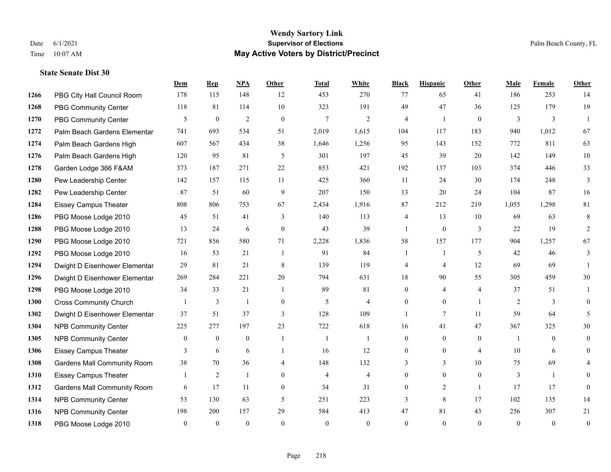#### **Wendy Sartory Link** Date 6/1/2021 **Supervisor of Elections** Palm Beach County, FL Time 10:07 AM **May Active Voters by District/Precinct**

PBG City Hall Council Room 178 115 148 12 453 270 77 65 41 186 253 14

**Dem Rep NPA Other Total White Black Hispanic Other Male Female Other**

## PBG Community Center 118 81 114 10 323 191 49 47 36 125 179 19 PBG Community Center 5 0 2 0 7 2 4 1 0 3 3 1 Palm Beach Gardens Elementary 741 693 534 51 2,019 1,615 104 117 183 940 1,012 67 Palm Beach Gardens High 607 567 434 38 1,646 1,256 95 143 152 772 811 63 Palm Beach Gardens High 120 95 81 5 301 197 45 39 20 142 149 10 Garden Lodge 366 F&AM 373 187 271 22 853 421 192 137 103 374 446 33 Pew Leadership Center 142 157 115 11 425 360 11 24 30 174 248 3 Pew Leadership Center 87 51 60 9 207 150 13 20 24 104 87 16 Eissey Campus Theater 808 806 753 67 2,434 1,916 87 212 219 1,055 1,298 81 PBG Moose Lodge 2010 45 51 41 3 140 113 4 13 10 69 63 8 PBG Moose Lodge 2010 13 24 6 0 43 39 1 0 3 22 19 2 PBG Moose Lodge 2010 721 856 580 71 2,228 1,836 58 157 177 904 1,257 67 PBG Moose Lodge 2010 16 53 21 1 91 84 1 1 5 42 46 3 Dwight D Eisenhower Elementar 29 81 21 8 139 119 4 4 12 69 69 1 Dwight D Eisenhower Elementar 269 284 221 20 794 631 18 90 55 305 459 30 PBG Moose Lodge 2010 34 33 21 1 89 81 0 4 4 37 51 1 Cross Community Church 1 3 1 0 5 4 0 0 1 2 3 0 Dwight D Eisenhower Elementar 37 51 37 3 128 109 1 7 11 59 64 5 NPB Community Center 225 277 197 23 722 618 16 41 47 367 325 30 NPB Community Center 0 0 0 1 1 1 0 0 0 1 0 0 Eissey Campus Theater **3** 6 6 1 16 12 0 0 4 10 6 0 Gardens Mall Community Room 38 70 36 4 148 132 3 3 10 75 69 4

 Eissey Campus Theater 1 2 1 0 4 4 0 0 0 3 1 0 **1312 Gardens Mall Community Room 6 17 11 0 34 31 0 2 1 17 17 0**  NPB Community Center 53 130 63 5 251 223 3 8 17 102 135 14 NPB Community Center 198 200 157 29 584 413 47 81 43 256 307 21 PBG Moose Lodge 2010 0 0 0 0 0 0 0 0 0 0 0 0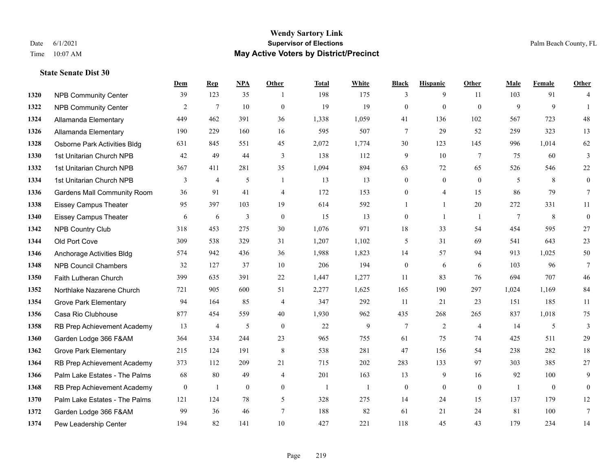#### **Wendy Sartory Link** Date 6/1/2021 **Supervisor of Elections** Palm Beach County, FL Time 10:07 AM **May Active Voters by District/Precinct**

## **Dem Rep NPA Other Total White Black Hispanic Other Male Female Other** NPB Community Center 39 123 35 1 198 175 3 9 11 103 91 4 NPB Community Center 2 7 10 0 19 19 0 0 0 9 9 1 Allamanda Elementary 449 462 391 36 1,338 1,059 41 136 102 567 723 48 Allamanda Elementary 190 229 160 16 595 507 7 29 52 259 323 13 Osborne Park Activities Bldg 631 845 551 45 2,072 1,774 30 123 145 996 1,014 62 1st Unitarian Church NPB 42 49 44 3 138 112 9 10 7 75 60 3 1st Unitarian Church NPB 367 411 281 35 1,094 894 63 72 65 526 546 22 1334 1st Unitarian Church NPB 3 4 5 1 13 13 0 0 0 5 8 0 Gardens Mall Community Room 36 91 41 4 172 153 0 4 15 86 79 7 Eissey Campus Theater **95** 95 997 103 19 614 592 1 1 20 272 331 11 Eissey Campus Theater 6 6 6 3 0 15 13 0 1 1 7 8 0 NPB Country Club 318 453 275 30 1,076 971 18 33 54 454 595 27 Old Port Cove 309 538 329 31 1,207 1,102 5 31 69 541 643 23 Anchorage Activities Bldg 574 942 436 36 1,988 1,823 14 57 94 913 1,025 50 NPB Council Chambers 32 127 37 10 206 194 0 6 6 103 96 7 Faith Lutheran Church 399 635 391 22 1,447 1,277 11 83 76 694 707 46 Northlake Nazarene Church 721 905 600 51 2,277 1,625 165 190 297 1,024 1,169 84 Grove Park Elementary 94 164 85 4 347 292 11 21 23 151 185 11 Casa Rio Clubhouse 877 454 559 40 1,930 962 435 268 265 837 1,018 75 RB Prep Achievement Academy 13 4 5 0 22 9 7 2 4 14 5 3 Garden Lodge 366 F&AM 364 334 244 23 965 755 61 75 74 425 511 29 Grove Park Elementary 215 124 191 8 538 281 47 156 54 238 282 18 RB Prep Achievement Academy 373 112 209 21 715 202 283 133 97 303 385 27 Palm Lake Estates - The Palms 68 80 49 4 201 163 13 9 16 92 100 9 1368 RB Prep Achievement Academy 0 1 0 0 1 1 1 0 0 0 0 0 1 0 0 Palm Lake Estates - The Palms 121 124 78 5 328 275 14 24 15 137 179 12 Garden Lodge 366 F&AM 99 36 46 7 188 82 61 21 24 81 100 7 Pew Leadership Center 194 82 141 10 427 221 118 45 43 179 234 14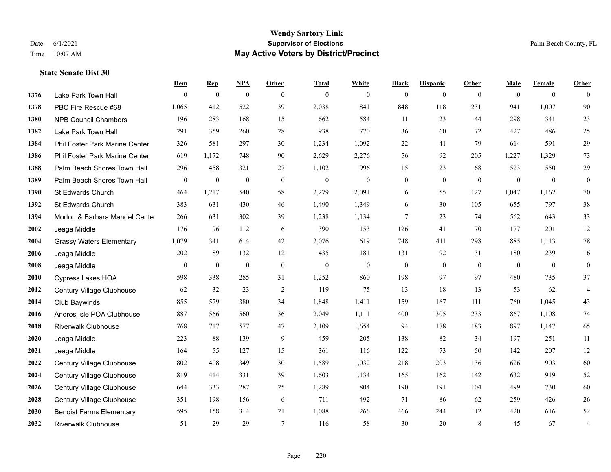|      |                                 | Dem            | <b>Rep</b>       | NPA              | <b>Other</b> | <b>Total</b>     | <b>White</b>     | <b>Black</b>     | <b>Hispanic</b> | <b>Other</b>   | <b>Male</b>  | <b>Female</b>  | <b>Other</b>     |
|------|---------------------------------|----------------|------------------|------------------|--------------|------------------|------------------|------------------|-----------------|----------------|--------------|----------------|------------------|
| 1376 | Lake Park Town Hall             | $\mathbf{0}$   | $\boldsymbol{0}$ | $\boldsymbol{0}$ | $\mathbf{0}$ | $\theta$         | $\overline{0}$   | $\mathbf{0}$     | $\mathbf{0}$    | $\overline{0}$ | $\mathbf{0}$ | $\mathbf{0}$   | $\theta$         |
| 1378 | PBC Fire Rescue #68             | 1,065          | 412              | 522              | 39           | 2,038            | 841              | 848              | 118             | 231            | 941          | 1,007          | 90               |
| 1380 | <b>NPB Council Chambers</b>     | 196            | 283              | 168              | 15           | 662              | 584              | 11               | 23              | 44             | 298          | 341            | 23               |
| 1382 | Lake Park Town Hall             | 291            | 359              | 260              | 28           | 938              | 770              | 36               | 60              | 72             | 427          | 486            | 25               |
| 1384 | Phil Foster Park Marine Center  | 326            | 581              | 297              | 30           | 1,234            | 1,092            | 22               | 41              | 79             | 614          | 591            | 29               |
| 1386 | Phil Foster Park Marine Center  | 619            | 1,172            | 748              | 90           | 2,629            | 2,276            | 56               | 92              | 205            | 1,227        | 1,329          | 73               |
| 1388 | Palm Beach Shores Town Hall     | 296            | 458              | 321              | 27           | 1,102            | 996              | 15               | 23              | 68             | 523          | 550            | 29               |
| 1389 | Palm Beach Shores Town Hall     | $\overline{0}$ | $\boldsymbol{0}$ | $\boldsymbol{0}$ | $\mathbf{0}$ | $\theta$         | $\mathbf{0}$     | $\boldsymbol{0}$ | $\mathbf{0}$    | $\theta$       | $\mathbf{0}$ | $\mathbf{0}$   | $\boldsymbol{0}$ |
| 1390 | St Edwards Church               | 464            | 1,217            | 540              | 58           | 2,279            | 2,091            | 6                | 55              | 127            | 1,047        | 1,162          | 70               |
| 1392 | St Edwards Church               | 383            | 631              | 430              | 46           | 1,490            | 1,349            | 6                | 30              | 105            | 655          | 797            | $38\,$           |
| 1394 | Morton & Barbara Mandel Cente   | 266            | 631              | 302              | 39           | 1,238            | 1,134            | $\tau$           | 23              | 74             | 562          | 643            | 33               |
| 2002 | Jeaga Middle                    | 176            | 96               | 112              | 6            | 390              | 153              | 126              | 41              | 70             | 177          | 201            | 12               |
| 2004 | <b>Grassy Waters Elementary</b> | 1,079          | 341              | 614              | 42           | 2,076            | 619              | 748              | 411             | 298            | 885          | 1,113          | $78\,$           |
| 2006 | Jeaga Middle                    | 202            | 89               | 132              | 12           | 435              | 181              | 131              | 92              | 31             | 180          | 239            | 16               |
| 2008 | Jeaga Middle                    | $\overline{0}$ | $\boldsymbol{0}$ | $\boldsymbol{0}$ | $\mathbf{0}$ | $\boldsymbol{0}$ | $\boldsymbol{0}$ | $\boldsymbol{0}$ | $\mathbf{0}$    | $\overline{0}$ | $\mathbf{0}$ | $\overline{0}$ | $\boldsymbol{0}$ |
| 2010 | Cypress Lakes HOA               | 598            | 338              | 285              | 31           | 1,252            | 860              | 198              | 97              | 97             | 480          | 735            | 37               |
| 2012 | Century Village Clubhouse       | 62             | 32               | 23               | 2            | 119              | 75               | 13               | 18              | 13             | 53           | 62             | $\overline{4}$   |
| 2014 | Club Baywinds                   | 855            | 579              | 380              | 34           | 1,848            | 1,411            | 159              | 167             | 111            | 760          | 1,045          | 43               |
| 2016 | Andros Isle POA Clubhouse       | 887            | 566              | 560              | 36           | 2,049            | 1,111            | 400              | 305             | 233            | 867          | 1,108          | $74\,$           |
| 2018 | <b>Riverwalk Clubhouse</b>      | 768            | 717              | 577              | 47           | 2,109            | 1,654            | 94               | 178             | 183            | 897          | 1,147          | 65               |
| 2020 | Jeaga Middle                    | 223            | 88               | 139              | 9            | 459              | 205              | 138              | 82              | 34             | 197          | 251            | 11               |
| 2021 | Jeaga Middle                    | 164            | 55               | 127              | 15           | 361              | 116              | 122              | 73              | 50             | 142          | 207            | 12               |
| 2022 | Century Village Clubhouse       | 802            | 408              | 349              | 30           | 1,589            | 1,032            | 218              | 203             | 136            | 626          | 903            | 60               |
| 2024 | Century Village Clubhouse       | 819            | 414              | 331              | 39           | 1,603            | 1,134            | 165              | 162             | 142            | 632          | 919            | $52\,$           |
| 2026 | Century Village Clubhouse       | 644            | 333              | 287              | 25           | 1,289            | 804              | 190              | 191             | 104            | 499          | 730            | 60               |
| 2028 | Century Village Clubhouse       | 351            | 198              | 156              | 6            | 711              | 492              | 71               | 86              | 62             | 259          | 426            | $26\,$           |
| 2030 | <b>Benoist Farms Elementary</b> | 595            | 158              | 314              | 21           | 1,088            | 266              | 466              | 244             | 112            | 420          | 616            | $52\,$           |
| 2032 | <b>Riverwalk Clubhouse</b>      | 51             | 29               | 29               | $\tau$       | 116              | 58               | 30               | 20              | 8              | 45           | 67             | 4                |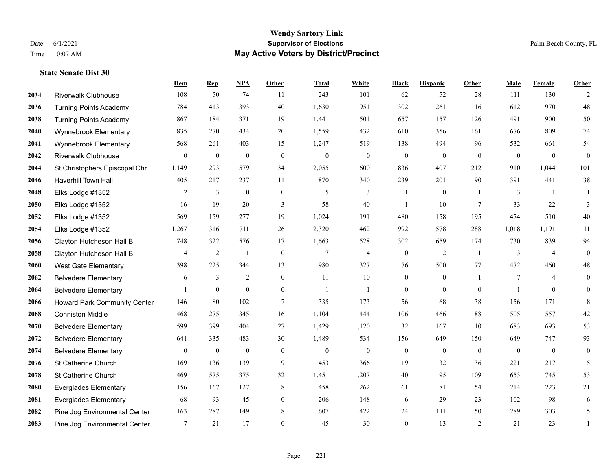|      |                                     | Dem            | <b>Rep</b>       | NPA              | <b>Other</b>     | <b>Total</b>     | <b>White</b>     | <b>Black</b>     | <b>Hispanic</b> | Other          | <b>Male</b>    | Female         | <b>Other</b>   |
|------|-------------------------------------|----------------|------------------|------------------|------------------|------------------|------------------|------------------|-----------------|----------------|----------------|----------------|----------------|
| 2034 | <b>Riverwalk Clubhouse</b>          | 108            | 50               | 74               | 11               | 243              | 101              | 62               | 52              | 28             | 111            | 130            | 2              |
| 2036 | <b>Turning Points Academy</b>       | 784            | 413              | 393              | 40               | 1,630            | 951              | 302              | 261             | 116            | 612            | 970            | 48             |
| 2038 | <b>Turning Points Academy</b>       | 867            | 184              | 371              | 19               | 1,441            | 501              | 657              | 157             | 126            | 491            | 900            | 50             |
| 2040 | Wynnebrook Elementary               | 835            | 270              | 434              | 20               | 1,559            | 432              | 610              | 356             | 161            | 676            | 809            | 74             |
| 2041 | Wynnebrook Elementary               | 568            | 261              | 403              | 15               | 1,247            | 519              | 138              | 494             | 96             | 532            | 661            | 54             |
| 2042 | <b>Riverwalk Clubhouse</b>          | $\overline{0}$ | $\mathbf{0}$     | $\boldsymbol{0}$ | $\mathbf{0}$     | $\boldsymbol{0}$ | $\boldsymbol{0}$ | $\overline{0}$   | $\mathbf{0}$    | $\mathbf{0}$   | $\mathbf{0}$   | $\mathbf{0}$   | $\mathbf{0}$   |
| 2044 | St Christophers Episcopal Chr       | 1,149          | 293              | 579              | 34               | 2,055            | 600              | 836              | 407             | 212            | 910            | 1,044          | 101            |
| 2046 | Haverhill Town Hall                 | 405            | 217              | 237              | 11               | 870              | 340              | 239              | 201             | 90             | 391            | 441            | 38             |
| 2048 | Elks Lodge #1352                    | $\overline{2}$ | $\mathfrak{Z}$   | $\mathbf{0}$     | $\mathbf{0}$     | 5                | 3                |                  | $\overline{0}$  | $\overline{1}$ | 3              | $\overline{1}$ |                |
| 2050 | Elks Lodge #1352                    | 16             | 19               | 20               | 3                | 58               | 40               | $\overline{1}$   | 10              | 7              | 33             | 22             | 3              |
| 2052 | Elks Lodge #1352                    | 569            | 159              | 277              | 19               | 1,024            | 191              | 480              | 158             | 195            | 474            | 510            | 40             |
| 2054 | Elks Lodge #1352                    | 1,267          | 316              | 711              | 26               | 2,320            | 462              | 992              | 578             | 288            | 1,018          | 1,191          | 111            |
| 2056 | Clayton Hutcheson Hall B            | 748            | 322              | 576              | 17               | 1,663            | 528              | 302              | 659             | 174            | 730            | 839            | 94             |
| 2058 | Clayton Hutcheson Hall B            | $\overline{4}$ | $\sqrt{2}$       | $\mathbf{1}$     | $\boldsymbol{0}$ | $\overline{7}$   | $\overline{4}$   | $\boldsymbol{0}$ | $\overline{2}$  | -1             | $\mathfrak{Z}$ | $\overline{4}$ | $\mathbf{0}$   |
| 2060 | West Gate Elementary                | 398            | 225              | 344              | 13               | 980              | 327              | 76               | 500             | 77             | 472            | 460            | 48             |
| 2062 | <b>Belvedere Elementary</b>         | 6              | 3                | $\overline{2}$   | $\overline{0}$   | 11               | 10               | $\overline{0}$   | $\overline{0}$  | $\mathbf{1}$   | $\tau$         | $\overline{4}$ | $\mathbf{0}$   |
| 2064 | <b>Belvedere Elementary</b>         |                | $\mathbf{0}$     | $\mathbf{0}$     | $\overline{0}$   | 1                | $\mathbf{1}$     | $\overline{0}$   | $\overline{0}$  | $\mathbf{0}$   | -1             | $\theta$       | $\overline{0}$ |
| 2066 | <b>Howard Park Community Center</b> | 146            | 80               | 102              | $\tau$           | 335              | 173              | 56               | 68              | 38             | 156            | 171            | 8              |
| 2068 | <b>Conniston Middle</b>             | 468            | 275              | 345              | 16               | 1,104            | 444              | 106              | 466             | 88             | 505            | 557            | $42\,$         |
| 2070 | <b>Belvedere Elementary</b>         | 599            | 399              | 404              | 27               | 1,429            | 1,120            | 32               | 167             | 110            | 683            | 693            | 53             |
| 2072 | <b>Belvedere Elementary</b>         | 641            | 335              | 483              | 30               | 1,489            | 534              | 156              | 649             | 150            | 649            | 747            | 93             |
| 2074 | <b>Belvedere Elementary</b>         | $\mathbf{0}$   | $\boldsymbol{0}$ | $\boldsymbol{0}$ | $\mathbf{0}$     | $\boldsymbol{0}$ | $\mathbf{0}$     | $\boldsymbol{0}$ | $\overline{0}$  | $\theta$       | $\mathbf{0}$   | $\overline{0}$ | $\mathbf{0}$   |
| 2076 | St Catherine Church                 | 169            | 136              | 139              | 9                | 453              | 366              | 19               | 32              | 36             | 221            | 217            | 15             |
| 2078 | St Catherine Church                 | 469            | 575              | 375              | 32               | 1,451            | 1,207            | 40               | 95              | 109            | 653            | 745            | 53             |
| 2080 | <b>Everglades Elementary</b>        | 156            | 167              | 127              | 8                | 458              | 262              | 61               | 81              | 54             | 214            | 223            | 21             |
| 2081 | <b>Everglades Elementary</b>        | 68             | 93               | 45               | $\overline{0}$   | 206              | 148              | 6                | 29              | 23             | 102            | 98             | 6              |
| 2082 | Pine Jog Environmental Center       | 163            | 287              | 149              | 8                | 607              | 422              | 24               | 111             | 50             | 289            | 303            | 15             |
| 2083 | Pine Jog Environmental Center       | 7              | 21               | 17               | $\theta$         | 45               | 30               | $\mathbf{0}$     | 13              | 2              | 21             | 23             | $\mathbf{1}$   |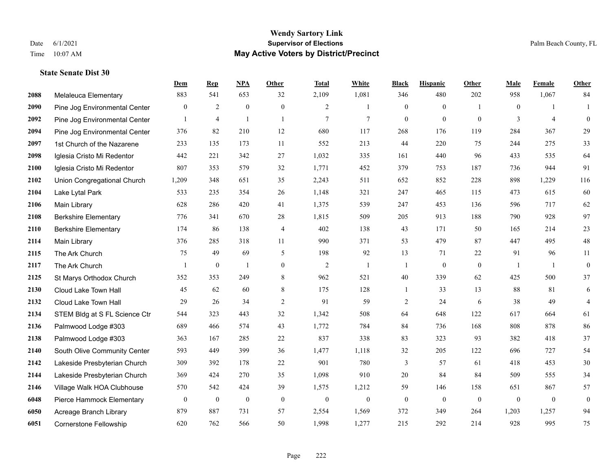#### **Wendy Sartory Link** Date 6/1/2021 **Supervisor of Elections** Palm Beach County, FL Time 10:07 AM **May Active Voters by District/Precinct**

## **Dem Rep NPA Other Total White Black Hispanic Other Male Female Other** Melaleuca Elementary 883 541 653 32 2,109 1,081 346 480 202 958 1,067 84 Pine Jog Environmental Center  $\begin{array}{ccccccccccccc}\n0 & 2 & 0 & 0 & 2 & 1 & 0 & 1 & 0 & 1\n\end{array}$  Pine Jog Environmental Center 1 4 1 1 1 7 7 0 0 0 3 4 0 Pine Jog Environmental Center 376 82 210 12 680 117 268 176 119 284 367 29 1st Church of the Nazarene 233 135 173 11 552 213 44 220 75 244 275 33 Iglesia Cristo Mi Redentor 442 221 342 27 1,032 335 161 440 96 433 535 64 Iglesia Cristo Mi Redentor 807 353 579 32 1,771 452 379 753 187 736 944 91 Union Congregational Church 1,209 348 651 35 2,243 511 652 852 228 898 1,229 116 Lake Lytal Park 533 235 354 26 1,148 321 247 465 115 473 615 60 Main Library 628 286 420 41 1,375 539 247 453 136 596 717 62 Berkshire Elementary 776 341 670 28 1,815 509 205 913 188 790 928 97 Berkshire Elementary 174 86 138 4 402 138 43 171 50 165 214 23 Main Library 376 285 318 11 990 371 53 479 87 447 495 48 The Ark Church 75 49 69 5 198 92 13 71 22 91 96 11 The Ark Church 1 0 1 0 2 1 1 0 0 1 1 0 St Marys Orthodox Church 352 353 249 8 962 521 40 339 62 425 500 37 Cloud Lake Town Hall 45 62 60 8 175 128 1 33 13 88 81 6 Cloud Lake Town Hall 29 26 34 2 91 59 2 24 6 38 49 4 STEM Bldg at S FL Science Ctr 544 323 443 32 1,342 508 64 648 122 617 664 61 Palmwood Lodge #303 689 466 574 43 1,772 784 84 736 168 808 878 86 Palmwood Lodge #303 363 167 285 22 837 338 83 323 93 382 418 37 South Olive Community Center 593 449 399 36 1,477 1,118 32 205 122 696 727 54 Lakeside Presbyterian Church 309 392 178 22 901 780 3 57 61 418 453 30 Lakeside Presbyterian Church 369 424 270 35 1,098 910 20 84 84 509 555 34 Village Walk HOA Clubhouse 570 542 424 39 1,575 1,212 59 146 158 651 867 57 Pierce Hammock Elementary 0 0 0 0 0 0 0 0 0 0 0 0 Acreage Branch Library 879 887 731 57 2,554 1,569 372 349 264 1,203 1,257 94 Cornerstone Fellowship 620 762 566 50 1,998 1,277 215 292 214 928 995 75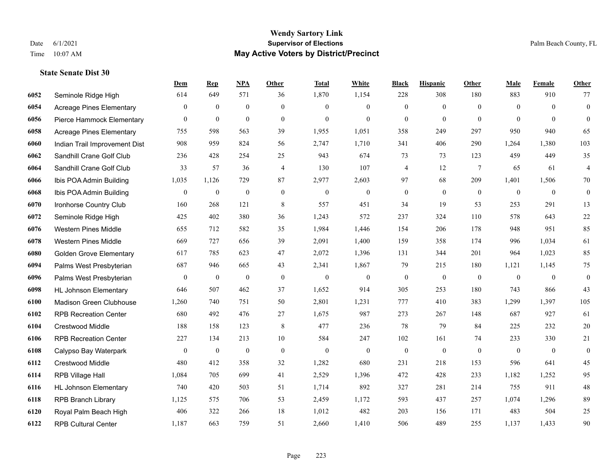#### **Wendy Sartory Link** Date 6/1/2021 **Supervisor of Elections** Palm Beach County, FL Time 10:07 AM **May Active Voters by District/Precinct**

**Dem Rep NPA Other Total White Black Hispanic Other Male Female Other**

## Seminole Ridge High 614 649 571 36 1,870 1,154 228 308 180 883 910 77 Acreage Pines Elementary 0 0 0 0 0 0 0 0 0 0 0 0 Pierce Hammock Elementary 0 0 0 0 0 0 0 0 0 0 0 0 Acreage Pines Elementary 755 598 563 39 1,955 1,051 358 249 297 950 940 65 Indian Trail Improvement Dist 908 959 824 56 2,747 1,710 341 406 290 1,264 1,380 103 Sandhill Crane Golf Club 236 428 254 25 943 674 73 73 123 459 449 35 Sandhill Crane Golf Club 33 57 36 4 130 107 4 12 7 65 61 4 Ibis POA Admin Building 1,035 1,126 729 87 2,977 2,603 97 68 209 1,401 1,506 70 Ibis POA Admin Building 0 0 0 0 0 0 0 0 0 0 0 0 Ironhorse Country Club 160 268 121 8 557 451 34 19 53 253 291 13 Seminole Ridge High 425 402 380 36 1,243 572 237 324 110 578 643 22 Western Pines Middle 655 712 582 35 1,984 1,446 154 206 178 948 951 85 Western Pines Middle 669 727 656 39 2,091 1,400 159 358 174 996 1,034 61 Golden Grove Elementary 617 785 623 47 2,072 1,396 131 344 201 964 1,023 85 Palms West Presbyterian 687 946 665 43 2,341 1,867 79 215 180 1,121 1,145 75 Palms West Presbyterian 0 0 0 0 0 0 0 0 0 0 0 0 HL Johnson Elementary 646 507 462 37 1,652 914 305 253 180 743 866 43 Madison Green Clubhouse 1,260 740 751 50 2,801 1,231 777 410 383 1,299 1,397 105 RPB Recreation Center 680 492 476 27 1,675 987 273 267 148 687 927 61 Crestwood Middle 188 158 123 8 477 236 78 79 84 225 232 20 RPB Recreation Center 227 134 213 10 584 247 102 161 74 233 330 21 Calypso Bay Waterpark 0 0 0 0 0 0 0 0 0 0 0 0 Crestwood Middle 480 412 358 32 1,282 680 231 218 153 596 641 45 RPB Village Hall 1,084 705 699 41 2,529 1,396 472 428 233 1,182 1,252 95 HL Johnson Elementary 740 420 503 51 1,714 892 327 281 214 755 911 48 RPB Branch Library 1,125 575 706 53 2,459 1,172 593 437 257 1,074 1,296 89

 Royal Palm Beach High 406 322 266 18 1,012 482 203 156 171 483 504 25 RPB Cultural Center 1,187 663 759 51 2,660 1,410 506 489 255 1,137 1,433 90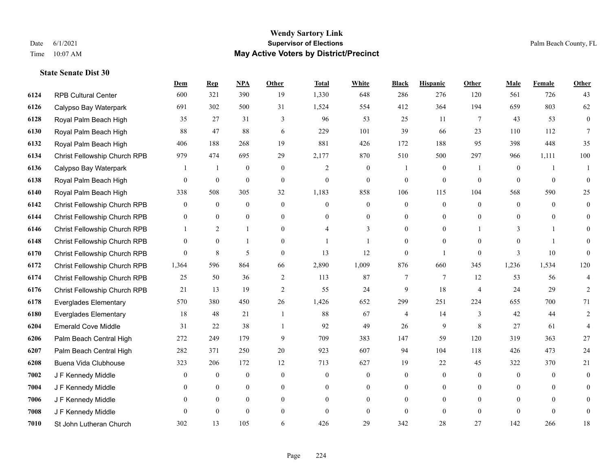|      |                              | Dem            | <b>Rep</b>     | NPA              | <b>Other</b>   | <b>Total</b>   | <b>White</b>     | <b>Black</b>   | <b>Hispanic</b> | <b>Other</b>   | <b>Male</b>  | Female         | <b>Other</b>     |
|------|------------------------------|----------------|----------------|------------------|----------------|----------------|------------------|----------------|-----------------|----------------|--------------|----------------|------------------|
| 6124 | <b>RPB Cultural Center</b>   | 600            | 321            | 390              | 19             | 1,330          | 648              | 286            | 276             | 120            | 561          | 726            | 43               |
| 6126 | Calypso Bay Waterpark        | 691            | 302            | 500              | 31             | 1,524          | 554              | 412            | 364             | 194            | 659          | 803            | 62               |
| 6128 | Royal Palm Beach High        | 35             | 27             | 31               | 3              | 96             | 53               | 25             | 11              | 7              | 43           | 53             | $\boldsymbol{0}$ |
| 6130 | Royal Palm Beach High        | 88             | 47             | 88               | 6              | 229            | 101              | 39             | 66              | 23             | 110          | 112            | $7\phantom{.0}$  |
| 6132 | Royal Palm Beach High        | 406            | 188            | 268              | 19             | 881            | 426              | 172            | 188             | 95             | 398          | 448            | 35               |
| 6134 | Christ Fellowship Church RPB | 979            | 474            | 695              | 29             | 2,177          | 870              | 510            | 500             | 297            | 966          | 1,111          | 100              |
| 6136 | Calypso Bay Waterpark        | 1              | $\mathbf{1}$   | $\mathbf{0}$     | $\overline{0}$ | $\overline{2}$ | $\boldsymbol{0}$ |                | $\mathbf{0}$    | -1             | $\mathbf{0}$ | $\mathbf{1}$   | $\mathbf{1}$     |
| 6138 | Royal Palm Beach High        | 0              | $\mathbf{0}$   | $\theta$         | $\Omega$       | $\theta$       | $\overline{0}$   | $\theta$       | $\theta$        | $\Omega$       | $\Omega$     | $\Omega$       | $\Omega$         |
| 6140 | Royal Palm Beach High        | 338            | 508            | 305              | 32             | 1,183          | 858              | 106            | 115             | 104            | 568          | 590            | 25               |
| 6142 | Christ Fellowship Church RPB | 0              | $\mathbf{0}$   | $\mathbf{0}$     | $\overline{0}$ | $\theta$       | $\overline{0}$   | $\overline{0}$ | $\mathbf{0}$    | $\theta$       | $\mathbf{0}$ | $\theta$       | $\overline{0}$   |
| 6144 | Christ Fellowship Church RPB | 0              | $\theta$       | $\overline{0}$   | $\Omega$       | $\Omega$       | $\overline{0}$   | $\overline{0}$ | $\theta$        | $\Omega$       | $\Omega$     | $\Omega$       | $\Omega$         |
| 6146 | Christ Fellowship Church RPB |                | 2              | $\mathbf{1}$     | $\theta$       |                | 3                | $\overline{0}$ | $\mathbf{0}$    |                | 3            |                | $\Omega$         |
| 6148 | Christ Fellowship Church RPB | 0              | $\mathbf{0}$   | $\mathbf{1}$     | $\Omega$       |                | 1                | $\Omega$       | $\theta$        | $\Omega$       | $\Omega$     |                |                  |
| 6170 | Christ Fellowship Church RPB | $\overline{0}$ | $\,8\,$        | 5                | $\overline{0}$ | 13             | 12               | $\mathbf{0}$   | $\mathbf{1}$    | $\mathbf{0}$   | 3            | $10\,$         | $\Omega$         |
| 6172 | Christ Fellowship Church RPB | 1,364          | 596            | 864              | 66             | 2,890          | 1,009            | 876            | 660             | 345            | 1,236        | 1,534          | 120              |
| 6174 | Christ Fellowship Church RPB | 25             | 50             | 36               | 2              | 113            | 87               | 7              | 7               | 12             | 53           | 56             | 4                |
| 6176 | Christ Fellowship Church RPB | 21             | 13             | 19               | $\overline{2}$ | 55             | 24               | 9              | 18              | $\overline{4}$ | 24           | 29             | 2                |
| 6178 | <b>Everglades Elementary</b> | 570            | 380            | 450              | 26             | 1,426          | 652              | 299            | 251             | 224            | 655          | 700            | 71               |
| 6180 | <b>Everglades Elementary</b> | 18             | 48             | 21               | $\overline{1}$ | 88             | 67               | 4              | 14              | 3              | 42           | 44             | 2                |
| 6204 | <b>Emerald Cove Middle</b>   | 31             | 22             | 38               | $\mathbf{1}$   | 92             | 49               | 26             | 9               | 8              | 27           | 61             | 4                |
| 6206 | Palm Beach Central High      | 272            | 249            | 179              | 9              | 709            | 383              | 147            | 59              | 120            | 319          | 363            | 27               |
| 6207 | Palm Beach Central High      | 282            | 371            | 250              | 20             | 923            | 607              | 94             | 104             | 118            | 426          | 473            | 24               |
| 6208 | Buena Vida Clubhouse         | 323            | 206            | 172              | 12             | 713            | 627              | 19             | 22              | 45             | 322          | 370            | 21               |
| 7002 | J F Kennedy Middle           | 0              | $\overline{0}$ | $\boldsymbol{0}$ | $\overline{0}$ | $\mathbf{0}$   | $\boldsymbol{0}$ | $\mathbf{0}$   | $\mathbf{0}$    | $\theta$       | $\mathbf{0}$ | $\overline{0}$ | $\Omega$         |
| 7004 | J F Kennedy Middle           | 0              | $\theta$       | $\overline{0}$   | $\Omega$       | $\Omega$       | $\overline{0}$   | $\theta$       | $\mathbf{0}$    | $\Omega$       | $\Omega$     | $\Omega$       | $\Omega$         |
| 7006 | J F Kennedy Middle           | 0              | $\overline{0}$ | $\overline{0}$   | $\theta$       | $\Omega$       | $\overline{0}$   | $\theta$       | $\overline{0}$  | $\Omega$       | $\theta$     | $\Omega$       |                  |
| 7008 | J F Kennedy Middle           | $\theta$       | $\mathbf{0}$   | $\mathbf{0}$     | $\overline{0}$ | $\theta$       | $\mathbf{0}$     | $\mathbf{0}$   | $\mathbf{0}$    | $\theta$       | $\theta$     | $\theta$       | $\mathbf{0}$     |
| 7010 | St John Lutheran Church      | 302            | 13             | 105              | 6              | 426            | 29               | 342            | 28              | 27             | 142          | 266            | 18               |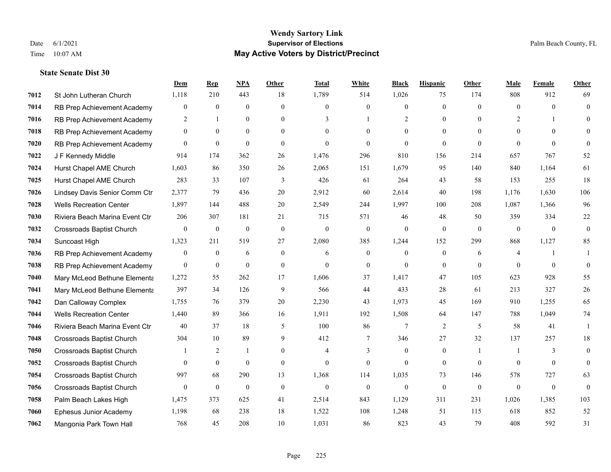|      |                                  | Dem              | <b>Rep</b>       | NPA              | <b>Other</b>   | <b>Total</b> | <b>White</b>     | <b>Black</b>     | <b>Hispanic</b> | <b>Other</b>   | <b>Male</b>    | Female       | <b>Other</b> |
|------|----------------------------------|------------------|------------------|------------------|----------------|--------------|------------------|------------------|-----------------|----------------|----------------|--------------|--------------|
| 7012 | St John Lutheran Church          | 1,118            | 210              | 443              | 18             | 1,789        | 514              | 1,026            | 75              | 174            | 808            | 912          | 69           |
| 7014 | RB Prep Achievement Academy      | $\mathbf{0}$     | $\mathbf{0}$     | $\mathbf{0}$     | $\theta$       | $\theta$     | $\overline{0}$   | $\theta$         | $\mathbf{0}$    | $\Omega$       | $\Omega$       | $\Omega$     | $\mathbf{0}$ |
| 7016 | RB Prep Achievement Academy      | 2                | $\mathbf{1}$     | $\theta$         | $\Omega$       | 3            | $\mathbf{1}$     | $\overline{2}$   | $\theta$        | $\Omega$       | 2              |              | $\Omega$     |
| 7018 | RB Prep Achievement Academy      | $\boldsymbol{0}$ | $\mathbf{0}$     | $\mathbf{0}$     | $\overline{0}$ | $\theta$     | $\overline{0}$   | $\boldsymbol{0}$ | $\mathbf{0}$    | $\theta$       | $\mathbf{0}$   | $\theta$     |              |
| 7020 | RB Prep Achievement Academy      | $\theta$         | $\mathbf{0}$     | $\mathbf{0}$     | $\theta$       | $\theta$     | $\theta$         | $\theta$         | $\theta$        | $\theta$       | $\theta$       | $\Omega$     | $\theta$     |
| 7022 | J F Kennedy Middle               | 914              | 174              | 362              | 26             | 1,476        | 296              | 810              | 156             | 214            | 657            | 767          | 52           |
| 7024 | Hurst Chapel AME Church          | 1,603            | 86               | 350              | 26             | 2,065        | 151              | 1,679            | 95              | 140            | 840            | 1,164        | 61           |
| 7025 | Hurst Chapel AME Church          | 283              | 33               | 107              | 3              | 426          | 61               | 264              | 43              | 58             | 153            | 255          | $18\,$       |
| 7026 | Lindsey Davis Senior Comm Ctr    | 2,377            | 79               | 436              | 20             | 2,912        | 60               | 2,614            | 40              | 198            | 1,176          | 1,630        | 106          |
| 7028 | <b>Wells Recreation Center</b>   | 1,897            | 144              | 488              | 20             | 2,549        | 244              | 1,997            | 100             | 208            | 1,087          | 1,366        | 96           |
| 7030 | Riviera Beach Marina Event Ctr   | 206              | 307              | 181              | 21             | 715          | 571              | 46               | 48              | 50             | 359            | 334          | $22\,$       |
| 7032 | <b>Crossroads Baptist Church</b> | $\mathbf{0}$     | $\boldsymbol{0}$ | $\mathbf{0}$     | $\mathbf{0}$   | $\Omega$     | $\boldsymbol{0}$ | $\mathbf{0}$     | $\mathbf{0}$    | $\theta$       | $\theta$       | $\theta$     | $\mathbf{0}$ |
| 7034 | Suncoast High                    | 1,323            | 211              | 519              | 27             | 2,080        | 385              | 1,244            | 152             | 299            | 868            | 1,127        | 85           |
| 7036 | RB Prep Achievement Academy      | $\boldsymbol{0}$ | $\bf{0}$         | 6                | $\overline{0}$ | 6            | $\boldsymbol{0}$ | $\boldsymbol{0}$ | $\mathbf{0}$    | 6              | 4              |              |              |
| 7038 | RB Prep Achievement Academy      | $\mathbf{0}$     | $\bf{0}$         | $\mathbf{0}$     | $\mathbf{0}$   | $\theta$     | $\overline{0}$   | $\mathbf{0}$     | $\mathbf{0}$    | $\theta$       | $\theta$       | $\theta$     | $\mathbf{0}$ |
| 7040 | Mary McLeod Bethune Elementa     | 1,272            | 55               | 262              | 17             | 1,606        | 37               | 1,417            | 47              | 105            | 623            | 928          | 55           |
| 7041 | Mary McLeod Bethune Elementa     | 397              | 34               | 126              | 9              | 566          | 44               | 433              | 28              | 61             | 213            | 327          | 26           |
| 7042 | Dan Calloway Complex             | 1,755            | 76               | 379              | 20             | 2,230        | 43               | 1,973            | 45              | 169            | 910            | 1,255        | 65           |
| 7044 | <b>Wells Recreation Center</b>   | 1,440            | 89               | 366              | 16             | 1,911        | 192              | 1,508            | 64              | 147            | 788            | 1,049        | 74           |
| 7046 | Riviera Beach Marina Event Ctr   | 40               | 37               | 18               | 5              | 100          | 86               | $\tau$           | 2               | 5              | 58             | 41           | $\mathbf{1}$ |
| 7048 | Crossroads Baptist Church        | 304              | 10               | 89               | 9              | 412          | $\tau$           | 346              | 27              | 32             | 137            | 257          | 18           |
| 7050 | <b>Crossroads Baptist Church</b> |                  | 2                | -1               | $\overline{0}$ | 4            | 3                | $\mathbf{0}$     | $\mathbf{0}$    | $\overline{1}$ | -1             | 3            | $\mathbf{0}$ |
| 7052 | <b>Crossroads Baptist Church</b> | $\theta$         | $\mathbf{0}$     | $\mathbf{0}$     | $\theta$       | $\theta$     | $\overline{0}$   | $\theta$         | $\mathbf{0}$    | $\theta$       | $\theta$       | $\theta$     | $\mathbf{0}$ |
| 7054 | <b>Crossroads Baptist Church</b> | 997              | 68               | 290              | 13             | 1,368        | 114              | 1,035            | 73              | 146            | 578            | 727          | 63           |
| 7056 | Crossroads Baptist Church        | $\mathbf{0}$     | $\boldsymbol{0}$ | $\boldsymbol{0}$ | $\mathbf{0}$   | $\mathbf{0}$ | $\boldsymbol{0}$ | $\boldsymbol{0}$ | $\mathbf{0}$    | $\mathbf{0}$   | $\overline{0}$ | $\mathbf{0}$ | $\mathbf{0}$ |
| 7058 | Palm Beach Lakes High            | 1,475            | 373              | 625              | 41             | 2,514        | 843              | 1,129            | 311             | 231            | 1,026          | 1,385        | 103          |
| 7060 | Ephesus Junior Academy           | 1,198            | 68               | 238              | 18             | 1,522        | 108              | 1,248            | 51              | 115            | 618            | 852          | 52           |
| 7062 | Mangonia Park Town Hall          | 768              | 45               | 208              | 10             | 1,031        | 86               | 823              | 43              | 79             | 408            | 592          | 31           |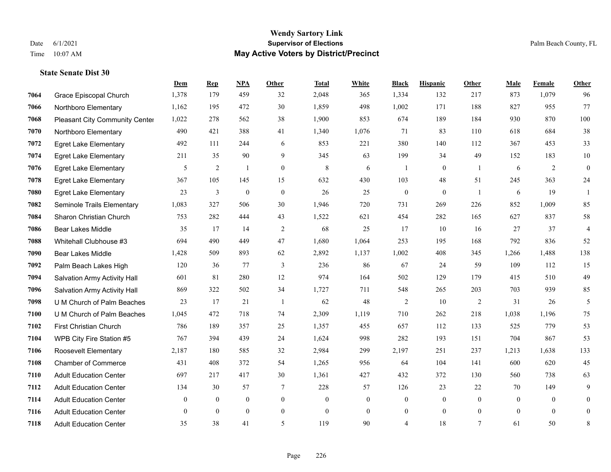|      |                                       | Dem            | <b>Rep</b>     | NPA              | <b>Other</b>     | <b>Total</b> | <b>White</b>   | <b>Black</b>     | <b>Hispanic</b>  | Other          | <b>Male</b>    | Female         | <b>Other</b>     |
|------|---------------------------------------|----------------|----------------|------------------|------------------|--------------|----------------|------------------|------------------|----------------|----------------|----------------|------------------|
| 7064 | Grace Episcopal Church                | 1,378          | 179            | 459              | 32               | 2,048        | 365            | 1,334            | 132              | 217            | 873            | 1,079          | 96               |
| 7066 | Northboro Elementary                  | 1,162          | 195            | 472              | 30               | 1,859        | 498            | 1,002            | 171              | 188            | 827            | 955            | 77               |
| 7068 | <b>Pleasant City Community Center</b> | 1,022          | 278            | 562              | 38               | 1,900        | 853            | 674              | 189              | 184            | 930            | 870            | 100              |
| 7070 | Northboro Elementary                  | 490            | 421            | 388              | 41               | 1,340        | 1,076          | 71               | 83               | 110            | 618            | 684            | 38               |
| 7072 | <b>Egret Lake Elementary</b>          | 492            | 111            | 244              | 6                | 853          | 221            | 380              | 140              | 112            | 367            | 453            | 33               |
| 7074 | <b>Egret Lake Elementary</b>          | 211            | 35             | 90               | 9                | 345          | 63             | 199              | 34               | 49             | 152            | 183            | 10               |
| 7076 | <b>Egret Lake Elementary</b>          | 5              | 2              | $\mathbf{1}$     | $\boldsymbol{0}$ | 8            | 6              | $\overline{1}$   | $\boldsymbol{0}$ | $\mathbf{1}$   | 6              | 2              | $\boldsymbol{0}$ |
| 7078 | <b>Egret Lake Elementary</b>          | 367            | 105            | 145              | 15               | 632          | 430            | 103              | 48               | 51             | 245            | 363            | 24               |
| 7080 | <b>Egret Lake Elementary</b>          | 23             | $\mathfrak{Z}$ | $\boldsymbol{0}$ | $\mathbf{0}$     | 26           | 25             | $\boldsymbol{0}$ | $\mathbf{0}$     | $\overline{1}$ | 6              | 19             | $\mathbf{1}$     |
| 7082 | Seminole Trails Elementary            | 1,083          | 327            | 506              | 30               | 1,946        | 720            | 731              | 269              | 226            | 852            | 1,009          | 85               |
| 7084 | Sharon Christian Church               | 753            | 282            | 444              | 43               | 1,522        | 621            | 454              | 282              | 165            | 627            | 837            | 58               |
| 7086 | <b>Bear Lakes Middle</b>              | 35             | 17             | 14               | 2                | 68           | 25             | 17               | 10               | 16             | 27             | 37             | 4                |
| 7088 | Whitehall Clubhouse #3                | 694            | 490            | 449              | 47               | 1,680        | 1,064          | 253              | 195              | 168            | 792            | 836            | 52               |
| 7090 | <b>Bear Lakes Middle</b>              | 1,428          | 509            | 893              | 62               | 2,892        | 1,137          | 1,002            | 408              | 345            | 1,266          | 1,488          | 138              |
| 7092 | Palm Beach Lakes High                 | 120            | 36             | 77               | 3                | 236          | 86             | 67               | 24               | 59             | 109            | 112            | 15               |
| 7094 | Salvation Army Activity Hall          | 601            | 81             | 280              | 12               | 974          | 164            | 502              | 129              | 179            | 415            | 510            | 49               |
| 7096 | Salvation Army Activity Hall          | 869            | 322            | 502              | 34               | 1,727        | 711            | 548              | 265              | 203            | 703            | 939            | 85               |
| 7098 | U M Church of Palm Beaches            | 23             | 17             | 21               | $\overline{1}$   | 62           | 48             | $\overline{c}$   | 10               | 2              | 31             | 26             | 5                |
| 7100 | U M Church of Palm Beaches            | 1,045          | 472            | 718              | 74               | 2,309        | 1,119          | 710              | 262              | 218            | 1,038          | 1,196          | 75               |
| 7102 | <b>First Christian Church</b>         | 786            | 189            | 357              | 25               | 1,357        | 455            | 657              | 112              | 133            | 525            | 779            | 53               |
| 7104 | WPB City Fire Station #5              | 767            | 394            | 439              | 24               | 1,624        | 998            | 282              | 193              | 151            | 704            | 867            | 53               |
| 7106 | Roosevelt Elementary                  | 2,187          | 180            | 585              | 32               | 2,984        | 299            | 2,197            | 251              | 237            | 1,213          | 1,638          | 133              |
| 7108 | <b>Chamber of Commerce</b>            | 431            | 408            | 372              | 54               | 1,265        | 956            | 64               | 104              | 141            | 600            | 620            | 45               |
| 7110 | <b>Adult Education Center</b>         | 697            | 217            | 417              | 30               | 1,361        | 427            | 432              | 372              | 130            | 560            | 738            | 63               |
| 7112 | <b>Adult Education Center</b>         | 134            | 30             | 57               | $\tau$           | 228          | 57             | 126              | 23               | 22             | 70             | 149            | 9                |
| 7114 | <b>Adult Education Center</b>         | $\overline{0}$ | $\mathbf{0}$   | $\mathbf{0}$     | $\boldsymbol{0}$ | $\mathbf{0}$ | $\mathbf{0}$   | $\boldsymbol{0}$ | $\boldsymbol{0}$ | $\mathbf{0}$   | $\overline{0}$ | $\overline{0}$ | $\mathbf{0}$     |
| 7116 | <b>Adult Education Center</b>         | $\overline{0}$ | $\theta$       | $\mathbf{0}$     | $\overline{0}$   | $\theta$     | $\overline{0}$ | $\boldsymbol{0}$ | $\mathbf{0}$     | $\overline{0}$ | $\theta$       | $\theta$       | $\mathbf{0}$     |
| 7118 | <b>Adult Education Center</b>         | 35             | 38             | 41               | 5                | 119          | 90             | $\overline{4}$   | 18               | $\tau$         | 61             | 50             | 8                |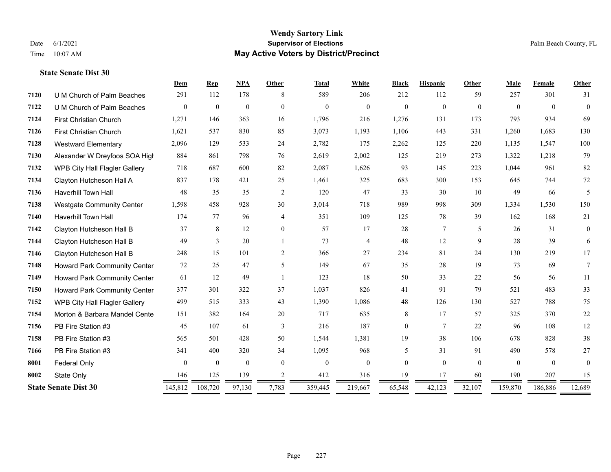#### **Wendy Sartory Link** Date 6/1/2021 **Supervisor of Elections** Palm Beach County, FL Time 10:07 AM **May Active Voters by District/Precinct**

## **Dem Rep NPA Other Total White Black Hispanic Other Male Female Other** U M Church of Palm Beaches 291 112 178 8 589 206 212 112 59 257 301 31 U M Church of Palm Beaches 0 0 0 0 0 0 0 0 0 0 0 0 First Christian Church 1,271 146 363 16 1,796 216 1,276 131 173 793 934 69 First Christian Church 1,621 537 830 85 3,073 1,193 1,106 443 331 1,260 1,683 130 Westward Elementary 2,096 129 533 24 2,782 175 2,262 125 220 1,135 1,547 100 Alexander W Dreyfoos SOA High 884 861 798 76 2,619 2,002 125 219 273 1,322 1,218 79 WPB City Hall Flagler Gallery 718 687 600 82 2,087 1,626 93 145 223 1,044 961 82 Clayton Hutcheson Hall A 837 178 421 25 1,461 325 683 300 153 645 744 72 Haverhill Town Hall 48 35 35 2 120 47 33 30 10 49 66 5 Westgate Community Center 1,598 458 928 30 3,014 718 989 998 309 1,334 1,530 150 Haverhill Town Hall 174 77 96 4 351 109 125 78 39 162 168 21 Clayton Hutcheson Hall B 37 8 12 0 57 17 28 7 5 26 31 0 Clayton Hutcheson Hall B 49 3 20 1 73 4 48 12 9 28 39 6 Clayton Hutcheson Hall B 248 15 101 2 366 27 234 81 24 130 219 17 Howard Park Community Center 72 25 47 5 149 67 35 28 19 73 69 7 Howard Park Community Center 61 12 49 1 123 18 50 33 22 56 56 11 Howard Park Community Center 377 301 322 37 1,037 826 41 91 79 521 483 33 WPB City Hall Flagler Gallery 499 515 333 43 1,390 1,086 48 126 130 527 788 75 Morton & Barbara Mandel Center 151 382 164 20 717 635 8 17 57 325 370 22 PB Fire Station #3 45 107 61 3 216 187 0 7 22 96 108 12 PB Fire Station #3 565 501 428 50 1,544 1,381 19 38 106 678 828 38 PB Fire Station #3 341 400 320 34 1,095 968 5 31 91 490 578 27 Federal Only 0 0 0 0 0 0 0 0 0 0 State Only 146 125 139 2 412 316 19 17 60 190 207 15 **State Senate Dist 30** 145,812 108,720 97,130 7,783 359,445 219,667 65,548 42,123 32,107 159,870 186,886 12,689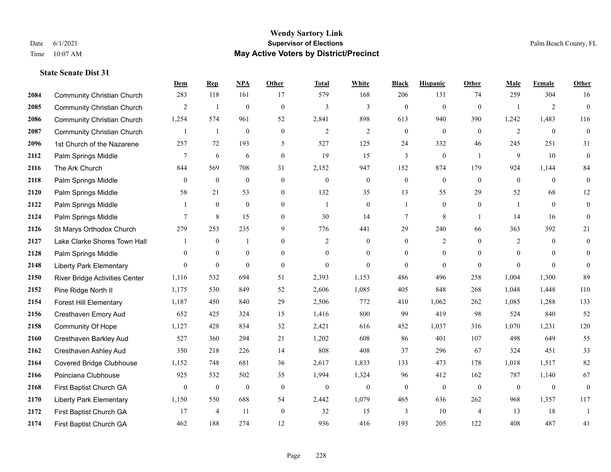|      |                                   | Dem            | <b>Rep</b>       | NPA              | <b>Other</b>   | <b>Total</b>   | <b>White</b>     | <b>Black</b>     | <b>Hispanic</b>  | <b>Other</b>   | <b>Male</b>    | <b>Female</b>  | <b>Other</b>             |
|------|-----------------------------------|----------------|------------------|------------------|----------------|----------------|------------------|------------------|------------------|----------------|----------------|----------------|--------------------------|
| 2084 | <b>Community Christian Church</b> | 283            | 118              | 161              | 17             | 579            | 168              | 206              | 131              | 74             | 259            | 304            | 16                       |
| 2085 | <b>Community Christian Church</b> | 2              | $\mathbf{1}$     | $\mathbf{0}$     | $\theta$       | 3              | 3                | $\mathbf{0}$     | $\mathbf{0}$     | $\mathbf{0}$   | $\mathbf{1}$   | 2              | $\overline{0}$           |
| 2086 | <b>Community Christian Church</b> | 1,254          | 574              | 961              | 52             | 2,841          | 898              | 613              | 940              | 390            | 1,242          | 1,483          | 116                      |
| 2087 | <b>Community Christian Church</b> |                | 1                | $\theta$         | $\mathbf{0}$   | $\overline{2}$ | $\mathfrak{2}$   | $\boldsymbol{0}$ | $\overline{0}$   | $\mathbf{0}$   | $\overline{2}$ | $\overline{0}$ | $\overline{0}$           |
| 2096 | 1st Church of the Nazarene        | 257            | 72               | 193              | 5              | 527            | 125              | 24               | 332              | 46             | 245            | 251            | 31                       |
| 2112 | Palm Springs Middle               | 7              | 6                | 6                | $\mathbf{0}$   | 19             | 15               | 3                | $\boldsymbol{0}$ | $\overline{1}$ | 9              | 10             | $\mathbf{0}$             |
| 2116 | The Ark Church                    | 844            | 569              | 708              | 31             | 2,152          | 947              | 152              | 874              | 179            | 924            | 1,144          | 84                       |
| 2118 | Palm Springs Middle               | $\theta$       | $\theta$         | $\theta$         | $\theta$       | $\theta$       | $\mathbf{0}$     | $\mathbf{0}$     | $\overline{0}$   | $\Omega$       | $\theta$       | $\Omega$       | $\overline{0}$           |
| 2120 | Palm Springs Middle               | 58             | 21               | 53               | $\mathbf{0}$   | 132            | 35               | 13               | 55               | 29             | 52             | 68             | 12                       |
| 2122 | Palm Springs Middle               |                | $\mathbf{0}$     | $\mathbf{0}$     | $\overline{0}$ | $\mathbf{1}$   | $\mathbf{0}$     | $\mathbf{1}$     | $\overline{0}$   | $\theta$       | -1             | $\theta$       | $\overline{0}$           |
| 2124 | Palm Springs Middle               | $\tau$         | 8                | 15               | $\theta$       | 30             | 14               | $\overline{7}$   | 8                |                | 14             | 16             | $\overline{0}$           |
| 2126 | St Marys Orthodox Church          | 279            | 253              | 235              | 9              | 776            | 441              | 29               | 240              | 66             | 363            | 392            | 21                       |
| 2127 | Lake Clarke Shores Town Hall      |                | $\mathbf{0}$     |                  | $\theta$       | 2              | $\mathbf{0}$     | $\overline{0}$   | $\overline{2}$   | $\Omega$       | 2              | $\theta$       | $\mathbf{0}$             |
| 2128 | Palm Springs Middle               | $\overline{0}$ | $\boldsymbol{0}$ | $\boldsymbol{0}$ | $\overline{0}$ | $\theta$       | $\boldsymbol{0}$ | $\boldsymbol{0}$ | $\boldsymbol{0}$ | $\mathbf{0}$   | $\mathbf{0}$   | $\mathbf{0}$   | $\overline{0}$           |
| 2148 | <b>Liberty Park Elementary</b>    | $\theta$       | $\mathbf{0}$     | $\mathbf{0}$     | $\theta$       | $\theta$       | $\overline{0}$   | $\overline{0}$   | $\overline{0}$   | $\theta$       | $\theta$       | $\Omega$       | $\overline{0}$           |
| 2150 | River Bridge Activities Center    | 1,116          | 532              | 694              | 51             | 2,393          | 1,153            | 486              | 496              | 258            | 1,004          | 1,300          | 89                       |
| 2152 | Pine Ridge North II               | 1,175          | 530              | 849              | 52             | 2,606          | 1,085            | 405              | 848              | 268            | 1,048          | 1,448          | 110                      |
| 2154 | <b>Forest Hill Elementary</b>     | 1,187          | 450              | 840              | 29             | 2,506          | 772              | 410              | 1,062            | 262            | 1,085          | 1,288          | 133                      |
| 2156 | Cresthaven Emory Aud              | 652            | 425              | 324              | 15             | 1,416          | 800              | 99               | 419              | 98             | 524            | 840            | 52                       |
| 2158 | Community Of Hope                 | 1,127          | 428              | 834              | 32             | 2,421          | 616              | 452              | 1,037            | 316            | 1,070          | 1,231          | 120                      |
| 2160 | Cresthaven Barkley Aud            | 527            | 360              | 294              | 21             | 1,202          | 608              | 86               | 401              | 107            | 498            | 649            | 55                       |
| 2162 | Cresthaven Ashley Aud             | 350            | 218              | 226              | 14             | 808            | 408              | 37               | 296              | 67             | 324            | 451            | 33                       |
| 2164 | <b>Covered Bridge Clubhouse</b>   | 1,152          | 748              | 681              | 36             | 2,617          | 1,833            | 133              | 473              | 178            | 1,018          | 1,517          | 82                       |
| 2166 | Poinciana Clubhouse               | 925            | 532              | 502              | 35             | 1,994          | 1,324            | 96               | 412              | 162            | 787            | 1,140          | 67                       |
| 2168 | First Baptist Church GA           | $\overline{0}$ | $\mathbf{0}$     | $\mathbf{0}$     | $\mathbf{0}$   | $\mathbf{0}$   | $\overline{0}$   | $\overline{0}$   | $\overline{0}$   | $\theta$       | $\overline{0}$ | $\overline{0}$ | $\overline{0}$           |
| 2170 | <b>Liberty Park Elementary</b>    | 1,150          | 550              | 688              | 54             | 2,442          | 1,079            | 465              | 636              | 262            | 968            | 1,357          | 117                      |
| 2172 | First Baptist Church GA           | 17             | $\overline{4}$   | 11               | $\mathbf{0}$   | 32             | 15               | 3                | 10               | $\overline{4}$ | 13             | 18             | $\overline{\phantom{a}}$ |
| 2174 | First Baptist Church GA           | 462            | 188              | 274              | 12             | 936            | 416              | 193              | 205              | 122            | 408            | 487            | 41                       |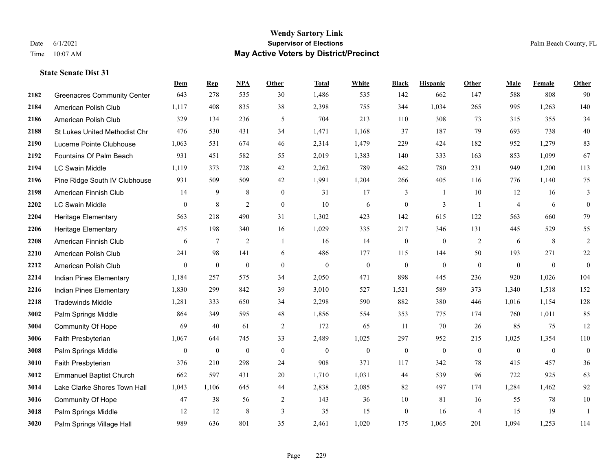|      |                                      | Dem            | <b>Rep</b>       | NPA            | <b>Other</b>   | <b>Total</b> | <b>White</b>     | <b>Black</b>     | <b>Hispanic</b>  | <b>Other</b>   | <b>Male</b>    | <b>Female</b>    | Other            |
|------|--------------------------------------|----------------|------------------|----------------|----------------|--------------|------------------|------------------|------------------|----------------|----------------|------------------|------------------|
| 2182 | <b>Greenacres Community Center</b>   | 643            | 278              | 535            | 30             | 1,486        | 535              | 142              | 662              | 147            | 588            | 808              | 90               |
| 2184 | American Polish Club                 | 1,117          | 408              | 835            | 38             | 2,398        | 755              | 344              | 1,034            | 265            | 995            | 1,263            | 140              |
| 2186 | American Polish Club                 | 329            | 134              | 236            | 5              | 704          | 213              | 110              | 308              | 73             | 315            | 355              | 34               |
| 2188 | <b>St Lukes United Methodist Chr</b> | 476            | 530              | 431            | 34             | 1,471        | 1,168            | 37               | 187              | 79             | 693            | 738              | $40\,$           |
| 2190 | Lucerne Pointe Clubhouse             | 1.063          | 531              | 674            | 46             | 2,314        | 1,479            | 229              | 424              | 182            | 952            | 1,279            | 83               |
| 2192 | Fountains Of Palm Beach              | 931            | 451              | 582            | 55             | 2,019        | 1,383            | 140              | 333              | 163            | 853            | 1,099            | 67               |
| 2194 | LC Swain Middle                      | 1,119          | 373              | 728            | 42             | 2,262        | 789              | 462              | 780              | 231            | 949            | 1,200            | 113              |
| 2196 | Pine Ridge South IV Clubhouse        | 931            | 509              | 509            | 42             | 1,991        | 1,204            | 266              | 405              | 116            | 776            | 1,140            | 75               |
| 2198 | American Finnish Club                | 14             | 9                | $\,$ 8 $\,$    | $\mathbf{0}$   | 31           | 17               | 3                | -1               | 10             | 12             | 16               | 3                |
| 2202 | <b>LC Swain Middle</b>               | $\mathbf{0}$   | $\,$ 8 $\,$      | $\overline{2}$ | $\mathbf{0}$   | 10           | 6                | $\boldsymbol{0}$ | 3                | $\overline{1}$ | $\overline{4}$ | 6                | $\overline{0}$   |
| 2204 | Heritage Elementary                  | 563            | 218              | 490            | 31             | 1,302        | 423              | 142              | 615              | 122            | 563            | 660              | 79               |
| 2206 | <b>Heritage Elementary</b>           | 475            | 198              | 340            | 16             | 1,029        | 335              | 217              | 346              | 131            | 445            | 529              | 55               |
| 2208 | American Finnish Club                | 6              | 7                | $\overline{2}$ | $\overline{1}$ | 16           | 14               | $\boldsymbol{0}$ | $\overline{0}$   | 2              | 6              | 8                | $\overline{2}$   |
| 2210 | American Polish Club                 | 241            | 98               | 141            | 6              | 486          | 177              | 115              | 144              | 50             | 193            | 271              | $22\,$           |
| 2212 | American Polish Club                 | $\overline{0}$ | $\mathbf{0}$     | $\theta$       | $\mathbf{0}$   | $\mathbf{0}$ | $\boldsymbol{0}$ | $\mathbf{0}$     | $\overline{0}$   | $\mathbf{0}$   | $\mathbf{0}$   | $\overline{0}$   | $\boldsymbol{0}$ |
| 2214 | Indian Pines Elementary              | 1,184          | 257              | 575            | 34             | 2,050        | 471              | 898              | 445              | 236            | 920            | 1,026            | 104              |
| 2216 | Indian Pines Elementary              | 1,830          | 299              | 842            | 39             | 3,010        | 527              | 1,521            | 589              | 373            | 1,340          | 1,518            | 152              |
| 2218 | <b>Tradewinds Middle</b>             | 1,281          | 333              | 650            | 34             | 2,298        | 590              | 882              | 380              | 446            | 1,016          | 1,154            | 128              |
| 3002 | Palm Springs Middle                  | 864            | 349              | 595            | 48             | 1,856        | 554              | 353              | 775              | 174            | 760            | 1,011            | 85               |
| 3004 | <b>Community Of Hope</b>             | 69             | 40               | 61             | $\sqrt{2}$     | 172          | 65               | 11               | 70               | 26             | 85             | 75               | 12               |
| 3006 | Faith Presbyterian                   | 1,067          | 644              | 745            | 33             | 2,489        | 1,025            | 297              | 952              | 215            | 1,025          | 1,354            | 110              |
| 3008 | Palm Springs Middle                  | $\bf{0}$       | $\boldsymbol{0}$ | $\mathbf{0}$   | $\mathbf{0}$   | $\mathbf{0}$ | $\boldsymbol{0}$ | $\boldsymbol{0}$ | $\boldsymbol{0}$ | $\mathbf{0}$   | $\mathbf{0}$   | $\boldsymbol{0}$ | $\overline{0}$   |
| 3010 | Faith Presbyterian                   | 376            | 210              | 298            | 24             | 908          | 371              | 117              | 342              | 78             | 415            | 457              | $36\,$           |
| 3012 | <b>Emmanuel Baptist Church</b>       | 662            | 597              | 431            | 20             | 1,710        | 1,031            | 44               | 539              | 96             | 722            | 925              | 63               |
| 3014 | Lake Clarke Shores Town Hall         | 1,043          | 1.106            | 645            | 44             | 2,838        | 2,085            | 82               | 497              | 174            | 1,284          | 1,462            | 92               |
| 3016 | <b>Community Of Hope</b>             | 47             | 38               | 56             | 2              | 143          | 36               | 10               | 81               | 16             | 55             | 78               | 10               |
| 3018 | Palm Springs Middle                  | 12             | 12               | $\,$ 8 $\,$    | 3              | 35           | 15               | $\boldsymbol{0}$ | 16               | $\overline{4}$ | 15             | 19               | -1               |
| 3020 | Palm Springs Village Hall            | 989            | 636              | 801            | 35             | 2,461        | 1,020            | 175              | 1,065            | 201            | 1,094          | 1,253            | 114              |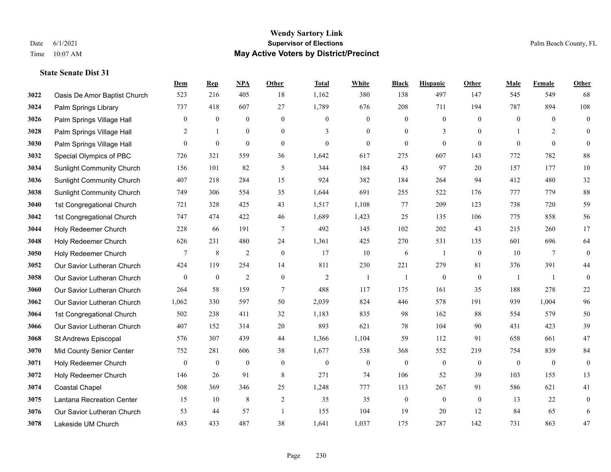|      |                                  | Dem              | <b>Rep</b>       | NPA              | <b>Other</b>     | <b>Total</b>     | <b>White</b>     | <b>Black</b>     | <b>Hispanic</b>  | <b>Other</b>     | <b>Male</b>      | Female         | <b>Other</b>     |
|------|----------------------------------|------------------|------------------|------------------|------------------|------------------|------------------|------------------|------------------|------------------|------------------|----------------|------------------|
| 3022 | Oasis De Amor Baptist Church     | 523              | 216              | 405              | 18               | 1,162            | 380              | 138              | 497              | 147              | 545              | 549            | 68               |
| 3024 | Palm Springs Library             | 737              | 418              | 607              | 27               | 1,789            | 676              | 208              | 711              | 194              | 787              | 894            | 108              |
| 3026 | Palm Springs Village Hall        | $\bf{0}$         | $\boldsymbol{0}$ | $\boldsymbol{0}$ | $\overline{0}$   | $\mathbf{0}$     | $\boldsymbol{0}$ | $\mathbf{0}$     | $\boldsymbol{0}$ | $\theta$         | $\mathbf{0}$     | $\theta$       | $\boldsymbol{0}$ |
| 3028 | Palm Springs Village Hall        | 2                | $\mathbf{1}$     | $\boldsymbol{0}$ | $\overline{0}$   | 3                | $\boldsymbol{0}$ | $\boldsymbol{0}$ | 3                | $\overline{0}$   |                  | 2              | $\mathbf{0}$     |
| 3030 | Palm Springs Village Hall        | $\theta$         | $\mathbf{0}$     | $\boldsymbol{0}$ | $\theta$         | $\theta$         | $\theta$         | $\mathbf{0}$     | $\mathbf{0}$     | $\theta$         | $\theta$         | $\theta$       | $\mathbf{0}$     |
| 3032 | Special Olympics of PBC          | 726              | 321              | 559              | 36               | 1,642            | 617              | 275              | 607              | 143              | 772              | 782            | 88               |
| 3034 | <b>Sunlight Community Church</b> | 156              | 101              | 82               | 5                | 344              | 184              | 43               | 97               | 20               | 157              | 177            | $10\,$           |
| 3036 | <b>Sunlight Community Church</b> | 407              | 218              | 284              | 15               | 924              | 382              | 184              | 264              | 94               | 412              | 480            | 32               |
| 3038 | <b>Sunlight Community Church</b> | 749              | 306              | 554              | 35               | 1,644            | 691              | 255              | 522              | 176              | 777              | 779            | $88\,$           |
| 3040 | 1st Congregational Church        | 721              | 328              | 425              | 43               | 1,517            | 1,108            | 77               | 209              | 123              | 738              | 720            | 59               |
| 3042 | 1st Congregational Church        | 747              | 474              | 422              | 46               | 1,689            | 1,423            | 25               | 135              | 106              | 775              | 858            | 56               |
| 3044 | Holy Redeemer Church             | 228              | 66               | 191              | $\tau$           | 492              | 145              | 102              | 202              | 43               | 215              | 260            | 17               |
| 3048 | Holy Redeemer Church             | 626              | 231              | 480              | 24               | 1,361            | 425              | 270              | 531              | 135              | 601              | 696            | 64               |
| 3050 | Holy Redeemer Church             | 7                | $\,$ 8 $\,$      | $\sqrt{2}$       | $\boldsymbol{0}$ | 17               | $10\,$           | 6                | 1                | $\boldsymbol{0}$ | 10               | $\overline{7}$ | $\boldsymbol{0}$ |
| 3052 | Our Savior Lutheran Church       | 424              | 119              | 254              | 14               | 811              | 230              | 221              | 279              | 81               | 376              | 391            | 44               |
| 3058 | Our Savior Lutheran Church       | $\mathbf{0}$     | $\boldsymbol{0}$ | $\overline{2}$   | $\overline{0}$   | $\overline{2}$   | -1               | $\mathbf{1}$     | $\mathbf{0}$     | $\mathbf{0}$     | $\overline{1}$   | -1             | $\mathbf{0}$     |
| 3060 | Our Savior Lutheran Church       | 264              | 58               | 159              | $\tau$           | 488              | 117              | 175              | 161              | 35               | 188              | 278            | $22\,$           |
| 3062 | Our Savior Lutheran Church       | 1,062            | 330              | 597              | 50               | 2,039            | 824              | 446              | 578              | 191              | 939              | 1,004          | 96               |
| 3064 | 1st Congregational Church        | 502              | 238              | 411              | 32               | 1,183            | 835              | 98               | 162              | 88               | 554              | 579            | 50               |
| 3066 | Our Savior Lutheran Church       | 407              | 152              | 314              | 20               | 893              | 621              | 78               | 104              | 90               | 431              | 423            | 39               |
| 3068 | St Andrews Episcopal             | 576              | 307              | 439              | 44               | 1,366            | 1,104            | 59               | 112              | 91               | 658              | 661            | $47\,$           |
| 3070 | Mid County Senior Center         | 752              | 281              | 606              | 38               | 1,677            | 538              | 368              | 552              | 219              | 754              | 839            | 84               |
| 3071 | Holy Redeemer Church             | $\boldsymbol{0}$ | $\boldsymbol{0}$ | $\boldsymbol{0}$ | $\boldsymbol{0}$ | $\boldsymbol{0}$ | $\boldsymbol{0}$ | $\boldsymbol{0}$ | $\boldsymbol{0}$ | $\overline{0}$   | $\boldsymbol{0}$ | $\overline{0}$ | $\boldsymbol{0}$ |
| 3072 | Holy Redeemer Church             | 146              | 26               | 91               | 8                | 271              | 74               | 106              | 52               | 39               | 103              | 155            | 13               |
| 3074 | <b>Coastal Chapel</b>            | 508              | 369              | 346              | 25               | 1,248            | 777              | 113              | 267              | 91               | 586              | 621            | 41               |
| 3075 | Lantana Recreation Center        | 15               | 10               | 8                | 2                | 35               | 35               | $\boldsymbol{0}$ | $\boldsymbol{0}$ | $\mathbf{0}$     | 13               | 22             | $\boldsymbol{0}$ |
| 3076 | Our Savior Lutheran Church       | 53               | 44               | 57               | $\overline{1}$   | 155              | 104              | 19               | 20               | 12               | 84               | 65             | 6                |
| 3078 | Lakeside UM Church               | 683              | 433              | 487              | 38               | 1,641            | 1,037            | 175              | 287              | 142              | 731              | 863            | 47               |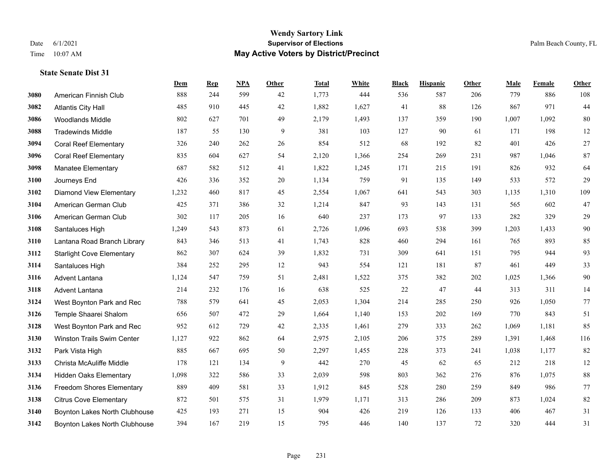|      |                                  | Dem   | <b>Rep</b> | NPA | <b>Other</b> | <b>Total</b> | <b>White</b> | <b>Black</b> | <b>Hispanic</b> | Other | <b>Male</b> | <b>Female</b> | <b>Other</b> |
|------|----------------------------------|-------|------------|-----|--------------|--------------|--------------|--------------|-----------------|-------|-------------|---------------|--------------|
| 3080 | American Finnish Club            | 888   | 244        | 599 | 42           | 1,773        | 444          | 536          | 587             | 206   | 779         | 886           | 108          |
| 3082 | <b>Atlantis City Hall</b>        | 485   | 910        | 445 | 42           | 1,882        | 1,627        | 41           | 88              | 126   | 867         | 971           | 44           |
| 3086 | <b>Woodlands Middle</b>          | 802   | 627        | 701 | 49           | 2,179        | 1,493        | 137          | 359             | 190   | 1,007       | 1,092         | $80\,$       |
| 3088 | <b>Tradewinds Middle</b>         | 187   | 55         | 130 | 9            | 381          | 103          | 127          | 90              | 61    | 171         | 198           | 12           |
| 3094 | <b>Coral Reef Elementary</b>     | 326   | 240        | 262 | 26           | 854          | 512          | 68           | 192             | 82    | 401         | 426           | $27\,$       |
| 3096 | <b>Coral Reef Elementary</b>     | 835   | 604        | 627 | 54           | 2,120        | 1,366        | 254          | 269             | 231   | 987         | 1,046         | $87\,$       |
| 3098 | Manatee Elementary               | 687   | 582        | 512 | 41           | 1,822        | 1,245        | 171          | 215             | 191   | 826         | 932           | 64           |
| 3100 | Journeys End                     | 426   | 336        | 352 | 20           | 1,134        | 759          | 91           | 135             | 149   | 533         | 572           | 29           |
| 3102 | <b>Diamond View Elementary</b>   | 1,232 | 460        | 817 | 45           | 2,554        | 1,067        | 641          | 543             | 303   | 1,135       | 1,310         | 109          |
| 3104 | American German Club             | 425   | 371        | 386 | 32           | 1,214        | 847          | 93           | 143             | 131   | 565         | 602           | $47\,$       |
| 3106 | American German Club             | 302   | 117        | 205 | 16           | 640          | 237          | 173          | 97              | 133   | 282         | 329           | 29           |
| 3108 | Santaluces High                  | 1,249 | 543        | 873 | 61           | 2,726        | 1,096        | 693          | 538             | 399   | 1,203       | 1,433         | $90\,$       |
| 3110 | Lantana Road Branch Library      | 843   | 346        | 513 | 41           | 1,743        | 828          | 460          | 294             | 161   | 765         | 893           | 85           |
| 3112 | <b>Starlight Cove Elementary</b> | 862   | 307        | 624 | 39           | 1,832        | 731          | 309          | 641             | 151   | 795         | 944           | 93           |
| 3114 | Santaluces High                  | 384   | 252        | 295 | 12           | 943          | 554          | 121          | 181             | 87    | 461         | 449           | 33           |
| 3116 | <b>Advent Lantana</b>            | 1,124 | 547        | 759 | 51           | 2,481        | 1,522        | 375          | 382             | 202   | 1,025       | 1,366         | 90           |
| 3118 | Advent Lantana                   | 214   | 232        | 176 | 16           | 638          | 525          | 22           | 47              | 44    | 313         | 311           | 14           |
| 3124 | West Boynton Park and Rec        | 788   | 579        | 641 | 45           | 2,053        | 1,304        | 214          | 285             | 250   | 926         | 1,050         | $77\,$       |
| 3126 | Temple Shaarei Shalom            | 656   | 507        | 472 | 29           | 1,664        | 1,140        | 153          | 202             | 169   | 770         | 843           | 51           |
| 3128 | West Boynton Park and Rec        | 952   | 612        | 729 | 42           | 2,335        | 1,461        | 279          | 333             | 262   | 1,069       | 1,181         | 85           |
| 3130 | Winston Trails Swim Center       | 1,127 | 922        | 862 | 64           | 2,975        | 2,105        | 206          | 375             | 289   | 1,391       | 1,468         | 116          |
| 3132 | Park Vista High                  | 885   | 667        | 695 | 50           | 2,297        | 1,455        | 228          | 373             | 241   | 1,038       | 1,177         | 82           |
| 3133 | Christa McAuliffe Middle         | 178   | 121        | 134 | 9            | 442          | 270          | 45           | 62              | 65    | 212         | 218           | 12           |
| 3134 | <b>Hidden Oaks Elementary</b>    | 1,098 | 322        | 586 | 33           | 2,039        | 598          | 803          | 362             | 276   | 876         | 1,075         | $88\,$       |
| 3136 | Freedom Shores Elementary        | 889   | 409        | 581 | 33           | 1,912        | 845          | 528          | 280             | 259   | 849         | 986           | 77           |
| 3138 | <b>Citrus Cove Elementary</b>    | 872   | 501        | 575 | 31           | 1,979        | 1,171        | 313          | 286             | 209   | 873         | 1,024         | 82           |
| 3140 | Boynton Lakes North Clubhouse    | 425   | 193        | 271 | 15           | 904          | 426          | 219          | 126             | 133   | 406         | 467           | 31           |
| 3142 | Boynton Lakes North Clubhouse    | 394   | 167        | 219 | 15           | 795          | 446          | 140          | 137             | 72    | 320         | 444           | 31           |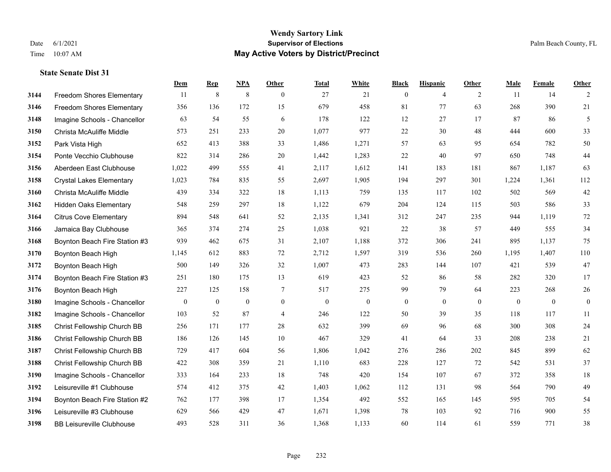#### **Wendy Sartory Link** Date 6/1/2021 **Supervisor of Elections** Palm Beach County, FL Time 10:07 AM **May Active Voters by District/Precinct**

## **Dem Rep NPA Other Total White Black Hispanic Other Male Female Other** Freedom Shores Elementary 11 8 8 0 27 21 0 4 2 11 14 2 Freedom Shores Elementary 356 136 172 15 679 458 81 77 63 268 390 21 Imagine Schools - Chancellor 63 54 55 6 178 122 12 27 17 87 86 5 Christa McAuliffe Middle 573 251 233 20 1,077 977 22 30 48 444 600 33 Park Vista High 652 413 388 33 1,486 1,271 57 63 95 654 782 50 Ponte Vecchio Clubhouse 822 314 286 20 1,442 1,283 22 40 97 650 748 44 Aberdeen East Clubhouse 1,022 499 555 41 2,117 1,612 141 183 181 867 1,187 63 Crystal Lakes Elementary 1,023 784 835 55 2,697 1,905 194 297 301 1,224 1,361 112 Christa McAuliffe Middle 439 334 322 18 1,113 759 135 117 102 502 569 42 Hidden Oaks Elementary 548 259 297 18 1,122 679 204 124 115 503 586 33 Citrus Cove Elementary 894 548 641 52 2,135 1,341 312 247 235 944 1,119 72 Jamaica Bay Clubhouse 365 374 274 25 1,038 921 22 38 57 449 555 34 Boynton Beach Fire Station #3 939 462 675 31 2,107 1,188 372 306 241 895 1,137 75 Boynton Beach High 1,145 612 883 72 2,712 1,597 319 536 260 1,195 1,407 110 Boynton Beach High 500 149 326 32 1,007 473 283 144 107 421 539 47 Boynton Beach Fire Station #3 251 180 175 13 619 423 52 86 58 282 320 17 Boynton Beach High 227 125 158 7 517 275 99 79 64 223 268 26 Imagine Schools - Chancellor 0 0 0 0 0 0 0 0 0 0 0 0 Imagine Schools - Chancellor 103 52 87 4 246 122 50 39 35 118 117 11 Christ Fellowship Church BB 256 171 177 28 632 399 69 96 68 300 308 24 Christ Fellowship Church BB 186 126 145 10 467 329 41 64 33 208 238 21 Christ Fellowship Church BB 729 417 604 56 1,806 1,042 276 286 202 845 899 62 Christ Fellowship Church BB 422 308 359 21 1,110 683 228 127 72 542 531 37 Imagine Schools - Chancellor 333 164 233 18 748 420 154 107 67 372 358 18 Leisureville #1 Clubhouse 574 412 375 42 1,403 1,062 112 131 98 564 790 49 Boynton Beach Fire Station #2 762 177 398 17 1,354 492 552 165 145 595 705 54 Leisureville #3 Clubhouse 629 566 429 47 1,671 1,398 78 103 92 716 900 55 BB Leisureville Clubhouse 493 528 311 36 1,368 1,133 60 114 61 559 771 38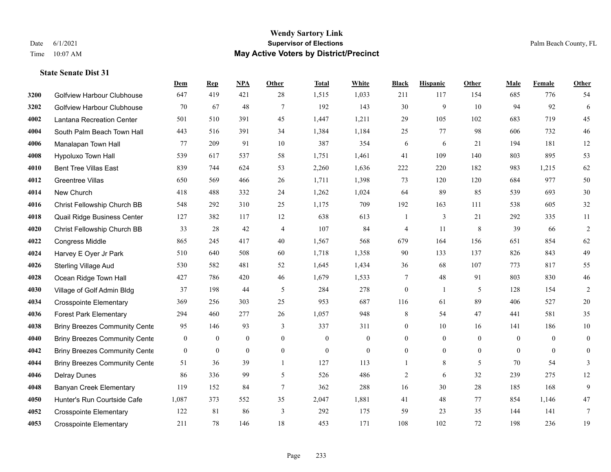|      |                                      | Dem              | <b>Rep</b>       | NPA              | <b>Other</b>     | <b>Total</b>     | <b>White</b>     | <b>Black</b>     | <b>Hispanic</b>  | Other            | <b>Male</b>  | <b>Female</b> | <b>Other</b>     |
|------|--------------------------------------|------------------|------------------|------------------|------------------|------------------|------------------|------------------|------------------|------------------|--------------|---------------|------------------|
| 3200 | Golfview Harbour Clubhouse           | 647              | 419              | 421              | 28               | 1,515            | 1,033            | 211              | 117              | 154              | 685          | 776           | 54               |
| 3202 | <b>Golfview Harbour Clubhouse</b>    | 70               | 67               | 48               | $7\phantom{.0}$  | 192              | 143              | 30               | 9                | 10               | 94           | 92            | 6                |
| 4002 | Lantana Recreation Center            | 501              | 510              | 391              | 45               | 1,447            | 1,211            | 29               | 105              | 102              | 683          | 719           | 45               |
| 4004 | South Palm Beach Town Hall           | 443              | 516              | 391              | 34               | 1,384            | 1,184            | 25               | 77               | 98               | 606          | 732           | 46               |
| 4006 | Manalapan Town Hall                  | 77               | 209              | 91               | 10               | 387              | 354              | 6                | 6                | 21               | 194          | 181           | 12               |
| 4008 | Hypoluxo Town Hall                   | 539              | 617              | 537              | 58               | 1,751            | 1,461            | 41               | 109              | 140              | 803          | 895           | 53               |
| 4010 | <b>Bent Tree Villas East</b>         | 839              | 744              | 624              | 53               | 2,260            | 1,636            | 222              | 220              | 182              | 983          | 1,215         | 62               |
| 4012 | <b>Greentree Villas</b>              | 650              | 569              | 466              | 26               | 1,711            | 1,398            | 73               | 120              | 120              | 684          | 977           | 50               |
| 4014 | New Church                           | 418              | 488              | 332              | 24               | 1,262            | 1,024            | 64               | 89               | 85               | 539          | 693           | $30\,$           |
| 4016 | Christ Fellowship Church BB          | 548              | 292              | 310              | 25               | 1,175            | 709              | 192              | 163              | 111              | 538          | 605           | 32               |
| 4018 | Quail Ridge Business Center          | 127              | 382              | 117              | 12               | 638              | 613              | 1                | 3                | 21               | 292          | 335           | 11               |
| 4020 | Christ Fellowship Church BB          | 33               | 28               | 42               | $\overline{4}$   | 107              | 84               | 4                | 11               | 8                | 39           | 66            | $\overline{2}$   |
| 4022 | Congress Middle                      | 865              | 245              | 417              | 40               | 1,567            | 568              | 679              | 164              | 156              | 651          | 854           | 62               |
| 4024 | Harvey E Oyer Jr Park                | 510              | 640              | 508              | 60               | 1,718            | 1,358            | 90               | 133              | 137              | 826          | 843           | 49               |
| 4026 | Sterling Village Aud                 | 530              | 582              | 481              | 52               | 1,645            | 1,434            | 36               | 68               | 107              | 773          | 817           | 55               |
| 4028 | Ocean Ridge Town Hall                | 427              | 786              | 420              | 46               | 1,679            | 1,533            | 7                | 48               | 91               | 803          | 830           | $46\,$           |
| 4030 | Village of Golf Admin Bldg           | 37               | 198              | 44               | 5                | 284              | 278              | $\mathbf{0}$     | 1                | 5                | 128          | 154           | 2                |
| 4034 | <b>Crosspointe Elementary</b>        | 369              | 256              | 303              | 25               | 953              | 687              | 116              | 61               | 89               | 406          | 527           | $20\,$           |
| 4036 | <b>Forest Park Elementary</b>        | 294              | 460              | 277              | 26               | 1,057            | 948              | 8                | 54               | 47               | 441          | 581           | 35               |
| 4038 | <b>Briny Breezes Community Cente</b> | 95               | 146              | 93               | 3                | 337              | 311              | 0                | 10               | 16               | 141          | 186           | 10               |
| 4040 | <b>Briny Breezes Community Cente</b> | $\mathbf{0}$     | $\mathbf{0}$     | $\mathbf{0}$     | $\theta$         | $\mathbf{0}$     | $\overline{0}$   | $\overline{0}$   | $\mathbf{0}$     | $\theta$         | $\theta$     | $\theta$      | $\mathbf{0}$     |
| 4042 | <b>Briny Breezes Community Cente</b> | $\boldsymbol{0}$ | $\boldsymbol{0}$ | $\boldsymbol{0}$ | $\boldsymbol{0}$ | $\boldsymbol{0}$ | $\boldsymbol{0}$ | $\boldsymbol{0}$ | $\boldsymbol{0}$ | $\boldsymbol{0}$ | $\mathbf{0}$ | $\mathbf{0}$  | $\boldsymbol{0}$ |
| 4044 | <b>Briny Breezes Community Cente</b> | 51               | 36               | 39               | $\mathbf{1}$     | 127              | 113              | $\mathbf{1}$     | 8                | 5                | 70           | 54            | 3                |
| 4046 | <b>Delray Dunes</b>                  | 86               | 336              | 99               | 5                | 526              | 486              | 2                | 6                | 32               | 239          | 275           | 12               |
| 4048 | <b>Banyan Creek Elementary</b>       | 119              | 152              | 84               | $7\phantom{.0}$  | 362              | 288              | 16               | 30               | 28               | 185          | 168           | 9                |
| 4050 | Hunter's Run Courtside Cafe          | 1,087            | 373              | 552              | 35               | 2,047            | 1,881            | 41               | 48               | 77               | 854          | 1,146         | $47\,$           |
| 4052 | <b>Crosspointe Elementary</b>        | 122              | 81               | 86               | 3                | 292              | 175              | 59               | 23               | 35               | 144          | 141           | 7                |
| 4053 | <b>Crosspointe Elementary</b>        | 211              | 78               | 146              | 18               | 453              | 171              | 108              | 102              | 72               | 198          | 236           | 19               |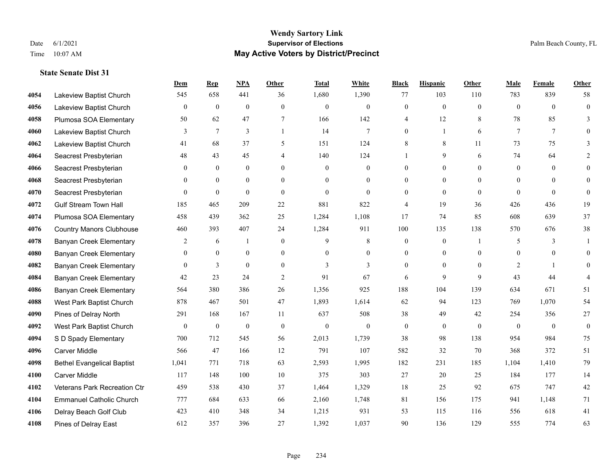|      |                                   | Dem            | <b>Rep</b>       | NPA              | <b>Other</b>     | <b>Total</b>     | <b>White</b>     | <b>Black</b>     | <b>Hispanic</b>  | <b>Other</b> | <b>Male</b>    | Female         | <b>Other</b>     |
|------|-----------------------------------|----------------|------------------|------------------|------------------|------------------|------------------|------------------|------------------|--------------|----------------|----------------|------------------|
| 4054 | Lakeview Baptist Church           | 545            | 658              | 441              | 36               | 1,680            | 1,390            | 77               | 103              | 110          | 783            | 839            | 58               |
| 4056 | Lakeview Baptist Church           | $\overline{0}$ | $\mathbf{0}$     | $\mathbf{0}$     | $\Omega$         | $\mathbf{0}$     | $\mathbf{0}$     | $\mathbf{0}$     | $\mathbf{0}$     | $\theta$     | $\theta$       | $\theta$       | $\overline{0}$   |
| 4058 | Plumosa SOA Elementary            | 50             | 62               | 47               | 7                | 166              | 142              | 4                | 12               | 8            | 78             | 85             | 3                |
| 4060 | Lakeview Baptist Church           | 3              | $7\phantom{.0}$  | 3                | $\mathbf{1}$     | 14               | 7                | $\overline{0}$   | $\mathbf{1}$     | 6            | $\overline{7}$ | $\tau$         | $\Omega$         |
| 4062 | Lakeview Baptist Church           | 41             | 68               | 37               | 5                | 151              | 124              | 8                | 8                | 11           | 73             | 75             | 3                |
| 4064 | Seacrest Presbyterian             | 48             | 43               | 45               | $\overline{4}$   | 140              | 124              |                  | 9                | 6            | 74             | 64             | 2                |
| 4066 | Seacrest Presbyterian             | $\mathbf{0}$   | $\mathbf{0}$     | $\mathbf{0}$     | $\theta$         | $\theta$         | $\overline{0}$   | $\overline{0}$   | $\overline{0}$   | $\theta$     | $\mathbf{0}$   | $\theta$       | $\theta$         |
| 4068 | Seacrest Presbyterian             | $\Omega$       | $\theta$         | $\theta$         | $\Omega$         | $\Omega$         | $\theta$         | $\Omega$         | $\Omega$         | $\Omega$     | $\Omega$       | $\Omega$       | $\Omega$         |
| 4070 | Seacrest Presbyterian             | $\overline{0}$ | $\boldsymbol{0}$ | $\mathbf{0}$     | $\mathbf{0}$     | $\theta$         | $\mathbf{0}$     | $\overline{0}$   | $\overline{0}$   | $\mathbf{0}$ | $\mathbf{0}$   | $\theta$       | $\Omega$         |
| 4072 | <b>Gulf Stream Town Hall</b>      | 185            | 465              | 209              | 22               | 881              | 822              | 4                | 19               | 36           | 426            | 436            | 19               |
| 4074 | Plumosa SOA Elementary            | 458            | 439              | 362              | 25               | 1,284            | 1,108            | 17               | 74               | 85           | 608            | 639            | 37               |
| 4076 | <b>Country Manors Clubhouse</b>   | 460            | 393              | 407              | 24               | 1,284            | 911              | 100              | 135              | 138          | 570            | 676            | 38               |
| 4078 | <b>Banyan Creek Elementary</b>    | 2              | 6                |                  | $\mathbf{0}$     | 9                | 8                | $\mathbf{0}$     | $\overline{0}$   | $\mathbf{1}$ | 5              | 3              |                  |
| 4080 | <b>Banyan Creek Elementary</b>    | $\mathbf{0}$   | $\boldsymbol{0}$ | $\boldsymbol{0}$ | $\boldsymbol{0}$ | $\boldsymbol{0}$ | $\overline{0}$   | $\boldsymbol{0}$ | $\boldsymbol{0}$ | $\mathbf{0}$ | $\mathbf{0}$   | $\mathbf{0}$   | $\overline{0}$   |
| 4082 | <b>Banyan Creek Elementary</b>    | $\theta$       | 3                | $\mathbf{0}$     | $\theta$         | 3                | 3                | $\overline{0}$   | $\overline{0}$   | $\Omega$     | 2              | $\mathbf{1}$   | $\overline{0}$   |
| 4084 | <b>Banyan Creek Elementary</b>    | 42             | 23               | 24               | $\overline{2}$   | 91               | 67               | 6                | 9                | $\mathbf{Q}$ | 43             | 44             | 4                |
| 4086 | <b>Banyan Creek Elementary</b>    | 564            | 380              | 386              | 26               | 1,356            | 925              | 188              | 104              | 139          | 634            | 671            | 51               |
| 4088 | West Park Baptist Church          | 878            | 467              | 501              | 47               | 1,893            | 1,614            | 62               | 94               | 123          | 769            | 1,070          | 54               |
| 4090 | Pines of Delray North             | 291            | 168              | 167              | 11               | 637              | 508              | 38               | 49               | 42           | 254            | 356            | 27               |
| 4092 | West Park Baptist Church          | $\bf{0}$       | $\boldsymbol{0}$ | $\boldsymbol{0}$ | $\mathbf{0}$     | $\boldsymbol{0}$ | $\boldsymbol{0}$ | $\boldsymbol{0}$ | $\boldsymbol{0}$ | $\mathbf{0}$ | $\mathbf{0}$   | $\overline{0}$ | $\boldsymbol{0}$ |
| 4094 | S D Spady Elementary              | 700            | 712              | 545              | 56               | 2,013            | 1,739            | 38               | 98               | 138          | 954            | 984            | 75               |
| 4096 | <b>Carver Middle</b>              | 566            | 47               | 166              | 12               | 791              | 107              | 582              | 32               | 70           | 368            | 372            | 51               |
| 4098 | <b>Bethel Evangelical Baptist</b> | 1,041          | 771              | 718              | 63               | 2,593            | 1,995            | 182              | 231              | 185          | 1,104          | 1,410          | 79               |
| 4100 | <b>Carver Middle</b>              | 117            | 148              | 100              | 10               | 375              | 303              | 27               | 20               | 25           | 184            | 177            | 14               |
| 4102 | Veterans Park Recreation Ctr      | 459            | 538              | 430              | 37               | 1,464            | 1,329            | 18               | 25               | 92           | 675            | 747            | 42               |
| 4104 | <b>Emmanuel Catholic Church</b>   | 777            | 684              | 633              | 66               | 2,160            | 1,748            | 81               | 156              | 175          | 941            | 1,148          | 71               |
| 4106 | Delray Beach Golf Club            | 423            | 410              | 348              | 34               | 1,215            | 931              | 53               | 115              | 116          | 556            | 618            | 41               |
| 4108 | Pines of Delray East              | 612            | 357              | 396              | 27               | 1,392            | 1,037            | 90               | 136              | 129          | 555            | 774            | 63               |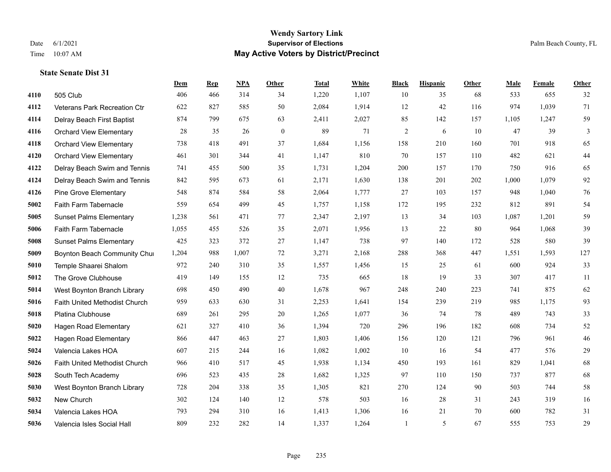|      |                                | <b>Dem</b> | <b>Rep</b> | NPA   | Other            | <b>Total</b> | White | <b>Black</b>   | <b>Hispanic</b> | Other | <b>Male</b> | Female | <b>Other</b> |
|------|--------------------------------|------------|------------|-------|------------------|--------------|-------|----------------|-----------------|-------|-------------|--------|--------------|
| 4110 | 505 Club                       | 406        | 466        | 314   | 34               | 1,220        | 1,107 | 10             | 35              | 68    | 533         | 655    | 32           |
| 4112 | Veterans Park Recreation Ctr   | 622        | 827        | 585   | 50               | 2,084        | 1,914 | 12             | 42              | 116   | 974         | 1,039  | 71           |
| 4114 | Delray Beach First Baptist     | 874        | 799        | 675   | 63               | 2,411        | 2,027 | 85             | 142             | 157   | 1,105       | 1,247  | 59           |
| 4116 | <b>Orchard View Elementary</b> | 28         | 35         | 26    | $\boldsymbol{0}$ | 89           | 71    | $\overline{c}$ | 6               | 10    | 47          | 39     | 3            |
| 4118 | <b>Orchard View Elementary</b> | 738        | 418        | 491   | 37               | 1,684        | 1,156 | 158            | 210             | 160   | 701         | 918    | 65           |
| 4120 | <b>Orchard View Elementary</b> | 461        | 301        | 344   | 41               | 1,147        | 810   | 70             | 157             | 110   | 482         | 621    | $44\,$       |
| 4122 | Delray Beach Swim and Tennis   | 741        | 455        | 500   | 35               | 1,731        | 1,204 | 200            | 157             | 170   | 750         | 916    | 65           |
| 4124 | Delray Beach Swim and Tennis   | 842        | 595        | 673   | 61               | 2,171        | 1,630 | 138            | 201             | 202   | 1,000       | 1,079  | 92           |
| 4126 | <b>Pine Grove Elementary</b>   | 548        | 874        | 584   | 58               | 2,064        | 1,777 | 27             | 103             | 157   | 948         | 1,040  | 76           |
| 5002 | Faith Farm Tabernacle          | 559        | 654        | 499   | 45               | 1,757        | 1,158 | 172            | 195             | 232   | 812         | 891    | 54           |
| 5005 | <b>Sunset Palms Elementary</b> | 1,238      | 561        | 471   | 77               | 2,347        | 2,197 | 13             | 34              | 103   | 1,087       | 1,201  | 59           |
| 5006 | Faith Farm Tabernacle          | 1,055      | 455        | 526   | 35               | 2,071        | 1,956 | 13             | 22              | 80    | 964         | 1,068  | 39           |
| 5008 | <b>Sunset Palms Elementary</b> | 425        | 323        | 372   | 27               | 1,147        | 738   | 97             | 140             | 172   | 528         | 580    | 39           |
| 5009 | Boynton Beach Community Chur   | 1,204      | 988        | 1,007 | 72               | 3,271        | 2,168 | 288            | 368             | 447   | 1,551       | 1,593  | 127          |
| 5010 | Temple Shaarei Shalom          | 972        | 240        | 310   | 35               | 1,557        | 1,456 | 15             | 25              | 61    | 600         | 924    | 33           |
| 5012 | The Grove Clubhouse            | 419        | 149        | 155   | 12               | 735          | 665   | 18             | 19              | 33    | 307         | 417    | 11           |
| 5014 | West Boynton Branch Library    | 698        | 450        | 490   | 40               | 1,678        | 967   | 248            | 240             | 223   | 741         | 875    | 62           |
| 5016 | Faith United Methodist Church  | 959        | 633        | 630   | 31               | 2,253        | 1,641 | 154            | 239             | 219   | 985         | 1,175  | 93           |
| 5018 | Platina Clubhouse              | 689        | 261        | 295   | $20\,$           | 1,265        | 1,077 | 36             | 74              | 78    | 489         | 743    | 33           |
| 5020 | <b>Hagen Road Elementary</b>   | 621        | 327        | 410   | 36               | 1,394        | 720   | 296            | 196             | 182   | 608         | 734    | $52\,$       |
| 5022 | <b>Hagen Road Elementary</b>   | 866        | 447        | 463   | 27               | 1,803        | 1,406 | 156            | 120             | 121   | 796         | 961    | 46           |
| 5024 | Valencia Lakes HOA             | 607        | 215        | 244   | 16               | 1,082        | 1,002 | 10             | 16              | 54    | 477         | 576    | $29\,$       |
| 5026 | Faith United Methodist Church  | 966        | 410        | 517   | 45               | 1,938        | 1,134 | 450            | 193             | 161   | 829         | 1,041  | 68           |
| 5028 | South Tech Academy             | 696        | 523        | 435   | 28               | 1,682        | 1,325 | 97             | 110             | 150   | 737         | 877    | 68           |
| 5030 | West Boynton Branch Library    | 728        | 204        | 338   | 35               | 1,305        | 821   | 270            | 124             | 90    | 503         | 744    | 58           |
| 5032 | New Church                     | 302        | 124        | 140   | 12               | 578          | 503   | 16             | 28              | 31    | 243         | 319    | 16           |
| 5034 | Valencia Lakes HOA             | 793        | 294        | 310   | 16               | 1,413        | 1,306 | 16             | 21              | 70    | 600         | 782    | 31           |
| 5036 | Valencia Isles Social Hall     | 809        | 232        | 282   | 14               | 1,337        | 1,264 |                | 5               | 67    | 555         | 753    | 29           |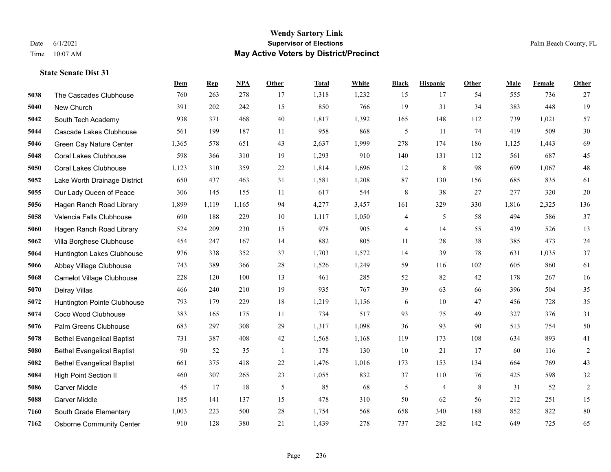|      |                                   | Dem   | <b>Rep</b> | NPA   | <b>Other</b>   | <b>Total</b> | White | <b>Black</b> | <b>Hispanic</b> | <b>Other</b> | <b>Male</b> | Female | <b>Other</b>     |
|------|-----------------------------------|-------|------------|-------|----------------|--------------|-------|--------------|-----------------|--------------|-------------|--------|------------------|
| 5038 | The Cascades Clubhouse            | 760   | 263        | 278   | 17             | 1,318        | 1,232 | 15           | 17              | 54           | 555         | 736    | 27               |
| 5040 | New Church                        | 391   | 202        | 242   | 15             | 850          | 766   | 19           | 31              | 34           | 383         | 448    | 19               |
| 5042 | South Tech Academy                | 938   | 371        | 468   | 40             | 1,817        | 1,392 | 165          | 148             | 112          | 739         | 1,021  | 57               |
| 5044 | Cascade Lakes Clubhouse           | 561   | 199        | 187   | 11             | 958          | 868   | 5            | 11              | 74           | 419         | 509    | $30\,$           |
| 5046 | Green Cay Nature Center           | 1,365 | 578        | 651   | 43             | 2,637        | 1,999 | 278          | 174             | 186          | 1,125       | 1,443  | 69               |
| 5048 | <b>Coral Lakes Clubhouse</b>      | 598   | 366        | 310   | 19             | 1,293        | 910   | 140          | 131             | 112          | 561         | 687    | 45               |
| 5050 | <b>Coral Lakes Clubhouse</b>      | 1,123 | 310        | 359   | 22             | 1,814        | 1,696 | 12           | $\,$ 8 $\,$     | 98           | 699         | 1,067  | $48\,$           |
| 5052 | Lake Worth Drainage District      | 650   | 437        | 463   | 31             | 1,581        | 1,208 | 87           | 130             | 156          | 685         | 835    | 61               |
| 5055 | Our Lady Queen of Peace           | 306   | 145        | 155   | 11             | 617          | 544   | $\,$ 8 $\,$  | 38              | 27           | 277         | 320    | $20\,$           |
| 5056 | Hagen Ranch Road Library          | 1,899 | 1,119      | 1,165 | 94             | 4,277        | 3,457 | 161          | 329             | 330          | 1,816       | 2,325  | 136              |
| 5058 | Valencia Falls Clubhouse          | 690   | 188        | 229   | 10             | 1,117        | 1,050 | 4            | 5               | 58           | 494         | 586    | 37               |
| 5060 | Hagen Ranch Road Library          | 524   | 209        | 230   | 15             | 978          | 905   | 4            | 14              | 55           | 439         | 526    | 13               |
| 5062 | Villa Borghese Clubhouse          | 454   | 247        | 167   | 14             | 882          | 805   | 11           | 28              | 38           | 385         | 473    | 24               |
| 5064 | Huntington Lakes Clubhouse        | 976   | 338        | 352   | 37             | 1,703        | 1,572 | 14           | 39              | 78           | 631         | 1,035  | 37               |
| 5066 | Abbey Village Clubhouse           | 743   | 389        | 366   | 28             | 1,526        | 1,249 | 59           | 116             | 102          | 605         | 860    | 61               |
| 5068 | Camelot Village Clubhouse         | 228   | 120        | 100   | 13             | 461          | 285   | 52           | 82              | 42           | 178         | 267    | 16               |
| 5070 | Delray Villas                     | 466   | 240        | 210   | 19             | 935          | 767   | 39           | 63              | 66           | 396         | 504    | 35               |
| 5072 | Huntington Pointe Clubhouse       | 793   | 179        | 229   | 18             | 1,219        | 1,156 | 6            | 10              | 47           | 456         | 728    | 35               |
| 5074 | Coco Wood Clubhouse               | 383   | 165        | 175   | 11             | 734          | 517   | 93           | 75              | 49           | 327         | 376    | 31               |
| 5076 | Palm Greens Clubhouse             | 683   | 297        | 308   | 29             | 1,317        | 1,098 | 36           | 93              | 90           | 513         | 754    | 50               |
| 5078 | <b>Bethel Evangelical Baptist</b> | 731   | 387        | 408   | 42             | 1,568        | 1,168 | 119          | 173             | 108          | 634         | 893    | 41               |
| 5080 | <b>Bethel Evangelical Baptist</b> | 90    | 52         | 35    | $\overline{1}$ | 178          | 130   | 10           | 21              | 17           | 60          | 116    | $\boldsymbol{2}$ |
| 5082 | <b>Bethel Evangelical Baptist</b> | 661   | 375        | 418   | 22             | 1,476        | 1,016 | 173          | 153             | 134          | 664         | 769    | 43               |
| 5084 | <b>High Point Section II</b>      | 460   | 307        | 265   | 23             | 1,055        | 832   | 37           | 110             | 76           | 425         | 598    | $32\,$           |
| 5086 | <b>Carver Middle</b>              | 45    | 17         | 18    | 5              | 85           | 68    | 5            | 4               | 8            | 31          | 52     | $\overline{2}$   |
| 5088 | <b>Carver Middle</b>              | 185   | 141        | 137   | 15             | 478          | 310   | 50           | 62              | 56           | 212         | 251    | 15               |
| 7160 | South Grade Elementary            | 1,003 | 223        | 500   | 28             | 1,754        | 568   | 658          | 340             | 188          | 852         | 822    | 80               |
| 7162 | <b>Osborne Community Center</b>   | 910   | 128        | 380   | 21             | 1,439        | 278   | 737          | 282             | 142          | 649         | 725    | 65               |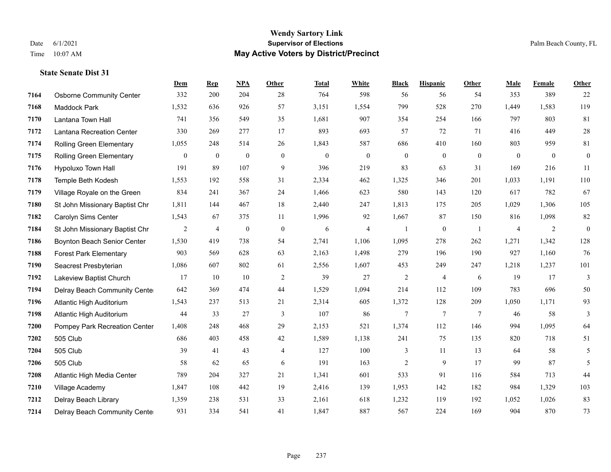|      |                                  | <b>Dem</b>     | <b>Rep</b>     | <b>NPA</b>       | Other          | <b>Total</b> | White          | <b>Black</b>     | <b>Hispanic</b>  | Other          | Male           | Female         | Other            |
|------|----------------------------------|----------------|----------------|------------------|----------------|--------------|----------------|------------------|------------------|----------------|----------------|----------------|------------------|
| 7164 | <b>Osborne Community Center</b>  | 332            | 200            | 204              | 28             | 764          | 598            | 56               | 56               | 54             | 353            | 389            | 22               |
| 7168 | Maddock Park                     | 1,532          | 636            | 926              | 57             | 3,151        | 1,554          | 799              | 528              | 270            | 1,449          | 1,583          | 119              |
| 7170 | Lantana Town Hall                | 741            | 356            | 549              | 35             | 1,681        | 907            | 354              | 254              | 166            | 797            | 803            | $81\,$           |
| 7172 | <b>Lantana Recreation Center</b> | 330            | 269            | 277              | 17             | 893          | 693            | 57               | 72               | 71             | 416            | 449            | $28\,$           |
| 7174 | Rolling Green Elementary         | 1,055          | 248            | 514              | 26             | 1,843        | 587            | 686              | 410              | 160            | 803            | 959            | 81               |
| 7175 | Rolling Green Elementary         | $\overline{0}$ | $\overline{0}$ | $\mathbf{0}$     | $\mathbf{0}$   | $\theta$     | $\overline{0}$ | $\boldsymbol{0}$ | $\mathbf{0}$     | $\theta$       | $\theta$       | $\overline{0}$ | $\boldsymbol{0}$ |
| 7176 | Hypoluxo Town Hall               | 191            | 89             | 107              | 9              | 396          | 219            | 83               | 63               | 31             | 169            | 216            | 11               |
| 7178 | Temple Beth Kodesh               | 1,553          | 192            | 558              | 31             | 2,334        | 462            | 1,325            | 346              | 201            | 1,033          | 1,191          | 110              |
| 7179 | Village Royale on the Green      | 834            | 241            | 367              | 24             | 1,466        | 623            | 580              | 143              | 120            | 617            | 782            | 67               |
| 7180 | St John Missionary Baptist Chr   | 1,811          | 144            | 467              | 18             | 2,440        | 247            | 1,813            | 175              | 205            | 1,029          | 1,306          | 105              |
| 7182 | Carolyn Sims Center              | 1,543          | 67             | 375              | 11             | 1,996        | 92             | 1,667            | 87               | 150            | 816            | 1,098          | 82               |
| 7184 | St John Missionary Baptist Chr   | $\overline{c}$ | $\overline{4}$ | $\boldsymbol{0}$ | $\mathbf{0}$   | 6            | $\overline{4}$ | 1                | $\boldsymbol{0}$ | -1             | $\overline{4}$ | 2              | $\boldsymbol{0}$ |
| 7186 | Boynton Beach Senior Center      | 1,530          | 419            | 738              | 54             | 2,741        | 1,106          | 1,095            | 278              | 262            | 1,271          | 1,342          | 128              |
| 7188 | <b>Forest Park Elementary</b>    | 903            | 569            | 628              | 63             | 2,163        | 1,498          | 279              | 196              | 190            | 927            | 1,160          | 76               |
| 7190 | Seacrest Presbyterian            | 1,086          | 607            | 802              | 61             | 2,556        | 1,607          | 453              | 249              | 247            | 1,218          | 1,237          | 101              |
| 7192 | Lakeview Baptist Church          | 17             | 10             | 10               | $\overline{c}$ | 39           | 27             | $\overline{c}$   | 4                | 6              | 19             | 17             | 3                |
| 7194 | Delray Beach Community Cente     | 642            | 369            | 474              | 44             | 1,529        | 1,094          | 214              | 112              | 109            | 783            | 696            | 50               |
| 7196 | Atlantic High Auditorium         | 1,543          | 237            | 513              | 21             | 2,314        | 605            | 1,372            | 128              | 209            | 1,050          | 1,171          | 93               |
| 7198 | Atlantic High Auditorium         | 44             | 33             | 27               | 3              | 107          | 86             | $\overline{7}$   | $7\phantom{.0}$  | $\overline{7}$ | 46             | 58             | 3                |
| 7200 | Pompey Park Recreation Center    | 1,408          | 248            | 468              | 29             | 2,153        | 521            | 1,374            | 112              | 146            | 994            | 1,095          | 64               |
| 7202 | 505 Club                         | 686            | 403            | 458              | 42             | 1,589        | 1,138          | 241              | 75               | 135            | 820            | 718            | 51               |
| 7204 | 505 Club                         | 39             | 41             | 43               | $\overline{4}$ | 127          | 100            | 3                | 11               | 13             | 64             | 58             | 5                |
| 7206 | 505 Club                         | 58             | 62             | 65               | 6              | 191          | 163            | $\overline{c}$   | 9                | 17             | 99             | 87             | 5                |
| 7208 | Atlantic High Media Center       | 789            | 204            | 327              | 21             | 1,341        | 601            | 533              | 91               | 116            | 584            | 713            | 44               |
| 7210 | Village Academy                  | 1,847          | 108            | 442              | 19             | 2,416        | 139            | 1,953            | 142              | 182            | 984            | 1,329          | 103              |
| 7212 | Delray Beach Library             | 1,359          | 238            | 531              | 33             | 2,161        | 618            | 1,232            | 119              | 192            | 1,052          | 1,026          | 83               |
| 7214 | Delray Beach Community Cente     | 931            | 334            | 541              | 41             | 1,847        | 887            | 567              | 224              | 169            | 904            | 870            | 73               |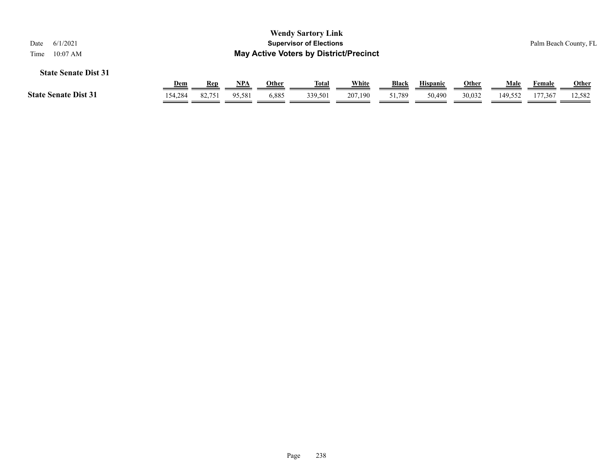| 6/1/2021<br>Date<br>$10:07$ AM<br>Time                                                          |                       |               |        |       | <b>Wendy Sartory Link</b><br><b>Supervisor of Elections</b><br><b>May Active Voters by District/Precinct</b> |         |        |        |                        |         |                   | Palm Beach County, FL  |
|-------------------------------------------------------------------------------------------------|-----------------------|---------------|--------|-------|--------------------------------------------------------------------------------------------------------------|---------|--------|--------|------------------------|---------|-------------------|------------------------|
| <b>State Senate Dist 31</b><br>White<br><b>Black</b><br>NPA<br>Other<br><b>Hispanic</b><br>Male |                       |               |        |       |                                                                                                              |         |        |        |                        |         |                   |                        |
| <b>State Senate Dist 31</b>                                                                     | <b>Dem</b><br>154,284 | Rep<br>82,751 | 95,581 | 6,885 | <u>Total</u><br>339.501                                                                                      | 207,190 | 51.789 | 50,490 | <b>Other</b><br>30,032 | 149.552 | Female<br>177,367 | <b>Other</b><br>12,582 |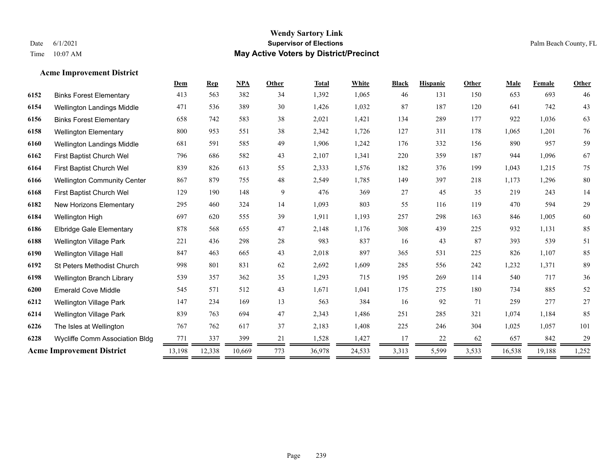**Acme Improvement District**

## **Wendy Sartory Link** Date 6/1/2021 **Supervisor of Elections** Palm Beach County, FL Time 10:07 AM **May Active Voters by District/Precinct**

|      |                                    | Dem    | <b>Rep</b> | <b>NPA</b> | Other | <b>Total</b> | White  | <b>Black</b> | <b>Hispanic</b> | Other | Male   | Female | Other  |
|------|------------------------------------|--------|------------|------------|-------|--------------|--------|--------------|-----------------|-------|--------|--------|--------|
| 6152 | <b>Binks Forest Elementary</b>     | 413    | 563        | 382        | 34    | 1,392        | 1,065  | 46           | 131             | 150   | 653    | 693    | 46     |
| 6154 | Wellington Landings Middle         | 471    | 536        | 389        | 30    | 1,426        | 1,032  | 87           | 187             | 120   | 641    | 742    | 43     |
| 6156 | <b>Binks Forest Elementary</b>     | 658    | 742        | 583        | 38    | 2,021        | 1,421  | 134          | 289             | 177   | 922    | 1,036  | 63     |
| 6158 | <b>Wellington Elementary</b>       | 800    | 953        | 551        | 38    | 2,342        | 1,726  | 127          | 311             | 178   | 1,065  | 1,201  | $76\,$ |
| 6160 | Wellington Landings Middle         | 681    | 591        | 585        | 49    | 1,906        | 1,242  | 176          | 332             | 156   | 890    | 957    | 59     |
| 6162 | First Baptist Church Wel           | 796    | 686        | 582        | 43    | 2,107        | 1,341  | 220          | 359             | 187   | 944    | 1,096  | 67     |
| 6164 | First Baptist Church Wel           | 839    | 826        | 613        | 55    | 2,333        | 1,576  | 182          | 376             | 199   | 1,043  | 1,215  | 75     |
| 6166 | <b>Wellington Community Center</b> | 867    | 879        | 755        | 48    | 2,549        | 1,785  | 149          | 397             | 218   | 1,173  | 1,296  | $80\,$ |
| 6168 | First Baptist Church Wel           | 129    | 190        | 148        | 9     | 476          | 369    | 27           | 45              | 35    | 219    | 243    | 14     |
| 6182 | New Horizons Elementary            | 295    | 460        | 324        | 14    | 1,093        | 803    | 55           | 116             | 119   | 470    | 594    | 29     |
| 6184 | Wellington High                    | 697    | 620        | 555        | 39    | 1,911        | 1,193  | 257          | 298             | 163   | 846    | 1,005  | 60     |
| 6186 | <b>Elbridge Gale Elementary</b>    | 878    | 568        | 655        | 47    | 2,148        | 1,176  | 308          | 439             | 225   | 932    | 1,131  | 85     |
| 6188 | <b>Wellington Village Park</b>     | 221    | 436        | 298        | 28    | 983          | 837    | 16           | 43              | 87    | 393    | 539    | 51     |
| 6190 | Wellington Village Hall            | 847    | 463        | 665        | 43    | 2,018        | 897    | 365          | 531             | 225   | 826    | 1,107  | 85     |
| 6192 | <b>St Peters Methodist Church</b>  | 998    | 801        | 831        | 62    | 2,692        | 1,609  | 285          | 556             | 242   | 1,232  | 1,371  | 89     |
| 6198 | Wellington Branch Library          | 539    | 357        | 362        | 35    | 1,293        | 715    | 195          | 269             | 114   | 540    | 717    | 36     |
| 6200 | <b>Emerald Cove Middle</b>         | 545    | 571        | 512        | 43    | 1,671        | 1,041  | 175          | 275             | 180   | 734    | 885    | 52     |
| 6212 | Wellington Village Park            | 147    | 234        | 169        | 13    | 563          | 384    | 16           | 92              | 71    | 259    | 277    | $27\,$ |
| 6214 | <b>Wellington Village Park</b>     | 839    | 763        | 694        | 47    | 2,343        | 1,486  | 251          | 285             | 321   | 1,074  | 1,184  | 85     |
| 6226 | The Isles at Wellington            | 767    | 762        | 617        | 37    | 2,183        | 1,408  | 225          | 246             | 304   | 1,025  | 1,057  | 101    |
| 6228 | Wycliffe Comm Association Bldg     | 771    | 337        | 399        | 21    | 1,528        | 1,427  | 17           | 22              | 62    | 657    | 842    | 29     |
|      | <b>Acme Improvement District</b>   | 13,198 | 12,338     | 10,669     | 773   | 36,978       | 24,533 | 3,313        | 5,599           | 3,533 | 16,538 | 19,188 | 1,252  |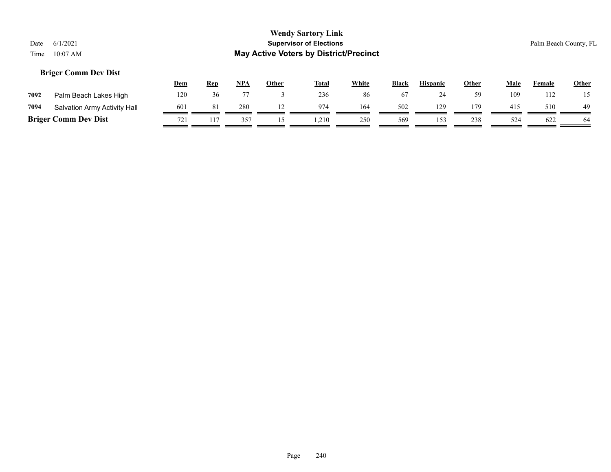## **Briger Comm Dev Dist**

|      |                              | <u>Dem</u> | <b>Rep</b> | <b>NPA</b> | Other | <b>Total</b> | <b>White</b> | <b>Black</b> | <b>Hispanic</b> | Other | Male | Female | <b>Other</b> |
|------|------------------------------|------------|------------|------------|-------|--------------|--------------|--------------|-----------------|-------|------|--------|--------------|
| 7092 | Palm Beach Lakes High        | 120        | 36         |            |       | 236          | 86           |              | ∠⊤              | 59    | 109  | 112    | 15           |
| 7094 | Salvation Army Activity Hall | 601        | 81         | 280        |       | 974          | 164          | 502          | 129             | 179   | 415  | 510    | 49           |
|      | <b>Briger Comm Dev Dist</b>  | 721        |            | 357        |       | .210         | 250          | 569          | 153             | 238   | 524  | 622    |              |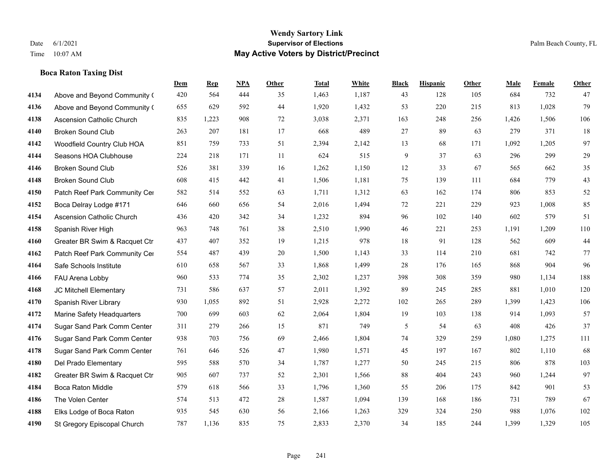**Boca Raton Taxing Dist**

#### **Wendy Sartory Link** Date 6/1/2021 **Supervisor of Elections** Palm Beach County, FL Time 10:07 AM **May Active Voters by District/Precinct**

Above and Beyond Community Church 420 564 444 35 1,463 1,187 43 128 105 684 732 47

**Dem Rep NPA Other Total White Black Hispanic Other Male Female Other**

## Above and Beyond Community Church 655 629 592 44 1,920 1,432 53 220 215 813 1,028 79 Ascension Catholic Church 835 1,223 908 72 3,038 2,371 163 248 256 1,426 1,506 106 Broken Sound Club 263 207 181 17 668 489 27 89 63 279 371 18 Woodfield Country Club HOA 851 759 733 51 2,394 2,142 13 68 171 1,092 1,205 97 Seasons HOA Clubhouse 224 218 171 11 624 515 9 37 63 296 299 29 Broken Sound Club 526 381 339 16 1,262 1,150 12 33 67 565 662 35 Broken Sound Club 608 415 442 41 1,506 1,181 75 139 111 684 779 43 4150 Patch Reef Park Community Center 582 514 552 63 1,711 1,312 63 162 174 806 853 52 Boca Delray Lodge #171 646 660 656 54 2,016 1,494 72 221 229 923 1,008 85 Ascension Catholic Church 436 420 342 34 1,232 894 96 102 140 602 579 51 Spanish River High 963 748 761 38 2,510 1,990 46 221 253 1,191 1,209 110 Greater BR Swim & Racquet Ctr 437 407 352 19 1,215 978 18 91 128 562 609 44 4162 Patch Reef Park Community Center 554 487 439 20 1,500 1,143 33 114 210 681 742 77 Safe Schools Institute 610 658 567 33 1,868 1,499 28 176 165 868 904 96 FAU Arena Lobby 960 533 774 35 2,302 1,237 398 308 359 980 1,134 188 JC Mitchell Elementary 731 586 637 57 2,011 1,392 89 245 285 881 1,010 120 Spanish River Library 930 1,055 892 51 2,928 2,272 102 265 289 1,399 1,423 106 Marine Safety Headquarters 700 699 603 62 2,064 1,804 19 103 138 914 1,093 57 Sugar Sand Park Comm Center 311 279 266 15 871 749 5 54 63 408 426 37 Sugar Sand Park Comm Center 938 703 756 69 2,466 1,804 74 329 259 1,080 1,275 111 Sugar Sand Park Comm Center 761 646 526 47 1,980 1,571 45 197 167 802 1,110 68 Del Prado Elementary 595 588 570 34 1,787 1,277 50 245 215 806 878 103

 Greater BR Swim & Racquet Ctr 905 607 737 52 2,301 1,566 88 404 243 960 1,244 97 Boca Raton Middle 579 618 566 33 1,796 1,360 55 206 175 842 901 53 The Volen Center 574 513 472 28 1,587 1,094 139 168 186 731 789 67 Elks Lodge of Boca Raton 935 545 630 56 2,166 1,263 329 324 250 988 1,076 102 St Gregory Episcopal Church 787 1,136 835 75 2,833 2,370 34 185 244 1,399 1,329 105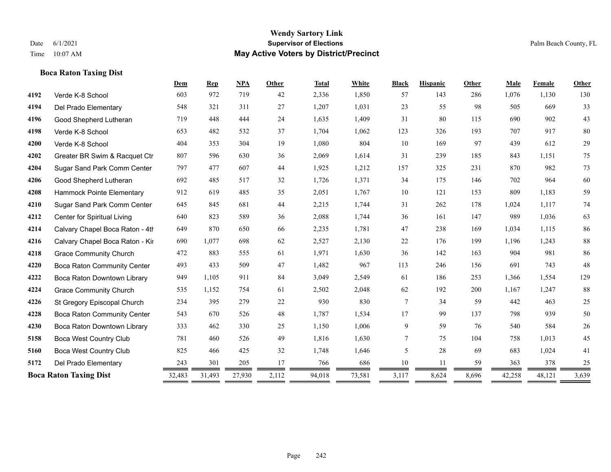## **Boca Raton Taxing Dist**

|      |                                 | Dem    | <b>Rep</b> | <b>NPA</b> | <b>Other</b> | <b>Total</b> | White  | <b>Black</b> | <b>Hispanic</b> | Other | Male   | Female | Other  |
|------|---------------------------------|--------|------------|------------|--------------|--------------|--------|--------------|-----------------|-------|--------|--------|--------|
| 4192 | Verde K-8 School                | 603    | 972        | 719        | 42           | 2,336        | 1,850  | 57           | 143             | 286   | 1,076  | 1,130  | 130    |
| 4194 | Del Prado Elementary            | 548    | 321        | 311        | 27           | 1,207        | 1,031  | 23           | 55              | 98    | 505    | 669    | 33     |
| 4196 | Good Shepherd Lutheran          | 719    | 448        | 444        | 24           | 1,635        | 1,409  | 31           | 80              | 115   | 690    | 902    | 43     |
| 4198 | Verde K-8 School                | 653    | 482        | 532        | 37           | 1,704        | 1,062  | 123          | 326             | 193   | 707    | 917    | $80\,$ |
| 4200 | Verde K-8 School                | 404    | 353        | 304        | 19           | 1,080        | 804    | 10           | 169             | 97    | 439    | 612    | 29     |
| 4202 | Greater BR Swim & Racquet Ctr   | 807    | 596        | 630        | 36           | 2,069        | 1,614  | 31           | 239             | 185   | 843    | 1,151  | 75     |
| 4204 | Sugar Sand Park Comm Center     | 797    | 477        | 607        | 44           | 1,925        | 1,212  | 157          | 325             | 231   | 870    | 982    | 73     |
| 4206 | Good Shepherd Lutheran          | 692    | 485        | 517        | 32           | 1,726        | 1,371  | 34           | 175             | 146   | 702    | 964    | 60     |
| 4208 | Hammock Pointe Elementary       | 912    | 619        | 485        | 35           | 2,051        | 1,767  | 10           | 121             | 153   | 809    | 1,183  | 59     |
| 4210 | Sugar Sand Park Comm Center     | 645    | 845        | 681        | 44           | 2,215        | 1,744  | 31           | 262             | 178   | 1,024  | 1,117  | $74\,$ |
| 4212 | Center for Spiritual Living     | 640    | 823        | 589        | 36           | 2,088        | 1,744  | 36           | 161             | 147   | 989    | 1,036  | 63     |
| 4214 | Calvary Chapel Boca Raton - 4th | 649    | 870        | 650        | 66           | 2,235        | 1,781  | 47           | 238             | 169   | 1,034  | 1,115  | 86     |
| 4216 | Calvary Chapel Boca Raton - Kir | 690    | 1,077      | 698        | 62           | 2,527        | 2,130  | $22\,$       | 176             | 199   | 1,196  | 1,243  | $88\,$ |
| 4218 | <b>Grace Community Church</b>   | 472    | 883        | 555        | 61           | 1,971        | 1,630  | 36           | 142             | 163   | 904    | 981    | 86     |
| 4220 | Boca Raton Community Center     | 493    | 433        | 509        | 47           | 1,482        | 967    | 113          | 246             | 156   | 691    | 743    | 48     |
| 4222 | Boca Raton Downtown Library     | 949    | 1,105      | 911        | 84           | 3,049        | 2,549  | 61           | 186             | 253   | 1,366  | 1,554  | 129    |
| 4224 | <b>Grace Community Church</b>   | 535    | 1,152      | 754        | 61           | 2,502        | 2,048  | 62           | 192             | 200   | 1,167  | 1,247  | $88\,$ |
| 4226 | St Gregory Episcopal Church     | 234    | 395        | 279        | 22           | 930          | 830    | $\tau$       | 34              | 59    | 442    | 463    | 25     |
| 4228 | Boca Raton Community Center     | 543    | 670        | 526        | 48           | 1,787        | 1,534  | 17           | 99              | 137   | 798    | 939    | 50     |
| 4230 | Boca Raton Downtown Library     | 333    | 462        | 330        | 25           | 1,150        | 1,006  | 9            | 59              | 76    | 540    | 584    | 26     |
| 5158 | <b>Boca West Country Club</b>   | 781    | 460        | 526        | 49           | 1,816        | 1,630  | 7            | 75              | 104   | 758    | 1,013  | 45     |
| 5160 | <b>Boca West Country Club</b>   | 825    | 466        | 425        | 32           | 1,748        | 1,646  | 5            | 28              | 69    | 683    | 1,024  | 41     |
| 5172 | Del Prado Elementary            | 243    | 301        | 205        | 17           | 766          | 686    | 10           | 11              | 59    | 363    | 378    | 25     |
|      | <b>Boca Raton Taxing Dist</b>   | 32,483 | 31,493     | 27,930     | 2,112        | 94,018       | 73,581 | 3,117        | 8,624           | 8,696 | 42,258 | 48,121 | 3,639  |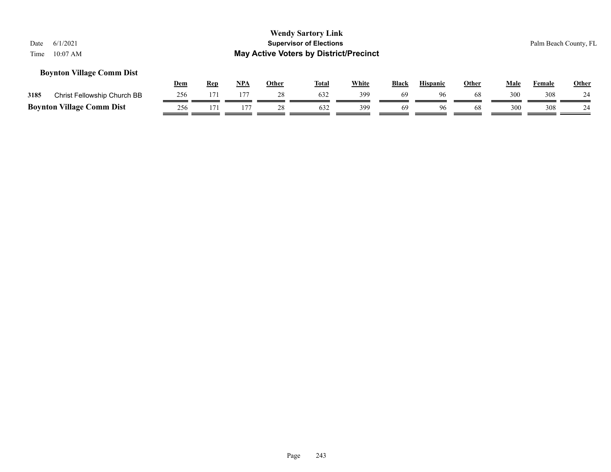## **Boynton Village Comm Dist**

|      |                                  | Dem | <b>Rep</b> | <b>NPA</b> | Other | Total | White | <b>Black</b> | <b>Hispanic</b> | Other | Male | Female | Other |
|------|----------------------------------|-----|------------|------------|-------|-------|-------|--------------|-----------------|-------|------|--------|-------|
| 3185 | Christ Fellowship Church BB      | 256 |            | 177        |       | 632   | 399   | 69           | 96              |       | 300  | 308    |       |
|      | <b>Boynton Village Comm Dist</b> | 256 |            |            |       | 632   | 399   | 69           | 96.             | 68    | 300  | 308    |       |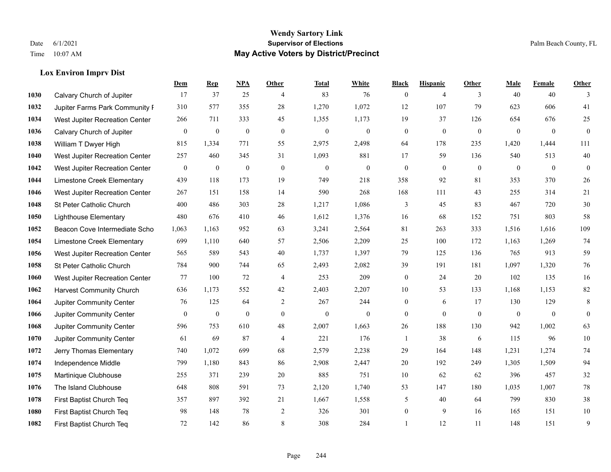**Lox Environ Imprv Dist**

#### **Wendy Sartory Link** Date 6/1/2021 **Supervisor of Elections** Palm Beach County, FL Time 10:07 AM **May Active Voters by District/Precinct**

## **Dem Rep NPA Other Total White Black Hispanic Other Male Female Other** Calvary Church of Jupiter 17 37 25 4 83 76 0 4 3 40 40 3 Jupiter Farms Park Community Favilion 310 577 355 28 1,270 1,072 12 107 79 623 606 41 West Jupiter Recreation Center 266 711 333 45 1,355 1,173 19 37 126 654 676 25 Calvary Church of Jupiter 0 0 0 0 0 0 0 0 0 0 0 0 William T Dwyer High 815 1,334 771 55 2,975 2,498 64 178 235 1,420 1,444 111 West Jupiter Recreation Center 257 460 345 31 1,093 881 17 59 136 540 513 40 West Jupiter Recreation Center 0 0 0 0 0 0 0 0 0 0 0 0 Limestone Creek Elementary 439 118 173 19 749 218 358 92 81 353 370 26 West Jupiter Recreation Center 267 151 158 14 590 268 168 111 43 255 314 21 St Peter Catholic Church  $400$   $486$   $303$   $28$   $1,217$   $1,086$   $3$   $45$   $83$   $467$   $720$   $30$  Lighthouse Elementary 480 676 410 46 1,612 1,376 16 68 152 751 803 58 Beacon Cove Intermediate School 1,063 1,163 952 63 3,241 2,564 81 263 333 1,516 1,616 109 Limestone Creek Elementary 699 1,110 640 57 2,506 2,209 25 100 172 1,163 1,269 74 West Jupiter Recreation Center 565 589 543 40 1,737 1,397 79 125 136 765 913 59 St Peter Catholic Church 784 900 744 65 2,493 2,082 39 191 181 1,097 1,320 76 West Jupiter Recreation Center 77 100 72 4 253 209 0 24 20 102 135 16 Harvest Community Church 636 1,173 552 42 2,403 2,207 10 53 133 1,168 1,153 82 Jupiter Community Center  $\begin{array}{cccc} 76 & 125 & 64 & 2 & 267 & 244 & 0 & 6 & 17 & 130 & 129 & 8 \end{array}$  Jupiter Community Center 0 0 0 0 0 0 0 0 0 0 0 0 Jupiter Community Center 596 753 610 48 2,007 1,663 26 188 130 942 1,002 63 Jupiter Community Center 61 69 87 4 221 176 1 38 6 115 96 10 Jerry Thomas Elementary 740 1,072 699 68 2,579 2,238 29 164 148 1,231 1,274 74 Independence Middle 799 1,180 843 86 2,908 2,447 20 192 249 1,305 1,509 94 Martinique Clubhouse 255 371 239 20 885 751 10 62 62 396 457 32 The Island Clubhouse 648 808 591 73 2,120 1,740 53 147 180 1,035 1,007 78 First Baptist Church Teq 357 897 392 21 1,667 1,558 5 40 64 799 830 38 First Baptist Church Teq 98 148 78 2 326 301 0 9 16 165 151 10 First Baptist Church Teq 72 142 86 8 308 284 1 12 11 148 151 9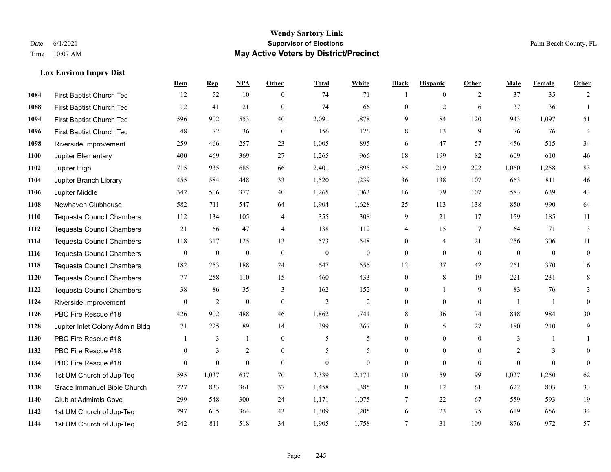## **Lox Environ Imprv Dist**

|      |                                  | Dem          | <b>Rep</b>       | NPA              | <b>Other</b>     | <b>Total</b>     | <b>White</b>     | <b>Black</b>     | <b>Hispanic</b> | <b>Other</b>    | <b>Male</b>      | <b>Female</b>    | <b>Other</b>     |
|------|----------------------------------|--------------|------------------|------------------|------------------|------------------|------------------|------------------|-----------------|-----------------|------------------|------------------|------------------|
| 1084 | First Baptist Church Teq         | 12           | 52               | 10               | $\theta$         | 74               | 71               |                  | $\mathbf{0}$    | 2               | 37               | 35               | 2                |
| 1088 | First Baptist Church Teq         | 12           | 41               | 21               | $\theta$         | 74               | 66               | $\mathbf{0}$     | $\overline{2}$  | 6               | 37               | 36               | $\mathbf{1}$     |
| 1094 | First Baptist Church Teq         | 596          | 902              | 553              | 40               | 2,091            | 1,878            | 9                | 84              | 120             | 943              | 1,097            | 51               |
| 1096 | First Baptist Church Teq         | 48           | 72               | 36               | $\mathbf{0}$     | 156              | 126              | 8                | 13              | 9               | 76               | 76               | $\overline{4}$   |
| 1098 | Riverside Improvement            | 259          | 466              | 257              | 23               | 1,005            | 895              | 6                | 47              | 57              | 456              | 515              | 34               |
| 1100 | Jupiter Elementary               | 400          | 469              | 369              | 27               | 1,265            | 966              | 18               | 199             | 82              | 609              | 610              | $46\,$           |
| 1102 | Jupiter High                     | 715          | 935              | 685              | 66               | 2,401            | 1,895            | 65               | 219             | 222             | 1,060            | 1,258            | 83               |
| 1104 | Jupiter Branch Library           | 455          | 584              | 448              | 33               | 1,520            | 1,239            | 36               | 138             | 107             | 663              | 811              | $46\,$           |
| 1106 | Jupiter Middle                   | 342          | 506              | 377              | 40               | 1,265            | 1,063            | 16               | 79              | 107             | 583              | 639              | $43\,$           |
| 1108 | Newhaven Clubhouse               | 582          | 711              | 547              | 64               | 1,904            | 1,628            | 25               | 113             | 138             | 850              | 990              | 64               |
| 1110 | <b>Tequesta Council Chambers</b> | 112          | 134              | 105              | $\overline{4}$   | 355              | 308              | 9                | 21              | 17              | 159              | 185              | 11               |
| 1112 | Tequesta Council Chambers        | 21           | 66               | 47               | 4                | 138              | 112              | 4                | 15              | $7\phantom{.0}$ | 64               | 71               | $\mathfrak{Z}$   |
| 1114 | <b>Tequesta Council Chambers</b> | 118          | 317              | 125              | 13               | 573              | 548              | $\mathbf{0}$     | 4               | 21              | 256              | 306              | 11               |
| 1116 | <b>Tequesta Council Chambers</b> | $\mathbf{0}$ | $\boldsymbol{0}$ | $\boldsymbol{0}$ | $\boldsymbol{0}$ | $\boldsymbol{0}$ | $\boldsymbol{0}$ | $\boldsymbol{0}$ | $\mathbf{0}$    | $\mathbf{0}$    | $\boldsymbol{0}$ | $\boldsymbol{0}$ | $\boldsymbol{0}$ |
| 1118 | <b>Tequesta Council Chambers</b> | 182          | 253              | 188              | 24               | 647              | 556              | 12               | 37              | 42              | 261              | 370              | 16               |
| 1120 | <b>Tequesta Council Chambers</b> | 77           | 258              | 110              | 15               | 460              | 433              | $\mathbf{0}$     | 8               | 19              | 221              | 231              | 8                |
| 1122 | <b>Tequesta Council Chambers</b> | 38           | 86               | 35               | 3                | 162              | 152              | $\boldsymbol{0}$ | 1               | 9               | 83               | 76               | 3                |
| 1124 | Riverside Improvement            | $\theta$     | 2                | $\mathbf{0}$     | $\theta$         | $\overline{2}$   | $\overline{2}$   | $\mathbf{0}$     | $\mathbf{0}$    | $\mathbf{0}$    | -1               | $\overline{1}$   | $\mathbf{0}$     |
| 1126 | PBC Fire Rescue #18              | 426          | 902              | 488              | 46               | 1,862            | 1,744            | 8                | 36              | 74              | 848              | 984              | 30               |
| 1128 | Jupiter Inlet Colony Admin Bldg  | 71           | 225              | 89               | 14               | 399              | 367              | $\boldsymbol{0}$ | 5               | 27              | 180              | 210              | 9                |
| 1130 | PBC Fire Rescue #18              |              | 3                | $\mathbf{1}$     | $\theta$         | 5                | 5                | $\mathbf{0}$     | $\mathbf{0}$    | $\theta$        | 3                | $\mathbf{1}$     | $\mathbf{1}$     |
| 1132 | PBC Fire Rescue #18              | $\mathbf{0}$ | 3                | $\overline{2}$   | $\overline{0}$   | 5                | 5                | $\overline{0}$   | $\mathbf{0}$    | $\theta$        | $\overline{2}$   | $\overline{3}$   | $\mathbf{0}$     |
| 1134 | PBC Fire Rescue #18              | $\mathbf{0}$ | $\boldsymbol{0}$ | $\boldsymbol{0}$ | $\overline{0}$   | $\mathbf{0}$     | $\overline{0}$   | $\mathbf{0}$     | $\mathbf{0}$    | $\overline{0}$  | $\mathbf{0}$     | $\mathbf{0}$     | $\boldsymbol{0}$ |
| 1136 | 1st UM Church of Jup-Teq         | 595          | 1,037            | 637              | 70               | 2,339            | 2,171            | 10               | 59              | 99              | 1,027            | 1,250            | 62               |
| 1138 | Grace Immanuel Bible Church      | 227          | 833              | 361              | 37               | 1,458            | 1,385            | $\boldsymbol{0}$ | 12              | 61              | 622              | 803              | 33               |
| 1140 | Club at Admirals Cove            | 299          | 548              | 300              | 24               | 1,171            | 1,075            | 7                | 22              | 67              | 559              | 593              | 19               |
| 1142 | 1st UM Church of Jup-Teq         | 297          | 605              | 364              | 43               | 1,309            | 1,205            | 6                | 23              | 75              | 619              | 656              | 34               |
| 1144 | 1st UM Church of Jup-Teq         | 542          | 811              | 518              | 34               | 1,905            | 1,758            | $\tau$           | 31              | 109             | 876              | 972              | 57               |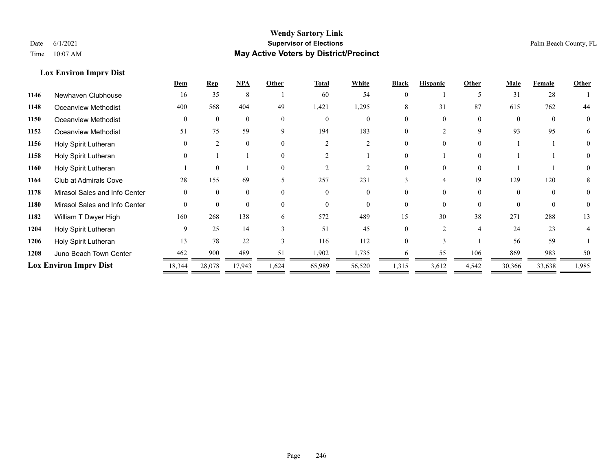**Lox Environ Imprv Dist**

## **Wendy Sartory Link** Date 6/1/2021 **Supervisor of Elections** Palm Beach County, FL Time 10:07 AM **May Active Voters by District/Precinct**

|                               | Dem            | <b>Rep</b>     | <b>NPA</b>   | Other        | <b>Total</b> | White    | <b>Black</b> | <b>Hispanic</b> | Other          | Male     | Female       | Other |
|-------------------------------|----------------|----------------|--------------|--------------|--------------|----------|--------------|-----------------|----------------|----------|--------------|-------|
| Newhaven Clubhouse            | 16             | 35             | 8            |              | 60           | 54       | $\Omega$     |                 |                | 31       | 28           |       |
| Oceanview Methodist           | 400            | 568            | 404          | 49           | 1,421        | 1,295    | 8            | 31              | 87             | 615      | 762          | 44    |
| Oceanview Methodist           | $\overline{0}$ | $\theta$       | $\mathbf{0}$ | $\theta$     | $\mathbf{0}$ | $\theta$ |              |                 | $\theta$       | $\Omega$ | $\mathbf{0}$ | 0     |
| Oceanview Methodist           | 51             | 75             | 59           | 9            | 194          | 183      | 0            |                 | 9              | 93       | 95           | 6     |
| Holy Spirit Lutheran          | $\theta$       | $\mathfrak{D}$ | $\theta$     | $\Omega$     |              | 2        |              |                 |                |          |              |       |
| Holy Spirit Lutheran          | $\overline{0}$ |                |              | $\Omega$     |              |          |              |                 |                |          |              |       |
| Holy Spirit Lutheran          |                | $\theta$       |              | $\Omega$     |              |          |              | $\Omega$        | $\Omega$       |          |              | 0     |
| <b>Club at Admirals Cove</b>  | 28             | 155            | 69           | 5            | 257          | 231      |              |                 | 19             | 129      | 120          | 8     |
| Mirasol Sales and Info Center | $\overline{0}$ | $\Omega$       | $\mathbf{0}$ | $\theta$     | $\Omega$     |          |              |                 | $\Omega$       |          | $\Omega$     | 0     |
| Mirasol Sales and Info Center | $\theta$       | $\theta$       | $\Omega$     | $\Omega$     | $\Omega$     | $\Omega$ | $\Omega$     | $\Omega$        | $\Omega$       | $\Omega$ | $\Omega$     | 0     |
| William T Dwyer High          | 160            | 268            | 138          | 6            | 572          | 489      | 15           | 30              | 38             | 271      | 288          | 13    |
| Holy Spirit Lutheran          | 9              | 25             | 14           |              | 51           | 45       |              |                 | $\overline{4}$ | 24       | 23           |       |
| Holy Spirit Lutheran          | 13             | 78             | 22           | $\mathbf{3}$ | 116          | 112      | 0            |                 |                | 56       | 59           |       |
| Juno Beach Town Center        | 462            | 900            | 489          | 51           | 1,902        | 1,735    |              | 55              | 106            | 869      | 983          | 50    |
| <b>Lox Environ Imprv Dist</b> | 18,344         | 28,078         | 17,943       | 1,624        | 65,989       | 56,520   | 1,315        | 3,612           | 4,542          | 30,366   | 33,638       | 1,985 |
|                               |                |                |              |              |              |          |              |                 |                |          |              |       |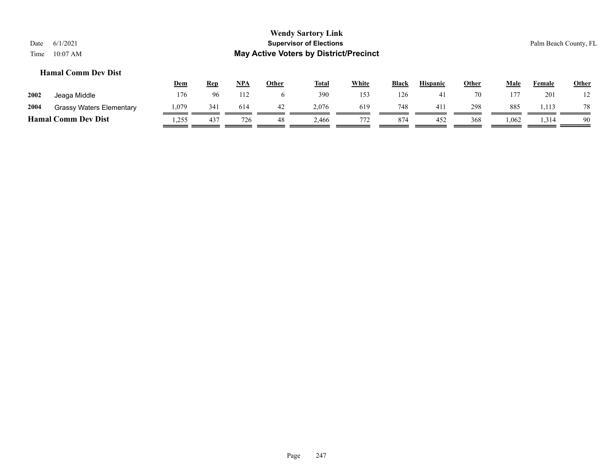## **Hamal Comm Dev Dist**

|      |                                 | <u>Dem</u> | Rep | NPA | Other | <b>Total</b> | White | Black | <b>Hispanic</b> | Other | Male  | Female | <b>Other</b> |
|------|---------------------------------|------------|-----|-----|-------|--------------|-------|-------|-----------------|-------|-------|--------|--------------|
| 2002 | Jeaga Middle                    | 176        | 96  | 112 |       | 390          | 153   | 126   |                 | 70    | 177   | 201    | $1^{\circ}$  |
| 2004 | <b>Grassy Waters Elementary</b> | .079       | 341 | 614 | 42    | 2,076        | 619   | 748   | 411             | 298   | 885   | 1.113  | 78           |
|      | <b>Hamal Comm Dev Dist</b>      | 1,255      | 437 | 726 | 48    | 2.466        | 772   | 874   | 452             | 368   | 0.062 | .314   | 90           |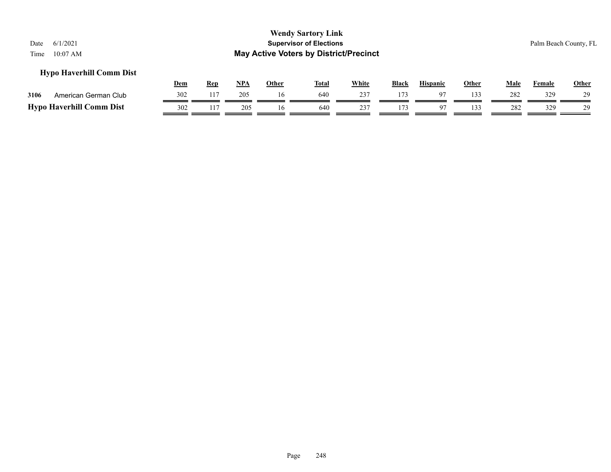## **Hypo Haverhill Comm Dist**

|                                 | Dem | Ren | NPA | Other | <b>Total</b> | White | <b>Black</b> | <b>Hispanic</b> | Other | Male | Female | Other |
|---------------------------------|-----|-----|-----|-------|--------------|-------|--------------|-----------------|-------|------|--------|-------|
| 3106<br>American German Club    | 302 | 117 | 205 |       | 640          | 237   | 17.3         |                 | 133   | 282  | 329    | 29    |
| <b>Hypo Haverhill Comm Dist</b> | 302 | 117 | 205 |       | 640          | 237   | 17.          |                 | ' 33  | 282  | 329    | 29    |

Page 248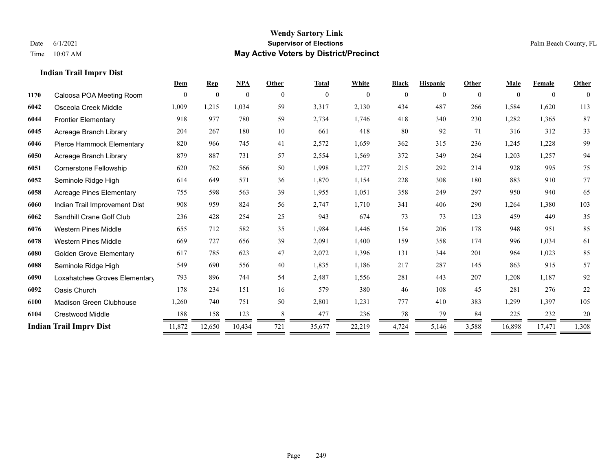**Indian Trail Imprv Dist**

#### **Wendy Sartory Link** Date 6/1/2021 **Supervisor of Elections** Palm Beach County, FL Time 10:07 AM **May Active Voters by District/Precinct**

# **Dem Rep NPA Other Total White Black Hispanic Other Male Female Other** Caloosa POA Meeting Room 0 0 0 0 0 0 0 0 0 0 0 0 Osceola Creek Middle 1,009 1,215 1,034 59 3,317 2,130 434 487 266 1,584 1,620 113 Frontier Elementary 918 977 780 59 2,734 1,746 418 340 230 1,282 1,365 87 Acreage Branch Library 204 267 180 10 661 418 80 92 71 316 312 33 Pierce Hammock Elementary 820 966 745 41 2,572 1,659 362 315 236 1,245 1,228 99 Acreage Branch Library 879 887 731 57 2,554 1,569 372 349 264 1,203 1,257 94 Cornerstone Fellowship 620 762 566 50 1,998 1,277 215 292 214 928 995 75 Seminole Ridge High 614 649 571 36 1,870 1,154 228 308 180 883 910 77 Acreage Pines Elementary 755 598 563 39 1,955 1,051 358 249 297 950 940 65 Indian Trail Improvement Dist 908 959 824 56 2,747 1,710 341 406 290 1,264 1,380 103 Sandhill Crane Golf Club 236 428 254 25 943 674 73 73 123 459 449 35 Western Pines Middle 655 712 582 35 1,984 1,446 154 206 178 948 951 85 Western Pines Middle 669 727 656 39 2,091 1,400 159 358 174 996 1,034 61 Golden Grove Elementary 617 785 623 47 2,072 1,396 131 344 201 964 1,023 85 Seminole Ridge High 549 690 556 40 1,835 1,186 217 287 145 863 915 57 Loxahatchee Groves Elementary 793 896 744 54 2,487 1,556 281 443 207 1,208 1,187 92 Oasis Church 178 234 151 16 579 380 46 108 45 281 276 22 Madison Green Clubhouse 1,260 740 751 50 2,801 1,231 777 410 383 1,299 1,397 105 Crestwood Middle 188 158 123 8 477 236 78 79 84 225 232 20 **Indian Trail Imprv Dist** 11,872 12,650 10,434 721 35,677 22,219 4,724 5,146 3,588 16,898 17,471 1,308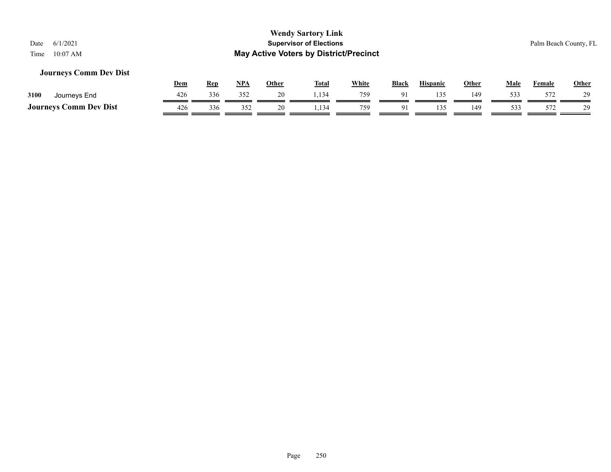## **Journeys Comm Dev Dist**

|                               | <u>Dem</u> | Rep | <b>NPA</b> | Other | <b>Total</b> | White | <b>Black</b>   | <b>Hispanic</b> | Other | Male | Female | Other |
|-------------------------------|------------|-----|------------|-------|--------------|-------|----------------|-----------------|-------|------|--------|-------|
| 3100<br>Journeys End          | 426        | 336 | 352        | 20.   | .134         | 759   |                |                 | 149   | 533  | 572    | 29    |
| <b>Journeys Comm Dev Dist</b> | 426        | 336 | 352        | 20    | .,134        | 759   | Q <sub>1</sub> | 135             | 149   | 533  | 572    | 29    |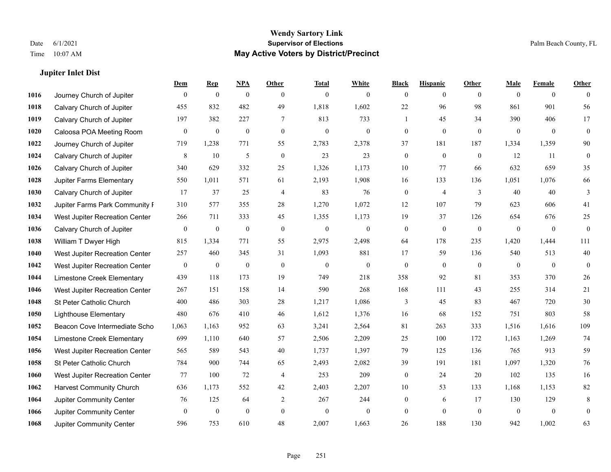**Jupiter Inlet Dist**

#### **Wendy Sartory Link** Date 6/1/2021 **Supervisor of Elections** Palm Beach County, FL Time 10:07 AM **May Active Voters by District/Precinct**

## **Dem Rep NPA Other Total White Black Hispanic Other Male Female Other** Journey Church of Jupiter 0 0 0 0 0 0 0 0 0 0 0 0 Calvary Church of Jupiter 455 832 482 49 1,818 1,602 22 96 98 861 901 56 Calvary Church of Jupiter 197 382 227 7 813 733 1 45 34 390 406 17 Caloosa POA Meeting Room 0 0 0 0 0 0 0 0 0 0 0 0 Journey Church of Jupiter 719 1,238 771 55 2,783 2,378 37 181 187 1,334 1,359 90 Calvary Church of Jupiter 8 10 5 0 23 23 0 0 0 12 11 0 Calvary Church of Jupiter 340 629 332 25 1,326 1,173 10 77 66 632 659 35 Jupiter Farms Elementary 550 1,011 571 61 2,193 1,908 16 133 136 1,051 1,076 66 **1030 Calvary Church of Jupiter 17** 37 25 4 83 76 0 4 3 40 40 3 Jupiter Farms Park Community Pavilion 310 577 355 28 1,270 1,072 12 107 79 623 606 41 West Jupiter Recreation Center 266 711 333 45 1,355 1,173 19 37 126 654 676 25 Calvary Church of Jupiter 0 0 0 0 0 0 0 0 0 0 0 0 William T Dwyer High 815 1,334 771 55 2,975 2,498 64 178 235 1,420 1,444 111 West Jupiter Recreation Center 257 460 345 31 1,093 881 17 59 136 540 513 40 West Jupiter Recreation Center 0 0 0 0 0 0 0 0 0 0 0 0 Limestone Creek Elementary 439 118 173 19 749 218 358 92 81 353 370 26 West Jupiter Recreation Center 267 151 158 14 590 268 168 111 43 255 314 21 St Peter Catholic Church  $400$   $486$   $303$   $28$   $1,217$   $1,086$   $3$   $45$   $83$   $467$   $720$   $30$  Lighthouse Elementary 480 676 410 46 1,612 1,376 16 68 152 751 803 58 Beacon Cove Intermediate School 1,063 1,163 952 63 3,241 2,564 81 263 333 1,516 1,616 109 Limestone Creek Elementary 699 1,110 640 57 2,506 2,209 25 100 172 1,163 1,269 74 West Jupiter Recreation Center 565 589 543 40 1,737 1,397 79 125 136 765 913 59 St Peter Catholic Church 784 900 744 65 2,493 2,082 39 191 181 1,097 1,320 76 West Jupiter Recreation Center 77 100 72 4 253 209 0 24 20 102 135 16 Harvest Community Church 636 1,173 552 42 2,403 2,207 10 53 133 1,168 1,153 82 Jupiter Community Center  $\begin{array}{cccc} 76 & 125 & 64 & 2 & 267 & 244 & 0 & 6 & 17 & 130 & 129 & 8 \end{array}$  Jupiter Community Center 0 0 0 0 0 0 0 0 0 0 0 0 Jupiter Community Center 596 753 610 48 2,007 1,663 26 188 130 942 1,002 63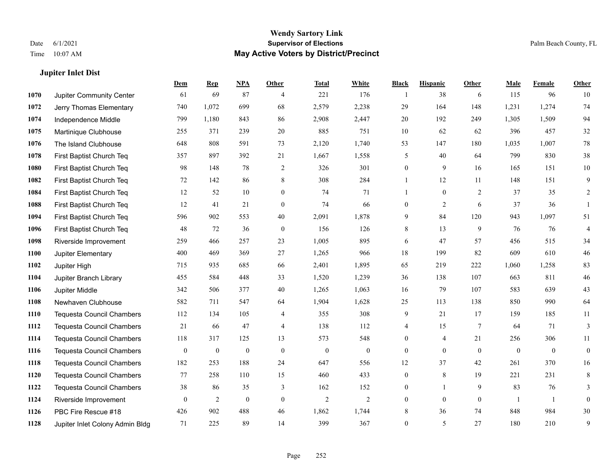**Jupiter Inlet Dist**

#### **Wendy Sartory Link** Date 6/1/2021 **Supervisor of Elections** Palm Beach County, FL Time 10:07 AM **May Active Voters by District/Precinct**

# **Dem Rep NPA Other Total White Black Hispanic Other Male Female Other** Jupiter Community Center 61 69 87 4 221 176 1 38 6 115 96 10 Jerry Thomas Elementary 740 1,072 699 68 2,579 2,238 29 164 148 1,231 1,274 74 Independence Middle 799 1,180 843 86 2,908 2,447 20 192 249 1,305 1,509 94 Martinique Clubhouse 255 371 239 20 885 751 10 62 62 396 457 32 The Island Clubhouse 648 808 591 73 2,120 1,740 53 147 180 1,035 1,007 78 First Baptist Church Teq 357 897 392 21 1,667 1,558 5 40 64 799 830 38 First Baptist Church Teq **98** 148 78 2 326 301 0 9 16 165 151 10 First Baptist Church Teq 72 142 86 8 308 284 1 12 11 148 151 9 First Baptist Church Teq 12 52 10 0 74 71 1 0 2 37 35 2 First Baptist Church Teq 12 41 21 0 74 66 0 2 6 37 36 1 First Baptist Church Teq 596 902 553 40 2,091 1,878 9 84 120 943 1,097 51 First Baptist Church Teq 48 72 36 0 156 126 8 13 9 76 76 4 Riverside Improvement 259 466 257 23 1,005 895 6 47 57 456 515 34 Jupiter Elementary 400 469 369 27 1,265 966 18 199 82 609 610 46 Jupiter High 715 935 685 66 2,401 1,895 65 219 222 1,060 1,258 83 Jupiter Branch Library 455 584 448 33 1,520 1,239 36 138 107 663 811 46 Jupiter Middle 342 506 377 40 1,265 1,063 16 79 107 583 639 43 Newhaven Clubhouse 582 711 547 64 1,904 1,628 25 113 138 850 990 64 Tequesta Council Chambers 112 134 105 4 355 308 9 21 17 159 185 11 Tequesta Council Chambers 21 66 47 4 138 112 4 15 7 64 71 3 Tequesta Council Chambers 118 317 125 13 573 548 0 4 21 256 306 11 Tequesta Council Chambers 0 0 0 0 0 0 0 0 0 0 0 0 Tequesta Council Chambers 182 253 188 24 647 556 12 37 42 261 370 16 Tequesta Council Chambers 77 258 110 15 460 433 0 8 19 221 231 8 Tequesta Council Chambers 38 86 35 3 162 152 0 1 9 83 76 3 Riverside Improvement 0 0 2 0 0 2 2 2 0 0 0 1 1 0 **1126** PBC Fire Rescue #18 902 488 46 1,862 1,744 8 36 74 848 984 30

Jupiter Inlet Colony Admin Bldg 71 225 89 14 399 367 0 5 27 180 210 9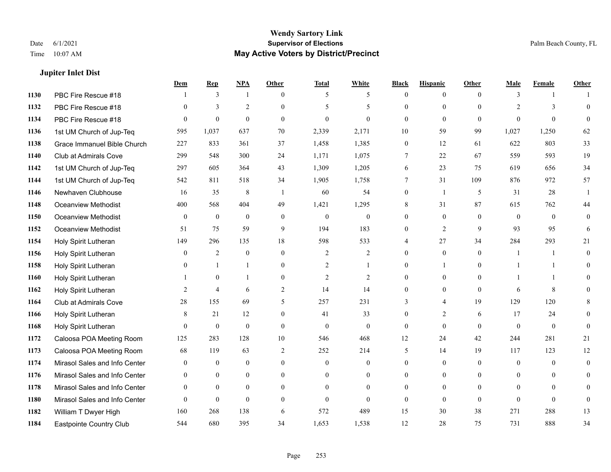**Jupiter Inlet Dist**

#### **Wendy Sartory Link** Date 6/1/2021 **Supervisor of Elections** Palm Beach County, FL Time 10:07 AM **May Active Voters by District/Precinct**

# **Dem Rep NPA Other Total White Black Hispanic Other Male Female Other** PBC Fire Rescue #18 **1** 3 1 0 5 5 0 0 0 3 1 1 PBC Fire Rescue #18 0 3 2 0 5 5 0 0 0 2 3 0 PBC Fire Rescue #18 0 0 0 0 0 0 0 0 0 0 0 0 1st UM Church of Jup-Teq 595 1,037 637 70 2,339 2,171 10 59 99 1,027 1,250 62 Grace Immanuel Bible Church 227 833 361 37 1,458 1,385 0 12 61 622 803 33 Club at Admirals Cove 299 548 300 24 1,171 1,075 7 22 67 559 593 19 1st UM Church of Jup-Teq 297 605 364 43 1,309 1,205 6 23 75 619 656 34 1st UM Church of Jup-Teq 542 811 518 34 1,905 1,758 7 31 109 876 972 57 Newhaven Clubhouse 16 35 8 1 60 54 0 1 5 31 28 1 Oceanview Methodist 400 568 404 49 1,421 1,295 8 31 87 615 762 44 Oceanview Methodist 0 0 0 0 0 0 0 0 0 0 0 0 Oceanview Methodist 51 75 59 9 194 183 0 2 9 93 95 6 Holy Spirit Lutheran 149 296 135 18 598 533 4 27 34 284 293 21 Holy Spirit Lutheran 0 2 0 0 2 2 0 0 0 1 1 0 Holy Spirit Lutheran **0** 1 1 0 2 1 0 1 0 1 1 0 Holy Spirit Lutheran 1 0 1 0 2 2 0 0 0 1 1 0 Holy Spirit Lutheran 2 4 6 2 14 14 0 0 0 6 8 0 Club at Admirals Cove 28 155 69 5 257 231 3 4 19 129 120 8 Holy Spirit Lutheran 8 21 12 0 41 33 0 2 6 17 24 0 Holy Spirit Lutheran 0 0 0 0 0 0 0 0 0 0 0 0 Caloosa POA Meeting Room 125 283 128 10 546 468 12 24 42 244 281 21 Caloosa POA Meeting Room 68 119 63 2 252 214 5 14 19 117 123 12 Mirasol Sales and Info Center 0 0 0 0 0 0 0 0 0 0 0 0 Mirasol Sales and Info Center 0 0 0 0 0 0 0 0 0 0 0 0 Mirasol Sales and Info Center 0 0 0 0 0 0 0 0 0 0 0 0 Mirasol Sales and Info Center 0 0 0 0 0 0 0 0 0 0 0 0 William T Dwyer High 160 268 138 6 572 489 15 30 38 271 288 13 Eastpointe Country Club 544 680 395 34 1,653 1,538 12 28 75 731 888 34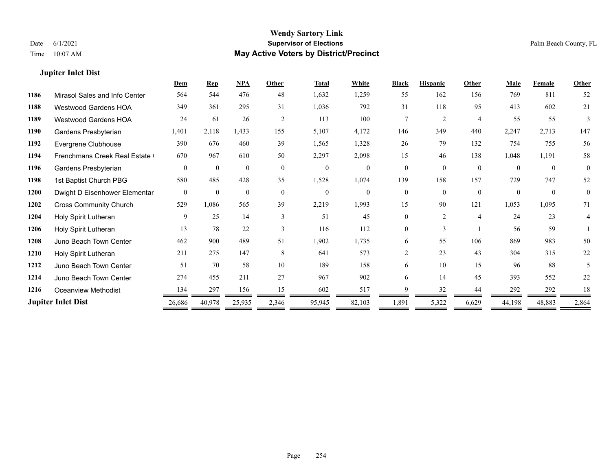## **Jupiter Inlet Dist**

|      |                               | Dem            | <b>Rep</b>   | NPA          | Other        | <b>Total</b> | White          | <b>Black</b> | <b>Hispanic</b> | Other          | Male     | <b>Female</b> | <b>Other</b>   |
|------|-------------------------------|----------------|--------------|--------------|--------------|--------------|----------------|--------------|-----------------|----------------|----------|---------------|----------------|
| 1186 | Mirasol Sales and Info Center | 564            | 544          | 476          | 48           | 1,632        | 1,259          | 55           | 162             | 156            | 769      | 811           | 52             |
| 1188 | Westwood Gardens HOA          | 349            | 361          | 295          | 31           | 1,036        | 792            | 31           | 118             | 95             | 413      | 602           | 21             |
| 1189 | <b>Westwood Gardens HOA</b>   | 24             | 61           | 26           | 2            | 113          | 100            | 7            | 2               | $\overline{4}$ | 55       | 55            | 3              |
| 1190 | Gardens Presbyterian          | 1,401          | 2,118        | 1,433        | 155          | 5,107        | 4,172          | 146          | 349             | 440            | 2,247    | 2,713         | 147            |
| 1192 | Evergrene Clubhouse           | 390            | 676          | 460          | 39           | 1,565        | 1,328          | 26           | 79              | 132            | 754      | 755           | 56             |
| 1194 | Frenchmans Creek Real Estate  | 670            | 967          | 610          | 50           | 2,297        | 2,098          | 15           | 46              | 138            | 1,048    | 1,191         | 58             |
| 1196 | Gardens Presbyterian          | $\theta$       | $\theta$     | $\mathbf{0}$ | $\theta$     | $\mathbf{0}$ | $\theta$       | $\theta$     | $\theta$        | $\theta$       | $\theta$ | $\theta$      | $\theta$       |
| 1198 | 1st Baptist Church PBG        | 580            | 485          | 428          | 35           | 1,528        | 1,074          | 139          | 158             | 157            | 729      | 747           | 52             |
| 1200 | Dwight D Eisenhower Elementar | $\overline{0}$ | $\mathbf{0}$ | $\mathbf{0}$ | $\mathbf{0}$ | $\mathbf{0}$ | $\overline{0}$ | $\theta$     | $\theta$        | $\theta$       | $\Omega$ | $\theta$      | $\overline{0}$ |
| 1202 | <b>Cross Community Church</b> | 529            | 1,086        | 565          | 39           | 2,219        | 1,993          | 15           | 90              | 121            | 1,053    | 1,095         | 71             |
| 1204 | Holy Spirit Lutheran          | 9              | 25           | 14           | $\mathbf{3}$ | 51           | 45             | 0            | $\overline{2}$  | $\overline{4}$ | 24       | 23            | 4              |
| 1206 | Holy Spirit Lutheran          | 13             | 78           | 22           | $\mathbf{3}$ | 116          | 112            | 0            | 3               |                | 56       | 59            |                |
| 1208 | Juno Beach Town Center        | 462            | 900          | 489          | 51           | 1,902        | 1,735          | 6            | 55              | 106            | 869      | 983           | 50             |
| 1210 | Holy Spirit Lutheran          | 211            | 275          | 147          | 8            | 641          | 573            | 2            | 23              | 43             | 304      | 315           | 22             |
| 1212 | Juno Beach Town Center        | 51             | 70           | 58           | 10           | 189          | 158            | 6            | 10              | 15             | 96       | 88            | 5              |
| 1214 | Juno Beach Town Center        | 274            | 455          | 211          | 27           | 967          | 902            | 6            | 14              | 45             | 393      | 552           | 22             |
| 1216 | Oceanview Methodist           | 134            | 297          | 156          | 15           | 602          | 517            | Q            | 32              | 44             | 292      | 292           | 18             |
|      | <b>Jupiter Inlet Dist</b>     | 26,686         | 40,978       | 25,935       | 2,346        | 95,945       | 82,103         | 1,891        | 5,322           | 6,629          | 44,198   | 48,883        | 2,864          |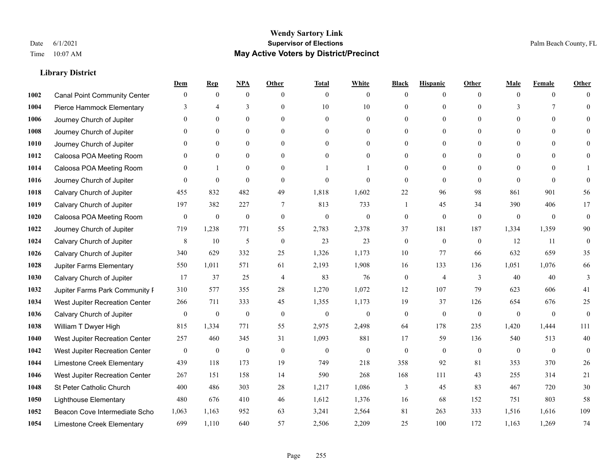|      |                                     | Dem              | <b>Rep</b>       | NPA              | <b>Other</b>   | <b>Total</b>     | <b>White</b>     | <b>Black</b>     | <b>Hispanic</b>  | <b>Other</b>   | <b>Male</b>  | <b>Female</b>   | <b>Other</b>     |
|------|-------------------------------------|------------------|------------------|------------------|----------------|------------------|------------------|------------------|------------------|----------------|--------------|-----------------|------------------|
| 1002 | <b>Canal Point Community Center</b> | $\mathbf{0}$     | $\mathbf{0}$     | $\boldsymbol{0}$ | $\theta$       | $\mathbf{0}$     | $\overline{0}$   | $\mathbf{0}$     | $\boldsymbol{0}$ | $\theta$       | $\theta$     | $\overline{0}$  | $\Omega$         |
| 1004 | Pierce Hammock Elementary           | 3                | $\overline{4}$   | 3                | $\theta$       | 10               | 10               | $\theta$         | $\mathbf{0}$     | $\Omega$       | 3            | $7\phantom{.0}$ | $\theta$         |
| 1006 | Journey Church of Jupiter           | $\Omega$         | $\theta$         | $\theta$         | $\Omega$       | $\theta$         | $\overline{0}$   | $\Omega$         | $\theta$         | $\Omega$       | $\Omega$     | $\Omega$        | $\Omega$         |
| 1008 | Journey Church of Jupiter           | 0                | $\mathbf{0}$     | $\mathbf{0}$     | $\overline{0}$ | $\theta$         | $\overline{0}$   | $\overline{0}$   | $\mathbf{0}$     | $\theta$       | $\mathbf{0}$ | $\mathbf{0}$    |                  |
| 1010 | Journey Church of Jupiter           | 0                | $\mathbf{0}$     | $\mathbf{0}$     | $\theta$       | $\Omega$         | $\overline{0}$   | $\overline{0}$   | $\mathbf{0}$     | $\theta$       | $\theta$     | $\theta$        | $\Omega$         |
| 1012 | Caloosa POA Meeting Room            | $\theta$         | $\mathbf{0}$     | $\mathbf{0}$     | $\theta$       | $\Omega$         | $\mathbf{0}$     | $\overline{0}$   | $\mathbf{0}$     | $\Omega$       | $\theta$     | $\theta$        | $\Omega$         |
| 1014 | Caloosa POA Meeting Room            | $\theta$         |                  | $\mathbf{0}$     | $\overline{0}$ |                  | 1                | $\overline{0}$   | $\mathbf{0}$     | $\theta$       | $\mathbf{0}$ | $\theta$        |                  |
| 1016 | Journey Church of Jupiter           | 0                | $\mathbf{0}$     | $\mathbf{0}$     | $\theta$       | $\Omega$         | $\theta$         | $\mathbf{0}$     | $\mathbf{0}$     | $\theta$       | $\Omega$     | $\theta$        | $\theta$         |
| 1018 | Calvary Church of Jupiter           | 455              | 832              | 482              | 49             | 1,818            | 1,602            | 22               | 96               | 98             | 861          | 901             | 56               |
| 1019 | Calvary Church of Jupiter           | 197              | 382              | 227              | $\overline{7}$ | 813              | 733              | 1                | 45               | 34             | 390          | 406             | 17               |
| 1020 | Caloosa POA Meeting Room            | $\boldsymbol{0}$ | $\boldsymbol{0}$ | $\boldsymbol{0}$ | $\mathbf{0}$   | $\mathbf{0}$     | $\mathbf{0}$     | $\boldsymbol{0}$ | $\mathbf{0}$     | $\theta$       | $\mathbf{0}$ | $\mathbf{0}$    | $\mathbf{0}$     |
| 1022 | Journey Church of Jupiter           | 719              | 1,238            | 771              | 55             | 2,783            | 2,378            | 37               | 181              | 187            | 1,334        | 1,359           | 90               |
| 1024 | Calvary Church of Jupiter           | 8                | 10               | $\mathfrak{H}$   | $\theta$       | 23               | 23               | $\boldsymbol{0}$ | $\mathbf{0}$     | $\theta$       | 12           | 11              | $\mathbf{0}$     |
| 1026 | Calvary Church of Jupiter           | 340              | 629              | 332              | 25             | 1,326            | 1,173            | $10\,$           | 77               | 66             | 632          | 659             | 35               |
| 1028 | Jupiter Farms Elementary            | 550              | 1,011            | 571              | 61             | 2,193            | 1,908            | 16               | 133              | 136            | 1,051        | 1,076           | 66               |
| 1030 | Calvary Church of Jupiter           | 17               | 37               | 25               | $\overline{4}$ | 83               | 76               | $\boldsymbol{0}$ | $\overline{4}$   | 3              | 40           | 40              | 3                |
| 1032 | Jupiter Farms Park Community I      | 310              | 577              | 355              | 28             | 1,270            | 1,072            | 12               | 107              | 79             | 623          | 606             | 41               |
| 1034 | West Jupiter Recreation Center      | 266              | 711              | 333              | 45             | 1,355            | 1,173            | 19               | 37               | 126            | 654          | 676             | $25\,$           |
| 1036 | Calvary Church of Jupiter           | $\boldsymbol{0}$ | $\boldsymbol{0}$ | $\boldsymbol{0}$ | $\mathbf{0}$   | $\boldsymbol{0}$ | $\boldsymbol{0}$ | $\boldsymbol{0}$ | $\mathbf{0}$     | $\mathbf{0}$   | $\mathbf{0}$ | $\mathbf{0}$    | $\boldsymbol{0}$ |
| 1038 | William T Dwyer High                | 815              | 1,334            | 771              | 55             | 2,975            | 2,498            | 64               | 178              | 235            | 1,420        | 1,444           | 111              |
| 1040 | West Jupiter Recreation Center      | 257              | 460              | 345              | 31             | 1,093            | 881              | 17               | 59               | 136            | 540          | 513             | 40               |
| 1042 | West Jupiter Recreation Center      | $\boldsymbol{0}$ | $\boldsymbol{0}$ | $\boldsymbol{0}$ | $\mathbf{0}$   | $\boldsymbol{0}$ | $\mathbf{0}$     | $\boldsymbol{0}$ | $\boldsymbol{0}$ | $\overline{0}$ | $\mathbf{0}$ | $\mathbf{0}$    | $\mathbf{0}$     |
| 1044 | Limestone Creek Elementary          | 439              | 118              | 173              | 19             | 749              | 218              | 358              | 92               | 81             | 353          | 370             | 26               |
| 1046 | West Jupiter Recreation Center      | 267              | 151              | 158              | 14             | 590              | 268              | 168              | 111              | 43             | 255          | 314             | 21               |
| 1048 | St Peter Catholic Church            | 400              | 486              | 303              | $28\,$         | 1,217            | 1,086            | 3                | 45               | 83             | 467          | 720             | 30               |
| 1050 | <b>Lighthouse Elementary</b>        | 480              | 676              | 410              | 46             | 1,612            | 1,376            | 16               | 68               | 152            | 751          | 803             | 58               |
| 1052 | Beacon Cove Intermediate Scho       | 1,063            | 1,163            | 952              | 63             | 3,241            | 2,564            | 81               | 263              | 333            | 1,516        | 1,616           | 109              |
| 1054 | Limestone Creek Elementary          | 699              | 1,110            | 640              | 57             | 2,506            | 2,209            | 25               | 100              | 172            | 1,163        | 1,269           | 74               |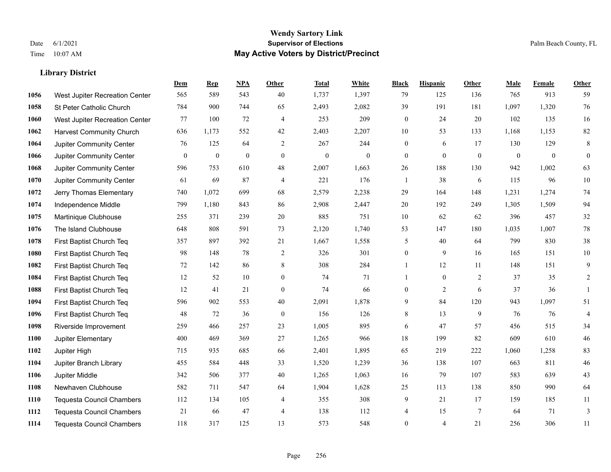|      |                                  | Dem          | <b>Rep</b>       | NPA              | <b>Other</b>   | <b>Total</b>     | <b>White</b>     | <b>Black</b>     | <b>Hispanic</b>  | <b>Other</b>     | <b>Male</b>      | <b>Female</b> | <b>Other</b>     |
|------|----------------------------------|--------------|------------------|------------------|----------------|------------------|------------------|------------------|------------------|------------------|------------------|---------------|------------------|
| 1056 | West Jupiter Recreation Center   | 565          | 589              | 543              | 40             | 1,737            | 1,397            | 79               | 125              | 136              | 765              | 913           | 59               |
| 1058 | St Peter Catholic Church         | 784          | 900              | 744              | 65             | 2,493            | 2,082            | 39               | 191              | 181              | 1,097            | 1,320         | 76               |
| 1060 | West Jupiter Recreation Center   | 77           | 100              | 72               | $\overline{4}$ | 253              | 209              | $\boldsymbol{0}$ | 24               | 20               | 102              | 135           | 16               |
| 1062 | <b>Harvest Community Church</b>  | 636          | 1,173            | 552              | 42             | 2,403            | 2,207            | 10               | 53               | 133              | 1,168            | 1,153         | $82\,$           |
| 1064 | Jupiter Community Center         | 76           | 125              | 64               | 2              | 267              | 244              | $\boldsymbol{0}$ | 6                | 17               | 130              | 129           | $\,8\,$          |
| 1066 | Jupiter Community Center         | $\mathbf{0}$ | $\boldsymbol{0}$ | $\boldsymbol{0}$ | $\mathbf{0}$   | $\boldsymbol{0}$ | $\boldsymbol{0}$ | $\boldsymbol{0}$ | $\boldsymbol{0}$ | $\boldsymbol{0}$ | $\boldsymbol{0}$ | $\mathbf{0}$  | $\boldsymbol{0}$ |
| 1068 | Jupiter Community Center         | 596          | 753              | 610              | 48             | 2,007            | 1,663            | 26               | 188              | 130              | 942              | 1,002         | 63               |
| 1070 | Jupiter Community Center         | 61           | 69               | 87               | $\overline{4}$ | 221              | 176              | $\mathbf{1}$     | 38               | 6                | 115              | 96            | $10\,$           |
| 1072 | Jerry Thomas Elementary          | 740          | 1,072            | 699              | 68             | 2,579            | 2,238            | 29               | 164              | 148              | 1,231            | 1,274         | $74\,$           |
| 1074 | Independence Middle              | 799          | 1,180            | 843              | 86             | 2,908            | 2,447            | 20               | 192              | 249              | 1,305            | 1,509         | 94               |
| 1075 | Martinique Clubhouse             | 255          | 371              | 239              | 20             | 885              | 751              | 10               | 62               | 62               | 396              | 457           | $32\,$           |
| 1076 | The Island Clubhouse             | 648          | 808              | 591              | 73             | 2,120            | 1,740            | 53               | 147              | 180              | 1,035            | 1.007         | $78\,$           |
| 1078 | First Baptist Church Teq         | 357          | 897              | 392              | 21             | 1,667            | 1,558            | 5                | 40               | 64               | 799              | 830           | $38\,$           |
| 1080 | First Baptist Church Teq         | 98           | 148              | 78               | $\overline{2}$ | 326              | 301              | $\boldsymbol{0}$ | 9                | 16               | 165              | 151           | $10\,$           |
| 1082 | First Baptist Church Teq         | 72           | 142              | 86               | 8              | 308              | 284              | $\mathbf{1}$     | 12               | 11               | 148              | 151           | 9                |
| 1084 | First Baptist Church Teq         | 12           | 52               | 10               | $\overline{0}$ | 74               | 71               | 1                | $\boldsymbol{0}$ | 2                | 37               | 35            | $\overline{c}$   |
| 1088 | First Baptist Church Teq         | 12           | 41               | 21               | $\mathbf{0}$   | 74               | 66               | $\boldsymbol{0}$ | 2                | 6                | 37               | 36            | $\mathbf{1}$     |
| 1094 | First Baptist Church Teq         | 596          | 902              | 553              | 40             | 2,091            | 1,878            | 9                | 84               | 120              | 943              | 1,097         | 51               |
| 1096 | First Baptist Church Teq         | 48           | 72               | 36               | $\mathbf{0}$   | 156              | 126              | $\,8\,$          | 13               | 9                | 76               | 76            | $\overline{4}$   |
| 1098 | Riverside Improvement            | 259          | 466              | 257              | 23             | 1,005            | 895              | 6                | 47               | 57               | 456              | 515           | 34               |
| 1100 | Jupiter Elementary               | 400          | 469              | 369              | 27             | 1,265            | 966              | 18               | 199              | 82               | 609              | 610           | $46\,$           |
| 1102 | Jupiter High                     | 715          | 935              | 685              | 66             | 2,401            | 1,895            | 65               | 219              | 222              | 1,060            | 1,258         | 83               |
| 1104 | Jupiter Branch Library           | 455          | 584              | 448              | 33             | 1,520            | 1,239            | 36               | 138              | 107              | 663              | 811           | $46\,$           |
| 1106 | Jupiter Middle                   | 342          | 506              | 377              | 40             | 1,265            | 1,063            | 16               | 79               | 107              | 583              | 639           | 43               |
| 1108 | Newhaven Clubhouse               | 582          | 711              | 547              | 64             | 1,904            | 1,628            | 25               | 113              | 138              | 850              | 990           | 64               |
| 1110 | <b>Tequesta Council Chambers</b> | 112          | 134              | 105              | 4              | 355              | 308              | 9                | 21               | 17               | 159              | 185           | 11               |
| 1112 | <b>Tequesta Council Chambers</b> | 21           | 66               | 47               | $\overline{4}$ | 138              | 112              | 4                | 15               | $7\phantom{.0}$  | 64               | 71            | 3                |
| 1114 | Tequesta Council Chambers        | 118          | 317              | 125              | 13             | 573              | 548              | $\mathbf{0}$     | 4                | 21               | 256              | 306           | 11               |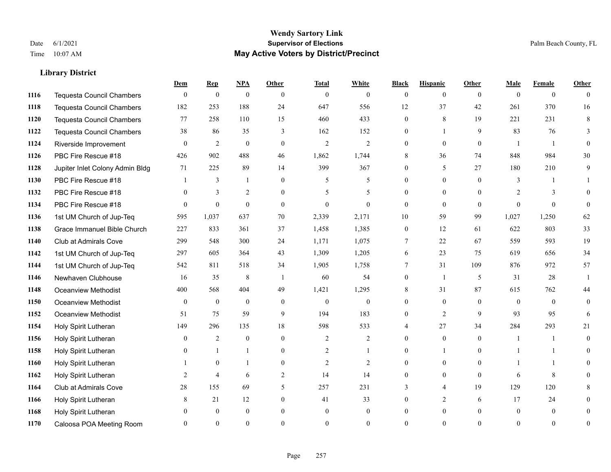#### **Wendy Sartory Link** Date 6/1/2021 **Supervisor of Elections** Palm Beach County, FL Time 10:07 AM **May Active Voters by District/Precinct**

# **Dem Rep NPA Other Total White Black Hispanic Other Male Female Other** Tequesta Council Chambers 0 0 0 0 0 0 0 0 0 0 0 0 Tequesta Council Chambers 182 253 188 24 647 556 12 37 42 261 370 16 Tequesta Council Chambers 77 258 110 15 460 433 0 8 19 221 231 8 Tequesta Council Chambers 38 86 35 3 162 152 0 1 9 83 76 3 Riverside Improvement 0 0 2 0 0 2 2 2 0 0 0 0 1 1 0 PBC Fire Rescue #18 **426** 902 488 46 1,862 1,744 8 36 74 848 984 30 Jupiter Inlet Colony Admin Bldg 71 225 89 14 399 367 0 5 27 180 210 9 PBC Fire Rescue #18 **1** 3 1 0 5 5 0 0 0 3 1 1 1132 PBC Fire Rescue #18 0 3 2 0 5 5 0 0 0 2 3 0 PBC Fire Rescue #18 0 0 0 0 0 0 0 0 0 0 0 0 1st UM Church of Jup-Teq 595 1,037 637 70 2,339 2,171 10 59 99 1,027 1,250 62 Grace Immanuel Bible Church 227 833 361 37 1,458 1,385 0 12 61 622 803 33 Club at Admirals Cove 299 548 300 24 1,171 1,075 7 22 67 559 593 19 1st UM Church of Jup-Teq 297 605 364 43 1,309 1,205 6 23 75 619 656 34 1st UM Church of Jup-Teq 542 811 518 34 1,905 1,758 7 31 109 876 972 57 Newhaven Clubhouse 16 35 8 1 60 54 0 1 5 31 28 1 Oceanview Methodist 400 568 404 49 1,421 1,295 8 31 87 615 762 44 Oceanview Methodist 0 0 0 0 0 0 0 0 0 0 0 0 Oceanview Methodist 51 75 59 9 194 183 0 2 9 93 95 6 Holy Spirit Lutheran 149 296 135 18 598 533 4 27 34 284 293 21 Holy Spirit Lutheran **0** 2 0 0 2 2 2 0 0 0 1 1 0 Holy Spirit Lutheran **0** 1 1 0 2 1 0 1 0 1 1 0 Holy Spirit Lutheran 1 0 1 0 2 2 0 0 0 1 1 0 Holy Spirit Lutheran 2 4 6 2 14 14 0 0 0 6 8 0 Club at Admirals Cove 28 155 69 5 257 231 3 4 19 129 120 8 Holy Spirit Lutheran **8** 21 12 0 41 33 0 2 6 17 24 0 Holy Spirit Lutheran 0 0 0 0 0 0 0 0 0 0 0 0 Caloosa POA Meeting Room 0 0 0 0 0 0 0 0 0 0 0 0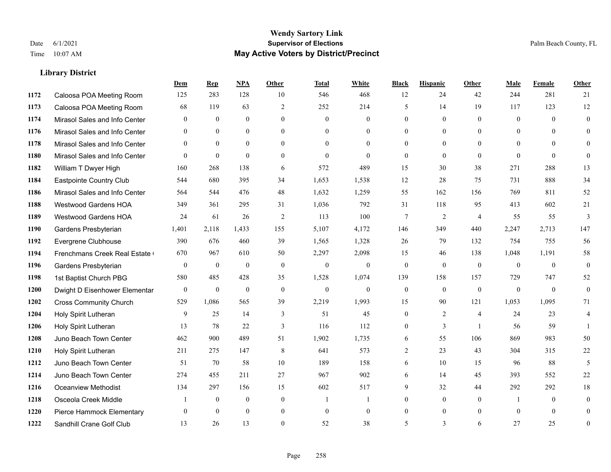#### **Wendy Sartory Link** Date 6/1/2021 **Supervisor of Elections** Palm Beach County, FL Time 10:07 AM **May Active Voters by District/Precinct**

# **Dem Rep NPA Other Total White Black Hispanic Other Male Female Other** Caloosa POA Meeting Room 125 283 128 10 546 468 12 24 42 244 281 21 Caloosa POA Meeting Room 68 119 63 2 252 214 5 14 19 117 123 12 Mirasol Sales and Info Center 0 0 0 0 0 0 0 0 0 0 0 0 Mirasol Sales and Info Center 0 0 0 0 0 0 0 0 0 0 0 0 Mirasol Sales and Info Center 0 0 0 0 0 0 0 0 0 0 0 0 Mirasol Sales and Info Center 0 0 0 0 0 0 0 0 0 0 0 0 1182 William T Dwyer High 160 268 138 6 572 489 15 30 38 271 288 13 Eastpointe Country Club 544 680 395 34 1,653 1,538 12 28 75 731 888 34 Mirasol Sales and Info Center 564 544 476 48 1,632 1,259 55 162 156 769 811 52 Westwood Gardens HOA 349 361 295 31 1,036 792 31 118 95 413 602 21 Westwood Gardens HOA 24 61 26 2 113 100 7 2 4 55 55 3 Gardens Presbyterian 1,401 2,118 1,433 155 5,107 4,172 146 349 440 2,247 2,713 147 Evergrene Clubhouse 390 676 460 39 1,565 1,328 26 79 132 754 755 56 1194 Frenchmans Creek Real Estate 670 967 610 50 2,297 2,098 15 46 138 1,048 1,191 58 Gardens Presbyterian 0 0 0 0 0 0 0 0 0 0 0 0 1st Baptist Church PBG 580 485 428 35 1,528 1,074 139 158 157 729 747 52 Dwight D Eisenhower Elementary 0 0 0 0 0 0 0 0 0 0 0 0 Cross Community Church 529 1,086 565 39 2,219 1,993 15 90 121 1,053 1,095 71 Holy Spirit Lutheran 9 25 14 3 51 45 0 2 4 24 23 4 Holy Spirit Lutheran **13** 78 22 3 116 112 0 3 1 56 59 1 Juno Beach Town Center 462 900 489 51 1,902 1,735 6 55 106 869 983 50 Holy Spirit Lutheran 211 275 147 8 641 573 2 23 43 304 315 22 Juno Beach Town Center 51 70 58 10 189 158 6 10 15 96 88 5 Juno Beach Town Center 274 455 211 27 967 902 6 14 45 393 552 22 Oceanview Methodist 134 297 156 15 602 517 9 32 44 292 292 18 Osceola Creek Middle  $\begin{array}{cccccccc} 1 & 0 & 0 & 0 & 1 & 1 & 0 & 0 & 0 \end{array}$  Pierce Hammock Elementary 0 0 0 0 0 0 0 0 0 0 0 0 Sandhill Crane Golf Club 13 26 13 0 52 38 5 3 6 27 25 0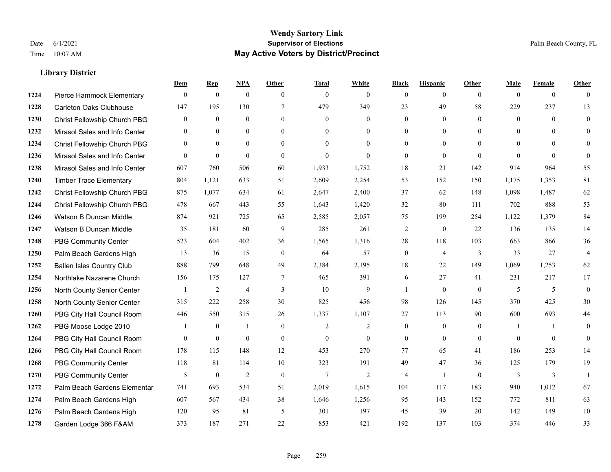#### **Wendy Sartory Link** Date 6/1/2021 **Supervisor of Elections** Palm Beach County, FL Time 10:07 AM **May Active Voters by District/Precinct**

**Dem Rep NPA Other Total White Black Hispanic Other Male Female Other**

# Pierce Hammock Elementary 0 0 0 0 0 0 0 0 0 0 0 0 Carleton Oaks Clubhouse 147 195 130 7 479 349 23 49 58 229 237 13 Christ Fellowship Church PBG 0 0 0 0 0 0 0 0 0 0 0 0 Mirasol Sales and Info Center 0 0 0 0 0 0 0 0 0 0 0 0 Christ Fellowship Church PBG 0 0 0 0 0 0 0 0 0 0 0 0 Mirasol Sales and Info Center 0 0 0 0 0 0 0 0 0 0 0 0 Mirasol Sales and Info Center 607 760 506 60 1,933 1,752 18 21 142 914 964 55 Timber Trace Elementary 804 1,121 633 51 2,609 2,254 53 152 150 1,175 1,353 81 Christ Fellowship Church PBG 875 1,077 634 61 2,647 2,400 37 62 148 1,098 1,487 62 Christ Fellowship Church PBG 478 667 443 55 1,643 1,420 32 80 111 702 888 53 Watson B Duncan Middle 874 921 725 65 2,585 2,057 75 199 254 1,122 1,379 84 Watson B Duncan Middle 35 181 60 9 285 261 2 0 22 136 135 14 PBG Community Center 523 604 402 36 1,565 1,316 28 118 103 663 866 36 Palm Beach Gardens High 13 36 15 0 64 57 0 4 3 33 27 4 Ballen Isles Country Club 888 799 648 49 2,384 2,195 18 22 149 1,069 1,253 62 Northlake Nazarene Church 156 175 127 7 465 391 6 27 41 231 217 17 North County Senior Center 1 2 4 3 10 9 1 0 0 5 5 5 0 North County Senior Center 315 222 258 30 825 456 98 126 145 370 425 30 PBG City Hall Council Room 446 550 315 26 1,337 1,107 27 113 90 600 693 44 PBG Moose Lodge 2010 1 0 1 0 1 0 2 2 0 0 0 1 1 0 PBG City Hall Council Room 0 0 0 0 0 0 0 0 0 0 0 0 PBG City Hall Council Room 178 115 148 12 453 270 77 65 41 186 253 14 PBG Community Center 118 81 114 10 323 191 49 47 36 125 179 19 PBG Community Center 5 0 2 0 7 2 4 1 0 3 3 1 Palm Beach Gardens Elementary 741 693 534 51 2,019 1,615 104 117 183 940 1,012 67 Palm Beach Gardens High 607 567 434 38 1,646 1,256 95 143 152 772 811 63 Palm Beach Gardens High 120 95 81 5 301 197 45 39 20 142 149 10

Garden Lodge 366 F&AM 373 187 271 22 853 421 192 137 103 374 446 33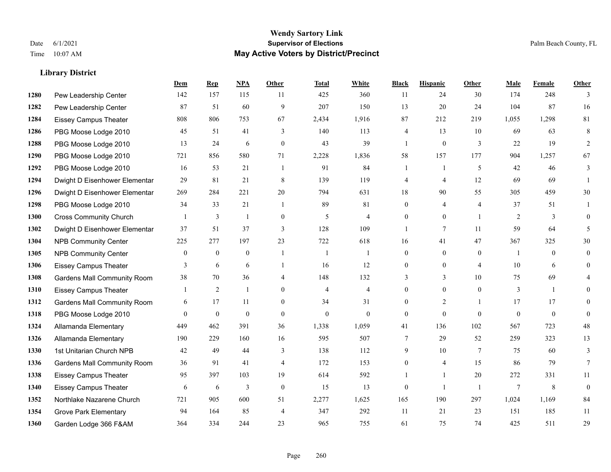#### **Wendy Sartory Link** Date 6/1/2021 **Supervisor of Elections** Palm Beach County, FL Time 10:07 AM **May Active Voters by District/Precinct**

# **Dem Rep NPA Other Total White Black Hispanic Other Male Female Other** Pew Leadership Center 142 157 115 11 425 360 11 24 30 174 248 3 Pew Leadership Center 87 51 60 9 207 150 13 20 24 104 87 16 Eissey Campus Theater 808 806 753 67 2,434 1,916 87 212 219 1,055 1,298 81 PBG Moose Lodge 2010 45 51 41 3 140 113 4 13 10 69 63 8 PBG Moose Lodge 2010 13 24 6 0 43 39 1 0 3 22 19 2 PBG Moose Lodge 2010 721 856 580 71 2,228 1,836 58 157 177 904 1,257 67 PBG Moose Lodge 2010 16 53 21 1 91 84 1 1 5 42 46 3 Dwight D Eisenhower Elementar 29 81 21 8 139 119 4 4 12 69 69 1 Dwight D Eisenhower Elementar 269 284 221 20 794 631 18 90 55 305 459 30 PBG Moose Lodge 2010 34 33 21 1 89 81 0 4 4 37 51 1 Cross Community Church 1 3 1 0 5 4 0 0 1 2 3 0 Dwight D Eisenhower Elementar 37 51 37 3 128 109 1 7 11 59 64 5 NPB Community Center 225 277 197 23 722 618 16 41 47 367 325 30 NPB Community Center 0 0 0 1 1 1 0 0 0 1 0 0 Eissey Campus Theater **3** 6 6 1 16 12 0 0 4 10 6 0 Gardens Mall Community Room 38 70 36 4 148 132 3 3 10 75 69 4 Eissey Campus Theater 1 2 1 0 4 4 0 0 0 3 1 0 Gardens Mall Community Room 6 17 11 0 34 31 0 2 1 17 17 0 PBG Moose Lodge 2010 0 0 0 0 0 0 0 0 0 0 0 0 Allamanda Elementary 449 462 391 36 1,338 1,059 41 136 102 567 723 48 Allamanda Elementary 190 229 160 16 595 507 7 29 52 259 323 13 1st Unitarian Church NPB 42 49 44 3 138 112 9 10 7 75 60 3 Gardens Mall Community Room 36 91 41 4 172 153 0 4 15 86 79 7 Eissey Campus Theater 95 397 103 19 614 592 1 1 20 272 331 11 Eissey Campus Theater 6 6 6 3 0 15 13 0 1 1 7 8 0 Northlake Nazarene Church 721 905 600 51 2,277 1,625 165 190 297 1,024 1,169 84 Grove Park Elementary 94 164 85 4 347 292 11 21 23 151 185 11 Garden Lodge 366 F&AM 364 334 244 23 965 755 61 75 74 425 511 29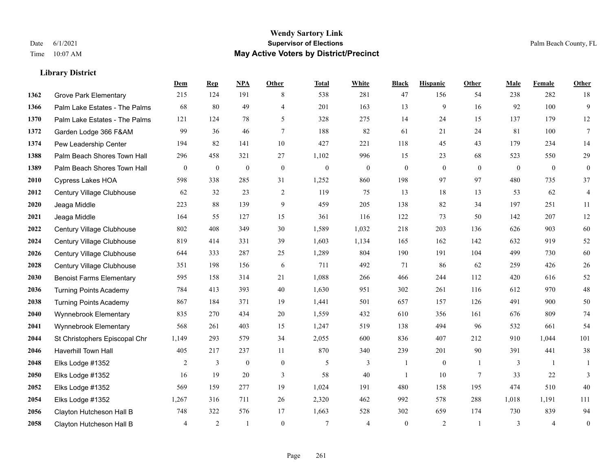|      |                                 | Dem              | <b>Rep</b>     | NPA          | <b>Other</b>   | <b>Total</b> | <b>White</b>   | <b>Black</b>     | <b>Hispanic</b> | Other          | <b>Male</b>    | <b>Female</b>  | <b>Other</b>     |
|------|---------------------------------|------------------|----------------|--------------|----------------|--------------|----------------|------------------|-----------------|----------------|----------------|----------------|------------------|
| 1362 | <b>Grove Park Elementary</b>    | 215              | 124            | 191          | 8              | 538          | 281            | 47               | 156             | 54             | 238            | 282            | 18               |
| 1366 | Palm Lake Estates - The Palms   | 68               | 80             | 49           | $\overline{4}$ | 201          | 163            | 13               | 9               | 16             | 92             | 100            | 9                |
| 1370 | Palm Lake Estates - The Palms   | 121              | 124            | 78           | 5              | 328          | 275            | 14               | 24              | 15             | 137            | 179            | 12               |
| 1372 | Garden Lodge 366 F&AM           | 99               | 36             | 46           | $\tau$         | 188          | 82             | 61               | 21              | 24             | 81             | 100            | $\tau$           |
| 1374 | Pew Leadership Center           | 194              | 82             | 141          | 10             | 427          | 221            | 118              | 45              | 43             | 179            | 234            | 14               |
| 1388 | Palm Beach Shores Town Hall     | 296              | 458            | 321          | 27             | 1,102        | 996            | 15               | 23              | 68             | 523            | 550            | 29               |
| 1389 | Palm Beach Shores Town Hall     | $\boldsymbol{0}$ | $\mathbf{0}$   | $\mathbf{0}$ | $\mathbf{0}$   | $\mathbf{0}$ | $\mathbf{0}$   | $\boldsymbol{0}$ | $\mathbf{0}$    | $\overline{0}$ | $\overline{0}$ | $\mathbf{0}$   | $\boldsymbol{0}$ |
| 2010 | <b>Cypress Lakes HOA</b>        | 598              | 338            | 285          | 31             | 1,252        | 860            | 198              | 97              | 97             | 480            | 735            | 37               |
| 2012 | Century Village Clubhouse       | 62               | 32             | 23           | 2              | 119          | 75             | 13               | 18              | 13             | 53             | 62             | $\overline{4}$   |
| 2020 | Jeaga Middle                    | 223              | 88             | 139          | 9              | 459          | 205            | 138              | 82              | 34             | 197            | 251            | 11               |
| 2021 | Jeaga Middle                    | 164              | 55             | 127          | 15             | 361          | 116            | 122              | 73              | 50             | 142            | 207            | 12               |
| 2022 | Century Village Clubhouse       | 802              | 408            | 349          | 30             | 1,589        | 1,032          | 218              | 203             | 136            | 626            | 903            | 60               |
| 2024 | Century Village Clubhouse       | 819              | 414            | 331          | 39             | 1,603        | 1,134          | 165              | 162             | 142            | 632            | 919            | 52               |
| 2026 | Century Village Clubhouse       | 644              | 333            | 287          | 25             | 1,289        | 804            | 190              | 191             | 104            | 499            | 730            | 60               |
| 2028 | Century Village Clubhouse       | 351              | 198            | 156          | 6              | 711          | 492            | 71               | 86              | 62             | 259            | 426            | 26               |
| 2030 | <b>Benoist Farms Elementary</b> | 595              | 158            | 314          | 21             | 1,088        | 266            | 466              | 244             | 112            | 420            | 616            | 52               |
| 2036 | <b>Turning Points Academy</b>   | 784              | 413            | 393          | 40             | 1,630        | 951            | 302              | 261             | 116            | 612            | 970            | $48\,$           |
| 2038 | <b>Turning Points Academy</b>   | 867              | 184            | 371          | 19             | 1,441        | 501            | 657              | 157             | 126            | 491            | 900            | $50\,$           |
| 2040 | Wynnebrook Elementary           | 835              | 270            | 434          | 20             | 1,559        | 432            | 610              | 356             | 161            | 676            | 809            | $74\,$           |
| 2041 | Wynnebrook Elementary           | 568              | 261            | 403          | 15             | 1,247        | 519            | 138              | 494             | 96             | 532            | 661            | 54               |
| 2044 | St Christophers Episcopal Chr   | 1,149            | 293            | 579          | 34             | 2,055        | 600            | 836              | 407             | 212            | 910            | 1,044          | 101              |
| 2046 | <b>Haverhill Town Hall</b>      | 405              | 217            | 237          | 11             | 870          | 340            | 239              | 201             | 90             | 391            | 441            | $38\,$           |
| 2048 | Elks Lodge #1352                | 2                | 3              | $\mathbf{0}$ | $\mathbf{0}$   | 5            | 3              | 1                | $\mathbf{0}$    | $\overline{1}$ | 3              | $\mathbf{1}$   | 1                |
| 2050 | Elks Lodge #1352                | 16               | 19             | 20           | 3              | 58           | 40             |                  | 10              | $\overline{7}$ | 33             | 22             | 3                |
| 2052 | Elks Lodge #1352                | 569              | 159            | 277          | 19             | 1,024        | 191            | 480              | 158             | 195            | 474            | 510            | 40               |
| 2054 | Elks Lodge #1352                | 1,267            | 316            | 711          | 26             | 2,320        | 462            | 992              | 578             | 288            | 1,018          | 1,191          | 111              |
| 2056 | Clayton Hutcheson Hall B        | 748              | 322            | 576          | 17             | 1,663        | 528            | 302              | 659             | 174            | 730            | 839            | 94               |
| 2058 | Clayton Hutcheson Hall B        | 4                | $\overline{2}$ |              | $\mathbf{0}$   | 7            | $\overline{4}$ | $\overline{0}$   | 2               |                | 3              | $\overline{4}$ | $\boldsymbol{0}$ |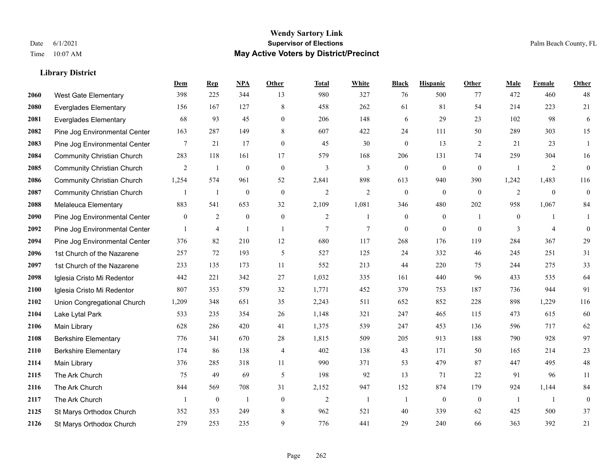#### **Wendy Sartory Link** Date 6/1/2021 **Supervisor of Elections** Palm Beach County, FL Time 10:07 AM **May Active Voters by District/Precinct**

# **Dem Rep NPA Other Total White Black Hispanic Other Male Female Other** West Gate Elementary 398 225 344 13 980 327 76 500 77 472 460 48 Everglades Elementary 156 167 127 8 458 262 61 81 54 214 223 21 Everglades Elementary 68 93 45 0 206 148 6 29 23 102 98 6 Pine Jog Environmental Center 163 287 149 8 607 422 24 111 50 289 303 15 Pine Jog Environmental Center 7 21 17 0 45 30 0 13 2 21 23 1 Community Christian Church 283 118 161 17 579 168 206 131 74 259 304 16 Community Christian Church 2 1 0 0 3 3 0 0 0 1 2 0 Community Christian Church 1,254 574 961 52 2,841 898 613 940 390 1,242 1,483 116 Community Christian Church 1 1 0 0 2 2 0 0 0 2 0 0 Melaleuca Elementary 883 541 653 32 2,109 1,081 346 480 202 958 1,067 84 Pine Jog Environmental Center  $\begin{array}{cccccccc} 0 & 2 & 0 & 0 & 2 & 1 & 0 & 1 & 0 & 1 \end{array}$  Pine Jog Environmental Center 1 4 1 1 1 7 7 0 0 0 3 4 0 Pine Jog Environmental Center 376 82 210 12 680 117 268 176 119 284 367 29 1st Church of the Nazarene 257 72 193 5 527 125 24 332 46 245 251 31 1st Church of the Nazarene 233 135 173 11 552 213 44 220 75 244 275 33 Iglesia Cristo Mi Redentor 442 221 342 27 1,032 335 161 440 96 433 535 64 Iglesia Cristo Mi Redentor 807 353 579 32 1,771 452 379 753 187 736 944 91 Union Congregational Church 1,209 348 651 35 2,243 511 652 852 228 898 1,229 116 Lake Lytal Park 533 235 354 26 1,148 321 247 465 115 473 615 60 Main Library 628 286 420 41 1,375 539 247 453 136 596 717 62 Berkshire Elementary 776 341 670 28 1,815 509 205 913 188 790 928 97 Berkshire Elementary 174 86 138 4 402 138 43 171 50 165 214 23 Main Library 376 285 318 11 990 371 53 479 87 447 495 48 The Ark Church 75 49 69 5 198 92 13 71 22 91 96 11 The Ark Church 844 569 708 31 2,152 947 152 874 179 924 1,144 84 The Ark Church 1 0 1 0 2 1 1 0 0 1 1 0 St Marys Orthodox Church 352 353 249 8 962 521 40 339 62 425 500 37 St Marys Orthodox Church 279 253 235 9 776 441 29 240 66 363 392 21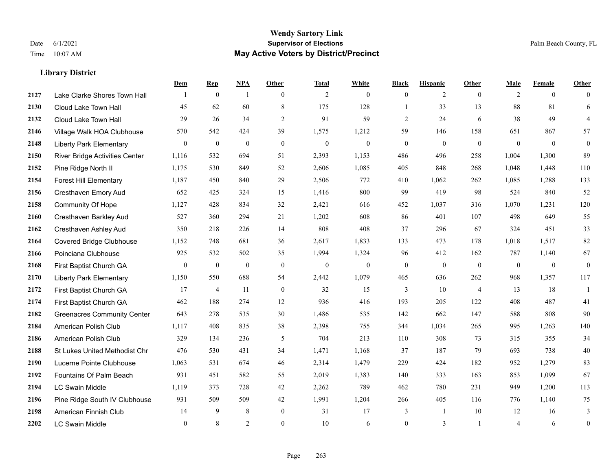#### **Wendy Sartory Link** Date 6/1/2021 **Supervisor of Elections** Palm Beach County, FL Time 10:07 AM **May Active Voters by District/Precinct**

**Dem Rep NPA Other Total White Black Hispanic Other Male Female Other**

# Lake Clarke Shores Town Hall  $\begin{array}{ccccccccc} 1 & 0 & 1 & 0 & 2 & 0 & 0 & 2 & 0 & 2 & 0 & 0 \end{array}$  Cloud Lake Town Hall 45 62 60 8 175 128 1 33 13 88 81 6 Cloud Lake Town Hall 29 26 34 2 91 59 2 24 6 38 49 4 Village Walk HOA Clubhouse 570 542 424 39 1,575 1,212 59 146 158 651 867 57 Liberty Park Elementary 0 0 0 0 0 0 0 0 0 0 0 0 River Bridge Activities Center 1,116 532 694 51 2,393 1,153 486 496 258 1,004 1,300 89 Pine Ridge North II 1,175 530 849 52 2,606 1,085 405 848 268 1,048 1,448 110 Forest Hill Elementary 1,187 450 840 29 2,506 772 410 1,062 262 1,085 1,288 133 Cresthaven Emory Aud 652 425 324 15 1,416 800 99 419 98 524 840 52 Community Of Hope 1,127 428 834 32 2,421 616 452 1,037 316 1,070 1,231 120 Cresthaven Barkley Aud 527 360 294 21 1,202 608 86 401 107 498 649 55 Cresthaven Ashley Aud 350 218 226 14 808 408 37 296 67 324 451 33 Covered Bridge Clubhouse 1,152 748 681 36 2,617 1,833 133 473 178 1,018 1,517 82 Poinciana Clubhouse 925 532 502 35 1,994 1,324 96 412 162 787 1,140 67 First Baptist Church GA 0 0 0 0 0 0 0 0 0 0 0 0 Liberty Park Elementary 1,150 550 688 54 2,442 1,079 465 636 262 968 1,357 117 First Baptist Church GA 17 4 11 0 32 15 3 10 4 13 18 1 First Baptist Church GA 462 188 274 12 936 416 193 205 122 408 487 41 Greenacres Community Center 643 278 535 30 1,486 535 142 662 147 588 808 90 American Polish Club 1,117 408 835 38 2,398 755 344 1,034 265 995 1,263 140 American Polish Club 329 134 236 5 704 213 110 308 73 315 355 34 St Lukes United Methodist Chr 476 530 431 34 1,471 1,168 37 187 79 693 738 40 Lucerne Pointe Clubhouse 1,063 531 674 46 2,314 1,479 229 424 182 952 1,279 83 Fountains Of Palm Beach 931 451 582 55 2,019 1,383 140 333 163 853 1,099 67

 LC Swain Middle 1,119 373 728 42 2,262 789 462 780 231 949 1,200 113 Pine Ridge South IV Clubhouse 931 509 509 42 1,991 1,204 266 405 116 776 1,140 75 American Finnish Club 14 9 8 0 31 17 3 1 10 12 16 3 LC Swain Middle 0 8 2 0 10 6 0 3 1 4 6 0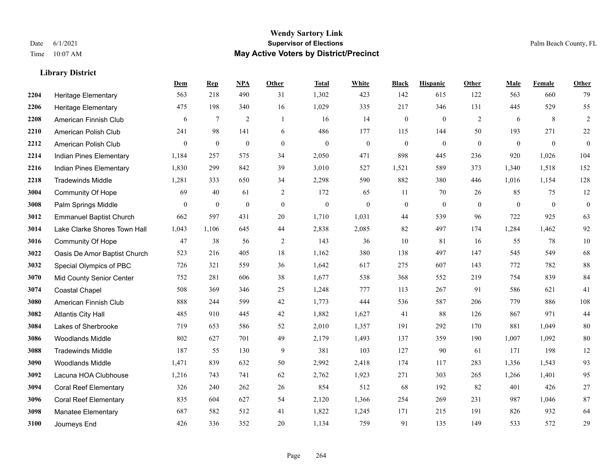|      |                                | Dem          | <b>Rep</b>       | NPA              | <b>Other</b> | <b>Total</b> | <b>White</b>     | <b>Black</b>     | <b>Hispanic</b>  | <b>Other</b> | <b>Male</b>  | Female       | <b>Other</b>     |
|------|--------------------------------|--------------|------------------|------------------|--------------|--------------|------------------|------------------|------------------|--------------|--------------|--------------|------------------|
| 2204 | <b>Heritage Elementary</b>     | 563          | 218              | 490              | 31           | 1,302        | 423              | 142              | 615              | 122          | 563          | 660          | 79               |
| 2206 | Heritage Elementary            | 475          | 198              | 340              | 16           | 1,029        | 335              | 217              | 346              | 131          | 445          | 529          | 55               |
| 2208 | American Finnish Club          | 6            | 7                | $\overline{2}$   | -1           | 16           | 14               | $\boldsymbol{0}$ | $\boldsymbol{0}$ | 2            | 6            | 8            | $\sqrt{2}$       |
| 2210 | American Polish Club           | 241          | 98               | 141              | 6            | 486          | 177              | 115              | 144              | 50           | 193          | 271          | $22\,$           |
| 2212 | American Polish Club           | $\mathbf{0}$ | $\boldsymbol{0}$ | $\boldsymbol{0}$ | $\mathbf{0}$ | $\mathbf{0}$ | $\boldsymbol{0}$ | $\boldsymbol{0}$ | $\boldsymbol{0}$ | $\mathbf{0}$ | $\mathbf{0}$ | $\mathbf{0}$ | $\boldsymbol{0}$ |
| 2214 | Indian Pines Elementary        | 1,184        | 257              | 575              | 34           | 2,050        | 471              | 898              | 445              | 236          | 920          | 1,026        | 104              |
| 2216 | Indian Pines Elementary        | 1,830        | 299              | 842              | 39           | 3,010        | 527              | 1,521            | 589              | 373          | 1,340        | 1,518        | 152              |
| 2218 | <b>Tradewinds Middle</b>       | 1,281        | 333              | 650              | 34           | 2,298        | 590              | 882              | 380              | 446          | 1,016        | 1,154        | 128              |
| 3004 | <b>Community Of Hope</b>       | 69           | 40               | 61               | 2            | 172          | 65               | 11               | 70               | 26           | 85           | 75           | 12               |
| 3008 | Palm Springs Middle            | $\theta$     | $\mathbf{0}$     | $\overline{0}$   | $\mathbf{0}$ | $\mathbf{0}$ | $\mathbf{0}$     | $\boldsymbol{0}$ | $\mathbf{0}$     | $\theta$     | $\theta$     | $\theta$     | $\boldsymbol{0}$ |
| 3012 | <b>Emmanuel Baptist Church</b> | 662          | 597              | 431              | 20           | 1,710        | 1,031            | 44               | 539              | 96           | 722          | 925          | 63               |
| 3014 | Lake Clarke Shores Town Hall   | 1,043        | 1,106            | 645              | 44           | 2,838        | 2,085            | 82               | 497              | 174          | 1,284        | 1,462        | 92               |
| 3016 | Community Of Hope              | 47           | 38               | 56               | 2            | 143          | 36               | 10               | 81               | 16           | 55           | 78           | $10\,$           |
| 3022 | Oasis De Amor Baptist Church   | 523          | 216              | 405              | 18           | 1,162        | 380              | 138              | 497              | 147          | 545          | 549          | 68               |
| 3032 | Special Olympics of PBC        | 726          | 321              | 559              | 36           | 1,642        | 617              | 275              | 607              | 143          | 772          | 782          | 88               |
| 3070 | Mid County Senior Center       | 752          | 281              | 606              | 38           | 1,677        | 538              | 368              | 552              | 219          | 754          | 839          | 84               |
| 3074 | <b>Coastal Chapel</b>          | 508          | 369              | 346              | 25           | 1,248        | 777              | 113              | 267              | 91           | 586          | 621          | 41               |
| 3080 | American Finnish Club          | 888          | 244              | 599              | 42           | 1,773        | 444              | 536              | 587              | 206          | 779          | 886          | 108              |
| 3082 | <b>Atlantis City Hall</b>      | 485          | 910              | 445              | 42           | 1,882        | 1,627            | 41               | 88               | 126          | 867          | 971          | 44               |
| 3084 | Lakes of Sherbrooke            | 719          | 653              | 586              | 52           | 2,010        | 1,357            | 191              | 292              | 170          | 881          | 1,049        | 80               |
| 3086 | <b>Woodlands Middle</b>        | 802          | 627              | 701              | 49           | 2,179        | 1,493            | 137              | 359              | 190          | 1,007        | 1,092        | $80\,$           |
| 3088 | <b>Tradewinds Middle</b>       | 187          | 55               | 130              | 9            | 381          | 103              | 127              | 90               | 61           | 171          | 198          | 12               |
| 3090 | <b>Woodlands Middle</b>        | 1,471        | 839              | 632              | 50           | 2,992        | 2,418            | 174              | 117              | 283          | 1,356        | 1,543        | 93               |
| 3092 | Lacuna HOA Clubhouse           | 1,216        | 743              | 741              | 62           | 2,762        | 1,923            | 271              | 303              | 265          | 1,266        | 1,401        | 95               |
| 3094 | <b>Coral Reef Elementary</b>   | 326          | 240              | 262              | 26           | 854          | 512              | 68               | 192              | 82           | 401          | 426          | $27\,$           |
| 3096 | <b>Coral Reef Elementary</b>   | 835          | 604              | 627              | 54           | 2,120        | 1,366            | 254              | 269              | 231          | 987          | 1,046        | 87               |
| 3098 | Manatee Elementary             | 687          | 582              | 512              | 41           | 1,822        | 1,245            | 171              | 215              | 191          | 826          | 932          | 64               |
| 3100 | Journeys End                   | 426          | 336              | 352              | 20           | 1,134        | 759              | 91               | 135              | 149          | 533          | 572          | 29               |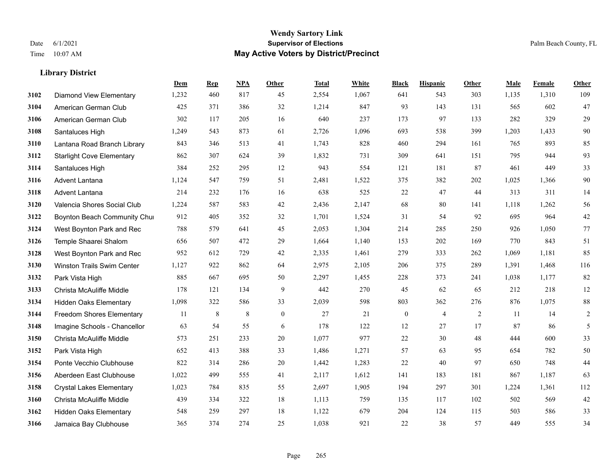#### **Wendy Sartory Link** Date 6/1/2021 **Supervisor of Elections** Palm Beach County, FL Time 10:07 AM **May Active Voters by District/Precinct**

# **Dem Rep NPA Other Total White Black Hispanic Other Male Female Other** Diamond View Elementary 1,232 460 817 45 2,554 1,067 641 543 303 1,135 1,310 109 American German Club 425 371 386 32 1,214 847 93 143 131 565 602 47 American German Club 302 117 205 16 640 237 173 97 133 282 329 29 Santaluces High 1,249 543 873 61 2,726 1,096 693 538 399 1,203 1,433 90 Lantana Road Branch Library 843 346 513 41 1,743 828 460 294 161 765 893 85 Starlight Cove Elementary 862 307 624 39 1,832 731 309 641 151 795 944 93 Santaluces High 384 252 295 12 943 554 121 181 87 461 449 33 Advent Lantana 1,124 547 759 51 2,481 1,522 375 382 202 1,025 1,366 90 Advent Lantana 214 232 176 16 638 525 22 47 44 313 311 14 Valencia Shores Social Club 1,224 587 583 42 2,436 2,147 68 80 141 1,118 1,262 56 **3122 Boynton Beach Community Chu**rch 912 405 352 32 1,701 1,524 31 54 92 695 964 42 West Boynton Park and Rec 788 579 641 45 2,053 1,304 214 285 250 926 1,050 77 Temple Shaarei Shalom 656 507 472 29 1,664 1,140 153 202 169 770 843 51 West Boynton Park and Rec 952 612 729 42 2,335 1,461 279 333 262 1,069 1,181 85 Winston Trails Swim Center 1,127 922 862 64 2,975 2,105 206 375 289 1,391 1,468 116 Park Vista High 885 667 695 50 2,297 1,455 228 373 241 1,038 1,177 82 Christa McAuliffe Middle 178 121 134 9 442 270 45 62 65 212 218 12 Hidden Oaks Elementary 1,098 322 586 33 2,039 598 803 362 276 876 1,075 88 Freedom Shores Elementary 11 8 8 0 27 21 0 4 2 11 14 2 Imagine Schools - Chancellor 63 54 55 6 178 122 12 27 17 87 86 5 Christa McAuliffe Middle 573 251 233 20 1,077 977 22 30 48 444 600 33 Park Vista High 652 413 388 33 1,486 1,271 57 63 95 654 782 50 Ponte Vecchio Clubhouse 822 314 286 20 1,442 1,283 22 40 97 650 748 44 Aberdeen East Clubhouse 1,022 499 555 41 2,117 1,612 141 183 181 867 1,187 63 Crystal Lakes Elementary 1,023 784 835 55 2,697 1,905 194 297 301 1,224 1,361 112 Christa McAuliffe Middle 439 334 322 18 1,113 759 135 117 102 502 569 42 Hidden Oaks Elementary 548 259 297 18 1,122 679 204 124 115 503 586 33 Jamaica Bay Clubhouse 365 374 274 25 1,038 921 22 38 57 449 555 34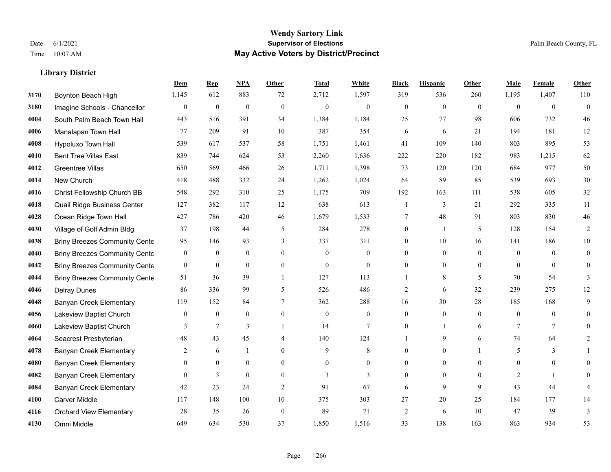## **Wendy Sartory Link** Date 6/1/2021 **Supervisor of Elections** Palm Beach County, FL Time 10:07 AM **May Active Voters by District/Precinct**

# **Dem Rep NPA Other Total White Black Hispanic Other Male Female Other**

| 3170 | Boynton Beach High                   | 1,145            | 612              | 883              | 72             | 2,712            | 1,597            | 319            | 536          | 260          | 1,195          | 1,407            | 110          |
|------|--------------------------------------|------------------|------------------|------------------|----------------|------------------|------------------|----------------|--------------|--------------|----------------|------------------|--------------|
| 3180 | Imagine Schools - Chancellor         | $\mathbf{0}$     | $\boldsymbol{0}$ | $\boldsymbol{0}$ | $\mathbf{0}$   | $\boldsymbol{0}$ | $\theta$         | $\Omega$       | $\theta$     | $\mathbf{0}$ | $\mathbf{0}$   | $\mathbf{0}$     | $\theta$     |
| 4004 | South Palm Beach Town Hall           | 443              | 516              | 391              | 34             | 1,384            | 1,184            | 25             | 77           | 98           | 606            | 732              | 46           |
| 4006 | Manalapan Town Hall                  | 77               | 209              | 91               | 10             | 387              | 354              | 6              | 6            | 21           | 194            | 181              | 12           |
| 4008 | Hypoluxo Town Hall                   | 539              | 617              | 537              | 58             | 1,751            | 1,461            | 41             | 109          | 140          | 803            | 895              | 53           |
| 4010 | <b>Bent Tree Villas East</b>         | 839              | 744              | 624              | 53             | 2,260            | 1,636            | 222            | 220          | 182          | 983            | 1,215            | 62           |
| 4012 | Greentree Villas                     | 650              | 569              | 466              | 26             | 1,711            | 1,398            | 73             | 120          | 120          | 684            | 977              | 50           |
| 4014 | New Church                           | 418              | 488              | 332              | 24             | 1,262            | 1,024            | 64             | 89           | 85           | 539            | 693              | 30           |
| 4016 | Christ Fellowship Church BB          | 548              | 292              | 310              | 25             | 1,175            | 709              | 192            | 163          | 111          | 538            | 605              | 32           |
| 4018 | Quail Ridge Business Center          | 127              | 382              | 117              | 12             | 638              | 613              |                | 3            | 21           | 292            | 335              | 11           |
| 4028 | Ocean Ridge Town Hall                | 427              | 786              | 420              | 46             | 1,679            | 1,533            | 7              | 48           | 91           | 803            | 830              | $46\,$       |
| 4030 | Village of Golf Admin Bldg           | 37               | 198              | 44               | 5              | 284              | 278              | $\Omega$       |              | 5            | 128            | 154              | 2            |
| 4038 | <b>Briny Breezes Community Cente</b> | 95               | 146              | 93               | 3              | 337              | 311              | $\mathbf{0}$   | 10           | 16           | 141            | 186              | $10\,$       |
| 4040 | <b>Briny Breezes Community Cente</b> | $\boldsymbol{0}$ | $\boldsymbol{0}$ | $\boldsymbol{0}$ | $\Omega$       | $\theta$         | $\mathbf{0}$     | $\theta$       | $\mathbf{0}$ | $\theta$     | $\theta$       | $\theta$         | $\mathbf{0}$ |
| 4042 | <b>Briny Breezes Community Cente</b> | $\boldsymbol{0}$ | $\boldsymbol{0}$ | $\mathbf{0}$     | $\overline{0}$ | $\mathbf{0}$     | $\mathbf{0}$     |                | $\mathbf{0}$ | $\Omega$     | $\theta$       | $\mathbf{0}$     | $\theta$     |
| 4044 | <b>Briny Breezes Community Cente</b> | 51               | 36               | 39               | $\mathbf{1}$   | 127              | 113              |                | 8            | 5            | 70             | 54               | 3            |
| 4046 | <b>Delray Dunes</b>                  | 86               | 336              | 99               | 5              | 526              | 486              | 2              | 6            | 32           | 239            | 275              | 12           |
| 4048 | Banyan Creek Elementary              | 119              | 152              | 84               | 7              | 362              | 288              | 16             | 30           | 28           | 185            | 168              | 9            |
| 4056 | Lakeview Baptist Church              | $\theta$         | $\mathbf{0}$     | $\mathbf{0}$     | $\theta$       | $\overline{0}$   | $\theta$         | $\Omega$       | $\theta$     | $\Omega$     | $\Omega$       | $\theta$         |              |
| 4060 | Lakeview Baptist Church              | 3                | $\overline{7}$   | 3                |                | 14               | $\overline{7}$   |                |              | 6            | 7              | $\tau$           |              |
| 4064 | Seacrest Presbyterian                | 48               | 43               | 45               | 4              | 140              | 124              |                | 9            | 6            | 74             | 64               | 2            |
| 4078 | <b>Banyan Creek Elementary</b>       | 2                | 6                |                  | $\Omega$       | 9                | 8                | $\Omega$       | $\theta$     |              | 5              | 3                |              |
| 4080 | <b>Banyan Creek Elementary</b>       | $\mathbf{0}$     | $\boldsymbol{0}$ | $\bf{0}$         | $\mathbf{0}$   | $\mathbf{0}$     | $\boldsymbol{0}$ |                | $\mathbf{0}$ | 0            | $\mathbf{0}$   | $\boldsymbol{0}$ |              |
| 4082 | Banyan Creek Elementary              | $\Omega$         | 3                | $\theta$         | $\Omega$       | 3                | 3                | $\Omega$       | $\theta$     | $\Omega$     | $\overline{2}$ | $\mathbf{1}$     | $\Omega$     |
| 4084 | <b>Banyan Creek Elementary</b>       | 42               | 23               | 24               | $\overline{2}$ | 91               | 67               | 6              | 9            | 9            | 43             | 44               |              |
| 4100 | Carver Middle                        | 117              | 148              | 100              | 10             | 375              | 303              | 27             | 20           | 25           | 184            | 177              | 14           |
| 4116 | <b>Orchard View Elementary</b>       | 28               | 35               | 26               | $\mathbf{0}$   | 89               | 71               | $\overline{2}$ | 6            | 10           | 47             | 39               | 3            |
| 4130 | Omni Middle                          | 649              | 634              | 530              | 37             | 1,850            | 1,516            | 33             | 138          | 163          | 863            | 934              | 53           |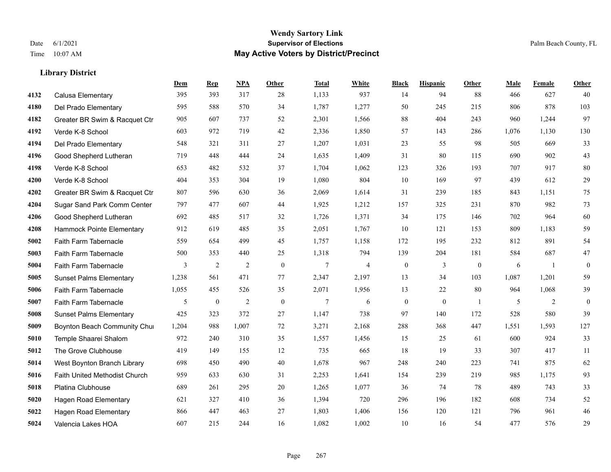|      |                                | Dem   | <b>Rep</b> | NPA            | <b>Other</b> | <b>Total</b>   | <b>White</b>   | <b>Black</b>     | <b>Hispanic</b> | <b>Other</b>   | <b>Male</b> | Female | <b>Other</b>     |
|------|--------------------------------|-------|------------|----------------|--------------|----------------|----------------|------------------|-----------------|----------------|-------------|--------|------------------|
| 4132 | Calusa Elementary              | 395   | 393        | 317            | 28           | 1,133          | 937            | 14               | 94              | 88             | 466         | 627    | 40               |
| 4180 | Del Prado Elementary           | 595   | 588        | 570            | 34           | 1,787          | 1,277          | 50               | 245             | 215            | 806         | 878    | 103              |
| 4182 | Greater BR Swim & Racquet Ctr  | 905   | 607        | 737            | 52           | 2,301          | 1,566          | 88               | 404             | 243            | 960         | 1,244  | 97               |
| 4192 | Verde K-8 School               | 603   | 972        | 719            | 42           | 2,336          | 1,850          | 57               | 143             | 286            | 1,076       | 1,130  | 130              |
| 4194 | Del Prado Elementary           | 548   | 321        | 311            | 27           | 1,207          | 1,031          | 23               | 55              | 98             | 505         | 669    | 33               |
| 4196 | Good Shepherd Lutheran         | 719   | 448        | 444            | 24           | 1,635          | 1,409          | 31               | 80              | 115            | 690         | 902    | 43               |
| 4198 | Verde K-8 School               | 653   | 482        | 532            | 37           | 1,704          | 1,062          | 123              | 326             | 193            | 707         | 917    | 80               |
| 4200 | Verde K-8 School               | 404   | 353        | 304            | 19           | 1,080          | 804            | 10               | 169             | 97             | 439         | 612    | 29               |
| 4202 | Greater BR Swim & Racquet Ctr  | 807   | 596        | 630            | 36           | 2,069          | 1,614          | 31               | 239             | 185            | 843         | 1,151  | 75               |
| 4204 | Sugar Sand Park Comm Center    | 797   | 477        | 607            | 44           | 1,925          | 1,212          | 157              | 325             | 231            | 870         | 982    | 73               |
| 4206 | Good Shepherd Lutheran         | 692   | 485        | 517            | 32           | 1,726          | 1,371          | 34               | 175             | 146            | 702         | 964    | 60               |
| 4208 | Hammock Pointe Elementary      | 912   | 619        | 485            | 35           | 2,051          | 1,767          | 10               | 121             | 153            | 809         | 1,183  | 59               |
| 5002 | Faith Farm Tabernacle          | 559   | 654        | 499            | 45           | 1,757          | 1,158          | 172              | 195             | 232            | 812         | 891    | 54               |
| 5003 | Faith Farm Tabernacle          | 500   | 353        | 440            | 25           | 1,318          | 794            | 139              | 204             | 181            | 584         | 687    | $47\,$           |
| 5004 | Faith Farm Tabernacle          | 3     | 2          | 2              | $\mathbf{0}$ | $\overline{7}$ | $\overline{4}$ | $\boldsymbol{0}$ | 3               | $\overline{0}$ | 6           | -1     | $\boldsymbol{0}$ |
| 5005 | <b>Sunset Palms Elementary</b> | 1,238 | 561        | 471            | 77           | 2,347          | 2,197          | 13               | 34              | 103            | 1,087       | 1,201  | 59               |
| 5006 | Faith Farm Tabernacle          | 1,055 | 455        | 526            | 35           | 2,071          | 1,956          | 13               | 22              | 80             | 964         | 1,068  | 39               |
| 5007 | <b>Faith Farm Tabernacle</b>   | 5     | $\bf{0}$   | $\overline{2}$ | $\theta$     | $\tau$         | 6              | $\boldsymbol{0}$ | $\mathbf{0}$    | $\overline{1}$ | 5           | 2      | $\mathbf{0}$     |
| 5008 | <b>Sunset Palms Elementary</b> | 425   | 323        | 372            | 27           | 1,147          | 738            | 97               | 140             | 172            | 528         | 580    | 39               |
| 5009 | Boynton Beach Community Chur   | 1,204 | 988        | 1,007          | 72           | 3,271          | 2,168          | 288              | 368             | 447            | 1,551       | 1,593  | 127              |
| 5010 | Temple Shaarei Shalom          | 972   | 240        | 310            | 35           | 1,557          | 1,456          | 15               | 25              | 61             | 600         | 924    | 33               |
| 5012 | The Grove Clubhouse            | 419   | 149        | 155            | 12           | 735            | 665            | 18               | 19              | 33             | 307         | 417    | 11               |
| 5014 | West Boynton Branch Library    | 698   | 450        | 490            | 40           | 1,678          | 967            | 248              | 240             | 223            | 741         | 875    | 62               |
| 5016 | Faith United Methodist Church  | 959   | 633        | 630            | 31           | 2,253          | 1,641          | 154              | 239             | 219            | 985         | 1,175  | 93               |
| 5018 | Platina Clubhouse              | 689   | 261        | 295            | 20           | 1,265          | 1,077          | 36               | 74              | 78             | 489         | 743    | 33               |
| 5020 | Hagen Road Elementary          | 621   | 327        | 410            | 36           | 1,394          | 720            | 296              | 196             | 182            | 608         | 734    | $52\,$           |
| 5022 | <b>Hagen Road Elementary</b>   | 866   | 447        | 463            | 27           | 1,803          | 1,406          | 156              | 120             | 121            | 796         | 961    | $46\,$           |
| 5024 | Valencia Lakes HOA             | 607   | 215        | 244            | 16           | 1,082          | 1,002          | 10               | 16              | 54             | 477         | 576    | 29               |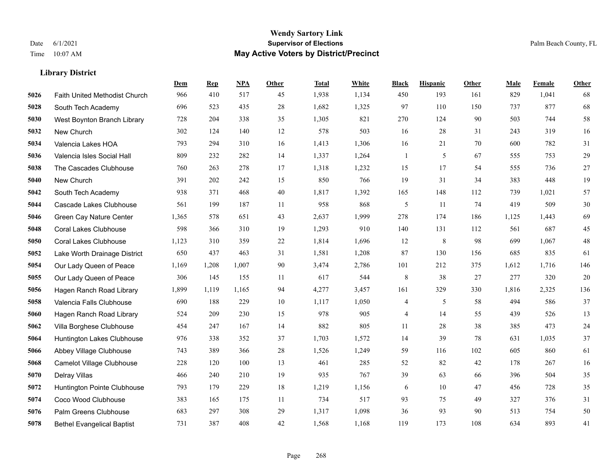|      |                                      | Dem   | <b>Rep</b> | NPA   | <b>Other</b> | <b>Total</b> | White | <b>Black</b>             | <b>Hispanic</b> | Other | <b>Male</b> | Female | <b>Other</b> |
|------|--------------------------------------|-------|------------|-------|--------------|--------------|-------|--------------------------|-----------------|-------|-------------|--------|--------------|
| 5026 | <b>Faith United Methodist Church</b> | 966   | 410        | 517   | 45           | 1,938        | 1,134 | 450                      | 193             | 161   | 829         | 1,041  | 68           |
| 5028 | South Tech Academy                   | 696   | 523        | 435   | 28           | 1,682        | 1,325 | 97                       | 110             | 150   | 737         | 877    | 68           |
| 5030 | West Boynton Branch Library          | 728   | 204        | 338   | 35           | 1,305        | 821   | 270                      | 124             | 90    | 503         | 744    | 58           |
| 5032 | New Church                           | 302   | 124        | 140   | 12           | 578          | 503   | 16                       | 28              | 31    | 243         | 319    | 16           |
| 5034 | Valencia Lakes HOA                   | 793   | 294        | 310   | 16           | 1,413        | 1,306 | 16                       | 21              | 70    | 600         | 782    | 31           |
| 5036 | Valencia Isles Social Hall           | 809   | 232        | 282   | 14           | 1,337        | 1,264 | 1                        | 5               | 67    | 555         | 753    | 29           |
| 5038 | The Cascades Clubhouse               | 760   | 263        | 278   | 17           | 1,318        | 1,232 | 15                       | 17              | 54    | 555         | 736    | 27           |
| 5040 | New Church                           | 391   | 202        | 242   | 15           | 850          | 766   | 19                       | 31              | 34    | 383         | 448    | 19           |
| 5042 | South Tech Academy                   | 938   | 371        | 468   | 40           | 1,817        | 1,392 | 165                      | 148             | 112   | 739         | 1,021  | 57           |
| 5044 | Cascade Lakes Clubhouse              | 561   | 199        | 187   | 11           | 958          | 868   | 5                        | 11              | 74    | 419         | 509    | $30\,$       |
| 5046 | Green Cay Nature Center              | 1,365 | 578        | 651   | 43           | 2,637        | 1,999 | 278                      | 174             | 186   | 1,125       | 1,443  | 69           |
| 5048 | <b>Coral Lakes Clubhouse</b>         | 598   | 366        | 310   | 19           | 1,293        | 910   | 140                      | 131             | 112   | 561         | 687    | 45           |
| 5050 | <b>Coral Lakes Clubhouse</b>         | 1,123 | 310        | 359   | $22\,$       | 1,814        | 1,696 | 12                       | 8               | 98    | 699         | 1,067  | $48\,$       |
| 5052 | Lake Worth Drainage District         | 650   | 437        | 463   | 31           | 1,581        | 1,208 | 87                       | 130             | 156   | 685         | 835    | 61           |
| 5054 | Our Lady Queen of Peace              | 1,169 | 1,208      | 1,007 | 90           | 3,474        | 2,786 | 101                      | 212             | 375   | 1,612       | 1,716  | 146          |
| 5055 | Our Lady Queen of Peace              | 306   | 145        | 155   | 11           | 617          | 544   | 8                        | 38              | 27    | 277         | 320    | $20\,$       |
| 5056 | Hagen Ranch Road Library             | 1,899 | 1,119      | 1,165 | 94           | 4,277        | 3,457 | 161                      | 329             | 330   | 1,816       | 2,325  | 136          |
| 5058 | Valencia Falls Clubhouse             | 690   | 188        | 229   | 10           | 1,117        | 1,050 | 4                        | 5               | 58    | 494         | 586    | 37           |
| 5060 | Hagen Ranch Road Library             | 524   | 209        | 230   | 15           | 978          | 905   | $\overline{\mathcal{A}}$ | 14              | 55    | 439         | 526    | 13           |
| 5062 | Villa Borghese Clubhouse             | 454   | 247        | 167   | 14           | 882          | 805   | 11                       | 28              | 38    | 385         | 473    | 24           |
| 5064 | Huntington Lakes Clubhouse           | 976   | 338        | 352   | 37           | 1,703        | 1,572 | 14                       | 39              | 78    | 631         | 1,035  | 37           |
| 5066 | Abbey Village Clubhouse              | 743   | 389        | 366   | 28           | 1,526        | 1,249 | 59                       | 116             | 102   | 605         | 860    | 61           |
| 5068 | Camelot Village Clubhouse            | 228   | 120        | 100   | 13           | 461          | 285   | 52                       | 82              | 42    | 178         | 267    | 16           |
| 5070 | Delray Villas                        | 466   | 240        | 210   | 19           | 935          | 767   | 39                       | 63              | 66    | 396         | 504    | 35           |
| 5072 | Huntington Pointe Clubhouse          | 793   | 179        | 229   | 18           | 1,219        | 1,156 | 6                        | 10              | 47    | 456         | 728    | 35           |
| 5074 | Coco Wood Clubhouse                  | 383   | 165        | 175   | 11           | 734          | 517   | 93                       | 75              | 49    | 327         | 376    | 31           |
| 5076 | <b>Palm Greens Clubhouse</b>         | 683   | 297        | 308   | 29           | 1,317        | 1,098 | 36                       | 93              | 90    | 513         | 754    | 50           |
| 5078 | <b>Bethel Evangelical Baptist</b>    | 731   | 387        | 408   | 42           | 1,568        | 1,168 | 119                      | 173             | 108   | 634         | 893    | 41           |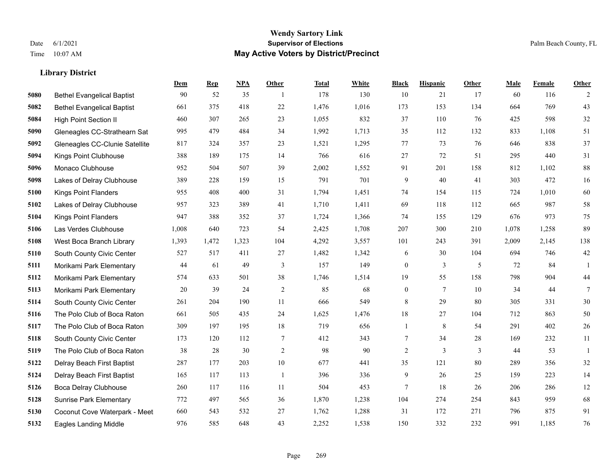#### **Wendy Sartory Link** Date 6/1/2021 **Supervisor of Elections** Palm Beach County, FL Time 10:07 AM **May Active Voters by District/Precinct**

# **Dem Rep NPA Other Total White Black Hispanic Other Male Female Other** Bethel Evangelical Baptist 90 52 35 1 178 130 10 21 17 60 116 2 Bethel Evangelical Baptist 661 375 418 22 1,476 1,016 173 153 134 664 769 43 High Point Section II 460 307 265 23 1,055 832 37 110 76 425 598 32 Gleneagles CC-Strathearn Sat 995 479 484 34 1,992 1,713 35 112 132 833 1,108 51 Gleneagles CC-Clunie Satellite 817 324 357 23 1,521 1,295 77 73 76 646 838 37 Kings Point Clubhouse 388 189 175 14 766 616 27 72 51 295 440 31 Monaco Clubhouse 952 504 507 39 2,002 1,552 91 201 158 812 1,102 88 Lakes of Delray Clubhouse 389 228 159 15 791 701 9 40 41 303 472 16 Kings Point Flanders 955 408 400 31 1,794 1,451 74 154 115 724 1,010 60 Lakes of Delray Clubhouse 957 323 389 41 1,710 1,411 69 118 112 665 987 58 Kings Point Flanders 947 388 352 37 1,724 1,366 74 155 129 676 973 75 Las Verdes Clubhouse 1,008 640 723 54 2,425 1,708 207 300 210 1,078 1,258 89 West Boca Branch Library 1,393 1,472 1,323 104 4,292 3,557 101 243 391 2,009 2,145 138 South County Civic Center 527 517 411 27 1,482 1,342 6 30 104 694 746 42 Morikami Park Elementary 44 61 49 3 157 149 0 3 5 72 84 1 Morikami Park Elementary 574 633 501 38 1,746 1,514 19 55 158 798 904 44 Morikami Park Elementary 20 39 24 2 85 68 0 7 10 34 44 7 South County Civic Center 261 204 190 11 666 549 8 29 80 305 331 30 The Polo Club of Boca Raton 661 505 435 24 1,625 1,476 18 27 104 712 863 50 The Polo Club of Boca Raton 309 197 195 18 719 656 1 8 54 291 402 26 South County Civic Center 173 120 112 7 412 343 7 34 28 169 232 11 The Polo Club of Boca Raton 38 28 30 2 98 90 2 3 3 44 53 1 Delray Beach First Baptist 287 177 203 10 677 441 35 121 80 289 356 32 Delray Beach First Baptist 165 117 113 1 396 336 9 26 25 159 223 14 Boca Delray Clubhouse 260 117 116 11 504 453 7 18 26 206 286 12 Sunrise Park Elementary 772 497 565 36 1,870 1,238 104 274 254 843 959 68 Coconut Cove Waterpark - Meet 660 543 532 27 1,762 1,288 31 172 271 796 875 91 Eagles Landing Middle 976 585 648 43 2,252 1,538 150 332 232 991 1,185 76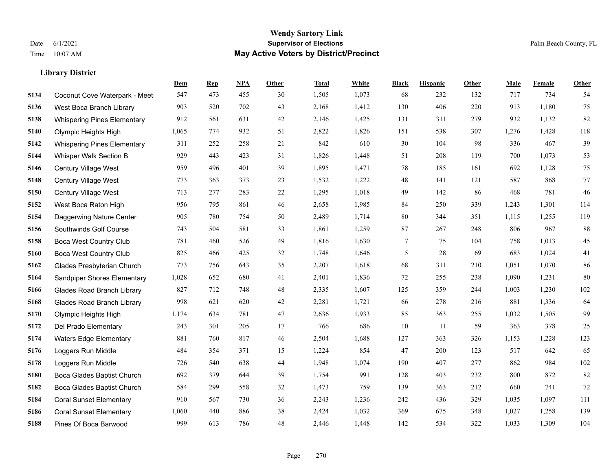|      |                                    | Dem   | <b>Rep</b> | NPA | <b>Other</b> | <b>Total</b> | White | <b>Black</b>   | <b>Hispanic</b> | <b>Other</b> | <b>Male</b> | Female | <b>Other</b> |
|------|------------------------------------|-------|------------|-----|--------------|--------------|-------|----------------|-----------------|--------------|-------------|--------|--------------|
| 5134 | Coconut Cove Waterpark - Meet      | 547   | 473        | 455 | 30           | 1,505        | 1,073 | 68             | 232             | 132          | 717         | 734    | 54           |
| 5136 | West Boca Branch Library           | 903   | 520        | 702 | 43           | 2,168        | 1,412 | 130            | 406             | 220          | 913         | 1,180  | 75           |
| 5138 | <b>Whispering Pines Elementary</b> | 912   | 561        | 631 | 42           | 2,146        | 1,425 | 131            | 311             | 279          | 932         | 1,132  | 82           |
| 5140 | Olympic Heights High               | 1,065 | 774        | 932 | 51           | 2,822        | 1,826 | 151            | 538             | 307          | 1,276       | 1,428  | 118          |
| 5142 | <b>Whispering Pines Elementary</b> | 311   | 252        | 258 | 21           | 842          | 610   | 30             | 104             | 98           | 336         | 467    | 39           |
| 5144 | Whisper Walk Section B             | 929   | 443        | 423 | 31           | 1,826        | 1,448 | 51             | 208             | 119          | 700         | 1,073  | 53           |
| 5146 | Century Village West               | 959   | 496        | 401 | 39           | 1,895        | 1,471 | 78             | 185             | 161          | 692         | 1,128  | 75           |
| 5148 | Century Village West               | 773   | 363        | 373 | 23           | 1,532        | 1,222 | 48             | 141             | 121          | 587         | 868    | 77           |
| 5150 | Century Village West               | 713   | 277        | 283 | $22\,$       | 1,295        | 1,018 | 49             | 142             | 86           | 468         | 781    | $46\,$       |
| 5152 | West Boca Raton High               | 956   | 795        | 861 | 46           | 2,658        | 1,985 | 84             | 250             | 339          | 1,243       | 1,301  | 114          |
| 5154 | Daggerwing Nature Center           | 905   | 780        | 754 | 50           | 2,489        | 1,714 | 80             | 344             | 351          | 1,115       | 1,255  | 119          |
| 5156 | Southwinds Golf Course             | 743   | 504        | 581 | 33           | 1,861        | 1,259 | 87             | 267             | 248          | 806         | 967    | $88\,$       |
| 5158 | <b>Boca West Country Club</b>      | 781   | 460        | 526 | 49           | 1,816        | 1,630 | 7              | 75              | 104          | 758         | 1,013  | 45           |
| 5160 | <b>Boca West Country Club</b>      | 825   | 466        | 425 | 32           | 1,748        | 1,646 | $\mathfrak{S}$ | 28              | 69           | 683         | 1,024  | 41           |
| 5162 | Glades Presbyterian Church         | 773   | 756        | 643 | 35           | 2,207        | 1,618 | 68             | 311             | 210          | 1,051       | 1,070  | 86           |
| 5164 | Sandpiper Shores Elementary        | 1,028 | 652        | 680 | 41           | 2,401        | 1,836 | 72             | 255             | 238          | 1,090       | 1,231  | 80           |
| 5166 | <b>Glades Road Branch Library</b>  | 827   | 712        | 748 | 48           | 2,335        | 1,607 | 125            | 359             | 244          | 1,003       | 1,230  | 102          |
| 5168 | <b>Glades Road Branch Library</b>  | 998   | 621        | 620 | 42           | 2,281        | 1,721 | 66             | 278             | 216          | 881         | 1,336  | 64           |
| 5170 | Olympic Heights High               | 1,174 | 634        | 781 | 47           | 2,636        | 1,933 | 85             | 363             | 255          | 1,032       | 1,505  | 99           |
| 5172 | Del Prado Elementary               | 243   | 301        | 205 | 17           | 766          | 686   | 10             | 11              | 59           | 363         | 378    | 25           |
| 5174 | <b>Waters Edge Elementary</b>      | 881   | 760        | 817 | 46           | 2,504        | 1,688 | 127            | 363             | 326          | 1,153       | 1,228  | 123          |
| 5176 | Loggers Run Middle                 | 484   | 354        | 371 | 15           | 1,224        | 854   | 47             | 200             | 123          | 517         | 642    | 65           |
| 5178 | Loggers Run Middle                 | 726   | 540        | 638 | 44           | 1,948        | 1,074 | 190            | 407             | 277          | 862         | 984    | $102\,$      |
| 5180 | Boca Glades Baptist Church         | 692   | 379        | 644 | 39           | 1,754        | 991   | 128            | 403             | 232          | 800         | 872    | 82           |
| 5182 | Boca Glades Baptist Church         | 584   | 299        | 558 | 32           | 1,473        | 759   | 139            | 363             | 212          | 660         | 741    | 72           |
| 5184 | <b>Coral Sunset Elementary</b>     | 910   | 567        | 730 | 36           | 2,243        | 1,236 | 242            | 436             | 329          | 1,035       | 1,097  | 111          |
| 5186 | <b>Coral Sunset Elementary</b>     | 1,060 | 440        | 886 | 38           | 2,424        | 1,032 | 369            | 675             | 348          | 1,027       | 1,258  | 139          |
| 5188 | Pines Of Boca Barwood              | 999   | 613        | 786 | 48           | 2,446        | 1,448 | 142            | 534             | 322          | 1,033       | 1,309  | 104          |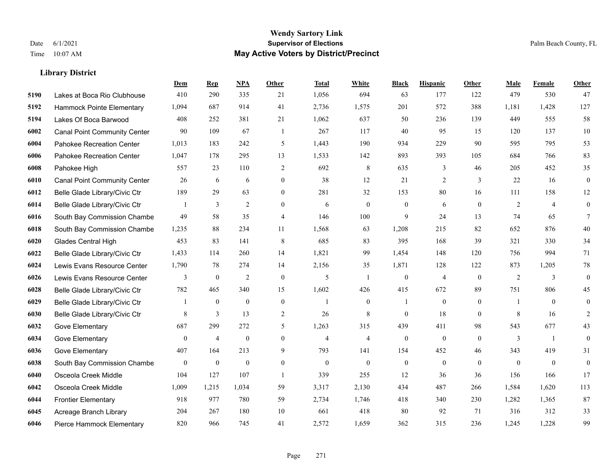|      |                                     | Dem              | <b>Rep</b>       | NPA              | <b>Other</b>   | <b>Total</b>   | <b>White</b>   | <b>Black</b>     | <b>Hispanic</b> | Other    | <b>Male</b>  | Female         | <b>Other</b>     |
|------|-------------------------------------|------------------|------------------|------------------|----------------|----------------|----------------|------------------|-----------------|----------|--------------|----------------|------------------|
| 5190 | Lakes at Boca Rio Clubhouse         | 410              | 290              | 335              | 21             | 1,056          | 694            | 63               | 177             | 122      | 479          | 530            | 47               |
| 5192 | Hammock Pointe Elementary           | 1,094            | 687              | 914              | 41             | 2,736          | 1,575          | 201              | 572             | 388      | 1,181        | 1,428          | 127              |
| 5194 | Lakes Of Boca Barwood               | 408              | 252              | 381              | 21             | 1,062          | 637            | 50               | 236             | 139      | 449          | 555            | 58               |
| 6002 | <b>Canal Point Community Center</b> | 90               | 109              | 67               | $\overline{1}$ | 267            | 117            | 40               | 95              | 15       | 120          | 137            | $10\,$           |
| 6004 | Pahokee Recreation Center           | 1.013            | 183              | 242              | 5              | 1.443          | 190            | 934              | 229             | 90       | 595          | 795            | 53               |
| 6006 | Pahokee Recreation Center           | 1,047            | 178              | 295              | 13             | 1,533          | 142            | 893              | 393             | 105      | 684          | 766            | 83               |
| 6008 | Pahokee High                        | 557              | 23               | 110              | $\overline{2}$ | 692            | $\,$ 8 $\,$    | 635              | 3               | 46       | 205          | 452            | 35               |
| 6010 | <b>Canal Point Community Center</b> | 26               | 6                | 6                | $\Omega$       | 38             | 12             | 21               | 2               | 3        | 22           | 16             | $\boldsymbol{0}$ |
| 6012 | Belle Glade Library/Civic Ctr       | 189              | 29               | 63               | $\overline{0}$ | 281            | 32             | 153              | 80              | 16       | 111          | 158            | 12               |
| 6014 | Belle Glade Library/Civic Ctr       | 1                | 3                | 2                | $\overline{0}$ | 6              | $\overline{0}$ | $\mathbf{0}$     | 6               | $\theta$ | 2            | $\overline{4}$ | $\mathbf{0}$     |
| 6016 | South Bay Commission Chambe         | 49               | 58               | 35               | $\overline{4}$ | 146            | 100            | 9                | 24              | 13       | 74           | 65             | $\tau$           |
| 6018 | South Bay Commission Chambe         | 1,235            | 88               | 234              | 11             | 1,568          | 63             | 1,208            | 215             | 82       | 652          | 876            | 40               |
| 6020 | Glades Central High                 | 453              | 83               | 141              | 8              | 685            | 83             | 395              | 168             | 39       | 321          | 330            | 34               |
| 6022 | Belle Glade Library/Civic Ctr       | 1,433            | 114              | 260              | 14             | 1,821          | 99             | 1,454            | 148             | 120      | 756          | 994            | 71               |
| 6024 | Lewis Evans Resource Center         | 1,790            | 78               | 274              | 14             | 2,156          | 35             | 1,871            | 128             | 122      | 873          | 1,205          | 78               |
| 6026 | Lewis Evans Resource Center         | 3                | $\bf{0}$         | $\overline{2}$   | $\mathbf{0}$   | 5              | $\mathbf{1}$   | $\mathbf{0}$     | $\overline{4}$  | $\theta$ | 2            | 3              | $\mathbf{0}$     |
| 6028 | Belle Glade Library/Civic Ctr       | 782              | 465              | 340              | 15             | 1,602          | 426            | 415              | 672             | 89       | 751          | 806            | 45               |
| 6029 | Belle Glade Library/Civic Ctr       |                  | $\mathbf{0}$     | $\mathbf{0}$     | $\overline{0}$ |                | $\overline{0}$ |                  | $\mathbf{0}$    | $\theta$ |              | $\theta$       | $\mathbf{0}$     |
| 6030 | Belle Glade Library/Civic Ctr       | 8                | $\overline{3}$   | 13               | 2              | 26             | $\,$ 8 $\,$    | $\mathbf{0}$     | 18              | $\theta$ | 8            | 16             | 2                |
| 6032 | Gove Elementary                     | 687              | 299              | 272              | 5              | 1,263          | 315            | 439              | 411             | 98       | 543          | 677            | 43               |
| 6034 | Gove Elementary                     | $\overline{0}$   | $\overline{4}$   | $\overline{0}$   | $\Omega$       | $\overline{4}$ | $\overline{4}$ | $\mathbf{0}$     | $\mathbf{0}$    | $\theta$ | 3            | $\overline{1}$ | $\mathbf{0}$     |
| 6036 | Gove Elementary                     | 407              | 164              | 213              | 9              | 793            | 141            | 154              | 452             | 46       | 343          | 419            | 31               |
| 6038 | South Bay Commission Chambe         | $\boldsymbol{0}$ | $\boldsymbol{0}$ | $\boldsymbol{0}$ | $\overline{0}$ | $\mathbf{0}$   | $\mathbf{0}$   | $\boldsymbol{0}$ | $\mathbf{0}$    | $\theta$ | $\mathbf{0}$ | $\overline{0}$ | $\boldsymbol{0}$ |
| 6040 | Osceola Creek Middle                | 104              | 127              | 107              | $\overline{1}$ | 339            | 255            | 12               | 36              | 36       | 156          | 166            | 17               |
| 6042 | Osceola Creek Middle                | 1,009            | 1,215            | 1,034            | 59             | 3,317          | 2,130          | 434              | 487             | 266      | 1,584        | 1.620          | 113              |
| 6044 | <b>Frontier Elementary</b>          | 918              | 977              | 780              | 59             | 2,734          | 1,746          | 418              | 340             | 230      | 1,282        | 1,365          | 87               |
| 6045 | Acreage Branch Library              | 204              | 267              | 180              | 10             | 661            | 418            | 80               | 92              | 71       | 316          | 312            | 33               |
| 6046 | Pierce Hammock Elementary           | 820              | 966              | 745              | 41             | 2,572          | 1,659          | 362              | 315             | 236      | 1,245        | 1,228          | 99               |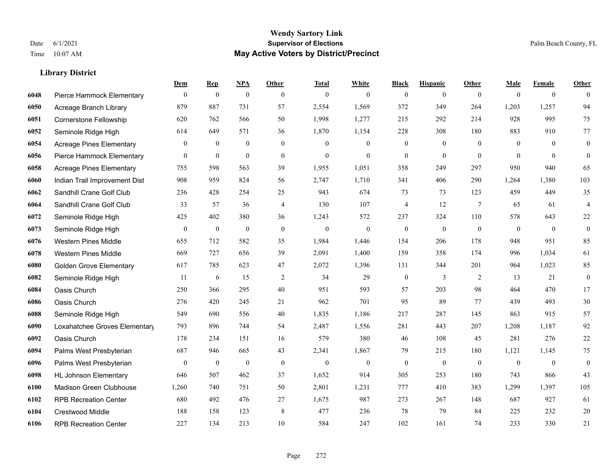#### **Wendy Sartory Link** Date 6/1/2021 **Supervisor of Elections** Palm Beach County, FL Time 10:07 AM **May Active Voters by District/Precinct**

**Dem Rep NPA Other Total White Black Hispanic Other Male Female Other**

# Pierce Hammock Elementary 0 0 0 0 0 0 0 0 0 0 0 0 Acreage Branch Library 879 887 731 57 2,554 1,569 372 349 264 1,203 1,257 94 Cornerstone Fellowship 620 762 566 50 1,998 1,277 215 292 214 928 995 75 Seminole Ridge High 614 649 571 36 1,870 1,154 228 308 180 883 910 77 Acreage Pines Elementary 0 0 0 0 0 0 0 0 0 0 0 0 Pierce Hammock Elementary 0 0 0 0 0 0 0 0 0 0 0 0 Acreage Pines Elementary 755 598 563 39 1,955 1,051 358 249 297 950 940 65 Indian Trail Improvement Dist 908 959 824 56 2,747 1,710 341 406 290 1,264 1,380 103 Sandhill Crane Golf Club 236 428 254 25 943 674 73 73 123 459 449 35 Sandhill Crane Golf Club 33 57 36 4 130 107 4 12 7 65 61 4 Seminole Ridge High 425 402 380 36 1,243 572 237 324 110 578 643 22 Seminole Ridge High 0 0 0 0 0 0 0 0 0 0 0 0 Western Pines Middle 655 712 582 35 1,984 1,446 154 206 178 948 951 85 Western Pines Middle 669 727 656 39 2,091 1,400 159 358 174 996 1,034 61 Golden Grove Elementary 617 785 623 47 2,072 1,396 131 344 201 964 1,023 85 Seminole Ridge High 11 6 15 2 34 29 0 3 2 13 21 0 Oasis Church 250 366 295 40 951 593 57 203 98 464 470 17 Oasis Church 276 420 245 21 962 701 95 89 77 439 493 30 Seminole Ridge High 549 690 556 40 1,835 1,186 217 287 145 863 915 57 Loxahatchee Groves Elementary 793 896 744 54 2,487 1,556 281 443 207 1,208 1,187 92 Oasis Church 178 234 151 16 579 380 46 108 45 281 276 22 Palms West Presbyterian 687 946 665 43 2,341 1,867 79 215 180 1,121 1,145 75 Palms West Presbyterian 0 0 0 0 0 0 0 0 0 0 0 0 HL Johnson Elementary 646 507 462 37 1,652 914 305 253 180 743 866 43 Madison Green Clubhouse 1,260 740 751 50 2,801 1,231 777 410 383 1,299 1,397 105 RPB Recreation Center 680 492 476 27 1,675 987 273 267 148 687 927 61 Crestwood Middle 188 158 123 8 477 236 78 79 84 225 232 20

RPB Recreation Center 227 134 213 10 584 247 102 161 74 233 330 21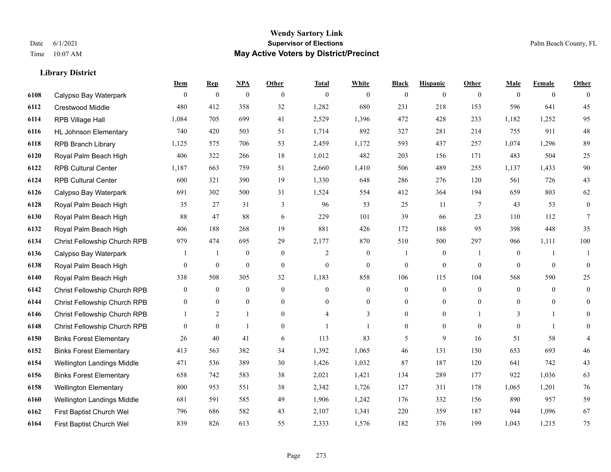|      |                                | <b>Dem</b>       | <b>Rep</b>       | NPA              | <b>Other</b>     | <b>Total</b>   | <b>White</b>     | <b>Black</b>     | <b>Hispanic</b>  | <b>Other</b>   | <b>Male</b>    | <b>Female</b>  | <b>Other</b>     |
|------|--------------------------------|------------------|------------------|------------------|------------------|----------------|------------------|------------------|------------------|----------------|----------------|----------------|------------------|
| 6108 | Calypso Bay Waterpark          | $\overline{0}$   | $\mathbf{0}$     | $\boldsymbol{0}$ | $\overline{0}$   | $\theta$       | $\overline{0}$   | $\mathbf{0}$     | $\mathbf{0}$     | $\theta$       | $\mathbf{0}$   | $\overline{0}$ | $\theta$         |
| 6112 | Crestwood Middle               | 480              | 412              | 358              | 32               | 1,282          | 680              | 231              | 218              | 153            | 596            | 641            | 45               |
| 6114 | RPB Village Hall               | 1,084            | 705              | 699              | 41               | 2,529          | 1,396            | 472              | 428              | 233            | 1,182          | 1,252          | 95               |
| 6116 | <b>HL Johnson Elementary</b>   | 740              | 420              | 503              | 51               | 1,714          | 892              | 327              | 281              | 214            | 755            | 911            | $48\,$           |
| 6118 | <b>RPB Branch Library</b>      | 1,125            | 575              | 706              | 53               | 2,459          | 1,172            | 593              | 437              | 257            | 1,074          | 1,296          | 89               |
| 6120 | Royal Palm Beach High          | 406              | 322              | 266              | 18               | 1,012          | 482              | 203              | 156              | 171            | 483            | 504            | $25\,$           |
| 6122 | <b>RPB Cultural Center</b>     | 1,187            | 663              | 759              | 51               | 2,660          | 1,410            | 506              | 489              | 255            | 1,137          | 1,433          | $90\,$           |
| 6124 | <b>RPB Cultural Center</b>     | 600              | 321              | 390              | 19               | 1,330          | 648              | 286              | 276              | 120            | 561            | 726            | 43               |
| 6126 | Calypso Bay Waterpark          | 691              | 302              | 500              | 31               | 1,524          | 554              | 412              | 364              | 194            | 659            | 803            | 62               |
| 6128 | Royal Palm Beach High          | 35               | 27               | 31               | 3                | 96             | 53               | 25               | 11               | 7              | 43             | 53             | $\boldsymbol{0}$ |
| 6130 | Royal Palm Beach High          | 88               | 47               | 88               | 6                | 229            | 101              | 39               | 66               | 23             | 110            | 112            | $\tau$           |
| 6132 | Royal Palm Beach High          | 406              | 188              | 268              | 19               | 881            | 426              | 172              | 188              | 95             | 398            | 448            | 35               |
| 6134 | Christ Fellowship Church RPB   | 979              | 474              | 695              | 29               | 2,177          | 870              | 510              | 500              | 297            | 966            | 1,111          | 100              |
| 6136 | Calypso Bay Waterpark          |                  | $\overline{1}$   | $\boldsymbol{0}$ | $\boldsymbol{0}$ | $\overline{2}$ | $\boldsymbol{0}$ |                  | $\boldsymbol{0}$ | -1             | $\mathbf{0}$   | 1              | -1               |
| 6138 | Royal Palm Beach High          | 0                | $\boldsymbol{0}$ | $\mathbf{0}$     | $\overline{0}$   | $\mathbf{0}$   | $\overline{0}$   | $\boldsymbol{0}$ | $\mathbf{0}$     | $\overline{0}$ | $\theta$       | $\overline{0}$ | $\mathbf{0}$     |
| 6140 | Royal Palm Beach High          | 338              | 508              | 305              | 32               | 1,183          | 858              | 106              | 115              | 104            | 568            | 590            | 25               |
| 6142 | Christ Fellowship Church RPB   | $\boldsymbol{0}$ | $\mathbf{0}$     | $\boldsymbol{0}$ | $\boldsymbol{0}$ | $\theta$       | $\boldsymbol{0}$ | $\boldsymbol{0}$ | $\boldsymbol{0}$ | $\mathbf{0}$   | $\overline{0}$ | $\mathbf{0}$   | $\boldsymbol{0}$ |
| 6144 | Christ Fellowship Church RPB   | $\overline{0}$   | $\mathbf{0}$     | $\mathbf{0}$     | $\overline{0}$   | $\theta$       | $\overline{0}$   | $\boldsymbol{0}$ | $\overline{0}$   | $\theta$       | $\overline{0}$ | $\theta$       | $\boldsymbol{0}$ |
| 6146 | Christ Fellowship Church RPB   | 1                | 2                | $\mathbf{1}$     | $\overline{0}$   |                | 3                | $\mathbf{0}$     | $\overline{0}$   |                | 3              | $\mathbf{1}$   | $\theta$         |
| 6148 | Christ Fellowship Church RPB   | $\overline{0}$   | $\mathbf{0}$     | $\mathbf{1}$     | $\overline{0}$   |                | 1                | $\boldsymbol{0}$ | $\overline{0}$   | $\mathbf{0}$   | $\mathbf{0}$   | 1              | $\overline{0}$   |
| 6150 | <b>Binks Forest Elementary</b> | 26               | 40               | 41               | 6                | 113            | 83               | 5                | 9                | 16             | 51             | 58             | 4                |
| 6152 | <b>Binks Forest Elementary</b> | 413              | 563              | 382              | 34               | 1,392          | 1,065            | 46               | 131              | 150            | 653            | 693            | 46               |
| 6154 | Wellington Landings Middle     | 471              | 536              | 389              | 30               | 1,426          | 1,032            | 87               | 187              | 120            | 641            | 742            | 43               |
| 6156 | <b>Binks Forest Elementary</b> | 658              | 742              | 583              | 38               | 2,021          | 1,421            | 134              | 289              | 177            | 922            | 1,036          | 63               |
| 6158 | <b>Wellington Elementary</b>   | 800              | 953              | 551              | 38               | 2,342          | 1,726            | 127              | 311              | 178            | 1,065          | 1,201          | 76               |
| 6160 | Wellington Landings Middle     | 681              | 591              | 585              | 49               | 1,906          | 1,242            | 176              | 332              | 156            | 890            | 957            | 59               |
| 6162 | First Baptist Church Wel       | 796              | 686              | 582              | 43               | 2,107          | 1,341            | 220              | 359              | 187            | 944            | 1,096          | 67               |
| 6164 | First Baptist Church Wel       | 839              | 826              | 613              | 55               | 2,333          | 1,576            | 182              | 376              | 199            | 1,043          | 1,215          | 75               |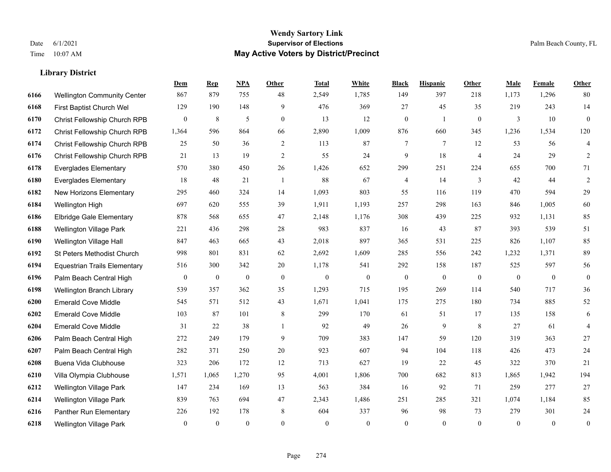|      |                                     | Dem            | <b>Rep</b>   | NPA              | <b>Other</b>   | <b>Total</b> | White        | <b>Black</b>     | <b>Hispanic</b> | Other          | <b>Male</b>  | Female       | <b>Other</b>     |
|------|-------------------------------------|----------------|--------------|------------------|----------------|--------------|--------------|------------------|-----------------|----------------|--------------|--------------|------------------|
| 6166 | <b>Wellington Community Center</b>  | 867            | 879          | 755              | 48             | 2,549        | 1,785        | 149              | 397             | 218            | 1,173        | 1,296        | 80               |
| 6168 | First Baptist Church Wel            | 129            | 190          | 148              | 9              | 476          | 369          | 27               | 45              | 35             | 219          | 243          | 14               |
| 6170 | Christ Fellowship Church RPB        | $\overline{0}$ | 8            | 5                | $\overline{0}$ | 13           | 12           | $\boldsymbol{0}$ | 1               | $\overline{0}$ | 3            | 10           | $\mathbf{0}$     |
| 6172 | Christ Fellowship Church RPB        | 1,364          | 596          | 864              | 66             | 2,890        | 1,009        | 876              | 660             | 345            | 1,236        | 1,534        | 120              |
| 6174 | Christ Fellowship Church RPB        | 25             | 50           | 36               | 2              | 113          | 87           | 7                | $\tau$          | 12             | 53           | 56           | $\overline{4}$   |
| 6176 | Christ Fellowship Church RPB        | 21             | 13           | 19               | 2              | 55           | 24           | 9                | 18              | $\overline{4}$ | 24           | 29           | $\overline{2}$   |
| 6178 | <b>Everglades Elementary</b>        | 570            | 380          | 450              | 26             | 1,426        | 652          | 299              | 251             | 224            | 655          | 700          | $71\,$           |
| 6180 | <b>Everglades Elementary</b>        | 18             | 48           | 21               | $\overline{1}$ | 88           | 67           | 4                | 14              | 3              | 42           | 44           | $\overline{2}$   |
| 6182 | New Horizons Elementary             | 295            | 460          | 324              | 14             | 1,093        | 803          | 55               | 116             | 119            | 470          | 594          | 29               |
| 6184 | Wellington High                     | 697            | 620          | 555              | 39             | 1,911        | 1,193        | 257              | 298             | 163            | 846          | 1,005        | 60               |
| 6186 | <b>Elbridge Gale Elementary</b>     | 878            | 568          | 655              | 47             | 2,148        | 1,176        | 308              | 439             | 225            | 932          | 1,131        | 85               |
| 6188 | Wellington Village Park             | 221            | 436          | 298              | 28             | 983          | 837          | 16               | 43              | 87             | 393          | 539          | 51               |
| 6190 | Wellington Village Hall             | 847            | 463          | 665              | 43             | 2,018        | 897          | 365              | 531             | 225            | 826          | 1,107        | 85               |
| 6192 | St Peters Methodist Church          | 998            | 801          | 831              | 62             | 2,692        | 1,609        | 285              | 556             | 242            | 1,232        | 1,371        | 89               |
| 6194 | <b>Equestrian Trails Elementary</b> | 516            | 300          | 342              | 20             | 1,178        | 541          | 292              | 158             | 187            | 525          | 597          | 56               |
| 6196 | Palm Beach Central High             | $\overline{0}$ | $\bf{0}$     | $\boldsymbol{0}$ | $\mathbf{0}$   | $\mathbf{0}$ | $\mathbf{0}$ | $\boldsymbol{0}$ | $\mathbf{0}$    | $\mathbf{0}$   | $\mathbf{0}$ | $\mathbf{0}$ | $\mathbf{0}$     |
| 6198 | Wellington Branch Library           | 539            | 357          | 362              | 35             | 1,293        | 715          | 195              | 269             | 114            | 540          | 717          | 36               |
| 6200 | <b>Emerald Cove Middle</b>          | 545            | 571          | 512              | 43             | 1,671        | 1,041        | 175              | 275             | 180            | 734          | 885          | $52\,$           |
| 6202 | <b>Emerald Cove Middle</b>          | 103            | 87           | 101              | $\,$ 8 $\,$    | 299          | 170          | 61               | 51              | 17             | 135          | 158          | $\sqrt{6}$       |
| 6204 | <b>Emerald Cove Middle</b>          | 31             | 22           | 38               | $\overline{1}$ | 92           | 49           | 26               | 9               | 8              | 27           | 61           | $\overline{4}$   |
| 6206 | Palm Beach Central High             | 272            | 249          | 179              | 9              | 709          | 383          | 147              | 59              | 120            | 319          | 363          | 27               |
| 6207 | Palm Beach Central High             | 282            | 371          | 250              | 20             | 923          | 607          | 94               | 104             | 118            | 426          | 473          | $24\,$           |
| 6208 | Buena Vida Clubhouse                | 323            | 206          | 172              | 12             | 713          | 627          | 19               | 22              | 45             | 322          | 370          | 21               |
| 6210 | Villa Olympia Clubhouse             | 1,571          | 1,065        | 1,270            | 95             | 4,001        | 1,806        | 700              | 682             | 813            | 1,865        | 1,942        | 194              |
| 6212 | <b>Wellington Village Park</b>      | 147            | 234          | 169              | 13             | 563          | 384          | 16               | 92              | 71             | 259          | 277          | 27               |
| 6214 | Wellington Village Park             | 839            | 763          | 694              | 47             | 2,343        | 1,486        | 251              | 285             | 321            | 1,074        | 1,184        | 85               |
| 6216 | Panther Run Elementary              | 226            | 192          | 178              | 8              | 604          | 337          | 96               | 98              | 73             | 279          | 301          | 24               |
| 6218 | <b>Wellington Village Park</b>      | $\mathbf{0}$   | $\mathbf{0}$ | $\theta$         | $\Omega$       | $\theta$     | $\mathbf{0}$ | $\mathbf{0}$     | $\theta$        | $\theta$       | $\theta$     | $\theta$     | $\boldsymbol{0}$ |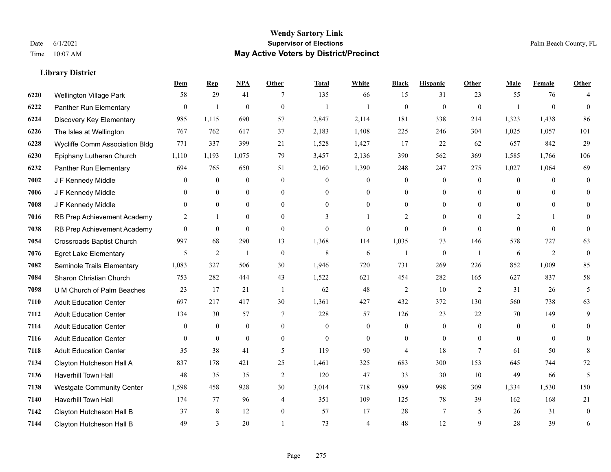#### **Wendy Sartory Link** Date 6/1/2021 **Supervisor of Elections** Palm Beach County, FL Time 10:07 AM **May Active Voters by District/Precinct**

**Dem Rep NPA Other Total White Black Hispanic Other Male Female Other**

# Wellington Village Park 58 29 41 7 135 66 15 31 23 55 76 4 Panther Run Elementary 0 1 0 0 1 1 0 0 0 1 0 0 Discovery Key Elementary 985 1,115 690 57 2,847 2,114 181 338 214 1,323 1,438 86 The Isles at Wellington 767 762 617 37 2,183 1,408 225 246 304 1,025 1,057 101 Wycliffe Comm Association Bldg 771 337 399 21 1,528 1,427 17 22 62 657 842 29 Epiphany Lutheran Church 1,110 1,193 1,075 79 3,457 2,136 390 562 369 1,585 1,766 106 Panther Run Elementary 694 765 650 51 2,160 1,390 248 247 275 1,027 1,064 69 J F Kennedy Middle 0 0 0 0 0 0 0 0 0 0 0 0 J F Kennedy Middle 0 0 0 0 0 0 0 0 0 0 0 0 J F Kennedy Middle 0 0 0 0 0 0 0 0 0 0 0 0 RB Prep Achievement Academy 2 1 0 0 3 1 2 0 0 2 1 0 RB Prep Achievement Academy 0 0 0 0 0 0 0 0 0 0 0 0 Crossroads Baptist Church 997 68 290 13 1,368 114 1,035 73 146 578 727 63 Egret Lake Elementary 5 2 1 0 8 6 1 0 1 6 2 0 Seminole Trails Elementary 1,083 327 506 30 1,946 720 731 269 226 852 1,009 85 Sharon Christian Church 753 282 444 43 1,522 621 454 282 165 627 837 58 U M Church of Palm Beaches 23 17 21 1 62 48 2 10 2 31 26 5 Adult Education Center 697 217 417 30 1,361 427 432 372 130 560 738 63 Adult Education Center 134 30 57 7 228 57 126 23 22 70 149 9 Adult Education Center 0 0 0 0 0 0 0 0 0 0 0 0 Adult Education Center 0 0 0 0 0 0 0 0 0 0 0 0 Adult Education Center 35 38 41 5 119 90 4 18 7 61 50 8 Clayton Hutcheson Hall A 837 178 421 25 1,461 325 683 300 153 645 744 72 Haverhill Town Hall 48 35 35 2 120 47 33 30 10 49 66 5 Westgate Community Center 1,598 458 928 30 3,014 718 989 998 309 1,334 1,530 150 Haverhill Town Hall 174 77 96 4 351 109 125 78 39 162 168 21 Clayton Hutcheson Hall B 37 8 12 0 57 17 28 7 5 26 31 0

Clayton Hutcheson Hall B 49 3 20 1 73 4 48 12 9 28 39 6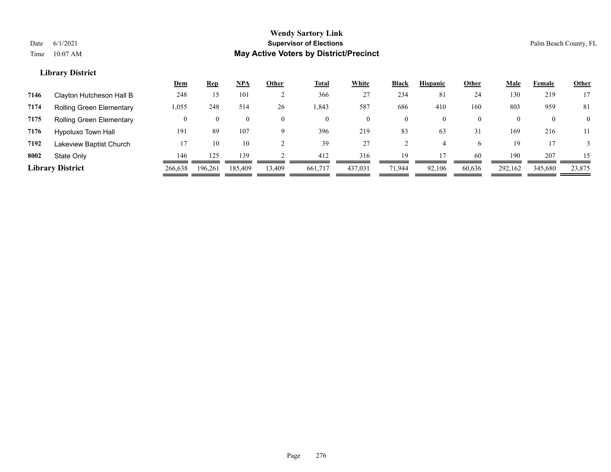| <b>Total</b><br>White<br><b>NPA</b><br><b>Hispanic</b><br>Black<br><u>Dem</u><br><b>Rep</b><br>Other<br>Other<br><u>Male</u> |                                            |
|------------------------------------------------------------------------------------------------------------------------------|--------------------------------------------|
| 234<br>366<br>248<br>81<br>24<br>101<br>27<br>15<br>Clayton Hutcheson Hall B<br>7146                                         | 130<br>17<br>219                           |
| 26<br>587<br>686<br>410<br>1,055<br>514<br>160<br>248<br>1.843<br>7174<br><b>Rolling Green Elementary</b>                    | 803<br>959<br>81                           |
| 7175<br><b>Rolling Green Elementary</b><br>$\mathbf{0}$<br>$\mathbf{0}$<br>$\Omega$<br>$\bf{0}$<br>0                         | $\overline{0}$<br>$\mathbf{0}$<br>$\theta$ |
| 219<br>191<br>107<br>83<br>63<br>31<br>7176<br>396<br>89<br><b>Hypoluxo Town Hall</b>                                        | 169<br>216<br>11                           |
| 27<br>7192<br>39<br>10<br>Lakeview Baptist Church<br>10<br>6                                                                 | 19                                         |
| 316<br>146<br>139<br>412<br>19<br>60<br>8002<br>125<br>State Only                                                            | 190<br>207<br>15                           |
| <b>Library District</b><br>437,031<br>266,638<br>185,409<br>92.106<br>60,636<br>196,261<br>13,409<br>661,717<br>71.944       | 292,162<br>345,680<br>23,875               |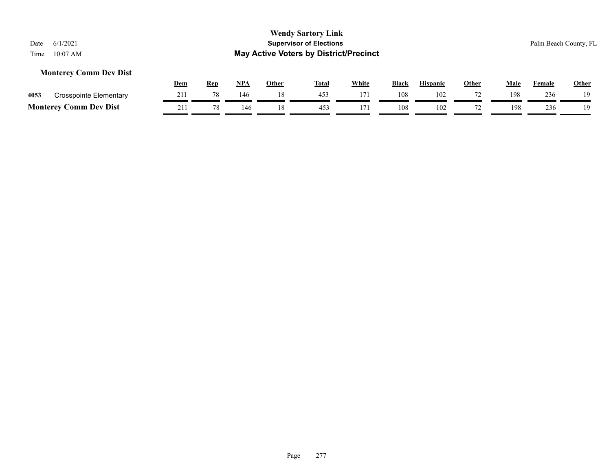## **Monterey Comm Dev Dist**

|          |                               | Dem | Rep | <b>NPA</b> | Other | <b>Total</b> | <u>White</u> | <b>Black</b> | <b>Hispanic</b> | Other | Male | Female | <u>Other</u> |
|----------|-------------------------------|-----|-----|------------|-------|--------------|--------------|--------------|-----------------|-------|------|--------|--------------|
| 4053     | <b>Crosspointe Elementary</b> |     |     | 146        |       | 453          |              | 108          | 102             |       | 198  | 236    | 1 Q          |
| Monterey | Comm Dev Dist                 | 211 | 70  | 46         |       | 45?          |              | 108          | 102             |       | 198  | 236    | 1 Q          |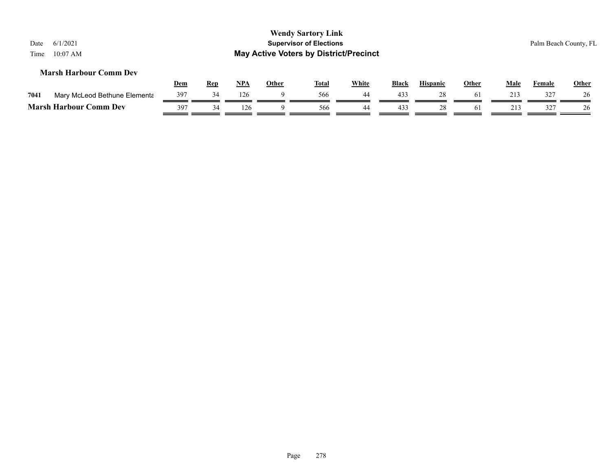| 6/1/2021<br>Date<br>$10:07$ AM<br>Time |     |            |            |              | <b>Wendy Sartory Link</b><br><b>Supervisor of Elections</b><br><b>May Active Voters by District/Precinct</b> |              |       |                 |              |      |               | Palm Beach County, FL |
|----------------------------------------|-----|------------|------------|--------------|--------------------------------------------------------------------------------------------------------------|--------------|-------|-----------------|--------------|------|---------------|-----------------------|
| <b>Marsh Harbour Comm Dev</b>          |     |            |            |              |                                                                                                              |              |       |                 |              |      |               |                       |
|                                        | Dem | <u>Rep</u> | <u>NPA</u> | <b>Other</b> | <u>Total</u>                                                                                                 | <b>White</b> | Black | <b>Hispanic</b> | <b>Other</b> | Male | <u>Female</u> | <b>Other</b>          |
| Mary McLeod Bethune Elementa<br>7041   | 397 | 34         | 126        |              | 566                                                                                                          | 44           | 433   | 28              | 61           | 213  | 327           | 26                    |
| <b>Marsh Harbour Comm Dev</b>          | 397 | 34         | 126        |              | 566                                                                                                          | 44           | 433   | 28              | 61           | 213  | 327           | 26                    |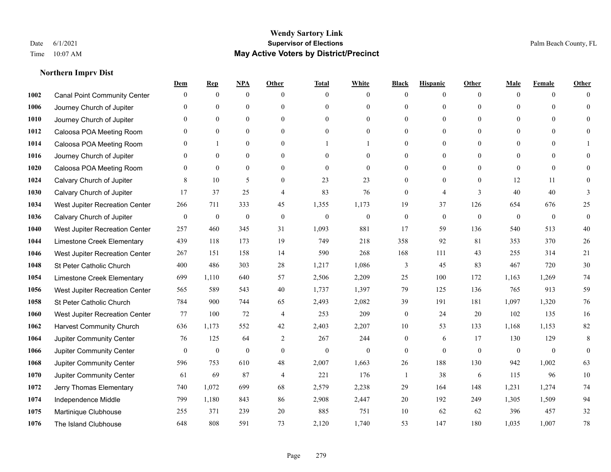## **Northern Imprv Dist**

|      |                                     | Dem              | <b>Rep</b>       | NPA              | <b>Other</b>     | <b>Total</b>     | <b>White</b>     | <b>Black</b>     | <b>Hispanic</b>  | <b>Other</b>   | Male           | <b>Female</b>  | <b>Other</b>     |
|------|-------------------------------------|------------------|------------------|------------------|------------------|------------------|------------------|------------------|------------------|----------------|----------------|----------------|------------------|
| 1002 | <b>Canal Point Community Center</b> | $\mathbf{0}$     | $\mathbf{0}$     | $\mathbf{0}$     | $\theta$         | $\theta$         | $\overline{0}$   | $\Omega$         | $\overline{0}$   | $\theta$       | $\mathbf{0}$   | $\overline{0}$ | $\Omega$         |
| 1006 | Journey Church of Jupiter           | $\Omega$         | $\mathbf{0}$     | $\mathbf{0}$     | $\theta$         | $\theta$         | $\overline{0}$   | $\mathbf{0}$     | $\overline{0}$   | $\Omega$       | $\Omega$       | $\Omega$       | $\theta$         |
| 1010 | Journey Church of Jupiter           | $\Omega$         | $\theta$         | $\theta$         | $\Omega$         | $\Omega$         | $\theta$         | $\Omega$         | $\Omega$         | $\Omega$       | $\Omega$       | $\Omega$       | $\Omega$         |
| 1012 | Caloosa POA Meeting Room            | $\mathbf{0}$     | $\mathbf{0}$     | $\mathbf{0}$     | $\mathbf{0}$     | $\boldsymbol{0}$ | $\overline{0}$   | $\theta$         | $\boldsymbol{0}$ | $\mathbf{0}$   | $\mathbf{0}$   | $\overline{0}$ | $\theta$         |
| 1014 | Caloosa POA Meeting Room            | $\Omega$         | 1                | $\mathbf{0}$     | $\theta$         |                  |                  | 0                | $\overline{0}$   | $\theta$       | $\theta$       | $\theta$       |                  |
| 1016 | Journey Church of Jupiter           | $\mathbf{0}$     | $\mathbf{0}$     | $\mathbf{0}$     | $\theta$         | $\theta$         | $\overline{0}$   | $\theta$         | $\overline{0}$   | $\theta$       | $\overline{0}$ | $\Omega$       | $\Omega$         |
| 1020 | Caloosa POA Meeting Room            | $\mathbf{0}$     | $\mathbf{0}$     | $\mathbf{0}$     | $\mathbf{0}$     | $\mathbf{0}$     | $\overline{0}$   | $\overline{0}$   | $\boldsymbol{0}$ | $\mathbf{0}$   | $\overline{0}$ | $\mathbf{0}$   | $\theta$         |
| 1024 | Calvary Church of Jupiter           | 8                | 10               | 5                | $\theta$         | 23               | 23               | $\overline{0}$   | $\overline{0}$   | $\theta$       | 12             | 11             | $\Omega$         |
| 1030 | Calvary Church of Jupiter           | 17               | 37               | 25               | $\overline{4}$   | 83               | 76               | $\mathbf{0}$     | 4                | $\overline{3}$ | 40             | 40             | 3                |
| 1034 | West Jupiter Recreation Center      | 266              | 711              | 333              | 45               | 1,355            | 1,173            | 19               | 37               | 126            | 654            | 676            | 25               |
| 1036 | Calvary Church of Jupiter           | $\boldsymbol{0}$ | $\boldsymbol{0}$ | $\boldsymbol{0}$ | $\mathbf{0}$     | $\mathbf{0}$     | $\mathbf{0}$     | $\boldsymbol{0}$ | $\overline{0}$   | $\mathbf{0}$   | $\mathbf{0}$   | $\overline{0}$ | $\boldsymbol{0}$ |
| 1040 | West Jupiter Recreation Center      | 257              | 460              | 345              | 31               | 1,093            | 881              | 17               | 59               | 136            | 540            | 513            | $40\,$           |
| 1044 | Limestone Creek Elementary          | 439              | 118              | 173              | 19               | 749              | 218              | 358              | 92               | 81             | 353            | 370            | $26\,$           |
| 1046 | West Jupiter Recreation Center      | 267              | 151              | 158              | 14               | 590              | 268              | 168              | 111              | 43             | 255            | 314            | $21\,$           |
| 1048 | St Peter Catholic Church            | 400              | 486              | 303              | 28               | 1,217            | 1,086            | 3                | 45               | 83             | 467            | 720            | $30\,$           |
| 1054 | Limestone Creek Elementary          | 699              | 1,110            | 640              | 57               | 2,506            | 2,209            | 25               | 100              | 172            | 1,163          | 1,269          | $74\,$           |
| 1056 | West Jupiter Recreation Center      | 565              | 589              | 543              | 40               | 1,737            | 1,397            | 79               | 125              | 136            | 765            | 913            | 59               |
| 1058 | St Peter Catholic Church            | 784              | 900              | 744              | 65               | 2,493            | 2,082            | 39               | 191              | 181            | 1,097          | 1,320          | 76               |
| 1060 | West Jupiter Recreation Center      | 77               | 100              | 72               | $\overline{4}$   | 253              | 209              | $\boldsymbol{0}$ | 24               | 20             | 102            | 135            | 16               |
| 1062 | <b>Harvest Community Church</b>     | 636              | 1.173            | 552              | 42               | 2,403            | 2,207            | 10               | 53               | 133            | 1,168          | 1,153          | 82               |
| 1064 | Jupiter Community Center            | 76               | 125              | 64               | 2                | 267              | 244              | $\overline{0}$   | 6                | 17             | 130            | 129            | 8                |
| 1066 | Jupiter Community Center            | $\boldsymbol{0}$ | $\boldsymbol{0}$ | $\boldsymbol{0}$ | $\boldsymbol{0}$ | $\boldsymbol{0}$ | $\boldsymbol{0}$ | $\overline{0}$   | $\mathbf{0}$     | $\mathbf{0}$   | $\mathbf{0}$   | $\bf{0}$       | $\mathbf{0}$     |
| 1068 | Jupiter Community Center            | 596              | 753              | 610              | 48               | 2,007            | 1,663            | 26               | 188              | 130            | 942            | 1,002          | 63               |
| 1070 | Jupiter Community Center            | 61               | 69               | 87               | $\overline{4}$   | 221              | 176              | $\mathbf{1}$     | 38               | 6              | 115            | 96             | 10               |
| 1072 | Jerry Thomas Elementary             | 740              | 1,072            | 699              | 68               | 2,579            | 2,238            | 29               | 164              | 148            | 1,231          | 1,274          | 74               |
| 1074 | Independence Middle                 | 799              | 1,180            | 843              | 86               | 2,908            | 2,447            | 20               | 192              | 249            | 1,305          | 1,509          | 94               |
| 1075 | Martinique Clubhouse                | 255              | 371              | 239              | 20               | 885              | 751              | 10               | 62               | 62             | 396            | 457            | $32\,$           |
| 1076 | The Island Clubhouse                | 648              | 808              | 591              | 73               | 2,120            | 1,740            | 53               | 147              | 180            | 1,035          | 1,007          | 78               |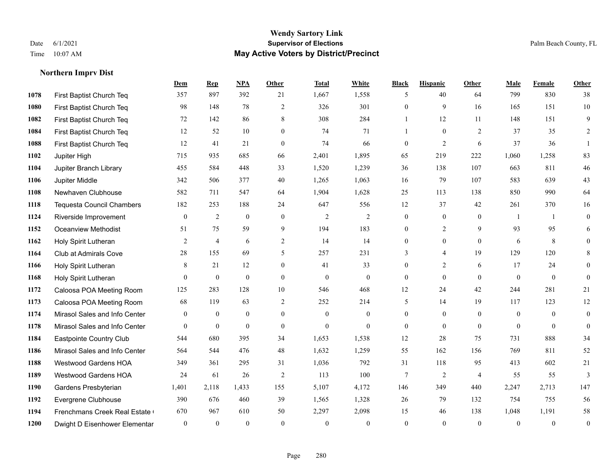#### **Wendy Sartory Link** Date 6/1/2021 **Supervisor of Elections** Palm Beach County, FL Time 10:07 AM **May Active Voters by District/Precinct**

# **Dem Rep NPA Other Total White Black Hispanic Other Male Female Other** First Baptist Church Teq 357 897 392 21 1,667 1,558 5 40 64 799 830 38 First Baptist Church Teq 98 148 78 2 326 301 0 9 16 165 151 10 First Baptist Church Teq 72 142 86 8 308 284 1 12 11 148 151 9 First Baptist Church Teq **12** 52 10 0 74 71 1 0 2 37 35 2 First Baptist Church Teq 12 41 21 0 74 66 0 2 6 37 36 1 Jupiter High 715 935 685 66 2,401 1,895 65 219 222 1,060 1,258 83 Jupiter Branch Library 455 584 448 33 1,520 1,239 36 138 107 663 811 46 Jupiter Middle 342 506 377 40 1,265 1,063 16 79 107 583 639 43 Newhaven Clubhouse 582 711 547 64 1,904 1,628 25 113 138 850 990 64 Tequesta Council Chambers 182 253 188 24 647 556 12 37 42 261 370 16 Riverside Improvement 0 0 2 0 0 2 2 2 0 0 0 1 1 0 Oceanview Methodist 51 75 59 9 194 183 0 2 9 93 95 6 Holy Spirit Lutheran 2 4 6 2 14 14 0 0 0 6 8 0 Club at Admirals Cove 28 155 69 5 257 231 3 4 19 129 120 8 Holy Spirit Lutheran **8** 21 12 0 41 33 0 2 6 17 24 0 Holy Spirit Lutheran 0 0 0 0 0 0 0 0 0 0 0 0 Caloosa POA Meeting Room 125 283 128 10 546 468 12 24 42 244 281 21 Caloosa POA Meeting Room 68 119 63 2 252 214 5 14 19 117 123 12 Mirasol Sales and Info Center 0 0 0 0 0 0 0 0 0 0 0 0 Mirasol Sales and Info Center 0 0 0 0 0 0 0 0 0 0 0 0 Eastpointe Country Club 544 680 395 34 1,653 1,538 12 28 75 731 888 34 Mirasol Sales and Info Center 564 544 476 48 1,632 1,259 55 162 156 769 811 52 Westwood Gardens HOA 349 361 295 31 1,036 792 31 118 95 413 602 21 Westwood Gardens HOA 24 61 26 2 113 100 7 2 4 55 55 3 Gardens Presbyterian 1,401 2,118 1,433 155 5,107 4,172 146 349 440 2,247 2,713 147 Evergrene Clubhouse 390 676 460 39 1,565 1,328 26 79 132 754 755 56 1194 Frenchmans Creek Real Estate 670 967 610 50 2,297 2,098 15 46 138 1,048 1,191 58 Dwight D Eisenhower Elementary 0 0 0 0 0 0 0 0 0 0 0 0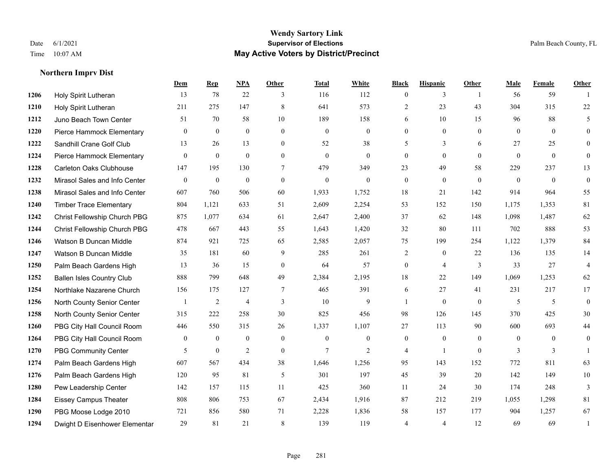## **Northern Imprv Dist**

|      |                                  | Dem            | <b>Rep</b>       | NPA            | <b>Other</b>     | <b>Total</b>     | <b>White</b>   | <b>Black</b>     | <b>Hispanic</b> | <b>Other</b>   | <b>Male</b>    | <b>Female</b>  | <b>Other</b>   |
|------|----------------------------------|----------------|------------------|----------------|------------------|------------------|----------------|------------------|-----------------|----------------|----------------|----------------|----------------|
| 1206 | Holy Spirit Lutheran             | 13             | 78               | 22             | 3                | 116              | 112            | $\overline{0}$   | 3               | $\overline{1}$ | 56             | 59             |                |
| 1210 | Holy Spirit Lutheran             | 211            | 275              | 147            | 8                | 641              | 573            | $\overline{2}$   | 23              | 43             | 304            | 315            | 22             |
| 1212 | Juno Beach Town Center           | 51             | 70               | 58             | 10               | 189              | 158            | 6                | 10              | 15             | 96             | 88             | 5              |
| 1220 | Pierce Hammock Elementary        | $\mathbf{0}$   | $\mathbf{0}$     | $\mathbf{0}$   | $\mathbf{0}$     | $\boldsymbol{0}$ | $\overline{0}$ | $\overline{0}$   | $\overline{0}$  | $\mathbf{0}$   | $\overline{0}$ | $\overline{0}$ | $\overline{0}$ |
| 1222 | Sandhill Crane Golf Club         | 13             | 26               | 13             | $\overline{0}$   | 52               | 38             | 5                | 3               | 6              | 27             | 25             | $\overline{0}$ |
| 1224 | Pierce Hammock Elementary        | $\overline{0}$ | $\mathbf{0}$     | $\mathbf{0}$   | $\mathbf{0}$     | $\mathbf{0}$     | $\overline{0}$ | $\overline{0}$   | $\overline{0}$  | $\theta$       | $\theta$       | $\overline{0}$ | $\overline{0}$ |
| 1228 | <b>Carleton Oaks Clubhouse</b>   | 147            | 195              | 130            | $7\phantom{.0}$  | 479              | 349            | 23               | 49              | 58             | 229            | 237            | 13             |
| 1232 | Mirasol Sales and Info Center    | $\theta$       | $\mathbf{0}$     | $\mathbf{0}$   | $\theta$         | $\mathbf{0}$     | $\theta$       | $\overline{0}$   | $\mathbf{0}$    | $\Omega$       | $\theta$       | $\theta$       | $\overline{0}$ |
| 1238 | Mirasol Sales and Info Center    | 607            | 760              | 506            | 60               | 1,933            | 1,752          | 18               | 21              | 142            | 914            | 964            | 55             |
| 1240 | <b>Timber Trace Elementary</b>   | 804            | 1,121            | 633            | 51               | 2,609            | 2,254          | 53               | 152             | 150            | 1,175          | 1,353          | 81             |
| 1242 | Christ Fellowship Church PBG     | 875            | 1,077            | 634            | 61               | 2,647            | 2,400          | 37               | 62              | 148            | 1,098          | 1,487          | 62             |
| 1244 | Christ Fellowship Church PBG     | 478            | 667              | 443            | 55               | 1,643            | 1,420          | 32               | 80              | 111            | 702            | 888            | 53             |
| 1246 | Watson B Duncan Middle           | 874            | 921              | 725            | 65               | 2,585            | 2,057          | 75               | 199             | 254            | 1,122          | 1,379          | 84             |
| 1247 | Watson B Duncan Middle           | 35             | 181              | 60             | 9                | 285              | 261            | $\overline{c}$   | $\overline{0}$  | 22             | 136            | 135            | 14             |
| 1250 | Palm Beach Gardens High          | 13             | 36               | 15             | $\mathbf{0}$     | 64               | 57             | $\boldsymbol{0}$ | 4               | 3              | 33             | 27             | 4              |
| 1252 | <b>Ballen Isles Country Club</b> | 888            | 799              | 648            | 49               | 2,384            | 2,195          | 18               | 22              | 149            | 1,069          | 1,253          | 62             |
| 1254 | Northlake Nazarene Church        | 156            | 175              | 127            | $\overline{7}$   | 465              | 391            | 6                | 27              | 41             | 231            | 217            | 17             |
| 1256 | North County Senior Center       |                | $\overline{2}$   | $\overline{4}$ | 3                | 10               | 9              |                  | $\overline{0}$  | $\theta$       | 5              | 5              | $\overline{0}$ |
| 1258 | North County Senior Center       | 315            | 222              | 258            | 30               | 825              | 456            | 98               | 126             | 145            | 370            | 425            | 30             |
| 1260 | PBG City Hall Council Room       | 446            | 550              | 315            | 26               | 1,337            | 1,107          | 27               | 113             | 90             | 600            | 693            | 44             |
| 1264 | PBG City Hall Council Room       | $\Omega$       | $\theta$         | $\theta$       | $\Omega$         | $\Omega$         | $\theta$       | $\mathbf{0}$     | $\overline{0}$  | $\Omega$       | $\Omega$       | $\Omega$       | $\overline{0}$ |
| 1270 | PBG Community Center             | 5              | $\boldsymbol{0}$ | $\overline{2}$ | $\boldsymbol{0}$ | $\overline{7}$   | $\overline{2}$ | 4                | 1               | $\mathbf{0}$   | 3              | 3              |                |
| 1274 | Palm Beach Gardens High          | 607            | 567              | 434            | 38               | 1,646            | 1,256          | 95               | 143             | 152            | 772            | 811            | 63             |
| 1276 | Palm Beach Gardens High          | 120            | 95               | 81             | 5                | 301              | 197            | 45               | 39              | 20             | 142            | 149            | $10\,$         |
| 1280 | Pew Leadership Center            | 142            | 157              | 115            | 11               | 425              | 360            | 11               | 24              | 30             | 174            | 248            | $\mathfrak{Z}$ |
| 1284 | <b>Eissey Campus Theater</b>     | 808            | 806              | 753            | 67               | 2,434            | 1,916          | 87               | 212             | 219            | 1,055          | 1,298          | 81             |
| 1290 | PBG Moose Lodge 2010             | 721            | 856              | 580            | 71               | 2,228            | 1,836          | 58               | 157             | 177            | 904            | 1,257          | 67             |
| 1294 | Dwight D Eisenhower Elementar    | 29             | 81               | 21             | 8                | 139              | 119            | 4                | 4               | 12             | 69             | 69             | $\mathbf{1}$   |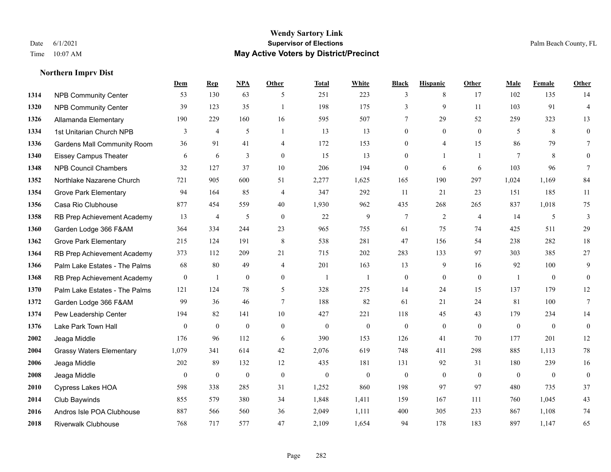#### **Wendy Sartory Link** Date 6/1/2021 **Supervisor of Elections** Palm Beach County, FL Time 10:07 AM **May Active Voters by District/Precinct**

# **Dem Rep NPA Other Total White Black Hispanic Other Male Female Other** NPB Community Center 53 130 63 5 251 223 3 8 17 102 135 14 NPB Community Center 39 123 35 1 198 175 3 9 11 103 91 4 Allamanda Elementary 190 229 160 16 595 507 7 29 52 259 323 13 1334 1st Unitarian Church NPB 3 4 5 1 13 13 0 0 0 5 8 0 Gardens Mall Community Room 36 91 41 4 172 153 0 4 15 86 79 7 Eissey Campus Theater 6 6 6 3 0 15 13 0 1 1 7 8 0 NPB Council Chambers 32 127 37 10 206 194 0 6 6 103 96 7 Northlake Nazarene Church 721 905 600 51 2,277 1,625 165 190 297 1,024 1,169 84 Grove Park Elementary 94 164 85 4 347 292 11 21 23 151 185 11 Casa Rio Clubhouse 877 454 559 40 1,930 962 435 268 265 837 1,018 75 RB Prep Achievement Academy 13 4 5 0 22 9 7 2 4 14 5 3 Garden Lodge 366 F&AM 364 334 244 23 965 755 61 75 74 425 511 29 Grove Park Elementary 215 124 191 8 538 281 47 156 54 238 282 18 RB Prep Achievement Academy 373 112 209 21 715 202 283 133 97 303 385 27 Palm Lake Estates - The Palms 68 80 49 4 201 163 13 9 16 92 100 9 RB Prep Achievement Academy 0 1 0 0 1 1 1 0 0 0 0 1 0 0 0 Palm Lake Estates - The Palms 121 124 78 5 328 275 14 24 15 137 179 12 Garden Lodge 366 F&AM 99 36 46 7 188 82 61 21 24 81 100 7 Pew Leadership Center 194 82 141 10 427 221 118 45 43 179 234 14 Lake Park Town Hall 0 0 0 0 0 0 0 0 0 0 0 0 Jeaga Middle 176 96 112 6 390 153 126 41 70 177 201 12 Grassy Waters Elementary 1,079 341 614 42 2,076 619 748 411 298 885 1,113 78 Jeaga Middle 202 89 132 12 435 181 131 92 31 180 239 16 Jeaga Middle 0 0 0 0 0 0 0 0 0 0 0 0 Cypress Lakes HOA 598 338 285 31 1,252 860 198 97 97 480 735 37 Club Baywinds 855 579 380 34 1,848 1,411 159 167 111 760 1,045 43 Andros Isle POA Clubhouse 887 566 560 36 2,049 1,111 400 305 233 867 1,108 74 Riverwalk Clubhouse 768 717 577 47 2,109 1,654 94 178 183 897 1,147 65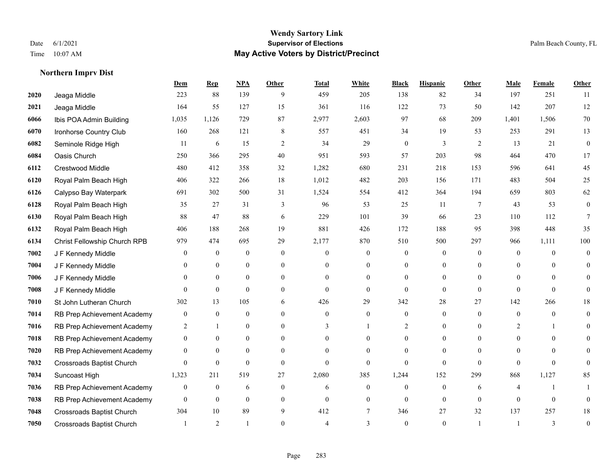#### **Wendy Sartory Link** Date 6/1/2021 **Supervisor of Elections** Palm Beach County, FL Time 10:07 AM **May Active Voters by District/Precinct**

# **Dem Rep NPA Other Total White Black Hispanic Other Male Female Other** Jeaga Middle 223 88 139 9 459 205 138 82 34 197 251 11 Jeaga Middle 164 55 127 15 361 116 122 73 50 142 207 12 Ibis POA Admin Building 1,035 1,126 729 87 2,977 2,603 97 68 209 1,401 1,506 70 Ironhorse Country Club 160 268 121 8 557 451 34 19 53 253 291 13 Seminole Ridge High 11 6 15 2 34 29 0 3 2 13 21 0 Oasis Church 250 366 295 40 951 593 57 203 98 464 470 17 Crestwood Middle 480 412 358 32 1,282 680 231 218 153 596 641 45 Royal Palm Beach High 406 322 266 18 1,012 482 203 156 171 483 504 25 Calypso Bay Waterpark 691 302 500 31 1,524 554 412 364 194 659 803 62 Royal Palm Beach High 35 27 31 3 96 53 25 11 7 43 53 0 Royal Palm Beach High 88 47 88 6 229 101 39 66 23 110 112 7 Royal Palm Beach High 406 188 268 19 881 426 172 188 95 398 448 35 Christ Fellowship Church RPB 979 474 695 29 2,177 870 510 500 297 966 1,111 100 J F Kennedy Middle 0 0 0 0 0 0 0 0 0 0 0 0 J F Kennedy Middle 0 0 0 0 0 0 0 0 0 0 0 0 J F Kennedy Middle 0 0 0 0 0 0 0 0 0 0 0 0 J F Kennedy Middle 0 0 0 0 0 0 0 0 0 0 St John Lutheran Church 302 13 105 6 426 29 342 28 27 142 266 18 RB Prep Achievement Academy 0 0 0 0 0 0 0 0 0 0 0 0 RB Prep Achievement Academy 2 1 0 0 3 1 2 0 0 2 1 0 RB Prep Achievement Academy 0 0 0 0 0 0 0 0 0 0 0 0 RB Prep Achievement Academy 0 0 0 0 0 0 0 0 0 0 0 0 Crossroads Baptist Church 0 0 0 0 0 0 0 0 0 0 0 0 Suncoast High 1,323 211 519 27 2,080 385 1,244 152 299 868 1,127 85 RB Prep Achievement Academy 0 0 0 6 0 0 6 0 0 0 0 6 4 1 1 RB Prep Achievement Academy 0 0 0 0 0 0 0 0 0 0 0 0 Crossroads Baptist Church 304 10 89 9 412 7 346 27 32 137 257 18 Crossroads Baptist Church 1 2 1 0 4 3 0 1 1 3 0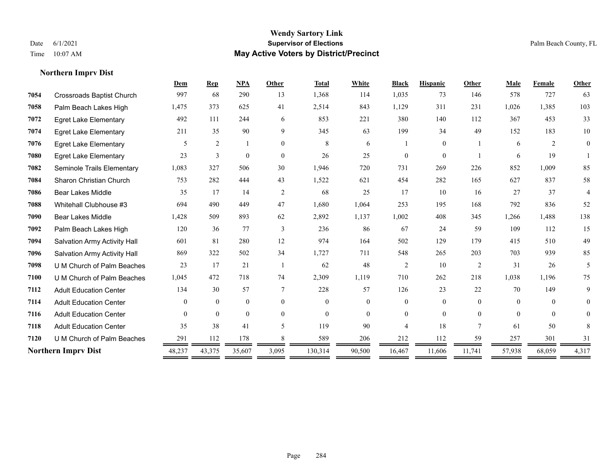## **Wendy Sartory Link** Date 6/1/2021 **Supervisor of Elections Supervisor of Elections** Palm Beach County, FL Time 10:07 AM **May Active Voters by District/Precinct**

|      |                                     | Dem      | <b>Rep</b>     | <b>NPA</b>     | Other                    | <b>Total</b> | White          | <b>Black</b>   | <b>Hispanic</b> | <b>Other</b> | Male     | Female   | Other          |
|------|-------------------------------------|----------|----------------|----------------|--------------------------|--------------|----------------|----------------|-----------------|--------------|----------|----------|----------------|
| 7054 | <b>Crossroads Baptist Church</b>    | 997      | 68             | 290            | 13                       | 1,368        | 114            | 1,035          | 73              | 146          | 578      | 727      | 63             |
| 7058 | Palm Beach Lakes High               | 1,475    | 373            | 625            | 41                       | 2,514        | 843            | 1,129          | 311             | 231          | 1,026    | 1,385    | 103            |
| 7072 | <b>Egret Lake Elementary</b>        | 492      | 111            | 244            | 6                        | 853          | 221            | 380            | 140             | 112          | 367      | 453      | 33             |
| 7074 | <b>Egret Lake Elementary</b>        | 211      | 35             | 90             | 9                        | 345          | 63             | 199            | 34              | 49           | 152      | 183      | 10             |
| 7076 | <b>Egret Lake Elementary</b>        | 5        | $\overline{2}$ |                | $\theta$                 | 8            | 6              |                | $\overline{0}$  |              | 6        | 2        | $\overline{0}$ |
| 7080 | <b>Egret Lake Elementary</b>        | 23       | 3              | $\overline{0}$ | $\mathbf{0}$             | 26           | 25             | $\Omega$       | $\overline{0}$  |              | 6        | 19       |                |
| 7082 | Seminole Trails Elementary          | 1,083    | 327            | 506            | 30                       | 1,946        | 720            | 731            | 269             | 226          | 852      | 1.009    | 85             |
| 7084 | <b>Sharon Christian Church</b>      | 753      | 282            | 444            | 43                       | 1,522        | 621            | 454            | 282             | 165          | 627      | 837      | 58             |
| 7086 | <b>Bear Lakes Middle</b>            | 35       | 17             | 14             | $\overline{2}$           | 68           | 25             | 17             | 10              | 16           | 27       | 37       | 4              |
| 7088 | Whitehall Clubhouse #3              | 694      | 490            | 449            | 47                       | 1,680        | 1,064          | 253            | 195             | 168          | 792      | 836      | 52             |
| 7090 | <b>Bear Lakes Middle</b>            | 1,428    | 509            | 893            | 62                       | 2,892        | 1,137          | 1,002          | 408             | 345          | 1,266    | 1,488    | 138            |
| 7092 | Palm Beach Lakes High               | 120      | 36             | 77             | 3                        | 236          | 86             | 67             | 24              | 59           | 109      | 112      | 15             |
| 7094 | Salvation Army Activity Hall        | 601      | 81             | 280            | 12                       | 974          | 164            | 502            | 129             | 179          | 415      | 510      | 49             |
| 7096 | <b>Salvation Army Activity Hall</b> | 869      | 322            | 502            | 34                       | 1,727        | 711            | 548            | 265             | 203          | 703      | 939      | 85             |
| 7098 | U M Church of Palm Beaches          | 23       | 17             | 21             |                          | 62           | 48             | $\overline{c}$ | 10              | 2            | 31       | 26       | 5              |
| 7100 | U M Church of Palm Beaches          | 1,045    | 472            | 718            | 74                       | 2,309        | 1,119          | 710            | 262             | 218          | 1,038    | 1,196    | 75             |
| 7112 | <b>Adult Education Center</b>       | 134      | 30             | 57             | $\tau$                   | 228          | 57             | 126            | 23              | 22           | 70       | 149      | 9              |
| 7114 | <b>Adult Education Center</b>       | $\theta$ | $\overline{0}$ | $\overline{0}$ | $\theta$                 | $\theta$     | $\overline{0}$ | $\theta$       | $\overline{0}$  | $\Omega$     | $\Omega$ | $\theta$ | $\Omega$       |
| 7116 | <b>Adult Education Center</b>       | $\Omega$ | $\overline{0}$ | $\overline{0}$ | $\theta$                 | $\theta$     | $\Omega$       | $\theta$       | $\Omega$        | $\Omega$     | $\Omega$ | $\theta$ | $\Omega$       |
| 7118 | <b>Adult Education Center</b>       | 35       | 38             | 41             | $\overline{\phantom{0}}$ | 119          | 90             | 4              | 18              | $\tau$       | 61       | 50       | 8              |
| 7120 | U M Church of Palm Beaches          | 291      | 112            | 178            | 8                        | 589          | 206            | 212            | 112             | 59           | 257      | 301      | 31             |
|      | <b>Northern Imprv Dist</b>          | 48,237   | 43,375         | 35,607         | 3,095                    | 130,314      | 90,500         | 16,467         | 11,606          | 11,741       | 57,938   | 68,059   | 4,317          |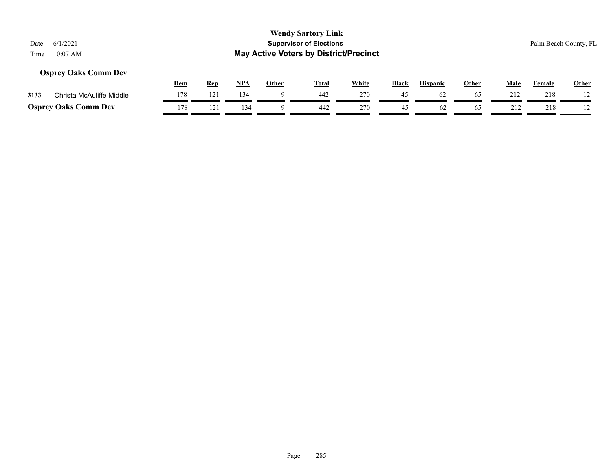## **Osprey Oaks Comm Dev**

|      |                             | Dem | Rep | <b>NPA</b> | Other | <b>Total</b> | White | <b>Black</b> | <b>Hispanic</b> | Other | Male       | Female | Other |
|------|-----------------------------|-----|-----|------------|-------|--------------|-------|--------------|-----------------|-------|------------|--------|-------|
| 3133 | Christa McAuliffe Middle    |     | 121 | 134        |       | 442          | 270   |              | 62              | 65    | $21^\circ$ | 218    |       |
|      | <b>Osprey Oaks Comm Dev</b> | 178 |     | 34         |       | 442          | 270   |              |                 | 65    | 212        | 218    |       |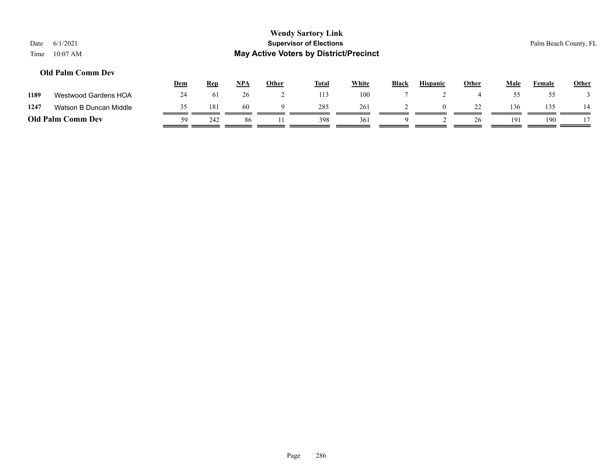## **Old Palm Comm Dev**

|      |                          | Dem | <u>Rep</u> | <b>NPA</b> | Other | <b>Total</b> | <u>White</u> | <b>Black</b> | <b>Hispanic</b> | Other | Male            | Female | <b>Other</b> |
|------|--------------------------|-----|------------|------------|-------|--------------|--------------|--------------|-----------------|-------|-----------------|--------|--------------|
| 1189 | Westwood Gardens HOA     | 24  | 61         | 26         |       | 113          | 100          |              |                 |       |                 |        |              |
| 1247 | Watson B Duncan Middle   |     | 181        | 60         |       | 285          | 261          |              |                 |       | 136             | 135    | 14           |
|      | <b>Old Palm Comm Dev</b> | 59  | 242        | 86         |       | 398          | 361          |              |                 | 26    | 19 <sup>2</sup> | 190    |              |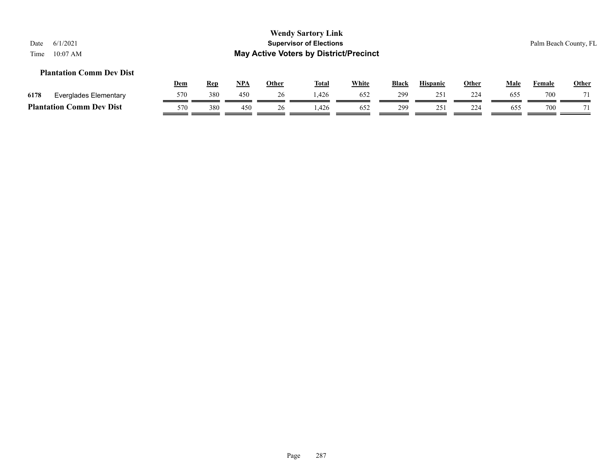#### **Plantation Comm Dev Dist**

|      |                                              | Dem | Rep | <b>NPA</b> | Other | <b>Total</b> | White | <b>Black</b> | <b>Hispanic</b>  | Other     | Male | Female | <b>Other</b> |
|------|----------------------------------------------|-----|-----|------------|-------|--------------|-------|--------------|------------------|-----------|------|--------|--------------|
| 6178 | Everglades Elementary                        | 570 | 380 | 450        |       | 1.426        | 652   | 299          | $25^{\circ}$     | 224<br>-- | 65:  | 700    | 71           |
|      | <b>Plantation (</b><br>C <b>omm Dev Dist</b> | 570 | 380 | 450        | 26    | .426         | 652   | 299          | つく<br><u>. ب</u> | 224       | 655  | 700    | 71           |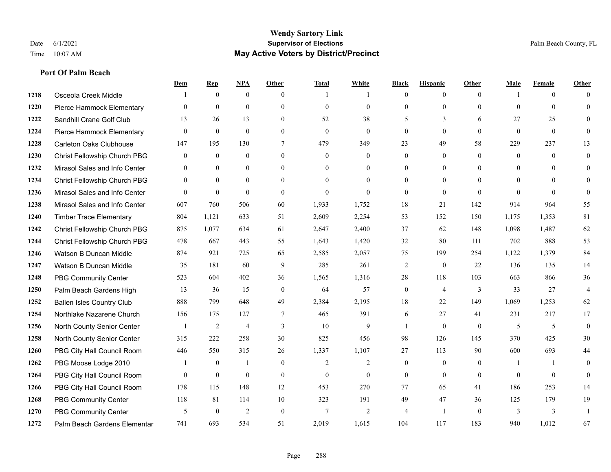**Port Of Palm Beach**

#### **Wendy Sartory Link** Date 6/1/2021 **Supervisor of Elections** Palm Beach County, FL Time 10:07 AM **May Active Voters by District/Precinct**

# **Dem Rep NPA Other Total White Black Hispanic Other Male Female Other** Osceola Creek Middle  $\begin{array}{cccccccc} 1 & 0 & 0 & 0 & 1 & 1 & 0 & 0 & 0 \end{array}$  Pierce Hammock Elementary 0 0 0 0 0 0 0 0 0 0 0 0 Sandhill Crane Golf Club 13 26 13 0 52 38 5 3 6 27 25 0 Pierce Hammock Elementary 0 0 0 0 0 0 0 0 0 0 0 0 Carleton Oaks Clubhouse 147 195 130 7 479 349 23 49 58 229 237 13 Christ Fellowship Church PBG 0 0 0 0 0 0 0 0 0 0 0 0 Mirasol Sales and Info Center 0 0 0 0 0 0 0 0 0 0 0 0 Christ Fellowship Church PBG 0 0 0 0 0 0 0 0 0 0 0 0 Mirasol Sales and Info Center 0 0 0 0 0 0 0 0 0 0 0 0 Mirasol Sales and Info Center 607 760 506 60 1,933 1,752 18 21 142 914 964 55 Timber Trace Elementary 804 1,121 633 51 2,609 2,254 53 152 150 1,175 1,353 81 Christ Fellowship Church PBG 875 1,077 634 61 2,647 2,400 37 62 148 1,098 1,487 62 Christ Fellowship Church PBG 478 667 443 55 1,643 1,420 32 80 111 702 888 53 Watson B Duncan Middle 874 921 725 65 2,585 2,057 75 199 254 1,122 1,379 84 Watson B Duncan Middle 35 181 60 9 285 261 2 0 22 136 135 14 PBG Community Center 523 604 402 36 1,565 1,316 28 118 103 663 866 36 Palm Beach Gardens High 13 36 15 0 64 57 0 4 3 33 27 4 Ballen Isles Country Club 888 799 648 49 2,384 2,195 18 22 149 1,069 1,253 62 Northlake Nazarene Church 156 175 127 7 465 391 6 27 41 231 217 17 North County Senior Center 1 2 4 3 10 9 1 0 0 5 5 5 0 North County Senior Center 315 222 258 30 825 456 98 126 145 370 425 30 PBG City Hall Council Room 446 550 315 26 1,337 1,107 27 113 90 600 693 44 PBG Moose Lodge 2010 1 0 1 0 1 0 2 2 0 0 0 1 1 0 PBG City Hall Council Room 0 0 0 0 0 0 0 0 0 0 0 0 PBG City Hall Council Room 178 115 148 12 453 270 77 65 41 186 253 14 PBG Community Center 118 81 114 10 323 191 49 47 36 125 179 19 PBG Community Center 5 0 2 0 7 2 4 1 0 3 3 1

Palm Beach Gardens Elementary 741 693 534 51 2,019 1,615 104 117 183 940 1,012 67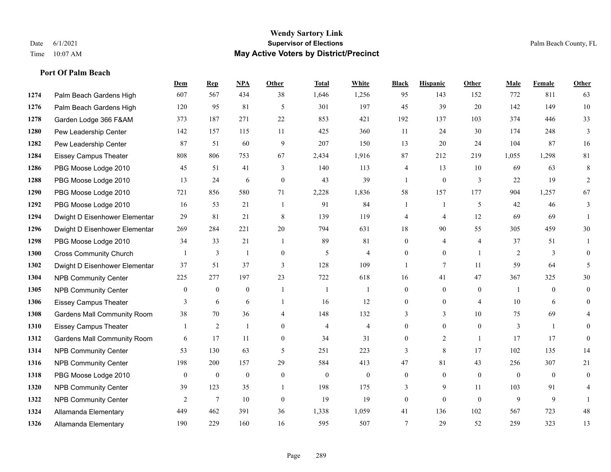#### **Wendy Sartory Link** Date 6/1/2021 **Supervisor of Elections** Palm Beach County, FL Time 10:07 AM **May Active Voters by District/Precinct**

# **Dem Rep NPA Other Total White Black Hispanic Other Male Female Other** Palm Beach Gardens High 607 567 434 38 1,646 1,256 95 143 152 772 811 63 Palm Beach Gardens High 120 95 81 5 301 197 45 39 20 142 149 10 Garden Lodge 366 F&AM 373 187 271 22 853 421 192 137 103 374 446 33 Pew Leadership Center 142 157 115 11 425 360 11 24 30 174 248 3 Pew Leadership Center 87 51 60 9 207 150 13 20 24 104 87 16 Eissey Campus Theater 808 806 753 67 2,434 1,916 87 212 219 1,055 1,298 81 PBG Moose Lodge 2010 45 51 41 3 140 113 4 13 10 69 63 8 PBG Moose Lodge 2010 13 24 6 0 43 39 1 0 3 22 19 2 PBG Moose Lodge 2010 721 856 580 71 2,228 1,836 58 157 177 904 1,257 67 PBG Moose Lodge 2010 16 53 21 1 91 84 1 1 5 42 46 3 Dwight D Eisenhower Elementar 29 81 21 8 139 119 4 4 12 69 69 1 Dwight D Eisenhower Elementar 269 284 221 20 794 631 18 90 55 305 459 30 PBG Moose Lodge 2010 34 33 21 1 89 81 0 4 4 37 51 1 Cross Community Church 1 3 1 0 5 4 0 0 1 2 3 0 Dwight D Eisenhower Elementar 37 51 37 3 128 109 1 7 11 59 64 5 NPB Community Center 225 277 197 23 722 618 16 41 47 367 325 30 NPB Community Center 0 0 0 1 1 1 0 0 0 1 0 0 Eissey Campus Theater **3** 6 6 1 16 12 0 0 4 10 6 0 Gardens Mall Community Room 38 70 36 4 148 132 3 3 10 75 69 4 Eissey Campus Theater 1 2 1 0 4 4 0 0 0 3 1 0 Gardens Mall Community Room 6 17 11 0 34 31 0 2 1 17 17 0 NPB Community Center 53 130 63 5 251 223 3 8 17 102 135 14 NPB Community Center 198 200 157 29 584 413 47 81 43 256 307 21 PBG Moose Lodge 2010 0 0 0 0 0 0 0 0 0 0 0 0 **1320 NPB Community Center** 39 123 35 1 198 175 3 9 11 103 91 4 **1322 NPB Community Center**  $\begin{array}{cccccccc} 2 & 7 & 10 & 0 & 19 & 19 & 0 & 0 & 0 & 9 & 9 & 1 \end{array}$ Allamanda Elementary 449 462 391 36 1,338 1,059 41 136 102 567 723 48

Allamanda Elementary 190 229 160 16 595 507 7 29 52 259 323 13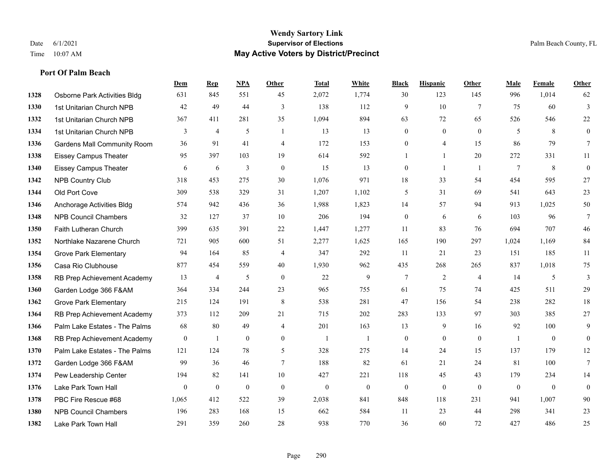**Dem Rep NPA Other Total White Black Hispanic Other Male Female Other**

# **Port Of Palm Beach**

| 1328 | Osborne Park Activities Bldg       | 631              | 845              | 551          | 45             | 2,072            | 1,774            | 30               | 123              | 145            | 996          | 1,014          | 62               |
|------|------------------------------------|------------------|------------------|--------------|----------------|------------------|------------------|------------------|------------------|----------------|--------------|----------------|------------------|
| 1330 | 1st Unitarian Church NPB           | 42               | 49               | 44           | 3              | 138              | 112              | 9                | 10               | $\overline{7}$ | 75           | 60             | 3                |
| 1332 | 1st Unitarian Church NPB           | 367              | 411              | 281          | 35             | 1,094            | 894              | 63               | 72               | 65             | 526          | 546            | 22               |
| 1334 | 1st Unitarian Church NPB           | 3                | $\overline{4}$   | 5            | $\mathbf{1}$   | 13               | 13               | $\overline{0}$   | $\mathbf{0}$     | $\theta$       | 5            | 8              | $\boldsymbol{0}$ |
| 1336 | <b>Gardens Mall Community Room</b> | 36               | 91               | 41           | 4              | 172              | 153              | $\overline{0}$   | 4                | 15             | 86           | 79             | $\tau$           |
| 1338 | <b>Eissey Campus Theater</b>       | 95               | 397              | 103          | 19             | 614              | 592              | 1                | $\mathbf{1}$     | 20             | 272          | 331            | 11               |
| 1340 | <b>Eissey Campus Theater</b>       | 6                | 6                | 3            | $\theta$       | 15               | 13               | $\overline{0}$   | $\overline{1}$   | $\overline{1}$ | $\tau$       | 8              | $\overline{0}$   |
| 1342 | <b>NPB Country Club</b>            | 318              | 453              | 275          | 30             | 1,076            | 971              | 18               | 33               | 54             | 454          | 595            | 27               |
| 1344 | Old Port Cove                      | 309              | 538              | 329          | 31             | 1,207            | 1,102            | 5                | 31               | 69             | 541          | 643            | 23               |
| 1346 | Anchorage Activities Bldg          | 574              | 942              | 436          | 36             | 1,988            | 1,823            | 14               | 57               | 94             | 913          | 1,025          | 50               |
| 1348 | <b>NPB Council Chambers</b>        | 32               | 127              | 37           | 10             | 206              | 194              | $\boldsymbol{0}$ | 6                | 6              | 103          | 96             | $\tau$           |
| 1350 | Faith Lutheran Church              | 399              | 635              | 391          | 22             | 1,447            | 1,277            | 11               | 83               | 76             | 694          | 707            | 46               |
| 1352 | Northlake Nazarene Church          | 721              | 905              | 600          | 51             | 2,277            | 1,625            | 165              | 190              | 297            | 1,024        | 1,169          | 84               |
| 1354 | <b>Grove Park Elementary</b>       | 94               | 164              | 85           | $\overline{4}$ | 347              | 292              | 11               | 21               | 23             | 151          | 185            | 11               |
| 1356 | Casa Rio Clubhouse                 | 877              | 454              | 559          | 40             | 1,930            | 962              | 435              | 268              | 265            | 837          | 1,018          | 75               |
| 1358 | RB Prep Achievement Academy        | 13               | 4                | 5            | $\theta$       | 22               | 9                | 7                | 2                | $\overline{4}$ | 14           | 5              | 3                |
| 1360 | Garden Lodge 366 F&AM              | 364              | 334              | 244          | 23             | 965              | 755              | 61               | 75               | 74             | 425          | 511            | 29               |
| 1362 | <b>Grove Park Elementary</b>       | 215              | 124              | 191          | $\,8\,$        | 538              | 281              | 47               | 156              | 54             | 238          | 282            | 18               |
| 1364 | RB Prep Achievement Academy        | 373              | 112              | 209          | 21             | 715              | 202              | 283              | 133              | 97             | 303          | 385            | 27               |
| 1366 | Palm Lake Estates - The Palms      | 68               | 80               | 49           | $\overline{4}$ | 201              | 163              | 13               | 9                | 16             | 92           | 100            | 9                |
| 1368 | RB Prep Achievement Academy        | $\boldsymbol{0}$ | 1                | $\mathbf{0}$ | $\overline{0}$ | -1               | $\mathbf{1}$     | $\boldsymbol{0}$ | $\mathbf{0}$     | $\mathbf{0}$   | $\mathbf{1}$ | $\mathbf{0}$   | $\overline{0}$   |
| 1370 | Palm Lake Estates - The Palms      | 121              | 124              | 78           | 5              | 328              | 275              | 14               | 24               | 15             | 137          | 179            | 12               |
| 1372 | Garden Lodge 366 F&AM              | 99               | 36               | 46           | $\tau$         | 188              | 82               | 61               | 21               | 24             | 81           | 100            | $7\overline{ }$  |
| 1374 | Pew Leadership Center              | 194              | 82               | 141          | 10             | 427              | 221              | 118              | 45               | 43             | 179          | 234            | 14               |
| 1376 | Lake Park Town Hall                | $\overline{0}$   | $\boldsymbol{0}$ | $\theta$     | $\mathbf{0}$   | $\boldsymbol{0}$ | $\boldsymbol{0}$ | $\boldsymbol{0}$ | $\boldsymbol{0}$ | $\mathbf{0}$   | $\mathbf{0}$ | $\overline{0}$ | $\mathbf{0}$     |
| 1378 | PBC Fire Rescue #68                | 1,065            | 412              | 522          | 39             | 2,038            | 841              | 848              | 118              | 231            | 941          | 1,007          | 90               |
| 1380 | <b>NPB Council Chambers</b>        | 196              | 283              | 168          | 15             | 662              | 584              | 11               | 23               | 44             | 298          | 341            | 23               |
| 1382 | Lake Park Town Hall                | 291              | 359              | 260          | 28             | 938              | 770              | 36               | 60               | 72             | 427          | 486            | 25               |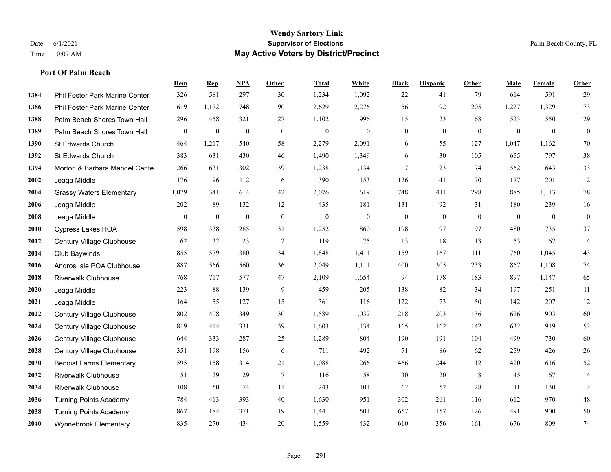#### **Wendy Sartory Link** Date 6/1/2021 **Supervisor of Elections** Palm Beach County, FL Time 10:07 AM **May Active Voters by District/Precinct**

**Dem Rep NPA Other Total White Black Hispanic Other Male Female Other**

# Phil Foster Park Marine Center 326 581 297 30 1,234 1,092 22 41 79 614 591 29 Phil Foster Park Marine Center 619 1,172 748 90 2,629 2,276 56 92 205 1,227 1,329 73 Palm Beach Shores Town Hall 296 458 321 27 1,102 996 15 23 68 523 550 29 Palm Beach Shores Town Hall 0 0 0 0 0 0 0 0 0 0 0 0 St Edwards Church 464 1,217 540 58 2,279 2,091 6 55 127 1,047 1,162 70 St Edwards Church 383 631 430 46 1,490 1,349 6 30 105 655 797 38 Morton & Barbara Mandel Center 266 631 302 39 1,238 1,134 7 23 74 562 643 33 Jeaga Middle 176 96 112 6 390 153 126 41 70 177 201 12 Grassy Waters Elementary 1,079 341 614 42 2,076 619 748 411 298 885 1,113 78 Jeaga Middle 202 89 132 12 435 181 131 92 31 180 239 16 Jeaga Middle 0 0 0 0 0 0 0 0 0 0 0 0 Cypress Lakes HOA 598 338 285 31 1,252 860 198 97 97 480 735 37 Century Village Clubhouse 62 32 23 2 119 75 13 18 13 53 62 4 Club Baywinds 855 579 380 34 1,848 1,411 159 167 111 760 1,045 43 Andros Isle POA Clubhouse 887 566 560 36 2,049 1,111 400 305 233 867 1,108 74 Riverwalk Clubhouse 768 717 577 47 2,109 1,654 94 178 183 897 1,147 65 Jeaga Middle 223 88 139 9 459 205 138 82 34 197 251 11 Jeaga Middle 164 55 127 15 361 116 122 73 50 142 207 12 Century Village Clubhouse 802 408 349 30 1,589 1,032 218 203 136 626 903 60 Century Village Clubhouse 819 414 331 39 1,603 1,134 165 162 142 632 919 52 Century Village Clubhouse 644 333 287 25 1,289 804 190 191 104 499 730 60 Century Village Clubhouse 351 198 156 6 711 492 71 86 62 259 426 26 Benoist Farms Elementary 595 158 314 21 1,088 266 466 244 112 420 616 52 Riverwalk Clubhouse 51 29 29 7 116 58 30 20 8 45 67 4 Riverwalk Clubhouse 108 50 74 11 243 101 62 52 28 111 130 2

 Turning Points Academy 784 413 393 40 1,630 951 302 261 116 612 970 48 Turning Points Academy 867 184 371 19 1,441 501 657 157 126 491 900 50 Wynnebrook Elementary 835 270 434 20 1,559 432 610 356 161 676 809 74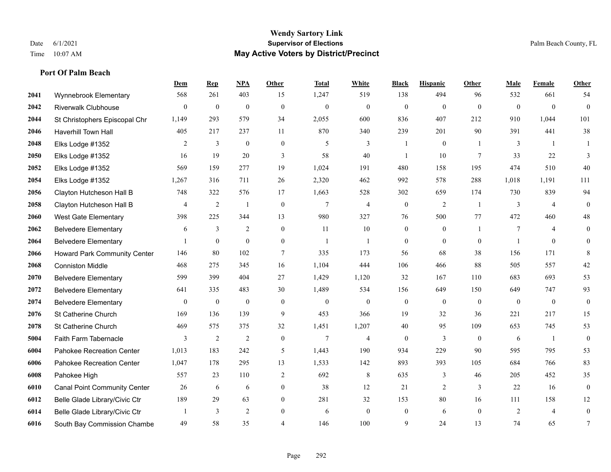# **Port Of Palm Beach**

|      |                                     | Dem            | <b>Rep</b>     | NPA              | <b>Other</b>     | <b>Total</b>    | <b>White</b>   | <b>Black</b>     | <b>Hispanic</b> | Other          | <b>Male</b>    | <b>Female</b>  | <b>Other</b>     |
|------|-------------------------------------|----------------|----------------|------------------|------------------|-----------------|----------------|------------------|-----------------|----------------|----------------|----------------|------------------|
| 2041 | Wynnebrook Elementary               | 568            | 261            | 403              | 15               | 1,247           | 519            | 138              | 494             | 96             | 532            | 661            | 54               |
| 2042 | <b>Riverwalk Clubhouse</b>          | $\overline{0}$ | $\mathbf{0}$   | $\mathbf{0}$     | $\mathbf{0}$     | $\mathbf{0}$    | $\mathbf{0}$   | $\mathbf{0}$     | $\mathbf{0}$    | $\theta$       | $\theta$       | $\theta$       | $\mathbf{0}$     |
| 2044 | St Christophers Episcopal Chr       | 1,149          | 293            | 579              | 34               | 2,055           | 600            | 836              | 407             | 212            | 910            | 1,044          | 101              |
| 2046 | Haverhill Town Hall                 | 405            | 217            | 237              | 11               | 870             | 340            | 239              | 201             | 90             | 391            | 441            | 38               |
| 2048 | Elks Lodge #1352                    | 2              | 3              | $\mathbf{0}$     | $\mathbf{0}$     | 5               | 3              |                  | $\overline{0}$  |                | 3              | $\overline{1}$ | 1                |
| 2050 | Elks Lodge #1352                    | 16             | 19             | 20               | 3                | 58              | 40             |                  | 10              | 7              | 33             | 22             | 3                |
| 2052 | Elks Lodge #1352                    | 569            | 159            | 277              | 19               | 1,024           | 191            | 480              | 158             | 195            | 474            | 510            | 40               |
| 2054 | Elks Lodge #1352                    | 1,267          | 316            | 711              | 26               | 2,320           | 462            | 992              | 578             | 288            | 1,018          | 1,191          | 111              |
| 2056 | Clayton Hutcheson Hall B            | 748            | 322            | 576              | 17               | 1,663           | 528            | 302              | 659             | 174            | 730            | 839            | 94               |
| 2058 | Clayton Hutcheson Hall B            | 4              | $\overline{2}$ | $\mathbf{1}$     | $\boldsymbol{0}$ | $7\phantom{.0}$ | $\overline{4}$ | $\boldsymbol{0}$ | $\overline{c}$  | $\overline{1}$ | 3              | $\overline{4}$ | $\boldsymbol{0}$ |
| 2060 | <b>West Gate Elementary</b>         | 398            | 225            | 344              | 13               | 980             | 327            | 76               | 500             | 77             | 472            | 460            | 48               |
| 2062 | <b>Belvedere Elementary</b>         | 6              | $\mathfrak{Z}$ | 2                | $\overline{0}$   | 11              | 10             | $\boldsymbol{0}$ | $\mathbf{0}$    | $\overline{1}$ | $\tau$         | 4              | $\mathbf{0}$     |
| 2064 | <b>Belvedere Elementary</b>         | 1              | $\mathbf{0}$   | $\mathbf{0}$     | $\overline{0}$   | $\overline{1}$  | $\mathbf{1}$   | $\mathbf{0}$     | $\mathbf{0}$    | $\Omega$       |                | $\theta$       | $\mathbf{0}$     |
| 2066 | <b>Howard Park Community Center</b> | 146            | 80             | 102              | 7                | 335             | 173            | 56               | 68              | 38             | 156            | 171            | 8                |
| 2068 | <b>Conniston Middle</b>             | 468            | 275            | 345              | 16               | 1,104           | 444            | 106              | 466             | 88             | 505            | 557            | $42\,$           |
| 2070 | <b>Belvedere Elementary</b>         | 599            | 399            | 404              | 27               | 1,429           | 1,120          | 32               | 167             | 110            | 683            | 693            | 53               |
| 2072 | <b>Belvedere Elementary</b>         | 641            | 335            | 483              | 30               | 1,489           | 534            | 156              | 649             | 150            | 649            | 747            | 93               |
| 2074 | <b>Belvedere Elementary</b>         | $\overline{0}$ | $\mathbf{0}$   | $\boldsymbol{0}$ | $\mathbf{0}$     | $\theta$        | $\mathbf{0}$   | $\boldsymbol{0}$ | $\mathbf{0}$    | $\theta$       | $\mathbf{0}$   | $\mathbf{0}$   | $\boldsymbol{0}$ |
| 2076 | St Catherine Church                 | 169            | 136            | 139              | 9                | 453             | 366            | 19               | 32              | 36             | 221            | 217            | 15               |
| 2078 | St Catherine Church                 | 469            | 575            | 375              | 32               | 1,451           | 1,207          | 40               | 95              | 109            | 653            | 745            | 53               |
| 5004 | Faith Farm Tabernacle               | 3              | $\sqrt{2}$     | $\overline{2}$   | $\mathbf{0}$     | $7\phantom{.0}$ | 4              | $\mathbf{0}$     | 3               | $\theta$       | 6              | $\overline{1}$ | $\mathbf{0}$     |
| 6004 | Pahokee Recreation Center           | 1,013          | 183            | 242              | 5                | 1,443           | 190            | 934              | 229             | 90             | 595            | 795            | 53               |
| 6006 | Pahokee Recreation Center           | 1,047          | 178            | 295              | 13               | 1,533           | 142            | 893              | 393             | 105            | 684            | 766            | 83               |
| 6008 | Pahokee High                        | 557            | 23             | 110              | $\overline{c}$   | 692             | 8              | 635              | 3               | 46             | 205            | 452            | 35               |
| 6010 | <b>Canal Point Community Center</b> | 26             | 6              | 6                | $\overline{0}$   | 38              | 12             | 21               | $\overline{c}$  | 3              | 22             | 16             | $\mathbf{0}$     |
| 6012 | Belle Glade Library/Civic Ctr       | 189            | 29             | 63               | $\overline{0}$   | 281             | 32             | 153              | 80              | 16             | 111            | 158            | 12               |
| 6014 | Belle Glade Library/Civic Ctr       |                | 3              | $\overline{2}$   | $\mathbf{0}$     | 6               | $\mathbf{0}$   | $\boldsymbol{0}$ | 6               | $\mathbf{0}$   | $\overline{2}$ | $\overline{4}$ | $\boldsymbol{0}$ |
| 6016 | South Bay Commission Chambe         | 49             | 58             | 35               | 4                | 146             | 100            | 9                | 24              | 13             | 74             | 65             | $\overline{7}$   |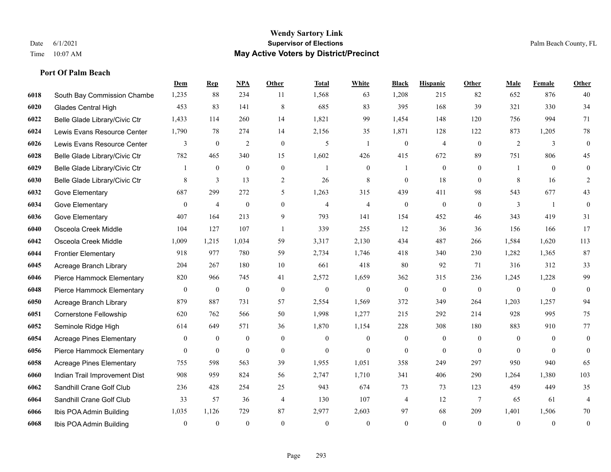#### **Port Of Palm Beach**

|      |                                 | Dem            | <b>Rep</b>       | NPA              | <b>Other</b>     | <b>Total</b>   | <b>White</b>   | <b>Black</b>     | <b>Hispanic</b>  | <b>Other</b>    | <b>Male</b>    | Female         | <b>Other</b>     |
|------|---------------------------------|----------------|------------------|------------------|------------------|----------------|----------------|------------------|------------------|-----------------|----------------|----------------|------------------|
| 6018 | South Bay Commission Chambe     | 1,235          | 88               | 234              | 11               | 1,568          | 63             | 1,208            | 215              | 82              | 652            | 876            | 40               |
| 6020 | Glades Central High             | 453            | 83               | 141              | $\,$ 8 $\,$      | 685            | 83             | 395              | 168              | 39              | 321            | 330            | 34               |
| 6022 | Belle Glade Library/Civic Ctr   | 1,433          | 114              | 260              | 14               | 1,821          | 99             | 1,454            | 148              | 120             | 756            | 994            | 71               |
| 6024 | Lewis Evans Resource Center     | 1,790          | 78               | 274              | 14               | 2,156          | 35             | 1,871            | 128              | 122             | 873            | 1,205          | $78\,$           |
| 6026 | Lewis Evans Resource Center     | 3              | $\mathbf{0}$     | 2                | $\mathbf{0}$     | 5              | $\mathbf{1}$   | $\boldsymbol{0}$ | $\overline{4}$   | $\theta$        | 2              | 3              | $\boldsymbol{0}$ |
| 6028 | Belle Glade Library/Civic Ctr   | 782            | 465              | 340              | 15               | 1,602          | 426            | 415              | 672              | 89              | 751            | 806            | 45               |
| 6029 | Belle Glade Library/Civic Ctr   | 1              | $\mathbf{0}$     | $\boldsymbol{0}$ | $\boldsymbol{0}$ | $\overline{1}$ | $\mathbf{0}$   | 1                | $\boldsymbol{0}$ | $\mathbf{0}$    |                | $\mathbf{0}$   | $\boldsymbol{0}$ |
| 6030 | Belle Glade Library/Civic Ctr   | 8              | 3                | 13               | $\overline{2}$   | 26             | 8              | $\mathbf{0}$     | 18               | $\theta$        | 8              | 16             | 2                |
| 6032 | Gove Elementary                 | 687            | 299              | 272              | 5                | 1,263          | 315            | 439              | 411              | 98              | 543            | 677            | 43               |
| 6034 | Gove Elementary                 | $\overline{0}$ | $\overline{4}$   | $\boldsymbol{0}$ | $\overline{0}$   | $\overline{4}$ | $\overline{4}$ | $\boldsymbol{0}$ | $\boldsymbol{0}$ | $\theta$        | 3              | -1             | $\boldsymbol{0}$ |
| 6036 | Gove Elementary                 | 407            | 164              | 213              | 9                | 793            | 141            | 154              | 452              | 46              | 343            | 419            | 31               |
| 6040 | Osceola Creek Middle            | 104            | 127              | 107              | $\mathbf{1}$     | 339            | 255            | 12               | 36               | 36              | 156            | 166            | 17               |
| 6042 | Osceola Creek Middle            | 1,009          | 1,215            | 1,034            | 59               | 3,317          | 2,130          | 434              | 487              | 266             | 1,584          | 1,620          | 113              |
| 6044 | <b>Frontier Elementary</b>      | 918            | 977              | 780              | 59               | 2,734          | 1,746          | 418              | 340              | 230             | 1,282          | 1,365          | 87               |
| 6045 | Acreage Branch Library          | 204            | 267              | 180              | 10               | 661            | 418            | 80               | 92               | 71              | 316            | 312            | 33               |
| 6046 | Pierce Hammock Elementary       | 820            | 966              | 745              | 41               | 2,572          | 1,659          | 362              | 315              | 236             | 1,245          | 1,228          | 99               |
| 6048 | Pierce Hammock Elementary       | $\overline{0}$ | $\mathbf{0}$     | $\boldsymbol{0}$ | $\mathbf{0}$     | $\overline{0}$ | $\overline{0}$ | $\boldsymbol{0}$ | $\mathbf{0}$     | $\mathbf{0}$    | $\overline{0}$ | $\overline{0}$ | $\boldsymbol{0}$ |
| 6050 | Acreage Branch Library          | 879            | 887              | 731              | 57               | 2,554          | 1,569          | 372              | 349              | 264             | 1,203          | 1,257          | 94               |
| 6051 | <b>Cornerstone Fellowship</b>   | 620            | 762              | 566              | 50               | 1,998          | 1,277          | 215              | 292              | 214             | 928            | 995            | 75               |
| 6052 | Seminole Ridge High             | 614            | 649              | 571              | 36               | 1,870          | 1,154          | 228              | 308              | 180             | 883            | 910            | 77               |
| 6054 | <b>Acreage Pines Elementary</b> | $\theta$       | $\mathbf{0}$     | $\mathbf{0}$     | $\mathbf{0}$     | $\theta$       | $\overline{0}$ | $\mathbf{0}$     | $\mathbf{0}$     | $\Omega$        | $\theta$       | $\theta$       | $\mathbf{0}$     |
| 6056 | Pierce Hammock Elementary       | $\overline{0}$ | $\boldsymbol{0}$ | $\mathbf{0}$     | $\overline{0}$   | $\mathbf{0}$   | $\mathbf{0}$   | $\mathbf{0}$     | $\mathbf{0}$     | $\theta$        | $\Omega$       | $\theta$       | $\theta$         |
| 6058 | <b>Acreage Pines Elementary</b> | 755            | 598              | 563              | 39               | 1,955          | 1,051          | 358              | 249              | 297             | 950            | 940            | 65               |
| 6060 | Indian Trail Improvement Dist   | 908            | 959              | 824              | 56               | 2,747          | 1,710          | 341              | 406              | 290             | 1,264          | 1,380          | 103              |
| 6062 | Sandhill Crane Golf Club        | 236            | 428              | 254              | 25               | 943            | 674            | 73               | 73               | 123             | 459            | 449            | 35               |
| 6064 | Sandhill Crane Golf Club        | 33             | 57               | 36               | $\overline{4}$   | 130            | 107            | 4                | 12               | $7\phantom{.0}$ | 65             | 61             | $\overline{4}$   |
| 6066 | Ibis POA Admin Building         | 1,035          | 1,126            | 729              | 87               | 2,977          | 2,603          | 97               | 68               | 209             | 1,401          | 1,506          | 70               |
| 6068 | Ibis POA Admin Building         | $\overline{0}$ | $\mathbf{0}$     | $\mathbf{0}$     | $\theta$         | $\theta$       | $\mathbf{0}$   | $\mathbf{0}$     | $\theta$         | $\theta$        | $\theta$       | $\theta$       | $\boldsymbol{0}$ |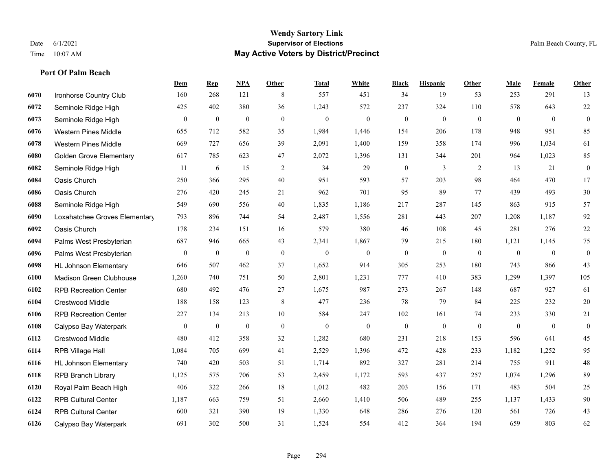#### **Wendy Sartory Link** Date 6/1/2021 **Supervisor of Elections Supervisor of Elections** Palm Beach County, FL Time 10:07 AM **May Active Voters by District/Precinct**

|      |                                | Dem            | <b>Rep</b>       | <u>NPA</u>       | <b>Other</b> | <b>Total</b>     | White            | <b>Black</b>     | <b>Hispanic</b>  | Other        | Male             | Female           | Other            |
|------|--------------------------------|----------------|------------------|------------------|--------------|------------------|------------------|------------------|------------------|--------------|------------------|------------------|------------------|
| 6070 | Ironhorse Country Club         | 160            | 268              | 121              | 8            | 557              | 451              | 34               | 19               | 53           | 253              | 291              | 13               |
| 6072 | Seminole Ridge High            | 425            | 402              | 380              | 36           | 1,243            | 572              | 237              | 324              | 110          | 578              | 643              | 22               |
| 6073 | Seminole Ridge High            | $\mathbf{0}$   | $\boldsymbol{0}$ | $\boldsymbol{0}$ | $\mathbf{0}$ | $\mathbf{0}$     | $\boldsymbol{0}$ | $\boldsymbol{0}$ | $\boldsymbol{0}$ | $\mathbf{0}$ | $\boldsymbol{0}$ | $\mathbf{0}$     | $\boldsymbol{0}$ |
| 6076 | <b>Western Pines Middle</b>    | 655            | 712              | 582              | 35           | 1,984            | 1,446            | 154              | 206              | 178          | 948              | 951              | 85               |
| 6078 | <b>Western Pines Middle</b>    | 669            | 727              | 656              | 39           | 2,091            | 1,400            | 159              | 358              | 174          | 996              | 1.034            | 61               |
| 6080 | <b>Golden Grove Elementary</b> | 617            | 785              | 623              | 47           | 2,072            | 1,396            | 131              | 344              | 201          | 964              | 1,023            | 85               |
| 6082 | Seminole Ridge High            | 11             | 6                | 15               | 2            | 34               | 29               | $\boldsymbol{0}$ | $\overline{3}$   | 2            | 13               | 21               | $\boldsymbol{0}$ |
| 6084 | Oasis Church                   | 250            | 366              | 295              | 40           | 951              | 593              | 57               | 203              | 98           | 464              | 470              | 17               |
| 6086 | Oasis Church                   | 276            | 420              | 245              | 21           | 962              | 701              | 95               | 89               | 77           | 439              | 493              | 30               |
| 6088 | Seminole Ridge High            | 549            | 690              | 556              | 40           | 1,835            | 1,186            | 217              | 287              | 145          | 863              | 915              | 57               |
| 6090 | Loxahatchee Groves Elementary  | 793            | 896              | 744              | 54           | 2,487            | 1,556            | 281              | 443              | 207          | 1,208            | 1,187            | $92\,$           |
| 6092 | Oasis Church                   | 178            | 234              | 151              | 16           | 579              | 380              | 46               | 108              | 45           | 281              | 276              | 22               |
| 6094 | Palms West Presbyterian        | 687            | 946              | 665              | 43           | 2,341            | 1,867            | 79               | 215              | 180          | 1,121            | 1,145            | 75               |
| 6096 | Palms West Presbyterian        | $\overline{0}$ | $\boldsymbol{0}$ | $\boldsymbol{0}$ | $\mathbf{0}$ | $\boldsymbol{0}$ | $\boldsymbol{0}$ | $\boldsymbol{0}$ | $\boldsymbol{0}$ | $\mathbf{0}$ | $\boldsymbol{0}$ | $\theta$         | $\boldsymbol{0}$ |
| 6098 | <b>HL Johnson Elementary</b>   | 646            | 507              | 462              | 37           | 1,652            | 914              | 305              | 253              | 180          | 743              | 866              | 43               |
| 6100 | Madison Green Clubhouse        | 1,260          | 740              | 751              | 50           | 2,801            | 1,231            | 777              | 410              | 383          | 1,299            | 1,397            | 105              |
| 6102 | <b>RPB Recreation Center</b>   | 680            | 492              | 476              | 27           | 1,675            | 987              | 273              | 267              | 148          | 687              | 927              | 61               |
| 6104 | <b>Crestwood Middle</b>        | 188            | 158              | 123              | $\,8\,$      | 477              | 236              | 78               | 79               | 84           | 225              | 232              | $20\,$           |
| 6106 | <b>RPB Recreation Center</b>   | 227            | 134              | 213              | 10           | 584              | 247              | 102              | 161              | 74           | 233              | 330              | $21\,$           |
| 6108 | Calypso Bay Waterpark          | $\overline{0}$ | $\boldsymbol{0}$ | $\overline{0}$   | $\mathbf{0}$ | $\mathbf{0}$     | $\mathbf{0}$     | $\boldsymbol{0}$ | $\boldsymbol{0}$ | $\mathbf{0}$ | $\mathbf{0}$     | $\boldsymbol{0}$ | $\boldsymbol{0}$ |
| 6112 | <b>Crestwood Middle</b>        | 480            | 412              | 358              | 32           | 1,282            | 680              | 231              | 218              | 153          | 596              | 641              | 45               |
| 6114 | RPB Village Hall               | 1,084          | 705              | 699              | 41           | 2,529            | 1,396            | 472              | 428              | 233          | 1,182            | 1,252            | 95               |
| 6116 | <b>HL Johnson Elementary</b>   | 740            | 420              | 503              | 51           | 1,714            | 892              | 327              | 281              | 214          | 755              | 911              | 48               |
| 6118 | <b>RPB Branch Library</b>      | 1,125          | 575              | 706              | 53           | 2,459            | 1,172            | 593              | 437              | 257          | 1,074            | 1,296            | 89               |
| 6120 | Royal Palm Beach High          | 406            | 322              | 266              | 18           | 1,012            | 482              | 203              | 156              | 171          | 483              | 504              | $25\,$           |
| 6122 | <b>RPB Cultural Center</b>     | 1,187          | 663              | 759              | 51           | 2,660            | 1,410            | 506              | 489              | 255          | 1,137            | 1,433            | 90               |
| 6124 | <b>RPB Cultural Center</b>     | 600            | 321              | 390              | 19           | 1,330            | 648              | 286              | 276              | 120          | 561              | 726              | 43               |
| 6126 | Calypso Bay Waterpark          | 691            | 302              | 500              | 31           | 1,524            | 554              | 412              | 364              | 194          | 659              | 803              | 62               |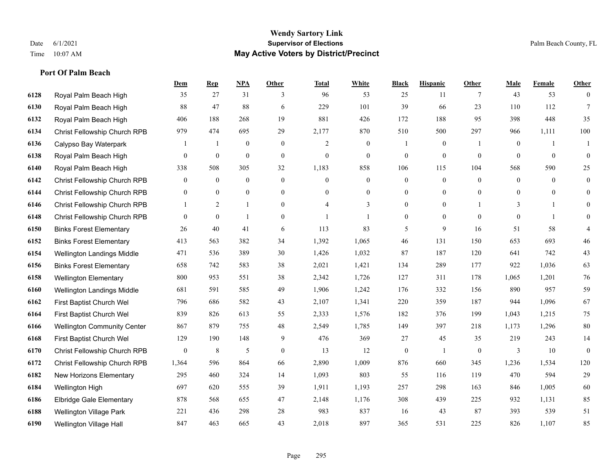#### **Wendy Sartory Link** Date 6/1/2021 **Supervisor of Elections** Palm Beach County, FL Time 10:07 AM **May Active Voters by District/Precinct**

|      |                                    | Dem          | $\mathbf{Rep}$   | <b>NPA</b>       | Other          | <b>Total</b>     | White            | <b>Black</b>     | <b>Hispanic</b>  | <b>Other</b> | Male         | Female         | Other            |
|------|------------------------------------|--------------|------------------|------------------|----------------|------------------|------------------|------------------|------------------|--------------|--------------|----------------|------------------|
| 6128 | Royal Palm Beach High              | 35           | 27               | 31               | 3              | 96               | 53               | 25               | 11               | 7            | 43           | 53             | $\overline{0}$   |
| 6130 | Royal Palm Beach High              | 88           | 47               | 88               | 6              | 229              | 101              | 39               | 66               | 23           | 110          | 112            | $\tau$           |
| 6132 | Royal Palm Beach High              | 406          | 188              | 268              | 19             | 881              | 426              | 172              | 188              | 95           | 398          | 448            | 35               |
| 6134 | Christ Fellowship Church RPB       | 979          | 474              | 695              | 29             | 2,177            | 870              | 510              | 500              | 297          | 966          | 1,111          | 100              |
| 6136 | Calypso Bay Waterpark              |              | 1                | $\overline{0}$   | $\mathbf{0}$   | 2                | $\mathbf{0}$     | $\mathbf{1}$     | $\mathbf{0}$     | -1           | $\mathbf{0}$ | $\mathbf{1}$   | -1               |
| 6138 | Royal Palm Beach High              | $\mathbf{0}$ | $\boldsymbol{0}$ | $\boldsymbol{0}$ | $\overline{0}$ | $\boldsymbol{0}$ | $\boldsymbol{0}$ | $\boldsymbol{0}$ | $\boldsymbol{0}$ | $\mathbf{0}$ | $\mathbf{0}$ | $\mathbf{0}$   | $\boldsymbol{0}$ |
| 6140 | Royal Palm Beach High              | 338          | 508              | 305              | 32             | 1,183            | 858              | 106              | 115              | 104          | 568          | 590            | 25               |
| 6142 | Christ Fellowship Church RPB       | $\mathbf{0}$ | $\mathbf{0}$     | $\overline{0}$   | $\mathbf{0}$   | $\overline{0}$   | $\overline{0}$   | $\mathbf{0}$     | $\mathbf{0}$     | $\theta$     | $\mathbf{0}$ | $\theta$       | $\boldsymbol{0}$ |
| 6144 | Christ Fellowship Church RPB       | $\mathbf{0}$ | $\mathbf{0}$     | $\mathbf{0}$     | $\theta$       | $\Omega$         | $\overline{0}$   | $\mathbf{0}$     | $\mathbf{0}$     | $\theta$     | $\theta$     | $\Omega$       | $\overline{0}$   |
| 6146 | Christ Fellowship Church RPB       |              | 2                | $\mathbf{1}$     | $\mathbf{0}$   | 4                | 3                | $\boldsymbol{0}$ | $\overline{0}$   |              | 3            | $\mathbf{1}$   | $\overline{0}$   |
| 6148 | Christ Fellowship Church RPB       | $\theta$     | $\mathbf{0}$     | $\mathbf{1}$     | $\overline{0}$ | $\mathbf{1}$     | 1                | $\mathbf{0}$     | $\overline{0}$   | $\theta$     | $\theta$     | $\overline{1}$ | $\mathbf{0}$     |
| 6150 | <b>Binks Forest Elementary</b>     | 26           | 40               | 41               | 6              | 113              | 83               | 5                | 9                | 16           | 51           | 58             | $\overline{4}$   |
| 6152 | <b>Binks Forest Elementary</b>     | 413          | 563              | 382              | 34             | 1,392            | 1,065            | 46               | 131              | 150          | 653          | 693            | 46               |
| 6154 | Wellington Landings Middle         | 471          | 536              | 389              | 30             | 1,426            | 1,032            | 87               | 187              | 120          | 641          | 742            | 43               |
| 6156 | <b>Binks Forest Elementary</b>     | 658          | 742              | 583              | 38             | 2,021            | 1,421            | 134              | 289              | 177          | 922          | 1,036          | 63               |
| 6158 | <b>Wellington Elementary</b>       | 800          | 953              | 551              | 38             | 2,342            | 1,726            | 127              | 311              | 178          | 1,065        | 1,201          | 76               |
| 6160 | Wellington Landings Middle         | 681          | 591              | 585              | 49             | 1,906            | 1,242            | 176              | 332              | 156          | 890          | 957            | 59               |
| 6162 | First Baptist Church Wel           | 796          | 686              | 582              | 43             | 2,107            | 1,341            | 220              | 359              | 187          | 944          | 1,096          | 67               |
| 6164 | First Baptist Church Wel           | 839          | 826              | 613              | 55             | 2,333            | 1,576            | 182              | 376              | 199          | 1,043        | 1,215          | 75               |
| 6166 | <b>Wellington Community Center</b> | 867          | 879              | 755              | 48             | 2,549            | 1,785            | 149              | 397              | 218          | 1,173        | 1,296          | $80\,$           |
| 6168 | First Baptist Church Wel           | 129          | 190              | 148              | 9              | 476              | 369              | 27               | 45               | 35           | 219          | 243            | 14               |
| 6170 | Christ Fellowship Church RPB       | $\mathbf{0}$ | $\,8\,$          | 5                | $\mathbf{0}$   | 13               | 12               | $\boldsymbol{0}$ | $\mathbf{1}$     | $\mathbf{0}$ | 3            | 10             | $\boldsymbol{0}$ |
| 6172 | Christ Fellowship Church RPB       | 1,364        | 596              | 864              | 66             | 2,890            | 1,009            | 876              | 660              | 345          | 1,236        | 1,534          | 120              |
| 6182 | New Horizons Elementary            | 295          | 460              | 324              | 14             | 1,093            | 803              | 55               | 116              | 119          | 470          | 594            | 29               |
| 6184 | Wellington High                    | 697          | 620              | 555              | 39             | 1,911            | 1,193            | 257              | 298              | 163          | 846          | 1,005          | 60               |
| 6186 | <b>Elbridge Gale Elementary</b>    | 878          | 568              | 655              | 47             | 2,148            | 1,176            | 308              | 439              | 225          | 932          | 1,131          | 85               |
| 6188 | Wellington Village Park            | 221          | 436              | 298              | 28             | 983              | 837              | 16               | 43               | 87           | 393          | 539            | 51               |
| 6190 | Wellington Village Hall            | 847          | 463              | 665              | 43             | 2,018            | 897              | 365              | 531              | 225          | 826          | 1.107          | 85               |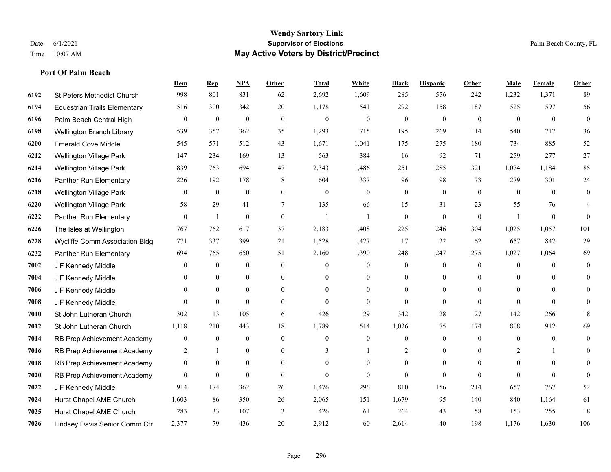#### **Wendy Sartory Link** Date 6/1/2021 **Supervisor of Elections** Palm Beach County, FL Time 10:07 AM **May Active Voters by District/Precinct**

# **Dem Rep NPA Other Total White Black Hispanic Other Male Female Other** St Peters Methodist Church 998 801 831 62 2,692 1,609 285 556 242 1,232 1,371 89 Equestrian Trails Elementary 516 300 342 20 1,178 541 292 158 187 525 597 56 Palm Beach Central High 0 0 0 0 0 0 0 0 0 0 0 0 Wellington Branch Library 539 357 362 35 1,293 715 195 269 114 540 717 36 Emerald Cove Middle 545 571 512 43 1,671 1,041 175 275 180 734 885 52 Wellington Village Park 147 234 169 13 563 384 16 92 71 259 277 27 Wellington Village Park 839 763 694 47 2,343 1,486 251 285 321 1,074 1,184 85 Panther Run Elementary 226 192 178 8 604 337 96 98 73 279 301 24 Wellington Village Park 0 0 0 0 0 0 0 0 0 0 0 0 Wellington Village Park 58 29 41 7 135 66 15 31 23 55 76 4 Panther Run Elementary 0 1 0 0 1 1 0 0 0 1 0 0 The Isles at Wellington 767 762 617 37 2,183 1,408 225 246 304 1,025 1,057 101 Wycliffe Comm Association Bldg 771 337 399 21 1,528 1,427 17 22 62 657 842 29 Panther Run Elementary 694 765 650 51 2,160 1,390 248 247 275 1,027 1,064 69 **7002 J F Kennedy Middle 0 0 0 0 0 0 0 0 0** 0 J F Kennedy Middle 0 0 0 0 0 0 0 0 0 0 0 0 J F Kennedy Middle 0 0 0 0 0 0 0 0 0 0 J F Kennedy Middle 0 0 0 0 0 0 0 0 0 0 St John Lutheran Church 302 13 105 6 426 29 342 28 27 142 266 18 St John Lutheran Church 1,118 210 443 18 1,789 514 1,026 75 174 808 912 69 RB Prep Achievement Academy 0 0 0 0 0 0 0 0 0 0 0 0 RB Prep Achievement Academy 2 1 0 0 3 1 2 0 0 2 1 0 RB Prep Achievement Academy 0 0 0 0 0 0 0 0 0 0 0 0 RB Prep Achievement Academy 0 0 0 0 0 0 0 0 0 0 0 0 J F Kennedy Middle 914 174 362 26 1,476 296 810 156 214 657 767 52 Hurst Chapel AME Church 1,603 86 350 26 2,065 151 1,679 95 140 840 1,164 61 Hurst Chapel AME Church 283 33 107 3 426 61 264 43 58 153 255 18 Lindsey Davis Senior Comm Ctr 2,377 79 436 20 2,912 60 2,614 40 198 1,176 1,630 106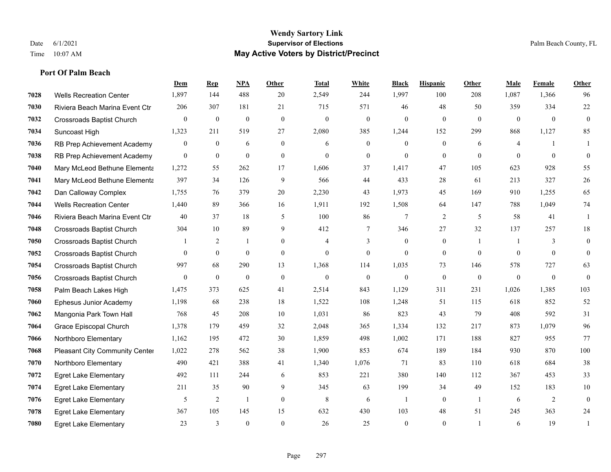#### **Port Of Palm Beach**

|      |                                  | Dem              | <b>Rep</b>       | NPA              | <b>Other</b>   | <b>Total</b>   | White          | <b>Black</b>     | <b>Hispanic</b> | Other          | <b>Male</b>    | Female           | <b>Other</b> |
|------|----------------------------------|------------------|------------------|------------------|----------------|----------------|----------------|------------------|-----------------|----------------|----------------|------------------|--------------|
| 7028 | <b>Wells Recreation Center</b>   | 1,897            | 144              | 488              | 20             | 2,549          | 244            | 1,997            | 100             | 208            | 1,087          | 1,366            | 96           |
| 7030 | Riviera Beach Marina Event Ctr   | 206              | 307              | 181              | 21             | 715            | 571            | 46               | 48              | 50             | 359            | 334              | $22\,$       |
| 7032 | <b>Crossroads Baptist Church</b> | $\mathbf{0}$     | $\boldsymbol{0}$ | $\mathbf{0}$     | $\mathbf{0}$   | $\mathbf{0}$   | $\mathbf{0}$   | $\mathbf{0}$     | $\mathbf{0}$    | $\theta$       | $\overline{0}$ | $\theta$         | $\mathbf{0}$ |
| 7034 | Suncoast High                    | 1,323            | 211              | 519              | 27             | 2,080          | 385            | 1,244            | 152             | 299            | 868            | 1,127            | 85           |
| 7036 | RB Prep Achievement Academy      | $\overline{0}$   | $\overline{0}$   | 6                | $\overline{0}$ | 6              | $\overline{0}$ | $\mathbf{0}$     | $\mathbf{0}$    | 6              | $\overline{4}$ | -1               | 1            |
| 7038 | RB Prep Achievement Academy      | $\overline{0}$   | $\boldsymbol{0}$ | $\mathbf{0}$     | $\overline{0}$ | $\theta$       | $\overline{0}$ | $\mathbf{0}$     | $\mathbf{0}$    | $\theta$       | $\theta$       | $\theta$         | $\theta$     |
| 7040 | Mary McLeod Bethune Elementa     | 1,272            | 55               | 262              | 17             | 1,606          | 37             | 1,417            | 47              | 105            | 623            | 928              | 55           |
| 7041 | Mary McLeod Bethune Elementa     | 397              | 34               | 126              | 9              | 566            | 44             | 433              | 28              | 61             | 213            | 327              | $26\,$       |
| 7042 | Dan Calloway Complex             | 1,755            | 76               | 379              | 20             | 2,230          | 43             | 1,973            | 45              | 169            | 910            | 1,255            | 65           |
| 7044 | <b>Wells Recreation Center</b>   | 1,440            | 89               | 366              | 16             | 1,911          | 192            | 1,508            | 64              | 147            | 788            | 1,049            | $74\,$       |
| 7046 | Riviera Beach Marina Event Ctr   | 40               | 37               | 18               | 5              | 100            | 86             | 7                | $\overline{2}$  | 5              | 58             | 41               | 1            |
| 7048 | <b>Crossroads Baptist Church</b> | 304              | 10               | 89               | 9              | 412            | $\tau$         | 346              | 27              | 32             | 137            | 257              | 18           |
| 7050 | Crossroads Baptist Church        |                  | 2                | $\mathbf{1}$     | $\overline{0}$ | $\overline{4}$ | 3              | $\mathbf{0}$     | $\mathbf{0}$    | $\mathbf{1}$   | 1              | 3                | $\mathbf{0}$ |
| 7052 | <b>Crossroads Baptist Church</b> | $\Omega$         | $\mathbf{0}$     | $\theta$         | $\overline{0}$ | $\mathbf{0}$   | $\overline{0}$ | $\mathbf{0}$     | $\mathbf{0}$    | $\theta$       | $\Omega$       | $\theta$         | $\mathbf{0}$ |
| 7054 | <b>Crossroads Baptist Church</b> | 997              | 68               | 290              | 13             | 1,368          | 114            | 1.035            | 73              | 146            | 578            | 727              | 63           |
| 7056 | Crossroads Baptist Church        | $\boldsymbol{0}$ | $\boldsymbol{0}$ | $\boldsymbol{0}$ | $\mathbf{0}$   | $\mathbf{0}$   | $\mathbf{0}$   | $\boldsymbol{0}$ | $\mathbf{0}$    | $\mathbf{0}$   | $\mathbf{0}$   | $\boldsymbol{0}$ | $\mathbf{0}$ |
| 7058 | Palm Beach Lakes High            | 1.475            | 373              | 625              | 41             | 2,514          | 843            | 1.129            | 311             | 231            | 1,026          | 1.385            | 103          |
| 7060 | Ephesus Junior Academy           | 1,198            | 68               | 238              | 18             | 1,522          | 108            | 1,248            | 51              | 115            | 618            | 852              | 52           |
| 7062 | Mangonia Park Town Hall          | 768              | 45               | 208              | 10             | 1,031          | 86             | 823              | 43              | 79             | 408            | 592              | 31           |
| 7064 | Grace Episcopal Church           | 1,378            | 179              | 459              | 32             | 2,048          | 365            | 1,334            | 132             | 217            | 873            | 1,079            | 96           |
| 7066 | Northboro Elementary             | 1,162            | 195              | 472              | 30             | 1,859          | 498            | 1,002            | 171             | 188            | 827            | 955              | 77           |
| 7068 | Pleasant City Community Center   | 1,022            | 278              | 562              | 38             | 1,900          | 853            | 674              | 189             | 184            | 930            | 870              | 100          |
| 7070 | Northboro Elementary             | 490              | 421              | 388              | 41             | 1,340          | 1,076          | 71               | 83              | 110            | 618            | 684              | $38\,$       |
| 7072 | <b>Egret Lake Elementary</b>     | 492              | 111              | 244              | 6              | 853            | 221            | 380              | 140             | 112            | 367            | 453              | 33           |
| 7074 | <b>Egret Lake Elementary</b>     | 211              | 35               | 90               | 9              | 345            | 63             | 199              | 34              | 49             | 152            | 183              | 10           |
| 7076 | <b>Egret Lake Elementary</b>     | 5                | 2                | $\mathbf{1}$     | $\Omega$       | 8              | 6              | $\mathbf{1}$     | $\mathbf{0}$    | $\overline{1}$ | 6              | 2                | $\mathbf{0}$ |
| 7078 | <b>Egret Lake Elementary</b>     | 367              | 105              | 145              | 15             | 632            | 430            | 103              | 48              | 51             | 245            | 363              | 24           |
| 7080 | <b>Egret Lake Elementary</b>     | 23               | 3                | $\mathbf{0}$     | $\theta$       | 26             | 25             | $\mathbf{0}$     | $\theta$        |                | 6              | 19               | 1            |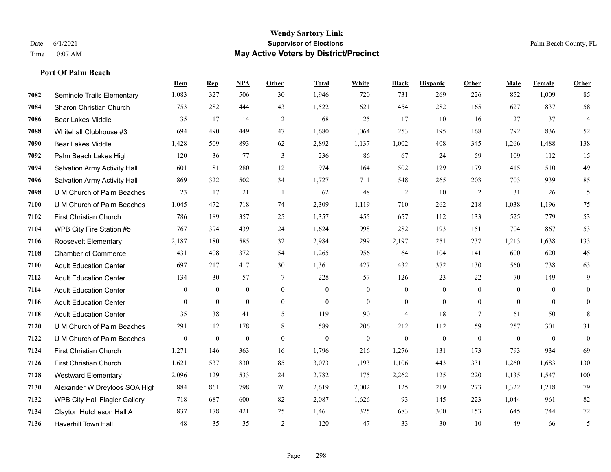#### **Wendy Sartory Link** Date 6/1/2021 **Supervisor of Elections** Palm Beach County, FL Time 10:07 AM **May Active Voters by District/Precinct**

|      |                               | Dem            | <b>Rep</b>     | <b>NPA</b>     | Other          | <b>Total</b> | White          | <b>Black</b>     | <b>Hispanic</b> | Other          | Male         | Female       | Other          |
|------|-------------------------------|----------------|----------------|----------------|----------------|--------------|----------------|------------------|-----------------|----------------|--------------|--------------|----------------|
| 7082 | Seminole Trails Elementary    | 1,083          | 327            | 506            | 30             | 1,946        | 720            | 731              | 269             | 226            | 852          | 1,009        | 85             |
| 7084 | Sharon Christian Church       | 753            | 282            | 444            | 43             | 1,522        | 621            | 454              | 282             | 165            | 627          | 837          | 58             |
| 7086 | <b>Bear Lakes Middle</b>      | 35             | 17             | 14             | 2              | 68           | 25             | 17               | 10              | 16             | 27           | 37           | $\overline{4}$ |
| 7088 | Whitehall Clubhouse #3        | 694            | 490            | 449            | 47             | 1,680        | 1,064          | 253              | 195             | 168            | 792          | 836          | 52             |
| 7090 | <b>Bear Lakes Middle</b>      | 1,428          | 509            | 893            | 62             | 2,892        | 1,137          | 1,002            | 408             | 345            | 1,266        | 1,488        | 138            |
| 7092 | Palm Beach Lakes High         | 120            | 36             | 77             | 3              | 236          | 86             | 67               | 24              | 59             | 109          | 112          | 15             |
| 7094 | Salvation Army Activity Hall  | 601            | 81             | 280            | 12             | 974          | 164            | 502              | 129             | 179            | 415          | 510          | 49             |
| 7096 | Salvation Army Activity Hall  | 869            | 322            | 502            | 34             | 1,727        | 711            | 548              | 265             | 203            | 703          | 939          | 85             |
| 7098 | U M Church of Palm Beaches    | 23             | 17             | 21             | -1             | 62           | 48             | 2                | 10              | 2              | 31           | 26           | 5              |
| 7100 | U M Church of Palm Beaches    | 1,045          | 472            | 718            | 74             | 2,309        | 1,119          | 710              | 262             | 218            | 1,038        | 1,196        | 75             |
| 7102 | <b>First Christian Church</b> | 786            | 189            | 357            | 25             | 1,357        | 455            | 657              | 112             | 133            | 525          | 779          | 53             |
| 7104 | WPB City Fire Station #5      | 767            | 394            | 439            | 24             | 1,624        | 998            | 282              | 193             | 151            | 704          | 867          | 53             |
| 7106 | Roosevelt Elementary          | 2,187          | 180            | 585            | 32             | 2,984        | 299            | 2,197            | 251             | 237            | 1,213        | 1,638        | 133            |
| 7108 | <b>Chamber of Commerce</b>    | 431            | 408            | 372            | 54             | 1,265        | 956            | 64               | 104             | 141            | 600          | 620          | 45             |
| 7110 | <b>Adult Education Center</b> | 697            | 217            | 417            | 30             | 1,361        | 427            | 432              | 372             | 130            | 560          | 738          | 63             |
| 7112 | <b>Adult Education Center</b> | 134            | 30             | 57             | 7              | 228          | 57             | 126              | 23              | 22             | 70           | 149          | 9              |
| 7114 | <b>Adult Education Center</b> | $\theta$       | $\Omega$       | $\Omega$       | $\theta$       | $\theta$     | $\theta$       | $\mathbf{0}$     | $\theta$        | $\Omega$       | $\Omega$     | $\theta$     | $\overline{0}$ |
| 7116 | <b>Adult Education Center</b> | $\overline{0}$ | $\overline{0}$ | $\overline{0}$ | $\mathbf{0}$   | $\mathbf{0}$ | $\overline{0}$ | $\boldsymbol{0}$ | $\theta$        | $\overline{0}$ | $\mathbf{0}$ | $\theta$     | $\mathbf{0}$   |
| 7118 | <b>Adult Education Center</b> | 35             | 38             | 41             | 5              | 119          | 90             | $\overline{4}$   | 18              | $\tau$         | 61           | 50           | 8              |
| 7120 | U M Church of Palm Beaches    | 291            | 112            | 178            | 8              | 589          | 206            | 212              | 112             | 59             | 257          | 301          | 31             |
| 7122 | U M Church of Palm Beaches    | $\mathbf{0}$   | $\overline{0}$ | $\mathbf{0}$   | $\mathbf{0}$   | $\mathbf{0}$ | $\overline{0}$ | $\boldsymbol{0}$ | $\mathbf{0}$    | $\theta$       | $\mathbf{0}$ | $\mathbf{0}$ | $\mathbf{0}$   |
| 7124 | First Christian Church        | 1,271          | 146            | 363            | 16             | 1,796        | 216            | 1,276            | 131             | 173            | 793          | 934          | 69             |
| 7126 | <b>First Christian Church</b> | 1,621          | 537            | 830            | 85             | 3,073        | 1,193          | 1,106            | 443             | 331            | 1,260        | 1,683        | 130            |
| 7128 | <b>Westward Elementary</b>    | 2,096          | 129            | 533            | 24             | 2,782        | 175            | 2,262            | 125             | 220            | 1,135        | 1,547        | 100            |
| 7130 | Alexander W Dreyfoos SOA High | 884            | 861            | 798            | 76             | 2,619        | 2,002          | 125              | 219             | 273            | 1,322        | 1,218        | 79             |
| 7132 | WPB City Hall Flagler Gallery | 718            | 687            | 600            | 82             | 2,087        | 1,626          | 93               | 145             | 223            | 1,044        | 961          | 82             |
| 7134 | Clayton Hutcheson Hall A      | 837            | 178            | 421            | 25             | 1,461        | 325            | 683              | 300             | 153            | 645          | 744          | 72             |
| 7136 | <b>Haverhill Town Hall</b>    | 48             | 35             | 35             | $\overline{2}$ | 120          | 47             | 33               | 30              | 10             | 49           | 66           | 5              |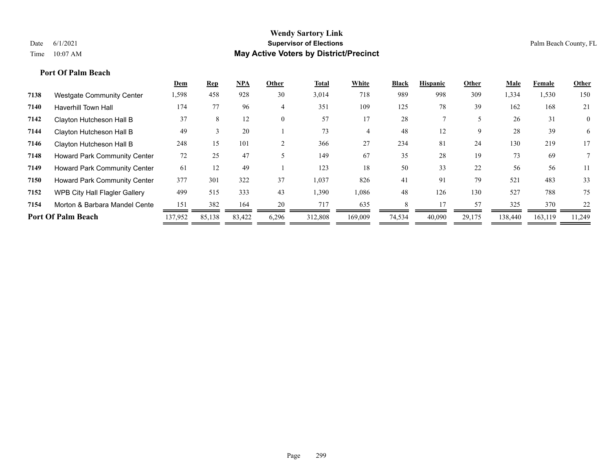### **Port Of Palm Beach**

|      |                                      | <b>Dem</b> | <b>Rep</b> | <b>NPA</b> | Other    | <b>Total</b> | White   | <b>Black</b> | <b>Hispanic</b> | Other  | Male    | Female  | Other    |
|------|--------------------------------------|------------|------------|------------|----------|--------------|---------|--------------|-----------------|--------|---------|---------|----------|
| 7138 | <b>Westgate Community Center</b>     | 1,598      | 458        | 928        | 30       | 3,014        | 718     | 989          | 998             | 309    | 334     | 1,530   | 150      |
| 7140 | <b>Haverhill Town Hall</b>           | 174        | 77         | 96         | 4        | 351          | 109     | 125          | 78              | 39     | 162     | 168     | 21       |
| 7142 | Clayton Hutcheson Hall B             | 37         | 8          | 12         | $\theta$ | 57           | 17      | 28           |                 |        | 26      | 31      | $\theta$ |
| 7144 | Clayton Hutcheson Hall B             | 49         |            | 20         |          | 73           |         | 48           | 12              | 9      | 28      | 39      | 6        |
| 7146 | Clayton Hutcheson Hall B             | 248        | 15         | 101        | 2        | 366          | 27      | 234          | 81              | 24     | 130     | 219     | 17       |
| 7148 | <b>Howard Park Community Center</b>  | 72         | 25         | 47         |          | 149          | 67      | 35           | 28              | 19     | 73      | 69      |          |
| 7149 | <b>Howard Park Community Center</b>  | 61         | 12         | 49         |          | 123          | 18      | 50           | 33              | 22     | 56      | 56      | 11       |
| 7150 | Howard Park Community Center         | 377        | 301        | 322        | 37       | 1,037        | 826     | 41           | 91              | 79     | 521     | 483     | 33       |
| 7152 | <b>WPB City Hall Flagler Gallery</b> | 499        | 515        | 333        | 43       | 1,390        | 1,086   | 48           | 126             | 130    | 527     | 788     | 75       |
| 7154 | Morton & Barbara Mandel Cente        | 151        | 382        | 164        | 20       | 717          | 635     |              |                 | 57     | 325     | 370     | 22       |
|      | <b>Port Of Palm Beach</b>            | 137,952    | 85,138     | 83,422     | 6,296    | 312,808      | 169,009 | 74,534       | 40,090          | 29,175 | 138,440 | 163,119 | 11,249   |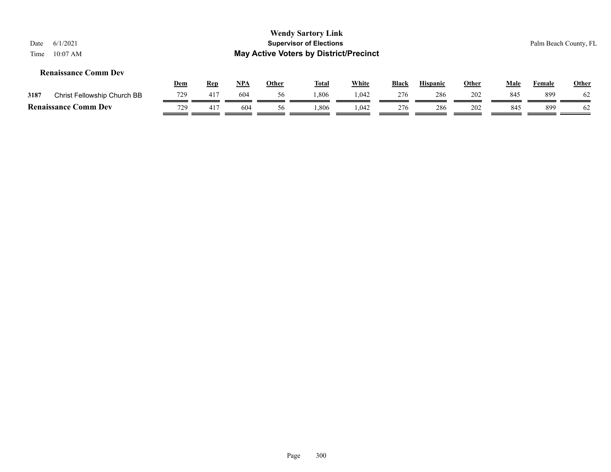#### **Renaissance Comm Dev**

|      |                                  | <u>Dem</u> | Rep             | NPA | Other | <b>Total</b> | White | <b>Black</b> | <b>Hispanic</b> | Other | Male | Female | <b>Other</b> |
|------|----------------------------------|------------|-----------------|-----|-------|--------------|-------|--------------|-----------------|-------|------|--------|--------------|
| 3187 | Christ Fellowship Church BB      | 729        | 41 <sup>7</sup> | 604 |       | .806         | 1,042 | 276          | 286             | 202   | 845  | 899    | 62           |
|      | <b>Renaissance C</b><br>Comm Dev | 729        | $41^{\circ}$    | 604 |       | ,806         | 1,042 | 276          | 286             | 202   | 845  | 899    | 62           |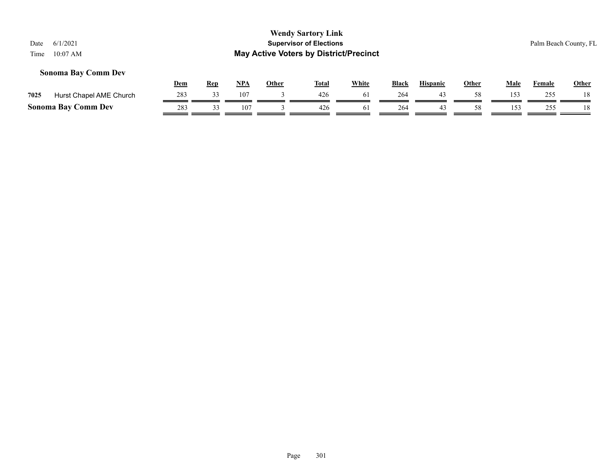#### **Sonoma Bay Comm Dev**

|      |                            | Dem | Rep | NP/      | Other | <b>Total</b> | White          | <b>Black</b> | <b>Hispanic</b> | Other | Male | Female | <b>Other</b> |
|------|----------------------------|-----|-----|----------|-------|--------------|----------------|--------------|-----------------|-------|------|--------|--------------|
| 7025 | Hurst Chapel AME Church    | 283 |     | 107      |       | 426          | 0 <sub>1</sub> | 264          |                 |       | 153  | 255    | 18           |
|      | <b>Sonoma Bay Comm Dev</b> | 283 |     | $10^{-}$ |       | 426          |                | 264          |                 |       | 153  | 755    | 18           |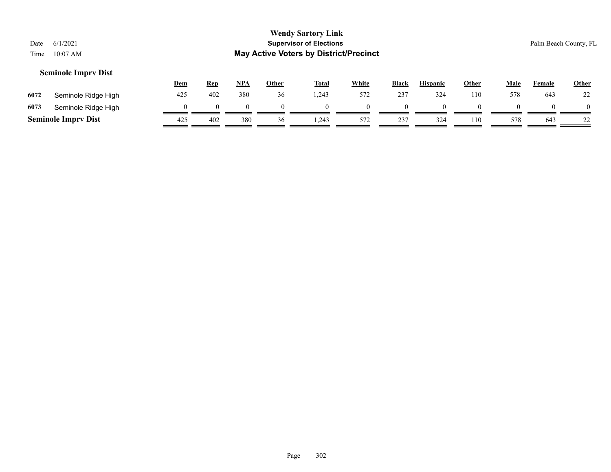#### **Seminole Imprv Dist**

|      |                            | <u>Dem</u> | <u>Rep</u> | <u>NPA</u> | Other | <b>Total</b> | White | <b>Black</b> | <b>Hispanic</b> | Other | Male | Female | <b>Other</b> |
|------|----------------------------|------------|------------|------------|-------|--------------|-------|--------------|-----------------|-------|------|--------|--------------|
| 6072 | Seminole Ridge High        | 425        | 402        | 380        | 36    | 1.243        | 572   | 237          | 324             | 110   | 578  | 643    | 22           |
| 6073 | Seminole Ridge High        |            |            |            |       |              |       |              |                 |       |      |        |              |
|      | <b>Seminole Imprv Dist</b> | 425        | 402        | 380        | 36    | 1,243        | 572   | 237          | 324             | 110   | 578  | 643    | ∠∠           |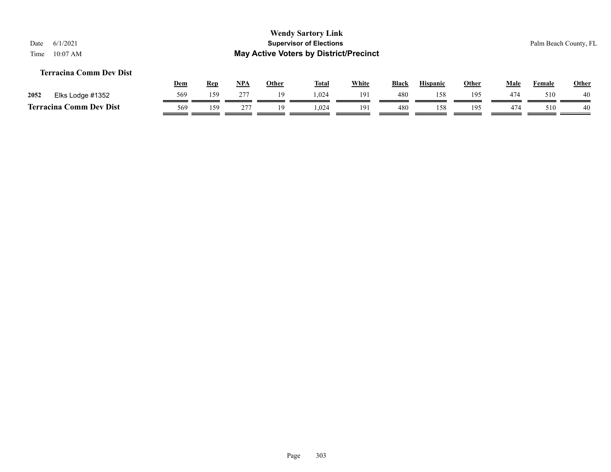#### **Terracina Comm Dev Dist**

|      |                            | Dem | <b>Rep</b> | <b>NPA</b> | Other | <b>Total</b> | White | <b>Black</b> | <b>Hispanic</b> | Other | Male | Female | <b>Other</b> |
|------|----------------------------|-----|------------|------------|-------|--------------|-------|--------------|-----------------|-------|------|--------|--------------|
| 2052 | Elks Lodge #1352           | 569 | 159        | 277        | 1 Q   | .024         | 191   | 480          |                 | 195   | 474  | 510    | 40           |
|      | Comm Dev Dist<br>Terracina | 569 | 159        | $\sim$     |       | .024         | 191   | 480          | 158             | 195   | 474  | 510    | 40           |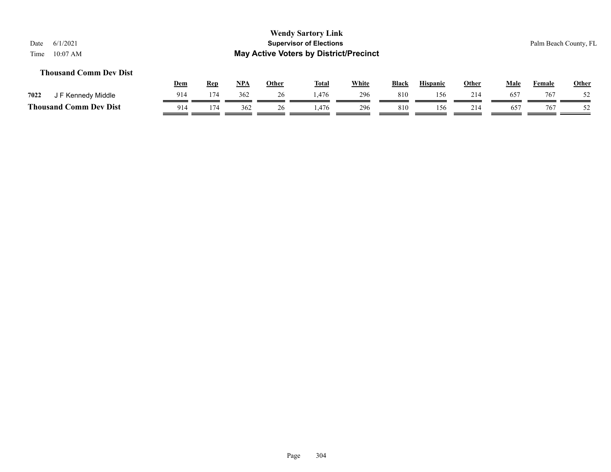#### **Thousand Comm Dev Dist**

|                                            | <b>Dem</b> | Rep | <b>NPA</b> | Other | <b>Total</b> | White | <b>Black</b> | <b>Hispanic</b> | Other | Male         | Female | <b>Other</b> |
|--------------------------------------------|------------|-----|------------|-------|--------------|-------|--------------|-----------------|-------|--------------|--------|--------------|
| 7022<br>F Kennedy Middle                   | 914        | 174 | 362        | 26    | 1.476        | 296   | 810          | 156             | 214   | $65^{\circ}$ | 767    | 52           |
| <b>Thousand C</b><br>C <b>omm Dev Dist</b> | 914        | 174 | 362        | 26    | ,476         | 296   | 810          | 156.            | 214   | $65^{\circ}$ | 767    | 52           |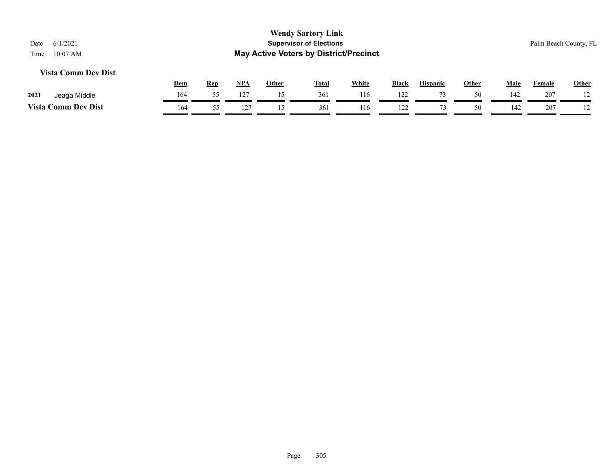#### **Vista Comm Dev Dist**

|          |                      | <u>Dem</u> | Rep | NPA | Other | <b>Total</b> | White | Black | <b>Hispanic</b> | Other | Male | Female | Other   |
|----------|----------------------|------------|-----|-----|-------|--------------|-------|-------|-----------------|-------|------|--------|---------|
| 2021     | Jeaga Middle         | 164        |     | 127 |       | 361          | 16،   | 122   | $\overline{ }$  | 50    | 142  | 207    |         |
| Vista Co | <b>Comm Dev Dist</b> | 164        |     |     |       | 361          | 116   | 122   |                 | 50    | 142  | 207    | $\perp$ |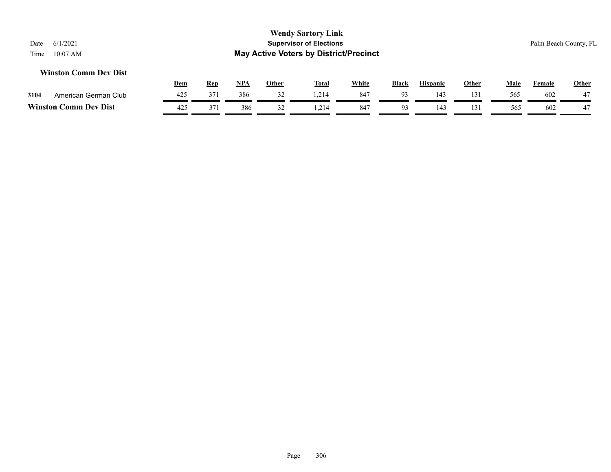#### **Winston Comm Dev Dist**

|                  |                      | Dem | Rep | <b>NPA</b> | Other | <b>Total</b> | White | <b>Black</b>   | <b>Hispanic</b> | Other | Male | Female | <b>Other</b>    |
|------------------|----------------------|-----|-----|------------|-------|--------------|-------|----------------|-----------------|-------|------|--------|-----------------|
| 3104             | American German Club | 425 | 371 | 386        | ے د   | 1.214        | 847   | Q <sub>2</sub> | $14^\circ$      |       | 565  | 602    | $\sqrt{7}$<br>∸ |
| <b>Winston C</b> | <b>Comm Dev Dist</b> | 425 | 371 | 386        | ے د   | 214          | 847   | -Q2            | 143             |       | 565  | 602    | $\rightarrow$   |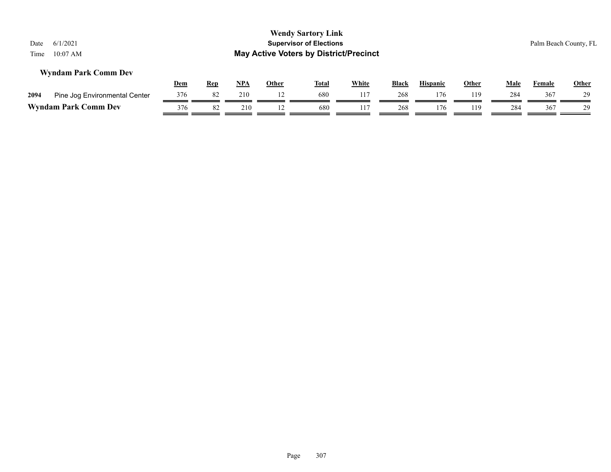#### **Wyndam Park Comm Dev**

|      |                               | <u>Dem</u> | Rep | NPA | Other | <b>Total</b> | White | <b>Black</b> | <b>Hispanic</b> | Other | Male | Female | <b>Other</b> |
|------|-------------------------------|------------|-----|-----|-------|--------------|-------|--------------|-----------------|-------|------|--------|--------------|
| 2094 | Pine Jog Environmental Center | 376        |     | 210 |       | 680          |       | 268          |                 | 119   | 284  | 367    | 29           |
|      | <b>Wyndam Park Comm Dev</b>   | 376        |     | 210 |       | 680          |       | 268          |                 | 119   | 284  | 367    |              |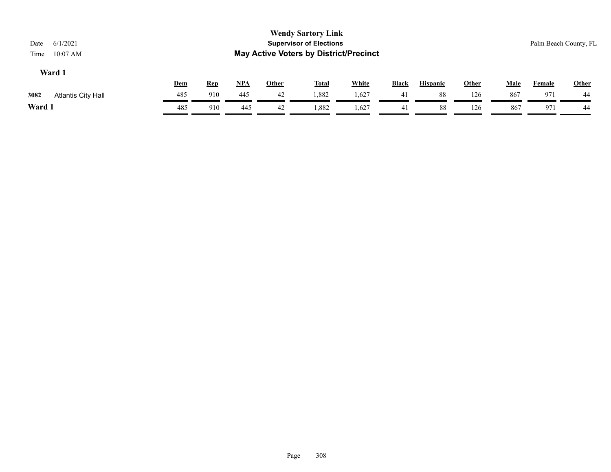| 6/1/2021<br>Date                  |            |            |            |              | <b>Wendy Sartory Link</b><br><b>Supervisor of Elections</b> |              |              |                 |              |             |               | Palm Beach County, FL |
|-----------------------------------|------------|------------|------------|--------------|-------------------------------------------------------------|--------------|--------------|-----------------|--------------|-------------|---------------|-----------------------|
| $10:07$ AM<br>Time                |            |            |            |              | <b>May Active Voters by District/Precinct</b>               |              |              |                 |              |             |               |                       |
| Ward 1                            |            |            |            |              |                                                             |              |              |                 |              |             |               |                       |
|                                   | <u>Dem</u> | <u>Rep</u> | <b>NPA</b> | <u>Other</u> | <b>Total</b>                                                | <b>White</b> | <b>Black</b> | <b>Hispanic</b> | <u>Other</u> | <b>Male</b> | <u>Female</u> | <b>Other</b>          |
| 3082<br><b>Atlantis City Hall</b> | 485        | 910        | 445        | 42           | 1,882                                                       | 1,627        | 41           | 88              | 126          | 867         | 97.           | 44                    |

**Ward 1** 485 910 445 42 1,882 1,627 41 88 126 867 971 44

 $\overline{\phantom{a}}$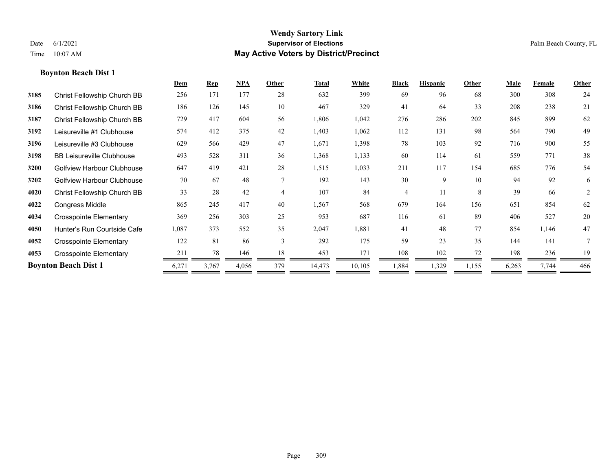|      |                                   | Dem   | <b>Rep</b> | NPA   | Other          | <b>Total</b> | White  | <b>Black</b> | <b>Hispanic</b> | Other | Male  | Female | Other |
|------|-----------------------------------|-------|------------|-------|----------------|--------------|--------|--------------|-----------------|-------|-------|--------|-------|
| 3185 | Christ Fellowship Church BB       | 256   | 171        | 177   | 28             | 632          | 399    | 69           | 96              | 68    | 300   | 308    | 24    |
| 3186 | Christ Fellowship Church BB       | 186   | 126        | 145   | 10             | 467          | 329    | 41           | 64              | 33    | 208   | 238    | 21    |
| 3187 | Christ Fellowship Church BB       | 729   | 417        | 604   | 56             | 1,806        | 1,042  | 276          | 286             | 202   | 845   | 899    | 62    |
| 3192 | Leisureville #1 Clubhouse         | 574   | 412        | 375   | 42             | 1,403        | 1,062  | 112          | 131             | 98    | 564   | 790    | 49    |
| 3196 | Leisureville #3 Clubhouse         | 629   | 566        | 429   | 47             | 1,671        | 1,398  | 78           | 103             | 92    | 716   | 900    | 55    |
| 3198 | <b>BB Leisureville Clubhouse</b>  | 493   | 528        | 311   | 36             | 1,368        | 1,133  | 60           | 114             | 61    | 559   | 771    | 38    |
| 3200 | <b>Golfview Harbour Clubhouse</b> | 647   | 419        | 421   | 28             | 1,515        | 1,033  | 211          | 117             | 154   | 685   | 776    | 54    |
| 3202 | <b>Golfview Harbour Clubhouse</b> | 70    | 67         | 48    | $\overline{7}$ | 192          | 143    | 30           | 9               | 10    | 94    | 92     | 6     |
| 4020 | Christ Fellowship Church BB       | 33    | 28         | 42    | $\overline{4}$ | 107          | 84     | 4            | 11              | 8     | 39    | 66     | 2     |
| 4022 | <b>Congress Middle</b>            | 865   | 245        | 417   | 40             | 1,567        | 568    | 679          | 164             | 156   | 651   | 854    | 62    |
| 4034 | <b>Crosspointe Elementary</b>     | 369   | 256        | 303   | 25             | 953          | 687    | 116          | 61              | 89    | 406   | 527    | 20    |
| 4050 | Hunter's Run Courtside Cafe       | 1,087 | 373        | 552   | 35             | 2,047        | 1,881  | 41           | 48              | 77    | 854   | 1,146  | 47    |
| 4052 | <b>Crosspointe Elementary</b>     | 122   | 81         | 86    | $\overline{3}$ | 292          | 175    | 59           | 23              | 35    | 144   | 141    |       |
| 4053 | <b>Crosspointe Elementary</b>     | 211   | 78         | 146   | 18             | 453          | 171    | 108          | 102             | 72    | 198   | 236    | 19    |
|      | <b>Boynton Beach Dist 1</b>       | 6,271 | 3,767      | 4,056 | 379            | 14,473       | 10,105 | 1,884        | 1,329           | 1,155 | 6,263 | 7,744  | 466   |
|      |                                   |       |            |       |                |              |        |              |                 |       |       |        |       |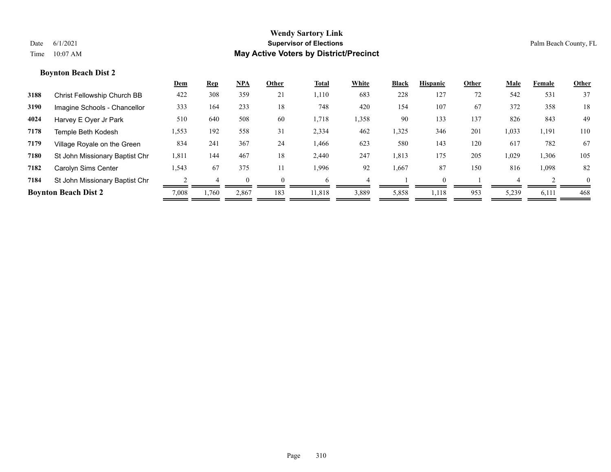|      |                                | <u>Dem</u> | <b>Rep</b> | $NPA$ | Other    | <b>Total</b> | White | <b>Black</b> | <b>Hispanic</b> | Other | Male  | Female | Other    |
|------|--------------------------------|------------|------------|-------|----------|--------------|-------|--------------|-----------------|-------|-------|--------|----------|
| 3188 | Christ Fellowship Church BB    | 422        | 308        | 359   | 21       | 1,110        | 683   | 228          | 127             | 72    | 542   | 531    | 37       |
| 3190 | Imagine Schools - Chancellor   | 333        | 164        | 233   | 18       | 748          | 420   | 154          | 107             | 67    | 372   | 358    | 18       |
| 4024 | Harvey E Oyer Jr Park          | 510        | 640        | 508   | 60       | 1,718        | 1,358 | 90           | 133             | 137   | 826   | 843    | 49       |
| 7178 | Temple Beth Kodesh             | 1,553      | 192        | 558   | 31       | 2,334        | 462   | 1,325        | 346             | 201   | 1,033 | 1,191  | 110      |
| 7179 | Village Royale on the Green    | 834        | 241        | 367   | 24       | 1,466        | 623   | 580          | 143             | 120   | 617   | 782    | 67       |
| 7180 | St John Missionary Baptist Chr | 1,811      | 144        | 467   | 18       | 2,440        | 247   | 1,813        | 175             | 205   | 1,029 | 1,306  | 105      |
| 7182 | Carolyn Sims Center            | 1,543      | 67         | 375   | 11       | 1,996        | 92    | 1,667        | 87              | 150   | 816   | 1,098  | 82       |
| 7184 | St John Missionary Baptist Chr |            |            |       | $\Omega$ | h            |       |              |                 |       |       |        | $\theta$ |
|      | <b>Boynton Beach Dist 2</b>    | 7,008      | 1,760      | 2,867 | 183      | 11,818       | 3,889 | 5,858        | 1,118           | 953   | 5,239 | 6,111  | 468      |
|      |                                |            |            |       |          |              |       |              |                 |       |       |        |          |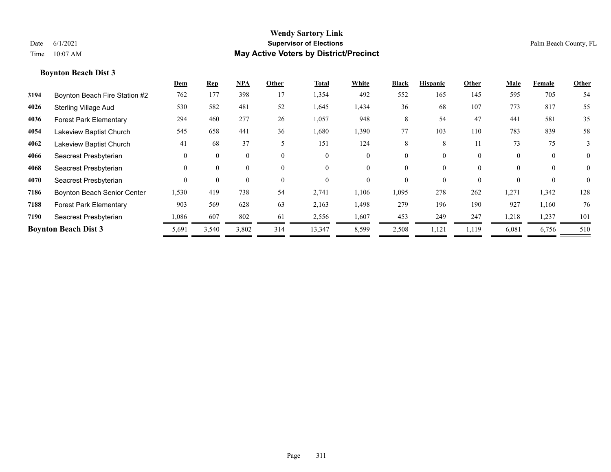|      |                                    | Dem      | <b>Rep</b> | NPA      | Other    | <b>Total</b> | White    | <b>Black</b> | <b>Hispanic</b> | Other    | Male     | Female   | Other          |
|------|------------------------------------|----------|------------|----------|----------|--------------|----------|--------------|-----------------|----------|----------|----------|----------------|
| 3194 | Boynton Beach Fire Station #2      | 762      | 177        | 398      | 17       | 1,354        | 492      | 552          | 165             | 145      | 595      | 705      | 54             |
| 4026 | <b>Sterling Village Aud</b>        | 530      | 582        | 481      | 52       | 1,645        | 1,434    | 36           | 68              | 107      | 773      | 817      | 55             |
| 4036 | <b>Forest Park Elementary</b>      | 294      | 460        | 277      | 26       | 1,057        | 948      | 8            | 54              | 47       | 441      | 581      | 35             |
| 4054 | Lakeview Baptist Church            | 545      | 658        | 441      | 36       | 1,680        | 1,390    | 77           | 103             | 110      | 783      | 839      | 58             |
| 4062 | Lakeview Baptist Church            | 41       | 68         | 37       | 5        | 151          | 124      | 8            | 8               | 11       | 73       | 75       | 3              |
| 4066 | Seacrest Presbyterian              | $\Omega$ | $\Omega$   | $\theta$ | $\theta$ | $\Omega$     | $\theta$ | 0            | 0               | $\theta$ | $\theta$ | $\theta$ | $\overline{0}$ |
| 4068 | Seacrest Presbyterian              | $\Omega$ | $\Omega$   | $\theta$ | $\theta$ | $\Omega$     | $\theta$ | 0            | $\theta$        | $\theta$ |          | $\theta$ | $\theta$       |
| 4070 | Seacrest Presbyterian              | $\Omega$ | $\Omega$   | $\theta$ | $\theta$ | $\Omega$     | $\theta$ | 0            | 0               | $\theta$ |          | $\theta$ | $\theta$       |
| 7186 | <b>Boynton Beach Senior Center</b> | 1,530    | 419        | 738      | 54       | 2,741        | 1,106    | 1,095        | 278             | 262      | 1,271    | 1,342    | 128            |
| 7188 | <b>Forest Park Elementary</b>      | 903      | 569        | 628      | 63       | 2,163        | 1,498    | 279          | 196             | 190      | 927      | 1,160    | 76             |
| 7190 | Seacrest Presbyterian              | 1,086    | 607        | 802      | 61       | 2,556        | 1,607    | 453          | 249             | 247      | 1,218    | 1,237    | 101            |
|      | <b>Boynton Beach Dist 3</b>        | 5,691    | 3,540      | 3,802    | 314      | 13,347       | 8,599    | 2,508        | 1,121           | 1,119    | 6,081    | 6,756    | 510            |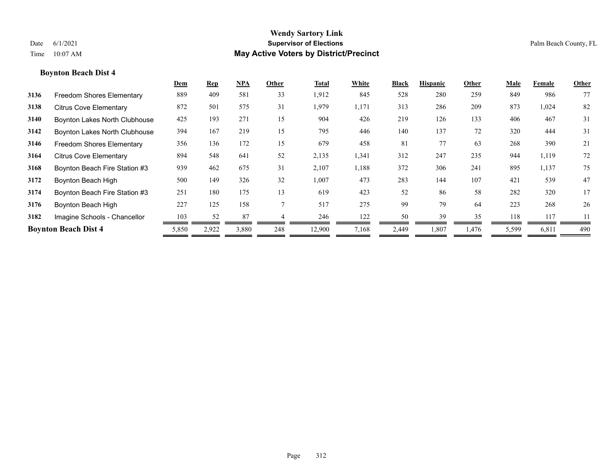|      |                               | Dem   | <b>Rep</b> | $NPA$ | Other | Total  | White | <b>Black</b> | <b>Hispanic</b> | Other | Male  | Female | Other |
|------|-------------------------------|-------|------------|-------|-------|--------|-------|--------------|-----------------|-------|-------|--------|-------|
| 3136 | Freedom Shores Elementary     | 889   | 409        | 581   | 33    | 1,912  | 845   | 528          | 280             | 259   | 849   | 986    | 77    |
| 3138 | <b>Citrus Cove Elementary</b> | 872   | 501        | 575   | 31    | 1,979  | 1,171 | 313          | 286             | 209   | 873   | 1,024  | 82    |
| 3140 | Boynton Lakes North Clubhouse | 425   | 193        | 271   | 15    | 904    | 426   | 219          | 126             | 133   | 406   | 467    | 31    |
| 3142 | Boynton Lakes North Clubhouse | 394   | 167        | 219   | 15    | 795    | 446   | 140          | 137             | 72    | 320   | 444    | 31    |
| 3146 | Freedom Shores Elementary     | 356   | 136        | 172   | 15    | 679    | 458   | 81           | 77              | 63    | 268   | 390    | 21    |
| 3164 | <b>Citrus Cove Elementary</b> | 894   | 548        | 641   | 52    | 2,135  | 1,341 | 312          | 247             | 235   | 944   | 1,119  | 72    |
| 3168 | Boynton Beach Fire Station #3 | 939   | 462        | 675   | 31    | 2,107  | 1,188 | 372          | 306             | 241   | 895   | 1,137  | 75    |
| 3172 | Boynton Beach High            | 500   | 149        | 326   | 32    | 1,007  | 473   | 283          | 144             | 107   | 421   | 539    | 47    |
| 3174 | Boynton Beach Fire Station #3 | 251   | 180        | 175   | 13    | 619    | 423   | 52           | 86              | 58    | 282   | 320    | 17    |
| 3176 | Boynton Beach High            | 227   | 125        | 158   |       | 517    | 275   | 99           | 79              | 64    | 223   | 268    | 26    |
| 3182 | Imagine Schools - Chancellor  | 103   | 52         | 87    |       | 246    | 122   | 50           | 39              | 35    | 118   | 117    | 11    |
|      | <b>Boynton Beach Dist 4</b>   | 5,850 | 2,922      | 3,880 | 248   | 12,900 | 7,168 | 2,449        | 1,807           | 1,476 | 5,599 | 6,811  | 490   |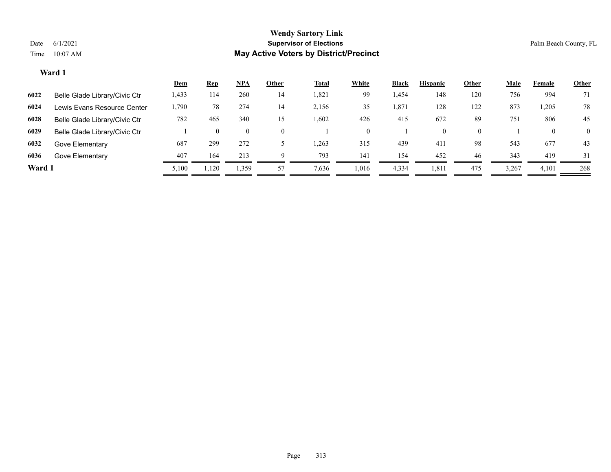|        |                               | <u>Dem</u> | <u>Rep</u>   | <b>NPA</b>     | Other    | <b>Total</b> | White    | <b>Black</b> | <b>Hispanic</b> | Other    | <u>Male</u> | Female   | <b>Other</b>   |
|--------|-------------------------------|------------|--------------|----------------|----------|--------------|----------|--------------|-----------------|----------|-------------|----------|----------------|
| 6022   | Belle Glade Library/Civic Ctr | 1,433      | 114          | 260            | 14       | 1,821        | 99       | .454         | 148             | 120      | 756         | 994      | 71             |
| 6024   | Lewis Evans Resource Center   | 1,790      | 78           | 274            | 14       | 2,156        | 35       | 1,871        | 128             | 122      | 873         | 1,205    | 78             |
| 6028   | Belle Glade Library/Civic Ctr | 782        | 465          | 340            | 15       | 1,602        | 426      | 415          | 672             | 89       | 751         | 806      | 45             |
| 6029   | Belle Glade Library/Civic Ctr |            | $\mathbf{0}$ | $\overline{0}$ | $\theta$ |              | $\Omega$ |              | 0               | $\theta$ |             | $\theta$ | $\overline{0}$ |
| 6032   | Gove Elementary               | 687        | 299          | 272            |          | 1,263        | 315      | 439          | 411             | 98       | 543         | 677      | 43             |
| 6036   | Gove Elementary               | 407        | 164          | 213            | $\Omega$ | 793          | 141      | 154          | 452             | 46       | 343         | 419      | 31             |
| Ward 1 |                               | 5,100      | 1,120        | 1,359          | 57       | 7,636        | 1,016    | 4,334        | 1,811           | 475      | 3,267       | 4,101    | 268            |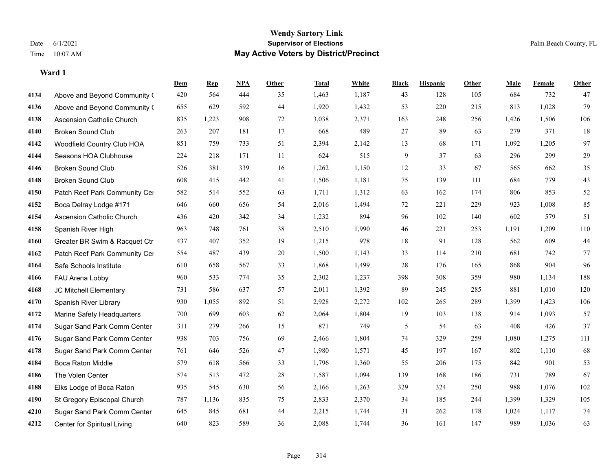|      |                                  | Dem | <b>Rep</b> | NPA | <b>Other</b> | <b>Total</b> | <b>White</b> | <b>Black</b> | <b>Hispanic</b> | Other | <b>Male</b> | <b>Female</b> | <b>Other</b> |
|------|----------------------------------|-----|------------|-----|--------------|--------------|--------------|--------------|-----------------|-------|-------------|---------------|--------------|
| 4134 | Above and Beyond Community (     | 420 | 564        | 444 | 35           | 1,463        | 1,187        | 43           | 128             | 105   | 684         | 732           | 47           |
| 4136 | Above and Beyond Community (     | 655 | 629        | 592 | 44           | 1,920        | 1,432        | 53           | 220             | 215   | 813         | 1,028         | 79           |
| 4138 | <b>Ascension Catholic Church</b> | 835 | 1,223      | 908 | 72           | 3,038        | 2,371        | 163          | 248             | 256   | 1,426       | 1,506         | 106          |
| 4140 | <b>Broken Sound Club</b>         | 263 | 207        | 181 | 17           | 668          | 489          | 27           | 89              | 63    | 279         | 371           | 18           |
| 4142 | Woodfield Country Club HOA       | 851 | 759        | 733 | 51           | 2,394        | 2,142        | 13           | 68              | 171   | 1,092       | 1,205         | 97           |
| 4144 | Seasons HOA Clubhouse            | 224 | 218        | 171 | $11\,$       | 624          | 515          | 9            | 37              | 63    | 296         | 299           | 29           |
| 4146 | <b>Broken Sound Club</b>         | 526 | 381        | 339 | 16           | 1,262        | 1,150        | 12           | 33              | 67    | 565         | 662           | 35           |
| 4148 | <b>Broken Sound Club</b>         | 608 | 415        | 442 | 41           | 1,506        | 1,181        | 75           | 139             | 111   | 684         | 779           | 43           |
| 4150 | Patch Reef Park Community Cer    | 582 | 514        | 552 | 63           | 1,711        | 1,312        | 63           | 162             | 174   | 806         | 853           | 52           |
| 4152 | Boca Delray Lodge #171           | 646 | 660        | 656 | 54           | 2,016        | 1,494        | $72\,$       | 221             | 229   | 923         | 1,008         | 85           |
| 4154 | Ascension Catholic Church        | 436 | 420        | 342 | 34           | 1,232        | 894          | 96           | 102             | 140   | 602         | 579           | 51           |
| 4158 | Spanish River High               | 963 | 748        | 761 | 38           | 2,510        | 1,990        | 46           | 221             | 253   | 1,191       | 1,209         | 110          |
| 4160 | Greater BR Swim & Racquet Ctr    | 437 | 407        | 352 | 19           | 1,215        | 978          | 18           | 91              | 128   | 562         | 609           | $44\,$       |
| 4162 | Patch Reef Park Community Cer    | 554 | 487        | 439 | 20           | 1,500        | 1,143        | 33           | 114             | 210   | 681         | 742           | 77           |
| 4164 | Safe Schools Institute           | 610 | 658        | 567 | 33           | 1,868        | 1,499        | 28           | 176             | 165   | 868         | 904           | 96           |
| 4166 | FAU Arena Lobby                  | 960 | 533        | 774 | 35           | 2,302        | 1,237        | 398          | 308             | 359   | 980         | 1,134         | 188          |
| 4168 | JC Mitchell Elementary           | 731 | 586        | 637 | 57           | 2,011        | 1,392        | 89           | 245             | 285   | 881         | 1,010         | 120          |
| 4170 | Spanish River Library            | 930 | 1,055      | 892 | 51           | 2,928        | 2,272        | 102          | 265             | 289   | 1,399       | 1,423         | 106          |
| 4172 | Marine Safety Headquarters       | 700 | 699        | 603 | 62           | 2,064        | 1,804        | 19           | 103             | 138   | 914         | 1,093         | 57           |
| 4174 | Sugar Sand Park Comm Center      | 311 | 279        | 266 | 15           | 871          | 749          | 5            | 54              | 63    | 408         | 426           | 37           |
| 4176 | Sugar Sand Park Comm Center      | 938 | 703        | 756 | 69           | 2,466        | 1,804        | 74           | 329             | 259   | 1,080       | 1,275         | 111          |
| 4178 | Sugar Sand Park Comm Center      | 761 | 646        | 526 | $47\,$       | 1,980        | 1,571        | 45           | 197             | 167   | 802         | 1,110         | 68           |
| 4184 | Boca Raton Middle                | 579 | 618        | 566 | 33           | 1,796        | 1,360        | 55           | 206             | 175   | 842         | 901           | 53           |
| 4186 | The Volen Center                 | 574 | 513        | 472 | 28           | 1,587        | 1,094        | 139          | 168             | 186   | 731         | 789           | 67           |
| 4188 | Elks Lodge of Boca Raton         | 935 | 545        | 630 | 56           | 2,166        | 1,263        | 329          | 324             | 250   | 988         | 1,076         | 102          |
| 4190 | St Gregory Episcopal Church      | 787 | 1,136      | 835 | 75           | 2,833        | 2,370        | 34           | 185             | 244   | 1,399       | 1,329         | 105          |
| 4210 | Sugar Sand Park Comm Center      | 645 | 845        | 681 | 44           | 2,215        | 1,744        | 31           | 262             | 178   | 1,024       | 1,117         | 74           |
| 4212 | Center for Spiritual Living      | 640 | 823        | 589 | 36           | 2,088        | 1,744        | 36           | 161             | 147   | 989         | 1,036         | 63           |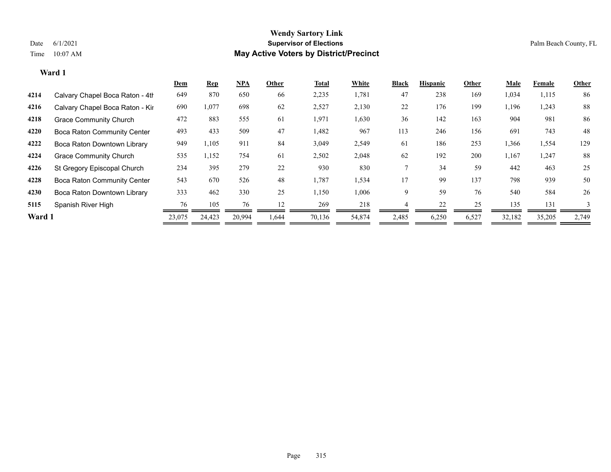|        |                                    | <b>Dem</b> | <b>Rep</b> | $NPA$  | Other | Total  | White  | <b>Black</b> | <b>Hispanic</b> | Other | <b>Male</b> | Female | Other        |
|--------|------------------------------------|------------|------------|--------|-------|--------|--------|--------------|-----------------|-------|-------------|--------|--------------|
| 4214   | Calvary Chapel Boca Raton - 4th    | 649        | 870        | 650    | 66    | 2,235  | 1,781  | 47           | 238             | 169   | 1,034       | 1,115  | 86           |
| 4216   | Calvary Chapel Boca Raton - Kir    | 690        | 1,077      | 698    | 62    | 2,527  | 2,130  | 22           | 176             | 199   | 1,196       | 1,243  | 88           |
| 4218   | <b>Grace Community Church</b>      | 472        | 883        | 555    | 61    | 1,971  | 1,630  | 36           | 142             | 163   | 904         | 981    | 86           |
| 4220   | Boca Raton Community Center        | 493        | 433        | 509    | 47    | 1,482  | 967    | 113          | 246             | 156   | 691         | 743    | 48           |
| 4222   | Boca Raton Downtown Library        | 949        | 1,105      | 911    | 84    | 3,049  | 2,549  | 61           | 186             | 253   | 1,366       | 1,554  | 129          |
| 4224   | <b>Grace Community Church</b>      | 535        | 1,152      | 754    | 61    | 2,502  | 2,048  | 62           | 192             | 200   | 1,167       | 1,247  | 88           |
| 4226   | St Gregory Episcopal Church        | 234        | 395        | 279    | 22    | 930    | 830    |              | 34              | 59    | 442         | 463    | 25           |
| 4228   | <b>Boca Raton Community Center</b> | 543        | 670        | 526    | 48    | 1,787  | 1,534  | 17           | 99              | 137   | 798         | 939    | 50           |
| 4230   | Boca Raton Downtown Library        | 333        | 462        | 330    | 25    | 1,150  | 1,006  | 9            | 59              | 76    | 540         | 584    | 26           |
| 5115   | Spanish River High                 | 76         | 105        | 76     | 12    | 269    | 218    |              | 22              | 25    | 135         | 131    | $\mathbf{3}$ |
| Ward 1 |                                    | 23,075     | 24,423     | 20,994 | .644  | 70,136 | 54,874 | 2,485        | 6,250           | 6,527 | 32,182      | 35,205 | 2,749        |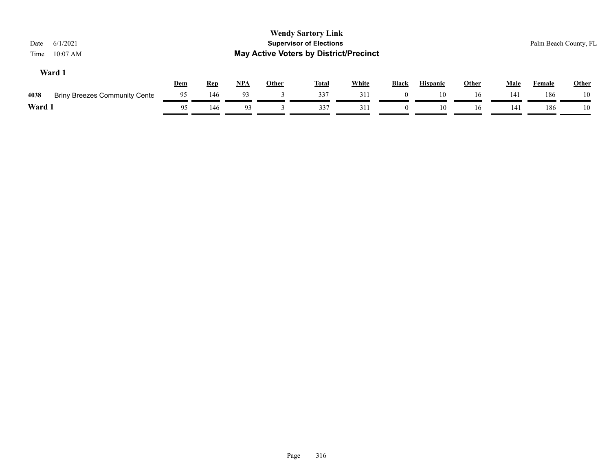| 6/1/2021<br>Date<br>$10:07$ AM<br>Time       |     |            |       | <b>Wendy Sartory Link</b><br><b>Supervisor of Elections</b><br><b>May Active Voters by District/Precinct</b> |              |              |              |                 |              |             |               | Palm Beach County, FL |
|----------------------------------------------|-----|------------|-------|--------------------------------------------------------------------------------------------------------------|--------------|--------------|--------------|-----------------|--------------|-------------|---------------|-----------------------|
| Ward 1                                       | Dem | <b>Rep</b> | $NPA$ | <b>Other</b>                                                                                                 | <b>Total</b> | <b>White</b> | <b>Black</b> | <b>Hispanic</b> | <b>Other</b> | <b>Male</b> | <b>Female</b> | Other                 |
| <b>Briny Breezes Community Cente</b><br>4038 | 95  | 146        | 93    |                                                                                                              | 337          | 311          |              | 10              | 16           | 141         | 186           | 10                    |
| Ward 1                                       | 95  | 146        | 93    |                                                                                                              | 337          | 311          |              | 10              | 16           | 141         | 186           | 10                    |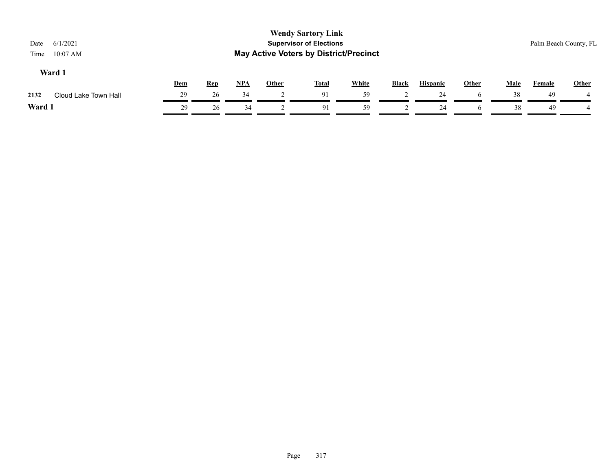| <b>Wendy Sartory Link</b><br><b>Supervisor of Elections</b><br>6/1/2021<br>Palm Beach County, FL<br>Date<br><b>May Active Voters by District/Precinct</b><br>$10:07$ AM<br>Time |            |            |       |       |              |              |       |                 |              |             |        |       |
|---------------------------------------------------------------------------------------------------------------------------------------------------------------------------------|------------|------------|-------|-------|--------------|--------------|-------|-----------------|--------------|-------------|--------|-------|
| Ward 1                                                                                                                                                                          | <b>Dem</b> | <b>Rep</b> | $NPA$ | Other | <b>Total</b> | <b>White</b> | Black | <b>Hispanic</b> | <b>Other</b> | <b>Male</b> | Female | Other |
| 2132<br>Cloud Lake Town Hall                                                                                                                                                    | 29         | 26         | 34    |       | 91           | 59           |       | 24              | h            | 38          | 49     |       |
| Ward 1                                                                                                                                                                          | 29         | 26         | 34    |       | 91           | 59           |       | 24              | h            | 38          | 49     |       |
|                                                                                                                                                                                 |            |            |       |       |              |              |       |                 |              |             |        |       |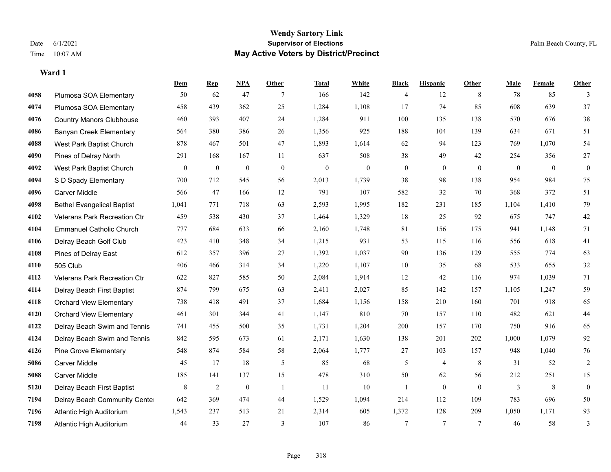**Ward 1**

#### **Wendy Sartory Link** Date 6/1/2021 **Supervisor of Elections** Palm Beach County, FL Time 10:07 AM **May Active Voters by District/Precinct**

# **Dem Rep NPA Other Total White Black Hispanic Other Male Female Other** Plumosa SOA Elementary 50 62 47 7 166 142 4 12 8 78 85 3 Plumosa SOA Elementary 458 439 362 25 1,284 1,108 17 74 85 608 639 37 Country Manors Clubhouse 460 393 407 24 1,284 911 100 135 138 570 676 38 Banyan Creek Elementary 564 380 386 26 1,356 925 188 104 139 634 671 51 West Park Baptist Church 878 467 501 47 1,893 1,614 62 94 123 769 1,070 54 Pines of Delray North 291 168 167 11 637 508 38 49 42 254 356 27 West Park Baptist Church 0 0 0 0 0 0 0 0 0 0 0 0 S D Spady Elementary 700 712 545 56 2,013 1,739 38 98 138 954 984 75 Carver Middle 566 47 166 12 791 107 582 32 70 368 372 51 Bethel Evangelical Baptist 1,041 771 718 63 2,593 1,995 182 231 185 1,104 1,410 79 Veterans Park Recreation Ctr 459 538 430 37 1,464 1,329 18 25 92 675 747 42 Emmanuel Catholic Church 777 684 633 66 2,160 1,748 81 156 175 941 1,148 71 Delray Beach Golf Club 423 410 348 34 1,215 931 53 115 116 556 618 41 Pines of Delray East 612 357 396 27 1,392 1,037 90 136 129 555 774 63 505 Club 406 466 314 34 1,220 1,107 10 35 68 533 655 32 Veterans Park Recreation Ctr 622 827 585 50 2,084 1,914 12 42 116 974 1,039 71 Delray Beach First Baptist 874 799 675 63 2,411 2,027 85 142 157 1,105 1,247 59 Orchard View Elementary 738 418 491 37 1,684 1,156 158 210 160 701 918 65 Orchard View Elementary 461 301 344 41 1,147 810 70 157 110 482 621 44 Delray Beach Swim and Tennis 741 455 500 35 1,731 1,204 200 157 170 750 916 65 Delray Beach Swim and Tennis 842 595 673 61 2,171 1,630 138 201 202 1,000 1,079 92 Pine Grove Elementary 548 874 584 58 2,064 1,777 27 103 157 948 1,040 76 Carver Middle 45 17 18 5 85 68 5 4 8 31 52 2 Carver Middle 185 141 137 15 478 310 50 62 56 212 251 15 Delray Beach First Baptist 8 8 2 0 1 11 10 1 0 0 0 3 8 0 Delray Beach Community Center 642 369 474 44 1,529 1,094 214 112 109 783 696 50 Atlantic High Auditorium 1,543 237 513 21 2,314 605 1,372 128 209 1,050 1,171 93 Atlantic High Auditorium 44 33 27 3 107 86 7 7 7 46 58 3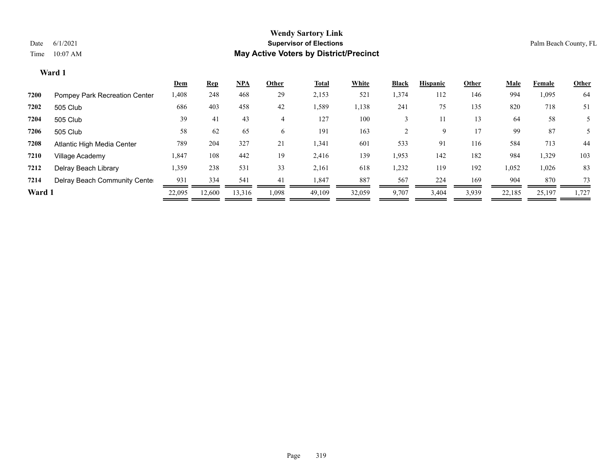|        |                               | <u>Dem</u> | <b>Rep</b> | <u>NPA</u> | Other | <b>Total</b> | White  | <b>Black</b> | <b>Hispanic</b> | Other | <u>Male</u> | Female | <b>Other</b> |
|--------|-------------------------------|------------|------------|------------|-------|--------------|--------|--------------|-----------------|-------|-------------|--------|--------------|
| 7200   | Pompey Park Recreation Center | 1,408      | 248        | 468        | 29    | 2,153        | 521    | 1,374        | 112             | 146   | 994         | 1,095  | 64           |
| 7202   | 505 Club                      | 686        | 403        | 458        | 42    | 1,589        | 1,138  | 241          | 75              | 135   | 820         | 718    | 51           |
| 7204   | 505 Club                      | 39         | 41         | 43         | 4     | 127          | 100    |              |                 | 13    | 64          | 58     |              |
| 7206   | 505 Club                      | 58         | 62         | 65         | 6     | 191          | 163    |              | 9               | 17    | 99          | 87     |              |
| 7208   | Atlantic High Media Center    | 789        | 204        | 327        | 21    | 1,341        | 601    | 533          | 91              | 116   | 584         | 713    | 44           |
| 7210   | Village Academy               | 1,847      | 108        | 442        | 19    | 2,416        | 139    | 1,953        | 142             | 182   | 984         | 1,329  | 103          |
| 7212   | Delray Beach Library          | 1,359      | 238        | 531        | 33    | 2,161        | 618    | 1,232        | 119             | 192   | 1,052       | 1,026  | 83           |
| 7214   | Delray Beach Community Cente  | 931        | 334        | 541        | 41    | 1,847        | 887    | 567          | 224             | 169   | 904         | 870    | 73           |
| Ward 1 |                               | 22,095     | 12,600     | 13,316     | 1,098 | 49,109       | 32,059 | 9,707        | 3,404           | 3,939 | 22,185      | 25,197 | 1,727        |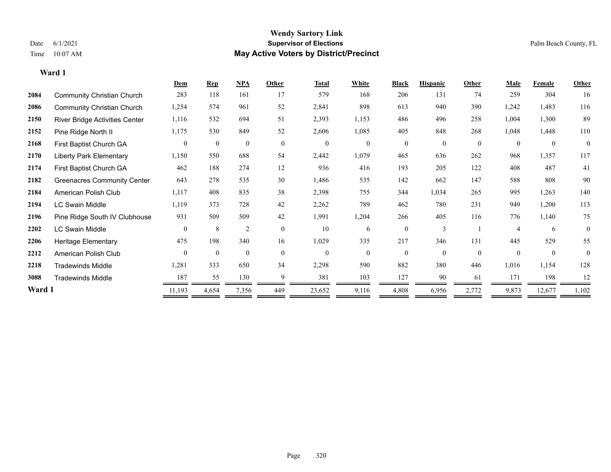**Ward 1**

#### **Wendy Sartory Link** Date 6/1/2021 **Supervisor of Elections** Palm Beach County, FL Time 10:07 AM **May Active Voters by District/Precinct**

|        |                                    | Dem          | <b>Rep</b>   | <b>NPA</b>     | Other          | <b>Total</b> | White    | <b>Black</b> | <b>Hispanic</b> | Other            | Male           | Female         | <b>Other</b> |
|--------|------------------------------------|--------------|--------------|----------------|----------------|--------------|----------|--------------|-----------------|------------------|----------------|----------------|--------------|
| 2084   | <b>Community Christian Church</b>  | 283          | 118          | 161            | 17             | 579          | 168      | 206          | 131             | 74               | 259            | 304            | 16           |
| 2086   | <b>Community Christian Church</b>  | 1,254        | 574          | 961            | 52             | 2,841        | 898      | 613          | 940             | 390              | 1,242          | 1,483          | 116          |
| 2150   | River Bridge Activities Center     | 1,116        | 532          | 694            | 51             | 2,393        | 1,153    | 486          | 496             | 258              | 1,004          | 1,300          | 89           |
| 2152   | Pine Ridge North II                | 1,175        | 530          | 849            | 52             | 2,606        | 1,085    | 405          | 848             | 268              | 1,048          | 1,448          | 110          |
| 2168   | First Baptist Church GA            | $\mathbf{0}$ | $\mathbf{0}$ | $\overline{0}$ | $\mathbf{0}$   | $\mathbf{0}$ | $\theta$ | $\theta$     | $\theta$        | $\boldsymbol{0}$ | $\theta$       | $\overline{0}$ | $\theta$     |
| 2170   | <b>Liberty Park Elementary</b>     | 1,150        | 550          | 688            | 54             | 2,442        | 1,079    | 465          | 636             | 262              | 968            | 1,357          | 117          |
| 2174   | First Baptist Church GA            | 462          | 188          | 274            | 12             | 936          | 416      | 193          | 205             | 122              | 408            | 487            | 41           |
| 2182   | <b>Greenacres Community Center</b> | 643          | 278          | 535            | 30             | 1,486        | 535      | 142          | 662             | 147              | 588            | 808            | 90           |
| 2184   | American Polish Club               | 1,117        | 408          | 835            | 38             | 2,398        | 755      | 344          | 1,034           | 265              | 995            | 1,263          | 140          |
| 2194   | LC Swain Middle                    | 1,119        | 373          | 728            | 42             | 2,262        | 789      | 462          | 780             | 231              | 949            | 1,200          | 113          |
| 2196   | Pine Ridge South IV Clubhouse      | 931          | 509          | 509            | 42             | 1,991        | 1,204    | 266          | 405             | 116              | 776            | 1,140          | 75           |
| 2202   | LC Swain Middle                    | $\mathbf{0}$ | 8            | $\overline{2}$ | $\overline{0}$ | 10           | 6        | $\theta$     | 3               |                  | $\overline{4}$ | 6              | $\theta$     |
| 2206   | Heritage Elementary                | 475          | 198          | 340            | 16             | 1,029        | 335      | 217          | 346             | 131              | 445            | 529            | 55           |
| 2212   | American Polish Club               | $\theta$     | $\theta$     | $\theta$       | $\theta$       | $\theta$     | $\theta$ | $\Omega$     | $\Omega$        | $\theta$         | $\theta$       | $\theta$       | $\theta$     |
| 2218   | <b>Tradewinds Middle</b>           | 1,281        | 333          | 650            | 34             | 2,298        | 590      | 882          | 380             | 446              | 1,016          | 1,154          | 128          |
| 3088   | <b>Tradewinds Middle</b>           | 187          | 55           | 130            | 9              | 381          | 103      | 127          | 90              | 61               | 171            | 198            | 12           |
| Ward 1 |                                    | 11,193       | 4,654        | 7,356          | 449            | 23,652       | 9,116    | 4,808        | 6,956           | 2,772            | 9,873          | 12,677         | 1,102        |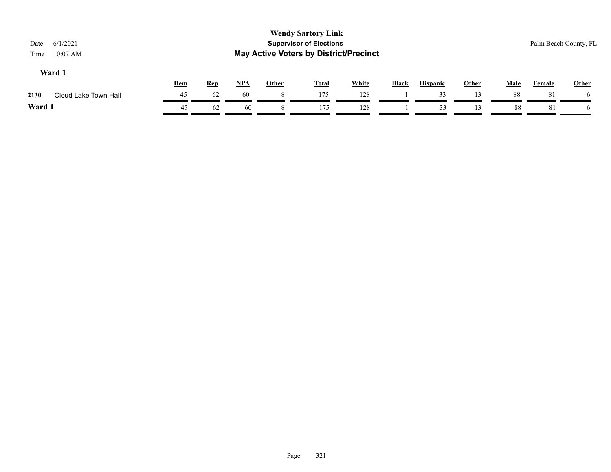| <b>Wendy Sartory Link</b><br><b>Supervisor of Elections</b><br>6/1/2021<br>Date<br><b>May Active Voters by District/Precinct</b><br>$10:07$ AM<br>Time |            |            |            |              |              |              |              |                 |       |      |               | Palm Beach County, FL |
|--------------------------------------------------------------------------------------------------------------------------------------------------------|------------|------------|------------|--------------|--------------|--------------|--------------|-----------------|-------|------|---------------|-----------------------|
| Ward 1                                                                                                                                                 | <b>Dem</b> | <u>Rep</u> | <u>NPA</u> | <b>Other</b> | <b>Total</b> | <b>White</b> | <b>Black</b> | <b>Hispanic</b> | Other | Male | <b>Female</b> | <b>Other</b>          |
| 2130<br>Cloud Lake Town Hall                                                                                                                           | 45         | 62         | 60         | 8.           | 175          | 128          |              | 33              |       | 88   | 81            |                       |
| Ward 1                                                                                                                                                 | 45         | 62         | 60         |              | 175          | 128          |              | 33              |       | 88   | 81            |                       |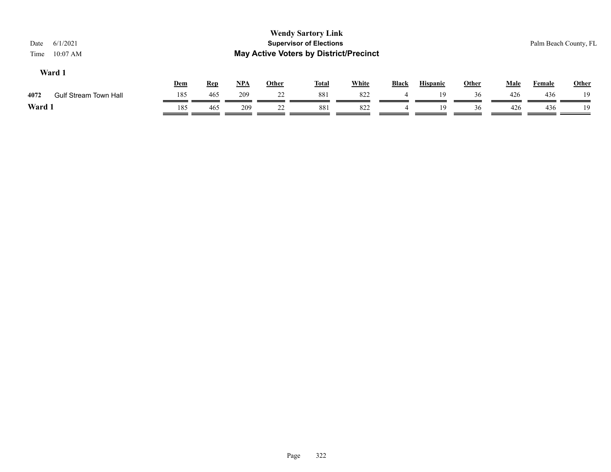| <b>Wendy Sartory Link</b><br><b>Supervisor of Elections</b><br>6/1/2021<br>Date<br><b>May Active Voters by District/Precinct</b><br>$10:07$ AM<br>Time |            |            |            |              |              |              |              |                 |              |             |               | Palm Beach County, FL |
|--------------------------------------------------------------------------------------------------------------------------------------------------------|------------|------------|------------|--------------|--------------|--------------|--------------|-----------------|--------------|-------------|---------------|-----------------------|
| Ward 1                                                                                                                                                 | <u>Dem</u> | <u>Rep</u> | <u>NPA</u> | <u>Other</u> | <u>Total</u> | <b>White</b> | <b>Black</b> | <b>Hispanic</b> | <u>Other</u> | <b>Male</b> | <b>Female</b> | Other                 |
| 4072<br><b>Gulf Stream Town Hall</b>                                                                                                                   | 185        | 465        | 209        | 22           | 881          | 822          |              | 19              | 36           | 426         | 436           | 19                    |
| Ward 1                                                                                                                                                 | 185        | 465        | 209        | 22           | 881          | 822          | 4            | 19              | 36           | 426         | 436           | 19                    |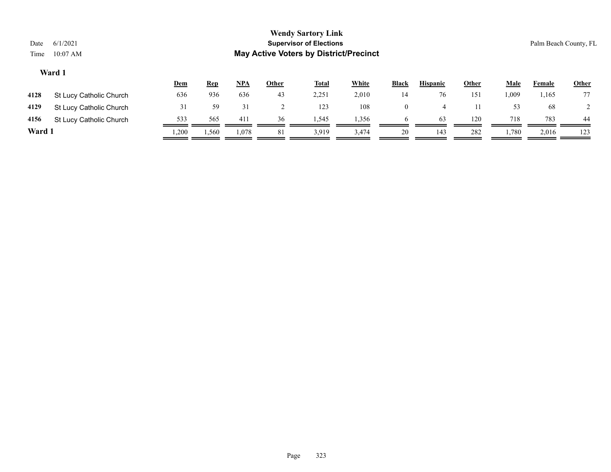| Date<br>Time                                                                                                                                        | 6/1/2021<br>$10:07$ AM  |     |     |     |    | <b>Wendy Sartory Link</b><br><b>Supervisor of Elections</b><br><b>May Active Voters by District/Precinct</b> |       |                |    |     |       |               | Palm Beach County, FL |
|-----------------------------------------------------------------------------------------------------------------------------------------------------|-------------------------|-----|-----|-----|----|--------------------------------------------------------------------------------------------------------------|-------|----------------|----|-----|-------|---------------|-----------------------|
| Ward 1<br><b>White</b><br><u>NPA</u><br><b>Other</b><br><b>Other</b><br><b>Total</b><br><b>Black</b><br><b>Hispanic</b><br><u>Dem</u><br><u>Rep</u> |                         |     |     |     |    |                                                                                                              |       |                |    |     |       | <b>Female</b> | <b>Other</b>          |
| 4128                                                                                                                                                | St Lucy Catholic Church | 636 | 936 | 636 | 43 | 2,251                                                                                                        | 2,010 | 14             | 76 | 151 | 1,009 | 1,165         | 77                    |
| 4129                                                                                                                                                | St Lucy Catholic Church | 31  | 59  | 31  |    | 123                                                                                                          | 108   | $\overline{0}$ | 4  |     | 53    | 68            |                       |
| 4156                                                                                                                                                | St Lucy Catholic Church | 533 | 565 | 411 | 36 | 1,545                                                                                                        | 1,356 | <sub>0</sub>   | 63 | 120 | 718   | 783           | 44                    |

**Ward 1** 1,200 1,560 1,078 81 3,919 3,474 20 143 282 1,780 2,016 123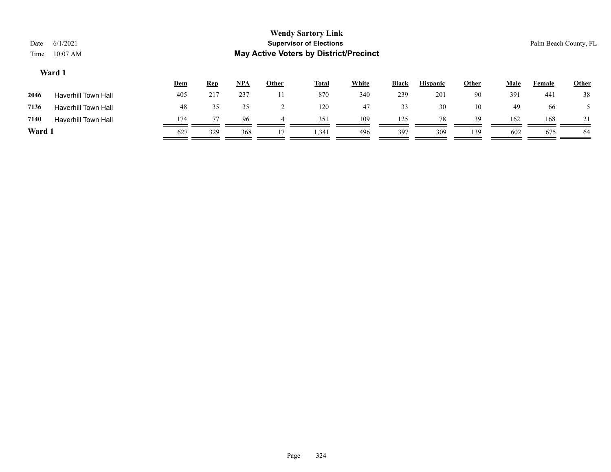| 6/1/2021<br>Date<br>Time<br>$10:07$ AM |            |            |            |       | <b>Wendy Sartory Link</b><br><b>Supervisor of Elections</b><br><b>May Active Voters by District/Precinct</b> |       |       |                 |              |             |        | Palm Beach County, FL |
|----------------------------------------|------------|------------|------------|-------|--------------------------------------------------------------------------------------------------------------|-------|-------|-----------------|--------------|-------------|--------|-----------------------|
| Ward 1                                 |            |            |            |       |                                                                                                              |       |       |                 |              |             |        |                       |
|                                        | <b>Dem</b> | <b>Rep</b> | <u>NPA</u> | Other | <b>Total</b>                                                                                                 | White | Black | <b>Hispanic</b> | <b>Other</b> | <b>Male</b> | Female | <b>Other</b>          |
| 2046<br>Haverhill Town Hall            | 405        | 217        | 237        | 11    | 870                                                                                                          | 340   | 239   | 201             | 90           | 391         | 441    | 38                    |

| Ward 1 |                            | 627 | 329            | 368  | $\mathbf{r}$ | 1,341 | 496   | 397      | 309   | 139 | 602   | 675 | 64  |
|--------|----------------------------|-----|----------------|------|--------------|-------|-------|----------|-------|-----|-------|-----|-----|
| 7140   | <b>Haverhill Town Hall</b> | 174 | $\overline{ }$ | 96   |              | 351   | 109   | 125<br>. | 78    | 39  | 162   | 168 | 21  |
| 7136   | <b>Haverhill Town Hall</b> | 48  |                |      |              | 120   |       |          | 30    | 10  | 49    | 66  |     |
| $-0.5$ |                            | .   | ---            | -- - | $ -$         | .     | - - - | ---      | $  -$ | .   | - - - | .   | - - |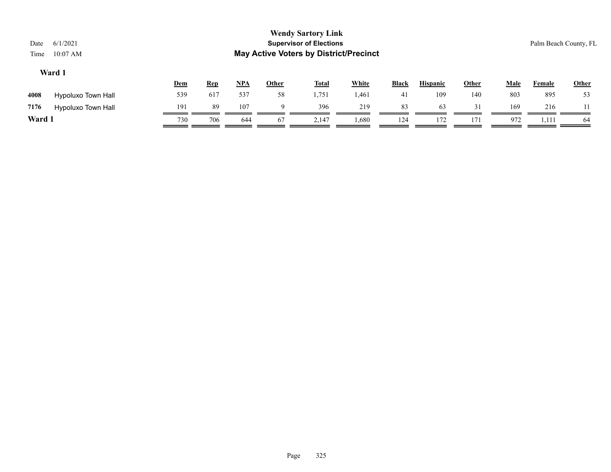|        |                    | <u>Dem</u> | <u>Rep</u> | <u>NPA</u> | Other | <b>Total</b> | White | <b>Black</b>   | <b>Hispanic</b> | Other | Male | Female | <b>Other</b> |
|--------|--------------------|------------|------------|------------|-------|--------------|-------|----------------|-----------------|-------|------|--------|--------------|
| 4008   | Hypoluxo Town Hall | 539        | 617        | 537        | 58    | 1,751        | 1,461 | 4 <sub>1</sub> | 109             | 140   | 803  | 895    | 53           |
| 7176   | Hypoluxo Town Hall | 191        | 89         | 107        |       | 396          | 219   | 83             | 63              |       | 169  | 216    |              |
| Ward 1 |                    | 730        | 706        | 644        | 67    | 2,147        | 1,680 | 124            | 172             | 171   | 972  | 1,111  | -64          |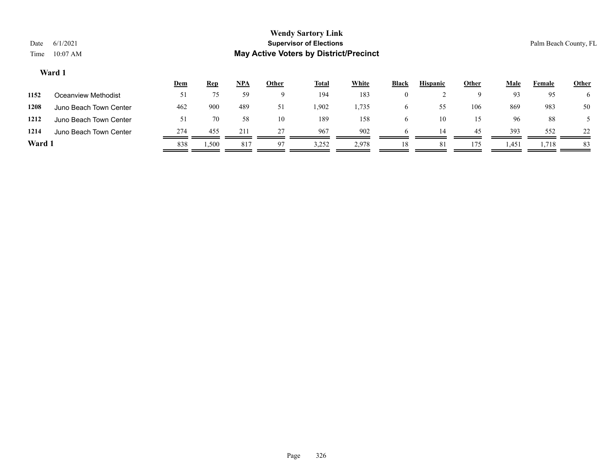|        |                        | <u>Dem</u>     | <u>Rep</u> | <u>NPA</u> | <u>Other</u> | <u>Total</u> | White | Black        | <b>Hispanic</b> | Other | Male  | Female | <b>Other</b> |
|--------|------------------------|----------------|------------|------------|--------------|--------------|-------|--------------|-----------------|-------|-------|--------|--------------|
| 1152   | Oceanview Methodist    | 51             |            | 59         | Q            | 194          | 183   | $\theta$     |                 |       | 93    | 95     |              |
| 1208   | Juno Beach Town Center | 462            | 900        | 489        | 51           | .902         | 1,735 | O            | 55              | 106   | 869   | 983    | 50           |
| 1212   | Juno Beach Town Center | $\mathfrak{z}$ | 70         | 58         | 10           | 189          | 158   | <sub>(</sub> | 10              | 15    | 96    | 88     |              |
| 1214   | Juno Beach Town Center | 274            | 455        | 211        | 27           | 967          | 902   |              | 14              | 45    | 393   | 552    | 22           |
| Ward 1 |                        | 838            | 1,500      | 817        | 97           | 3,252        | 2,978 | 18           | -81             | 175   | 1,451 | 1,718  | 83           |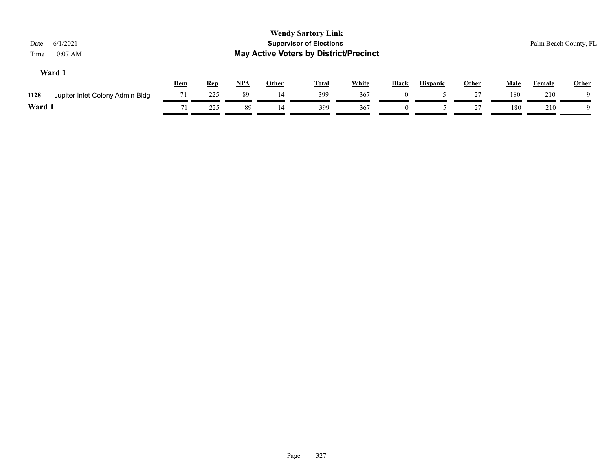| 6/1/2021<br>Date<br>$10:07$ AM<br>Time  |            |            |       |              | <b>Wendy Sartory Link</b><br><b>Supervisor of Elections</b><br><b>May Active Voters by District/Precinct</b> |              |          |                 |              |      |        | Palm Beach County, FL |
|-----------------------------------------|------------|------------|-------|--------------|--------------------------------------------------------------------------------------------------------------|--------------|----------|-----------------|--------------|------|--------|-----------------------|
| Ward 1                                  | <b>Dem</b> | <b>Rep</b> | $NPA$ | <b>Other</b> | <b>Total</b>                                                                                                 | <b>White</b> | Black    | <b>Hispanic</b> | <b>Other</b> | Male | Female | <b>Other</b>          |
| 1128<br>Jupiter Inlet Colony Admin Bldg | 71         | 225        | 89    | 14           | 399                                                                                                          | 367          | $\Omega$ |                 | 27           | 180  | 210    | Q                     |
| Ward 1                                  | 71         | 225        | 89    | 14           | 399                                                                                                          | 367          |          |                 | 27           | 180  | 210    | Q                     |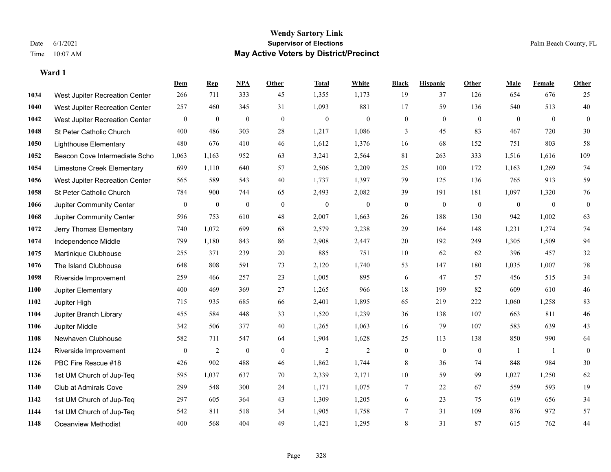#### **Wendy Sartory Link** Date 6/1/2021 **Supervisor of Elections** Palm Beach County, FL Time 10:07 AM **May Active Voters by District/Precinct**

|      |                                | Dem          | <b>Rep</b>       | NPA      | Other            | <b>Total</b>     | White          | <b>Black</b>     | <b>Hispanic</b> | Other        | Male           | Female       | <b>Other</b>     |
|------|--------------------------------|--------------|------------------|----------|------------------|------------------|----------------|------------------|-----------------|--------------|----------------|--------------|------------------|
| 1034 | West Jupiter Recreation Center | 266          | 711              | 333      | 45               | 1,355            | 1,173          | 19               | 37              | 126          | 654            | 676          | 25               |
| 1040 | West Jupiter Recreation Center | 257          | 460              | 345      | 31               | 1,093            | 881            | 17               | 59              | 136          | 540            | 513          | 40               |
| 1042 | West Jupiter Recreation Center | $\mathbf{0}$ | $\boldsymbol{0}$ | $\bf{0}$ | $\mathbf{0}$     | $\boldsymbol{0}$ | $\overline{0}$ | $\boldsymbol{0}$ | $\mathbf{0}$    | $\theta$     | $\overline{0}$ | $\mathbf{0}$ | $\mathbf{0}$     |
| 1048 | St Peter Catholic Church       | 400          | 486              | 303      | 28               | 1,217            | 1,086          | 3                | 45              | 83           | 467            | 720          | $30\,$           |
| 1050 | <b>Lighthouse Elementary</b>   | 480          | 676              | 410      | 46               | 1,612            | 1,376          | 16               | 68              | 152          | 751            | 803          | 58               |
| 1052 | Beacon Cove Intermediate Scho  | 1,063        | 1,163            | 952      | 63               | 3,241            | 2,564          | 81               | 263             | 333          | 1,516          | 1,616        | 109              |
| 1054 | Limestone Creek Elementary     | 699          | 1,110            | 640      | 57               | 2,506            | 2,209          | 25               | 100             | 172          | 1,163          | 1,269        | 74               |
| 1056 | West Jupiter Recreation Center | 565          | 589              | 543      | 40               | 1,737            | 1,397          | 79               | 125             | 136          | 765            | 913          | 59               |
| 1058 | St Peter Catholic Church       | 784          | 900              | 744      | 65               | 2,493            | 2,082          | 39               | 191             | 181          | 1,097          | 1,320        | 76               |
| 1066 | Jupiter Community Center       | $\bf{0}$     | $\mathbf{0}$     | $\bf{0}$ | $\boldsymbol{0}$ | $\boldsymbol{0}$ | $\mathbf{0}$   | $\boldsymbol{0}$ | $\mathbf{0}$    | $\mathbf{0}$ | $\overline{0}$ | $\theta$     | $\boldsymbol{0}$ |
| 1068 | Jupiter Community Center       | 596          | 753              | 610      | 48               | 2,007            | 1,663          | 26               | 188             | 130          | 942            | 1,002        | 63               |
| 1072 | Jerry Thomas Elementary        | 740          | 1,072            | 699      | 68               | 2,579            | 2,238          | 29               | 164             | 148          | 1,231          | 1,274        | $74\,$           |
| 1074 | Independence Middle            | 799          | 1,180            | 843      | 86               | 2,908            | 2,447          | $20\,$           | 192             | 249          | 1,305          | 1,509        | 94               |
| 1075 | Martinique Clubhouse           | 255          | 371              | 239      | 20               | 885              | 751            | 10               | 62              | 62           | 396            | 457          | $32\,$           |
| 1076 | The Island Clubhouse           | 648          | 808              | 591      | 73               | 2,120            | 1,740          | 53               | 147             | 180          | 1,035          | 1,007        | 78               |
| 1098 | Riverside Improvement          | 259          | 466              | 257      | 23               | 1,005            | 895            | $\sqrt{6}$       | 47              | 57           | 456            | 515          | 34               |
| 1100 | Jupiter Elementary             | 400          | 469              | 369      | 27               | 1,265            | 966            | 18               | 199             | 82           | 609            | 610          | 46               |
| 1102 | Jupiter High                   | 715          | 935              | 685      | 66               | 2,401            | 1,895          | 65               | 219             | 222          | 1,060          | 1,258        | 83               |
| 1104 | Jupiter Branch Library         | 455          | 584              | 448      | 33               | 1,520            | 1,239          | 36               | 138             | 107          | 663            | 811          | 46               |
| 1106 | Jupiter Middle                 | 342          | 506              | 377      | 40               | 1,265            | 1,063          | 16               | 79              | 107          | 583            | 639          | $43$             |
| 1108 | Newhaven Clubhouse             | 582          | 711              | 547      | 64               | 1,904            | 1,628          | 25               | 113             | 138          | 850            | 990          | 64               |
| 1124 | Riverside Improvement          | $\mathbf{0}$ | $\sqrt{2}$       | $\bf{0}$ | $\mathbf{0}$     | $\sqrt{2}$       | $\overline{2}$ | $\boldsymbol{0}$ | $\bf{0}$        | $\mathbf{0}$ | -1             | -1           | $\boldsymbol{0}$ |
| 1126 | PBC Fire Rescue #18            | 426          | 902              | 488      | 46               | 1,862            | 1,744          | 8                | 36              | 74           | 848            | 984          | $30\,$           |
| 1136 | 1st UM Church of Jup-Teq       | 595          | 1,037            | 637      | 70               | 2,339            | 2,171          | 10               | 59              | 99           | 1,027          | 1,250        | 62               |
| 1140 | Club at Admirals Cove          | 299          | 548              | 300      | 24               | 1,171            | 1,075          | 7                | 22              | 67           | 559            | 593          | 19               |
| 1142 | 1st UM Church of Jup-Teq       | 297          | 605              | 364      | 43               | 1,309            | 1,205          | 6                | 23              | 75           | 619            | 656          | 34               |
| 1144 | 1st UM Church of Jup-Teq       | 542          | 811              | 518      | 34               | 1,905            | 1,758          | 7                | 31              | 109          | 876            | 972          | 57               |
| 1148 | <b>Oceanview Methodist</b>     | 400          | 568              | 404      | 49               | 1.421            | 1,295          | 8                | 31              | 87           | 615            | 762          | 44               |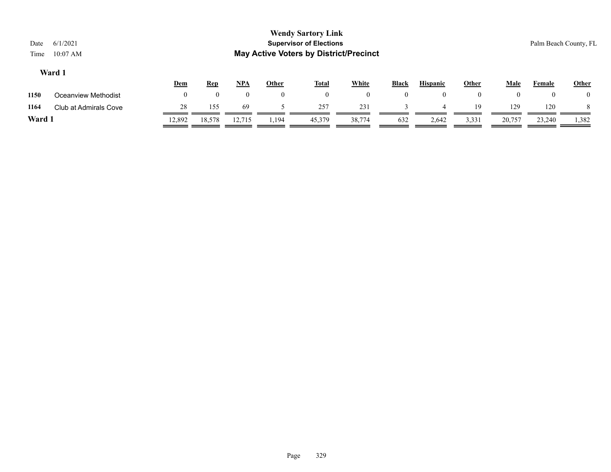|        |                       | <u>Dem</u> | <u>Rep</u> | NPA    | Other | Total  | <b>White</b> | <b>Black</b> | <b>Hispanic</b> | Other | Male   | Female | Other |
|--------|-----------------------|------------|------------|--------|-------|--------|--------------|--------------|-----------------|-------|--------|--------|-------|
| 1150   | Oceanview Methodist   |            |            |        |       |        | $\mathbf{U}$ |              |                 |       |        | 0      |       |
| 1164   | Club at Admirals Cove |            | 155        | 69     |       | 257    | 231          |              |                 | 19    | 129    | 120    |       |
| Ward 1 |                       | 12,892     | 18,578     | 12,715 | 1,194 | 45,379 | 38,774       | 632          | 2,642           | 3,331 | 20,757 | 23,240 | 1,382 |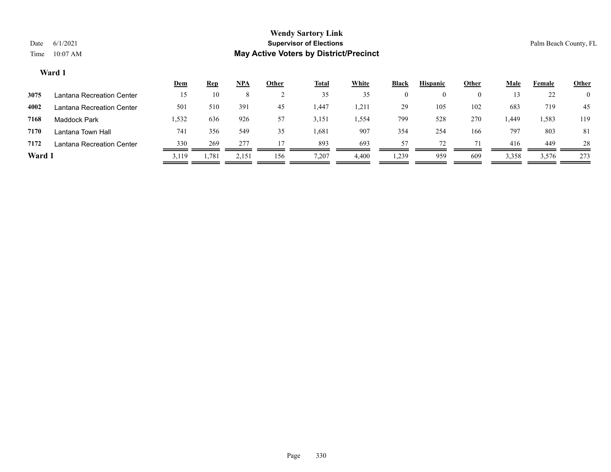|        |                           | <u>Dem</u> | <b>Rep</b> | $NPA$ | <u>Other</u> | <b>Total</b> | <b>White</b> | Black | <b>Hispanic</b> | Other | Male  | Female | <b>Other</b> |
|--------|---------------------------|------------|------------|-------|--------------|--------------|--------------|-------|-----------------|-------|-------|--------|--------------|
| 3075   | Lantana Recreation Center | 15         | 10         |       |              | 35           | 35           | 0     | $\left($        |       |       | 22     |              |
| 4002   | Lantana Recreation Center | 501        | 510        | 391   | 45           | 1,447        | 1,211        | 29    | 105             | 102   | 683   | 719    | 45           |
| 7168   | Maddock Park              | 1,532      | 636        | 926   | 57           | 3,151        | 1,554        | 799   | 528             | 270   | .449  | 1,583  | 119          |
| 7170   | Lantana Town Hall         | 741        | 356        | 549   | 35           | 1,681        | 907          | 354   | 254             | 166   | 797   | 803    | 81           |
| 7172   | Lantana Recreation Center | 330        | 269        | 277   |              | 893          | 693          |       | 72              |       | 416   | 449    | 28           |
| Ward 1 |                           | 3,119      | 1,781      | 2,151 | 156          | 7,207        | 4,400        | 1,239 | 959             | 609   | 3,358 | 3,576  | 273          |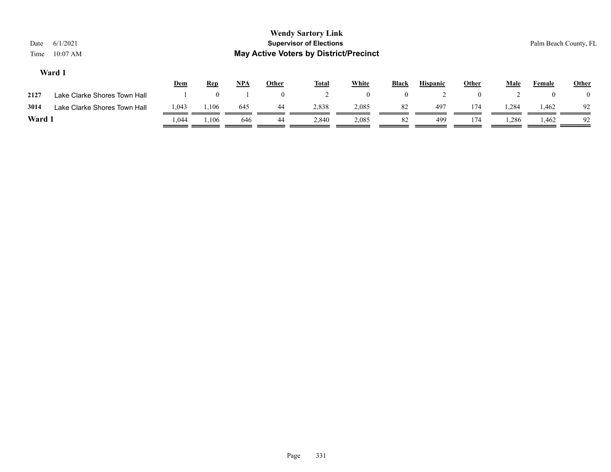| Date<br>Time | 6/1/2021<br>$10:07$ AM       |       |            |     |              | <b>Wendy Sartory Link</b><br><b>Supervisor of Elections</b><br><b>May Active Voters by District/Precinct</b> |              |                |                 |              |       |        | Palm Beach County, FL |
|--------------|------------------------------|-------|------------|-----|--------------|--------------------------------------------------------------------------------------------------------------|--------------|----------------|-----------------|--------------|-------|--------|-----------------------|
|              | Ward 1                       | Dem   | <u>Rep</u> | NPA | <b>Other</b> | <b>Total</b>                                                                                                 | <b>White</b> | Black          | <b>Hispanic</b> | <b>Other</b> | Male  | Female | <b>Other</b>          |
| 2127         | Lake Clarke Shores Town Hall |       |            |     | 0            |                                                                                                              | $\mathbf{0}$ | $\overline{0}$ |                 |              |       |        | $\theta$              |
| 3014         | Lake Clarke Shores Town Hall | 1,043 | 1,106      | 645 | -44          | 2,838                                                                                                        | 2,085        | 82             | 497             | 174          | 1,284 | 1,462  | 92                    |

**Ward 1** 1,044 1,106 646 44 2,840 2,085 82 499 174 1,286 1,462 92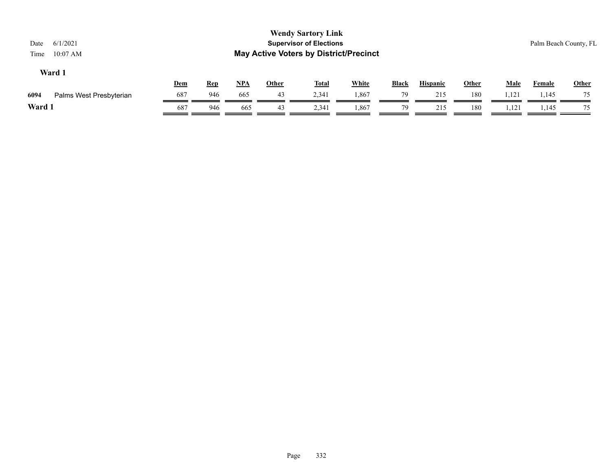| Date<br>Time | 6/1/2021<br>$10:07$ AM  |     |            |            |              | <b>Wendy Sartory Link</b><br><b>Supervisor of Elections</b><br><b>May Active Voters by District/Precinct</b> |              |              |                 |       |             |               | Palm Beach County, FL |
|--------------|-------------------------|-----|------------|------------|--------------|--------------------------------------------------------------------------------------------------------------|--------------|--------------|-----------------|-------|-------------|---------------|-----------------------|
|              | Ward 1                  | Dem | <u>Rep</u> | <u>NPA</u> | <b>Other</b> | <u>Total</u>                                                                                                 | <b>White</b> | <b>Black</b> | <b>Hispanic</b> | Other | <b>Male</b> | <b>Female</b> | Other                 |
| 6094         | Palms West Presbyterian | 687 | 946        | 665        | 43           | 2,341                                                                                                        | 1,867        | 79           | 215             | 180   | 1,121       | 1,145         | 75                    |
| Ward 1       |                         | 687 | 946        | 665        | 43           | 2,341                                                                                                        | 1,867        | 79           | 215             | 180   | 1,121       | 1,145         | 75                    |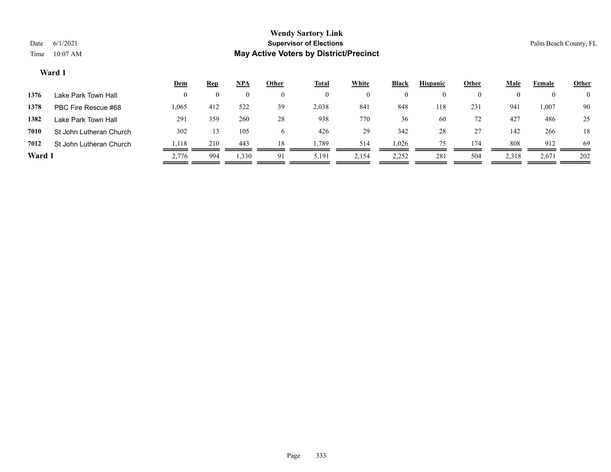|        |                         | <u>Dem</u> | <b>Rep</b> | <u>NPA</u> | <b>Other</b> | <b>Total</b> | <b>White</b> | Black    | <b>Hispanic</b> | <u>Other</u> | <u>Male</u> | Female   | <b>Other</b>   |
|--------|-------------------------|------------|------------|------------|--------------|--------------|--------------|----------|-----------------|--------------|-------------|----------|----------------|
| 1376   | Lake Park Town Hall     |            |            | $\left($   | $\theta$     | $\theta$     | $_{0}$       | $\bf{0}$ |                 | $\bf{0}$     | 0           | $\theta$ | $\overline{0}$ |
| 1378   | PBC Fire Rescue #68     | 1,065      | 412        | 522        | 39           | 2,038        | 841          | 848      | 118             | 231          | 941         | 1,007    | 90             |
| 1382   | Lake Park Town Hall     | 291        | 359        | 260        | 28           | 938          | 770          | 36       | 60              | 72           | 427         | 486      | 25             |
| 7010   | St John Lutheran Church | 302        | 13         | 105        |              | 426          | 29           | 342      | 28              | 27           | 142         | 266      | 18             |
| 7012   | St John Lutheran Church | 1,118      | 210        | 443        | 18           | 1,789        | 514          | 1,026    | 75              | 174          | 808         | 912      | 69             |
| Ward 1 |                         | 2,776      | 994        | 1,330      | 91           | 5,191        | 2,154        | 2,252    | 281             | 504          | 2,318       | 2,671    | 202            |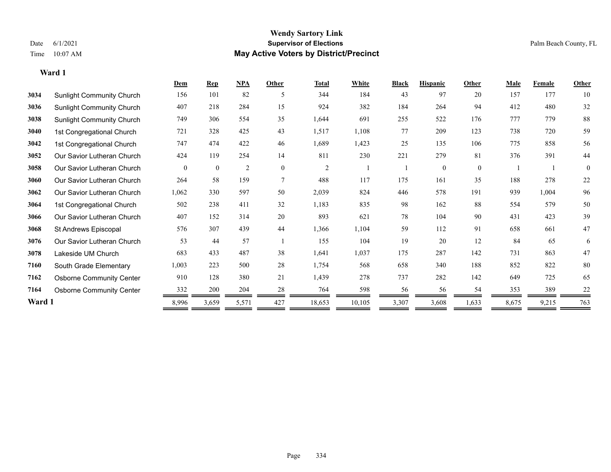|        |                                  | Dem      | <b>Rep</b>   | NPA            | Other          | <b>Total</b>   | White  | <b>Black</b> | <b>Hispanic</b> | Other    | <b>Male</b> | <b>Female</b> | <b>Other</b> |
|--------|----------------------------------|----------|--------------|----------------|----------------|----------------|--------|--------------|-----------------|----------|-------------|---------------|--------------|
| 3034   | <b>Sunlight Community Church</b> | 156      | 101          | 82             | 5              | 344            | 184    | 43           | 97              | 20       | 157         | 177           | 10           |
| 3036   | <b>Sunlight Community Church</b> | 407      | 218          | 284            | 15             | 924            | 382    | 184          | 264             | 94       | 412         | 480           | 32           |
| 3038   | <b>Sunlight Community Church</b> | 749      | 306          | 554            | 35             | 1,644          | 691    | 255          | 522             | 176      | 777         | 779           | 88           |
| 3040   | 1st Congregational Church        | 721      | 328          | 425            | 43             | 1,517          | 1,108  | 77           | 209             | 123      | 738         | 720           | 59           |
| 3042   | 1st Congregational Church        | 747      | 474          | 422            | 46             | 1,689          | 1,423  | 25           | 135             | 106      | 775         | 858           | 56           |
| 3052   | Our Savior Lutheran Church       | 424      | 119          | 254            | 14             | 811            | 230    | 221          | 279             | 81       | 376         | 391           | 44           |
| 3058   | Our Savior Lutheran Church       | $\theta$ | $\mathbf{0}$ | $\overline{2}$ | $\theta$       | $\overline{2}$ |        |              | $\Omega$        | $\theta$ |             |               | $\theta$     |
| 3060   | Our Savior Lutheran Church       | 264      | 58           | 159            | $\overline{7}$ | 488            | 117    | 175          | 161             | 35       | 188         | 278           | 22           |
| 3062   | Our Savior Lutheran Church       | 1,062    | 330          | 597            | 50             | 2,039          | 824    | 446          | 578             | 191      | 939         | 1,004         | 96           |
| 3064   | 1st Congregational Church        | 502      | 238          | 411            | 32             | 1,183          | 835    | 98           | 162             | 88       | 554         | 579           | 50           |
| 3066   | Our Savior Lutheran Church       | 407      | 152          | 314            | 20             | 893            | 621    | 78           | 104             | 90       | 431         | 423           | 39           |
| 3068   | St Andrews Episcopal             | 576      | 307          | 439            | 44             | 1,366          | 1,104  | 59           | 112             | 91       | 658         | 661           | 47           |
| 3076   | Our Savior Lutheran Church       | 53       | 44           | 57             |                | 155            | 104    | 19           | 20              | 12       | 84          | 65            | 6            |
| 3078   | Lakeside UM Church               | 683      | 433          | 487            | 38             | 1,641          | 1,037  | 175          | 287             | 142      | 731         | 863           | 47           |
| 7160   | South Grade Elementary           | 1,003    | 223          | 500            | 28             | 1,754          | 568    | 658          | 340             | 188      | 852         | 822           | 80           |
| 7162   | <b>Osborne Community Center</b>  | 910      | 128          | 380            | 21             | 1,439          | 278    | 737          | 282             | 142      | 649         | 725           | 65           |
| 7164   | <b>Osborne Community Center</b>  | 332      | 200          | 204            | 28             | 764            | 598    | 56           | 56              | 54       | 353         | 389           | 22           |
| Ward 1 |                                  | 8,996    | 3,659        | 5,571          | 427            | 18,653         | 10,105 | 3,307        | 3,608           | 1,633    | 8,675       | 9,215         | 763          |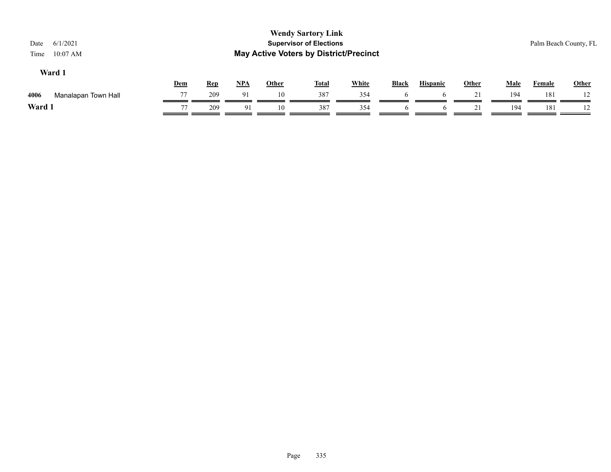| 6/1/2021<br>Date<br>$10:07$ AM<br>Time |     |            |            |              | <b>Wendy Sartory Link</b><br><b>Supervisor of Elections</b><br><b>May Active Voters by District/Precinct</b> |              |              |                 |              |             |               | Palm Beach County, FL |
|----------------------------------------|-----|------------|------------|--------------|--------------------------------------------------------------------------------------------------------------|--------------|--------------|-----------------|--------------|-------------|---------------|-----------------------|
| Ward 1                                 | Dem | <b>Rep</b> | <u>NPA</u> | <b>Other</b> | <u>Total</u>                                                                                                 | <b>White</b> | <b>Black</b> | <b>Hispanic</b> | <b>Other</b> | <b>Male</b> | <b>Female</b> | <b>Other</b>          |
| 4006<br>Manalapan Town Hall            | 77  | 209        | 91         | 10           | 387                                                                                                          | 354          | O            | <sub>0</sub>    |              | 194         | 181           |                       |
| Ward 1                                 | 77  | 209        | 91         | 10           | 387                                                                                                          | 354          |              |                 |              | 194         | 181           |                       |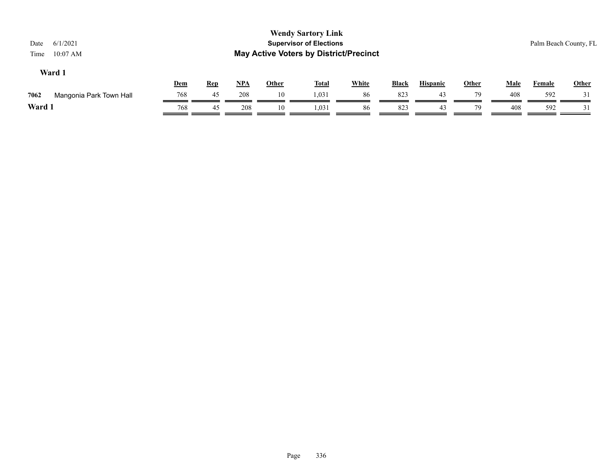| 6/1/2021<br>Date<br>$10:07$ AM<br>Time |            |            |            |              | <b>Wendy Sartory Link</b><br><b>Supervisor of Elections</b><br><b>May Active Voters by District/Precinct</b> |              |              |                 |       |      |               | Palm Beach County, FL |
|----------------------------------------|------------|------------|------------|--------------|--------------------------------------------------------------------------------------------------------------|--------------|--------------|-----------------|-------|------|---------------|-----------------------|
| Ward 1                                 | <b>Dem</b> | <u>Rep</u> | <u>NPA</u> | <u>Other</u> | <u>Total</u>                                                                                                 | <b>White</b> | <u>Black</u> | <b>Hispanic</b> | Other | Male | <b>Female</b> | <b>Other</b>          |
| 7062<br>Mangonia Park Town Hall        | 768        | 45         | 208        | 10           | 1,031                                                                                                        | 86           | 823          | 43              | 79    | 408  | 592           |                       |
| Ward 1                                 | 768        | 45         | 208        | 10           | 1,031                                                                                                        | 86           | 823          | 43              | 79    | 408  | 592           |                       |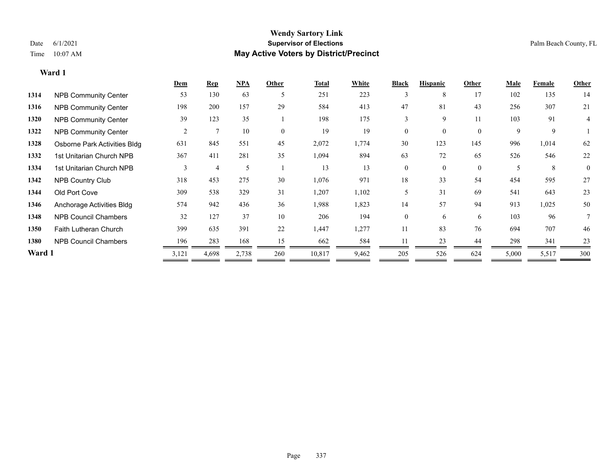|        |                              | Dem   | <b>Rep</b>    | NPA   | Other    | <b>Total</b> | White | <b>Black</b>   | <b>Hispanic</b> | Other        | Male  | Female | Other        |
|--------|------------------------------|-------|---------------|-------|----------|--------------|-------|----------------|-----------------|--------------|-------|--------|--------------|
| 1314   | <b>NPB Community Center</b>  | 53    | 130           | 63    | 5        | 251          | 223   | 3              | 8               | 17           | 102   | 135    | 14           |
| 1316   | <b>NPB Community Center</b>  | 198   | 200           | 157   | 29       | 584          | 413   | 47             | 81              | 43           | 256   | 307    | 21           |
| 1320   | <b>NPB Community Center</b>  | 39    | 123           | 35    |          | 198          | 175   | 3              | 9               | 11           | 103   | 91     | 4            |
| 1322   | <b>NPB Community Center</b>  | 2     | $\mathcal{I}$ | 10    | $\theta$ | 19           | 19    | $\theta$       | $\Omega$        | $\theta$     | 9     | 9      |              |
| 1328   | Osborne Park Activities Bldg | 631   | 845           | 551   | 45       | 2,072        | 1,774 | 30             | 123             | 145          | 996   | 1,014  | 62           |
| 1332   | 1st Unitarian Church NPB     | 367   | 411           | 281   | 35       | 1,094        | 894   | 63             | 72              | 65           | 526   | 546    | 22           |
| 1334   | 1st Unitarian Church NPB     | 3     | 4             | 5     |          | 13           | 13    | $\overline{0}$ | $\theta$        | $\mathbf{0}$ | 5     | 8      | $\mathbf{0}$ |
| 1342   | <b>NPB Country Club</b>      | 318   | 453           | 275   | 30       | 1,076        | 971   | 18             | 33              | 54           | 454   | 595    | 27           |
| 1344   | Old Port Cove                | 309   | 538           | 329   | 31       | 1,207        | 1,102 |                | 31              | 69           | 541   | 643    | 23           |
| 1346   | Anchorage Activities Bldg    | 574   | 942           | 436   | 36       | 1,988        | 1,823 | 14             | 57              | 94           | 913   | 1,025  | 50           |
| 1348   | <b>NPB Council Chambers</b>  | 32    | 127           | 37    | 10       | 206          | 194   | $\overline{0}$ | 6               | 6            | 103   | 96     |              |
| 1350   | <b>Faith Lutheran Church</b> | 399   | 635           | 391   | 22       | 1,447        | 1,277 | 11             | 83              | 76           | 694   | 707    | 46           |
| 1380   | <b>NPB Council Chambers</b>  | 196   | 283           | 168   | 15       | 662          | 584   |                | 23              | 44           | 298   | 341    | 23           |
| Ward 1 |                              | 3,121 | 4,698         | 2,738 | 260      | 10,817       | 9,462 | 205            | 526             | 624          | 5,000 | 5,517  | 300          |
|        |                              |       |               |       |          |              |       |                |                 |              |       |        |              |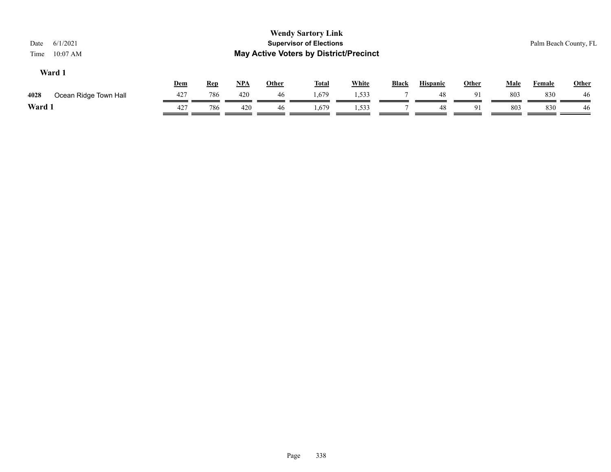| 6/1/2021<br>Date<br>$10:07$ AM<br>Time |                       |     |            |            |              | <b>Wendy Sartory Link</b><br><b>Supervisor of Elections</b><br><b>May Active Voters by District/Precinct</b> |              |              |                 |              |      |        | Palm Beach County, FL |
|----------------------------------------|-----------------------|-----|------------|------------|--------------|--------------------------------------------------------------------------------------------------------------|--------------|--------------|-----------------|--------------|------|--------|-----------------------|
| Ward 1                                 |                       |     |            |            |              |                                                                                                              |              |              |                 |              |      |        |                       |
|                                        |                       | Dem | <u>Rep</u> | <u>NPA</u> | <u>Other</u> | <b>Total</b>                                                                                                 | <b>White</b> | <b>Black</b> | <b>Hispanic</b> | <b>Other</b> | Male | Female | <b>Other</b>          |
| 4028                                   | Ocean Ridge Town Hall | 427 | 786        | 420        | 46           | 1,679                                                                                                        | 1,533        |              | 48              | 91           | 803  | 830    | 46                    |
| Ward 1                                 |                       | 427 | 786        | 420        | 46           | 1,679                                                                                                        | 1,533        |              | 48              | 91           | 803  | 830    | 46                    |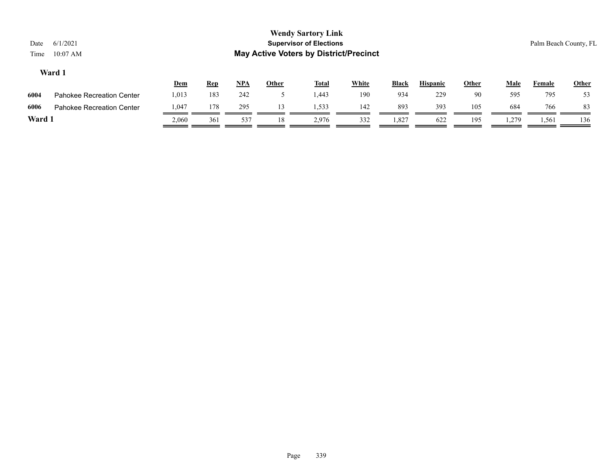|      |                                  | <u>Dem</u> | <u>Rep</u> | NPA | Other | <b>Total</b> | White | <b>Black</b> | <b>Hispanic</b> | Other | Male  | Female | <b>Other</b> |
|------|----------------------------------|------------|------------|-----|-------|--------------|-------|--------------|-----------------|-------|-------|--------|--------------|
| 6004 | <b>Pahokee Recreation Center</b> | 1,013      | 183        | 242 |       | 1.443        | 190   | 934          | 229             | 90    | 595   | 795    | 53           |
| 6006 | Pahokee Recreation Center        | 1,047      | 178        | 295 |       | 1,533        | 142   | 893          | 393             | 105   | 684   | 766    | 83           |
| Ward |                                  | 2.060      | 361        | 537 | 18    | 2,976        | 332   | .327         | 622             | 195   | . 279 | 1,561  | 136          |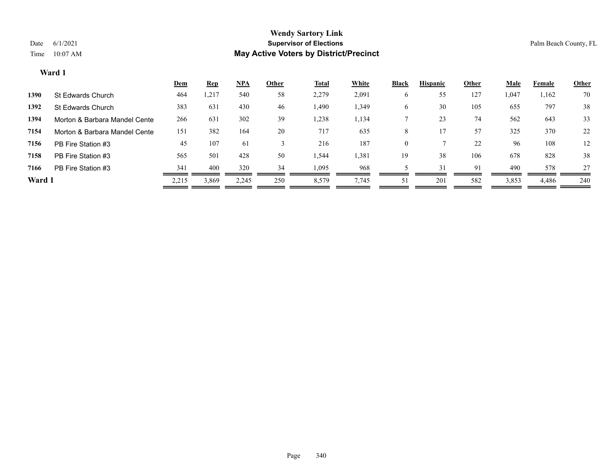| 70<br>1,162  | 1,047 |     |     |              |       | <b>Total</b> | Other | NPA   | <b>Rep</b> | <b>Dem</b> |                                       |
|--------------|-------|-----|-----|--------------|-------|--------------|-------|-------|------------|------------|---------------------------------------|
|              |       | 127 | 55  | O            | 2,091 | 2,279        | 58    | 540   | 1,217      | 464        | St Edwards Church<br>1390             |
| 38<br>797    | 655   | 105 | 30  | <sub>0</sub> | 1,349 | 1,490        | 46    | 430   | 631        | 383        | 1392<br>St Edwards Church             |
| 33<br>643    | 562   | 74  | 23  |              | 1,134 | 1,238        | 39    | 302   | 631        | 266        | 1394<br>Morton & Barbara Mandel Cente |
| 22<br>370    | 325   | 57  |     | 8            | 635   | 717          | 20    | 164   | 382        | 151        | 7154<br>Morton & Barbara Mandel Cente |
| 12<br>108    | 96    | 22  |     | $\mathbf{0}$ | 187   | 216          |       | 61    | 107        | 45         | 7156<br>PB Fire Station #3            |
| 38<br>828    | 678   | 106 | 38  | 19           | 1,381 | 1,544        | 50    | 428   | 501        | 565        | 7158<br>PB Fire Station #3            |
| 578<br>27    | 490   | 91  | 31  |              | 968   | 1,095        | 34    | 320   | 400        | 341        | PB Fire Station #3<br>7166            |
| 240<br>4,486 | 3,853 | 582 | 201 | 51           | 7,745 | 8,579        | 250   | 2,245 | 3,869      | 2,215      | Ward 1                                |
|              |       |     |     |              |       |              |       |       |            |            |                                       |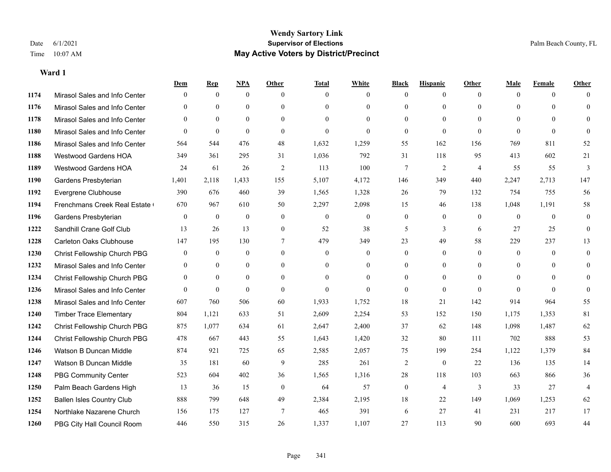|      |                                  | Dem          | <b>Rep</b>       | NPA              | <b>Other</b>     | <b>Total</b> | <b>White</b>     | <b>Black</b>     | <b>Hispanic</b> | Other          | <b>Male</b>  | <b>Female</b> | <b>Other</b>   |
|------|----------------------------------|--------------|------------------|------------------|------------------|--------------|------------------|------------------|-----------------|----------------|--------------|---------------|----------------|
| 1174 | Mirasol Sales and Info Center    | $\theta$     | $\mathbf{0}$     | $\mathbf{0}$     | $\theta$         | $\theta$     | $\overline{0}$   | $\Omega$         | $\overline{0}$  | $\theta$       | $\Omega$     | $\theta$      | $\Omega$       |
| 1176 | Mirasol Sales and Info Center    | $\theta$     | $\theta$         | $\theta$         | $\Omega$         | $\Omega$     | $\Omega$         | $\theta$         | $\theta$        | $\Omega$       | $\Omega$     | $\Omega$      | $\theta$       |
| 1178 | Mirasol Sales and Info Center    | $\theta$     | $\mathbf{0}$     | $\theta$         | $\theta$         | $\theta$     | $\theta$         | $\Omega$         | $\Omega$        | $\Omega$       | $\theta$     | $\theta$      | $\theta$       |
| 1180 | Mirasol Sales and Info Center    | $\theta$     | $\theta$         | $\theta$         | $\theta$         | $\mathbf{0}$ | $\Omega$         | $\overline{0}$   | $\theta$        | $\theta$       | $\Omega$     | $\theta$      | $\Omega$       |
| 1186 | Mirasol Sales and Info Center    | 564          | 544              | 476              | 48               | 1,632        | 1,259            | 55               | 162             | 156            | 769          | 811           | 52             |
| 1188 | <b>Westwood Gardens HOA</b>      | 349          | 361              | 295              | 31               | 1,036        | 792              | 31               | 118             | 95             | 413          | 602           | 21             |
| 1189 | <b>Westwood Gardens HOA</b>      | 24           | 61               | 26               | 2                | 113          | 100              | $\overline{7}$   | $\overline{2}$  | $\overline{4}$ | 55           | 55            | 3              |
| 1190 | Gardens Presbyterian             | 1,401        | 2,118            | 1,433            | 155              | 5,107        | 4,172            | 146              | 349             | 440            | 2,247        | 2,713         | 147            |
| 1192 | Evergrene Clubhouse              | 390          | 676              | 460              | 39               | 1,565        | 1,328            | $26\,$           | 79              | 132            | 754          | 755           | 56             |
| 1194 | Frenchmans Creek Real Estate     | 670          | 967              | 610              | 50               | 2,297        | 2,098            | 15               | 46              | 138            | 1,048        | 1,191         | 58             |
| 1196 | Gardens Presbyterian             | $\theta$     | $\mathbf{0}$     | $\theta$         | $\theta$         | $\mathbf{0}$ | $\overline{0}$   | $\overline{0}$   | $\mathbf{0}$    | $\theta$       | $\theta$     | $\theta$      | $\theta$       |
| 1222 | Sandhill Crane Golf Club         | 13           | 26               | 13               | $\mathbf{0}$     | 52           | 38               | 5                | 3               | 6              | 27           | 25            | $\theta$       |
| 1228 | Carleton Oaks Clubhouse          | 147          | 195              | 130              | $\tau$           | 479          | 349              | 23               | 49              | 58             | 229          | 237           | 13             |
| 1230 | Christ Fellowship Church PBG     | $\mathbf{0}$ | $\boldsymbol{0}$ | $\boldsymbol{0}$ | $\boldsymbol{0}$ | $\mathbf{0}$ | $\boldsymbol{0}$ | $\boldsymbol{0}$ | $\mathbf{0}$    | $\mathbf{0}$   | $\mathbf{0}$ | $\mathbf{0}$  | $\overline{0}$ |
| 1232 | Mirasol Sales and Info Center    | $\theta$     | $\mathbf{0}$     | $\mathbf{0}$     | $\theta$         | $\theta$     | $\overline{0}$   | $\overline{0}$   | $\overline{0}$  | $\Omega$       | $\theta$     | $\Omega$      | $\mathbf{0}$   |
| 1234 | Christ Fellowship Church PBG     | $\mathbf{0}$ | $\mathbf{0}$     | $\theta$         | $\theta$         | $\theta$     | $\theta$         | $\Omega$         | $\overline{0}$  | $\Omega$       | $\theta$     | $\Omega$      | $\Omega$       |
| 1236 | Mirasol Sales and Info Center    | $\theta$     | $\mathbf{0}$     | $\mathbf{0}$     | $\theta$         | $\mathbf{0}$ | $\theta$         | $\overline{0}$   | $\overline{0}$  | $\theta$       | $\theta$     | $\theta$      | $\theta$       |
| 1238 | Mirasol Sales and Info Center    | 607          | 760              | 506              | 60               | 1,933        | 1,752            | 18               | 21              | 142            | 914          | 964           | 55             |
| 1240 | <b>Timber Trace Elementary</b>   | 804          | 1,121            | 633              | 51               | 2,609        | 2,254            | 53               | 152             | 150            | 1,175        | 1,353         | 81             |
| 1242 | Christ Fellowship Church PBG     | 875          | 1,077            | 634              | 61               | 2,647        | 2,400            | 37               | 62              | 148            | 1,098        | 1,487         | 62             |
| 1244 | Christ Fellowship Church PBG     | 478          | 667              | 443              | 55               | 1,643        | 1,420            | 32               | 80              | 111            | 702          | 888           | 53             |
| 1246 | Watson B Duncan Middle           | 874          | 921              | 725              | 65               | 2,585        | 2,057            | 75               | 199             | 254            | 1,122        | 1,379         | 84             |
| 1247 | Watson B Duncan Middle           | 35           | 181              | 60               | 9                | 285          | 261              | 2                | $\mathbf{0}$    | 22             | 136          | 135           | 14             |
| 1248 | <b>PBG Community Center</b>      | 523          | 604              | 402              | 36               | 1,565        | 1,316            | 28               | 118             | 103            | 663          | 866           | 36             |
| 1250 | Palm Beach Gardens High          | 13           | 36               | 15               | $\theta$         | 64           | 57               | $\mathbf{0}$     | 4               | 3              | 33           | 27            | $\overline{4}$ |
| 1252 | <b>Ballen Isles Country Club</b> | 888          | 799              | 648              | 49               | 2,384        | 2,195            | 18               | 22              | 149            | 1,069        | 1,253         | 62             |
| 1254 | Northlake Nazarene Church        | 156          | 175              | 127              | $\overline{7}$   | 465          | 391              | 6                | 27              | 41             | 231          | 217           | 17             |
| 1260 | PBG City Hall Council Room       | 446          | 550              | 315              | 26               | 1,337        | 1,107            | 27               | 113             | 90             | 600          | 693           | 44             |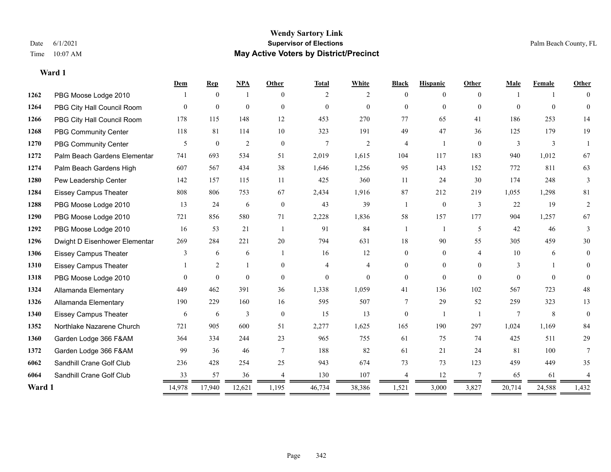#### **Wendy Sartory Link** Date 6/1/2021 **Supervisor of Elections** Palm Beach County, FL Time 10:07 AM **May Active Voters by District/Precinct**

**Dem Rep NPA Other Total White Black Hispanic Other Male Female Other**

# 1262 PBG Moose Lodge 2010 1 0 1 0 2 2 0 0 0 1 1 0 PBG City Hall Council Room 0 0 0 0 0 0 0 0 0 0 0 0 PBG City Hall Council Room 178 115 148 12 453 270 77 65 41 186 253 14 PBG Community Center 118 81 114 10 323 191 49 47 36 125 179 19

| 1270   | PBG Community Center          | 5             | $\mathbf{0}$   | $\overline{2}$ | $\boldsymbol{0}$ | $\overline{7}$ | 2        | $\overline{4}$ |          | $\overline{0}$ | $\overline{3}$ | 3        |                |
|--------|-------------------------------|---------------|----------------|----------------|------------------|----------------|----------|----------------|----------|----------------|----------------|----------|----------------|
| 1272   | Palm Beach Gardens Elementar  | 741           | 693            | 534            | 51               | 2,019          | 1,615    | 104            | 117      | 183            | 940            | 1,012    | 67             |
| 1274   | Palm Beach Gardens High       | 607           | 567            | 434            | 38               | 1,646          | 1,256    | 95             | 143      | 152            | 772            | 811      | 63             |
| 1280   | Pew Leadership Center         | 142           | 157            | 115            | 11               | 425            | 360      | 11             | 24       | 30             | 174            | 248      | 3              |
| 1284   | <b>Eissey Campus Theater</b>  | 808           | 806            | 753            | 67               | 2,434          | 1,916    | 87             | 212      | 219            | 1,055          | 1,298    | 81             |
| 1288   | PBG Moose Lodge 2010          | 13            | 24             | 6              | $\mathbf{0}$     | 43             | 39       |                | $\theta$ | 3              | 22             | 19       | 2              |
| 1290   | PBG Moose Lodge 2010          | 721           | 856            | 580            | 71               | 2,228          | 1,836    | 58             | 157      | 177            | 904            | 1,257    | 67             |
| 1292   | PBG Moose Lodge 2010          | 16            | 53             | 21             |                  | 91             | 84       |                |          | 5              | 42             | 46       | 3              |
| 1296   | Dwight D Eisenhower Elementar | 269           | 284            | 221            | 20               | 794            | 631      | 18             | 90       | 55             | 305            | 459      | 30             |
| 1306   | <b>Eissey Campus Theater</b>  | $\mathcal{F}$ | 6              | 6              |                  | 16             | 12       | $\Omega$       | $\theta$ | 4              | 10             | 6        | $\overline{0}$ |
| 1310   | <b>Eissey Campus Theater</b>  |               | 2              |                | $\overline{0}$   |                | 4        |                | $\theta$ | $\theta$       | 3              |          | $\overline{0}$ |
| 1318   | PBG Moose Lodge 2010          | $\mathbf{0}$  | $\overline{0}$ | $\mathbf{0}$   | $\mathbf{0}$     | $\mathbf{0}$   | $\theta$ | $\Omega$       | $\Omega$ | $\theta$       | $\theta$       | $\theta$ | $\theta$       |
| 1324   | Allamanda Elementary          | 449           | 462            | 391            | 36               | 1,338          | 1,059    | 41             | 136      | 102            | 567            | 723      | 48             |
| 1326   | Allamanda Elementary          | 190           | 229            | 160            | 16               | 595            | 507      |                | 29       | 52             | 259            | 323      | 13             |
| 1340   | <b>Eissey Campus Theater</b>  | 6             | 6              | 3              | $\mathbf{0}$     | 15             | 13       | $\Omega$       |          |                |                | 8        | $\theta$       |
| 1352   | Northlake Nazarene Church     | 721           | 905            | 600            | 51               | 2,277          | 1,625    | 165            | 190      | 297            | 1,024          | 1,169    | 84             |
| 1360   | Garden Lodge 366 F&AM         | 364           | 334            | 244            | 23               | 965            | 755      | 61             | 75       | 74             | 425            | 511      | 29             |
| 1372   | Garden Lodge 366 F&AM         | 99            | 36             | 46             | $\tau$           | 188            | 82       | 61             | 21       | 24             | 81             | 100      |                |
| 6062   | Sandhill Crane Golf Club      | 236           | 428            | 254            | 25               | 943            | 674      | 73             | 73       | 123            | 459            | 449      | 35             |
| 6064   | Sandhill Crane Golf Club      | 33            | 57             | 36             |                  | 130            | 107      |                | 12       |                | 65             | 61       |                |
| Ward 1 |                               | 14,978        | 17,940         | 12,621         | 1,195            | 46,734         | 38,386   | 1,521          | 3,000    | 3,827          | 20,714         | 24,588   | 1,432          |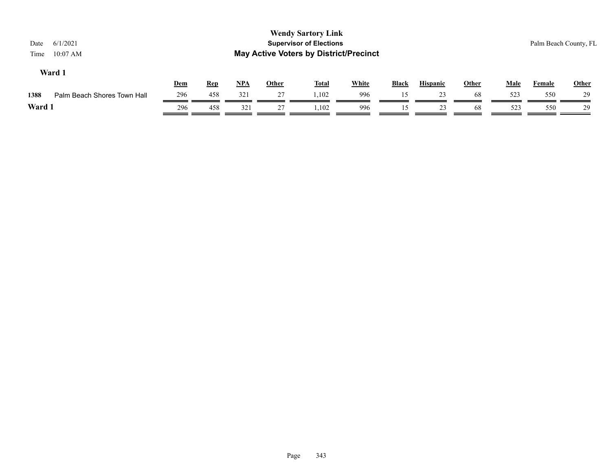| 6/1/2021<br>Date<br>$10:07$ AM<br>Time |     |            |            |              | <b>Wendy Sartory Link</b><br><b>Supervisor of Elections</b><br><b>May Active Voters by District/Precinct</b> |              |              |                 |              |             | Palm Beach County, FL |              |
|----------------------------------------|-----|------------|------------|--------------|--------------------------------------------------------------------------------------------------------------|--------------|--------------|-----------------|--------------|-------------|-----------------------|--------------|
| Ward 1                                 | Dem | <b>Rep</b> | <u>NPA</u> | <b>Other</b> | <b>Total</b>                                                                                                 | <b>White</b> | <b>Black</b> | <b>Hispanic</b> | <b>Other</b> | <b>Male</b> | Female                | <b>Other</b> |
| 1388<br>Palm Beach Shores Town Hall    | 296 | 458        | 321        | 27           | 1.102                                                                                                        | 996          | 15           | 23              | 68           | 523         | 550                   | 29           |
| Ward 1                                 | 296 | 458        | 321        | 27           | 1,102                                                                                                        | 996          | 15           | 23              | 68           | 523         | 550                   | 29           |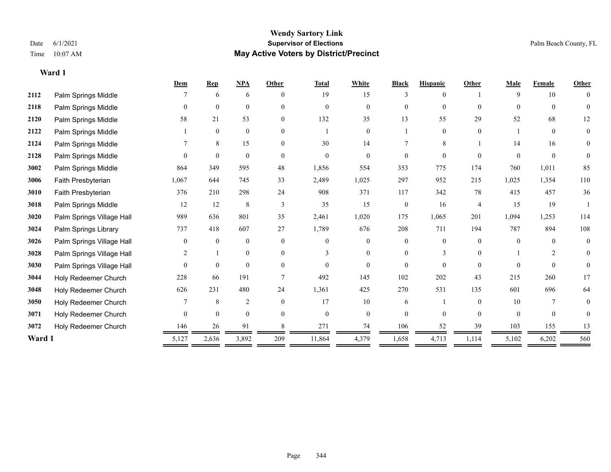|        |                           | Dem      | <b>Rep</b>   | <b>NPA</b>     | Other    | <b>Total</b> | White          | <b>Black</b>     | <b>Hispanic</b> | Other          | Male     | Female   | <b>Other</b>   |
|--------|---------------------------|----------|--------------|----------------|----------|--------------|----------------|------------------|-----------------|----------------|----------|----------|----------------|
| 2112   | Palm Springs Middle       |          | 6            | 6              |          | 19           | 15             |                  | 0               |                | 9        | 10       |                |
| 2118   | Palm Springs Middle       | $\theta$ | $\theta$     | $\theta$       | $\Omega$ | $\theta$     | $\Omega$       | $\theta$         | $\Omega$        | $\Omega$       | $\Omega$ | $\theta$ | $\theta$       |
| 2120   | Palm Springs Middle       | 58       | 21           | 53             | $\theta$ | 132          | 35             | 13               | 55              | 29             | 52       | 68       | 12             |
| 2122   | Palm Springs Middle       |          | $\mathbf{0}$ | $\mathbf{0}$   | $\Omega$ |              | $\overline{0}$ |                  | $\overline{0}$  | $\Omega$       |          | $\Omega$ | $\overline{0}$ |
| 2124   | Palm Springs Middle       |          | 8            | 15             | $\theta$ | 30           | 14             |                  | 8               |                | 14       | 16       | $\Omega$       |
| 2128   | Palm Springs Middle       | $\Omega$ | $\theta$     | $\theta$       | $\Omega$ | $\theta$     | $\theta$       | $\Omega$         | $\Omega$        | $\Omega$       | $\Omega$ | $\theta$ | $\overline{0}$ |
| 3002   | Palm Springs Middle       | 864      | 349          | 595            | 48       | 1,856        | 554            | 353              | 775             | 174            | 760      | 1,011    | 85             |
| 3006   | Faith Presbyterian        | 1,067    | 644          | 745            | 33       | 2,489        | 1,025          | 297              | 952             | 215            | 1,025    | 1,354    | 110            |
| 3010   | Faith Presbyterian        | 376      | 210          | 298            | 24       | 908          | 371            | 117              | 342             | 78             | 415      | 457      | 36             |
| 3018   | Palm Springs Middle       | 12       | 12           | 8              | 3        | 35           | 15             | $\boldsymbol{0}$ | 16              | $\overline{4}$ | 15       | 19       |                |
| 3020   | Palm Springs Village Hall | 989      | 636          | 801            | 35       | 2,461        | 1,020          | 175              | 1,065           | 201            | 1,094    | 1,253    | 114            |
| 3024   | Palm Springs Library      | 737      | 418          | 607            | 27       | 1,789        | 676            | 208              | 711             | 194            | 787      | 894      | 108            |
| 3026   | Palm Springs Village Hall | $\theta$ | $\theta$     | $\mathbf{0}$   | $\theta$ | $\theta$     | $\overline{0}$ | $\theta$         | $\overline{0}$  | $\Omega$       | $\theta$ | $\Omega$ | $\theta$       |
| 3028   | Palm Springs Village Hall | 2        |              | $\mathbf{0}$   | $\Omega$ |              | $\overline{0}$ | 0                | 3               | $\Omega$       |          | 2        | 0              |
| 3030   | Palm Springs Village Hall | $\theta$ | $\mathbf{0}$ | $\theta$       | $\theta$ | $\Omega$     | $\Omega$       | $\Omega$         | $\Omega$        | $\Omega$       | $\Omega$ | $\Omega$ |                |
| 3044   | Holy Redeemer Church      | 228      | 66           | 191            |          | 492          | 145            | 102              | 202             | 43             | 215      | 260      | 17             |
| 3048   | Holy Redeemer Church      | 626      | 231          | 480            | 24       | 1,361        | 425            | 270              | 531             | 135            | 601      | 696      | 64             |
| 3050   | Holy Redeemer Church      |          | $\,$ 8 $\,$  | $\overline{2}$ | $\theta$ | 17           | 10             | 6                |                 | $\theta$       | 10       |          | 0              |
| 3071   | Holy Redeemer Church      | $\theta$ | $\mathbf{0}$ | $\mathbf{0}$   | $\Omega$ | $\mathbf{0}$ | $\overline{0}$ | $\overline{0}$   | $\theta$        | $\theta$       | $\theta$ | $\theta$ | 0              |
| 3072   | Holy Redeemer Church      | 146      | 26           | 91             |          | 271          | 74             | 106              | 52              | 39             | 103      | 155      | 13             |
| Ward 1 |                           | 5,127    | 2,636        | 3,892          | 209      | 11,864       | 4,379          | 1,658            | 4,713           | 1,114          | 5,102    | 6,202    | 560            |
|        |                           |          |              |                |          |              |                |                  |                 |                |          |          |                |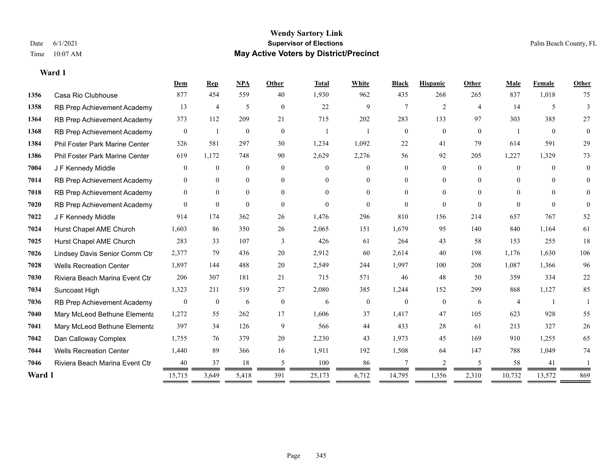#### **Wendy Sartory Link** Date 6/1/2021 **Supervisor of Elections** Palm Beach County, FL Time 10:07 AM **May Active Voters by District/Precinct**

# **Dem Rep NPA Other Total White Black Hispanic Other Male Female Other** Casa Rio Clubhouse 877 454 559 40 1,930 962 435 268 265 837 1,018 75 1358 RB Prep Achievement Academy 13 4 5 0 22 9 7 2 4 14 5 3 RB Prep Achievement Academy 373 112 209 21 715 202 283 133 97 303 385 27 RB Prep Achievement Academy 0 1 0 0 1 1 1 0 0 0 0 0 1 0 0 Phil Foster Park Marine Center 326 581 297 30 1,234 1,092 22 41 79 614 591 29 Phil Foster Park Marine Center 619 1,172 748 90 2,629 2,276 56 92 205 1,227 1,329 73 J F Kennedy Middle 0 0 0 0 0 0 0 0 0 0 0 0 RB Prep Achievement Academy 0 0 0 0 0 0 0 0 0 0 0 0 RB Prep Achievement Academy 0 0 0 0 0 0 0 0 0 0 0 0 RB Prep Achievement Academy 0 0 0 0 0 0 0 0 0 0 0 0 J F Kennedy Middle 914 174 362 26 1,476 296 810 156 214 657 767 52 Hurst Chapel AME Church 1,603 86 350 26 2,065 151 1,679 95 140 840 1,164 61 Hurst Chapel AME Church 283 33 107 3 426 61 264 43 58 153 255 18 Lindsey Davis Senior Comm Ctr 2,377 79 436 20 2,912 60 2,614 40 198 1,176 1,630 106 Wells Recreation Center 1,897 144 488 20 2,549 244 1,997 100 208 1,087 1,366 96 Riviera Beach Marina Event Ctr 206 307 181 21 715 571 46 48 50 359 334 22 Suncoast High 1,323 211 519 27 2,080 385 1,244 152 299 868 1,127 85 RB Prep Achievement Academy 0 0 0 6 0 0 6 0 0 0 0 6 4 1 1 Mary McLeod Bethune Elementary 1,272 55 262 17 1,606 37 1,417 47 105 623 928 55 Mary McLeod Bethune Elementary 397 34 126 9 566 44 433 28 61 213 327 26 Dan Calloway Complex 1,755 76 379 20 2,230 43 1,973 45 169 910 1,255 65 Wells Recreation Center 1,440 89 366 16 1,911 192 1,508 64 147 788 1,049 74 Riviera Beach Marina Event Ctr  $\begin{array}{cccc} 40 & 37 & 18 & 5 & 100 & 86 & 7 & 2 & 5 & 58 & 41 & 1 \end{array}$ **Ward 1** 15,715 3,649 5,418 391 25,173 6,712 14,795 1,356 2,310 10,732 13,572 869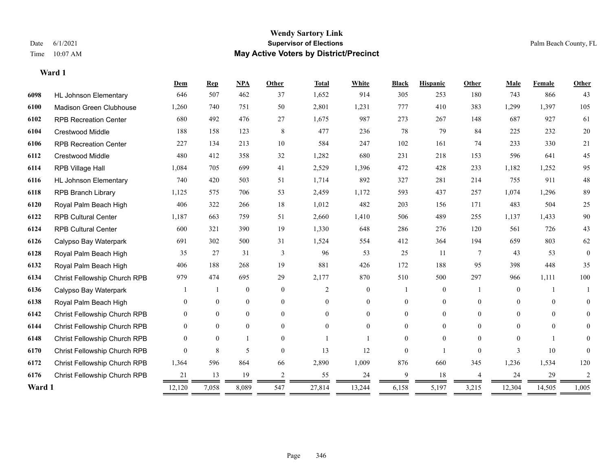|        |                                     | Dem      | <b>Rep</b>     | <b>NPA</b>   | <b>Other</b> | <b>Total</b>   | White          | <b>Black</b> | <b>Hispanic</b> | <b>Other</b> | Male     | Female   | Other          |
|--------|-------------------------------------|----------|----------------|--------------|--------------|----------------|----------------|--------------|-----------------|--------------|----------|----------|----------------|
| 6098   | <b>HL Johnson Elementary</b>        | 646      | 507            | 462          | 37           | 1,652          | 914            | 305          | 253             | 180          | 743      | 866      | 43             |
| 6100   | Madison Green Clubhouse             | 1,260    | 740            | 751          | 50           | 2,801          | 1,231          | 777          | 410             | 383          | 1,299    | 1,397    | 105            |
| 6102   | <b>RPB Recreation Center</b>        | 680      | 492            | 476          | 27           | 1,675          | 987            | 273          | 267             | 148          | 687      | 927      | 61             |
| 6104   | <b>Crestwood Middle</b>             | 188      | 158            | 123          | 8            | 477            | 236            | 78           | 79              | 84           | 225      | 232      | $20\,$         |
| 6106   | <b>RPB Recreation Center</b>        | 227      | 134            | 213          | 10           | 584            | 247            | 102          | 161             | 74           | 233      | 330      | 21             |
| 6112   | <b>Crestwood Middle</b>             | 480      | 412            | 358          | 32           | 1,282          | 680            | 231          | 218             | 153          | 596      | 641      | 45             |
| 6114   | RPB Village Hall                    | 1,084    | 705            | 699          | 41           | 2,529          | 1,396          | 472          | 428             | 233          | 1,182    | 1,252    | 95             |
| 6116   | <b>HL Johnson Elementary</b>        | 740      | 420            | 503          | 51           | 1,714          | 892            | 327          | 281             | 214          | 755      | 911      | $48\,$         |
| 6118   | <b>RPB Branch Library</b>           | 1,125    | 575            | 706          | 53           | 2,459          | 1,172          | 593          | 437             | 257          | 1,074    | 1,296    | 89             |
| 6120   | Royal Palm Beach High               | 406      | 322            | 266          | 18           | 1,012          | 482            | 203          | 156             | 171          | 483      | 504      | 25             |
| 6122   | <b>RPB Cultural Center</b>          | 1,187    | 663            | 759          | 51           | 2,660          | 1,410          | 506          | 489             | 255          | 1,137    | 1,433    | 90             |
| 6124   | <b>RPB Cultural Center</b>          | 600      | 321            | 390          | 19           | 1,330          | 648            | 286          | 276             | 120          | 561      | 726      | 43             |
| 6126   | Calypso Bay Waterpark               | 691      | 302            | 500          | 31           | 1,524          | 554            | 412          | 364             | 194          | 659      | 803      | 62             |
| 6128   | Royal Palm Beach High               | 35       | 27             | 31           | 3            | 96             | 53             | 25           | 11              | $\tau$       | 43       | 53       | $\mathbf{0}$   |
| 6132   | Royal Palm Beach High               | 406      | 188            | 268          | 19           | 881            | 426            | 172          | 188             | 95           | 398      | 448      | 35             |
| 6134   | <b>Christ Fellowship Church RPB</b> | 979      | 474            | 695          | 29           | 2,177          | 870            | 510          | 500             | 297          | 966      | 1,111    | 100            |
| 6136   | Calypso Bay Waterpark               |          |                | $\mathbf{0}$ | $\theta$     | $\mathfrak{D}$ | $\overline{0}$ |              | $\overline{0}$  |              | $\theta$ |          |                |
| 6138   | Royal Palm Beach High               | $\Omega$ | $\theta$       | $\mathbf{0}$ | $\theta$     | $\Omega$       | $\overline{0}$ | 0            | $\overline{0}$  | $\Omega$     | $\theta$ | $\Omega$ | 0              |
| 6142   | Christ Fellowship Church RPB        | $\Omega$ | $\theta$       | $\theta$     | $\theta$     | $\Omega$       | $\Omega$       | 0            | $\Omega$        | $\theta$     | $\Omega$ | $\Omega$ | $\theta$       |
| 6144   | Christ Fellowship Church RPB        | $\theta$ | $\theta$       | $\theta$     | $\Omega$     | $\Omega$       | $\Omega$       | 0            | $\Omega$        | $\Omega$     | $\Omega$ | $\theta$ | 0              |
| 6148   | Christ Fellowship Church RPB        | $\theta$ | $\overline{0}$ |              | $\theta$     |                |                | $\theta$     | $\theta$        | $\theta$     | $\Omega$ |          |                |
| 6170   | Christ Fellowship Church RPB        | $\Omega$ | 8              | 5            | $\theta$     | 13             | 12             | $\theta$     |                 | $\Omega$     | 3        | 10       | 0              |
| 6172   | Christ Fellowship Church RPB        | 1,364    | 596            | 864          | 66           | 2,890          | 1,009          | 876          | 660             | 345          | 1,236    | 1,534    | 120            |
| 6176   | Christ Fellowship Church RPB        | 21       | 13             | 19           | 2            | 55             | 24             | 9            | 18              |              | 24       | 29       | $\overline{c}$ |
| Ward 1 |                                     | 12,120   | 7,058          | 8,089        | 547          | 27,814         | 13,244         | 6,158        | 5,197           | 3,215        | 12,304   | 14,505   | 1,005          |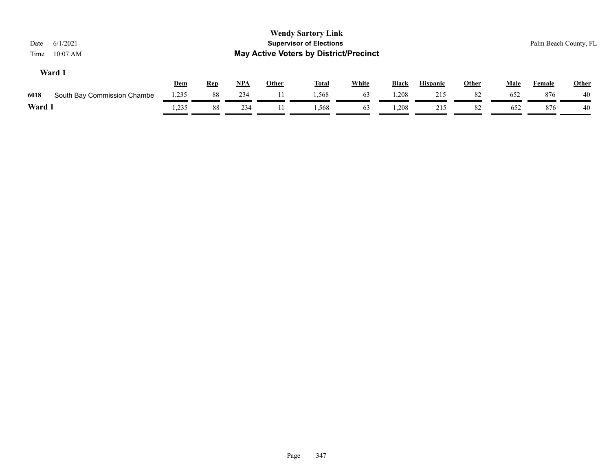| Date<br>Time | 6/1/2021<br>$10:07$ AM      |       |            |            |              | <b>Wendy Sartory Link</b><br><b>Supervisor of Elections</b><br><b>May Active Voters by District/Precinct</b> |              |              |                 |              |             |               | Palm Beach County, FL |
|--------------|-----------------------------|-------|------------|------------|--------------|--------------------------------------------------------------------------------------------------------------|--------------|--------------|-----------------|--------------|-------------|---------------|-----------------------|
|              | Ward 1                      | Dem   | <b>Rep</b> | <u>NPA</u> | <b>Other</b> | <b>Total</b>                                                                                                 | <b>White</b> | <b>Black</b> | <b>Hispanic</b> | <b>Other</b> | <b>Male</b> | <b>Female</b> | Other                 |
| 6018         | South Bay Commission Chambe | 1,235 | 88         | 234        |              | 1,568                                                                                                        | 63           | 1,208        | 215             | 82           | 652         | 876           | 40                    |
| Ward 1       |                             | .235  | 88         | 234        |              | 1.568                                                                                                        | 63           | 1,208        | 215             | 82           | 652         | 876           | 40                    |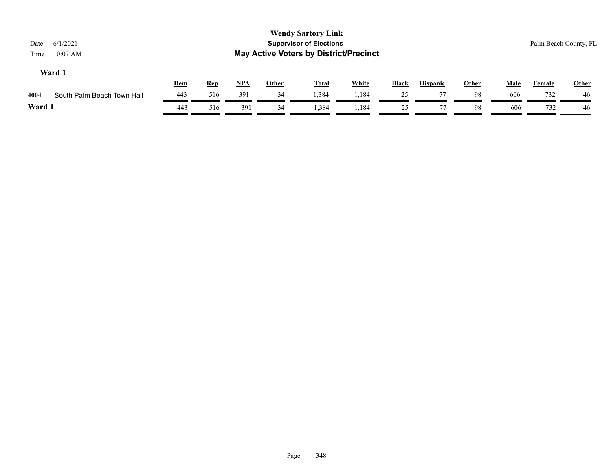| 6/1/2021<br>Date<br>$10:07$ AM<br>Time |     |            |       |              | <b>Wendy Sartory Link</b><br><b>Supervisor of Elections</b><br><b>May Active Voters by District/Precinct</b> |              |              |                 |              |             |               | Palm Beach County, FL |
|----------------------------------------|-----|------------|-------|--------------|--------------------------------------------------------------------------------------------------------------|--------------|--------------|-----------------|--------------|-------------|---------------|-----------------------|
| Ward 1                                 | Dem | <b>Rep</b> | $NPA$ | <b>Other</b> | <b>Total</b>                                                                                                 | <b>White</b> | <b>Black</b> | <b>Hispanic</b> | <b>Other</b> | <u>Male</u> | <b>Female</b> | <b>Other</b>          |
| 4004<br>South Palm Beach Town Hall     | 443 | 516        | 391   | 34           | 1,384                                                                                                        | ,184         | 25           | 77              | 98           | 606         | 732           | 46                    |
| Ward 1                                 | 443 | 516        | 391   | 34           | 1,384                                                                                                        | 1,184        | 25           | 77              | 98           | 606         | 732           | 46                    |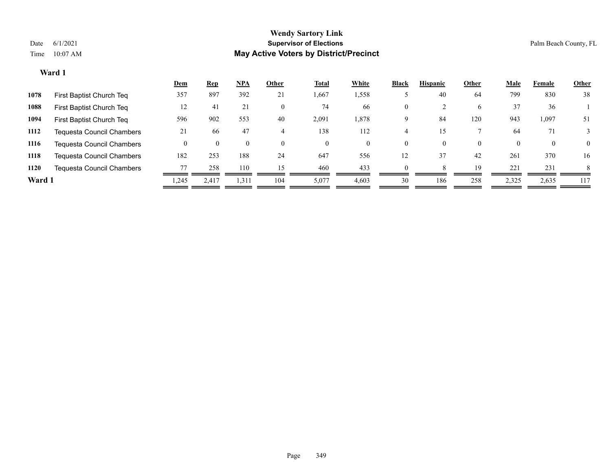|       | <b>Rep</b> | <u>NPA</u> | Other    | <b>Total</b> | White | <b>Black</b> | <b>Hispanic</b> | Other    | <b>Male</b> | Female   | Other          |
|-------|------------|------------|----------|--------------|-------|--------------|-----------------|----------|-------------|----------|----------------|
| 357   | 897        | 392        | 21       | 1,667        | 1,558 |              | 40              | 64       | 799         | 830      | 38             |
| 12    | 41         | 21         | $\theta$ | 74           | 66    | $\theta$     |                 | 6        | 37          | 36       |                |
| 596   | 902        | 553        | 40       | 2,091        | 1,878 | 9            | 84              | 120      | 943         | 1,097    | 51             |
| 21    | 66         | 47         |          | 138          | 112   |              |                 |          | 64          | 71       |                |
|       |            | $\theta$   | $\Omega$ | $\theta$     | 0     | $\theta$     | $\Omega$        | $\theta$ | $\theta$    | $\theta$ | $\overline{0}$ |
| 182   | 253        | 188        | 24       | 647          | 556   | 12           | 37              | 42       | 261         | 370      | 16             |
| 77    | 258        | 110        | 15       | 460          | 433   | $\Omega$     |                 | 19       | 221         | 231      | 8              |
| 1,245 | 2.417      | 1,311      | 104      | 5,077        | 4,603 | 30           | 186             | 258      | 2,325       | 2,635    | 117            |
|       | Dem        |            |          |              |       |              |                 |          |             |          |                |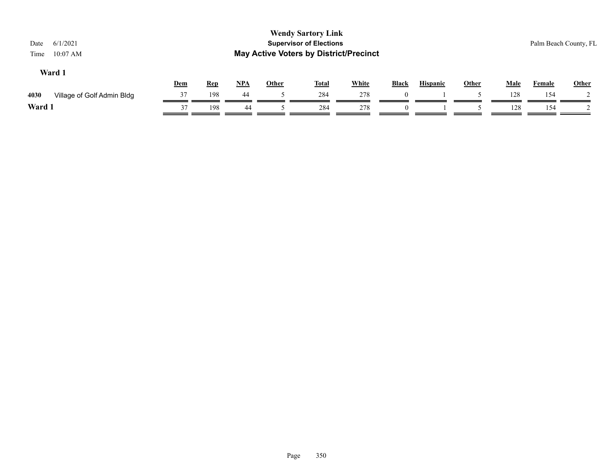| 6/1/2021<br>Date<br>$10:07$ AM<br>Time |     |            |            |              | <b>Wendy Sartory Link</b><br><b>Supervisor of Elections</b><br><b>May Active Voters by District/Precinct</b> |              |       |                 |              |             |               | Palm Beach County, FL |
|----------------------------------------|-----|------------|------------|--------------|--------------------------------------------------------------------------------------------------------------|--------------|-------|-----------------|--------------|-------------|---------------|-----------------------|
| Ward 1                                 | Dem | <b>Rep</b> | <u>NPA</u> | <b>Other</b> | <b>Total</b>                                                                                                 | <b>White</b> | Black | <b>Hispanic</b> | <b>Other</b> | <b>Male</b> | <b>Female</b> | <b>Other</b>          |
| 4030<br>Village of Golf Admin Bldg     | 37  | 198        | 44         |              | 284                                                                                                          | 278          |       |                 |              | 128         | 154           |                       |
| Ward 1                                 | 37  | 198        | 44         |              | 284                                                                                                          | 278          |       |                 |              | 128         | 154           |                       |
|                                        |     |            |            |              |                                                                                                              |              |       |                 |              |             |               |                       |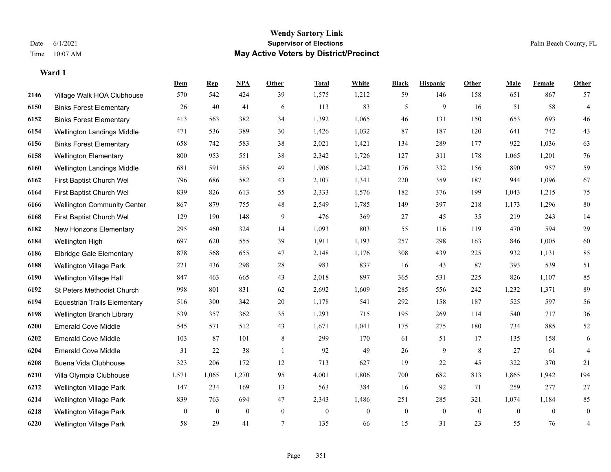## **Wendy Sartory Link** Date 6/1/2021 **Supervisor of Elections** Palm Beach County, FL Time 10:07 AM **May Active Voters by District/Precinct**

|      |                                     | Dem      | <b>Rep</b>     | NPA            | <b>Other</b>   | <b>Total</b> | White          | <b>Black</b> | <b>Hispanic</b> | <b>Other</b> | <b>Male</b>  | Female   | <b>Other</b>   |
|------|-------------------------------------|----------|----------------|----------------|----------------|--------------|----------------|--------------|-----------------|--------------|--------------|----------|----------------|
| 2146 | Village Walk HOA Clubhouse          | 570      | 542            | 424            | 39             | 1,575        | 1,212          | 59           | 146             | 158          | 651          | 867      | 57             |
| 6150 | <b>Binks Forest Elementary</b>      | 26       | 40             | 41             | 6              | 113          | 83             | 5            | 9               | 16           | 51           | 58       | $\overline{4}$ |
| 6152 | <b>Binks Forest Elementary</b>      | 413      | 563            | 382            | 34             | 1,392        | 1,065          | 46           | 131             | 150          | 653          | 693      | 46             |
| 6154 | Wellington Landings Middle          | 471      | 536            | 389            | 30             | 1,426        | 1,032          | 87           | 187             | 120          | 641          | 742      | 43             |
| 6156 | <b>Binks Forest Elementary</b>      | 658      | 742            | 583            | 38             | 2,021        | 1,421          | 134          | 289             | 177          | 922          | 1,036    | 63             |
| 6158 | <b>Wellington Elementary</b>        | 800      | 953            | 551            | 38             | 2,342        | 1,726          | 127          | 311             | 178          | 1,065        | 1,201    | $76\,$         |
| 6160 | Wellington Landings Middle          | 681      | 591            | 585            | 49             | 1,906        | 1,242          | 176          | 332             | 156          | 890          | 957      | 59             |
| 6162 | First Baptist Church Wel            | 796      | 686            | 582            | 43             | 2,107        | 1,341          | 220          | 359             | 187          | 944          | 1.096    | 67             |
| 6164 | First Baptist Church Wel            | 839      | 826            | 613            | 55             | 2,333        | 1,576          | 182          | 376             | 199          | 1,043        | 1,215    | 75             |
| 6166 | <b>Wellington Community Center</b>  | 867      | 879            | 755            | $48\,$         | 2,549        | 1,785          | 149          | 397             | 218          | 1,173        | 1,296    | 80             |
| 6168 | First Baptist Church Wel            | 129      | 190            | 148            | 9              | 476          | 369            | 27           | 45              | 35           | 219          | 243      | 14             |
| 6182 | New Horizons Elementary             | 295      | 460            | 324            | 14             | 1,093        | 803            | 55           | 116             | 119          | 470          | 594      | $29\,$         |
| 6184 | Wellington High                     | 697      | 620            | 555            | 39             | 1,911        | 1,193          | 257          | 298             | 163          | 846          | 1,005    | $60\,$         |
| 6186 | <b>Elbridge Gale Elementary</b>     | 878      | 568            | 655            | 47             | 2,148        | 1,176          | 308          | 439             | 225          | 932          | 1,131    | 85             |
| 6188 | Wellington Village Park             | 221      | 436            | 298            | 28             | 983          | 837            | 16           | 43              | 87           | 393          | 539      | 51             |
| 6190 | Wellington Village Hall             | 847      | 463            | 665            | 43             | 2,018        | 897            | 365          | 531             | 225          | 826          | 1,107    | 85             |
| 6192 | St Peters Methodist Church          | 998      | 801            | 831            | 62             | 2,692        | 1,609          | 285          | 556             | 242          | 1,232        | 1,371    | 89             |
| 6194 | <b>Equestrian Trails Elementary</b> | 516      | 300            | 342            | 20             | 1,178        | 541            | 292          | 158             | 187          | 525          | 597      | 56             |
| 6198 | Wellington Branch Library           | 539      | 357            | 362            | 35             | 1,293        | 715            | 195          | 269             | 114          | 540          | 717      | $36\,$         |
| 6200 | <b>Emerald Cove Middle</b>          | 545      | 571            | 512            | 43             | 1,671        | 1,041          | 175          | 275             | 180          | 734          | 885      | 52             |
| 6202 | <b>Emerald Cove Middle</b>          | 103      | 87             | 101            | 8              | 299          | 170            | 61           | 51              | 17           | 135          | 158      | 6              |
| 6204 | <b>Emerald Cove Middle</b>          | 31       | 22             | 38             | $\overline{1}$ | 92           | 49             | 26           | 9               | 8            | 27           | 61       | $\overline{4}$ |
| 6208 | Buena Vida Clubhouse                | 323      | 206            | 172            | 12             | 713          | 627            | 19           | 22              | 45           | 322          | 370      | 21             |
| 6210 | Villa Olympia Clubhouse             | 1,571    | 1,065          | 1,270          | 95             | 4,001        | 1,806          | 700          | 682             | 813          | 1,865        | 1,942    | 194            |
| 6212 | Wellington Village Park             | 147      | 234            | 169            | 13             | 563          | 384            | 16           | 92              | 71           | 259          | 277      | 27             |
| 6214 | <b>Wellington Village Park</b>      | 839      | 763            | 694            | 47             | 2,343        | 1,486          | 251          | 285             | 321          | 1,074        | 1,184    | 85             |
| 6218 | Wellington Village Park             | $\theta$ | $\overline{0}$ | $\overline{0}$ | $\theta$       | $\mathbf{0}$ | $\overline{0}$ | $\mathbf{0}$ | $\mathbf{0}$    | $\theta$     | $\mathbf{0}$ | $\theta$ | $\overline{0}$ |
| 6220 | <b>Wellington Village Park</b>      | 58       | 29             | 41             | $\tau$         | 135          | 66             | 15           | 31              | 23           | 55           | 76       | $\overline{4}$ |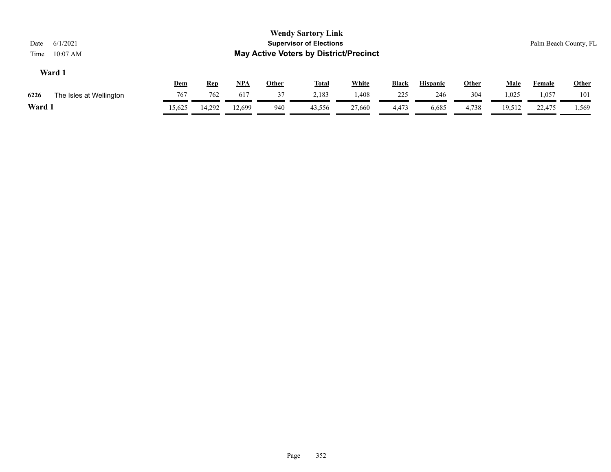| 6/1/2021<br>Date<br>$10:07$ AM<br>Time |        |            |            |              | <b>Wendy Sartory Link</b><br><b>Supervisor of Elections</b><br><b>May Active Voters by District/Precinct</b> |              |       |                 |              |             | Palm Beach County, FL |       |
|----------------------------------------|--------|------------|------------|--------------|--------------------------------------------------------------------------------------------------------------|--------------|-------|-----------------|--------------|-------------|-----------------------|-------|
| Ward 1                                 |        |            |            |              |                                                                                                              |              |       |                 |              |             |                       |       |
|                                        | Dem    | <u>Rep</u> | <u>NPA</u> | <u>Other</u> | <b>Total</b>                                                                                                 | <b>White</b> | Black | <b>Hispanic</b> | <b>Other</b> | <b>Male</b> | <b>Female</b>         | Other |
| 6226<br>The Isles at Wellington        | 767    | 762        | 617        | 37           | 2.183                                                                                                        | 1,408        | 225   | 246             | 304          | 1,025       | 1,057                 | 101   |
| Ward 1                                 | 15,625 | 14,292     | 12.699     | 940          | 43,556                                                                                                       | 27,660       | 4,473 | 6,685           | 4,738        | 19,512      | 22,475                | 1,569 |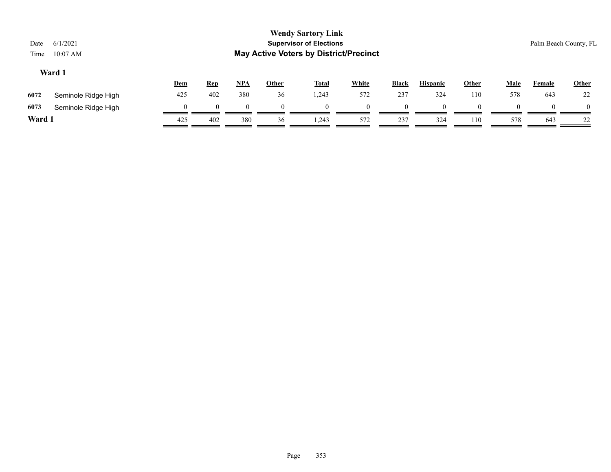| Date<br>Time | 6/1/2021<br>$10:07$ AM |          |            |            |       | <b>Wendy Sartory Link</b><br><b>Supervisor of Elections</b><br><b>May Active Voters by District/Precinct</b> |              |              |                 |       |             | Palm Beach County, FL |          |
|--------------|------------------------|----------|------------|------------|-------|--------------------------------------------------------------------------------------------------------------|--------------|--------------|-----------------|-------|-------------|-----------------------|----------|
|              | Ward 1                 | Dem      | <b>Rep</b> | <u>NPA</u> | Other | <b>Total</b>                                                                                                 | <b>White</b> | <b>Black</b> | <b>Hispanic</b> | Other | <b>Male</b> | Female                | Other    |
| 6072         | Seminole Ridge High    | 425      | 402        | 380        | 36    | 1,243                                                                                                        | 572          | 237          | 324             | 110   | 578         | 643                   | 22       |
| 6073         | Seminole Ridge High    | $\theta$ | $\theta$   | $\Omega$   |       | $\Omega$                                                                                                     |              |              |                 |       |             |                       | $\theta$ |
| Ward 1       |                        | 425      | 402        | 380        | 36    | 1,243                                                                                                        | 572          | 237          | 324             | 110   | 578         | 643                   | 22       |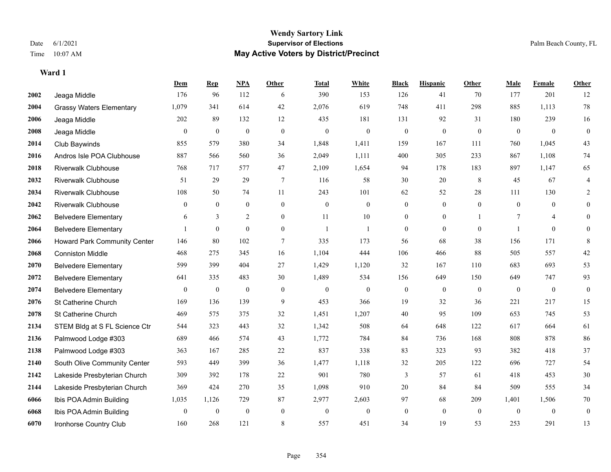|      |                                     | Dem            | <b>Rep</b>       | NPA              | <b>Other</b>   | <b>Total</b>   | <b>White</b>     | <b>Black</b>     | <b>Hispanic</b> | <b>Other</b>   | <b>Male</b>    | <b>Female</b>  | <b>Other</b>   |
|------|-------------------------------------|----------------|------------------|------------------|----------------|----------------|------------------|------------------|-----------------|----------------|----------------|----------------|----------------|
| 2002 | Jeaga Middle                        | 176            | 96               | 112              | 6              | 390            | 153              | 126              | 41              | 70             | 177            | 201            | 12             |
| 2004 | <b>Grassy Waters Elementary</b>     | 1,079          | 341              | 614              | 42             | 2,076          | 619              | 748              | 411             | 298            | 885            | 1,113          | 78             |
| 2006 | Jeaga Middle                        | 202            | 89               | 132              | 12             | 435            | 181              | 131              | 92              | 31             | 180            | 239            | 16             |
| 2008 | Jeaga Middle                        | $\overline{0}$ | $\boldsymbol{0}$ | $\boldsymbol{0}$ | $\mathbf{0}$   | $\theta$       | $\mathbf{0}$     | $\boldsymbol{0}$ | $\overline{0}$  | $\mathbf{0}$   | $\mathbf{0}$   | $\mathbf{0}$   | $\mathbf{0}$   |
| 2014 | Club Baywinds                       | 855            | 579              | 380              | 34             | 1,848          | 1,411            | 159              | 167             | 111            | 760            | 1,045          | 43             |
| 2016 | Andros Isle POA Clubhouse           | 887            | 566              | 560              | 36             | 2,049          | 1,111            | 400              | 305             | 233            | 867            | 1,108          | $74\,$         |
| 2018 | <b>Riverwalk Clubhouse</b>          | 768            | 717              | 577              | 47             | 2,109          | 1,654            | 94               | 178             | 183            | 897            | 1,147          | 65             |
| 2032 | <b>Riverwalk Clubhouse</b>          | 51             | 29               | 29               | $\tau$         | 116            | 58               | 30               | 20              | 8              | 45             | 67             | 4              |
| 2034 | <b>Riverwalk Clubhouse</b>          | 108            | 50               | 74               | 11             | 243            | 101              | 62               | 52              | 28             | 111            | 130            | 2              |
| 2042 | <b>Riverwalk Clubhouse</b>          | $\overline{0}$ | $\overline{0}$   | $\mathbf{0}$     | $\overline{0}$ | $\mathbf{0}$   | $\boldsymbol{0}$ | $\boldsymbol{0}$ | $\overline{0}$  | $\overline{0}$ | $\overline{0}$ | $\overline{0}$ | $\overline{0}$ |
| 2062 | <b>Belvedere Elementary</b>         | 6              | 3                | 2                | $\theta$       | 11             | 10               | $\overline{0}$   | $\overline{0}$  |                | 7              | $\overline{4}$ | $\theta$       |
| 2064 | <b>Belvedere Elementary</b>         |                | $\mathbf{0}$     | $\theta$         | $\overline{0}$ | $\overline{1}$ | 1                | $\overline{0}$   | $\Omega$        | $\theta$       | $\mathbf{1}$   | $\theta$       | $\Omega$       |
| 2066 | <b>Howard Park Community Center</b> | 146            | 80               | 102              | 7              | 335            | 173              | 56               | 68              | 38             | 156            | 171            | 8              |
| 2068 | <b>Conniston Middle</b>             | 468            | 275              | 345              | 16             | 1,104          | 444              | 106              | 466             | 88             | 505            | 557            | $42\,$         |
| 2070 | <b>Belvedere Elementary</b>         | 599            | 399              | 404              | 27             | 1,429          | 1,120            | 32               | 167             | 110            | 683            | 693            | 53             |
| 2072 | <b>Belvedere Elementary</b>         | 641            | 335              | 483              | 30             | 1,489          | 534              | 156              | 649             | 150            | 649            | 747            | 93             |
| 2074 | <b>Belvedere Elementary</b>         | $\overline{0}$ | $\boldsymbol{0}$ | $\boldsymbol{0}$ | $\mathbf{0}$   | $\theta$       | $\boldsymbol{0}$ | $\boldsymbol{0}$ | $\overline{0}$  | $\mathbf{0}$   | $\overline{0}$ | $\mathbf{0}$   | $\mathbf{0}$   |
| 2076 | St Catherine Church                 | 169            | 136              | 139              | 9              | 453            | 366              | 19               | 32              | 36             | 221            | 217            | 15             |
| 2078 | St Catherine Church                 | 469            | 575              | 375              | 32             | 1,451          | 1,207            | 40               | 95              | 109            | 653            | 745            | 53             |
| 2134 | STEM Bldg at S FL Science Ctr       | 544            | 323              | 443              | 32             | 1,342          | 508              | 64               | 648             | 122            | 617            | 664            | 61             |
| 2136 | Palmwood Lodge #303                 | 689            | 466              | 574              | 43             | 1,772          | 784              | 84               | 736             | 168            | 808            | 878            | 86             |
| 2138 | Palmwood Lodge #303                 | 363            | 167              | 285              | $22\,$         | 837            | 338              | 83               | 323             | 93             | 382            | 418            | 37             |
| 2140 | South Olive Community Center        | 593            | 449              | 399              | 36             | 1,477          | 1,118            | 32               | 205             | 122            | 696            | 727            | 54             |
| 2142 | Lakeside Presbyterian Church        | 309            | 392              | 178              | 22             | 901            | 780              | 3                | 57              | 61             | 418            | 453            | $30\,$         |
| 2144 | Lakeside Presbyterian Church        | 369            | 424              | 270              | 35             | 1,098          | 910              | 20               | 84              | 84             | 509            | 555            | 34             |
| 6066 | Ibis POA Admin Building             | 1,035          | 1,126            | 729              | 87             | 2,977          | 2,603            | 97               | 68              | 209            | 1,401          | 1,506          | 70             |
| 6068 | Ibis POA Admin Building             | $\overline{0}$ | $\bf{0}$         | $\boldsymbol{0}$ | $\mathbf{0}$   | $\theta$       | $\boldsymbol{0}$ | $\boldsymbol{0}$ | $\overline{0}$  | $\mathbf{0}$   | $\mathbf{0}$   | $\mathbf{0}$   | $\mathbf{0}$   |
| 6070 | Ironhorse Country Club              | 160            | 268              | 121              | 8              | 557            | 451              | 34               | 19              | 53             | 253            | 291            | 13             |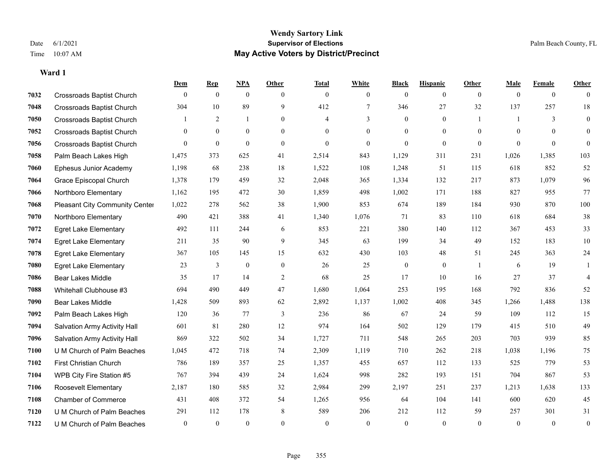#### **Wendy Sartory Link** Date 6/1/2021 **Supervisor of Elections** Palm Beach County, FL Time 10:07 AM **May Active Voters by District/Precinct**

|      |                                       | Dem          | <b>Rep</b>     | NPA            | Other          | <b>Total</b>   | White          | <b>Black</b>     | <b>Hispanic</b> | Other          | <b>Male</b> | Female       | Other            |
|------|---------------------------------------|--------------|----------------|----------------|----------------|----------------|----------------|------------------|-----------------|----------------|-------------|--------------|------------------|
| 7032 | <b>Crossroads Baptist Church</b>      | $\theta$     | $\overline{0}$ | $\mathbf{0}$   | $\theta$       | $\mathbf{0}$   | $\overline{0}$ | $\mathbf{0}$     | $\overline{0}$  | $\theta$       | $\theta$    | $\mathbf{0}$ | $\mathbf{0}$     |
| 7048 | <b>Crossroads Baptist Church</b>      | 304          | 10             | 89             | 9              | 412            | $\overline{7}$ | 346              | 27              | 32             | 137         | 257          | 18               |
| 7050 | <b>Crossroads Baptist Church</b>      |              | $\overline{2}$ | $\mathbf{1}$   | $\theta$       | 4              | $\overline{3}$ | $\Omega$         | $\theta$        |                | 1           | 3            | $\boldsymbol{0}$ |
| 7052 | <b>Crossroads Baptist Church</b>      | $\theta$     | $\overline{0}$ | $\overline{0}$ | $\overline{0}$ | $\overline{0}$ | $\overline{0}$ | $\mathbf{0}$     | $\mathbf{0}$    | $\theta$       | $\theta$    | $\theta$     | $\mathbf{0}$     |
| 7056 | <b>Crossroads Baptist Church</b>      | $\Omega$     | $\overline{0}$ | $\mathbf{0}$   | $\mathbf{0}$   | $\overline{0}$ | $\overline{0}$ | $\overline{0}$   | $\mathbf{0}$    | $\mathbf{0}$   | $\theta$    | $\Omega$     | $\mathbf{0}$     |
| 7058 | Palm Beach Lakes High                 | 1,475        | 373            | 625            | 41             | 2,514          | 843            | 1,129            | 311             | 231            | 1,026       | 1,385        | 103              |
| 7060 | Ephesus Junior Academy                | 1,198        | 68             | 238            | 18             | 1,522          | 108            | 1,248            | 51              | 115            | 618         | 852          | 52               |
| 7064 | Grace Episcopal Church                | 1,378        | 179            | 459            | 32             | 2,048          | 365            | 1,334            | 132             | 217            | 873         | 1.079        | 96               |
| 7066 | Northboro Elementary                  | 1,162        | 195            | 472            | 30             | 1,859          | 498            | 1,002            | 171             | 188            | 827         | 955          | 77               |
| 7068 | <b>Pleasant City Community Center</b> | 1,022        | 278            | 562            | 38             | 1,900          | 853            | 674              | 189             | 184            | 930         | 870          | 100              |
| 7070 | Northboro Elementary                  | 490          | 421            | 388            | 41             | 1,340          | 1,076          | 71               | 83              | 110            | 618         | 684          | 38               |
| 7072 | <b>Egret Lake Elementary</b>          | 492          | 111            | 244            | 6              | 853            | 221            | 380              | 140             | 112            | 367         | 453          | 33               |
| 7074 | <b>Egret Lake Elementary</b>          | 211          | 35             | 90             | 9              | 345            | 63             | 199              | 34              | 49             | 152         | 183          | 10               |
| 7078 | <b>Egret Lake Elementary</b>          | 367          | 105            | 145            | 15             | 632            | 430            | 103              | 48              | 51             | 245         | 363          | 24               |
| 7080 | <b>Egret Lake Elementary</b>          | 23           | 3              | $\bf{0}$       | $\mathbf{0}$   | 26             | 25             | $\boldsymbol{0}$ | $\mathbf{0}$    | $\overline{1}$ | 6           | 19           | 1                |
| 7086 | <b>Bear Lakes Middle</b>              | 35           | 17             | 14             | 2              | 68             | 25             | 17               | 10              | 16             | 27          | 37           | $\overline{4}$   |
| 7088 | Whitehall Clubhouse #3                | 694          | 490            | 449            | 47             | 1,680          | 1,064          | 253              | 195             | 168            | 792         | 836          | 52               |
| 7090 | Bear Lakes Middle                     | 1,428        | 509            | 893            | 62             | 2,892          | 1,137          | 1,002            | 408             | 345            | 1,266       | 1,488        | 138              |
| 7092 | Palm Beach Lakes High                 | 120          | 36             | 77             | 3              | 236            | 86             | 67               | 24              | 59             | 109         | 112          | 15               |
| 7094 | Salvation Army Activity Hall          | 601          | 81             | 280            | 12             | 974            | 164            | 502              | 129             | 179            | 415         | 510          | 49               |
| 7096 | Salvation Army Activity Hall          | 869          | 322            | 502            | 34             | 1,727          | 711            | 548              | 265             | 203            | 703         | 939          | 85               |
| 7100 | U M Church of Palm Beaches            | 1,045        | 472            | 718            | 74             | 2,309          | 1,119          | 710              | 262             | 218            | 1,038       | 1,196        | 75               |
| 7102 | <b>First Christian Church</b>         | 786          | 189            | 357            | 25             | 1,357          | 455            | 657              | 112             | 133            | 525         | 779          | 53               |
| 7104 | WPB City Fire Station #5              | 767          | 394            | 439            | 24             | 1,624          | 998            | 282              | 193             | 151            | 704         | 867          | 53               |
| 7106 | Roosevelt Elementary                  | 2,187        | 180            | 585            | 32             | 2,984          | 299            | 2,197            | 251             | 237            | 1,213       | 1,638        | 133              |
| 7108 | <b>Chamber of Commerce</b>            | 431          | 408            | 372            | 54             | 1,265          | 956            | 64               | 104             | 141            | 600         | 620          | 45               |
| 7120 | U M Church of Palm Beaches            | 291          | 112            | 178            | 8              | 589            | 206            | 212              | 112             | 59             | 257         | 301          | 31               |
| 7122 | U M Church of Palm Beaches            | $\mathbf{0}$ | $\mathbf{0}$   | $\mathbf{0}$   | $\theta$       | $\mathbf{0}$   | $\theta$       | $\theta$         | $\theta$        | $\theta$       | $\theta$    | $\theta$     | $\boldsymbol{0}$ |